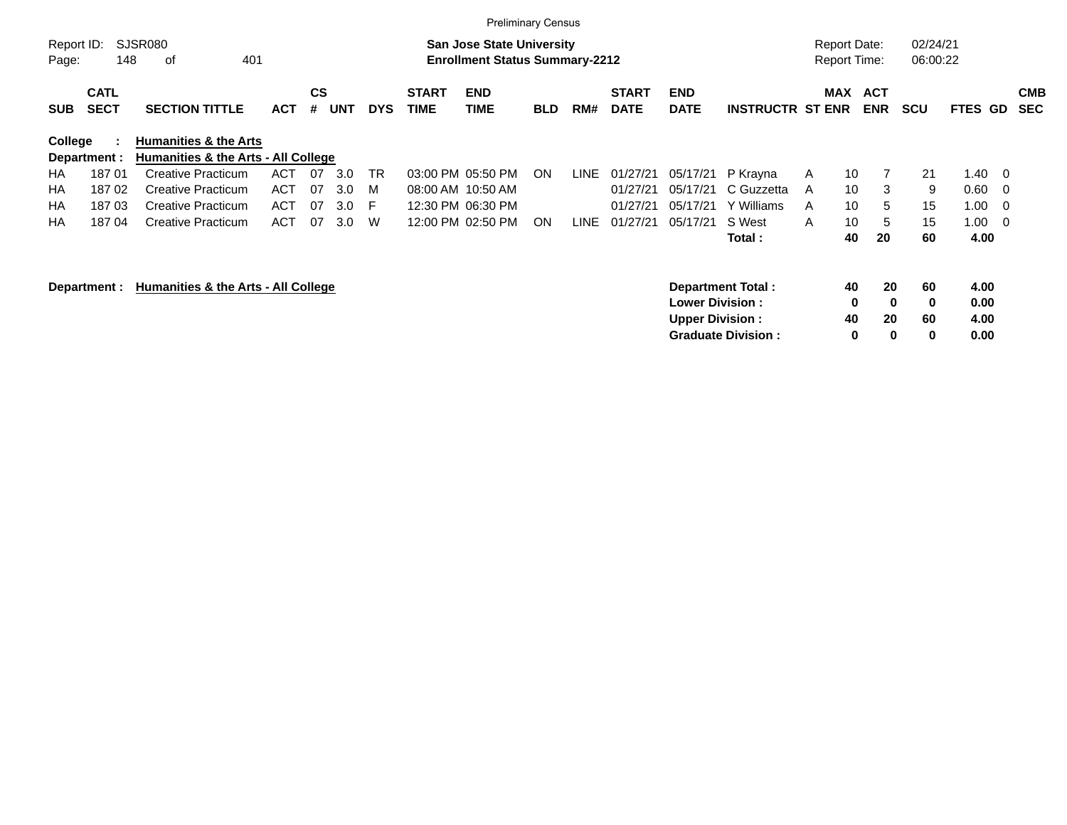|                |                                                                                                                        |                                                                         |            |                |            |            |                      |                           | <b>Preliminary Census</b> |      |                             |                           |                           |   |                                            |                          |                      |                |                          |                          |
|----------------|------------------------------------------------------------------------------------------------------------------------|-------------------------------------------------------------------------|------------|----------------|------------|------------|----------------------|---------------------------|---------------------------|------|-----------------------------|---------------------------|---------------------------|---|--------------------------------------------|--------------------------|----------------------|----------------|--------------------------|--------------------------|
| Page:          | SJSR080<br>Report ID:<br><b>San Jose State University</b><br>148<br>401<br><b>Enrollment Status Summary-2212</b><br>оf |                                                                         |            |                |            |            |                      |                           |                           |      |                             |                           |                           |   | <b>Report Date:</b><br><b>Report Time:</b> |                          | 02/24/21<br>06:00:22 |                |                          |                          |
| <b>SUB</b>     | <b>CATL</b><br><b>SECT</b>                                                                                             | <b>SECTION TITTLE</b>                                                   | <b>ACT</b> | <b>CS</b><br># | <b>UNT</b> | <b>DYS</b> | <b>START</b><br>TIME | <b>END</b><br><b>TIME</b> | <b>BLD</b>                | RM#  | <b>START</b><br><b>DATE</b> | <b>END</b><br><b>DATE</b> | <b>INSTRUCTR ST ENR</b>   |   | MAX                                        | <b>ACT</b><br><b>ENR</b> | <b>SCU</b>           | <b>FTES GD</b> |                          | <b>CMB</b><br><b>SEC</b> |
| <b>College</b> | Department :                                                                                                           | <b>Humanities &amp; the Arts</b><br>Humanities & the Arts - All College |            |                |            |            |                      |                           |                           |      |                             |                           |                           |   |                                            |                          |                      |                |                          |                          |
| HA             | 18701                                                                                                                  | <b>Creative Practicum</b>                                               | ACT        | 07             | 3.0        | <b>TR</b>  |                      | 03:00 PM 05:50 PM         | ON.                       | LINE | 01/27/21                    | 05/17/21                  | P Krayna                  | A | 10                                         | 7                        | 21                   | 1.40           | $\overline{\phantom{0}}$ |                          |
| HA             | 18702                                                                                                                  | <b>Creative Practicum</b>                                               | ACT        | 07             | 3.0        | M          |                      | 08:00 AM 10:50 AM         |                           |      | 01/27/21                    | 05/17/21                  | C Guzzetta                | A | 10                                         | 3                        | 9                    | 0.60           | - 0                      |                          |
| НA             | 18703                                                                                                                  | <b>Creative Practicum</b>                                               | <b>ACT</b> | 07             | 3.0        | E          |                      | 12:30 PM 06:30 PM         |                           |      | 01/27/21                    | 05/17/21                  | Y Williams                | A | 10                                         | 5                        | 15                   | 1.00           | - 0                      |                          |
| HA             | 18704                                                                                                                  | <b>Creative Practicum</b>                                               | <b>ACT</b> | 07             | 3.0        | W          |                      | 12:00 PM 02:50 PM         | ON.                       | LINE | 01/27/21                    | 05/17/21                  | S West                    | A | 10                                         | 5                        | 15                   | 1.00           | $\overline{\phantom{0}}$ |                          |
|                |                                                                                                                        |                                                                         |            |                |            |            |                      |                           |                           |      |                             |                           | Total :                   |   | 40                                         | 20                       | 60                   | 4.00           |                          |                          |
|                | Department :                                                                                                           | Humanities & the Arts - All College                                     |            |                |            |            |                      |                           |                           |      |                             | <b>Lower Division :</b>   | <b>Department Total:</b>  |   | 40<br>0                                    | 20<br>$\mathbf 0$        | 60<br>$\mathbf 0$    | 4.00<br>0.00   |                          |                          |
|                |                                                                                                                        |                                                                         |            |                |            |            |                      |                           |                           |      |                             | <b>Upper Division:</b>    |                           |   | 40                                         | 20                       | 60                   | 4.00           |                          |                          |
|                |                                                                                                                        |                                                                         |            |                |            |            |                      |                           |                           |      |                             |                           | <b>Graduate Division:</b> |   | 0                                          | $\bf{0}$                 | 0                    | 0.00           |                          |                          |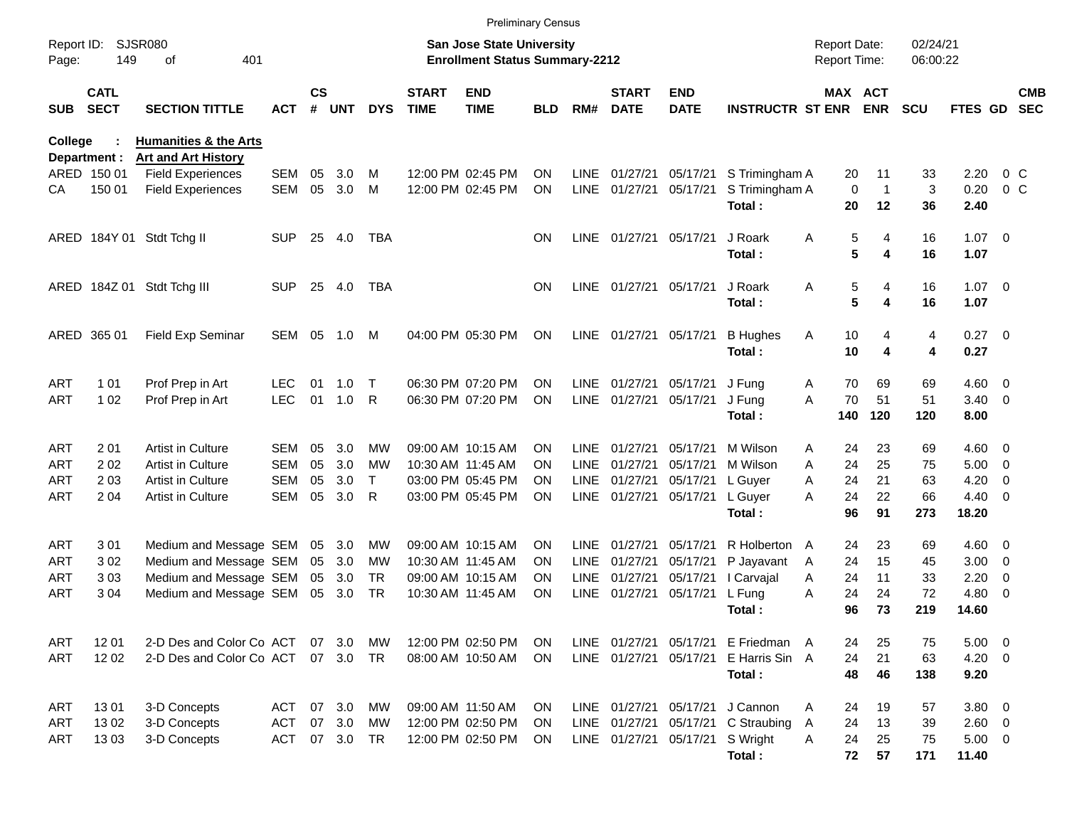|                     |                            |                                                                |            |                    |            |            |                             |                                                                    | <b>Preliminary Census</b> |             |                             |                           |                                     |   |             |                                     |                      |                         |                          |                          |
|---------------------|----------------------------|----------------------------------------------------------------|------------|--------------------|------------|------------|-----------------------------|--------------------------------------------------------------------|---------------------------|-------------|-----------------------------|---------------------------|-------------------------------------|---|-------------|-------------------------------------|----------------------|-------------------------|--------------------------|--------------------------|
| Report ID:<br>Page: | 149                        | <b>SJSR080</b><br>401<br>οf                                    |            |                    |            |            |                             | San Jose State University<br><b>Enrollment Status Summary-2212</b> |                           |             |                             |                           |                                     |   |             | <b>Report Date:</b><br>Report Time: | 02/24/21<br>06:00:22 |                         |                          |                          |
| <b>SUB</b>          | <b>CATL</b><br><b>SECT</b> | <b>SECTION TITTLE</b>                                          | <b>ACT</b> | $\mathsf{cs}$<br># | <b>UNT</b> | <b>DYS</b> | <b>START</b><br><b>TIME</b> | <b>END</b><br><b>TIME</b>                                          | BLD                       | RM#         | <b>START</b><br><b>DATE</b> | <b>END</b><br><b>DATE</b> | <b>INSTRUCTR ST ENR</b>             |   |             | MAX ACT<br>ENR                      | <b>SCU</b>           | <b>FTES GD</b>          |                          | <b>CMB</b><br><b>SEC</b> |
| College             | Department :               | <b>Humanities &amp; the Arts</b><br><b>Art and Art History</b> |            |                    |            |            |                             |                                                                    |                           |             |                             |                           |                                     |   |             |                                     |                      |                         |                          |                          |
|                     | ARED 150 01                | <b>Field Experiences</b>                                       | <b>SEM</b> | 05                 | 3.0        | M          |                             | 12:00 PM 02:45 PM                                                  | ON                        | LINE        | 01/27/21                    | 05/17/21                  | S Trimingham A                      |   | 20          | 11                                  | 33                   | 2.20                    | $0\,C$                   |                          |
| CА                  | 150 01                     | <b>Field Experiences</b>                                       | <b>SEM</b> | 05                 | 3.0        | M          |                             | 12:00 PM 02:45 PM                                                  | <b>ON</b>                 |             | LINE 01/27/21               | 05/17/21                  | S Trimingham A                      |   | $\mathbf 0$ | $\mathbf{1}$                        | 3                    | 0.20                    | $0\,C$                   |                          |
|                     |                            |                                                                |            |                    |            |            |                             |                                                                    |                           |             |                             |                           | Total:                              |   | 20          | 12                                  | 36                   | 2.40                    |                          |                          |
|                     |                            | ARED 184Y 01 Stdt Tchg II                                      | <b>SUP</b> | 25                 | 4.0        | TBA        |                             |                                                                    | <b>ON</b>                 |             | LINE 01/27/21 05/17/21      |                           | J Roark                             | Α | 5           | 4                                   | 16                   | $1.07 \t 0$             |                          |                          |
|                     |                            |                                                                |            |                    |            |            |                             |                                                                    |                           |             |                             |                           | Total:                              |   | 5           | 4                                   | 16                   | 1.07                    |                          |                          |
|                     |                            | ARED 184Z 01 Stdt Tchg III                                     | <b>SUP</b> | 25                 | 4.0        | <b>TBA</b> |                             |                                                                    | <b>ON</b>                 |             | LINE 01/27/21 05/17/21      |                           | J Roark                             | Α | 5           | 4                                   | 16                   | $1.07 \t 0$             |                          |                          |
|                     |                            |                                                                |            |                    |            |            |                             |                                                                    |                           |             |                             |                           | Total:                              |   | 5           | 4                                   | 16                   | 1.07                    |                          |                          |
|                     | ARED 365 01                | Field Exp Seminar                                              | SEM        | 05                 | 1.0        | M          |                             | 04:00 PM 05:30 PM                                                  | <b>ON</b>                 |             | LINE 01/27/21 05/17/21      |                           | <b>B</b> Hughes                     | Α | 10          | 4                                   | 4                    | $0.27$ 0                |                          |                          |
|                     |                            |                                                                |            |                    |            |            |                             |                                                                    |                           |             |                             |                           | Total:                              |   | 10          | 4                                   | 4                    | 0.27                    |                          |                          |
| <b>ART</b>          | 1 0 1                      | Prof Prep in Art                                               | <b>LEC</b> | 01                 | 1.0        | T          |                             | 06:30 PM 07:20 PM                                                  | ON                        | LINE        | 01/27/21                    | 05/17/21                  | J Fung                              | A | 70          | 69                                  | 69                   | $4.60$ 0                |                          |                          |
| <b>ART</b>          | 1 0 2                      | Prof Prep in Art                                               | <b>LEC</b> | 01                 | 1.0        | R          |                             | 06:30 PM 07:20 PM                                                  | <b>ON</b>                 | LINE        | 01/27/21                    | 05/17/21                  | J Fung                              | A | 70          | 51                                  | 51                   | $3.40 \ 0$              |                          |                          |
|                     |                            |                                                                |            |                    |            |            |                             |                                                                    |                           |             |                             |                           | Total:                              |   | 140         | 120                                 | 120                  | 8.00                    |                          |                          |
| <b>ART</b>          | 201                        | Artist in Culture                                              | SEM        | 05                 | 3.0        | МW         |                             | 09:00 AM 10:15 AM                                                  | <b>ON</b>                 | <b>LINE</b> | 01/27/21                    | 05/17/21                  | M Wilson                            | A | 24          | 23                                  | 69                   | $4.60$ 0                |                          |                          |
| ART                 | 202                        | <b>Artist in Culture</b>                                       | SEM        | 05                 | 3.0        | МW         |                             | 10:30 AM 11:45 AM                                                  | ON                        | <b>LINE</b> | 01/27/21                    | 05/17/21                  | M Wilson                            | A | 24          | 25                                  | 75                   | $5.00 \t 0$             |                          |                          |
| ART                 | 203                        | <b>Artist in Culture</b>                                       | SEM        | 05                 | 3.0        | Τ          |                             | 03:00 PM 05:45 PM                                                  | ON                        | LINE        | 01/27/21                    | 05/17/21                  | L Guyer                             | A | 24          | 21                                  | 63                   | 4.20                    | 0                        |                          |
| ART                 | 2 0 4                      | Artist in Culture                                              | <b>SEM</b> | 05                 | 3.0        | R          |                             | 03:00 PM 05:45 PM                                                  | <b>ON</b>                 |             | LINE 01/27/21               | 05/17/21                  | L Guyer<br>Total:                   | A | 24<br>96    | 22<br>91                            | 66<br>273            | $4.40 \quad 0$<br>18.20 |                          |                          |
|                     |                            |                                                                |            |                    |            |            |                             |                                                                    |                           |             |                             |                           |                                     |   |             |                                     |                      |                         |                          |                          |
| <b>ART</b>          | 301                        | Medium and Message SEM                                         |            | 05                 | 3.0        | MW         |                             | 09:00 AM 10:15 AM                                                  | <b>ON</b>                 | <b>LINE</b> | 01/27/21                    | 05/17/21                  | R Holberton A                       |   | 24          | 23                                  | 69                   | $4.60 \quad 0$          |                          |                          |
| ART                 | 302                        | Medium and Message SEM                                         |            | 05                 | 3.0        | MW         |                             | 10:30 AM 11:45 AM                                                  | <b>ON</b>                 | <b>LINE</b> | 01/27/21                    | 05/17/21                  | P Jayavant                          | A | 24          | 15                                  | 45                   | 3.00                    | $\overline{\phantom{0}}$ |                          |
| ART                 | 303                        | Medium and Message SEM                                         |            | 05                 | 3.0        | <b>TR</b>  |                             | 09:00 AM 10:15 AM                                                  | <b>ON</b>                 | LINE        | 01/27/21                    | 05/17/21                  | I Carvajal                          | A | 24          | 11                                  | 33                   | 2.20                    | 0                        |                          |
| ART                 | 304                        | Medium and Message SEM                                         |            | 05                 | 3.0        | <b>TR</b>  |                             | 10:30 AM 11:45 AM                                                  | ON                        | LINE        | 01/27/21                    | 05/17/21                  | L Fung                              | A | 24          | 24                                  | 72                   | 4.80                    | $\overline{\phantom{0}}$ |                          |
|                     |                            |                                                                |            |                    |            |            |                             |                                                                    |                           |             |                             |                           | Total:                              |   | 96          | 73                                  | 219                  | 14.60                   |                          |                          |
| ART                 | 1201                       | 2-D Des and Color Co ACT                                       |            |                    | 07 3.0     | MW         |                             | 12:00 PM 02:50 PM                                                  | ON                        |             |                             |                           | LINE 01/27/21 05/17/21 E Friedman A |   | 24          | 25                                  | 75                   | $5.00 \t 0$             |                          |                          |
| ART                 | 12 02                      | 2-D Des and Color Co ACT 07 3.0                                |            |                    |            | TR         |                             | 08:00 AM 10:50 AM                                                  | <b>ON</b>                 |             | LINE 01/27/21 05/17/21      |                           | E Harris Sin A                      |   | 24          | 21                                  | 63                   | $4.20 \ 0$              |                          |                          |
|                     |                            |                                                                |            |                    |            |            |                             |                                                                    |                           |             |                             |                           | Total:                              |   | 48          | 46                                  | 138                  | 9.20                    |                          |                          |
| ART                 | 1301                       | 3-D Concepts                                                   | ACT        |                    | 07 3.0     | MW         |                             | 09:00 AM 11:50 AM                                                  | ON                        |             | LINE 01/27/21 05/17/21      |                           | J Cannon                            | Α | 24          | 19                                  | 57                   | 3.80 0                  |                          |                          |
| ART                 | 1302                       | 3-D Concepts                                                   | <b>ACT</b> |                    | 07 3.0     | MW         |                             | 12:00 PM 02:50 PM                                                  | ON                        |             | LINE 01/27/21               | 05/17/21                  | C Straubing                         | A | 24          | 13                                  | 39                   | $2.60 \t 0$             |                          |                          |
| ART                 | 1303                       | 3-D Concepts                                                   | <b>ACT</b> |                    | 07 3.0     | TR.        |                             | 12:00 PM 02:50 PM                                                  | <b>ON</b>                 |             | LINE 01/27/21 05/17/21      |                           | S Wright                            | Α | 24          | 25                                  | 75                   | $5.00 \t 0$             |                          |                          |
|                     |                            |                                                                |            |                    |            |            |                             |                                                                    |                           |             |                             |                           | Total:                              |   | 72          | 57                                  | 171                  | 11.40                   |                          |                          |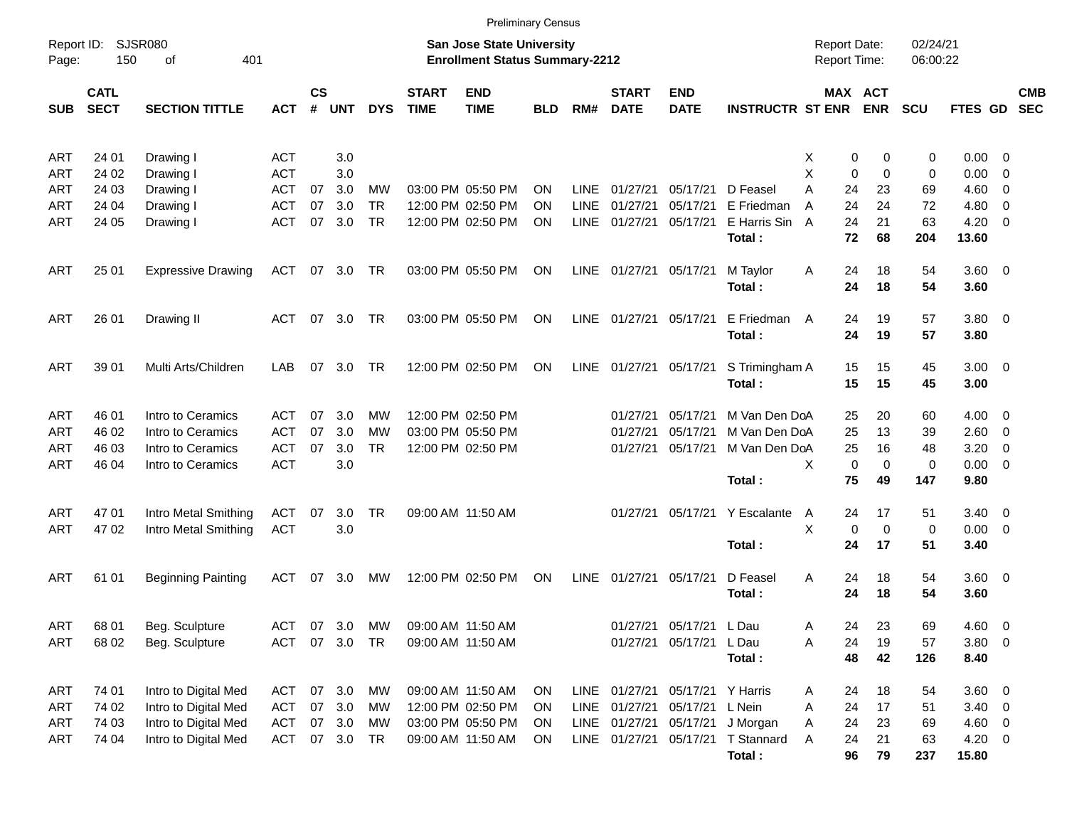|                     |                            |                             |            |                    |               |            |                             |                                                                           | <b>Preliminary Census</b> |             |                             |                                 |                               |                                     |             |                      |                        |                          |                          |
|---------------------|----------------------------|-----------------------------|------------|--------------------|---------------|------------|-----------------------------|---------------------------------------------------------------------------|---------------------------|-------------|-----------------------------|---------------------------------|-------------------------------|-------------------------------------|-------------|----------------------|------------------------|--------------------------|--------------------------|
| Report ID:<br>Page: | 150                        | <b>SJSR080</b><br>401<br>of |            |                    |               |            |                             | <b>San Jose State University</b><br><b>Enrollment Status Summary-2212</b> |                           |             |                             |                                 |                               | <b>Report Date:</b><br>Report Time: |             | 02/24/21<br>06:00:22 |                        |                          |                          |
| <b>SUB</b>          | <b>CATL</b><br><b>SECT</b> | <b>SECTION TITTLE</b>       | <b>ACT</b> | $\mathsf{cs}$<br># | <b>UNT</b>    | <b>DYS</b> | <b>START</b><br><b>TIME</b> | <b>END</b><br><b>TIME</b>                                                 | <b>BLD</b>                | RM#         | <b>START</b><br><b>DATE</b> | <b>END</b><br><b>DATE</b>       | <b>INSTRUCTR ST ENR</b>       | MAX ACT                             | <b>ENR</b>  | <b>SCU</b>           | FTES GD                |                          | <b>CMB</b><br><b>SEC</b> |
| <b>ART</b>          | 24 01                      | Drawing I                   | <b>ACT</b> |                    | 3.0           |            |                             |                                                                           |                           |             |                             |                                 |                               | 0<br>X                              | 0           | 0                    | $0.00 \t 0$            |                          |                          |
| ART                 | 24 02                      | Drawing I                   | <b>ACT</b> |                    | 3.0           |            |                             |                                                                           |                           |             |                             |                                 |                               | X<br>$\mathbf 0$                    | $\Omega$    | 0                    | 0.00                   | - 0                      |                          |
| ART                 | 24 03                      | Drawing I                   | <b>ACT</b> | 07                 | 3.0           | MW         |                             | 03:00 PM 05:50 PM                                                         | ΟN                        | <b>LINE</b> | 01/27/21                    | 05/17/21                        | D Feasel                      | A<br>24                             | 23          | 69                   | 4.60                   | $\overline{\phantom{0}}$ |                          |
| ART                 | 24 04                      | Drawing I                   | <b>ACT</b> | 07                 | 3.0           | <b>TR</b>  |                             | 12:00 PM 02:50 PM                                                         | ΟN                        | <b>LINE</b> | 01/27/21                    | 05/17/21                        | E Friedman                    | 24<br>Α                             | 24          | 72                   | 4.80                   | $\overline{\phantom{0}}$ |                          |
| ART                 | 24 05                      | Drawing I                   | ACT        | 07                 | 3.0           | <b>TR</b>  |                             | 12:00 PM 02:50 PM                                                         | ΟN                        | LINE        | 01/27/21                    | 05/17/21                        | E Harris Sin                  | 24<br>A                             | 21          | 63                   | $4.20 \ 0$             |                          |                          |
|                     |                            |                             |            |                    |               |            |                             |                                                                           |                           |             |                             |                                 | Total:                        | 72                                  | 68          | 204                  | 13.60                  |                          |                          |
| <b>ART</b>          | 25 01                      | <b>Expressive Drawing</b>   | ACT        | 07                 | 3.0           | TR         |                             | 03:00 PM 05:50 PM                                                         | ON                        | LINE        | 01/27/21                    | 05/17/21                        | M Taylor<br>Total:            | Α<br>24<br>24                       | 18<br>18    | 54<br>54             | $3.60 \ 0$<br>3.60     |                          |                          |
| <b>ART</b>          | 26 01                      | Drawing II                  | ACT        | 07                 | 3.0           | TR.        |                             | 03:00 PM 05:50 PM                                                         | ON                        | LINE        | 01/27/21                    | 05/17/21                        | E Friedman<br>Total:          | 24<br>A<br>24                       | 19<br>19    | 57<br>57             | $3.80\ 0$<br>3.80      |                          |                          |
| <b>ART</b>          | 39 01                      | Multi Arts/Children         | LAB        | 07                 | 3.0           | TR.        |                             | 12:00 PM 02:50 PM                                                         | ON                        | <b>LINE</b> | 01/27/21                    | 05/17/21                        | S Trimingham A<br>Total:      | 15<br>15                            | 15<br>15    | 45<br>45             | $3.00 \ 0$<br>3.00     |                          |                          |
| <b>ART</b>          | 46 01                      | Intro to Ceramics           | ACT        | 07                 | 3.0           | <b>MW</b>  |                             | 12:00 PM 02:50 PM                                                         |                           |             | 01/27/21                    | 05/17/21                        | M Van Den DoA                 | 25                                  | 20          | 60                   | $4.00 \ 0$             |                          |                          |
| ART                 | 46 02                      | Intro to Ceramics           | <b>ACT</b> | 07                 | 3.0           | <b>MW</b>  |                             | 03:00 PM 05:50 PM                                                         |                           |             | 01/27/21                    | 05/17/21                        | M Van Den DoA                 | 25                                  | 13          | 39                   | 2.60 0                 |                          |                          |
| ART                 | 46 03                      | Intro to Ceramics           | <b>ACT</b> | 07                 | 3.0           | <b>TR</b>  |                             | 12:00 PM 02:50 PM                                                         |                           |             | 01/27/21                    | 05/17/21                        | M Van Den DoA                 | 25                                  | 16          | 48                   | 3.20                   | - 0                      |                          |
| ART                 | 46 04                      | Intro to Ceramics           | <b>ACT</b> |                    | 3.0           |            |                             |                                                                           |                           |             |                             |                                 |                               | $\mathbf 0$<br>X                    | $\mathbf 0$ | 0                    | $0.00 \t 0$            |                          |                          |
|                     |                            |                             |            |                    |               |            |                             |                                                                           |                           |             |                             |                                 | Total:                        | 75                                  | 49          | 147                  | 9.80                   |                          |                          |
| <b>ART</b>          | 47 01                      | Intro Metal Smithing        | ACT        | 07                 | 3.0           | <b>TR</b>  |                             | 09:00 AM 11:50 AM                                                         |                           |             | 01/27/21                    | 05/17/21                        | Y Escalante                   | 24<br>A                             | 17          | 51                   | $3.40 \ 0$             |                          |                          |
| ART                 | 4702                       | Intro Metal Smithing        | <b>ACT</b> |                    | 3.0           |            |                             |                                                                           |                           |             |                             |                                 |                               | X<br>$\mathbf 0$                    | $\mathbf 0$ | 0                    | $0.00 \t 0$            |                          |                          |
|                     |                            |                             |            |                    |               |            |                             |                                                                           |                           |             |                             |                                 | Total:                        | 24                                  | 17          | 51                   | 3.40                   |                          |                          |
| <b>ART</b>          | 61 01                      | <b>Beginning Painting</b>   | ACT        | 07                 | 3.0           | МW         |                             | 12:00 PM 02:50 PM                                                         | ON                        | LINE        | 01/27/21                    | 05/17/21                        | D Feasel<br>Total:            | Α<br>24<br>24                       | 18<br>18    | 54<br>54             | $3.60 \quad 0$<br>3.60 |                          |                          |
| <b>ART</b>          | 68 01                      | Beg. Sculpture              | ACT        | 07                 | 3.0           | MW         | 09:00 AM 11:50 AM           |                                                                           |                           |             |                             | 01/27/21 05/17/21 LDau          |                               | 24<br>Α                             | 23          | 69                   | 4.60                   | $\overline{\phantom{0}}$ |                          |
| <b>ART</b>          | 68 02                      | Beg. Sculpture              |            |                    | ACT 07 3.0 TR |            |                             | 09:00 AM 11:50 AM                                                         |                           |             |                             | 01/27/21 05/17/21 LDau          |                               | 24<br>Α                             | 19          | 57                   | $3.80\ 0$              |                          |                          |
|                     |                            |                             |            |                    |               |            |                             |                                                                           |                           |             |                             |                                 | Total:                        | 48                                  | 42          | 126                  | 8.40                   |                          |                          |
| ART                 | 74 01                      | Intro to Digital Med        | ACT        |                    | 07 3.0        | МW         |                             | 09:00 AM 11:50 AM                                                         | <b>ON</b>                 |             |                             | LINE 01/27/21 05/17/21 Y Harris |                               | 24<br>Α                             | 18          | 54                   | 3.60 0                 |                          |                          |
| ART                 | 74 02                      | Intro to Digital Med        | ACT        |                    | 07 3.0        | МW         |                             | 12:00 PM 02:50 PM                                                         | ON                        |             | LINE 01/27/21               | 05/17/21 L Nein                 |                               | 24<br>Α                             | 17          | 51                   | $3.40 \ 0$             |                          |                          |
| ART                 | 74 03                      | Intro to Digital Med        | <b>ACT</b> |                    | 07 3.0        | МW         |                             | 03:00 PM 05:50 PM                                                         | ON                        |             | LINE 01/27/21               |                                 | 05/17/21 J Morgan             | 24<br>Α                             | 23          | 69                   | $4.60$ 0               |                          |                          |
| ART                 | 74 04                      | Intro to Digital Med        |            |                    | ACT 07 3.0 TR |            |                             | 09:00 AM 11:50 AM                                                         | ON                        |             | LINE 01/27/21               |                                 | 05/17/21 T Stannard<br>Total: | A<br>24<br>96                       | 21<br>79    | 63<br>237            | $4.20 \ 0$<br>15.80    |                          |                          |
|                     |                            |                             |            |                    |               |            |                             |                                                                           |                           |             |                             |                                 |                               |                                     |             |                      |                        |                          |                          |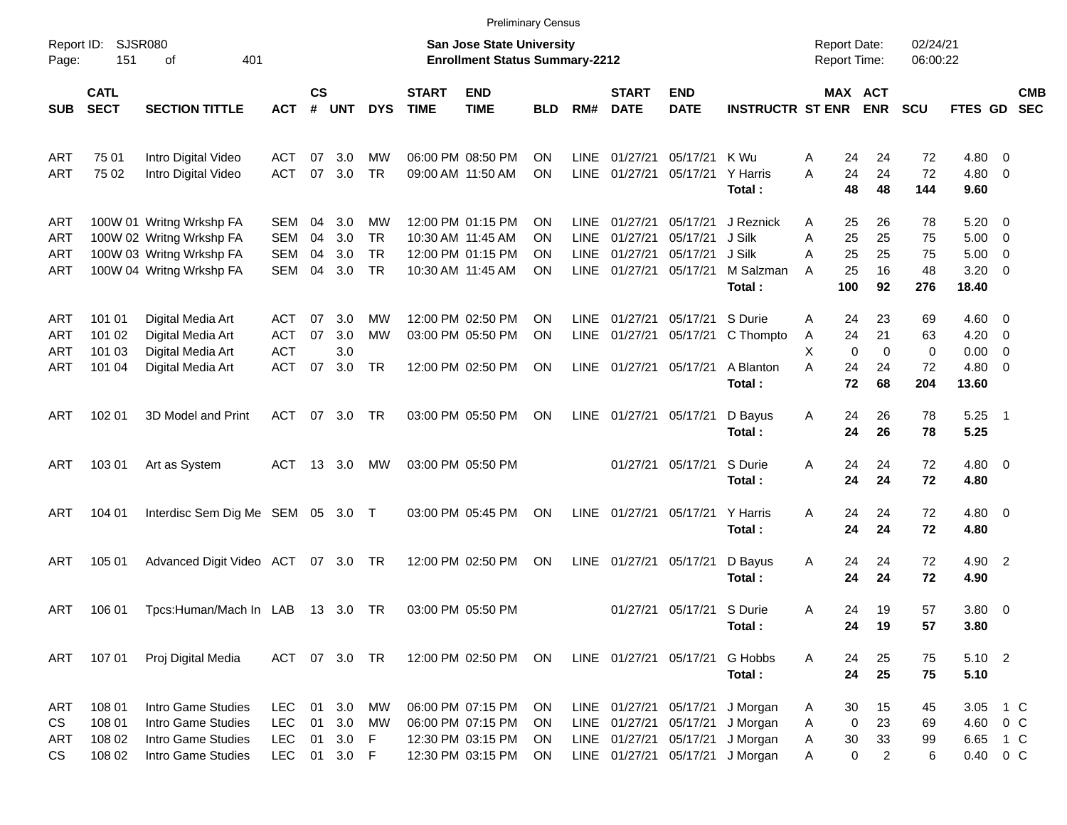|                          |                                      |                                                                                                              |                                                      |                       |                             |                                                |                             | <b>Preliminary Census</b>                                                        |                                    |                                                   |                                              |                                                            |                                                      |                  |                                     |                                     |                             |                                                  |                                                                                                           |                          |
|--------------------------|--------------------------------------|--------------------------------------------------------------------------------------------------------------|------------------------------------------------------|-----------------------|-----------------------------|------------------------------------------------|-----------------------------|----------------------------------------------------------------------------------|------------------------------------|---------------------------------------------------|----------------------------------------------|------------------------------------------------------------|------------------------------------------------------|------------------|-------------------------------------|-------------------------------------|-----------------------------|--------------------------------------------------|-----------------------------------------------------------------------------------------------------------|--------------------------|
| Report ID:<br>Page:      | <b>SJSR080</b><br>151                | 401<br>оf                                                                                                    |                                                      |                       |                             |                                                |                             | <b>San Jose State University</b><br><b>Enrollment Status Summary-2212</b>        |                                    |                                                   |                                              |                                                            |                                                      |                  | <b>Report Date:</b><br>Report Time: |                                     | 02/24/21<br>06:00:22        |                                                  |                                                                                                           |                          |
| <b>SUB</b>               | <b>CATL</b><br><b>SECT</b>           | <b>SECTION TITTLE</b>                                                                                        | <b>ACT</b>                                           | $\mathsf{cs}$<br>$\#$ | <b>UNT</b>                  | <b>DYS</b>                                     | <b>START</b><br><b>TIME</b> | <b>END</b><br><b>TIME</b>                                                        | <b>BLD</b>                         | RM#                                               | <b>START</b><br><b>DATE</b>                  | <b>END</b><br><b>DATE</b>                                  | <b>INSTRUCTR ST ENR</b>                              |                  | MAX ACT                             | <b>ENR</b>                          | <b>SCU</b>                  | FTES GD                                          |                                                                                                           | <b>CMB</b><br><b>SEC</b> |
| ART<br>ART               | 75 01<br>75 02                       | Intro Digital Video<br>Intro Digital Video                                                                   | ACT<br><b>ACT</b>                                    | 07<br>07              | 3.0<br>3.0                  | МW<br><b>TR</b>                                |                             | 06:00 PM 08:50 PM<br>09:00 AM 11:50 AM                                           | ΟN<br>ΟN                           | LINE<br><b>LINE</b>                               | 01/27/21<br>01/27/21                         | 05/17/21<br>05/17/21                                       | K Wu<br>Y Harris<br>Total:                           | Α<br>Α           | 24<br>24<br>48                      | 24<br>24<br>48                      | 72<br>72<br>144             | $4.80\ 0$<br>$4.80$ 0<br>9.60                    |                                                                                                           |                          |
| ART<br>ART<br>ART<br>ART |                                      | 100W 01 Writng Wrkshp FA<br>100W 02 Writng Wrkshp FA<br>100W 03 Writng Wrkshp FA<br>100W 04 Writng Wrkshp FA | SEM<br><b>SEM</b><br><b>SEM</b><br><b>SEM</b>        | 04<br>04<br>04<br>04  | 3.0<br>3.0<br>3.0<br>3.0    | MW<br><b>TR</b><br><b>TR</b><br><b>TR</b>      |                             | 12:00 PM 01:15 PM<br>10:30 AM 11:45 AM<br>12:00 PM 01:15 PM<br>10:30 AM 11:45 AM | ON<br>ON<br>ON<br>ON               | LINE<br><b>LINE</b><br><b>LINE</b><br><b>LINE</b> | 01/27/21<br>01/27/21<br>01/27/21<br>01/27/21 | 05/17/21<br>05/17/21<br>05/17/21<br>05/17/21               | J Reznick<br>J Silk<br>J Silk<br>M Salzman<br>Total: | Α<br>Α<br>Α<br>A | 25<br>25<br>25<br>25<br>100         | 26<br>25<br>25<br>16<br>92          | 78<br>75<br>75<br>48<br>276 | 5.20<br>5.00<br>5.00<br>3.20<br>18.40            | $\overline{\phantom{0}}$<br>$\overline{\mathbf{0}}$<br>$\overline{\mathbf{0}}$<br>$\overline{\mathbf{0}}$ |                          |
| ART<br>ART<br>ART<br>ART | 101 01<br>101 02<br>101 03<br>101 04 | Digital Media Art<br>Digital Media Art<br>Digital Media Art<br>Digital Media Art                             | ACT<br><b>ACT</b><br><b>ACT</b><br><b>ACT</b>        | 07<br>07<br>07        | 3.0<br>3.0<br>3.0<br>3.0    | MW<br><b>MW</b><br><b>TR</b>                   |                             | 12:00 PM 02:50 PM<br>03:00 PM 05:50 PM<br>12:00 PM 02:50 PM                      | ON<br>ON<br>ON                     | <b>LINE</b><br>LINE<br><b>LINE</b>                | 01/27/21<br>01/27/21<br>01/27/21             | 05/17/21<br>05/17/21<br>05/17/21                           | S Durie<br>C Thompto<br>A Blanton<br>Total:          | Α<br>A<br>X<br>A | 24<br>24<br>$\mathbf 0$<br>24<br>72 | 23<br>21<br>$\mathbf 0$<br>24<br>68 | 69<br>63<br>0<br>72<br>204  | $4.60 \ 0$<br>4.20<br>0.00<br>$4.80\ 0$<br>13.60 | $\overline{\mathbf{0}}$<br>$\overline{\mathbf{0}}$                                                        |                          |
| ART                      | 102 01                               | 3D Model and Print                                                                                           | ACT                                                  | 07                    | 3.0                         | TR                                             |                             | 03:00 PM 05:50 PM                                                                | ON                                 | LINE                                              | 01/27/21 05/17/21                            |                                                            | D Bayus<br>Total:                                    | Α                | 24<br>24                            | 26<br>26                            | 78<br>78                    | 5.25<br>5.25                                     | $\overline{\phantom{1}}$                                                                                  |                          |
| ART                      | 103 01                               | Art as System                                                                                                | ACT                                                  | 13                    | 3.0                         | МW                                             |                             | 03:00 PM 05:50 PM                                                                |                                    |                                                   | 01/27/21                                     | 05/17/21                                                   | S Durie<br>Total:                                    | Α                | 24<br>24                            | 24<br>24                            | 72<br>72                    | $4.80\ 0$<br>4.80                                |                                                                                                           |                          |
| ART                      | 104 01                               | Interdisc Sem Dig Me SEM 05 3.0 T                                                                            |                                                      |                       |                             |                                                |                             | 03:00 PM 05:45 PM                                                                | ON                                 | LINE                                              | 01/27/21                                     | 05/17/21                                                   | Y Harris<br>Total:                                   | A                | 24<br>24                            | 24<br>24                            | 72<br>72                    | $4.80\ 0$<br>4.80                                |                                                                                                           |                          |
| ART                      | 105 01                               | Advanced Digit Video ACT 07 3.0 TR                                                                           |                                                      |                       |                             |                                                |                             | 12:00 PM 02:50 PM                                                                | ON                                 | LINE                                              | 01/27/21                                     | 05/17/21                                                   | D Bayus<br>Total:                                    | Α                | 24<br>24                            | 24<br>24                            | 72<br>72                    | 4.90 2<br>4.90                                   |                                                                                                           |                          |
| ART                      | 106 01                               | Tpcs:Human/Mach In LAB                                                                                       |                                                      |                       | 13 3.0 TR                   |                                                |                             | 03:00 PM 05:50 PM                                                                |                                    |                                                   |                                              | 01/27/21 05/17/21 S Durie                                  | Total:                                               | Α                | 24<br>24                            | 19<br>19                            | 57<br>57                    | 3.80 0<br>3.80                                   |                                                                                                           |                          |
| ART                      | 107 01                               | Proj Digital Media                                                                                           |                                                      |                       | ACT 07 3.0 TR               |                                                |                             | 12:00 PM 02:50 PM                                                                | ON                                 |                                                   |                                              | LINE 01/27/21 05/17/21                                     | G Hobbs<br>Total:                                    | Α                | 24<br>24                            | 25<br>25                            | 75<br>75                    | 5.10 2<br>5.10                                   |                                                                                                           |                          |
| ART<br>CS<br>ART<br>CS   | 108 01<br>108 01<br>108 02<br>108 02 | Intro Game Studies<br>Intro Game Studies<br>Intro Game Studies<br>Intro Game Studies                         | <b>LEC</b><br><b>LEC</b><br><b>LEC</b><br><b>LEC</b> | 01<br>01<br>01        | 3.0<br>3.0<br>3.0<br>01 3.0 | MW<br><b>MW</b><br>$\mathsf F$<br>$\mathsf{F}$ |                             | 06:00 PM 07:15 PM<br>06:00 PM 07:15 PM<br>12:30 PM 03:15 PM<br>12:30 PM 03:15 PM | ON<br><b>ON</b><br><b>ON</b><br>ON | LINE                                              | LINE 01/27/21<br>LINE 01/27/21<br>01/27/21   | 05/17/21<br>05/17/21<br>05/17/21<br>LINE 01/27/21 05/17/21 | J Morgan<br>J Morgan<br>J Morgan<br>J Morgan         | Α<br>Α<br>Α<br>Α | 30<br>0<br>30<br>0                  | 15<br>23<br>33<br>$\overline{2}$    | 45<br>69<br>99<br>6         | 3.05<br>4.60 0 C<br>6.65 1 C<br>0.40 0 C         | 1 C                                                                                                       |                          |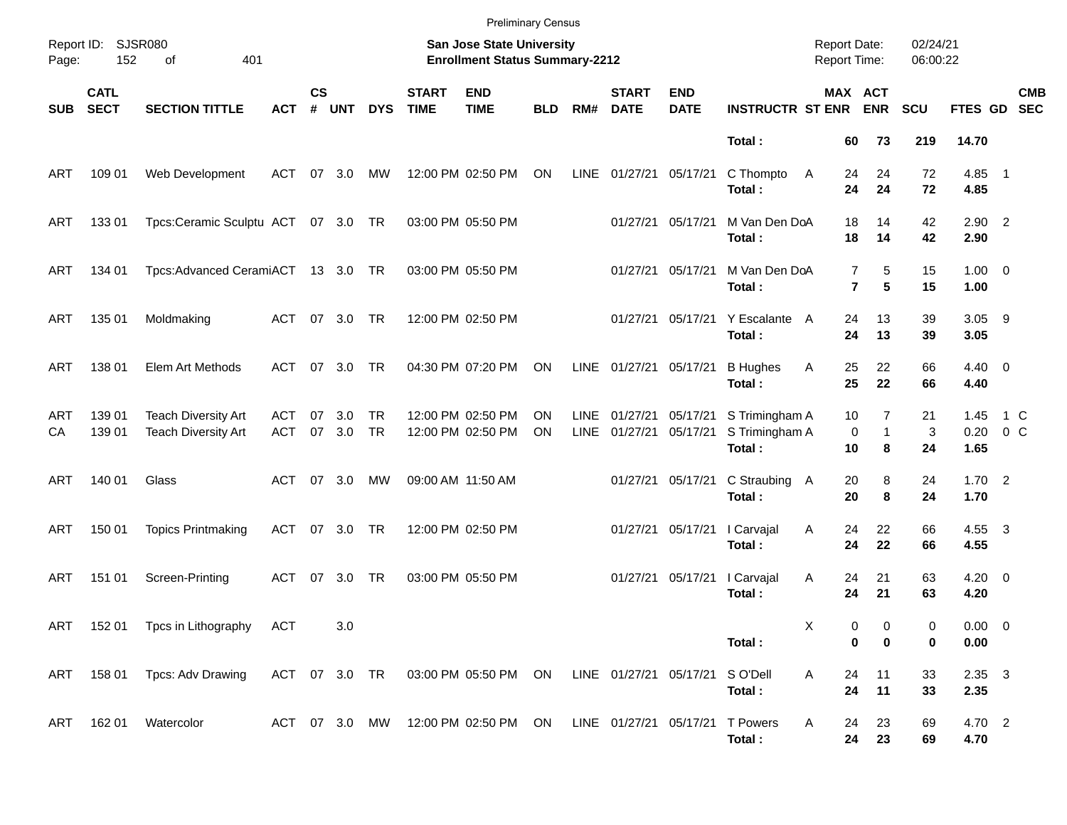|            |                            |                                                          |                   |                    |               |                        |                                                                    | <b>Preliminary Census</b>                                          |                        |                     |                             |                                |                                            |               |                               |               |                        |                          |
|------------|----------------------------|----------------------------------------------------------|-------------------|--------------------|---------------|------------------------|--------------------------------------------------------------------|--------------------------------------------------------------------|------------------------|---------------------|-----------------------------|--------------------------------|--------------------------------------------|---------------|-------------------------------|---------------|------------------------|--------------------------|
| Page:      | Report ID: SJSR080<br>152  |                                                          |                   |                    |               |                        | San Jose State University<br><b>Enrollment Status Summary-2212</b> |                                                                    |                        |                     |                             |                                | <b>Report Date:</b><br><b>Report Time:</b> |               | 02/24/21<br>06:00:22          |               |                        |                          |
| <b>SUB</b> | <b>CATL</b><br><b>SECT</b> | <b>SECTION TITTLE</b>                                    | <b>ACT</b>        | $\mathsf{cs}$<br># | <b>UNT</b>    | <b>DYS</b>             | <b>START</b><br><b>TIME</b>                                        | <b>END</b><br><b>TIME</b>                                          | <b>BLD</b>             | RM#                 | <b>START</b><br><b>DATE</b> | <b>END</b><br><b>DATE</b>      | <b>INSTRUCTR ST ENR</b>                    |               | MAX ACT<br><b>ENR</b>         | <b>SCU</b>    | FTES GD                | <b>CMB</b><br><b>SEC</b> |
|            |                            |                                                          |                   |                    |               |                        |                                                                    |                                                                    |                        |                     |                             |                                | Total:                                     | 60            | 73                            | 219           | 14.70                  |                          |
| ART        | 109 01                     | Web Development                                          | ACT               | 07                 | 3.0           | МW                     |                                                                    | 12:00 PM 02:50 PM                                                  | ON                     | LINE                | 01/27/21 05/17/21           |                                | C Thompto<br>Total:                        | 24<br>A<br>24 | 24<br>24                      | 72<br>72      | $4.85$ 1<br>4.85       |                          |
| ART        | 133 01                     | Tpcs:Ceramic Sculptu ACT 07 3.0 TR                       |                   |                    |               |                        |                                                                    | 03:00 PM 05:50 PM                                                  |                        |                     | 01/27/21                    | 05/17/21                       | M Van Den DoA<br>Total:                    | 18<br>18      | 14<br>14                      | 42<br>42      | $2.90$ 2<br>2.90       |                          |
| ART        | 134 01                     | Tpcs:Advanced CeramiACT 13 3.0 TR                        |                   |                    |               |                        |                                                                    | 03:00 PM 05:50 PM                                                  |                        |                     | 01/27/21                    | 05/17/21                       | M Van Den DoA<br>Total:                    |               | 5<br>7<br>5<br>$\overline{7}$ | 15<br>15      | $1.00 \t 0$<br>1.00    |                          |
| ART        | 135 01                     | Moldmaking                                               | ACT               |                    | 07 3.0        | TR                     |                                                                    | 12:00 PM 02:50 PM                                                  |                        |                     | 01/27/21                    | 05/17/21                       | Y Escalante<br>Total:                      | 24<br>A<br>24 | 13<br>13                      | 39<br>39      | $3.05$ 9<br>3.05       |                          |
| ART        | 138 01                     | Elem Art Methods                                         | ACT               | 07                 | 3.0           | <b>TR</b>              |                                                                    | 04:30 PM 07:20 PM                                                  | ON                     | LINE                | 01/27/21                    | 05/17/21                       | <b>B</b> Hughes<br>Total:                  | 25<br>Α<br>25 | 22<br>22                      | 66<br>66      | $4.40 \quad 0$<br>4.40 |                          |
| ART<br>СA  | 139 01<br>139 01           | <b>Teach Diversity Art</b><br><b>Teach Diversity Art</b> | ACT<br><b>ACT</b> | 07                 | 3.0<br>07 3.0 | <b>TR</b><br><b>TR</b> |                                                                    | 12:00 PM 02:50 PM<br>12:00 PM 02:50 PM                             | <b>ON</b><br><b>ON</b> | <b>LINE</b><br>LINE | 01/27/21<br>01/27/21        | 05/17/21<br>05/17/21           | S Trimingham A<br>S Trimingham A<br>Total: | 10<br>10      | 7<br>0<br>$\mathbf{1}$<br>8   | 21<br>3<br>24 | 1.45<br>0.20<br>1.65   | 1 C<br>$0\,C$            |
| ART        | 140 01                     | Glass                                                    | ACT               |                    | 07 3.0        | МW                     |                                                                    | 09:00 AM 11:50 AM                                                  |                        |                     | 01/27/21                    | 05/17/21                       | C Straubing A<br>Total:                    | 20<br>20      | 8<br>8                        | 24<br>24      | 1.702<br>1.70          |                          |
| ART        | 150 01                     | <b>Topics Printmaking</b>                                | ACT               |                    | 07 3.0 TR     |                        |                                                                    | 12:00 PM 02:50 PM                                                  |                        |                     | 01/27/21                    | 05/17/21                       | I Carvajal<br>Total:                       | Α<br>24<br>24 | 22<br>22                      | 66<br>66      | 4.55 3<br>4.55         |                          |
| ART        | 151 01                     | Screen-Printing                                          | ACT               |                    | 07 3.0        | TR                     |                                                                    | 03:00 PM 05:50 PM                                                  |                        |                     | 01/27/21                    | 05/17/21                       | I Carvajal<br>Total:                       | Α<br>24<br>24 | 21<br>21                      | 63<br>63      | $4.20 \ 0$<br>4.20     |                          |
|            |                            | ART 152 01 Tpcs in Lithography ACT                       |                   |                    | 3.0           |                        |                                                                    |                                                                    |                        |                     |                             |                                | Total:                                     | х             | 0<br>0<br>0<br>0              | 0<br>0        | $0.00 \t 0$<br>0.00    |                          |
|            |                            | ART 158 01 Tpcs: Adv Drawing                             |                   |                    |               |                        |                                                                    | ACT 07 3.0 TR 03:00 PM 05:50 PM ON                                 |                        |                     |                             | LINE 01/27/21 05/17/21 SO'Dell | Total:                                     | 24<br>Α<br>24 | 11<br>11                      | 33<br>33      | $2.35 \quad 3$<br>2.35 |                          |
| ART        | 162 01                     | Watercolor                                               |                   |                    |               |                        |                                                                    | ACT 07 3.0 MW 12:00 PM 02:50 PM ON LINE 01/27/21 05/17/21 T Powers |                        |                     |                             |                                | Total:                                     | Α<br>24       | 23<br>24<br>23                | 69<br>69      | 4.70 2<br>4.70         |                          |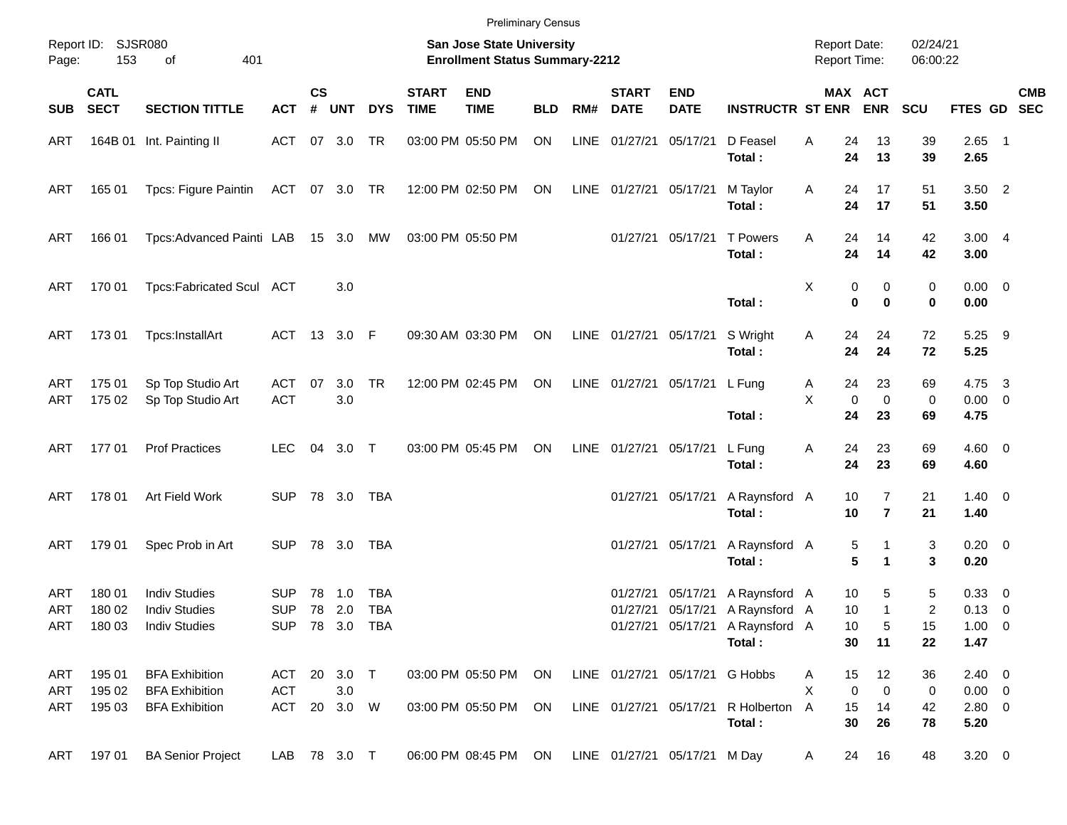|            |                            |                                        |                   |                    |                |            |                             | <b>Preliminary Census</b>                                          |            |     |                             |                              |                                 |                                            |                                  |                      |                       |            |
|------------|----------------------------|----------------------------------------|-------------------|--------------------|----------------|------------|-----------------------------|--------------------------------------------------------------------|------------|-----|-----------------------------|------------------------------|---------------------------------|--------------------------------------------|----------------------------------|----------------------|-----------------------|------------|
| Page:      | Report ID: SJSR080<br>153  | 401<br>of                              |                   |                    |                |            |                             | San Jose State University<br><b>Enrollment Status Summary-2212</b> |            |     |                             |                              |                                 | <b>Report Date:</b><br><b>Report Time:</b> |                                  | 02/24/21<br>06:00:22 |                       |            |
| SUB        | <b>CATL</b><br><b>SECT</b> | <b>SECTION TITTLE</b>                  | <b>ACT</b>        | $\mathsf{cs}$<br># | <b>UNT</b>     | <b>DYS</b> | <b>START</b><br><b>TIME</b> | <b>END</b><br><b>TIME</b>                                          | <b>BLD</b> | RM# | <b>START</b><br><b>DATE</b> | <b>END</b><br><b>DATE</b>    | <b>INSTRUCTR ST ENR</b>         | MAX ACT                                    | <b>ENR</b>                       | <b>SCU</b>           | FTES GD SEC           | <b>CMB</b> |
| ART        |                            | 164B 01 Int. Painting II               | ACT 07 3.0        |                    |                | TR         |                             | 03:00 PM 05:50 PM                                                  | ON         |     | LINE 01/27/21               | 05/17/21                     | D Feasel<br>Total:              | 24<br>Α<br>24                              | 13<br>13                         | 39<br>39             | $2.65$ 1<br>2.65      |            |
| ART        | 16501                      | Tpcs: Figure Paintin                   | ACT 07 3.0 TR     |                    |                |            |                             | 12:00 PM 02:50 PM                                                  | ON         |     | LINE 01/27/21               | 05/17/21                     | M Taylor<br>Total:              | Α<br>24<br>24                              | 17<br>17                         | 51<br>51             | $3.50$ 2<br>3.50      |            |
| ART        | 166 01                     | Tpcs: Advanced Painti LAB              |                   |                    | 15 3.0 MW      |            |                             | 03:00 PM 05:50 PM                                                  |            |     | 01/27/21                    | 05/17/21                     | <b>T</b> Powers<br>Total:       | 24<br>Α<br>24                              | 14<br>14                         | 42<br>42             | 3.004<br>3.00         |            |
| ART        | 170 01                     | Tpcs:Fabricated Scul ACT               |                   |                    | 3.0            |            |                             |                                                                    |            |     |                             |                              | Total:                          | X<br>0<br>$\bf{0}$                         | 0<br>$\bf{0}$                    | 0<br>0               | $0.00 \t 0$<br>0.00   |            |
| ART        | 17301                      | Tpcs:InstallArt                        |                   |                    | ACT 13 3.0 F   |            |                             | 09:30 AM 03:30 PM                                                  | ON         |     | LINE 01/27/21 05/17/21      |                              | S Wright<br>Total:              | Α<br>24<br>24                              | 24<br>24                         | 72<br>72             | $5.25$ 9<br>5.25      |            |
| ART<br>ART | 175 01<br>175 02           | Sp Top Studio Art<br>Sp Top Studio Art | ACT<br><b>ACT</b> | 07                 | 3.0<br>3.0     | <b>TR</b>  |                             | 12:00 PM 02:45 PM                                                  | ON         |     |                             | LINE 01/27/21 05/17/21       | L Fung                          | 24<br>A<br>X<br>0                          | 23<br>$\mathbf 0$                | 69<br>0              | 4.75 3<br>$0.00 \t 0$ |            |
| ART        | 17701                      | <b>Prof Practices</b>                  | <b>LEC</b>        |                    | 04 3.0 T       |            |                             | 03:00 PM 05:45 PM                                                  | ON         |     | LINE 01/27/21               | 05/17/21                     | Total:<br>L Fung                | 24<br>24<br>Α                              | 23<br>23                         | 69<br>69             | 4.75<br>$4.60 \ 0$    |            |
|            |                            |                                        |                   |                    |                |            |                             |                                                                    |            |     |                             |                              | Total:                          | 24                                         | 23                               | 69                   | 4.60                  |            |
| ART        | 178 01                     | Art Field Work                         | <b>SUP</b>        |                    | 78 3.0         | TBA        |                             |                                                                    |            |     |                             | 01/27/21 05/17/21            | A Raynsford A<br>Total:         | 10<br>10                                   | $\overline{7}$<br>$\overline{7}$ | 21<br>21             | $1.40 \ 0$<br>1.40    |            |
| ART        | 179 01                     | Spec Prob in Art                       | <b>SUP</b>        |                    | 78 3.0         | TBA        |                             |                                                                    |            |     |                             | 01/27/21 05/17/21            | A Raynsford A<br>Total:         | 5<br>5                                     | 1<br>1                           | 3<br>3               | $0.20 \ 0$<br>0.20    |            |
| ART        | 180 01                     | <b>Indiv Studies</b>                   | <b>SUP</b>        | 78                 | 1.0            | <b>TBA</b> |                             |                                                                    |            |     | 01/27/21                    | 05/17/21                     | A Raynsford A                   | 10                                         | 5                                | 5                    | 0.33 0                |            |
| ART        | 180 02                     | <b>Indiv Studies</b>                   | <b>SUP</b>        |                    | 78 2.0         | <b>TBA</b> |                             |                                                                    |            |     | 01/27/21                    |                              | 05/17/21 A Raynsford A          | 10                                         | $\mathbf{1}$                     | $\overline{c}$       | $0.13 \ 0$            |            |
| <b>ART</b> | 180 03                     | <b>Indiv Studies</b>                   |                   |                    | SUP 78 3.0 TBA |            |                             |                                                                    |            |     |                             |                              | 01/27/21 05/17/21 A Raynsford A | 10                                         | 5                                | 15                   | $1.00 \t 0$           |            |
|            |                            |                                        |                   |                    |                |            |                             |                                                                    |            |     |                             |                              | Total:                          | 30                                         | 11                               | 22                   | 1.47                  |            |
| ART        | 195 01                     | <b>BFA Exhibition</b>                  |                   |                    | ACT 20 3.0 T   |            |                             | 03:00 PM 05:50 PM                                                  | ON         |     |                             | LINE 01/27/21 05/17/21       | G Hobbs                         | 15<br>A                                    | 12                               | 36                   | $2.40 \ 0$            |            |
| ART        | 195 02                     | <b>BFA Exhibition</b>                  | <b>ACT</b>        |                    | 3.0            |            |                             |                                                                    |            |     |                             |                              |                                 | X<br>0                                     | 0                                | 0                    | $0.00 \t 0$           |            |
| ART        | 195 03                     | <b>BFA Exhibition</b>                  |                   |                    | ACT 20 3.0 W   |            |                             | 03:00 PM 05:50 PM                                                  | ON         |     | LINE 01/27/21 05/17/21      |                              | R Holberton                     | 15<br>A                                    | 14                               | 42                   | $2.80 \t 0$           |            |
|            |                            |                                        |                   |                    |                |            |                             |                                                                    |            |     |                             |                              | Total:                          | 30                                         | 26                               | 78                   | 5.20                  |            |
| ART        | 19701                      | <b>BA Senior Project</b>               | LAB 78 3.0 T      |                    |                |            |                             | 06:00 PM 08:45 PM ON                                               |            |     |                             | LINE 01/27/21 05/17/21 M Day |                                 | 24<br>A                                    | 16                               | 48                   | $3.20 \ 0$            |            |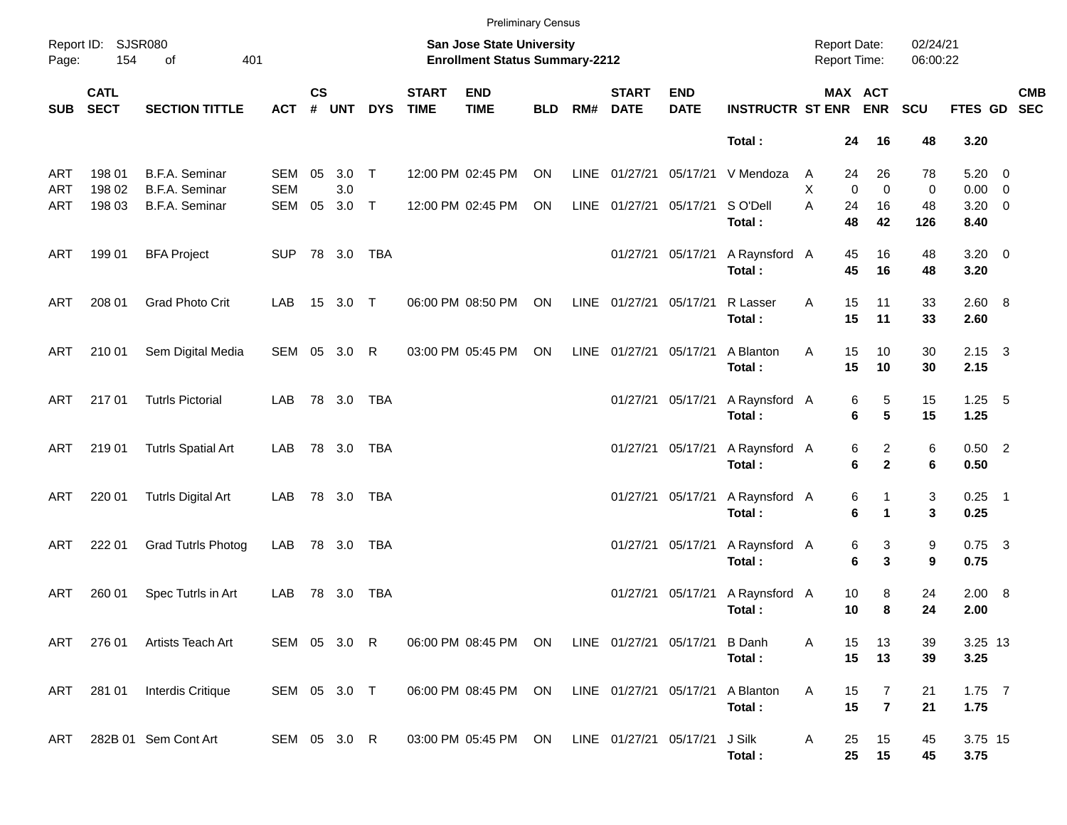|            |                            |                                  |                   |                    |              |            |                             | <b>Preliminary Census</b>                                          |            |     |                             |                           |                             |                                     |                              |                      |                           |            |
|------------|----------------------------|----------------------------------|-------------------|--------------------|--------------|------------|-----------------------------|--------------------------------------------------------------------|------------|-----|-----------------------------|---------------------------|-----------------------------|-------------------------------------|------------------------------|----------------------|---------------------------|------------|
| Page:      | Report ID: SJSR080<br>154  | 401<br>οf                        |                   |                    |              |            |                             | San Jose State University<br><b>Enrollment Status Summary-2212</b> |            |     |                             |                           |                             | <b>Report Date:</b><br>Report Time: |                              | 02/24/21<br>06:00:22 |                           |            |
| <b>SUB</b> | <b>CATL</b><br><b>SECT</b> | <b>SECTION TITTLE</b>            | <b>ACT</b>        | $\mathsf{cs}$<br># | <b>UNT</b>   | <b>DYS</b> | <b>START</b><br><b>TIME</b> | <b>END</b><br><b>TIME</b>                                          | <b>BLD</b> | RM# | <b>START</b><br><b>DATE</b> | <b>END</b><br><b>DATE</b> | <b>INSTRUCTR ST ENR ENR</b> |                                     | MAX ACT                      | <b>SCU</b>           | FTES GD SEC               | <b>CMB</b> |
|            |                            |                                  |                   |                    |              |            |                             |                                                                    |            |     |                             |                           | Total:                      | 24                                  | 16                           | 48                   | 3.20                      |            |
| ART<br>ART | 198 01<br>198 02           | B.F.A. Seminar<br>B.F.A. Seminar | SEM<br><b>SEM</b> | 05                 | 3.0<br>3.0   | $\top$     |                             | 12:00 PM 02:45 PM                                                  | ON         |     | LINE 01/27/21 05/17/21      |                           | V Mendoza                   | 24<br>A<br>X                        | 26<br>$\Omega$<br>$\Omega$   | 78<br>0              | $5.20 \ 0$<br>$0.00 \t 0$ |            |
| ART        | 198 03                     | B.F.A. Seminar                   | SEM               | 05                 | 3.0          | $\top$     |                             | 12:00 PM 02:45 PM                                                  | ON         |     | LINE 01/27/21 05/17/21      |                           | S O'Dell<br>Total:          | A<br>24<br>48                       | 16<br>42                     | 48<br>126            | $3.20 \ 0$<br>8.40        |            |
| ART        | 199 01                     | <b>BFA Project</b>               | <b>SUP</b>        |                    | 78 3.0       | TBA        |                             |                                                                    |            |     |                             | 01/27/21 05/17/21         | A Raynsford A<br>Total:     | 45<br>45                            | 16<br>16                     | 48<br>48             | $3.20 \ 0$<br>3.20        |            |
| ART        | 208 01                     | <b>Grad Photo Crit</b>           | LAB               |                    | 15 3.0 T     |            |                             | 06:00 PM 08:50 PM                                                  | ON         |     | LINE 01/27/21 05/17/21      |                           | R Lasser<br>Total:          | 15<br>A<br>15                       | 11<br>11                     | 33<br>33             | 2.60 8<br>2.60            |            |
| ART        | 210 01                     | Sem Digital Media                |                   |                    | SEM 05 3.0 R |            |                             | 03:00 PM 05:45 PM                                                  | ON         |     | LINE 01/27/21 05/17/21      |                           | A Blanton<br>Total:         | 15<br>A<br>15                       | 10<br>10                     | 30<br>30             | $2.15 \quad 3$<br>2.15    |            |
| ART        | 21701                      | <b>Tutrls Pictorial</b>          | LAB               |                    | 78 3.0       | TBA        |                             |                                                                    |            |     |                             | 01/27/21 05/17/21         | A Raynsford A<br>Total:     |                                     | 5<br>6<br>5<br>6             | 15<br>15             | $1.25 - 5$<br>1.25        |            |
| ART        | 21901                      | <b>Tutrls Spatial Art</b>        | LAB               |                    | 78 3.0       | TBA        |                             |                                                                    |            |     |                             | 01/27/21 05/17/21         | A Raynsford A<br>Total:     |                                     | 2<br>6<br>6<br>$\mathbf{2}$  | 6<br>6               | $0.50$ 2<br>0.50          |            |
| ART        | 220 01                     | <b>Tutrls Digital Art</b>        | LAB               |                    | 78 3.0 TBA   |            |                             |                                                                    |            |     |                             | 01/27/21 05/17/21         | A Raynsford A<br>Total:     |                                     | 6<br>6<br>1                  | 3<br>3               | $0.25$ 1<br>0.25          |            |
| ART        | 222 01                     | <b>Grad Tutrls Photog</b>        | LAB               |                    | 78 3.0       | TBA        |                             |                                                                    |            |     |                             | 01/27/21 05/17/21         | A Raynsford A<br>Total:     |                                     | 3<br>6<br>6<br>3             | 9<br>9               | $0.75$ 3<br>0.75          |            |
| <b>ART</b> | 260 01                     | Spec Tutrls in Art               | LAB               |                    | 78 3.0       | TBA        |                             |                                                                    |            |     |                             | 01/27/21 05/17/21         | A Raynsford A<br>Total:     | 10<br>10                            | 8<br>8                       | 24<br>24             | 2.00 8<br>2.00            |            |
|            | ART 276 01                 | Artists Teach Art                | SEM 05 3.0 R      |                    |              |            |                             | 06:00 PM 08:45 PM ON                                               |            |     |                             | LINE 01/27/21 05/17/21    | <b>B</b> Danh<br>Total:     | 15<br>A<br>15                       | 13<br>13                     | 39<br>39             | 3.25 13<br>3.25           |            |
| ART        | 281 01                     | Interdis Critique                | SEM 05 3.0 T      |                    |              |            |                             | 06:00 PM 08:45 PM ON                                               |            |     | LINE 01/27/21 05/17/21      |                           | A Blanton<br>Total:         | Α<br>15<br>15                       | 7<br>$\overline{\mathbf{r}}$ | 21<br>21             | $1.75$ 7<br>1.75          |            |
| ART        |                            | 282B 01 Sem Cont Art             | SEM 05 3.0 R      |                    |              |            |                             | 03:00 PM 05:45 PM ON                                               |            |     | LINE 01/27/21 05/17/21      |                           | J Silk<br>Total:            | 25<br>A<br>25                       | 15<br>15                     | 45<br>45             | 3.75 15<br>3.75           |            |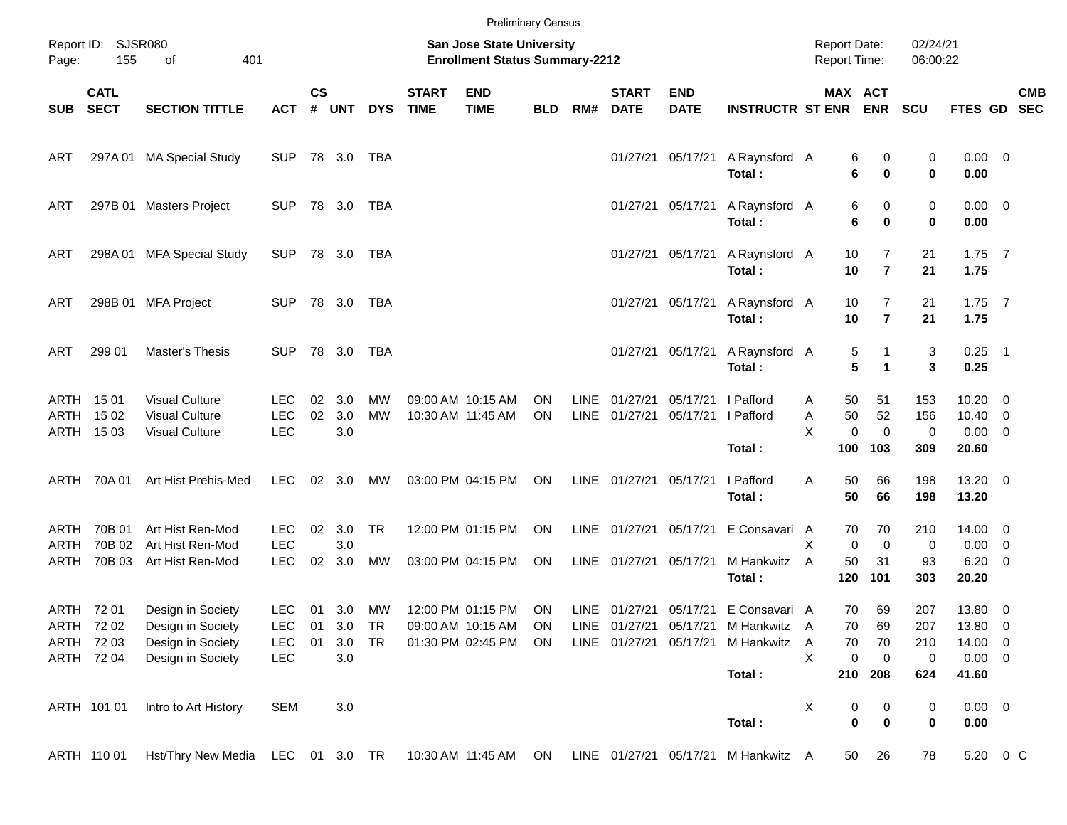|              |                                     |                                                                                           |                                  |                    |                   |                 |                             |                                                                           | <b>Preliminary Census</b> |             |                                                  |                           |                             |                                            |                                           |                         |                                 |                                   |            |
|--------------|-------------------------------------|-------------------------------------------------------------------------------------------|----------------------------------|--------------------|-------------------|-----------------|-----------------------------|---------------------------------------------------------------------------|---------------------------|-------------|--------------------------------------------------|---------------------------|-----------------------------|--------------------------------------------|-------------------------------------------|-------------------------|---------------------------------|-----------------------------------|------------|
| Page:        | Report ID: SJSR080<br>155           | 401<br>of                                                                                 |                                  |                    |                   |                 |                             | <b>San Jose State University</b><br><b>Enrollment Status Summary-2212</b> |                           |             |                                                  |                           |                             | <b>Report Date:</b><br><b>Report Time:</b> |                                           | 02/24/21<br>06:00:22    |                                 |                                   |            |
| SUB          | <b>CATL</b><br><b>SECT</b>          | <b>SECTION TITTLE</b>                                                                     | <b>ACT</b>                       | $\mathsf{cs}$<br># | <b>UNT</b>        | <b>DYS</b>      | <b>START</b><br><b>TIME</b> | <b>END</b><br><b>TIME</b>                                                 | <b>BLD</b>                | RM#         | <b>START</b><br><b>DATE</b>                      | <b>END</b><br><b>DATE</b> | <b>INSTRUCTR ST ENR ENR</b> |                                            | MAX ACT                                   | <b>SCU</b>              | FTES GD SEC                     |                                   | <b>CMB</b> |
| ART          |                                     | 297A 01 MA Special Study                                                                  | <b>SUP</b>                       |                    | 78 3.0            | TBA             |                             |                                                                           |                           |             |                                                  | 01/27/21 05/17/21         | A Raynsford A<br>Total:     |                                            | 6<br>0<br>6<br>0                          | 0<br>$\bf{0}$           | $0.00 \t 0$<br>0.00             |                                   |            |
| ART          |                                     | 297B 01 Masters Project                                                                   | <b>SUP</b>                       |                    | 78 3.0            | TBA             |                             |                                                                           |                           |             |                                                  | 01/27/21 05/17/21         | A Raynsford A<br>Total:     |                                            | 6<br>0<br>6<br>0                          | 0<br>$\bf{0}$           | $0.00 \t 0$<br>0.00             |                                   |            |
| ART          |                                     | 298A 01 MFA Special Study                                                                 | <b>SUP</b>                       |                    | 78 3.0            | TBA             |                             |                                                                           |                           |             |                                                  | 01/27/21 05/17/21         | A Raynsford A<br>Total:     | 10<br>10                                   | 7<br>$\overline{7}$                       | 21<br>21                | $1.75$ 7<br>1.75                |                                   |            |
| ART          |                                     | 298B 01 MFA Project                                                                       | <b>SUP</b>                       |                    | 78 3.0            | TBA             |                             |                                                                           |                           |             |                                                  | 01/27/21 05/17/21         | A Raynsford A<br>Total:     | 10<br>10                                   | 7<br>$\overline{7}$                       | 21<br>21                | $1.75$ 7<br>1.75                |                                   |            |
| ART          | 299 01                              | Master's Thesis                                                                           | <b>SUP</b>                       |                    | 78 3.0            | TBA             |                             |                                                                           |                           |             |                                                  | 01/27/21 05/17/21         | A Raynsford A<br>Total:     |                                            | 5<br>5<br>$\blacktriangleleft$            | 3<br>3                  | $0.25$ 1<br>0.25                |                                   |            |
|              | ARTH 1501<br>ARTH 1502<br>ARTH 1503 | <b>Visual Culture</b><br><b>Visual Culture</b><br><b>Visual Culture</b>                   | LEC.<br><b>LEC</b><br><b>LEC</b> | 02<br>02           | 3.0<br>3.0<br>3.0 | МW<br><b>MW</b> |                             | 09:00 AM 10:15 AM<br>10:30 AM 11:45 AM                                    | <b>ON</b><br>ON           | <b>LINE</b> | 01/27/21<br>LINE 01/27/21                        | 05/17/21<br>05/17/21      | I Pafford<br>I Pafford      | A<br>50<br>Α<br>X                          | 50<br>51<br>52<br>$\mathbf 0$<br>$\Omega$ | 153<br>156<br>0         | 10.20<br>10.40<br>0.00          | 0<br>0<br>$\overline{\mathbf{0}}$ |            |
|              |                                     |                                                                                           |                                  |                    |                   |                 |                             |                                                                           |                           |             |                                                  |                           | Total:                      | 100                                        | 103                                       | 309                     | 20.60                           |                                   |            |
|              | ARTH 70A 01                         | Art Hist Prehis-Med                                                                       | <b>LEC</b>                       |                    | 02 3.0            | <b>MW</b>       |                             | 03:00 PM 04:15 PM                                                         | ON                        |             | LINE 01/27/21 05/17/21                           |                           | I Pafford<br>Total:         | A<br>50<br>50                              | 66<br>66                                  | 198<br>198              | 13.20 0<br>13.20                |                                   |            |
| ARTH<br>ARTH | 70B 01<br>70B 02                    | Art Hist Ren-Mod<br>Art Hist Ren-Mod                                                      | <b>LEC</b><br><b>LEC</b>         | 02                 | 3.0<br>3.0        | <b>TR</b>       |                             | 12:00 PM 01:15 PM                                                         | ON                        |             | LINE 01/27/21                                    | 05/17/21                  | E Consavari A               | X                                          | 70<br>70<br>$\mathbf 0$<br>$\mathbf 0$    | 210<br>0                | 14.00 0<br>0.00                 | $\overline{0}$                    |            |
| ARTH         | 70B 03                              | Art Hist Ren-Mod                                                                          | <b>LEC</b>                       | 02                 | 3.0               | MW              |                             | 03:00 PM 04:15 PM                                                         | ON                        |             | LINE 01/27/21 05/17/21                           |                           | M Hankwitz<br>Total:        | 50<br>A<br>120                             | 31<br>101                                 | 93<br>303               | 6.20<br>20.20                   | $\overline{0}$                    |            |
|              | ARTH 72 01<br>ARTH 72 02            | Design in Society<br>Design in Society                                                    | <b>LEC</b><br>LEC                | 01<br>01           | 3.0<br>3.0        | MW<br>TR        |                             | 12:00 PM 01:15 PM<br>09:00 AM 10:15 AM                                    | ON<br>ON                  |             | LINE 01/27/21 05/17/21<br>LINE 01/27/21 05/17/21 |                           | E Consavari A<br>M Hankwitz | 70<br>A                                    | 69<br>70<br>69                            | 207<br>207              | 13.80 0<br>13.80 0              |                                   |            |
|              | ARTH 72 03<br>ARTH 72 04            | Design in Society<br>Design in Society                                                    | <b>LEC</b><br><b>LEC</b>         | 01                 | 3.0<br>3.0        | TR              |                             | 01:30 PM 02:45 PM                                                         | ON                        |             | LINE 01/27/21 05/17/21                           |                           | M Hankwitz<br>Total:        | Α<br>70<br>X<br>210                        | 70<br>0<br>$\mathbf 0$<br>208             | 210<br>$\pmb{0}$<br>624 | 14.00 0<br>$0.00 \t 0$<br>41.60 |                                   |            |
|              | ARTH 101 01                         | Intro to Art History                                                                      | <b>SEM</b>                       |                    | $3.0\,$           |                 |                             |                                                                           |                           |             |                                                  |                           | Total:                      | X                                          | 0<br>0<br>$\pmb{0}$<br>$\mathbf 0$        | 0<br>0                  | $0.00 \t 0$<br>0.00             |                                   |            |
|              | ARTH 110 01                         | Hst/Thry New Media LEC 01 3.0 TR 10:30 AM 11:45 AM ON LINE 01/27/21 05/17/21 M Hankwitz A |                                  |                    |                   |                 |                             |                                                                           |                           |             |                                                  |                           |                             |                                            | 26<br>50                                  | 78                      | 5.20 0 C                        |                                   |            |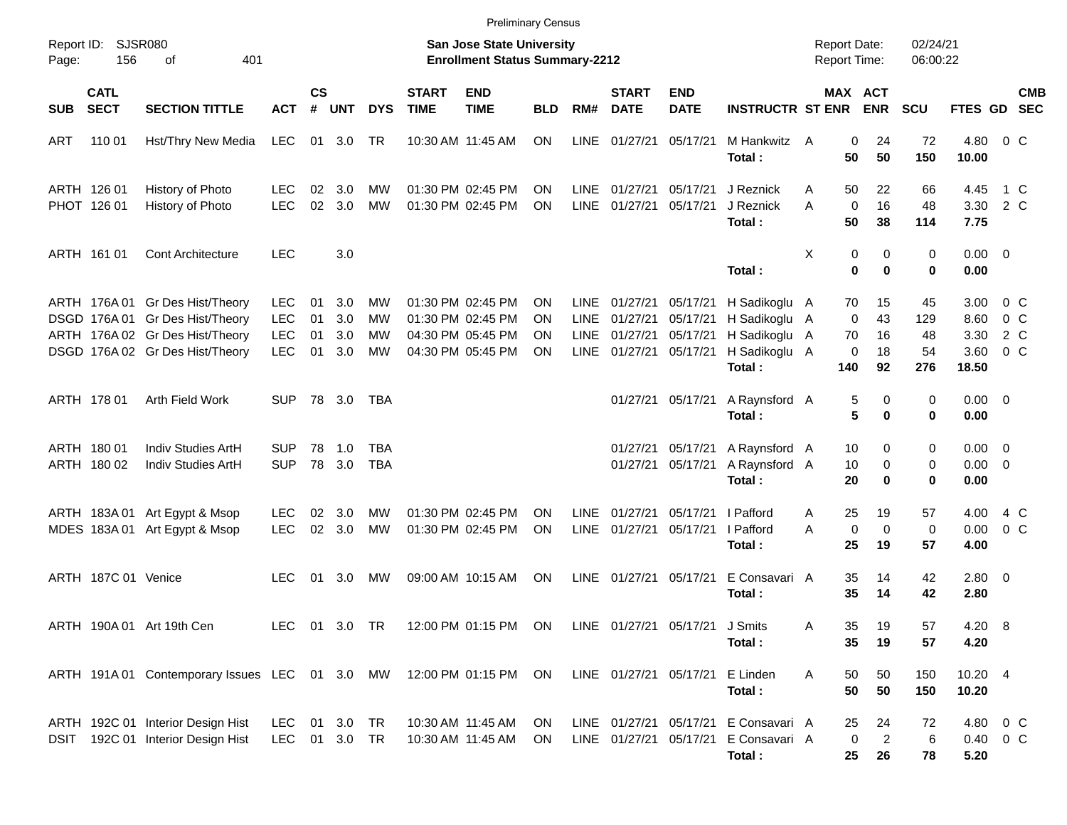|                     |                            |                                                                                                                                          |                                                      |                      |                          |                                           |                             | <b>Preliminary Census</b>                                                        |                      |                                            |                                              |                                              |                                                                                        |        |                           |                            |                              |                                       |                                                                    |                          |
|---------------------|----------------------------|------------------------------------------------------------------------------------------------------------------------------------------|------------------------------------------------------|----------------------|--------------------------|-------------------------------------------|-----------------------------|----------------------------------------------------------------------------------|----------------------|--------------------------------------------|----------------------------------------------|----------------------------------------------|----------------------------------------------------------------------------------------|--------|---------------------------|----------------------------|------------------------------|---------------------------------------|--------------------------------------------------------------------|--------------------------|
| Report ID:<br>Page: | <b>SJSR080</b><br>156      | 401<br>оf                                                                                                                                |                                                      |                      |                          |                                           |                             | <b>San Jose State University</b><br><b>Enrollment Status Summary-2212</b>        |                      |                                            |                                              |                                              |                                                                                        |        | <b>Report Date:</b>       | <b>Report Time:</b>        | 02/24/21<br>06:00:22         |                                       |                                                                    |                          |
| <b>SUB</b>          | <b>CATL</b><br><b>SECT</b> | <b>SECTION TITTLE</b>                                                                                                                    | <b>ACT</b>                                           | $\mathsf{cs}$<br>#   | <b>UNT</b>               | <b>DYS</b>                                | <b>START</b><br><b>TIME</b> | <b>END</b><br><b>TIME</b>                                                        | <b>BLD</b>           | RM#                                        | <b>START</b><br><b>DATE</b>                  | <b>END</b><br><b>DATE</b>                    | <b>INSTRUCTR ST ENR</b>                                                                |        |                           | MAX ACT<br><b>ENR</b>      | SCU                          | <b>FTES GD</b>                        |                                                                    | <b>CMB</b><br><b>SEC</b> |
| ART                 | 110 01                     | Hst/Thry New Media                                                                                                                       | <b>LEC</b>                                           | 01                   | 3.0                      | TR                                        |                             | 10:30 AM 11:45 AM                                                                | <b>ON</b>            | LINE                                       | 01/27/21                                     | 05/17/21                                     | M Hankwitz<br>Total:                                                                   | A      | $\mathbf 0$<br>50         | 24<br>50                   | 72<br>150                    | 4.80<br>10.00                         | 0 <sup>o</sup>                                                     |                          |
|                     | ARTH 126 01<br>PHOT 126 01 | History of Photo<br>History of Photo                                                                                                     | LEC.<br><b>LEC</b>                                   | 02<br>02             | 3.0<br>3.0               | МW<br><b>MW</b>                           | 01:30 PM 02:45 PM           | 01:30 PM 02:45 PM                                                                | ΟN<br>ΟN             | <b>LINE</b><br><b>LINE</b>                 | 01/27/21<br>01/27/21                         | 05/17/21<br>05/17/21                         | J Reznick<br>J Reznick<br>Total:                                                       | A<br>A | 50<br>$\mathbf 0$<br>50   | 22<br>16<br>38             | 66<br>48<br>114              | 4.45<br>3.30<br>7.75                  | 1 C<br>2 C                                                         |                          |
|                     | ARTH 161 01                | <b>Cont Architecture</b>                                                                                                                 | <b>LEC</b>                                           |                      | 3.0                      |                                           |                             |                                                                                  |                      |                                            |                                              |                                              | Total:                                                                                 | X      | 0<br>0                    | 0<br>0                     | 0<br>$\bf{0}$                | $0.00 \quad 0$<br>0.00                |                                                                    |                          |
|                     |                            | ARTH 176A 01 Gr Des Hist/Theory<br>DSGD 176A 01 Gr Des Hist/Theory<br>ARTH 176A 02 Gr Des Hist/Theory<br>DSGD 176A 02 Gr Des Hist/Theory | <b>LEC</b><br><b>LEC</b><br><b>LEC</b><br><b>LEC</b> | 01<br>01<br>01<br>01 | 3.0<br>3.0<br>3.0<br>3.0 | МW<br><b>MW</b><br><b>MW</b><br><b>MW</b> |                             | 01:30 PM 02:45 PM<br>01:30 PM 02:45 PM<br>04:30 PM 05:45 PM<br>04:30 PM 05:45 PM | ON<br>ON<br>ON<br>ΟN | LINE<br><b>LINE</b><br>LINE<br><b>LINE</b> | 01/27/21<br>01/27/21<br>01/27/21<br>01/27/21 | 05/17/21<br>05/17/21<br>05/17/21<br>05/17/21 | H Sadikoglu A<br>H Sadikoglu A<br>H Sadikoglu A<br>H Sadikoglu A<br>Total:             |        | 70<br>0<br>70<br>0<br>140 | 15<br>43<br>16<br>18<br>92 | 45<br>129<br>48<br>54<br>276 | 3.00<br>8.60<br>3.30<br>3.60<br>18.50 | 0 <sup>o</sup><br>0 <sup>o</sup><br>$2\degree$ C<br>0 <sup>o</sup> |                          |
|                     | ARTH 178 01                | Arth Field Work                                                                                                                          | <b>SUP</b>                                           |                      | 78 3.0                   | TBA                                       |                             |                                                                                  |                      |                                            | 01/27/21                                     | 05/17/21                                     | A Raynsford A<br>Total:                                                                |        | 5<br>5                    | 0<br>0                     | 0<br>0                       | $0.00 \quad 0$<br>0.00                |                                                                    |                          |
|                     | ARTH 180 01<br>ARTH 180 02 | Indiv Studies ArtH<br>Indiv Studies ArtH                                                                                                 | <b>SUP</b><br><b>SUP</b>                             | 78<br>78             | 1.0<br>3.0               | TBA<br><b>TBA</b>                         |                             |                                                                                  |                      |                                            | 01/27/21<br>01/27/21                         | 05/17/21<br>05/17/21                         | A Raynsford A<br>A Raynsford A<br>Total:                                               |        | 10<br>10<br>20            | 0<br>0<br>0                | 0<br>0<br>0                  | $0.00 \t 0$<br>$0.00 \t 0$<br>0.00    |                                                                    |                          |
|                     |                            | ARTH 183A 01 Art Egypt & Msop<br>MDES 183A 01 Art Egypt & Msop                                                                           | <b>LEC</b><br><b>LEC</b>                             | 02<br>02             | 3.0<br>3.0               | <b>MW</b><br><b>MW</b>                    |                             | 01:30 PM 02:45 PM<br>01:30 PM 02:45 PM                                           | <b>ON</b><br>ΟN      | <b>LINE</b><br><b>LINE</b>                 | 01/27/21<br>01/27/21                         | 05/17/21<br>05/17/21                         | I Pafford<br>I Pafford<br>Total:                                                       | A<br>A | 25<br>0<br>25             | 19<br>0<br>19              | 57<br>$\mathbf 0$<br>57      | 4.00<br>0.00<br>4.00                  | 4 C<br>0 <sup>o</sup>                                              |                          |
|                     | ARTH 187C 01 Venice        |                                                                                                                                          | <b>LEC</b>                                           | 01                   | 3.0                      | МW                                        |                             | 09:00 AM 10:15 AM                                                                | ΟN                   | <b>LINE</b>                                | 01/27/21                                     | 05/17/21                                     | E Consavari A<br>Total:                                                                |        | 35<br>35                  | 14<br>14                   | 42<br>42                     | $2.80 \ 0$<br>2.80                    |                                                                    |                          |
|                     |                            | ARTH 190A 01 Art 19th Cen                                                                                                                | LEC.                                                 |                      | 01 3.0 TR                |                                           |                             | 12:00 PM 01:15 PM ON                                                             |                      |                                            |                                              | LINE 01/27/21 05/17/21 J Smits               | Total:                                                                                 | Α      | 35<br>35                  | 19<br>19                   | 57<br>57                     | 4.20 8<br>4.20                        |                                                                    |                          |
|                     |                            | ARTH 191A 01 Contemporary Issues LEC 01 3.0 MW                                                                                           |                                                      |                      |                          |                                           |                             | 12:00 PM 01:15 PM ON                                                             |                      |                                            |                                              | LINE 01/27/21 05/17/21 E Linden              | Total:                                                                                 | Α      | 50<br>50                  | 50<br>50                   | 150<br>150                   | 10.20 4<br>10.20                      |                                                                    |                          |
|                     |                            | ARTH 192C 01 Interior Design Hist<br>DSIT 192C 01 Interior Design Hist                                                                   | LEC<br>LEC 01 3.0 TR                                 |                      | 01 3.0 TR                |                                           |                             | 10:30 AM 11:45 AM<br>10:30 AM 11:45 AM                                           | ON<br>ON.            |                                            |                                              |                                              | LINE 01/27/21 05/17/21 E Consavari A<br>LINE 01/27/21 05/17/21 E Consavari A<br>Total: |        | 25<br>0<br>25             | 24<br>$\overline{2}$<br>26 | 72<br>6<br>78                | 4.80 0 C<br>0.40 0 C<br>5.20          |                                                                    |                          |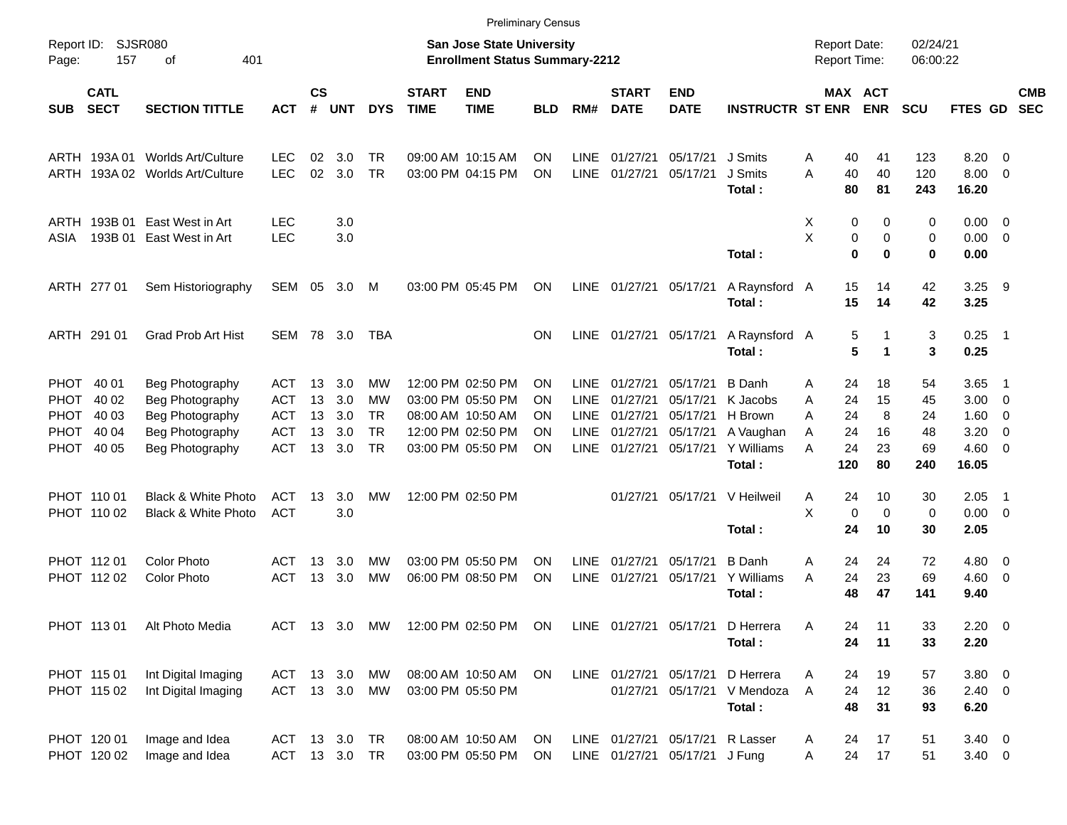|                     |                                                                                           |                                |               |                    |            |               |                             |                                                                    | <b>Preliminary Census</b> |             |                             |                                 |                         |                                     |                              |                   |                      |                     |                          |                          |
|---------------------|-------------------------------------------------------------------------------------------|--------------------------------|---------------|--------------------|------------|---------------|-----------------------------|--------------------------------------------------------------------|---------------------------|-------------|-----------------------------|---------------------------------|-------------------------|-------------------------------------|------------------------------|-------------------|----------------------|---------------------|--------------------------|--------------------------|
| Report ID:<br>Page: | 157                                                                                       | <b>SJSR080</b><br>401<br>οf    |               |                    |            |               |                             | San Jose State University<br><b>Enrollment Status Summary-2212</b> |                           |             |                             |                                 |                         | <b>Report Date:</b><br>Report Time: |                              |                   | 02/24/21<br>06:00:22 |                     |                          |                          |
| <b>SUB</b>          | <b>CATL</b><br><b>SECT</b><br><b>SECTION TITTLE</b><br>Worlds Art/Culture<br>ARTH 193A 01 |                                |               | $\mathsf{cs}$<br># | <b>UNT</b> | <b>DYS</b>    | <b>START</b><br><b>TIME</b> | <b>END</b><br><b>TIME</b>                                          | BLD                       | RM#         | <b>START</b><br><b>DATE</b> | <b>END</b><br><b>DATE</b>       | <b>INSTRUCTR ST ENR</b> |                                     | <b>MAX ACT</b><br><b>ENR</b> |                   | <b>SCU</b>           | <b>FTES GD</b>      |                          | <b>CMB</b><br><b>SEC</b> |
|                     |                                                                                           |                                | <b>LEC</b>    | 02                 | 3.0        | TR.           |                             | 09:00 AM 10:15 AM                                                  | ΟN                        | <b>LINE</b> | 01/27/21                    | 05/17/21                        | J Smits                 | A                                   | 40                           | 41                | 123                  | 8.20                | $\overline{\phantom{0}}$ |                          |
| ARTH                |                                                                                           | 193A 02 Worlds Art/Culture     | <b>LEC</b>    | 02                 | 3.0        | <b>TR</b>     |                             | 03:00 PM 04:15 PM                                                  | <b>ON</b>                 | <b>LINE</b> | 01/27/21                    | 05/17/21                        | J Smits<br>Total:       | A                                   | 40<br>80                     | 40<br>81          | 120<br>243           | 8.00<br>16.20       | $\overline{\phantom{0}}$ |                          |
| ARTH                | 193B 01                                                                                   | East West in Art               | <b>LEC</b>    |                    | 3.0        |               |                             |                                                                    |                           |             |                             |                                 |                         | Χ                                   | 0                            | 0                 | 0                    | $0.00 \t 0$         |                          |                          |
| ASIA                | 193B 01                                                                                   | East West in Art               | <b>LEC</b>    |                    | 3.0        |               |                             |                                                                    |                           |             |                             |                                 | Total:                  | X                                   | 0<br>$\bf{0}$                | $\mathbf 0$<br>0  | 0<br>0               | $0.00 \t 0$<br>0.00 |                          |                          |
|                     | ARTH 277 01                                                                               | Sem Historiography             | SEM 05        |                    | 3.0        | M             |                             | 03:00 PM 05:45 PM                                                  | ON                        |             | LINE 01/27/21 05/17/21      |                                 | A Raynsford A<br>Total: |                                     | 15<br>15                     | 14<br>14          | 42<br>42             | $3.25$ 9<br>3.25    |                          |                          |
|                     | ARTH 291 01                                                                               | <b>Grad Prob Art Hist</b>      | SEM 78 3.0    |                    |            | TBA           |                             |                                                                    | ON                        |             | LINE 01/27/21 05/17/21      |                                 | A Raynsford A<br>Total: |                                     | 5<br>5                       |                   | 3<br>3               | $0.25$ 1<br>0.25    |                          |                          |
| <b>PHOT</b>         | 40 01                                                                                     | Beg Photography                | ACT           | 13                 | 3.0        | <b>MW</b>     |                             | 12:00 PM 02:50 PM                                                  | ON                        | <b>LINE</b> | 01/27/21                    | 05/17/21                        | <b>B</b> Danh           | A                                   | 24                           | 18                | 54                   | 3.65                | - 1                      |                          |
| <b>PHOT</b>         | 40 02                                                                                     | Beg Photography                | ACT           | 13                 | 3.0        | МW            |                             | 03:00 PM 05:50 PM                                                  | ON                        | <b>LINE</b> | 01/27/21                    | 05/17/21                        | K Jacobs                | A                                   | 24                           | 15                | 45                   | 3.00                | $\overline{\phantom{0}}$ |                          |
| <b>PHOT</b>         | 40 03                                                                                     | Beg Photography                | <b>ACT</b>    | 13                 | 3.0        | <b>TR</b>     |                             | 08:00 AM 10:50 AM                                                  | ON                        | <b>LINE</b> | 01/27/21                    | 05/17/21                        | H Brown                 | A                                   | 24                           | 8                 | 24                   | 1.60                | $\overline{\phantom{0}}$ |                          |
| <b>PHOT</b>         | 40 04                                                                                     | Beg Photography                | <b>ACT</b>    | 13                 | 3.0        | <b>TR</b>     |                             | 12:00 PM 02:50 PM                                                  | ΟN                        | <b>LINE</b> | 01/27/21                    | 05/17/21                        | A Vaughan               | A                                   | 24                           | 16                | 48                   | 3.20                | $\overline{0}$           |                          |
| PHOT                | 40 05                                                                                     | Beg Photography                | <b>ACT</b>    |                    | 13 3.0     | <b>TR</b>     |                             | 03:00 PM 05:50 PM                                                  | <b>ON</b>                 | LINE        | 01/27/21                    | 05/17/21                        | Y Williams<br>Total:    | A                                   | 24<br>120                    | 23<br>80          | 69<br>240            | $4.60 \ 0$<br>16.05 |                          |                          |
|                     | PHOT 110 01                                                                               | <b>Black &amp; White Photo</b> | <b>ACT</b>    | 13                 | 3.0        | <b>MW</b>     |                             | 12:00 PM 02:50 PM                                                  |                           |             | 01/27/21                    | 05/17/21                        | V Heilweil              | A                                   | 24                           | 10                | 30                   | 2.05                | - 1                      |                          |
|                     | PHOT 110 02                                                                               | <b>Black &amp; White Photo</b> | <b>ACT</b>    |                    | 3.0        |               |                             |                                                                    |                           |             |                             |                                 | Total:                  | X                                   | $\mathbf 0$<br>24            | $\mathbf 0$<br>10 | 0<br>30              | $0.00 \t 0$<br>2.05 |                          |                          |
|                     | PHOT 11201                                                                                | <b>Color Photo</b>             | ACT           | 13                 | 3.0        | <b>MW</b>     |                             | 03:00 PM 05:50 PM                                                  | <b>ON</b>                 | <b>LINE</b> | 01/27/21                    | 05/17/21                        | <b>B</b> Danh           | A                                   | 24                           | 24                | 72                   | $4.80$ 0            |                          |                          |
|                     | PHOT 112 02                                                                               | <b>Color Photo</b>             | <b>ACT</b>    | 13                 | 3.0        | МW            |                             | 06:00 PM 08:50 PM                                                  | <b>ON</b>                 | LINE        | 01/27/21                    | 05/17/21                        | Y Williams              | A                                   | 24                           | 23                | 69                   | $4.60$ 0            |                          |                          |
|                     |                                                                                           |                                |               |                    |            |               |                             |                                                                    |                           |             |                             |                                 | Total:                  |                                     | 48                           | 47                | 141                  | 9.40                |                          |                          |
|                     | PHOT 11301                                                                                | Alt Photo Media                |               |                    |            | ACT 13 3.0 MW |                             | 12:00 PM 02:50 PM ON                                               |                           |             |                             | LINE 01/27/21 05/17/21          | D Herrera               | Α                                   | 24                           | 11                | 33                   | $2.20 \t 0$         |                          |                          |
|                     |                                                                                           |                                |               |                    |            |               |                             |                                                                    |                           |             |                             |                                 | Total:                  |                                     | 24                           | 11                | 33                   | 2.20                |                          |                          |
|                     | PHOT 115 01                                                                               | Int Digital Imaging            | ACT 13 3.0    |                    |            | МW            |                             | 08:00 AM 10:50 AM                                                  | ON                        |             | LINE 01/27/21 05/17/21      |                                 | D Herrera               | A                                   | 24                           | 19                | 57                   | 3.80 0              |                          |                          |
|                     | PHOT 115 02                                                                               | Int Digital Imaging            | ACT 13 3.0 MW |                    |            |               |                             | 03:00 PM 05:50 PM                                                  |                           |             |                             | 01/27/21 05/17/21               | V Mendoza               | A                                   | 24                           | 12                | 36                   | $2.40 \ 0$          |                          |                          |
|                     |                                                                                           |                                |               |                    |            |               |                             |                                                                    |                           |             |                             |                                 | Total:                  |                                     | 48                           | 31                | 93                   | 6.20                |                          |                          |
|                     | PHOT 120 01                                                                               | Image and Idea                 | ACT 13 3.0    |                    |            | TR            |                             | 08:00 AM 10:50 AM                                                  | ON                        |             |                             | LINE 01/27/21 05/17/21 R Lasser |                         | A                                   | 24                           | 17                | 51                   | $3.40 \ 0$          |                          |                          |
|                     | PHOT 120 02                                                                               | Image and Idea                 | ACT 13 3.0 TR |                    |            |               |                             | 03:00 PM 05:50 PM                                                  | ON                        |             |                             | LINE 01/27/21 05/17/21 J Fung   |                         | Α                                   | 24                           | 17                | 51                   | $3.40 \ 0$          |                          |                          |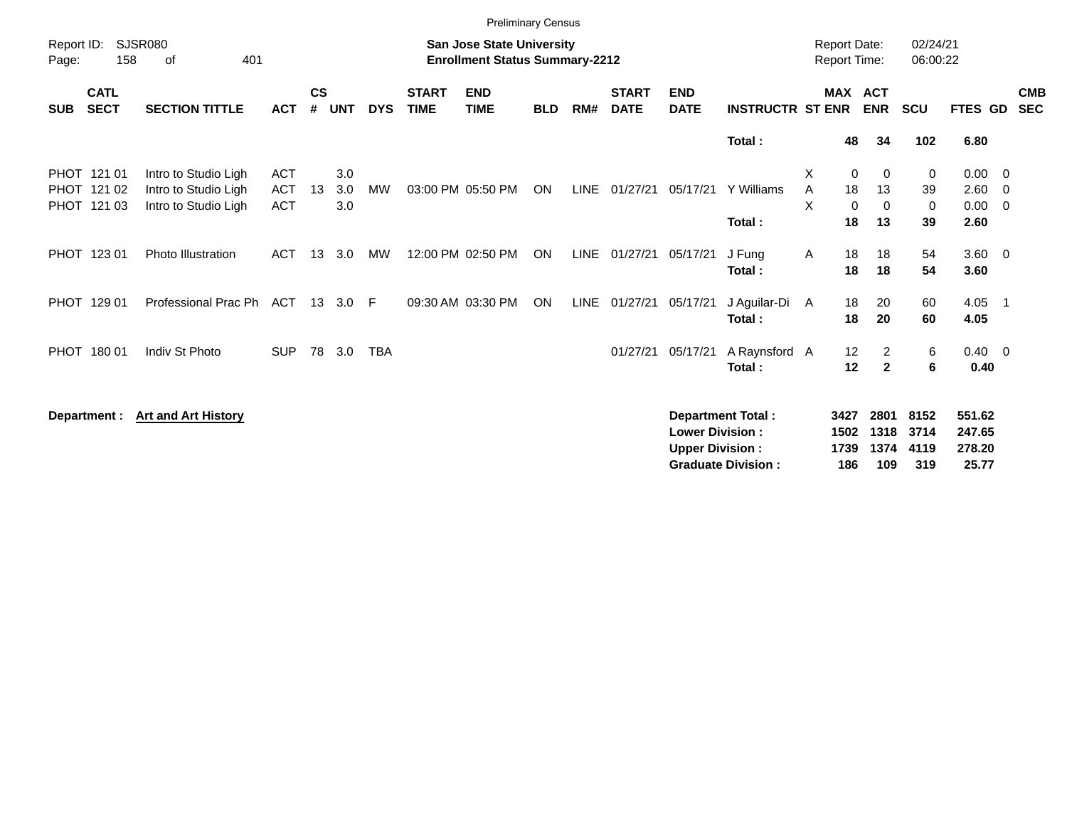|                     |                                           |                                                                      |                                        |                    |                   |            |                             | <b>Preliminary Census</b>                                                 |            |             |                             |                                                  |                                                       |             |                                     |                                           |                             |                                     |                                                           |                          |
|---------------------|-------------------------------------------|----------------------------------------------------------------------|----------------------------------------|--------------------|-------------------|------------|-----------------------------|---------------------------------------------------------------------------|------------|-------------|-----------------------------|--------------------------------------------------|-------------------------------------------------------|-------------|-------------------------------------|-------------------------------------------|-----------------------------|-------------------------------------|-----------------------------------------------------------|--------------------------|
| Report ID:<br>Page: | 158                                       | <b>SJSR080</b><br>401<br>оf                                          |                                        |                    |                   |            |                             | <b>San Jose State University</b><br><b>Enrollment Status Summary-2212</b> |            |             |                             |                                                  |                                                       |             | <b>Report Date:</b><br>Report Time: |                                           | 02/24/21<br>06:00:22        |                                     |                                                           |                          |
| <b>SUB</b>          | <b>CATL</b><br><b>SECT</b>                | <b>SECTION TITTLE</b>                                                | <b>ACT</b>                             | $\mathsf{cs}$<br># | <b>UNT</b>        | <b>DYS</b> | <b>START</b><br><b>TIME</b> | <b>END</b><br><b>TIME</b>                                                 | <b>BLD</b> | RM#         | <b>START</b><br><b>DATE</b> | <b>END</b><br><b>DATE</b>                        | <b>INSTRUCTR ST ENR</b>                               |             | <b>MAX</b>                          | <b>ACT</b><br><b>ENR</b>                  | <b>SCU</b>                  | FTES GD                             |                                                           | <b>CMB</b><br><b>SEC</b> |
|                     |                                           |                                                                      |                                        |                    |                   |            |                             |                                                                           |            |             |                             |                                                  | Total:                                                |             | 48                                  | 34                                        | 102                         | 6.80                                |                                                           |                          |
|                     | PHOT 121 01<br>PHOT 121 02<br>PHOT 121 03 | Intro to Studio Ligh<br>Intro to Studio Ligh<br>Intro to Studio Ligh | <b>ACT</b><br><b>ACT</b><br><b>ACT</b> | 13                 | 3.0<br>3.0<br>3.0 | <b>MW</b>  |                             | 03:00 PM 05:50 PM                                                         | <b>ON</b>  |             | LINE 01/27/21               | 05/17/21                                         | Y Williams<br>Total:                                  | X<br>A<br>X | $\mathbf 0$<br>18<br>$\Omega$<br>18 | $\mathbf{0}$<br>13<br>0<br>13             | 0<br>39<br>0<br>39          | 0.00<br>2.60<br>0.00<br>2.60        | $\overline{\mathbf{0}}$<br>- 0<br>$\overline{\mathbf{0}}$ |                          |
|                     | PHOT 123 01                               | <b>Photo Illustration</b>                                            | <b>ACT</b>                             | 13                 | 3.0               | МW         |                             | 12:00 PM 02:50 PM                                                         | <b>ON</b>  | <b>LINE</b> | 01/27/21                    | 05/17/21                                         | J Fung<br>Total:                                      | A           | 18<br>18                            | 18<br>18                                  | 54<br>54                    | $3.60 \ 0$<br>3.60                  |                                                           |                          |
|                     | PHOT 129 01                               | Professional Prac Ph                                                 | <b>ACT</b>                             |                    | 13 3.0            | F          |                             | 09:30 AM 03:30 PM                                                         | ON         |             | LINE 01/27/21               | 05/17/21                                         | J Aguilar-Di<br>Total:                                | A           | 18<br>18                            | 20<br>20                                  | 60<br>60                    | 4.05<br>4.05                        | - 1                                                       |                          |
|                     | PHOT 180 01                               | Indiv St Photo                                                       | <b>SUP</b>                             | 78                 | 3.0               | <b>TBA</b> |                             |                                                                           |            |             | 01/27/21                    | 05/17/21                                         | A Raynsford A<br>Total:                               |             | 12<br>12                            | $\overline{2}$<br>$\overline{\mathbf{2}}$ | 6<br>$\bf 6$                | $0.40 \quad 0$<br>0.40              |                                                           |                          |
|                     | Department :                              | <b>Art and Art History</b>                                           |                                        |                    |                   |            |                             |                                                                           |            |             |                             | <b>Lower Division:</b><br><b>Upper Division:</b> | <b>Department Total:</b><br><b>Graduate Division:</b> |             | 3427<br>1502<br>1739<br>186         | 2801<br>1318<br>1374<br>109               | 8152<br>3714<br>4119<br>319 | 551.62<br>247.65<br>278.20<br>25.77 |                                                           |                          |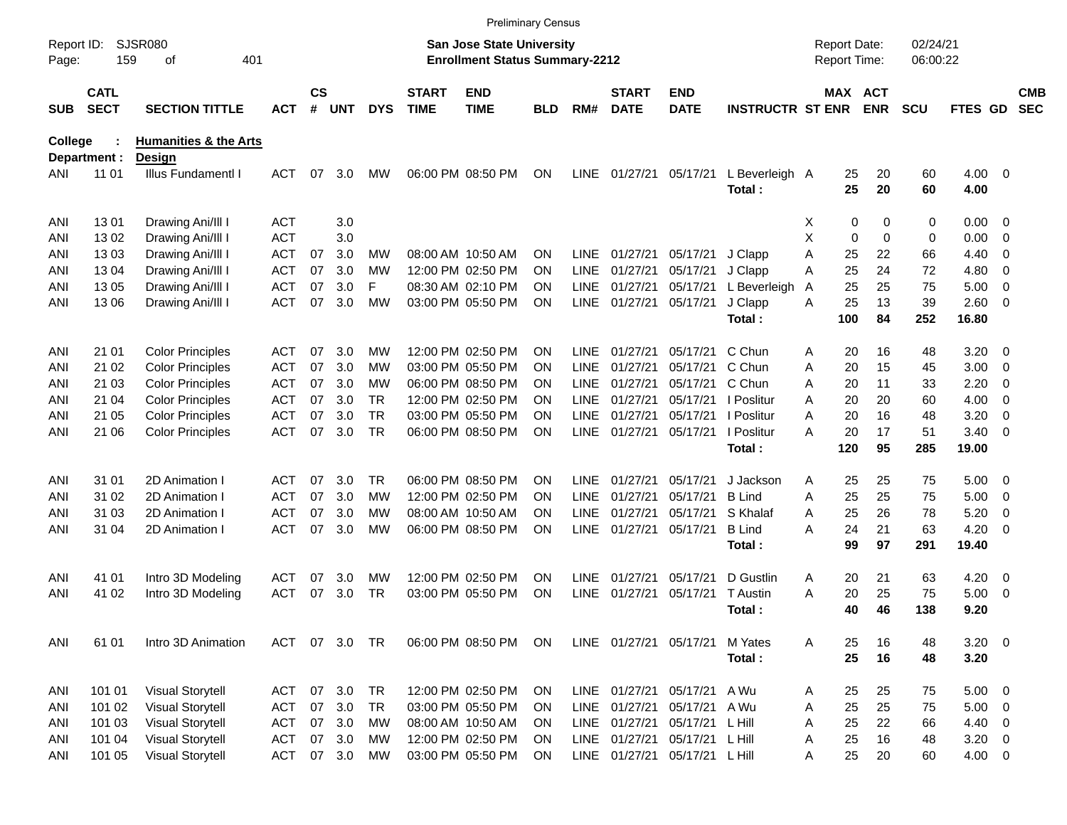|                     |                            |                                  |            |                    |            |            |                             |                                                                           | <b>Preliminary Census</b> |             |                             |                                |                          |   |             |                                     |                      |                    |                          |                          |
|---------------------|----------------------------|----------------------------------|------------|--------------------|------------|------------|-----------------------------|---------------------------------------------------------------------------|---------------------------|-------------|-----------------------------|--------------------------------|--------------------------|---|-------------|-------------------------------------|----------------------|--------------------|--------------------------|--------------------------|
| Report ID:<br>Page: | 159                        | <b>SJSR080</b><br>401<br>οf      |            |                    |            |            |                             | <b>San Jose State University</b><br><b>Enrollment Status Summary-2212</b> |                           |             |                             |                                |                          |   |             | <b>Report Date:</b><br>Report Time: | 02/24/21<br>06:00:22 |                    |                          |                          |
| <b>SUB</b>          | <b>CATL</b><br><b>SECT</b> | <b>SECTION TITTLE</b>            | <b>ACT</b> | $\mathsf{cs}$<br># | <b>UNT</b> | <b>DYS</b> | <b>START</b><br><b>TIME</b> | <b>END</b><br><b>TIME</b>                                                 | BLD                       | RM#         | <b>START</b><br><b>DATE</b> | <b>END</b><br><b>DATE</b>      | <b>INSTRUCTR ST ENR</b>  |   |             | MAX ACT<br><b>ENR</b>               | <b>SCU</b>           | <b>FTES GD</b>     |                          | <b>CMB</b><br><b>SEC</b> |
| <b>College</b>      |                            | <b>Humanities &amp; the Arts</b> |            |                    |            |            |                             |                                                                           |                           |             |                             |                                |                          |   |             |                                     |                      |                    |                          |                          |
| ANI                 | Department :<br>11 01      | Design<br>Illus Fundamentl I     | ACT        | 07                 | 3.0        | <b>MW</b>  |                             | 06:00 PM 08:50 PM                                                         | ΟN                        | <b>LINE</b> | 01/27/21                    | 05/17/21                       | L Beverleigh A<br>Total: |   | 25<br>25    | 20<br>20                            | 60<br>60             | $4.00 \ 0$<br>4.00 |                          |                          |
| ANI                 | 1301                       | Drawing Ani/III I                | ACT        |                    | 3.0        |            |                             |                                                                           |                           |             |                             |                                |                          | х | 0           | 0                                   | 0                    | 0.00               | $\overline{\phantom{0}}$ |                          |
| ANI                 | 1302                       | Drawing Ani/III I                | <b>ACT</b> |                    | 3.0        |            |                             |                                                                           |                           |             |                             |                                |                          | Χ | $\mathbf 0$ | $\mathbf 0$                         | 0                    | 0.00               | $\overline{0}$           |                          |
| ANI                 | 1303                       | Drawing Ani/III I                | <b>ACT</b> | 07                 | 3.0        | МW         |                             | 08:00 AM 10:50 AM                                                         | ΟN                        | <b>LINE</b> | 01/27/21                    | 05/17/21                       | J Clapp                  | Α | 25          | 22                                  | 66                   | 4.40               | 0                        |                          |
| ANI                 | 1304                       | Drawing Ani/III I                | ACT        | 07                 | 3.0        | MW         |                             | 12:00 PM 02:50 PM                                                         | OΝ                        | <b>LINE</b> | 01/27/21                    | 05/17/21                       | J Clapp                  | Α | 25          | 24                                  | 72                   | 4.80               | 0                        |                          |
| ANI                 | 13 05                      | Drawing Ani/III I                | ACT        | 07                 | 3.0        | F          |                             | 08:30 AM 02:10 PM                                                         | OΝ                        | <b>LINE</b> | 01/27/21                    | 05/17/21                       | L Beverleigh             | A | 25          | 25                                  | 75                   | 5.00               | 0                        |                          |
| ANI                 | 13 06                      | Drawing Ani/III I                | <b>ACT</b> | 07                 | 3.0        | <b>MW</b>  |                             | 03:00 PM 05:50 PM                                                         | ΟN                        | LINE        | 01/27/21                    | 05/17/21                       | J Clapp                  | Α | 25          | 13                                  | 39                   | 2.60               | $\overline{\phantom{0}}$ |                          |
|                     |                            |                                  |            |                    |            |            |                             |                                                                           |                           |             |                             |                                | Total:                   |   | 100         | 84                                  | 252                  | 16.80              |                          |                          |
| ANI                 | 21 01                      | <b>Color Principles</b>          | ACT        | 07                 | 3.0        | MW         |                             | 12:00 PM 02:50 PM                                                         | OΝ                        | <b>LINE</b> | 01/27/21                    | 05/17/21                       | C Chun                   | Α | 20          | 16                                  | 48                   | 3.20               | - 0                      |                          |
| ANI                 | 21 02                      | <b>Color Principles</b>          | <b>ACT</b> | 07                 | 3.0        | МW         |                             | 03:00 PM 05:50 PM                                                         | OΝ                        | <b>LINE</b> | 01/27/21                    | 05/17/21                       | C Chun                   | Α | 20          | 15                                  | 45                   | 3.00               | $\overline{\mathbf{0}}$  |                          |
| ANI                 | 21 03                      | <b>Color Principles</b>          | <b>ACT</b> | 07                 | 3.0        | МW         |                             | 06:00 PM 08:50 PM                                                         | ON                        | <b>LINE</b> | 01/27/21                    | 05/17/21                       | C Chun                   | A | 20          | 11                                  | 33                   | 2.20               | 0                        |                          |
| ANI                 | 21 04                      | <b>Color Principles</b>          | <b>ACT</b> | 07                 | 3.0        | <b>TR</b>  |                             | 12:00 PM 02:50 PM                                                         | OΝ                        | <b>LINE</b> | 01/27/21                    |                                | 05/17/21   Poslitur      | A | 20          | 20                                  | 60                   | 4.00               | $\overline{0}$           |                          |
| ANI                 | 21 05                      | <b>Color Principles</b>          | ACT        | 07                 | 3.0        | <b>TR</b>  |                             | 03:00 PM 05:50 PM                                                         | OΝ                        | <b>LINE</b> | 01/27/21                    | 05/17/21                       | I Poslitur               | Α | 20          | 16                                  | 48                   | 3.20               | 0                        |                          |
| ANI                 | 21 06                      | <b>Color Principles</b>          | <b>ACT</b> | 07                 | 3.0        | <b>TR</b>  |                             | 06:00 PM 08:50 PM                                                         | ΟN                        | <b>LINE</b> | 01/27/21                    | 05/17/21                       | I Poslitur               | А | 20          | 17                                  | 51                   | 3.40               | $\overline{0}$           |                          |
|                     |                            |                                  |            |                    |            |            |                             |                                                                           |                           |             |                             |                                | Total:                   |   | 120         | 95                                  | 285                  | 19.00              |                          |                          |
| ANI                 | 31 01                      | 2D Animation I                   | ACT        | 07                 | 3.0        | TR.        |                             | 06:00 PM 08:50 PM                                                         | OΝ                        | <b>LINE</b> | 01/27/21                    | 05/17/21                       | J Jackson                | Α | 25          | 25                                  | 75                   | 5.00               | $\overline{\phantom{0}}$ |                          |
| ANI                 | 31 02                      | 2D Animation I                   | <b>ACT</b> | 07                 | 3.0        | МW         |                             | 12:00 PM 02:50 PM                                                         | OΝ                        | <b>LINE</b> | 01/27/21                    | 05/17/21                       | <b>B</b> Lind            | A | 25          | 25                                  | 75                   | 5.00               | $\overline{\mathbf{0}}$  |                          |
| ANI                 | 31 03                      | 2D Animation I                   | <b>ACT</b> | 07                 | 3.0        | МW         |                             | 08:00 AM 10:50 AM                                                         | ON                        | <b>LINE</b> | 01/27/21                    | 05/17/21                       | S Khalaf                 | Α | 25          | 26                                  | 78                   | 5.20               | 0                        |                          |
| ANI                 | 31 04                      | 2D Animation I                   | ACT        | 07                 | 3.0        | MW         |                             | 06:00 PM 08:50 PM                                                         | ΟN                        | <b>LINE</b> | 01/27/21                    | 05/17/21                       | <b>B</b> Lind            | А | 24          | 21                                  | 63                   | 4.20               | $\overline{0}$           |                          |
|                     |                            |                                  |            |                    |            |            |                             |                                                                           |                           |             |                             |                                | Total:                   |   | 99          | 97                                  | 291                  | 19.40              |                          |                          |
| ANI                 | 41 01                      | Intro 3D Modeling                | <b>ACT</b> | 07                 | 3.0        | MW         |                             | 12:00 PM 02:50 PM                                                         | OΝ                        | <b>LINE</b> | 01/27/21                    | 05/17/21                       | D Gustlin                | Α | 20          | 21                                  | 63                   | 4.20               | $\overline{\mathbf{0}}$  |                          |
| ANI                 | 41 02                      | Intro 3D Modeling                | <b>ACT</b> | 07                 | 3.0        | TR         |                             | 03:00 PM 05:50 PM                                                         | ΟN                        | <b>LINE</b> | 01/27/21                    | 05/17/21                       | T Austin                 | А | 20          | 25                                  | 75                   | 5.00               | - 0                      |                          |
|                     |                            |                                  |            |                    |            |            |                             |                                                                           |                           |             |                             |                                | Total :                  |   | 40          | 46                                  | 138                  | 9.20               |                          |                          |
| ANI                 | 61 01                      | Intro 3D Animation               | <b>ACT</b> |                    | 07 3.0 TR  |            |                             | 06:00 PM 08:50 PM                                                         | ON                        |             |                             | LINE 01/27/21 05/17/21 M Yates |                          | Α | 25          | 16                                  | 48                   | $3.20 \ 0$         |                          |                          |
|                     |                            |                                  |            |                    |            |            |                             |                                                                           |                           |             |                             |                                | Total:                   |   | 25          | 16                                  | 48                   | 3.20               |                          |                          |
| ANI                 | 101 01                     | <b>Visual Storytell</b>          | <b>ACT</b> | 07                 | 3.0        | <b>TR</b>  |                             | 12:00 PM 02:50 PM                                                         | ON                        |             |                             | LINE 01/27/21 05/17/21 A Wu    |                          | A | 25          | 25                                  | 75                   | $5.00 \t 0$        |                          |                          |
| ANI                 | 101 02                     | <b>Visual Storytell</b>          | <b>ACT</b> | 07                 | 3.0        | <b>TR</b>  |                             | 03:00 PM 05:50 PM                                                         | ΟN                        | LINE        | 01/27/21                    | 05/17/21 A Wu                  |                          | Α | 25          | 25                                  | 75                   | 5.00               | $\overline{\phantom{0}}$ |                          |
| ANI                 | 101 03                     | <b>Visual Storytell</b>          | <b>ACT</b> | 07                 | 3.0        | МW         |                             | 08:00 AM 10:50 AM                                                         | ON                        | LINE        | 01/27/21                    | 05/17/21 L Hill                |                          | Α | 25          | 22                                  | 66                   | 4.40               | $\overline{\phantom{0}}$ |                          |
| ANI                 | 101 04                     | <b>Visual Storytell</b>          | <b>ACT</b> | 07                 | 3.0        | МW         |                             | 12:00 PM 02:50 PM                                                         | ΟN                        |             | LINE 01/27/21               | 05/17/21 L Hill                |                          | Α | 25          | 16                                  | 48                   | $3.20 \ 0$         |                          |                          |
| ANI                 | 101 05                     | <b>Visual Storytell</b>          | <b>ACT</b> |                    | 07 3.0     | MW         |                             | 03:00 PM 05:50 PM                                                         | <b>ON</b>                 |             |                             | LINE 01/27/21 05/17/21 L Hill  |                          | Α | 25          | 20                                  | 60                   | $4.00 \ 0$         |                          |                          |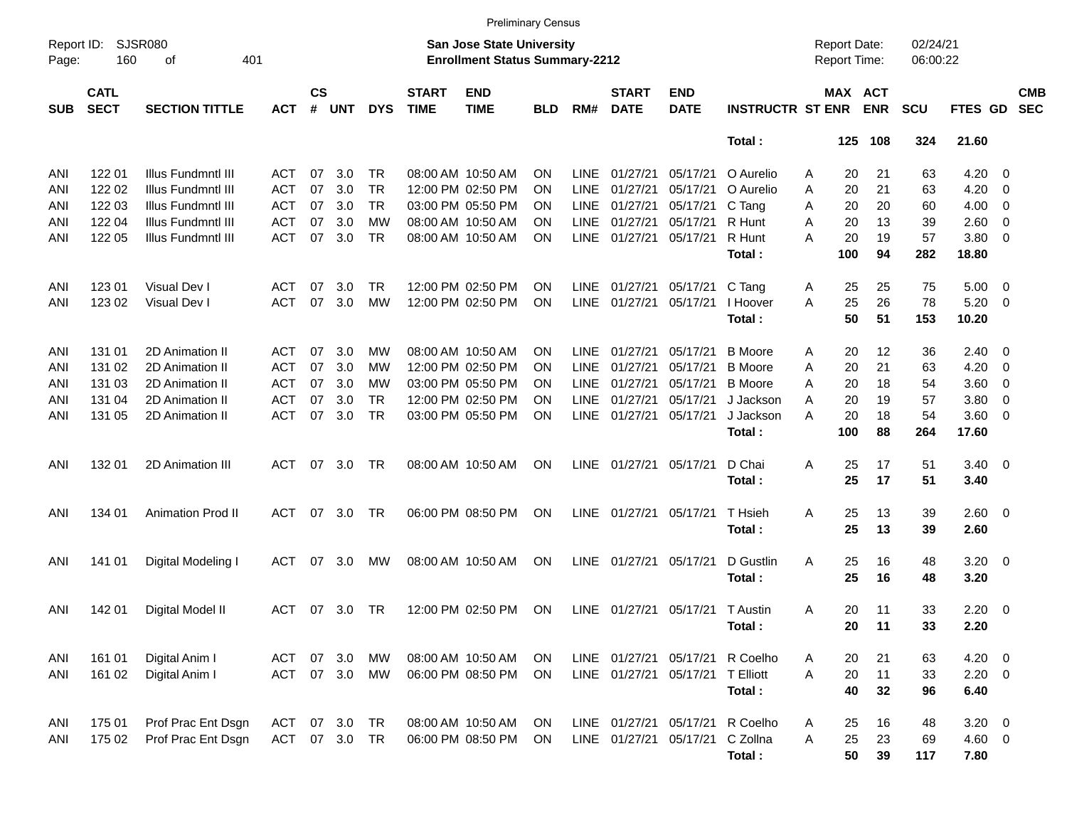|                     |                            |                             |            |                    |            |            |                             | <b>Preliminary Census</b>                                                 |           |             |                             |                                 |                                 |   |                                     |            |                      |                |                          |                          |
|---------------------|----------------------------|-----------------------------|------------|--------------------|------------|------------|-----------------------------|---------------------------------------------------------------------------|-----------|-------------|-----------------------------|---------------------------------|---------------------------------|---|-------------------------------------|------------|----------------------|----------------|--------------------------|--------------------------|
| Report ID:<br>Page: | 160                        | <b>SJSR080</b><br>401<br>οf |            |                    |            |            |                             | <b>San Jose State University</b><br><b>Enrollment Status Summary-2212</b> |           |             |                             |                                 |                                 |   | <b>Report Date:</b><br>Report Time: |            | 02/24/21<br>06:00:22 |                |                          |                          |
| <b>SUB</b>          | <b>CATL</b><br><b>SECT</b> | <b>SECTION TITTLE</b>       | <b>ACT</b> | $\mathsf{cs}$<br># | <b>UNT</b> | <b>DYS</b> | <b>START</b><br><b>TIME</b> | <b>END</b><br><b>TIME</b>                                                 | BLD       | RM#         | <b>START</b><br><b>DATE</b> | <b>END</b><br><b>DATE</b>       | <b>INSTRUCTR ST ENR</b>         |   | MAX ACT                             | <b>ENR</b> | <b>SCU</b>           | FTES GD        |                          | <b>CMB</b><br><b>SEC</b> |
|                     |                            |                             |            |                    |            |            |                             |                                                                           |           |             |                             |                                 | Total:                          |   | 125                                 | 108        | 324                  | 21.60          |                          |                          |
| ANI                 | 122 01                     | Illus Fundmntl III          | ACT        | 07                 | 3.0        | TR         |                             | 08:00 AM 10:50 AM                                                         | ON        | LINE        | 01/27/21                    | 05/17/21                        | O Aurelio                       | Α | 20                                  | 21         | 63                   | 4.20           | - 0                      |                          |
| ANI                 | 122 02                     | Illus Fundmntl III          | <b>ACT</b> | 07                 | 3.0        | <b>TR</b>  |                             | 12:00 PM 02:50 PM                                                         | ON        | <b>LINE</b> | 01/27/21                    | 05/17/21                        | O Aurelio                       | Α | 20                                  | 21         | 63                   | 4.20           | 0                        |                          |
| ANI                 | 122 03                     | Illus Fundmntl III          | <b>ACT</b> | 07                 | 3.0        | <b>TR</b>  |                             | 03:00 PM 05:50 PM                                                         | ON        | <b>LINE</b> | 01/27/21                    | 05/17/21                        | C Tang                          | Α | 20                                  | 20         | 60                   | 4.00           | $\overline{\mathbf{0}}$  |                          |
| ANI                 | 122 04                     | Illus Fundmntl III          | <b>ACT</b> | 07                 | 3.0        | МW         |                             | 08:00 AM 10:50 AM                                                         | ON        | <b>LINE</b> | 01/27/21                    | 05/17/21                        | R Hunt                          | A | 20                                  | 13         | 39                   | 2.60           | $\overline{\mathbf{0}}$  |                          |
| ANI                 | 122 05                     | Illus Fundmntl III          | <b>ACT</b> | 07                 | 3.0        | <b>TR</b>  |                             | 08:00 AM 10:50 AM                                                         | ΟN        | <b>LINE</b> | 01/27/21                    | 05/17/21                        | R Hunt                          | Α | 20                                  | 19         | 57                   | 3.80           | $\overline{\mathbf{0}}$  |                          |
|                     |                            |                             |            |                    |            |            |                             |                                                                           |           |             |                             |                                 | Total:                          |   | 100                                 | 94         | 282                  | 18.80          |                          |                          |
| ANI                 | 123 01                     | Visual Dev I                | <b>ACT</b> | 07                 | 3.0        | TR.        |                             | 12:00 PM 02:50 PM                                                         | ΟN        | LINE        | 01/27/21                    | 05/17/21                        | C Tang                          | A | 25                                  | 25         | 75                   | 5.00           | $\overline{\mathbf{0}}$  |                          |
| ANI                 | 123 02                     | Visual Dev I                | <b>ACT</b> | 07                 | 3.0        | <b>MW</b>  |                             | 12:00 PM 02:50 PM                                                         | ΟN        | <b>LINE</b> | 01/27/21                    | 05/17/21                        | I Hoover                        | Α | 25                                  | 26         | 78                   | 5.20           | - 0                      |                          |
|                     |                            |                             |            |                    |            |            |                             |                                                                           |           |             |                             |                                 | Total:                          |   | 50                                  | 51         | 153                  | 10.20          |                          |                          |
| ANI                 | 131 01                     | 2D Animation II             | ACT        | 07                 | 3.0        | MW         |                             | 08:00 AM 10:50 AM                                                         | ON        | <b>LINE</b> | 01/27/21                    | 05/17/21                        | <b>B</b> Moore                  | Α | 20                                  | 12         | 36                   | 2.40           | $\overline{\phantom{0}}$ |                          |
| ANI                 | 131 02                     | 2D Animation II             | <b>ACT</b> | 07                 | 3.0        | МW         |                             | 12:00 PM 02:50 PM                                                         | ON        | <b>LINE</b> | 01/27/21                    | 05/17/21                        | <b>B</b> Moore                  | A | 20                                  | 21         | 63                   | 4.20           | $\overline{\mathbf{0}}$  |                          |
| ANI                 | 131 03                     | 2D Animation II             | <b>ACT</b> | 07                 | 3.0        | МW         |                             | 03:00 PM 05:50 PM                                                         | ON        | <b>LINE</b> | 01/27/21                    | 05/17/21                        | <b>B</b> Moore                  | A | 20                                  | 18         | 54                   | 3.60           | $\mathbf 0$              |                          |
| ANI                 | 131 04                     | 2D Animation II             | <b>ACT</b> | 07                 | 3.0        | <b>TR</b>  |                             | 12:00 PM 02:50 PM                                                         | ON        | <b>LINE</b> | 01/27/21                    | 05/17/21                        | J Jackson                       | A | 20                                  | 19         | 57                   | 3.80           | $\mathbf 0$              |                          |
| ANI                 | 131 05                     | 2D Animation II             | <b>ACT</b> | 07                 | 3.0        | <b>TR</b>  |                             | 03:00 PM 05:50 PM                                                         | ΟN        | <b>LINE</b> | 01/27/21                    | 05/17/21                        | J Jackson                       | Α | 20                                  | 18         | 54                   | 3.60           | $\overline{\phantom{0}}$ |                          |
|                     |                            |                             |            |                    |            |            |                             |                                                                           |           |             |                             |                                 | Total:                          |   | 100                                 | 88         | 264                  | 17.60          |                          |                          |
| ANI                 | 132 01                     | 2D Animation III            | ACT        | 07                 | 3.0        | <b>TR</b>  |                             | 08:00 AM 10:50 AM                                                         | ΟN        | <b>LINE</b> | 01/27/21                    | 05/17/21                        | D Chai                          | Α | 25                                  | 17         | 51                   | $3.40 \quad 0$ |                          |                          |
|                     |                            |                             |            |                    |            |            |                             |                                                                           |           |             |                             |                                 | Total:                          |   | 25                                  | 17         | 51                   | 3.40           |                          |                          |
| ANI                 | 134 01                     | <b>Animation Prod II</b>    | ACT        | 07                 | 3.0        | <b>TR</b>  |                             | 06:00 PM 08:50 PM                                                         | ΟN        | LINE        | 01/27/21                    | 05/17/21                        | T Hsieh                         | A | 25                                  | 13         | 39                   | $2.60 \ 0$     |                          |                          |
|                     |                            |                             |            |                    |            |            |                             |                                                                           |           |             |                             |                                 | Total:                          |   | 25                                  | 13         | 39                   | 2.60           |                          |                          |
| ANI                 | 141 01                     | Digital Modeling I          | <b>ACT</b> | 07                 | 3.0        | MW         |                             | 08:00 AM 10:50 AM                                                         | ΟN        | LINE        | 01/27/21                    | 05/17/21                        | D Gustlin                       | A | 25                                  | 16         | 48                   | 3.20           | $\overline{\phantom{0}}$ |                          |
|                     |                            |                             |            |                    |            |            |                             |                                                                           |           |             |                             |                                 | Total:                          |   | 25                                  | 16         | 48                   | 3.20           |                          |                          |
| ANI                 | 142 01                     | Digital Model II            | <b>ACT</b> | 07                 | 3.0        | <b>TR</b>  |                             | 12:00 PM 02:50 PM                                                         | <b>ON</b> |             |                             | LINE 01/27/21 05/17/21 T Austin |                                 | A | 20                                  | 11         | 33                   | 2.20           | $\overline{\mathbf{0}}$  |                          |
|                     |                            |                             |            |                    |            |            |                             |                                                                           |           |             |                             |                                 | Total:                          |   | 20                                  | 11         | 33                   | 2.20           |                          |                          |
| ANI                 | 161 01                     | Digital Anim I              | <b>ACT</b> | 07                 | 3.0        | MW         |                             | 08:00 AM 10:50 AM                                                         | ON        |             |                             |                                 | LINE 01/27/21 05/17/21 R Coelho | Α | 20                                  | 21         | 63                   | $4.20 \ 0$     |                          |                          |
| ANI                 | 161 02                     | Digital Anim I              | <b>ACT</b> |                    | 07 3.0     | MW         |                             | 06:00 PM 08:50 PM                                                         | <b>ON</b> |             |                             | LINE 01/27/21 05/17/21          | <b>T Elliott</b>                | Α | 20                                  | 11         | 33                   | $2.20 \t 0$    |                          |                          |
|                     |                            |                             |            |                    |            |            |                             |                                                                           |           |             |                             |                                 | Total:                          |   | 40                                  | 32         | 96                   | 6.40           |                          |                          |
| ANI                 | 175 01                     | Prof Prac Ent Dsgn          | <b>ACT</b> | 07                 | 3.0        | TR         |                             | 08:00 AM 10:50 AM                                                         | ON        |             | LINE 01/27/21 05/17/21      |                                 | R Coelho                        | Α | 25                                  | 16         | 48                   | $3.20 \ 0$     |                          |                          |
| ANI                 | 175 02                     | Prof Prac Ent Dsgn          | ACT        |                    | 07 3.0     | <b>TR</b>  |                             | 06:00 PM 08:50 PM                                                         | <b>ON</b> |             | LINE 01/27/21 05/17/21      |                                 | C Zollna                        | Α | 25                                  | 23         | 69                   | 4.60 0         |                          |                          |
|                     |                            |                             |            |                    |            |            |                             |                                                                           |           |             |                             |                                 | Total:                          |   | 50                                  | 39         | 117                  | 7.80           |                          |                          |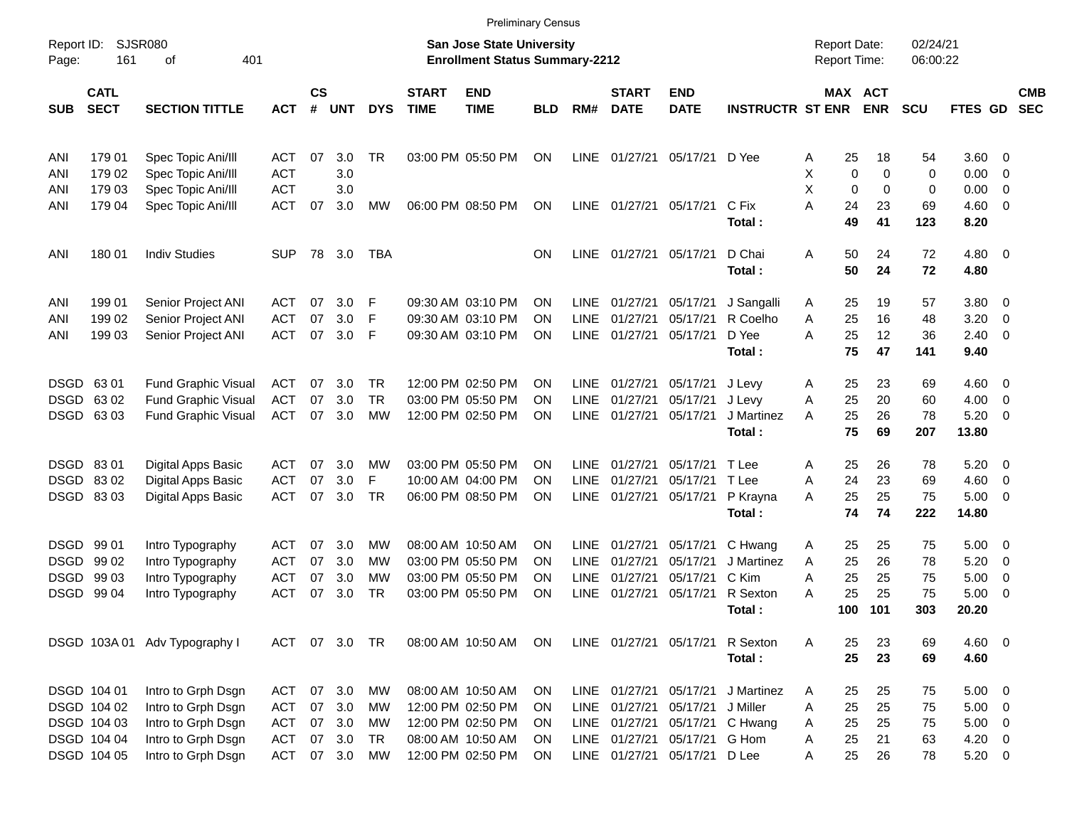|                     |                            |                               |            |                    |            |            |                             |                                                                           | <b>Preliminary Census</b> |             |                             |                              |                         |                                     |             |                      |                   |                          |                          |
|---------------------|----------------------------|-------------------------------|------------|--------------------|------------|------------|-----------------------------|---------------------------------------------------------------------------|---------------------------|-------------|-----------------------------|------------------------------|-------------------------|-------------------------------------|-------------|----------------------|-------------------|--------------------------|--------------------------|
| Report ID:<br>Page: | 161                        | <b>SJSR080</b><br>401<br>οf   |            |                    |            |            |                             | <b>San Jose State University</b><br><b>Enrollment Status Summary-2212</b> |                           |             |                             |                              |                         | <b>Report Date:</b><br>Report Time: |             | 02/24/21<br>06:00:22 |                   |                          |                          |
| <b>SUB</b>          | <b>CATL</b><br><b>SECT</b> | <b>SECTION TITTLE</b>         | <b>ACT</b> | $\mathsf{cs}$<br># | <b>UNT</b> | <b>DYS</b> | <b>START</b><br><b>TIME</b> | <b>END</b><br><b>TIME</b>                                                 | <b>BLD</b>                | RM#         | <b>START</b><br><b>DATE</b> | <b>END</b><br><b>DATE</b>    | <b>INSTRUCTR ST ENR</b> | MAX ACT                             | <b>ENR</b>  | <b>SCU</b>           | FTES GD           |                          | <b>CMB</b><br><b>SEC</b> |
| ANI                 | 179 01                     | Spec Topic Ani/III            | ACT        | 07                 | 3.0        | <b>TR</b>  |                             | 03:00 PM 05:50 PM                                                         | ON                        | <b>LINE</b> | 01/27/21                    | 05/17/21 D Yee               |                         | 25<br>Α                             | 18          | 54                   | $3.60 \ 0$        |                          |                          |
| ANI                 | 179 02                     | Spec Topic Ani/III            | <b>ACT</b> |                    | 3.0        |            |                             |                                                                           |                           |             |                             |                              |                         | х<br>$\mathbf 0$                    | 0           | 0                    | 0.00              | $\overline{\mathbf{0}}$  |                          |
| ANI                 | 179 03                     | Spec Topic Ani/III            | <b>ACT</b> |                    | 3.0        |            |                             |                                                                           |                           |             |                             |                              |                         | X<br>$\mathbf 0$                    | $\mathbf 0$ | 0                    | 0.00              | 0                        |                          |
| ANI                 | 179 04                     | Spec Topic Ani/III            | <b>ACT</b> | 07                 | 3.0        | MW         |                             | 06:00 PM 08:50 PM                                                         | ΟN                        | LINE        | 01/27/21 05/17/21           |                              | C Fix<br>Total:         | A<br>24<br>49                       | 23<br>41    | 69<br>123            | 4.60<br>8.20      | $\overline{\phantom{0}}$ |                          |
| ANI                 | 180 01                     | <b>Indiv Studies</b>          | <b>SUP</b> |                    | 78 3.0     | <b>TBA</b> |                             |                                                                           | ΟN                        | <b>LINE</b> | 01/27/21 05/17/21           |                              | D Chai<br>Total:        | Α<br>50<br>50                       | 24<br>24    | 72<br>72             | $4.80\ 0$<br>4.80 |                          |                          |
| ANI                 | 199 01                     | Senior Project ANI            | ACT        | 07                 | 3.0        | F          |                             | 09:30 AM 03:10 PM                                                         | ΟN                        | <b>LINE</b> | 01/27/21                    | 05/17/21                     | J Sangalli              | 25<br>A                             | 19          | 57                   | 3.80 0            |                          |                          |
| ANI                 | 199 02                     | Senior Project ANI            | ACT        | 07                 | 3.0        | F          |                             | 09:30 AM 03:10 PM                                                         | OΝ                        | <b>LINE</b> | 01/27/21                    | 05/17/21                     | R Coelho                | 25<br>Α                             | 16          | 48                   | 3.20              | 0                        |                          |
| ANI                 | 199 03                     | Senior Project ANI            | <b>ACT</b> | 07                 | 3.0        | F          |                             | 09:30 AM 03:10 PM                                                         | ΟN                        | <b>LINE</b> | 01/27/21                    | 05/17/21                     | D Yee<br>Total:         | A<br>25<br>75                       | 12<br>47    | 36<br>141            | 2.40<br>9.40      | $\overline{\mathbf{0}}$  |                          |
| DSGD 6301           |                            | <b>Fund Graphic Visual</b>    | ACT        | 07                 | 3.0        | TR.        |                             | 12:00 PM 02:50 PM                                                         | OΝ                        | <b>LINE</b> | 01/27/21                    | 05/17/21                     | J Levy                  | 25<br>Α                             | 23          | 69                   | $4.60 \quad 0$    |                          |                          |
|                     | DSGD 6302                  | <b>Fund Graphic Visual</b>    | <b>ACT</b> | 07                 | 3.0        | <b>TR</b>  |                             | 03:00 PM 05:50 PM                                                         | ΟN                        | <b>LINE</b> | 01/27/21                    | 05/17/21                     | J Levy                  | 25<br>Α                             | 20          | 60                   | 4.00              | $\overline{\phantom{0}}$ |                          |
|                     | DSGD 63 03                 | <b>Fund Graphic Visual</b>    | <b>ACT</b> | 07                 | 3.0        | МW         |                             | 12:00 PM 02:50 PM                                                         | ΟN                        | <b>LINE</b> | 01/27/21                    | 05/17/21                     | J Martinez              | 25<br>A                             | 26          | 78                   | 5.20              | $\overline{\mathbf{0}}$  |                          |
|                     |                            |                               |            |                    |            |            |                             |                                                                           |                           |             |                             |                              | Total:                  | 75                                  | 69          | 207                  | 13.80             |                          |                          |
| DSGD 8301           |                            | Digital Apps Basic            | ACT        | 07                 | 3.0        | МW         |                             | 03:00 PM 05:50 PM                                                         | ON                        | <b>LINE</b> | 01/27/21                    | 05/17/21                     | T Lee                   | 25<br>Α                             | 26          | 78                   | 5.20              | $\overline{\mathbf{0}}$  |                          |
|                     | DSGD 8302                  | Digital Apps Basic            | ACT        | 07                 | 3.0        | F          |                             | 10:00 AM 04:00 PM                                                         | OΝ                        | <b>LINE</b> | 01/27/21                    | 05/17/21                     | T Lee                   | 24<br>Α                             | 23          | 69                   | 4.60              | $\overline{\mathbf{0}}$  |                          |
|                     | DSGD 8303                  | Digital Apps Basic            | <b>ACT</b> | 07                 | 3.0        | TR         |                             | 06:00 PM 08:50 PM                                                         | ΟN                        | LINE        | 01/27/21                    | 05/17/21                     | P Krayna                | 25<br>А                             | 25          | 75                   | 5.00              | $\overline{\phantom{0}}$ |                          |
|                     |                            |                               |            |                    |            |            |                             |                                                                           |                           |             |                             |                              | Total:                  | 74                                  | 74          | 222                  | 14.80             |                          |                          |
| DSGD 99 01          |                            | Intro Typography              | ACT        | 07                 | 3.0        | MW         |                             | 08:00 AM 10:50 AM                                                         | OΝ                        | <b>LINE</b> | 01/27/21                    | 05/17/21                     | C Hwang                 | 25<br>Α                             | 25          | 75                   | 5.00              | $\overline{\phantom{0}}$ |                          |
|                     | DSGD 99 02                 | Intro Typography              | ACT        | 07                 | 3.0        | МW         |                             | 03:00 PM 05:50 PM                                                         | OΝ                        | <b>LINE</b> | 01/27/21                    | 05/17/21                     | J Martinez              | 25<br>Α                             | 26          | 78                   | 5.20              | $\overline{\mathbf{0}}$  |                          |
|                     | DSGD 99 03                 | Intro Typography              | <b>ACT</b> | 07                 | 3.0        | МW         |                             | 03:00 PM 05:50 PM                                                         | OΝ                        | <b>LINE</b> | 01/27/21                    | 05/17/21                     | C Kim                   | 25<br>Α                             | 25          | 75                   | 5.00              | $\overline{\mathbf{0}}$  |                          |
|                     | DSGD 99 04                 | Intro Typography              | <b>ACT</b> | 07                 | 3.0        | TR         |                             | 03:00 PM 05:50 PM                                                         | ΟN                        | <b>LINE</b> | 01/27/21                    | 05/17/21                     | R Sexton                | 25<br>А                             | 25          | 75                   | 5.00              | - 0                      |                          |
|                     |                            |                               |            |                    |            |            |                             |                                                                           |                           |             |                             |                              | Total:                  | 100                                 | 101         | 303                  | 20.20             |                          |                          |
|                     |                            | DSGD 103A 01 Adv Typography I | ACT        |                    | 07 3.0 TR  |            |                             | 08:00 AM 10:50 AM                                                         | ON                        |             |                             | LINE 01/27/21 05/17/21       | R Sexton                | 25<br>Α                             | 23          | 69                   | 4.60 0            |                          |                          |
|                     |                            |                               |            |                    |            |            |                             |                                                                           |                           |             |                             |                              | Total:                  | 25                                  | 23          | 69                   | 4.60              |                          |                          |
|                     | DSGD 104 01                | Intro to Grph Dsgn            | <b>ACT</b> |                    | 07 3.0     | МW         |                             | 08:00 AM 10:50 AM                                                         | 0N                        |             |                             | LINE 01/27/21 05/17/21       | J Martinez              | 25<br>A                             | 25          | 75                   | $5.00 \t 0$       |                          |                          |
|                     | DSGD 104 02                | Intro to Grph Dsgn            | <b>ACT</b> | 07                 | 3.0        | МW         |                             | 12:00 PM 02:50 PM                                                         | 0N                        | LINE        | 01/27/21                    | 05/17/21                     | J Miller                | 25<br>Α                             | 25          | 75                   | $5.00 \t 0$       |                          |                          |
|                     | DSGD 104 03                | Intro to Grph Dsgn            | <b>ACT</b> | 07                 | 3.0        | МW         |                             | 12:00 PM 02:50 PM                                                         | 0N                        | LINE        | 01/27/21                    |                              | 05/17/21 C Hwang        | 25<br>Α                             | 25          | 75                   | $5.00 \t 0$       |                          |                          |
|                     | DSGD 104 04                | Intro to Grph Dsgn            | <b>ACT</b> | 07                 | 3.0        | <b>TR</b>  |                             | 08:00 AM 10:50 AM                                                         | ΟN                        | LINE        | 01/27/21                    | 05/17/21 G Hom               |                         | 25<br>Α                             | 21          | 63                   | $4.20 \ 0$        |                          |                          |
|                     | DSGD 104 05                | Intro to Grph Dsgn            | <b>ACT</b> |                    | 07 3.0     | MW         |                             | 12:00 PM 02:50 PM                                                         | <b>ON</b>                 |             |                             | LINE 01/27/21 05/17/21 D Lee |                         | 25<br>Α                             | 26          | 78                   | 5.20 0            |                          |                          |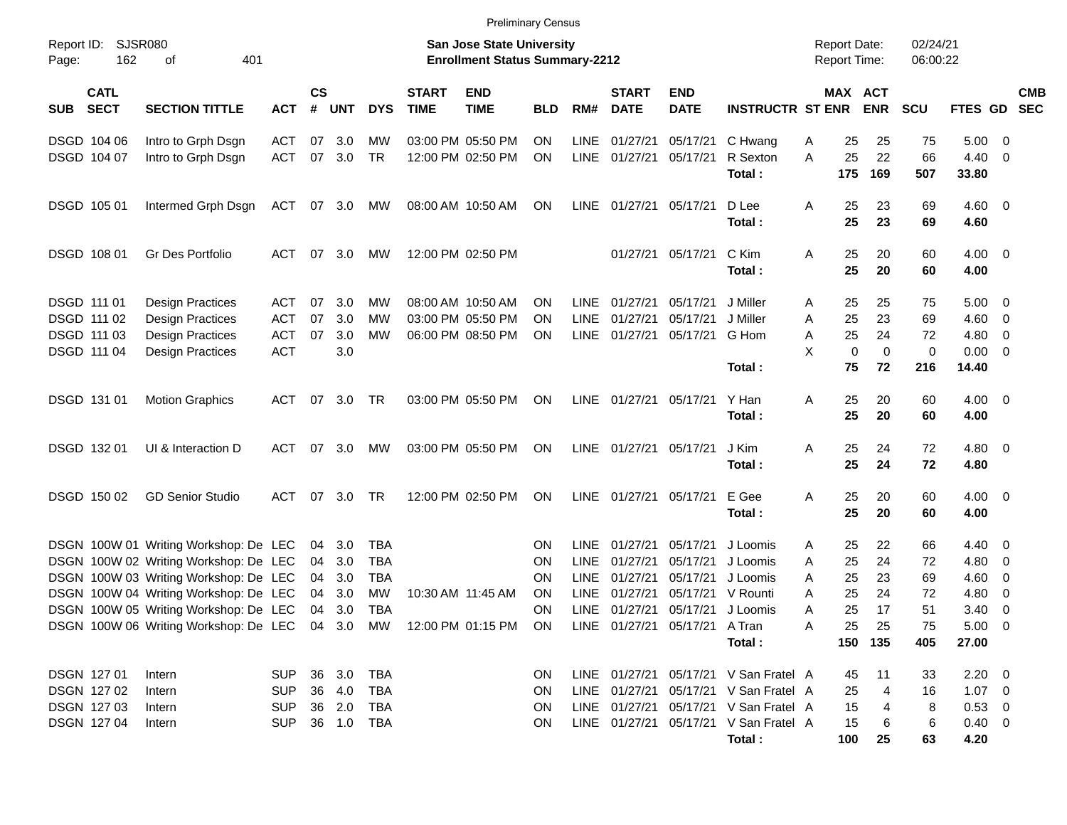|                                          |                                                                                                    |            |                    |            |            |                             | <b>Preliminary Census</b>                                                 |            |             |                             |                           |                                       |   |                                     |             |                      |                    |                         |            |
|------------------------------------------|----------------------------------------------------------------------------------------------------|------------|--------------------|------------|------------|-----------------------------|---------------------------------------------------------------------------|------------|-------------|-----------------------------|---------------------------|---------------------------------------|---|-------------------------------------|-------------|----------------------|--------------------|-------------------------|------------|
| Report ID:<br>162<br>Page:               | <b>SJSR080</b><br>401<br>оf                                                                        |            |                    |            |            |                             | <b>San Jose State University</b><br><b>Enrollment Status Summary-2212</b> |            |             |                             |                           |                                       |   | <b>Report Date:</b><br>Report Time: |             | 02/24/21<br>06:00:22 |                    |                         |            |
| <b>CATL</b><br><b>SECT</b><br><b>SUB</b> | <b>SECTION TITTLE</b>                                                                              | <b>ACT</b> | $\mathsf{cs}$<br># | <b>UNT</b> | <b>DYS</b> | <b>START</b><br><b>TIME</b> | <b>END</b><br><b>TIME</b>                                                 | <b>BLD</b> | RM#         | <b>START</b><br><b>DATE</b> | <b>END</b><br><b>DATE</b> | <b>INSTRUCTR ST ENR</b>               |   | MAX ACT                             | <b>ENR</b>  | <b>SCU</b>           | FTES GD SEC        |                         | <b>CMB</b> |
| DSGD 104 06                              | Intro to Grph Dsgn                                                                                 | <b>ACT</b> | 07                 | 3.0        | МW         |                             | 03:00 PM 05:50 PM                                                         | ΟN         | <b>LINE</b> | 01/27/21                    | 05/17/21                  | C Hwang                               | Α | 25                                  | 25          | 75                   | 5.00               | - 0                     |            |
| DSGD 104 07                              | Intro to Grph Dsgn                                                                                 | <b>ACT</b> | 07                 | 3.0        | <b>TR</b>  |                             | 12:00 PM 02:50 PM                                                         | ΟN         | <b>LINE</b> | 01/27/21                    | 05/17/21                  | R Sexton<br>Total:                    | A | 25<br>175                           | 22<br>169   | 66<br>507            | 4.40<br>33.80      | $\overline{0}$          |            |
| DSGD 105 01                              | Intermed Grph Dsgn                                                                                 | ACT        |                    | 07 3.0     | MW         |                             | 08:00 AM 10:50 AM                                                         | ON         | LINE        | 01/27/21                    | 05/17/21                  | D Lee<br>Total:                       | Α | 25<br>25                            | 23<br>23    | 69<br>69             | $4.60 \ 0$<br>4.60 |                         |            |
| DSGD 108 01                              | Gr Des Portfolio                                                                                   | ACT        |                    | 07 3.0     | MW         |                             | 12:00 PM 02:50 PM                                                         |            |             | 01/27/21                    | 05/17/21                  | C Kim<br>Total:                       | Α | 25<br>25                            | 20<br>20    | 60<br>60             | $4.00 \ 0$<br>4.00 |                         |            |
| DSGD 111 01                              | <b>Design Practices</b>                                                                            | <b>ACT</b> | 07                 | -3.0       | МW         |                             | 08:00 AM 10:50 AM                                                         | ΟN         | <b>LINE</b> | 01/27/21                    | 05/17/21                  | J Miller                              | Α | 25                                  | 25          | 75                   | 5.00               | $\overline{\mathbf{0}}$ |            |
| DSGD 111 02                              | <b>Design Practices</b>                                                                            | <b>ACT</b> | 07                 | 3.0        | МW         |                             | 03:00 PM 05:50 PM                                                         | ΟN         | <b>LINE</b> | 01/27/21                    | 05/17/21                  | J Miller                              | Α | 25                                  | 23          | 69                   | 4.60               | $\overline{0}$          |            |
| DSGD 111 03                              | <b>Design Practices</b>                                                                            | <b>ACT</b> | 07                 | 3.0        | МW         |                             | 06:00 PM 08:50 PM                                                         | ΟN         | <b>LINE</b> | 01/27/21                    | 05/17/21                  | G Hom                                 | Α | 25                                  | 24          | 72                   | 4.80               | 0                       |            |
| DSGD 111 04                              | <b>Design Practices</b>                                                                            | <b>ACT</b> |                    | 3.0        |            |                             |                                                                           |            |             |                             |                           |                                       | X | $\mathbf 0$                         | $\mathbf 0$ | $\mathbf 0$          | 0.00               | - 0                     |            |
|                                          |                                                                                                    |            |                    |            |            |                             |                                                                           |            |             |                             |                           | Total:                                |   | 75                                  | 72          | 216                  | 14.40              |                         |            |
| DSGD 131 01                              | <b>Motion Graphics</b>                                                                             | ACT        |                    | 07 3.0     | TR         |                             | 03:00 PM 05:50 PM                                                         | ON         | LINE        | 01/27/21                    | 05/17/21                  | Y Han<br>Total:                       | Α | 25<br>25                            | 20<br>20    | 60<br>60             | $4.00 \ 0$<br>4.00 |                         |            |
| DSGD 132 01                              | UI & Interaction D                                                                                 | ACT        |                    | 07 3.0     | MW         |                             | 03:00 PM 05:50 PM                                                         | ΟN         | LINE        | 01/27/21                    | 05/17/21                  | J Kim<br>Total:                       | Α | 25<br>25                            | 24<br>24    | 72<br>72             | $4.80\ 0$<br>4.80  |                         |            |
| DSGD 150 02                              | <b>GD Senior Studio</b>                                                                            | ACT        |                    | 07 3.0     | TR         |                             | 12:00 PM 02:50 PM                                                         | ON         | <b>LINE</b> | 01/27/21                    | 05/17/21                  | E Gee<br>Total:                       | Α | 25<br>25                            | 20<br>20    | 60<br>60             | $4.00 \ 0$<br>4.00 |                         |            |
|                                          | DSGN 100W 01 Writing Workshop: De LEC                                                              |            | 04                 | 3.0        | TBA        |                             |                                                                           | ΟN         | <b>LINE</b> | 01/27/21                    | 05/17/21                  | J Loomis                              | A | 25                                  | 22          | 66                   | 4.40               | $\overline{0}$          |            |
|                                          | DSGN 100W 02 Writing Workshop: De LEC                                                              |            | 04                 | 3.0        | TBA        |                             |                                                                           | ΟN         | <b>LINE</b> | 01/27/21                    | 05/17/21                  | J Loomis                              | A | 25                                  | 24          | 72                   | 4.80               | 0                       |            |
|                                          | DSGN 100W 03 Writing Workshop: De LEC                                                              |            | 04                 | 3.0        | <b>TBA</b> |                             |                                                                           | ΟN         | <b>LINE</b> | 01/27/21                    | 05/17/21                  | J Loomis                              | Α | 25                                  | 23          | 69                   | 4.60               | 0                       |            |
|                                          | DSGN 100W 04 Writing Workshop: De LEC                                                              |            | 04                 | 3.0        | МW         |                             | 10:30 AM 11:45 AM                                                         | ON         | <b>LINE</b> | 01/27/21                    | 05/17/21                  | V Rounti                              | A | 25                                  | 24          | 72                   | 4.80               | 0                       |            |
|                                          | DSGN 100W 05 Writing Workshop: De LEC                                                              |            | 04                 | 3.0        | TBA        |                             |                                                                           | ΟN         | <b>LINE</b> | 01/27/21                    | 05/17/21                  | J Loomis                              | Α | 25                                  | 17          | 51                   | 3.40               | 0                       |            |
|                                          | DSGN 100W 06 Writing Workshop: De LEC 04 3.0 MW 12:00 PM 01:15 PM ON LINE 01/27/21 05/17/21 A Tran |            |                    |            |            |                             |                                                                           |            |             |                             |                           |                                       | Α | 25                                  | 25          | 75                   | $5.00 \t 0$        |                         |            |
|                                          |                                                                                                    |            |                    |            |            |                             |                                                                           |            |             |                             |                           | Total:                                |   |                                     | 150 135     | 405                  | 27.00              |                         |            |
| DSGN 127 01                              | Intern                                                                                             | <b>SUP</b> |                    | 36 3.0     | TBA        |                             |                                                                           | ON.        |             |                             |                           | LINE 01/27/21 05/17/21 V San Fratel A |   | 45                                  | 11          | 33                   | $2.20 \t 0$        |                         |            |
| DSGN 127 02                              | Intern                                                                                             | <b>SUP</b> |                    | 36 4.0     | TBA        |                             |                                                                           | ON         |             |                             |                           | LINE 01/27/21 05/17/21 V San Fratel A |   | 25                                  | 4           | 16                   | $1.07 \t 0$        |                         |            |
| DSGN 127 03                              | Intern                                                                                             | <b>SUP</b> |                    | 36 2.0     | TBA        |                             |                                                                           | ON         |             |                             |                           | LINE 01/27/21 05/17/21 V San Fratel A |   | 15                                  | 4           | 8                    | $0.53 \ 0$         |                         |            |
| DSGN 127 04                              | Intern                                                                                             | <b>SUP</b> |                    | 36 1.0 TBA |            |                             |                                                                           | ON         |             |                             |                           | LINE 01/27/21 05/17/21 V San Fratel A |   | 15                                  | 6           | 6                    | $0.40 \quad 0$     |                         |            |
|                                          |                                                                                                    |            |                    |            |            |                             |                                                                           |            |             |                             |                           | Total:                                |   | 100                                 | 25          | 63                   | 4.20               |                         |            |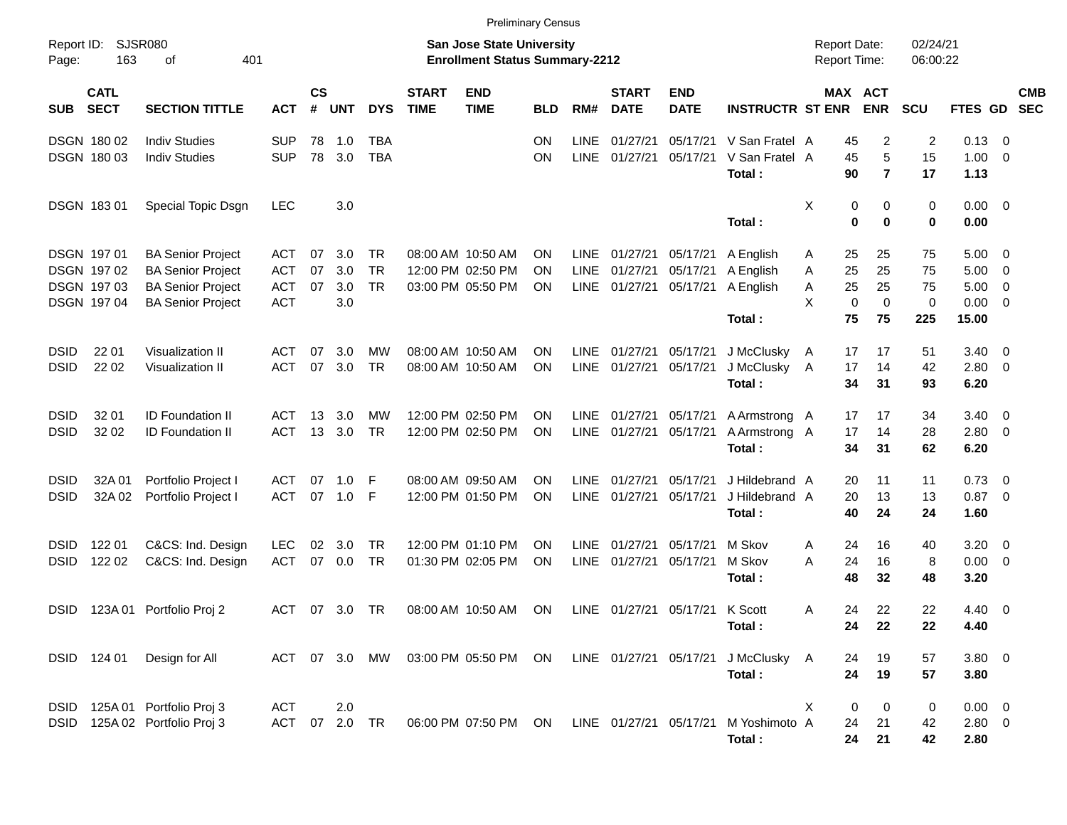|                            |                                                                |                                                                                                              |                                               |                       |                          |                               |                             | <b>Preliminary Census</b>                                                 |                                     |                            |                                  |                                  |                                                                    |                                                         |                                     |                            |                                       |                                                           |                          |
|----------------------------|----------------------------------------------------------------|--------------------------------------------------------------------------------------------------------------|-----------------------------------------------|-----------------------|--------------------------|-------------------------------|-----------------------------|---------------------------------------------------------------------------|-------------------------------------|----------------------------|----------------------------------|----------------------------------|--------------------------------------------------------------------|---------------------------------------------------------|-------------------------------------|----------------------------|---------------------------------------|-----------------------------------------------------------|--------------------------|
| Report ID:<br>Page:        | <b>SJSR080</b><br>163                                          | 401<br>οf                                                                                                    |                                               |                       |                          |                               |                             | <b>San Jose State University</b><br><b>Enrollment Status Summary-2212</b> |                                     |                            |                                  |                                  |                                                                    | <b>Report Date:</b><br>Report Time:                     |                                     | 02/24/21<br>06:00:22       |                                       |                                                           |                          |
| <b>SUB</b>                 | <b>CATL</b><br><b>SECT</b>                                     | <b>SECTION TITTLE</b>                                                                                        | <b>ACT</b>                                    | $\mathsf{cs}$<br>$\#$ | <b>UNT</b>               | <b>DYS</b>                    | <b>START</b><br><b>TIME</b> | <b>END</b><br><b>TIME</b>                                                 | <b>BLD</b>                          | RM#                        | <b>START</b><br><b>DATE</b>      | <b>END</b><br><b>DATE</b>        | <b>INSTRUCTR ST ENR</b>                                            | MAX ACT                                                 | <b>ENR</b>                          | <b>SCU</b>                 | <b>FTES GD</b>                        |                                                           | <b>CMB</b><br><b>SEC</b> |
|                            | DSGN 180 02<br>DSGN 180 03                                     | <b>Indiv Studies</b><br><b>Indiv Studies</b>                                                                 | <b>SUP</b><br><b>SUP</b>                      | 78<br>78              | 1.0<br>3.0               | <b>TBA</b><br><b>TBA</b>      |                             |                                                                           | <b>ON</b><br>ON                     | <b>LINE</b><br><b>LINE</b> | 01/27/21<br>01/27/21             | 05/17/21<br>05/17/21             | V San Fratel A<br>V San Fratel A<br>Total:                         | 45<br>45<br>90                                          | 2<br>5<br>$\overline{7}$            | $\overline{2}$<br>15<br>17 | 0.13<br>1.00<br>1.13                  | $\overline{0}$<br>$\overline{0}$                          |                          |
|                            | DSGN 18301                                                     | Special Topic Dsgn                                                                                           | <b>LEC</b>                                    |                       | 3.0                      |                               |                             |                                                                           |                                     |                            |                                  |                                  | Total:                                                             | X<br>0<br>0                                             | 0<br>0                              | 0<br>$\mathbf 0$           | 0.00<br>0.00                          | $\overline{\mathbf{0}}$                                   |                          |
|                            | <b>DSGN 19701</b><br>DSGN 197 02<br>DSGN 197 03<br>DSGN 197 04 | <b>BA Senior Project</b><br><b>BA Senior Project</b><br><b>BA Senior Project</b><br><b>BA Senior Project</b> | ACT<br><b>ACT</b><br><b>ACT</b><br><b>ACT</b> | 07<br>07<br>07        | 3.0<br>3.0<br>3.0<br>3.0 | TR.<br><b>TR</b><br><b>TR</b> |                             | 08:00 AM 10:50 AM<br>12:00 PM 02:50 PM<br>03:00 PM 05:50 PM               | <b>ON</b><br><b>ON</b><br><b>ON</b> | LINE<br>LINE<br>LINE       | 01/27/21<br>01/27/21<br>01/27/21 | 05/17/21<br>05/17/21<br>05/17/21 | A English<br>A English<br>A English<br>Total:                      | 25<br>A<br>25<br>A<br>25<br>Α<br>X<br>$\mathbf 0$<br>75 | 25<br>25<br>25<br>$\mathbf 0$<br>75 | 75<br>75<br>75<br>0<br>225 | 5.00<br>5.00<br>5.00<br>0.00<br>15.00 | - 0<br>$\overline{0}$<br>$\overline{0}$<br>$\overline{0}$ |                          |
| <b>DSID</b><br><b>DSID</b> | 22 01<br>22 02                                                 | Visualization II<br>Visualization II                                                                         | ACT<br><b>ACT</b>                             | 07<br>07              | 3.0<br>3.0               | МW<br><b>TR</b>               |                             | 08:00 AM 10:50 AM<br>08:00 AM 10:50 AM                                    | <b>ON</b><br><b>ON</b>              | LINE<br>LINE               | 01/27/21<br>01/27/21             | 05/17/21<br>05/17/21             | J McClusky<br>J McClusky<br>Total:                                 | A<br>17<br>17<br>A<br>34                                | 17<br>14<br>31                      | 51<br>42<br>93             | 3.40<br>2.80<br>6.20                  | $\overline{\mathbf{0}}$<br>$\overline{0}$                 |                          |
| <b>DSID</b><br><b>DSID</b> | 32 01<br>32 02                                                 | <b>ID Foundation II</b><br><b>ID Foundation II</b>                                                           | ACT<br><b>ACT</b>                             | 13<br>13              | 3.0<br>3.0               | МW<br><b>TR</b>               |                             | 12:00 PM 02:50 PM<br>12:00 PM 02:50 PM                                    | <b>ON</b><br><b>ON</b>              | LINE<br>LINE               | 01/27/21<br>01/27/21             | 05/17/21<br>05/17/21             | A Armstrong A<br>A Armstrong A<br>Total:                           | 17<br>17<br>34                                          | 17<br>14<br>31                      | 34<br>28<br>62             | 3.40<br>2.80<br>6.20                  | $\overline{\mathbf{0}}$<br>$\overline{0}$                 |                          |
| <b>DSID</b><br><b>DSID</b> | 32A 01<br>32A 02                                               | Portfolio Project I<br>Portfolio Project I                                                                   | <b>ACT</b><br><b>ACT</b>                      | 07<br>07              | 1.0<br>1.0               | F<br>F                        |                             | 08:00 AM 09:50 AM<br>12:00 PM 01:50 PM                                    | <b>ON</b><br><b>ON</b>              | <b>LINE</b><br>LINE        | 01/27/21<br>01/27/21             | 05/17/21<br>05/17/21             | J Hildebrand A<br>J Hildebrand A<br>Total:                         | 20<br>20<br>40                                          | 11<br>13<br>24                      | 11<br>13<br>24             | 0.73<br>0.87<br>1.60                  | $\overline{\mathbf{0}}$<br>$\overline{0}$                 |                          |
| <b>DSID</b><br><b>DSID</b> | 122 01<br>122 02                                               | C&CS: Ind. Design<br>C&CS: Ind. Design                                                                       | <b>LEC</b><br><b>ACT</b>                      | 02<br>07              | 3.0<br>0.0               | <b>TR</b><br><b>TR</b>        |                             | 12:00 PM 01:10 PM<br>01:30 PM 02:05 PM                                    | <b>ON</b><br><b>ON</b>              | <b>LINE</b><br>LINE        | 01/27/21<br>01/27/21             | 05/17/21<br>05/17/21             | M Skov<br>M Skov<br>Total:                                         | A<br>24<br>24<br>A<br>48                                | 16<br>16<br>32                      | 40<br>8<br>48              | 3.20<br>0.00<br>3.20                  | $\overline{0}$<br>$\overline{0}$                          |                          |
| <b>DSID</b>                | 123A 01                                                        | Portfolio Proj 2                                                                                             | <b>ACT</b>                                    | 07                    | 3.0                      | TR                            |                             | 08:00 AM 10:50 AM                                                         | <b>ON</b>                           |                            | LINE 01/27/21                    | 05/17/21                         | K Scott<br>Total:                                                  | 24<br>A<br>24                                           | 22<br>22                            | 22<br>22                   | 4.40<br>4.40                          | $\overline{\mathbf{0}}$                                   |                          |
|                            | DSID 124 01                                                    | Design for All                                                                                               |                                               |                       |                          | ACT 07 3.0 MW                 |                             |                                                                           |                                     |                            |                                  |                                  | 03:00 PM 05:50 PM ON LINE 01/27/21 05/17/21 J McClusky A<br>Total: | 24<br>24                                                | 19<br>19                            | 57<br>57                   | $3.80\ 0$<br>3.80                     |                                                           |                          |
| <b>DSID</b>                |                                                                | 125A 01 Portfolio Proj 3<br>DSID 125A 02 Portfolio Proj 3                                                    | <b>ACT</b><br>ACT 07 2.0 TR                   |                       | 2.0                      |                               |                             | 06:00 PM 07:50 PM ON                                                      |                                     |                            | LINE 01/27/21 05/17/21           |                                  | M Yoshimoto A<br>Total:                                            | X<br>0<br>24<br>24                                      | $\mathbf 0$<br>21<br>21             | 0<br>42<br>42              | $0.00 \t 0$<br>2.80 0<br>2.80         |                                                           |                          |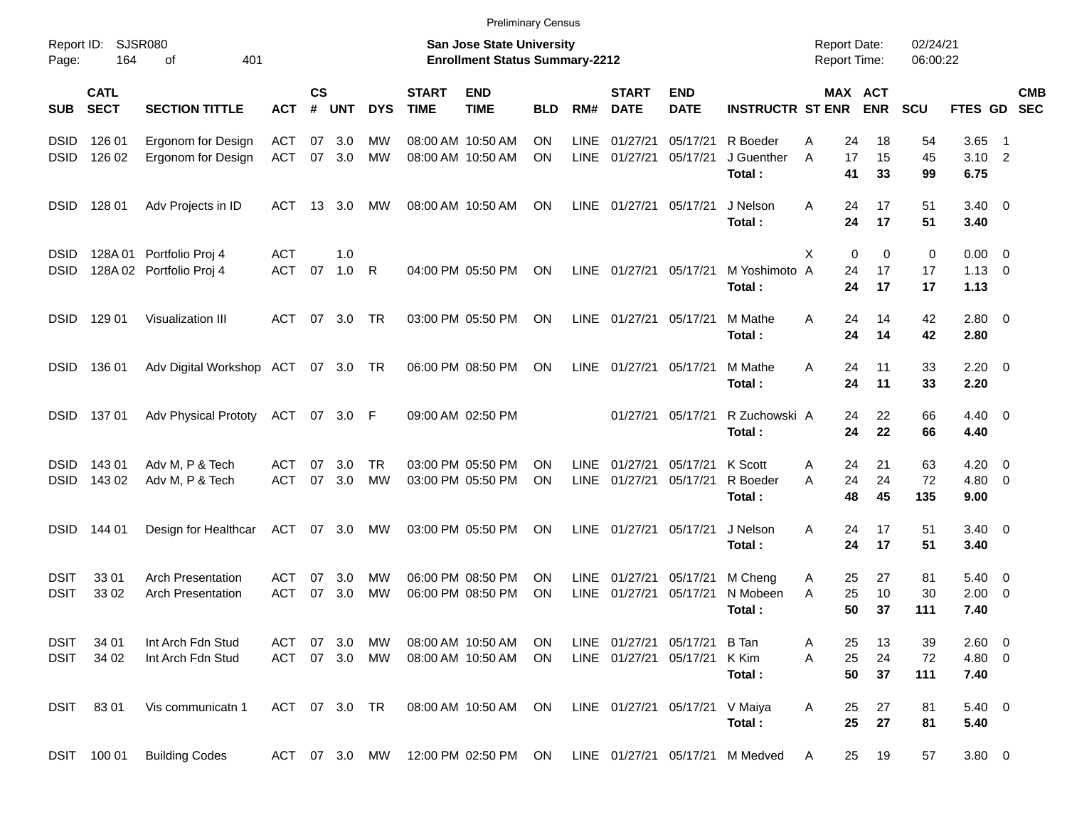|                     |                            |                                                      |                   |                |            |               |                             | <b>Preliminary Census</b>                                                 |            |                     |                             |                                |                                 |                                            |                       |                      |                                |                          |            |
|---------------------|----------------------------|------------------------------------------------------|-------------------|----------------|------------|---------------|-----------------------------|---------------------------------------------------------------------------|------------|---------------------|-----------------------------|--------------------------------|---------------------------------|--------------------------------------------|-----------------------|----------------------|--------------------------------|--------------------------|------------|
| Report ID:<br>Page: | 164                        | SJSR080<br>401<br>οf                                 |                   |                |            |               |                             | <b>San Jose State University</b><br><b>Enrollment Status Summary-2212</b> |            |                     |                             |                                |                                 | <b>Report Date:</b><br><b>Report Time:</b> |                       | 02/24/21<br>06:00:22 |                                |                          |            |
| <b>SUB</b>          | <b>CATL</b><br><b>SECT</b> | <b>SECTION TITTLE</b>                                | <b>ACT</b>        | <b>CS</b><br># | <b>UNT</b> | <b>DYS</b>    | <b>START</b><br><b>TIME</b> | <b>END</b><br><b>TIME</b>                                                 | <b>BLD</b> | RM#                 | <b>START</b><br><b>DATE</b> | <b>END</b><br><b>DATE</b>      | <b>INSTRUCTR ST ENR</b>         |                                            | MAX ACT<br><b>ENR</b> | <b>SCU</b>           | FTES GD SEC                    |                          | <b>CMB</b> |
| <b>DSID</b>         | 126 01                     | Ergonom for Design                                   | ACT               | 07             | 3.0        | <b>MW</b>     |                             | 08:00 AM 10:50 AM                                                         | ΟN         | <b>LINE</b>         | 01/27/21                    | 05/17/21                       | R Boeder                        | 24<br>Α                                    | 18                    | 54                   | 3.65                           | $\blacksquare$ 1         |            |
| <b>DSID</b>         | 126 02                     | Ergonom for Design                                   | ACT               |                | 07 3.0     | MW            |                             | 08:00 AM 10:50 AM                                                         | <b>ON</b>  | <b>LINE</b>         | 01/27/21                    | 05/17/21                       | J Guenther<br>Total:            | 17<br>A<br>41                              | 15<br>33              | 45<br>99             | $3.10$ 2<br>6.75               |                          |            |
| <b>DSID</b>         | 128 01                     | Adv Projects in ID                                   | ACT               |                | 13 3.0     | <b>MW</b>     |                             | 08:00 AM 10:50 AM                                                         | ON         | LINE                | 01/27/21                    | 05/17/21                       | J Nelson<br>Total:              | Α<br>24<br>24                              | 17<br>17              | 51<br>51             | $3.40 \ 0$<br>3.40             |                          |            |
| <b>DSID</b>         |                            | 128A 01 Portfolio Proj 4                             | <b>ACT</b>        |                | 1.0        |               |                             |                                                                           |            |                     |                             |                                |                                 | X                                          | 0<br>0                | $\mathbf 0$          | $0.00 \t 0$                    |                          |            |
| <b>DSID</b>         |                            | 128A 02 Portfolio Proj 4                             | <b>ACT</b>        | 07             | 1.0        | R             |                             | 04:00 PM 05:50 PM                                                         | ON         |                     | LINE 01/27/21 05/17/21      |                                | M Yoshimoto A<br>Total:         | 24<br>24                                   | 17<br>17              | 17<br>17             | $1.13 \ 0$<br>1.13             |                          |            |
| <b>DSID</b>         | 129 01                     | Visualization III                                    | ACT               |                | 07 3.0     | TR            |                             | 03:00 PM 05:50 PM                                                         | ON         |                     | LINE 01/27/21 05/17/21      |                                | M Mathe<br>Total:               | A<br>24<br>24                              | 14<br>14              | 42<br>42             | $2.80 \t 0$<br>2.80            |                          |            |
| <b>DSID</b>         | 136 01                     | Adv Digital Workshop ACT 07 3.0 TR                   |                   |                |            |               |                             | 06:00 PM 08:50 PM                                                         | ON         | LINE                | 01/27/21 05/17/21           |                                | M Mathe<br>Total:               | A<br>24<br>24                              | 11<br>11              | 33<br>33             | $2.20 \t 0$<br>2.20            |                          |            |
| <b>DSID</b>         | 13701                      | <b>Adv Physical Prototy</b>                          | ACT 07 3.0 F      |                |            |               |                             | 09:00 AM 02:50 PM                                                         |            |                     | 01/27/21                    | 05/17/21                       | R Zuchowski A<br>Total:         | 24<br>24                                   | 22<br>22              | 66<br>66             | $4.40 \quad 0$<br>4.40         |                          |            |
| <b>DSID</b>         | 14301                      | Adv M, P & Tech                                      | ACT               | 07             | 3.0        | TR            |                             | 03:00 PM 05:50 PM                                                         | ΟN         | <b>LINE</b>         | 01/27/21                    | 05/17/21                       | K Scott                         | 24<br>Α                                    | 21                    | 63                   | 4.20                           | $\overline{\phantom{0}}$ |            |
| <b>DSID</b>         | 143 02                     | Adv M, P & Tech                                      | <b>ACT</b>        | 07             | 3.0        | MW            |                             | 03:00 PM 05:50 PM                                                         | ΟN         | <b>LINE</b>         | 01/27/21                    | 05/17/21                       | R Boeder<br>Total:              | 24<br>A<br>48                              | 24<br>45              | 72<br>135            | $4.80\ 0$<br>9.00              |                          |            |
| <b>DSID</b>         | 144 01                     | Design for Healthcar                                 | ACT 07 3.0        |                |            | MW            |                             | 03:00 PM 05:50 PM                                                         | ON         | <b>LINE</b>         | 01/27/21                    | 05/17/21                       | J Nelson<br>Total:              | Α<br>24<br>24                              | 17<br>17              | 51<br>51             | $3.40 \ 0$<br>3.40             |                          |            |
| DSIT<br><b>DSIT</b> | 33 01<br>33 02             | <b>Arch Presentation</b><br><b>Arch Presentation</b> | ACT<br><b>ACT</b> | 07<br>07       | 3.0<br>3.0 | МW<br>MW      |                             | 06:00 PM 08:50 PM<br>06:00 PM 08:50 PM                                    | ON<br>ΟN   | <b>LINE</b><br>LINE | 01/27/21<br>01/27/21        | 05/17/21<br>05/17/21           | M Cheng<br>N Mobeen<br>Total:   | 25<br>A<br>25<br>A<br>50                   | 27<br>10<br>37        | 81<br>30<br>111      | $5.40 \quad 0$<br>2.00<br>7.40 | $\overline{\phantom{0}}$ |            |
| <b>DSIT</b>         | 34 01                      | Int Arch Fdn Stud                                    | ACT               |                | 07 3.0     | MW            |                             | 08:00 AM 10:50 AM                                                         | ON.        |                     |                             | LINE 01/27/21 05/17/21 B Tan   |                                 | 25<br>Α                                    | 13                    | 39                   | 2.60 0                         |                          |            |
| <b>DSIT</b>         | 34 02                      | Int Arch Fdn Stud                                    |                   |                |            | ACT 07 3.0 MW |                             | 08:00 AM 10:50 AM                                                         | ON         |                     |                             | LINE 01/27/21 05/17/21 K Kim   | Total:                          | 25<br>A<br>50                              | 24<br>37              | 72<br>111            | 4.80 0<br>7.40                 |                          |            |
|                     | DSIT 8301                  | Vis communicatn 1                                    | ACT 07 3.0 TR     |                |            |               |                             | 08:00 AM 10:50 AM                                                         | ON         |                     |                             | LINE 01/27/21 05/17/21 V Maiya | Total:                          | 25<br>Α<br>25                              | 27<br>27              | 81<br>81             | $5.40 \ 0$<br>5.40             |                          |            |
|                     | DSIT 100 01                | <b>Building Codes</b>                                |                   |                |            | ACT 07 3.0 MW |                             | 12:00 PM 02:50 PM ON                                                      |            |                     |                             |                                | LINE 01/27/21 05/17/21 M Medved | 25<br>A                                    | 19                    | 57                   | 3.80 0                         |                          |            |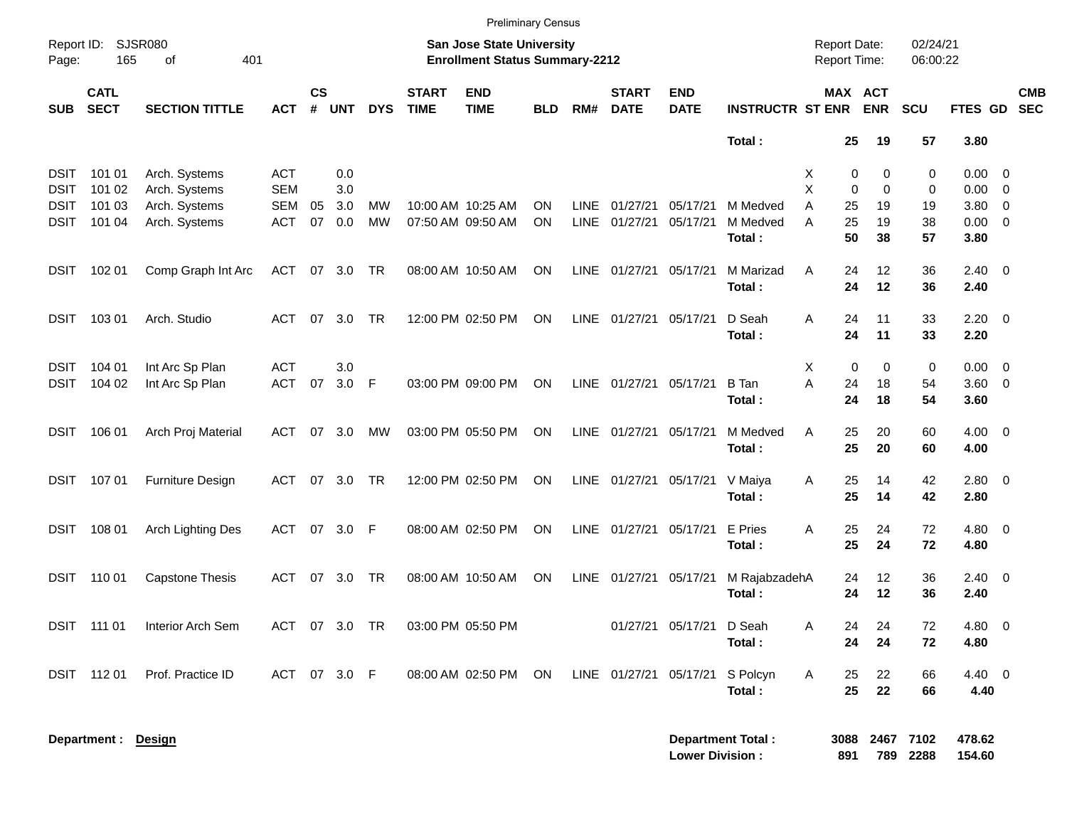|             |                            |                        |              |                |               |            |                             | <b>Preliminary Census</b>                                          |            |             |                             |                           |                          |                                     |                            |                      |                     |                          |  |
|-------------|----------------------------|------------------------|--------------|----------------|---------------|------------|-----------------------------|--------------------------------------------------------------------|------------|-------------|-----------------------------|---------------------------|--------------------------|-------------------------------------|----------------------------|----------------------|---------------------|--------------------------|--|
| Page:       | Report ID: SJSR080<br>165  | 401<br>of              |              |                |               |            |                             | San Jose State University<br><b>Enrollment Status Summary-2212</b> |            |             |                             |                           |                          | <b>Report Date:</b><br>Report Time: |                            | 02/24/21<br>06:00:22 |                     |                          |  |
| <b>SUB</b>  | <b>CATL</b><br><b>SECT</b> | <b>SECTION TITTLE</b>  | <b>ACT</b>   | <b>CS</b><br># | <b>UNT</b>    | <b>DYS</b> | <b>START</b><br><b>TIME</b> | <b>END</b><br><b>TIME</b>                                          | <b>BLD</b> | RM#         | <b>START</b><br><b>DATE</b> | <b>END</b><br><b>DATE</b> | <b>INSTRUCTR ST ENR</b>  |                                     | MAX ACT<br><b>ENR</b>      | <b>SCU</b>           | <b>FTES GD</b>      | <b>CMB</b><br><b>SEC</b> |  |
|             |                            |                        |              |                |               |            |                             |                                                                    |            |             |                             |                           | Total:                   |                                     | 25<br>19                   | 57                   | 3.80                |                          |  |
| <b>DSIT</b> | 101 01                     | Arch. Systems          | <b>ACT</b>   |                | 0.0           |            |                             |                                                                    |            |             |                             |                           |                          | Χ                                   | 0<br>0                     | 0                    | 0.00                | $\overline{\phantom{0}}$ |  |
| <b>DSIT</b> | 101 02                     | Arch. Systems          | <b>SEM</b>   |                | 3.0           |            |                             |                                                                    |            |             |                             |                           |                          | X                                   | $\mathbf 0$<br>$\mathbf 0$ | 0                    | 0.00                | $\overline{\phantom{0}}$ |  |
| <b>DSIT</b> | 101 03                     | Arch. Systems          | <b>SEM</b>   | 05             | 3.0           | MW         |                             | 10:00 AM 10:25 AM                                                  | ΟN         | <b>LINE</b> | 01/27/21                    | 05/17/21                  | M Medved                 | A<br>25                             | 19                         | 19                   | 3.80                | $\overline{0}$           |  |
| DSIT        | 101 04                     | Arch. Systems          | <b>ACT</b>   | 07             | 0.0           | <b>MW</b>  |                             | 07:50 AM 09:50 AM                                                  | ON         | <b>LINE</b> | 01/27/21                    | 05/17/21                  | M Medved<br>Total:       | A<br>25                             | 19<br>50<br>38             | 38<br>57             | 0.00<br>3.80        | $\overline{\mathbf{0}}$  |  |
| <b>DSIT</b> | 102 01                     | Comp Graph Int Arc     | <b>ACT</b>   |                | 07 3.0        | TR         |                             | 08:00 AM 10:50 AM                                                  | ON         |             | LINE 01/27/21 05/17/21      |                           | M Marizad<br>Total:      | A                                   | 24<br>12<br>24<br>12       | 36<br>36             | $2.40 \ 0$<br>2.40  |                          |  |
| <b>DSIT</b> | 103 01                     | Arch. Studio           | <b>ACT</b>   | 07             | 3.0           | <b>TR</b>  |                             | 12:00 PM 02:50 PM                                                  | ON         |             | LINE 01/27/21 05/17/21      |                           | D Seah<br>Total:         | Α                                   | 24<br>11<br>24<br>11       | 33<br>33             | $2.20 \t 0$<br>2.20 |                          |  |
| DSIT        | 104 01                     | Int Arc Sp Plan        | <b>ACT</b>   |                | 3.0           |            |                             |                                                                    |            |             |                             |                           |                          | Χ                                   | $\mathbf 0$<br>$\mathbf 0$ | 0                    | $0.00 \t 0$         |                          |  |
| DSIT        | 104 02                     | Int Arc Sp Plan        | <b>ACT</b>   | 07             | 3.0           | F          |                             | 03:00 PM 09:00 PM                                                  | ON         |             | LINE 01/27/21 05/17/21      |                           | <b>B</b> Tan             | A<br>24                             | 18                         | 54                   | $3.60 \ 0$          |                          |  |
|             |                            |                        |              |                |               |            |                             |                                                                    |            |             |                             |                           | Total:                   |                                     | 24<br>18                   | 54                   | 3.60                |                          |  |
| <b>DSIT</b> | 106 01                     | Arch Proj Material     | <b>ACT</b>   | 07             | 3.0           | МW         |                             | 03:00 PM 05:50 PM                                                  | ON         |             | LINE 01/27/21 05/17/21      |                           | M Medved                 | A                                   | 25<br>20                   | 60                   | $4.00 \ 0$          |                          |  |
|             |                            |                        |              |                |               |            |                             |                                                                    |            |             |                             |                           | Total:                   |                                     | 25<br>20                   | 60                   | 4.00                |                          |  |
| DSIT        | 107 01                     | Furniture Design       | <b>ACT</b>   | 07             | 3.0           | <b>TR</b>  |                             | 12:00 PM 02:50 PM                                                  | ON         |             | LINE 01/27/21 05/17/21      |                           | V Maiya                  | Α                                   | 25<br>14                   | 42                   | 2.80 0              |                          |  |
|             |                            |                        |              |                |               |            |                             |                                                                    |            |             |                             |                           | Total:                   |                                     | 25<br>14                   | 42                   | 2.80                |                          |  |
| <b>DSIT</b> | 108 01                     | Arch Lighting Des      | <b>ACT</b>   | 07             | 3.0           | F          |                             | 08:00 AM 02:50 PM                                                  | ON         |             | LINE 01/27/21 05/17/21      |                           | E Pries                  | Α                                   | 25<br>24                   | 72                   | $4.80$ 0            |                          |  |
|             |                            |                        |              |                |               |            |                             |                                                                    |            |             |                             |                           | Total:                   |                                     | 25<br>24                   | 72                   | 4.80                |                          |  |
| DSIT        | 110 01                     | <b>Capstone Thesis</b> | <b>ACT</b>   | 07             | 3.0           | TR         |                             | 08:00 AM 10:50 AM                                                  | ON         | LINE        | 01/27/21 05/17/21           |                           | M RajabzadehA            |                                     | 12<br>24                   | 36                   | $2.40 \ 0$          |                          |  |
|             |                            |                        |              |                |               |            |                             |                                                                    |            |             |                             |                           | Total:                   |                                     | 24<br>12                   | 36                   | 2.40                |                          |  |
|             | DSIT 111 01                | Interior Arch Sem      |              |                | ACT 07 3.0 TR |            |                             | 03:00 PM 05:50 PM                                                  |            |             |                             | 01/27/21 05/17/21         | D Seah                   | Α                                   | 24<br>24                   | 72                   | 4.80 0              |                          |  |
|             |                            |                        |              |                |               |            |                             |                                                                    |            |             |                             |                           | Total:                   |                                     | 24<br>24                   | 72                   | 4.80                |                          |  |
|             | DSIT 11201                 | Prof. Practice ID      | ACT 07 3.0 F |                |               |            |                             | 08:00 AM 02:50 PM                                                  | ON         |             | LINE 01/27/21 05/17/21      |                           | S Polcyn                 | A                                   | 22<br>25                   | 66                   | 4.40 0              |                          |  |
|             |                            |                        |              |                |               |            |                             |                                                                    |            |             |                             |                           | Total:                   |                                     | 25<br>22                   | 66                   | 4.40                |                          |  |
|             | Department : Design        |                        |              |                |               |            |                             |                                                                    |            |             |                             |                           | <b>Department Total:</b> |                                     | 3088 2467 7102             |                      | 478.62              |                          |  |
|             |                            |                        |              |                |               |            |                             |                                                                    |            |             |                             | <b>Lower Division:</b>    |                          | 891                                 |                            | 789 2288             | 154.60              |                          |  |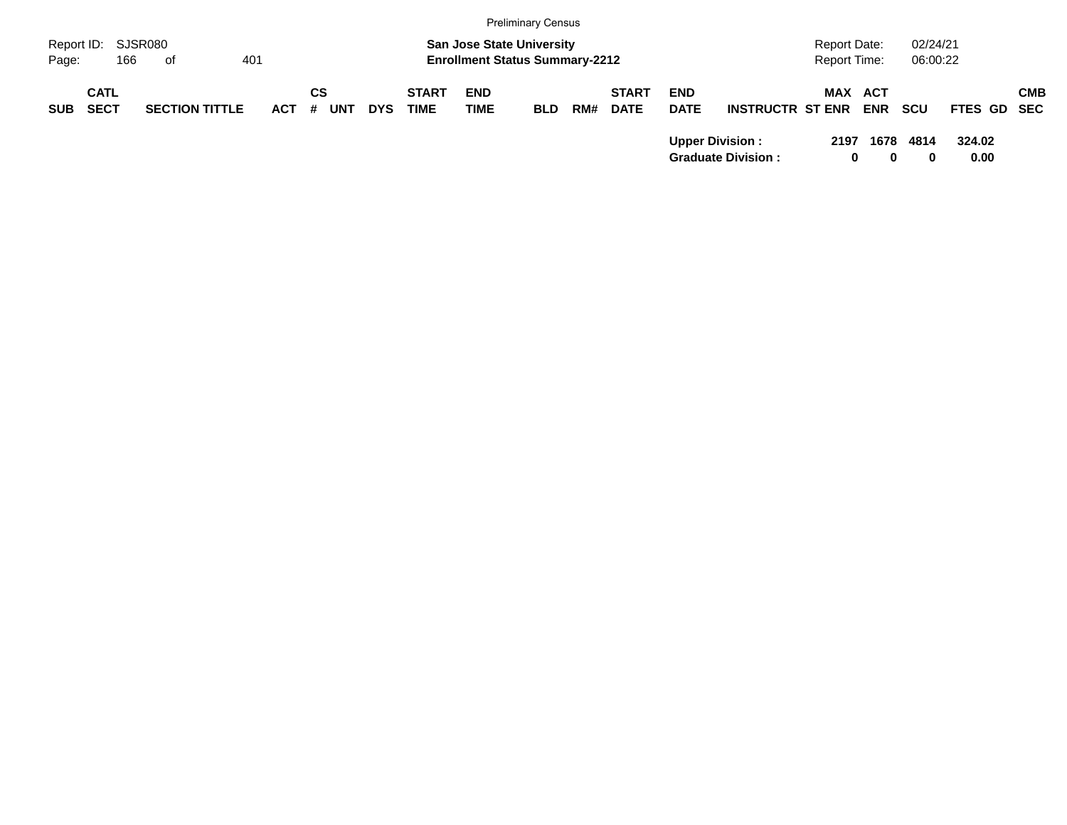|                                          |     |                       |            |                         |            |                             |                                                                           | <b>Preliminary Census</b> |     |                             |                           |                                                     |                                     |                       |                      |                    |            |
|------------------------------------------|-----|-----------------------|------------|-------------------------|------------|-----------------------------|---------------------------------------------------------------------------|---------------------------|-----|-----------------------------|---------------------------|-----------------------------------------------------|-------------------------------------|-----------------------|----------------------|--------------------|------------|
| Report ID: SJSR080<br>Page:              | 166 | of                    | 401        |                         |            |                             | <b>San Jose State University</b><br><b>Enrollment Status Summary-2212</b> |                           |     |                             |                           |                                                     | <b>Report Date:</b><br>Report Time: |                       | 02/24/21<br>06:00:22 |                    |            |
| <b>CATL</b><br><b>SECT</b><br><b>SUB</b> |     | <b>SECTION TITTLE</b> | <b>ACT</b> | СS<br>- #<br><b>UNT</b> | <b>DYS</b> | <b>START</b><br><b>TIME</b> | <b>END</b><br><b>TIME</b>                                                 | <b>BLD</b>                | RM# | <b>START</b><br><b>DATE</b> | <b>END</b><br><b>DATE</b> | <b>INSTRUCTR ST ENR</b>                             |                                     | MAX ACT<br><b>ENR</b> | <b>SCU</b>           | <b>FTES GD SEC</b> | <b>CMB</b> |
|                                          |     |                       |            |                         |            |                             |                                                                           |                           |     |                             |                           | <b>Upper Division:</b><br><b>Graduate Division:</b> | 2197                                | 1678<br>$\bf{0}$<br>0 | 4814<br>0            | 324.02<br>0.00     |            |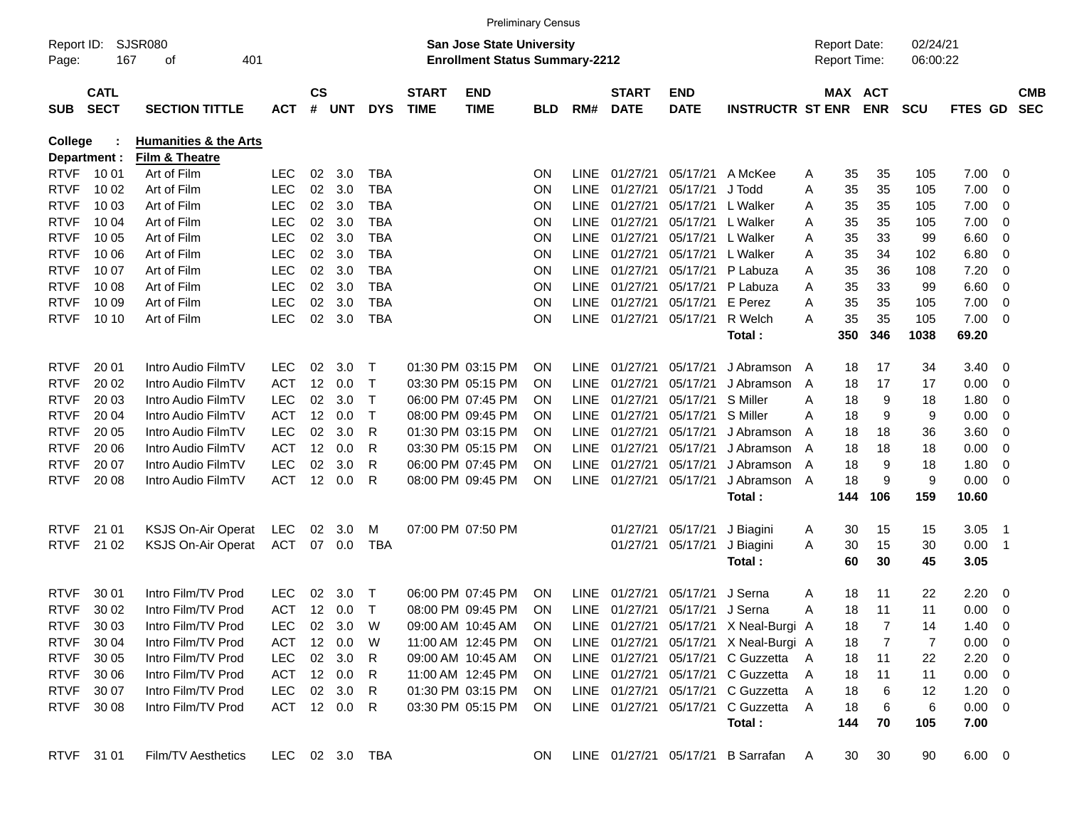|                     |                            |                                  |                |                |        |            |                             |                                                                    | <b>Preliminary Census</b> |             |                             |                           |                                       |     |                                            |            |                      |                |                          |                          |
|---------------------|----------------------------|----------------------------------|----------------|----------------|--------|------------|-----------------------------|--------------------------------------------------------------------|---------------------------|-------------|-----------------------------|---------------------------|---------------------------------------|-----|--------------------------------------------|------------|----------------------|----------------|--------------------------|--------------------------|
| Report ID:<br>Page: | 167                        | SJSR080<br>401<br>οf             |                |                |        |            |                             | San Jose State University<br><b>Enrollment Status Summary-2212</b> |                           |             |                             |                           |                                       |     | <b>Report Date:</b><br><b>Report Time:</b> |            | 02/24/21<br>06:00:22 |                |                          |                          |
| <b>SUB</b>          | <b>CATL</b><br><b>SECT</b> | <b>SECTION TITTLE</b>            | <b>ACT</b>     | <b>CS</b><br># | UNT    | <b>DYS</b> | <b>START</b><br><b>TIME</b> | <b>END</b><br><b>TIME</b>                                          | <b>BLD</b>                | RM#         | <b>START</b><br><b>DATE</b> | <b>END</b><br><b>DATE</b> | <b>INSTRUCTR ST ENR</b>               |     | MAX ACT                                    | <b>ENR</b> | <b>SCU</b>           | <b>FTES GD</b> |                          | <b>CMB</b><br><b>SEC</b> |
| <b>College</b>      |                            | <b>Humanities &amp; the Arts</b> |                |                |        |            |                             |                                                                    |                           |             |                             |                           |                                       |     |                                            |            |                      |                |                          |                          |
|                     | Department :               | Film & Theatre                   |                |                |        |            |                             |                                                                    |                           |             |                             |                           |                                       |     |                                            |            |                      |                |                          |                          |
| <b>RTVF</b>         | 10 01                      | Art of Film                      | <b>LEC</b>     | 02             | 3.0    | <b>TBA</b> |                             |                                                                    | ON                        | <b>LINE</b> | 01/27/21                    | 05/17/21                  | A McKee                               | A   | 35                                         | 35         | 105                  | 7.00           | - 0                      |                          |
| <b>RTVF</b>         | 10 02                      | Art of Film                      | LEC            | 02             | 3.0    | <b>TBA</b> |                             |                                                                    | ON                        | <b>LINE</b> | 01/27/21                    | 05/17/21                  | J Todd                                | A   | 35                                         | 35         | 105                  | 7.00           | 0                        |                          |
| <b>RTVF</b>         | 10 03                      | Art of Film                      | <b>LEC</b>     | 02             | 3.0    | <b>TBA</b> |                             |                                                                    | ON                        | LINE        | 01/27/21                    | 05/17/21                  | L Walker                              | A   | 35                                         | 35         | 105                  | 7.00           | $\mathbf 0$              |                          |
| <b>RTVF</b>         | 10 04                      | Art of Film                      | <b>LEC</b>     | 02             | 3.0    | <b>TBA</b> |                             |                                                                    | ON                        | LINE        | 01/27/21                    | 05/17/21                  | L Walker                              | A   | 35                                         | 35         | 105                  | 7.00           | 0                        |                          |
| <b>RTVF</b>         | 10 05                      | Art of Film                      | <b>LEC</b>     | 02             | 3.0    | <b>TBA</b> |                             |                                                                    | ON                        | LINE        | 01/27/21                    | 05/17/21                  | L Walker                              | A   | 35                                         | 33         | 99                   | 6.60           | $\overline{0}$           |                          |
| <b>RTVF</b>         | 10 06                      | Art of Film                      | <b>LEC</b>     | 02             | 3.0    | <b>TBA</b> |                             |                                                                    | ON                        | LINE        | 01/27/21                    | 05/17/21                  | L Walker                              | A   | 35                                         | 34         | 102                  | 6.80           | $\overline{0}$           |                          |
| <b>RTVF</b>         | 10 07                      | Art of Film                      | <b>LEC</b>     | 02             | 3.0    | <b>TBA</b> |                             |                                                                    | ON                        | <b>LINE</b> | 01/27/21                    | 05/17/21                  | P Labuza                              | A   | 35                                         | 36         | 108                  | 7.20           | $\overline{0}$           |                          |
| <b>RTVF</b>         | 10 08                      | Art of Film                      | <b>LEC</b>     | 02             | 3.0    | <b>TBA</b> |                             |                                                                    | ON                        | LINE        | 01/27/21                    | 05/17/21                  | P Labuza                              | A   | 35                                         | 33         | 99                   | 6.60           | $\overline{0}$           |                          |
| <b>RTVF</b>         | 10 09                      | Art of Film                      | <b>LEC</b>     | 02             | 3.0    | <b>TBA</b> |                             |                                                                    | ON                        | LINE        | 01/27/21                    | 05/17/21                  | E Perez                               | A   | 35                                         | 35         | 105                  | 7.00           | $\overline{0}$           |                          |
| <b>RTVF</b>         | 10 10                      | Art of Film                      | <b>LEC</b>     | 02             | 3.0    | <b>TBA</b> |                             |                                                                    | ON                        | <b>LINE</b> | 01/27/21                    | 05/17/21                  | R Welch                               | A   | 35                                         | 35         | 105                  | 7.00           | 0                        |                          |
|                     |                            |                                  |                |                |        |            |                             |                                                                    |                           |             |                             |                           | Total:                                |     | 350                                        | 346        | 1038                 | 69.20          |                          |                          |
|                     |                            |                                  |                |                |        |            |                             |                                                                    |                           |             |                             |                           |                                       |     |                                            |            |                      |                |                          |                          |
| <b>RTVF</b>         | 20 01                      | Intro Audio FilmTV               | <b>LEC</b>     | 02             | 3.0    | $\top$     |                             | 01:30 PM 03:15 PM                                                  | <b>ON</b>                 | LINE.       | 01/27/21                    | 05/17/21                  | J Abramson                            | A   | 18                                         | 17         | 34                   | 3.40           | - 0                      |                          |
| <b>RTVF</b>         | 20 02                      | Intro Audio FilmTV               | <b>ACT</b>     | 12             | 0.0    | $\top$     |                             | 03:30 PM 05:15 PM                                                  | ON                        | LINE        | 01/27/21                    | 05/17/21                  | J Abramson                            | A   | 18                                         | 17         | 17                   | 0.00           | 0                        |                          |
| <b>RTVF</b>         | 20 03                      | Intro Audio FilmTV               | <b>LEC</b>     | 02             | 3.0    | $\top$     |                             | 06:00 PM 07:45 PM                                                  | ON                        | <b>LINE</b> | 01/27/21                    | 05/17/21                  | S Miller                              | A   | 18                                         | 9          | 18                   | 1.80           | $\mathbf 0$              |                          |
| <b>RTVF</b>         | 20 04                      | Intro Audio FilmTV               | <b>ACT</b>     | 12             | 0.0    | $\top$     |                             | 08:00 PM 09:45 PM                                                  | ON                        | <b>LINE</b> | 01/27/21                    | 05/17/21                  | S Miller                              | A   | 18                                         | 9          | 9                    | 0.00           | 0                        |                          |
| <b>RTVF</b>         | 20 05                      | Intro Audio FilmTV               | <b>LEC</b>     | 02             | 3.0    | R          |                             | 01:30 PM 03:15 PM                                                  | ON                        | <b>LINE</b> | 01/27/21                    | 05/17/21                  | J Abramson                            | A   | 18                                         | 18         | 36                   | 3.60           | $\overline{0}$           |                          |
| <b>RTVF</b>         | 20 06                      | Intro Audio FilmTV               | <b>ACT</b>     | 12             | 0.0    | R          |                             | 03:30 PM 05:15 PM                                                  | ON                        | <b>LINE</b> | 01/27/21                    | 05/17/21                  | J Abramson                            | A   | 18                                         | 18         | 18                   | 0.00           | $\mathbf 0$              |                          |
| <b>RTVF</b>         | 20 07                      | Intro Audio FilmTV               | <b>LEC</b>     | 02             | 3.0    | R          |                             | 06:00 PM 07:45 PM                                                  | <b>ON</b>                 | <b>LINE</b> | 01/27/21                    | 05/17/21                  | J Abramson                            | A   | 18                                         | 9          | 18                   | 1.80           | 0                        |                          |
| <b>RTVF</b>         | 20 08                      | Intro Audio FilmTV               | <b>ACT</b>     | 12             | 0.0    | R          |                             | 08:00 PM 09:45 PM                                                  | ON                        | <b>LINE</b> | 01/27/21                    | 05/17/21                  | J Abramson A<br>Total:                |     | 18<br>144                                  | 9<br>106   | 9<br>159             | 0.00<br>10.60  | 0                        |                          |
|                     |                            |                                  |                |                |        |            |                             |                                                                    |                           |             |                             |                           |                                       |     |                                            |            |                      |                |                          |                          |
| <b>RTVF</b>         | 21 01                      | <b>KSJS On-Air Operat</b>        | LEC            | 02             | 3.0    | M          |                             | 07:00 PM 07:50 PM                                                  |                           |             | 01/27/21                    | 05/17/21                  | J Biagini                             | A   | 30                                         | 15         | 15                   | 3.05           | - 1                      |                          |
| <b>RTVF</b>         | 21 02                      | <b>KSJS On-Air Operat</b>        | <b>ACT</b>     | 07             | 0.0    | TBA        |                             |                                                                    |                           |             | 01/27/21                    | 05/17/21                  | J Biagini                             | A   | 30                                         | 15         | 30                   | 0.00           | $\overline{\phantom{1}}$ |                          |
|                     |                            |                                  |                |                |        |            |                             |                                                                    |                           |             |                             |                           | Total:                                |     | 60                                         | 30         | 45                   | 3.05           |                          |                          |
|                     |                            |                                  |                |                |        |            |                             |                                                                    |                           |             |                             |                           |                                       |     |                                            |            |                      |                |                          |                          |
| <b>RTVF</b>         | 30 01                      | Intro Film/TV Prod               | <b>LEC</b>     | 02             | 3.0    | $\top$     |                             | 06:00 PM 07:45 PM                                                  | ΟN                        | <b>LINE</b> | 01/27/21                    | 05/17/21                  | J Serna                               | A   | 18                                         | -11        | 22                   | 2.20           | - 0                      |                          |
| <b>RTVF</b>         | 30 02                      | Intro Film/TV Prod               | <b>ACT</b>     | 12             | 0.0    | $\top$     |                             | 08:00 PM 09:45 PM                                                  | ON                        |             | LINE 01/27/21               | 05/17/21                  | J Serna                               | A   | 18                                         | 11         | 11                   | 0.00           | 0                        |                          |
| <b>RTVF</b>         | 30 03                      | Intro Film/TV Prod               | <b>LEC</b>     | 02             | 3.0    | W          |                             | 09:00 AM 10:45 AM                                                  | <b>ON</b>                 |             |                             |                           | LINE 01/27/21 05/17/21 X Neal-Burgi A |     | 18                                         | 7          | 14                   | 1.40           | $\overline{\phantom{0}}$ |                          |
| <b>RTVF</b>         | 30 04                      | Intro Film/TV Prod               | ACT            |                | 12 0.0 | W          |                             | 11:00 AM 12:45 PM                                                  | <b>ON</b>                 |             |                             |                           | LINE 01/27/21 05/17/21 X Neal-Burgi A |     | 18                                         | 7          | 7                    | 0.00           | $\overline{\phantom{0}}$ |                          |
| <b>RTVF</b>         | 30 05                      | Intro Film/TV Prod               | <b>LEC</b>     |                | 02 3.0 | R          |                             | 09:00 AM 10:45 AM                                                  | ON.                       |             |                             |                           | LINE 01/27/21 05/17/21 C Guzzetta     | - A | 18                                         | 11         | 22                   | $2.20 \t 0$    |                          |                          |
| <b>RTVF</b>         | 30 06                      | Intro Film/TV Prod               | ACT            |                | 12 0.0 | R          |                             | 11:00 AM 12:45 PM                                                  | ON.                       |             |                             |                           | LINE 01/27/21 05/17/21 C Guzzetta     | A   | 18                                         | 11         | 11                   | $0.00 \t 0$    |                          |                          |
| <b>RTVF</b>         | 30 07                      | Intro Film/TV Prod               | <b>LEC</b>     |                | 02 3.0 | R          |                             | 01:30 PM 03:15 PM                                                  | ON.                       |             |                             | LINE 01/27/21 05/17/21    | C Guzzetta                            | A   | 18                                         | 6          | 12                   | $1.20 \t 0$    |                          |                          |
| <b>RTVF</b>         | 30 08                      | Intro Film/TV Prod               | ACT 12 0.0     |                |        | -R         |                             | 03:30 PM 05:15 PM                                                  | ON.                       |             |                             |                           | LINE 01/27/21 05/17/21 C Guzzetta     | A   | 18                                         | 6          | 6                    | $0.00 \t 0$    |                          |                          |
|                     |                            |                                  |                |                |        |            |                             |                                                                    |                           |             |                             |                           | Total:                                |     | 144                                        | 70         | 105                  | 7.00           |                          |                          |
|                     |                            |                                  |                |                |        |            |                             |                                                                    |                           |             |                             |                           |                                       |     |                                            |            |                      |                |                          |                          |
| <b>RTVF</b>         | 31 01                      | Film/TV Aesthetics               | LEC 02 3.0 TBA |                |        |            |                             |                                                                    | ON                        |             |                             |                           | LINE 01/27/21 05/17/21 B Sarrafan     | - A | 30                                         | 30         | 90                   | $6.00 \t 0$    |                          |                          |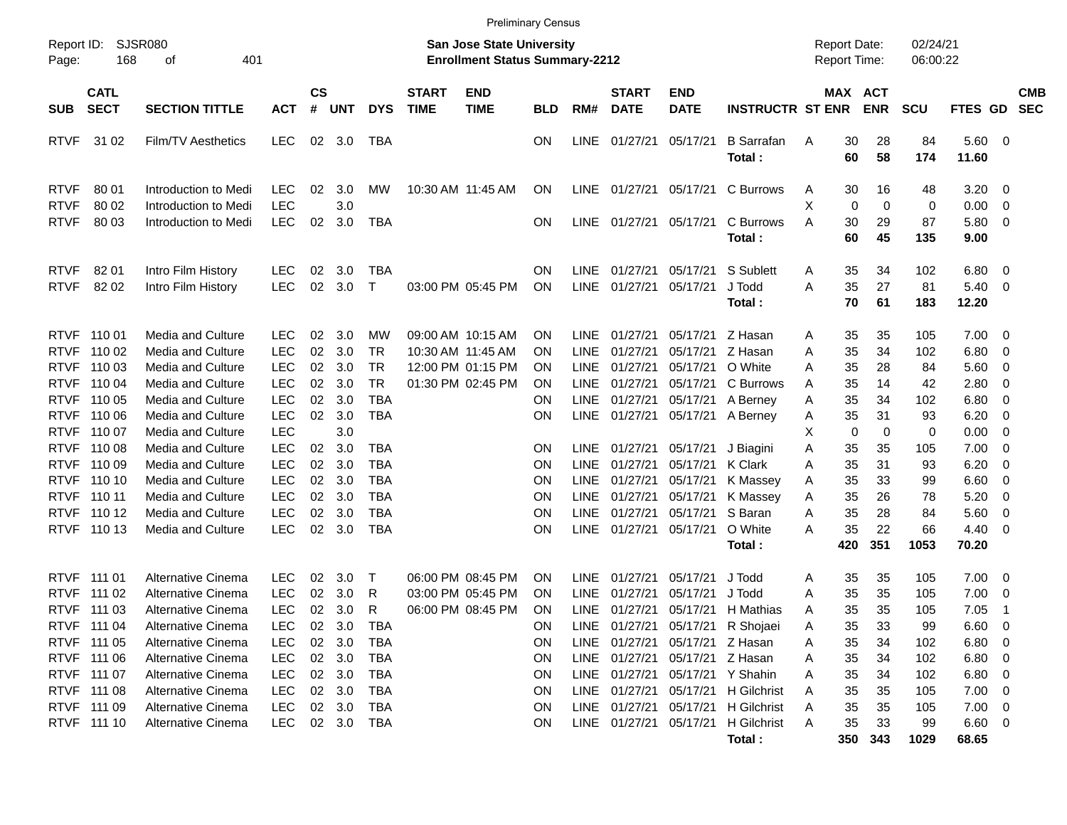|                            |                            |                                               |                          |                       |            |                     |                             | <b>Preliminary Census</b>                                                 |            |                            |                             |                           |                                  |                                     |                   |                      |                       |                                                    |                          |
|----------------------------|----------------------------|-----------------------------------------------|--------------------------|-----------------------|------------|---------------------|-----------------------------|---------------------------------------------------------------------------|------------|----------------------------|-----------------------------|---------------------------|----------------------------------|-------------------------------------|-------------------|----------------------|-----------------------|----------------------------------------------------|--------------------------|
| Report ID:<br>Page:        | <b>SJSR080</b><br>168      | 401<br>οf                                     |                          |                       |            |                     |                             | <b>San Jose State University</b><br><b>Enrollment Status Summary-2212</b> |            |                            |                             |                           |                                  | <b>Report Date:</b><br>Report Time: |                   | 02/24/21<br>06:00:22 |                       |                                                    |                          |
| <b>SUB</b>                 | <b>CATL</b><br><b>SECT</b> | <b>SECTION TITTLE</b>                         | <b>ACT</b>               | $\mathsf{cs}$<br>$\#$ | <b>UNT</b> | <b>DYS</b>          | <b>START</b><br><b>TIME</b> | <b>END</b><br><b>TIME</b>                                                 | <b>BLD</b> | RM#                        | <b>START</b><br><b>DATE</b> | <b>END</b><br><b>DATE</b> | <b>INSTRUCTR ST ENR</b>          | MAX ACT                             | <b>ENR</b>        | <b>SCU</b>           | FTES GD               |                                                    | <b>CMB</b><br><b>SEC</b> |
| <b>RTVF</b>                | 31 02                      | Film/TV Aesthetics                            | <b>LEC</b>               | 02                    | 3.0        | TBA                 |                             |                                                                           | ΟN         | LINE                       | 01/27/21                    | 05/17/21                  | <b>B</b> Sarrafan<br>Total:      | 30<br>A<br>60                       | 28<br>58          | 84<br>174            | 5.60<br>11.60         | $\overline{\phantom{0}}$                           |                          |
| <b>RTVF</b><br><b>RTVF</b> | 80 01<br>80 02             | Introduction to Medi<br>Introduction to Medi  | <b>LEC</b><br><b>LEC</b> | 02                    | 3.0<br>3.0 | МW                  |                             | 10:30 AM 11:45 AM                                                         | 0N         | LINE                       | 01/27/21                    | 05/17/21                  | C Burrows                        | 30<br>A<br>X<br>0                   | 16<br>$\mathbf 0$ | 48<br>0              | 3.20<br>0.00          | $\overline{\mathbf{0}}$<br>0                       |                          |
| <b>RTVF</b>                | 80 03                      | Introduction to Medi                          | <b>LEC</b>               | 02                    | 3.0        | TBA                 |                             |                                                                           | ΟN         | LINE                       | 01/27/21                    | 05/17/21                  | C Burrows<br>Total:              | 30<br>A<br>60                       | 29<br>45          | 87<br>135            | 5.80<br>9.00          | $\overline{\mathbf{0}}$                            |                          |
| <b>RTVF</b><br><b>RTVF</b> | 82 01<br>82 02             | Intro Film History<br>Intro Film History      | <b>LEC</b><br><b>LEC</b> | 02<br>02              | 3.0<br>3.0 | TBA<br>$\mathsf{T}$ |                             | 03:00 PM 05:45 PM                                                         | ΟN<br>ON   | <b>LINE</b><br><b>LINE</b> | 01/27/21<br>01/27/21        | 05/17/21<br>05/17/21      | S Sublett<br>J Todd<br>Total:    | 35<br>A<br>35<br>A<br>70            | 34<br>27<br>61    | 102<br>81<br>183     | 6.80<br>5.40<br>12.20 | $\overline{\mathbf{0}}$<br>$\overline{\mathbf{0}}$ |                          |
| <b>RTVF</b><br><b>RTVF</b> | 110 01<br>110 02           | <b>Media and Culture</b><br>Media and Culture | <b>LEC</b><br><b>LEC</b> | 02<br>02              | 3.0<br>3.0 | MW<br><b>TR</b>     |                             | 09:00 AM 10:15 AM<br>10:30 AM 11:45 AM                                    | ΟN         | LINE<br><b>LINE</b>        | 01/27/21<br>01/27/21        | 05/17/21<br>05/17/21      | Z Hasan<br>Z Hasan               | 35<br>Α<br>35<br>Α                  | 35<br>34          | 105<br>102           | 7.00<br>6.80          | $\overline{\mathbf{0}}$                            |                          |
| <b>RTVF</b>                | 110 03                     | Media and Culture                             | <b>LEC</b>               | 02                    | 3.0        | <b>TR</b>           |                             | 12:00 PM 01:15 PM                                                         | ON<br>OΝ   | <b>LINE</b>                | 01/27/21                    | 05/17/21                  | O White                          | 35<br>Α                             | 28                | 84                   | 5.60                  | $\mathbf 0$<br>0                                   |                          |
| <b>RTVF</b>                | 110 04                     | Media and Culture                             | <b>LEC</b>               | 02                    | 3.0        | <b>TR</b>           |                             | 01:30 PM 02:45 PM                                                         | ΟN         | <b>LINE</b>                | 01/27/21                    | 05/17/21                  | C Burrows                        | 35<br>A                             | 14                | 42                   | 2.80                  | $\mathbf 0$                                        |                          |
| <b>RTVF</b>                | 110 05                     | Media and Culture                             | <b>LEC</b>               | 02                    | 3.0        | <b>TBA</b>          |                             |                                                                           | ΟN         | <b>LINE</b>                | 01/27/21                    | 05/17/21                  | A Berney                         | 35<br>Α                             | 34                | 102                  | 6.80                  | $\mathbf 0$                                        |                          |
| <b>RTVF</b>                | 110 06                     | Media and Culture                             | <b>LEC</b>               | 02                    | 3.0        | <b>TBA</b>          |                             |                                                                           | ON         | <b>LINE</b>                | 01/27/21                    | 05/17/21                  | A Berney                         | 35<br>A                             | 31                | 93                   | 6.20                  | $\mathbf 0$                                        |                          |
| <b>RTVF</b>                | 110 07                     | Media and Culture                             | <b>LEC</b>               |                       | 3.0        |                     |                             |                                                                           |            |                            |                             |                           |                                  | X<br>0                              | $\mathbf 0$       | 0                    | 0.00                  | $\mathbf 0$                                        |                          |
| <b>RTVF</b>                | 110 08                     | Media and Culture                             | <b>LEC</b>               | 02                    | 3.0        | TBA                 |                             |                                                                           | ON         | <b>LINE</b>                | 01/27/21                    | 05/17/21                  | J Biagini                        | 35<br>Α                             | 35                | 105                  | 7.00                  | $\mathbf 0$                                        |                          |
| <b>RTVF</b>                | 110 09                     | Media and Culture                             | <b>LEC</b>               | 02                    | 3.0        | <b>TBA</b>          |                             |                                                                           | ΟN         | <b>LINE</b>                | 01/27/21                    | 05/17/21                  | <b>K</b> Clark                   | 35<br>Α                             | 31                | 93                   | 6.20                  | $\mathbf 0$                                        |                          |
| <b>RTVF</b>                | 110 10                     | Media and Culture                             | <b>LEC</b>               | 02                    | 3.0        | <b>TBA</b>          |                             |                                                                           | ON         | <b>LINE</b>                | 01/27/21                    | 05/17/21                  | K Massey                         | 35<br>Α                             | 33                | 99                   | 6.60                  | $\mathbf 0$                                        |                          |
| <b>RTVF</b>                | 110 11                     | Media and Culture                             | <b>LEC</b>               | 02                    | 3.0        | <b>TBA</b>          |                             |                                                                           | ON         | <b>LINE</b>                | 01/27/21                    | 05/17/21                  | K Massey                         | 35<br>Α                             | 26                | 78                   | 5.20                  | $\mathbf 0$                                        |                          |
| <b>RTVF</b>                | 110 12                     | Media and Culture                             | <b>LEC</b>               | 02                    | 3.0        | <b>TBA</b>          |                             |                                                                           | ON         | <b>LINE</b>                | 01/27/21                    | 05/17/21                  | S Baran                          | 35<br>A                             | 28                | 84                   | 5.60                  | 0                                                  |                          |
| <b>RTVF</b>                | 110 13                     | Media and Culture                             | <b>LEC</b>               | 02                    | 3.0        | <b>TBA</b>          |                             |                                                                           | ON         | <b>LINE</b>                | 01/27/21                    | 05/17/21                  | O White                          | 35<br>Α                             | 22                | 66                   | 4.40                  | $\overline{0}$                                     |                          |
|                            |                            |                                               |                          |                       |            |                     |                             |                                                                           |            |                            |                             |                           | Total:                           | 420                                 | 351               | 1053                 | 70.20                 |                                                    |                          |
| <b>RTVF</b>                | 111 01                     | Alternative Cinema                            | <b>LEC</b>               | 02                    | 3.0        | Τ                   |                             | 06:00 PM 08:45 PM                                                         | ΟN         | <b>LINE</b>                | 01/27/21                    | 05/17/21                  | J Todd                           | 35<br>A                             | 35                | 105                  | 7.00                  | $\overline{\mathbf{0}}$                            |                          |
| <b>RTVF</b>                | 111 02                     | Alternative Cinema                            | <b>LEC</b>               | 02                    | 3.0        | R                   |                             | 03:00 PM 05:45 PM                                                         | ON         | <b>LINE</b>                | 01/27/21                    | 05/17/21                  | J Todd                           | 35<br>Α                             | 35                | 105                  | 7.00                  | 0                                                  |                          |
| <b>RTVF</b>                | 111 03                     | Alternative Cinema                            | <b>LEC</b>               | 02                    | 3.0        | R                   |                             | 06:00 PM 08:45 PM                                                         | ΟN         | <b>LINE</b>                | 01/27/21                    | 05/17/21                  | H Mathias                        | 35<br>A                             | 35                | 105                  | 7.05                  | -1                                                 |                          |
|                            | RTVF 111 04                | Alternative Cinema                            | LEC                      | 02                    | 3.0        | TBA                 |                             |                                                                           | 0N         |                            |                             |                           | LINE 01/27/21 05/17/21 R Shojaei | A<br>35                             | 33                | 99                   | 6.60                  | $\overline{\phantom{0}}$                           |                          |
|                            | RTVF 111 05                | Alternative Cinema                            | <b>LEC</b>               | 02                    | 3.0        | <b>TBA</b>          |                             |                                                                           | ON         |                            | LINE 01/27/21               | 05/17/21                  | Z Hasan                          | 35<br>A                             | 34                | 102                  | 6.80                  | $\overline{\phantom{0}}$                           |                          |
|                            | RTVF 111 06                | Alternative Cinema                            | <b>LEC</b>               | 02                    | 3.0        | <b>TBA</b>          |                             |                                                                           | ON         |                            | LINE 01/27/21               | 05/17/21                  | Z Hasan                          | 35<br>A                             | 34                | 102                  | $6.80\quad 0$         |                                                    |                          |
|                            | RTVF 111 07                | Alternative Cinema                            | <b>LEC</b>               | 02                    | 3.0        | <b>TBA</b>          |                             |                                                                           | ON         |                            | LINE 01/27/21               | 05/17/21                  | Y Shahin                         | 35<br>Α                             | 34                | 102                  | $6.80\quad 0$         |                                                    |                          |
|                            | RTVF 111 08                | Alternative Cinema                            | <b>LEC</b>               | 02                    | 3.0        | TBA                 |                             |                                                                           | ON         |                            | LINE 01/27/21               | 05/17/21                  | H Gilchrist                      | 35<br>A                             | 35                | 105                  | $7.00 \t 0$           |                                                    |                          |
|                            | RTVF 111 09                | <b>Alternative Cinema</b>                     | <b>LEC</b>               | 02                    | 3.0        | TBA                 |                             |                                                                           | ON         |                            | LINE 01/27/21               | 05/17/21                  | H Gilchrist                      | 35<br>A                             | 35                | 105                  | $7.00 \t 0$           |                                                    |                          |
|                            | RTVF 111 10                | Alternative Cinema                            | <b>LEC</b>               |                       | 02 3.0     | TBA                 |                             |                                                                           | ON         |                            | LINE 01/27/21 05/17/21      |                           | H Gilchrist                      | 35<br>A                             | 33                | 99                   | $6.60 \t 0$           |                                                    |                          |
|                            |                            |                                               |                          |                       |            |                     |                             |                                                                           |            |                            |                             |                           | Total:                           |                                     | 350 343           | 1029                 | 68.65                 |                                                    |                          |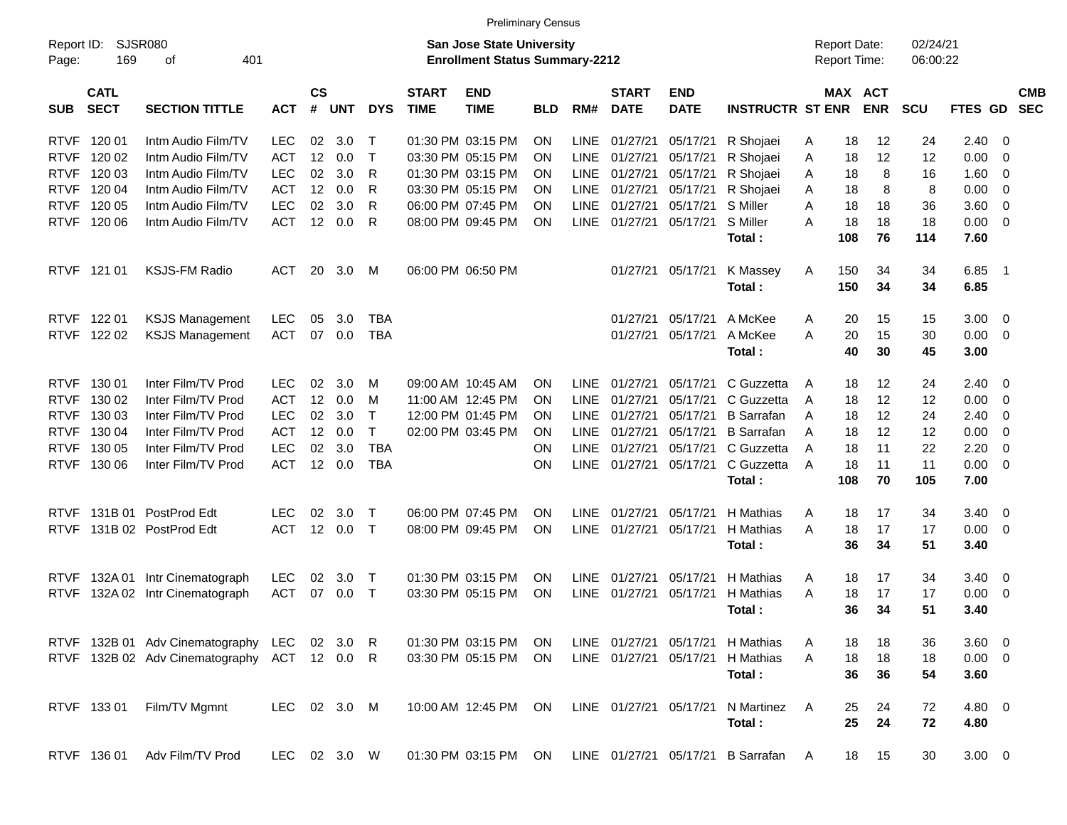|                     |                            |                                            |              |                    |            |              |                             | <b>Preliminary Census</b>                                                 |            |             |                             |                           |                         |          |                                     |                          |                      |                |                |                          |
|---------------------|----------------------------|--------------------------------------------|--------------|--------------------|------------|--------------|-----------------------------|---------------------------------------------------------------------------|------------|-------------|-----------------------------|---------------------------|-------------------------|----------|-------------------------------------|--------------------------|----------------------|----------------|----------------|--------------------------|
| Report ID:<br>Page: | 169                        | <b>SJSR080</b><br>401<br>οf                |              |                    |            |              |                             | <b>San Jose State University</b><br><b>Enrollment Status Summary-2212</b> |            |             |                             |                           |                         |          | <b>Report Date:</b><br>Report Time: |                          | 02/24/21<br>06:00:22 |                |                |                          |
| <b>SUB</b>          | <b>CATL</b><br><b>SECT</b> | <b>SECTION TITTLE</b>                      | <b>ACT</b>   | $\mathsf{cs}$<br># | <b>UNT</b> | <b>DYS</b>   | <b>START</b><br><b>TIME</b> | <b>END</b><br><b>TIME</b>                                                 | <b>BLD</b> | RM#         | <b>START</b><br><b>DATE</b> | <b>END</b><br><b>DATE</b> | <b>INSTRUCTR ST ENR</b> |          | MAX                                 | <b>ACT</b><br><b>ENR</b> | <b>SCU</b>           | FTES GD        |                | <b>CMB</b><br><b>SEC</b> |
| <b>RTVF</b>         | 120 01                     | Intm Audio Film/TV                         | <b>LEC</b>   | 02                 | 3.0        | Т            |                             | 01:30 PM 03:15 PM                                                         | <b>ON</b>  | LINE        | 01/27/21                    | 05/17/21                  | R Shojaei               | A        | 18                                  | 12                       | 24                   | 2.40           | 0              |                          |
| <b>RTVF</b>         | 120 02                     | Intm Audio Film/TV                         | <b>ACT</b>   | 12                 | 0.0        | Т            |                             | 03:30 PM 05:15 PM                                                         | ON         | LINE        | 01/27/21                    | 05/17/21                  | R Shojaei               | A        | 18                                  | 12                       | 12                   | 0.00           | 0              |                          |
| <b>RTVF</b>         | 120 03                     | Intm Audio Film/TV                         | <b>LEC</b>   | 02                 | 3.0        | R            |                             | 01:30 PM 03:15 PM                                                         | ΟN         | <b>LINE</b> | 01/27/21                    | 05/17/21                  | R Shojaei               | A        | 18                                  | 8                        | 16                   | 1.60           | 0              |                          |
| <b>RTVF</b>         | 120 04                     | Intm Audio Film/TV                         | <b>ACT</b>   | 12                 | 0.0        | R            |                             | 03:30 PM 05:15 PM                                                         | ΟN         | LINE        | 01/27/21                    | 05/17/21                  | R Shojaei               | A        | 18                                  | 8                        | 8                    | 0.00           | 0              |                          |
| <b>RTVF</b>         | 120 05                     | Intm Audio Film/TV                         | <b>LEC</b>   | 02                 | 3.0        | R            |                             | 06:00 PM 07:45 PM                                                         | ΟN         | <b>LINE</b> | 01/27/21                    | 05/17/21                  | S Miller                | A        | 18                                  | 18                       | 36                   | 3.60           | 0              |                          |
| <b>RTVF</b>         | 120 06                     | Intm Audio Film/TV                         | <b>ACT</b>   | 12                 | 0.0        | R            |                             | 08:00 PM 09:45 PM                                                         | ΟN         | <b>LINE</b> | 01/27/21                    | 05/17/21                  | S Miller                | A        | 18                                  | 18                       | 18                   | 0.00           | - 0            |                          |
|                     |                            |                                            |              |                    |            |              |                             |                                                                           |            |             |                             |                           | Total:                  |          | 108                                 | 76                       | 114                  | 7.60           |                |                          |
| <b>RTVF</b>         | 121 01                     | <b>KSJS-FM Radio</b>                       | <b>ACT</b>   | 20                 | 3.0        | M            |                             | 06:00 PM 06:50 PM                                                         |            |             | 01/27/21                    | 05/17/21                  | K Massey                | A        | 150                                 | 34                       | 34                   | 6.85           | $\overline{1}$ |                          |
|                     |                            |                                            |              |                    |            |              |                             |                                                                           |            |             |                             |                           | Total:                  |          | 150                                 | 34                       | 34                   | 6.85           |                |                          |
| <b>RTVF</b>         | 122 01                     | <b>KSJS Management</b>                     | LEC          | 05                 | 3.0        | <b>TBA</b>   |                             |                                                                           |            |             | 01/27/21                    | 05/17/21                  | A McKee                 | A        | 20                                  | 15                       | 15                   | 3.00           | 0              |                          |
| <b>RTVF</b>         | 122 02                     | <b>KSJS Management</b>                     | <b>ACT</b>   | 07                 | 0.0        | <b>TBA</b>   |                             |                                                                           |            |             | 01/27/21                    | 05/17/21                  | A McKee                 | A        | 20                                  | 15                       | 30                   | 0.00           | - 0            |                          |
|                     |                            |                                            |              |                    |            |              |                             |                                                                           |            |             |                             |                           | Total:                  |          | 40                                  | 30                       | 45                   | 3.00           |                |                          |
| <b>RTVF</b>         | 130 01                     | Inter Film/TV Prod                         | <b>LEC</b>   | 02                 | 3.0        | M            | 09:00 AM 10:45 AM           |                                                                           | <b>ON</b>  | LINE        | 01/27/21                    | 05/17/21                  | C Guzzetta              | A        | 18                                  | 12                       | 24                   | 2.40           | - 0            |                          |
| <b>RTVF</b>         | 130 02                     | Inter Film/TV Prod                         | <b>ACT</b>   | 12                 | 0.0        | M            |                             | 11:00 AM 12:45 PM                                                         | ΟN         | <b>LINE</b> | 01/27/21                    | 05/17/21                  | C Guzzetta              | A        | 18                                  | 12                       | 12                   | 0.00           | 0              |                          |
| <b>RTVF</b>         | 130 03                     | Inter Film/TV Prod                         | <b>LEC</b>   | 02                 | 3.0        | $\mathsf{T}$ |                             | 12:00 PM 01:45 PM                                                         | ΟN         | <b>LINE</b> | 01/27/21                    | 05/17/21                  | <b>B</b> Sarrafan       | A        | 18                                  | 12                       | 24                   | 2.40           | 0              |                          |
| <b>RTVF</b>         | 130 04                     | Inter Film/TV Prod                         | <b>ACT</b>   | 12                 | 0.0        | $\mathsf{T}$ |                             | 02:00 PM 03:45 PM                                                         | ON         | <b>LINE</b> | 01/27/21                    | 05/17/21                  | <b>B</b> Sarrafan       | A        | 18                                  | 12                       | 12                   | 0.00           | 0              |                          |
| <b>RTVF</b>         | 130 05                     | Inter Film/TV Prod                         | <b>LEC</b>   | 02                 | 3.0        | <b>TBA</b>   |                             |                                                                           | ON         | <b>LINE</b> | 01/27/21                    | 05/17/21                  | C Guzzetta              | A        | 18                                  | 11                       | 22                   | 2.20           | 0              |                          |
| <b>RTVF</b>         | 130 06                     | Inter Film/TV Prod                         | <b>ACT</b>   | 12                 | 0.0        | <b>TBA</b>   |                             |                                                                           | ΟN         | <b>LINE</b> | 01/27/21                    | 05/17/21                  | C Guzzetta              | A        | 18                                  | 11                       | 11                   | 0.00           | - 0            |                          |
|                     |                            |                                            |              |                    |            |              |                             |                                                                           |            |             |                             |                           | Total:                  |          | 108                                 | 70                       | 105                  | 7.00           |                |                          |
| <b>RTVF</b>         | 131B 01                    | PostProd Edt                               | <b>LEC</b>   | 02                 | 3.0        | Т            | 06:00 PM 07:45 PM           |                                                                           | <b>ON</b>  | <b>LINE</b> | 01/27/21                    | 05/17/21                  | H Mathias               | A        | 18                                  | 17                       | 34                   | 3.40           | - 0            |                          |
| <b>RTVF</b>         |                            | 131B 02 PostProd Edt                       | <b>ACT</b>   | 12                 | 0.0        | $\top$       |                             | 08:00 PM 09:45 PM                                                         | <b>ON</b>  | <b>LINE</b> | 01/27/21                    | 05/17/21                  | H Mathias               | A        | 18                                  | 17                       | 17                   | 0.00           | - 0            |                          |
|                     |                            |                                            |              |                    |            |              |                             |                                                                           |            |             |                             |                           | Total:                  |          | 36                                  | 34                       | 51                   | 3.40           |                |                          |
| <b>RTVF</b>         | 132A 01                    | Intr Cinematograph                         | LEC          | 02                 | 3.0        | $\top$       |                             | 01:30 PM 03:15 PM                                                         | <b>ON</b>  | <b>LINE</b> | 01/27/21                    | 05/17/21                  | H Mathias               | A        | 18                                  | 17                       | 34                   | 3.40           | - 0            |                          |
| <b>RTVF</b>         |                            | 132A 02 Intr Cinematograph                 | <b>ACT</b>   | 07                 | 0.0        | $\top$       |                             | 03:30 PM 05:15 PM                                                         | ON         | <b>LINE</b> | 01/27/21                    | 05/17/21                  | H Mathias               | A        | 18                                  | 17                       | 17                   | 0.00           | - 0            |                          |
|                     |                            |                                            |              |                    |            |              |                             |                                                                           |            |             |                             |                           | <b>Total :</b>          |          | 36                                  | 34                       | 51                   | 3.40           |                |                          |
|                     |                            | RTVF 132B 01 Adv Cinematography LEC 02 3.0 |              |                    |            | R.           |                             | 01:30 PM 03:15 PM ON                                                      |            |             |                             | LINE 01/27/21 05/17/21    | H Mathias               | A        | 18                                  | 18                       | 36                   | $3.60 \quad 0$ |                |                          |
|                     |                            | RTVF 132B 02 Adv Cinematography            | ACT 12 0.0 R |                    |            |              |                             | 03:30 PM 05:15 PM ON                                                      |            |             |                             | LINE 01/27/21 05/17/21    | H Mathias               | A        | 18                                  | 18                       | 18                   | $0.00 \t 0$    |                |                          |
|                     |                            |                                            |              |                    |            |              |                             |                                                                           |            |             |                             |                           | Total:                  |          | 36                                  | 36                       | 54                   | 3.60           |                |                          |
|                     | RTVF 13301                 | Film/TV Mgmnt                              | LEC 02 3.0 M |                    |            |              |                             | 10:00 AM 12:45 PM ON                                                      |            |             | LINE 01/27/21 05/17/21      |                           | N Martinez              | A        | 25                                  | 24                       | 72                   | 4.80 0         |                |                          |
|                     |                            |                                            |              |                    |            |              |                             |                                                                           |            |             |                             |                           | Total:                  |          | 25                                  | 24                       | 72                   | 4.80           |                |                          |
|                     | RTVF 136 01                | Adv Film/TV Prod                           | LEC 02 3.0 W |                    |            |              |                             | 01:30 PM 03:15 PM ON                                                      |            |             |                             | LINE 01/27/21 05/17/21    | <b>B</b> Sarrafan       | <b>A</b> | 18                                  | 15                       | 30                   | $3.00 \ 0$     |                |                          |
|                     |                            |                                            |              |                    |            |              |                             |                                                                           |            |             |                             |                           |                         |          |                                     |                          |                      |                |                |                          |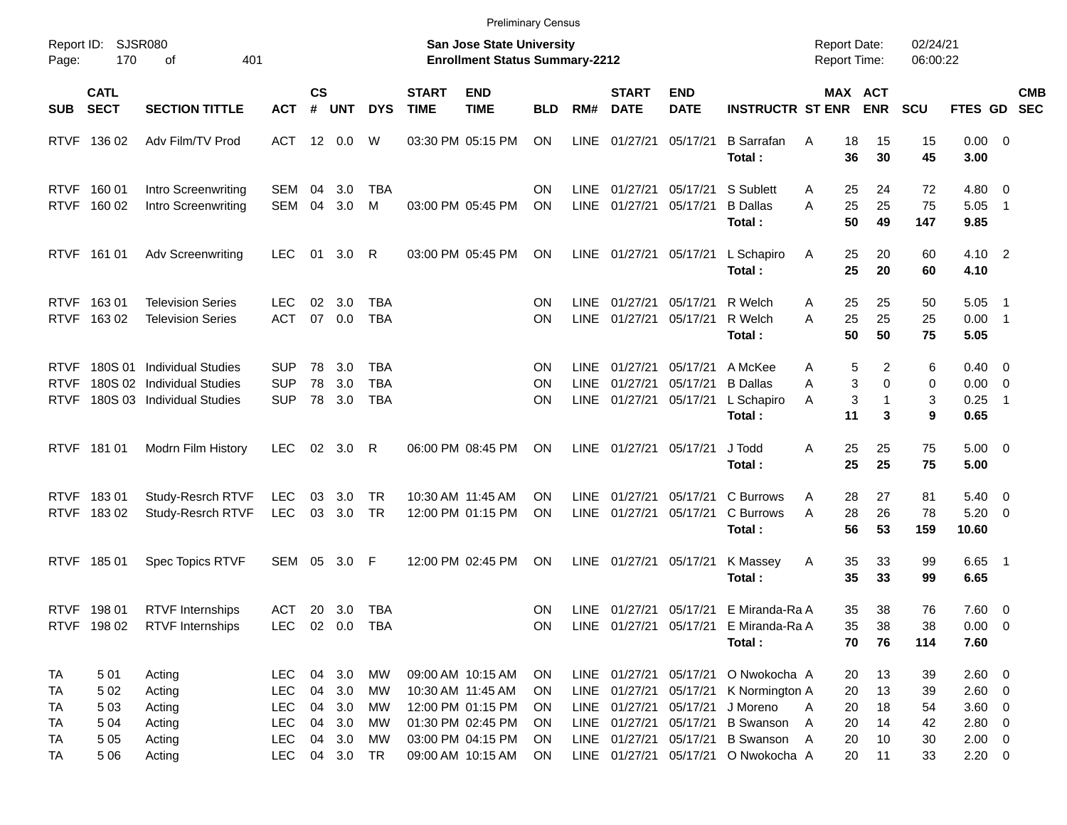|                                           |                              |                                                                                       |                                                      |                |                                      |                                 |                             | <b>Preliminary Census</b>                                                        |                                                  |                                           |                                                                                                      |                                  |                                                                |                                     |                         |                      |                                                    |                                                     |                          |
|-------------------------------------------|------------------------------|---------------------------------------------------------------------------------------|------------------------------------------------------|----------------|--------------------------------------|---------------------------------|-----------------------------|----------------------------------------------------------------------------------|--------------------------------------------------|-------------------------------------------|------------------------------------------------------------------------------------------------------|----------------------------------|----------------------------------------------------------------|-------------------------------------|-------------------------|----------------------|----------------------------------------------------|-----------------------------------------------------|--------------------------|
| Report ID:<br>Page:                       | SJSR080<br>170               | 401<br>оf                                                                             |                                                      |                |                                      |                                 |                             | San Jose State University<br><b>Enrollment Status Summary-2212</b>               |                                                  |                                           |                                                                                                      |                                  |                                                                | <b>Report Date:</b><br>Report Time: |                         | 02/24/21<br>06:00:22 |                                                    |                                                     |                          |
| <b>SUB</b>                                | <b>CATL</b><br><b>SECT</b>   | <b>SECTION TITTLE</b>                                                                 | <b>ACT</b>                                           | <b>CS</b><br># | <b>UNT</b>                           | <b>DYS</b>                      | <b>START</b><br><b>TIME</b> | <b>END</b><br><b>TIME</b>                                                        | <b>BLD</b>                                       | RM#                                       | <b>START</b><br><b>DATE</b>                                                                          | <b>END</b><br><b>DATE</b>        | <b>INSTRUCTR ST ENR</b>                                        | MAX ACT                             | <b>ENR</b>              | <b>SCU</b>           | FTES GD                                            |                                                     | <b>CMB</b><br><b>SEC</b> |
|                                           | RTVF 136 02                  | Adv Film/TV Prod                                                                      | ACT                                                  |                | 12 0.0                               | W                               |                             | 03:30 PM 05:15 PM                                                                | ON                                               | <b>LINE</b>                               | 01/27/21                                                                                             | 05/17/21                         | <b>B</b> Sarrafan<br>Total:                                    | A<br>18<br>36                       | 15<br>30                | 15<br>45             | $0.00 \t 0$<br>3.00                                |                                                     |                          |
|                                           | RTVF 160 01<br>RTVF 160 02   | Intro Screenwriting<br>Intro Screenwriting                                            | SEM<br>SEM                                           | 04<br>04       | 3.0<br>3.0                           | TBA<br>м                        |                             | 03:00 PM 05:45 PM                                                                | ON<br><b>ON</b>                                  | <b>LINE</b><br><b>LINE</b>                | 01/27/21<br>01/27/21                                                                                 | 05/17/21<br>05/17/21             | S Sublett<br><b>B</b> Dallas<br>Total:                         | 25<br>A<br>25<br>Α<br>50            | 24<br>25<br>49          | 72<br>75<br>147      | 4.80<br>5.05<br>9.85                               | $\overline{\mathbf{0}}$<br>$\overline{\phantom{0}}$ |                          |
|                                           | RTVF 161 01                  | <b>Adv Screenwriting</b>                                                              | LEC.                                                 | 01             | 3.0                                  | R                               |                             | 03:00 PM 05:45 PM                                                                | ON                                               |                                           | LINE 01/27/21                                                                                        | 05/17/21                         | L Schapiro<br>Total:                                           | 25<br>A<br>25                       | 20<br>20                | 60<br>60             | 4.10 2<br>4.10                                     |                                                     |                          |
| <b>RTVF</b>                               | RTVF 16301<br>16302          | <b>Television Series</b><br><b>Television Series</b>                                  | LEC<br><b>ACT</b>                                    | 02<br>07       | 3.0<br>0.0                           | TBA<br><b>TBA</b>               |                             |                                                                                  | ON<br><b>ON</b>                                  | <b>LINE</b><br><b>LINE</b>                | 01/27/21<br>01/27/21                                                                                 | 05/17/21<br>05/17/21             | R Welch<br>R Welch<br>Total:                                   | 25<br>A<br>25<br>Α<br>50            | 25<br>25<br>50          | 50<br>25<br>75       | 5.05<br>0.00<br>5.05                               | - 1<br>$\overline{\phantom{0}}$ 1                   |                          |
| <b>RTVF</b><br><b>RTVF</b><br><b>RTVF</b> | 180S 01                      | <b>Individual Studies</b><br>180S 02 Individual Studies<br>180S 03 Individual Studies | <b>SUP</b><br><b>SUP</b><br><b>SUP</b>               | 78<br>78<br>78 | 3.0<br>3.0<br>3.0                    | TBA<br><b>TBA</b><br><b>TBA</b> |                             |                                                                                  | <b>ON</b><br>ON<br><b>ON</b>                     | <b>LINE</b><br><b>LINE</b><br><b>LINE</b> | 01/27/21<br>01/27/21<br>01/27/21                                                                     | 05/17/21<br>05/17/21<br>05/17/21 | A McKee<br><b>B</b> Dallas<br>L Schapiro<br>Total:             | 5<br>A<br>3<br>Α<br>3<br>A<br>11    | 2<br>$\Omega$<br>1<br>3 | 6<br>0<br>3<br>9     | $0.40 \quad 0$<br>0.00<br>0.25<br>0.65             | $\overline{\mathbf{0}}$<br>$\overline{1}$           |                          |
|                                           | RTVF 181 01                  | Modrn Film History                                                                    | <b>LEC</b>                                           | 02             | 3.0                                  | R                               |                             | 06:00 PM 08:45 PM                                                                | <b>ON</b>                                        | LINE                                      | 01/27/21                                                                                             | 05/17/21                         | J Todd<br>Total:                                               | Α<br>25<br>25                       | 25<br>25                | 75<br>75             | $5.00 \t 0$<br>5.00                                |                                                     |                          |
|                                           | RTVF 18301<br>RTVF 18302     | Study-Resrch RTVF<br>Study-Resrch RTVF                                                | <b>LEC</b><br><b>LEC</b>                             | 03<br>03       | 3.0<br>3.0                           | <b>TR</b><br><b>TR</b>          |                             | 10:30 AM 11:45 AM<br>12:00 PM 01:15 PM                                           | ON<br>ON                                         | <b>LINE</b><br>LINE                       | 01/27/21<br>01/27/21                                                                                 | 05/17/21<br>05/17/21             | C Burrows<br>C Burrows<br>Total:                               | 28<br>A<br>28<br>A<br>56            | 27<br>26<br>53          | 81<br>78<br>159      | 5.40<br>5.20<br>10.60                              | $\overline{\phantom{0}}$<br>$\overline{\mathbf{0}}$ |                          |
|                                           | RTVF 185 01                  | Spec Topics RTVF                                                                      | SEM                                                  | 05             | 3.0                                  | F                               |                             | 12:00 PM 02:45 PM                                                                | ON                                               | LINE                                      | 01/27/21                                                                                             | 05/17/21                         | K Massey<br>Total:                                             | 35<br>A<br>35                       | 33<br>33                | 99<br>99             | 6.65 1<br>6.65                                     |                                                     |                          |
|                                           | RTVF 198 01                  | <b>RTVF</b> Internships<br>RTVF 198 02 RTVF Internships                               | ACT<br>LEC 02 0.0 TBA                                |                | 20 3.0                               | TBA                             |                             |                                                                                  | <b>ON</b><br>ON                                  |                                           | LINE 01/27/21 05/17/21<br>LINE 01/27/21 05/17/21                                                     |                                  | E Miranda-Ra A<br>E Miranda-Ra A<br>Total:                     | 35<br>35<br>70                      | 38<br>38<br>76          | 76<br>38<br>114      | 7.60 0<br>$0.00 \t 0$<br>7.60                      |                                                     |                          |
| <b>TA</b><br>TA<br>TA<br>TA               | 501<br>5 0 2<br>503<br>5 0 4 | Acting<br>Acting<br>Acting<br>Acting                                                  | <b>LEC</b><br><b>LEC</b><br><b>LEC</b><br><b>LEC</b> |                | 04 3.0<br>04 3.0<br>04 3.0<br>04 3.0 | МW<br>МW<br>МW<br>МW            |                             | 09:00 AM 10:15 AM<br>10:30 AM 11:45 AM<br>12:00 PM 01:15 PM<br>01:30 PM 02:45 PM | <b>ON</b><br><b>ON</b><br><b>ON</b><br><b>ON</b> |                                           | LINE 01/27/21 05/17/21<br>LINE 01/27/21 05/17/21<br>LINE 01/27/21 05/17/21<br>LINE 01/27/21 05/17/21 |                                  | O Nwokocha A<br>K Normington A<br>J Moreno<br><b>B</b> Swanson | 20<br>20<br>Α<br>20<br>20<br>A      | 13<br>13<br>18<br>14    | 39<br>39<br>54<br>42 | 2.60 0<br>$2.60 \t 0$<br>$3.60 \ 0$<br>$2.80 \t 0$ |                                                     |                          |
| TA<br>TA                                  | 5 0 5<br>5 0 6               | Acting<br>Acting                                                                      | <b>LEC</b><br><b>LEC</b>                             |                | 04 3.0<br>04 3.0                     | МW<br>TR                        |                             | 03:00 PM 04:15 PM<br>09:00 AM 10:15 AM                                           | <b>ON</b><br>ON                                  |                                           | LINE 01/27/21 05/17/21<br>LINE 01/27/21 05/17/21                                                     |                                  | B Swanson A<br>O Nwokocha A                                    | 20<br>20                            | 10<br>11                | 30<br>33             | $2.00 \t 0$<br>$2.20 \t 0$                         |                                                     |                          |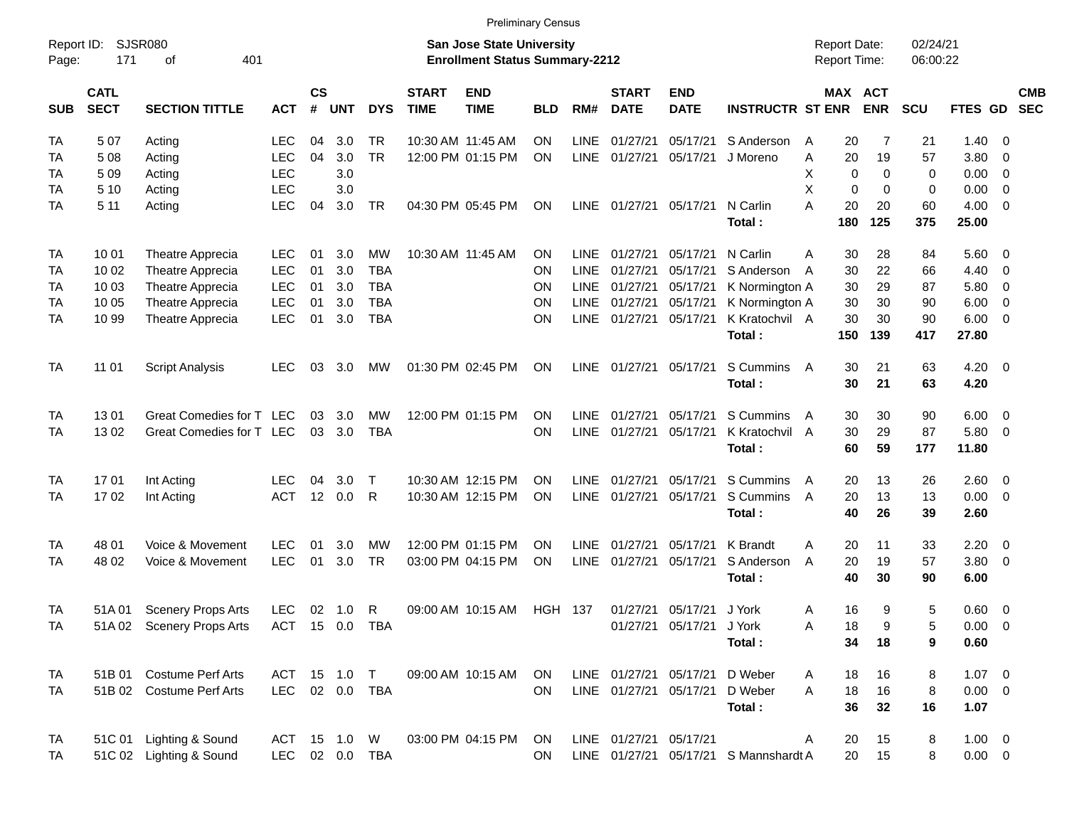|                     |                            |                             |              |                    |            |                |                             |                                                                    | <b>Preliminary Census</b> |             |                             |                           |                                       |                                     |            |                      |                    |                          |                          |
|---------------------|----------------------------|-----------------------------|--------------|--------------------|------------|----------------|-----------------------------|--------------------------------------------------------------------|---------------------------|-------------|-----------------------------|---------------------------|---------------------------------------|-------------------------------------|------------|----------------------|--------------------|--------------------------|--------------------------|
| Report ID:<br>Page: | 171                        | <b>SJSR080</b><br>401<br>of |              |                    |            |                |                             | San Jose State University<br><b>Enrollment Status Summary-2212</b> |                           |             |                             |                           |                                       | <b>Report Date:</b><br>Report Time: |            | 02/24/21<br>06:00:22 |                    |                          |                          |
| <b>SUB</b>          | <b>CATL</b><br><b>SECT</b> | <b>SECTION TITTLE</b>       | <b>ACT</b>   | $\mathsf{cs}$<br># | <b>UNT</b> | <b>DYS</b>     | <b>START</b><br><b>TIME</b> | <b>END</b><br><b>TIME</b>                                          | <b>BLD</b>                | RM#         | <b>START</b><br><b>DATE</b> | <b>END</b><br><b>DATE</b> | <b>INSTRUCTR ST ENR</b>               | MAX ACT                             | <b>ENR</b> | <b>SCU</b>           | FTES GD            |                          | <b>CMB</b><br><b>SEC</b> |
| <b>TA</b>           | 507                        | Acting                      | LEC          | 04                 | 3.0        | TR.            |                             | 10:30 AM 11:45 AM                                                  | ON                        | LINE        | 01/27/21                    | 05/17/21                  | S Anderson                            | 20<br>Α                             | 7          | 21                   | 1.40               | - 0                      |                          |
| <b>TA</b>           | 508                        | Acting                      | <b>LEC</b>   | 04                 | 3.0        | <b>TR</b>      |                             | 12:00 PM 01:15 PM                                                  | <b>ON</b>                 | <b>LINE</b> | 01/27/21                    | 05/17/21                  | J Moreno                              | 20<br>A                             | 19         | 57                   | 3.80               | - 0                      |                          |
| TA                  | 509                        | Acting                      | <b>LEC</b>   |                    | 3.0        |                |                             |                                                                    |                           |             |                             |                           |                                       | х<br>$\Omega$                       | 0          | 0                    | 0.00               | $\overline{\phantom{0}}$ |                          |
| TA                  | 5 10                       | Acting                      | <b>LEC</b>   |                    | 3.0        |                |                             |                                                                    |                           |             |                             |                           |                                       | X<br>$\mathbf 0$                    | $\Omega$   | 0                    | 0.00               | $\overline{\mathbf{0}}$  |                          |
| <b>TA</b>           | 5 1 1                      | Acting                      | <b>LEC</b>   | 04                 | 3.0        | <b>TR</b>      |                             | 04:30 PM 05:45 PM                                                  | ON                        | <b>LINE</b> | 01/27/21                    | 05/17/21                  | N Carlin                              | А<br>20                             | 20         | 60                   | $4.00 \ 0$         |                          |                          |
|                     |                            |                             |              |                    |            |                |                             |                                                                    |                           |             |                             |                           | Total:                                | 180                                 | 125        | 375                  | 25.00              |                          |                          |
| <b>TA</b>           | 10 01                      | Theatre Apprecia            | <b>LEC</b>   | 01                 | 3.0        | <b>MW</b>      |                             | 10:30 AM 11:45 AM                                                  | ΟN                        | <b>LINE</b> | 01/27/21                    | 05/17/21                  | N Carlin                              | 30<br>A                             | 28         | 84                   | $5.60$ 0           |                          |                          |
| TA                  | 10 02                      | Theatre Apprecia            | <b>LEC</b>   | 01                 | 3.0        | <b>TBA</b>     |                             |                                                                    | ΟN                        | <b>LINE</b> | 01/27/21                    | 05/17/21                  | S Anderson                            | 30<br>A                             | 22         | 66                   | 4.40               | $\overline{\mathbf{0}}$  |                          |
| TA                  | 10 03                      | Theatre Apprecia            | <b>LEC</b>   | 01                 | 3.0        | <b>TBA</b>     |                             |                                                                    | ΟN                        | <b>LINE</b> | 01/27/21                    | 05/17/21                  | K Normington A                        | 30                                  | 29         | 87                   | 5.80               | $\overline{\mathbf{0}}$  |                          |
| <b>TA</b>           | 10 05                      | Theatre Apprecia            | <b>LEC</b>   | 01                 | 3.0        | <b>TBA</b>     |                             |                                                                    | ΟN                        | <b>LINE</b> | 01/27/21                    | 05/17/21                  | K Normington A                        | 30                                  | 30         | 90                   | 6.00               | $\overline{\phantom{0}}$ |                          |
| TA                  | 10 99                      | Theatre Apprecia            | <b>LEC</b>   | 01                 | 3.0        | <b>TBA</b>     |                             |                                                                    | ON                        | LINE        | 01/27/21                    | 05/17/21                  | K Kratochvil A                        | 30                                  | 30         | 90                   | $6.00 \quad 0$     |                          |                          |
|                     |                            |                             |              |                    |            |                |                             |                                                                    |                           |             |                             |                           | Total:                                | 150                                 | 139        | 417                  | 27.80              |                          |                          |
| <b>TA</b>           | 11 01                      | <b>Script Analysis</b>      | LEC          | 03                 | 3.0        | МW             |                             | 01:30 PM 02:45 PM                                                  | ΟN                        | LINE        | 01/27/21                    | 05/17/21                  | S Cummins<br>Total:                   | 30<br>A<br>30                       | 21<br>21   | 63<br>63             | $4.20 \ 0$<br>4.20 |                          |                          |
| <b>TA</b>           | 1301                       | Great Comedies for T        | <b>LEC</b>   | 03                 | 3.0        | <b>MW</b>      |                             | 12:00 PM 01:15 PM                                                  | ΟN                        | <b>LINE</b> | 01/27/21                    | 05/17/21                  | S Cummins                             | 30<br>A                             | 30         | 90                   | $6.00 \quad 0$     |                          |                          |
| <b>TA</b>           | 13 02                      | Great Comedies for T LEC    |              | 03                 | 3.0        | <b>TBA</b>     |                             |                                                                    | ON                        | LINE        | 01/27/21                    | 05/17/21                  | K Kratochvil A                        | 30                                  | 29         | 87                   | 5.80 0             |                          |                          |
|                     |                            |                             |              |                    |            |                |                             |                                                                    |                           |             |                             |                           | Total:                                | 60                                  | 59         | 177                  | 11.80              |                          |                          |
| <b>TA</b>           | 1701                       | Int Acting                  | LEC          | 04                 | 3.0        | $\mathsf{T}$   |                             | 10:30 AM 12:15 PM                                                  | ΟN                        | <b>LINE</b> | 01/27/21                    | 05/17/21                  | S Cummins                             | 20<br>A                             | 13         | 26                   | $2.60 \t 0$        |                          |                          |
| <b>TA</b>           | 1702                       | Int Acting                  | <b>ACT</b>   |                    | 12 0.0     | R              |                             | 10:30 AM 12:15 PM                                                  | ON                        | LINE        | 01/27/21                    | 05/17/21                  | S Cummins                             | 20<br>A                             | 13         | 13                   | $0.00 \t 0$        |                          |                          |
|                     |                            |                             |              |                    |            |                |                             |                                                                    |                           |             |                             |                           | Total:                                | 40                                  | 26         | 39                   | 2.60               |                          |                          |
| <b>TA</b>           | 48 01                      | Voice & Movement            | <b>LEC</b>   | 01                 | 3.0        | <b>MW</b>      |                             | 12:00 PM 01:15 PM                                                  | ΟN                        | <b>LINE</b> | 01/27/21                    | 05/17/21                  | K Brandt                              | 20<br>A                             | 11         | 33                   | 2.20               | $\overline{\phantom{0}}$ |                          |
| TA                  | 48 02                      | Voice & Movement            | <b>LEC</b>   | 01                 | 3.0        | <b>TR</b>      |                             | 03:00 PM 04:15 PM                                                  | ON                        | LINE        | 01/27/21                    | 05/17/21                  | S Anderson                            | 20<br>A                             | 19         | 57                   | 3.80 0             |                          |                          |
|                     |                            |                             |              |                    |            |                |                             |                                                                    |                           |             |                             |                           | Total:                                | 40                                  | 30         | 90                   | 6.00               |                          |                          |
| TA                  | 51A 01                     | <b>Scenery Props Arts</b>   | <b>LEC</b>   |                    | 02 1.0 R   |                |                             | 09:00 AM 10:15 AM                                                  | <b>HGH 137</b>            |             | 01/27/21                    | 05/17/21 J York           |                                       | 16<br>Α                             | 9          | 5                    | $0.60 \quad 0$     |                          |                          |
| TA                  |                            | 51A 02 Scenery Props Arts   |              |                    |            | ACT 15 0.0 TBA |                             |                                                                    |                           |             |                             | 01/27/21 05/17/21 J York  |                                       | Α<br>18                             | 9          | 5                    | $0.00 \t 0$        |                          |                          |
|                     |                            |                             |              |                    |            |                |                             |                                                                    |                           |             |                             |                           | Total:                                | 34                                  | 18         | 9                    | 0.60               |                          |                          |
| <b>TA</b>           |                            | 51B 01 Costume Perf Arts    | ACT 15 1.0 T |                    |            |                |                             | 09:00 AM 10:15 AM                                                  | ON                        |             | LINE 01/27/21 05/17/21      |                           | D Weber                               | 18<br>A                             | 16         | 8                    | $1.07 \t 0$        |                          |                          |
| <b>TA</b>           |                            | 51B 02 Costume Perf Arts    |              |                    |            | LEC 02 0.0 TBA |                             |                                                                    | <b>ON</b>                 |             | LINE 01/27/21 05/17/21      |                           | D Weber                               | 18<br>A                             | 16         | 8                    | $0.00 \t 0$        |                          |                          |
|                     |                            |                             |              |                    |            |                |                             |                                                                    |                           |             |                             |                           | Total:                                | 36                                  | 32         | 16                   | 1.07               |                          |                          |
| <b>TA</b>           | 51C 01                     | Lighting & Sound            | ACT 15 1.0 W |                    |            |                |                             | 03:00 PM 04:15 PM                                                  | ON                        |             | LINE 01/27/21 05/17/21      |                           |                                       | 20<br>A                             | 15         | 8                    | $1.00 \t 0$        |                          |                          |
| TA                  |                            | 51C 02 Lighting & Sound     |              |                    |            | LEC 02 0.0 TBA |                             |                                                                    | <b>ON</b>                 |             |                             |                           | LINE 01/27/21 05/17/21 S Mannshardt A | 20                                  | 15         | 8                    | $0.00 \t 0$        |                          |                          |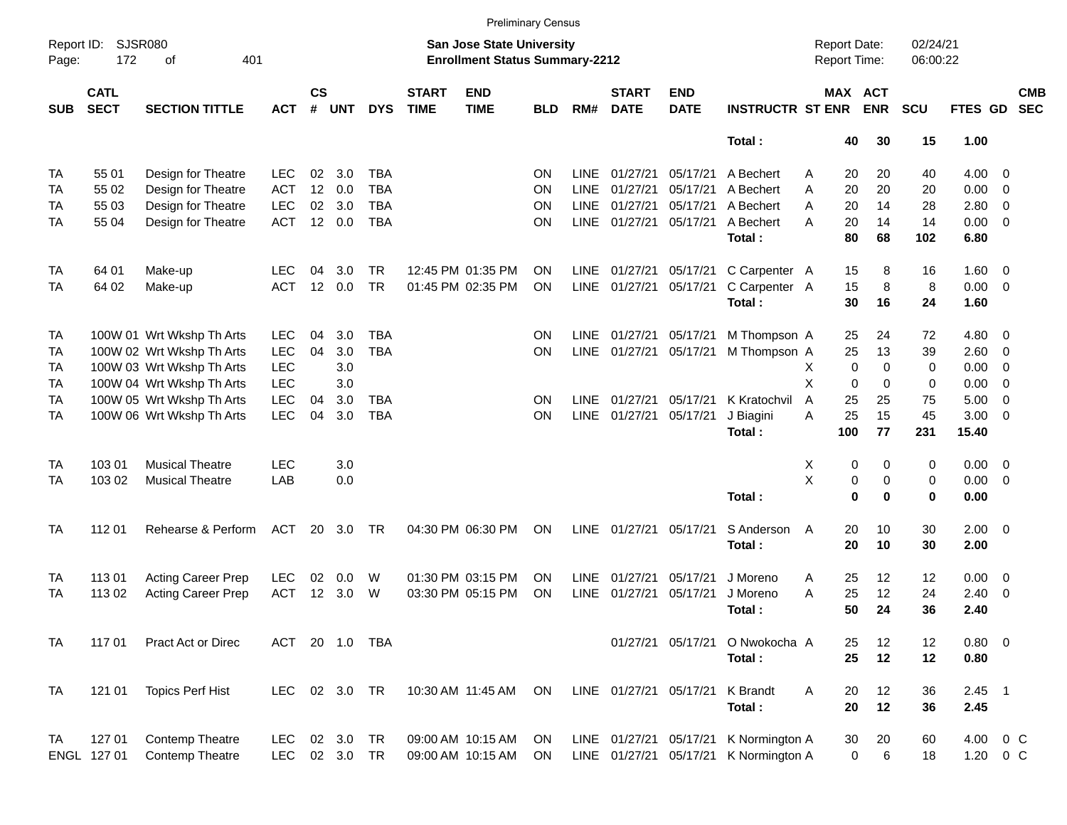|                     | <b>Preliminary Census</b><br><b>Report Date:</b>                                                                |                           |            |                |            |            |                             |                           |            |             |                             |                           |                         |                     |                              |                      |            |                |                          |
|---------------------|-----------------------------------------------------------------------------------------------------------------|---------------------------|------------|----------------|------------|------------|-----------------------------|---------------------------|------------|-------------|-----------------------------|---------------------------|-------------------------|---------------------|------------------------------|----------------------|------------|----------------|--------------------------|
| Report ID:<br>Page: | <b>SJSR080</b><br><b>San Jose State University</b><br>401<br>172<br><b>Enrollment Status Summary-2212</b><br>of |                           |            |                |            |            |                             |                           |            |             |                             |                           |                         | <b>Report Time:</b> |                              | 02/24/21<br>06:00:22 |            |                |                          |
| <b>SUB</b>          | <b>CATL</b><br><b>SECT</b>                                                                                      | <b>SECTION TITTLE</b>     | <b>ACT</b> | <b>CS</b><br># | <b>UNT</b> | <b>DYS</b> | <b>START</b><br><b>TIME</b> | <b>END</b><br><b>TIME</b> | <b>BLD</b> | RM#         | <b>START</b><br><b>DATE</b> | <b>END</b><br><b>DATE</b> | <b>INSTRUCTR ST ENR</b> |                     | <b>MAX ACT</b><br><b>ENR</b> | <b>SCU</b>           | FTES GD    |                | <b>CMB</b><br><b>SEC</b> |
|                     |                                                                                                                 |                           |            |                |            |            |                             |                           |            |             |                             |                           | Total:                  | 40                  | 30                           | 15                   | 1.00       |                |                          |
| TA                  | 55 01                                                                                                           | Design for Theatre        | <b>LEC</b> | 02             | 3.0        | <b>TBA</b> |                             |                           | <b>ON</b>  | <b>LINE</b> | 01/27/21                    | 05/17/21                  | A Bechert               | 20<br>A             | 20                           | 40                   | 4.00       | 0              |                          |
| TA                  | 55 02                                                                                                           | Design for Theatre        | <b>ACT</b> | 12             | 0.0        | <b>TBA</b> |                             |                           | ON         | <b>LINE</b> | 01/27/21                    | 05/17/21                  | A Bechert               | 20<br>Α             | 20                           | 20                   | 0.00       | $\mathbf 0$    |                          |
| TA                  | 55 03                                                                                                           | Design for Theatre        | <b>LEC</b> | 02             | 3.0        | <b>TBA</b> |                             |                           | ON         | <b>LINE</b> | 01/27/21                    | 05/17/21                  | A Bechert               | 20<br>Α             | 14                           | 28                   | 2.80       | $\mathbf 0$    |                          |
| TA                  | 55 04                                                                                                           | Design for Theatre        | <b>ACT</b> | 12             | 0.0        | <b>TBA</b> |                             |                           | ON         | LINE        | 01/27/21                    | 05/17/21                  | A Bechert               | 20<br>A             | 14                           | 14                   | 0.00       | 0              |                          |
|                     |                                                                                                                 |                           |            |                |            |            |                             |                           |            |             |                             |                           | Total:                  | 80                  | 68                           | 102                  | 6.80       |                |                          |
| <b>TA</b>           | 64 01                                                                                                           | Make-up                   | <b>LEC</b> | 04             | 3.0        | <b>TR</b>  |                             | 12:45 PM 01:35 PM         | <b>ON</b>  | LINE        | 01/27/21                    | 05/17/21                  | C Carpenter A           | 15                  | 8                            | 16                   | 1.60       | $\overline{0}$ |                          |
| TA                  | 64 02                                                                                                           | Make-up                   | <b>ACT</b> | 12             | 0.0        | <b>TR</b>  |                             | 01:45 PM 02:35 PM         | ON         | <b>LINE</b> | 01/27/21                    | 05/17/21                  | C Carpenter A           | 15                  | 8                            | 8                    | 0.00       | 0              |                          |
|                     |                                                                                                                 |                           |            |                |            |            |                             |                           |            |             |                             |                           | Total:                  | 30                  | 16                           | 24                   | 1.60       |                |                          |
| <b>TA</b>           |                                                                                                                 | 100W 01 Wrt Wkshp Th Arts | <b>LEC</b> | 04             | 3.0        | <b>TBA</b> |                             |                           | <b>ON</b>  | LINE        | 01/27/21                    | 05/17/21                  | M Thompson A            | 25                  | 24                           | 72                   | 4.80       | 0              |                          |
| TA                  |                                                                                                                 | 100W 02 Wrt Wkshp Th Arts | <b>LEC</b> | 04             | 3.0        | <b>TBA</b> |                             |                           | ON         | <b>LINE</b> | 01/27/21                    | 05/17/21                  | M Thompson A            | 25                  | 13                           | 39                   | 2.60       | $\mathbf 0$    |                          |
| TA                  |                                                                                                                 | 100W 03 Wrt Wkshp Th Arts | <b>LEC</b> |                | 3.0        |            |                             |                           |            |             |                             |                           |                         | X                   | 0<br>$\Omega$                | 0                    | 0.00       | $\mathbf 0$    |                          |
| TA                  |                                                                                                                 | 100W 04 Wrt Wkshp Th Arts | <b>LEC</b> |                | 3.0        |            |                             |                           |            |             |                             |                           |                         | X                   | $\mathbf 0$<br>0             | 0                    | 0.00       | $\mathbf 0$    |                          |
| TA                  |                                                                                                                 | 100W 05 Wrt Wkshp Th Arts | <b>LEC</b> | 04             | 3.0        | <b>TBA</b> |                             |                           | ON         | <b>LINE</b> | 01/27/21                    | 05/17/21                  | K Kratochvil            | 25<br>A             | 25                           | 75                   | 5.00       | $\mathbf 0$    |                          |
| <b>TA</b>           |                                                                                                                 | 100W 06 Wrt Wkshp Th Arts | <b>LEC</b> | 04             | 3.0        | <b>TBA</b> |                             |                           | ON         | <b>LINE</b> | 01/27/21                    | 05/17/21                  | J Biagini               | 25<br>A             | 15                           | 45                   | 3.00       | 0              |                          |
|                     |                                                                                                                 |                           |            |                |            |            |                             |                           |            |             |                             |                           | Total:                  | 100                 | 77                           | 231                  | 15.40      |                |                          |
| <b>TA</b>           | 103 01                                                                                                          | <b>Musical Theatre</b>    | <b>LEC</b> |                | 3.0        |            |                             |                           |            |             |                             |                           |                         | X                   | 0<br>0                       | 0                    | 0.00       | $\overline{0}$ |                          |
| TA                  | 103 02                                                                                                          | <b>Musical Theatre</b>    | LAB        |                | 0.0        |            |                             |                           |            |             |                             |                           |                         | Χ                   | $\pmb{0}$<br>0               | 0                    | 0.00       | 0              |                          |
|                     |                                                                                                                 |                           |            |                |            |            |                             |                           |            |             |                             |                           | Total:                  |                     | $\bf{0}$<br>$\bf{0}$         | $\mathbf 0$          | 0.00       |                |                          |
| <b>TA</b>           | 112 01                                                                                                          | Rehearse & Perform        | <b>ACT</b> | 20             | 3.0        | <b>TR</b>  |                             | 04:30 PM 06:30 PM         | ON         | LINE        | 01/27/21                    | 05/17/21                  | S Anderson              | 20<br>A             | 10                           | 30                   | 2.00       | $\overline{0}$ |                          |
|                     |                                                                                                                 |                           |            |                |            |            |                             |                           |            |             |                             |                           | Total:                  | 20                  | 10                           | 30                   | 2.00       |                |                          |
| TA                  | 113 01                                                                                                          | <b>Acting Career Prep</b> | <b>LEC</b> | 02             | 0.0        | W          |                             | 01:30 PM 03:15 PM         | <b>ON</b>  | LINE        | 01/27/21                    | 05/17/21                  | J Moreno                | 25<br>A             | 12                           | 12                   | 0.00       | 0              |                          |
| TA                  | 113 02                                                                                                          | Acting Career Prep        | <b>ACT</b> | 12             | 3.0        | W          |                             | 03:30 PM 05:15 PM         | ON         | <b>LINE</b> | 01/27/21                    | 05/17/21                  | J Moreno                | 25<br>A             | 12                           | 24                   | 2.40       | $\mathbf 0$    |                          |
|                     |                                                                                                                 |                           |            |                |            |            |                             |                           |            |             |                             |                           | Total:                  | 50                  | 24                           | 36                   | 2.40       |                |                          |
| <b>TA</b>           | 117 01                                                                                                          | Pract Act or Direc        | <b>ACT</b> |                | 20 1.0     | TBA        |                             |                           |            |             |                             | 01/27/21 05/17/21         | O Nwokocha A            | 25                  | 12                           | 12                   | $0.80 \ 0$ |                |                          |
|                     |                                                                                                                 |                           |            |                |            |            |                             |                           |            |             |                             |                           | Total:                  | 25                  | 12                           | 12                   | 0.80       |                |                          |
| <b>TA</b>           | 121 01                                                                                                          | <b>Topics Perf Hist</b>   | <b>LEC</b> |                | 02 3.0     | <b>TR</b>  |                             | 10:30 AM 11:45 AM         | ON         |             | LINE 01/27/21 05/17/21      |                           | K Brandt                | A<br>20             | 12                           | 36                   | $2.45$ 1   |                |                          |
|                     |                                                                                                                 |                           |            |                |            |            |                             |                           |            |             |                             |                           | Total:                  | 20                  | 12                           | 36                   | 2.45       |                |                          |
| <b>TA</b>           | 127 01                                                                                                          | <b>Contemp Theatre</b>    | <b>LEC</b> | 02             | 3.0        | <b>TR</b>  |                             | 09:00 AM 10:15 AM         | ON         |             | LINE 01/27/21 05/17/21      |                           | K Normington A          | 30                  | 20                           | 60                   | 4.00       | $0\,C$         |                          |
|                     | ENGL 127 01                                                                                                     | Contemp Theatre           | <b>LEC</b> |                | 02 3.0     | <b>TR</b>  |                             | 09:00 AM 10:15 AM         | ON         |             | LINE 01/27/21 05/17/21      |                           | K Normington A          |                     | 6<br>0                       | 18                   | 1.20       | 0 C            |                          |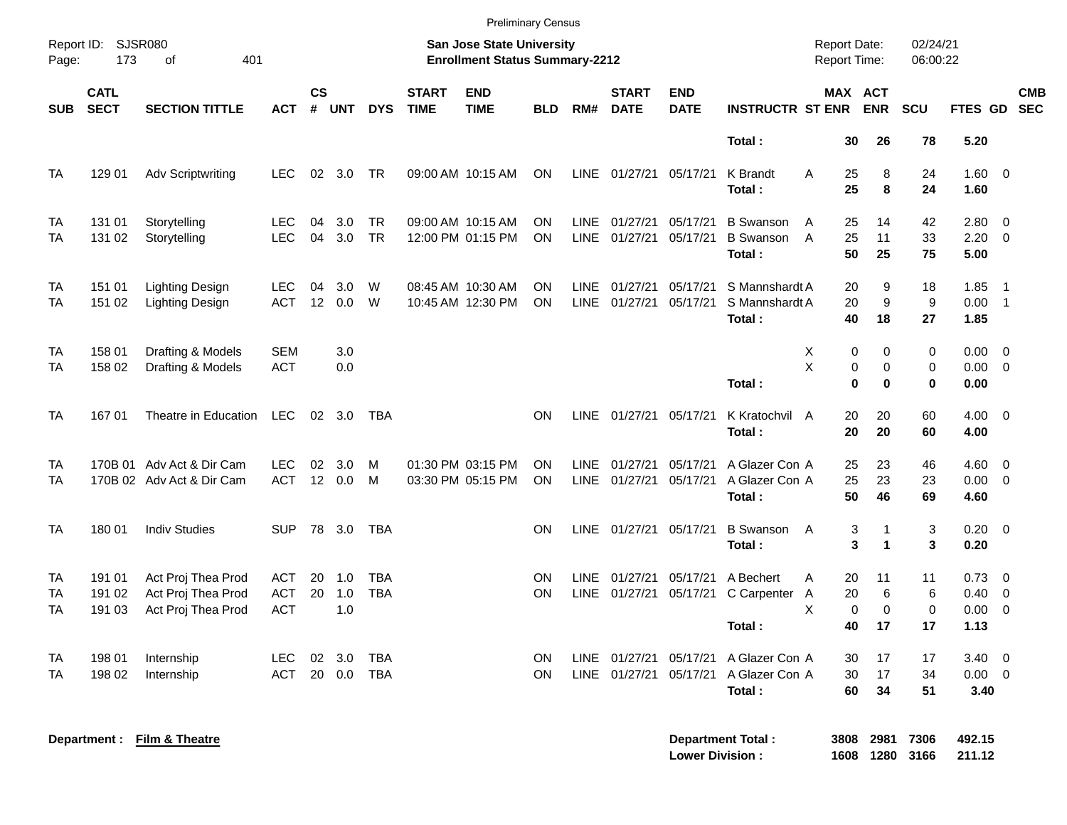|                                                                                                                                                                     |                            |                                                                |                                        |               |                   |                          |                             | <b>Preliminary Census</b>              |                 |                            |                             |                           |                                                |                                           |                              |                              |                                       |                                                                       |            |
|---------------------------------------------------------------------------------------------------------------------------------------------------------------------|----------------------------|----------------------------------------------------------------|----------------------------------------|---------------|-------------------|--------------------------|-----------------------------|----------------------------------------|-----------------|----------------------------|-----------------------------|---------------------------|------------------------------------------------|-------------------------------------------|------------------------------|------------------------------|---------------------------------------|-----------------------------------------------------------------------|------------|
| Report ID: SJSR080<br>Report Date:<br><b>San Jose State University</b><br>173<br>401<br><b>Enrollment Status Summary-2212</b><br>of<br><b>Report Time:</b><br>Page: |                            |                                                                |                                        |               |                   |                          |                             |                                        |                 |                            |                             |                           | 02/24/21<br>06:00:22                           |                                           |                              |                              |                                       |                                                                       |            |
| <b>SUB</b>                                                                                                                                                          | <b>CATL</b><br><b>SECT</b> | <b>SECTION TITTLE</b>                                          | <b>ACT</b>                             | $\mathsf{cs}$ | # UNT             | <b>DYS</b>               | <b>START</b><br><b>TIME</b> | <b>END</b><br><b>TIME</b>              | <b>BLD</b>      | RM#                        | <b>START</b><br><b>DATE</b> | <b>END</b><br><b>DATE</b> | <b>INSTRUCTR ST ENR</b>                        |                                           | MAX ACT<br><b>ENR</b>        | SCU                          | FTES GD SEC                           |                                                                       | <b>CMB</b> |
|                                                                                                                                                                     |                            |                                                                |                                        |               |                   |                          |                             |                                        |                 |                            |                             |                           | Total:                                         | 30                                        | 26                           | 78                           | 5.20                                  |                                                                       |            |
| <b>TA</b>                                                                                                                                                           | 129 01                     | <b>Adv Scriptwriting</b>                                       | <b>LEC</b>                             | 02            | 3.0               | <b>TR</b>                |                             | 09:00 AM 10:15 AM                      | ON              | <b>LINE</b>                | 01/27/21                    | 05/17/21                  | K Brandt<br>Total:                             | A<br>25<br>25                             | 8<br>8                       | 24<br>24                     | 1.60 0<br>1.60                        |                                                                       |            |
| <b>TA</b><br><b>TA</b>                                                                                                                                              | 131 01<br>131 02           | Storytelling<br>Storytelling                                   | <b>LEC</b><br><b>LEC</b>               | 04<br>04      | 3.0<br>3.0        | <b>TR</b><br><b>TR</b>   |                             | 09:00 AM 10:15 AM<br>12:00 PM 01:15 PM | ON<br><b>ON</b> | LINE<br><b>LINE</b>        | 01/27/21<br>01/27/21        | 05/17/21<br>05/17/21      | <b>B</b> Swanson<br><b>B</b> Swanson<br>Total: | 25<br>A<br>$\overline{A}$<br>25<br>50     | 14<br>11<br>25               | 42<br>33<br>75               | 2.80<br>2.20<br>5.00                  | $\overline{\phantom{0}}$<br>$\overline{0}$                            |            |
| <b>TA</b><br><b>TA</b>                                                                                                                                              | 151 01<br>151 02           | Lighting Design<br>Lighting Design                             | LEC.<br><b>ACT</b>                     | 04<br>12      | 3.0<br>0.0        | W<br>W                   |                             | 08:45 AM 10:30 AM<br>10:45 AM 12:30 PM | ON<br>ON        | <b>LINE</b><br><b>LINE</b> | 01/27/21<br>01/27/21        | 05/17/21<br>05/17/21      | S Mannshardt A<br>S Mannshardt A<br>Total:     | 20<br>20<br>40                            | 9<br>9<br>18                 | 18<br>9<br>27                | 1.85<br>0.00<br>1.85                  | $\overline{1}$<br>$\overline{\phantom{0}}$                            |            |
| <b>TA</b><br><b>TA</b>                                                                                                                                              | 158 01<br>158 02           | Drafting & Models<br>Drafting & Models                         | <b>SEM</b><br><b>ACT</b>               |               | 3.0<br>0.0        |                          |                             |                                        |                 |                            |                             |                           | Total:                                         | $\mathbf 0$<br>X<br>X<br>0<br>$\mathbf 0$ | $\Omega$<br>$\mathbf 0$<br>0 | $\Omega$<br>$\mathbf 0$<br>0 | 0.00<br>0.00<br>0.00                  | $\overline{\mathbf{0}}$<br>$\overline{0}$                             |            |
| <b>TA</b>                                                                                                                                                           | 167 01                     | Theatre in Education                                           | <b>LEC</b>                             | 02            | 3.0               | <b>TBA</b>               |                             |                                        | ON              | <b>LINE</b>                | 01/27/21                    | 05/17/21                  | K Kratochvil<br>A<br>Total:                    | 20<br>20                                  | 20<br>20                     | 60<br>60                     | 4.00<br>4.00                          | $\overline{0}$                                                        |            |
| <b>TA</b><br><b>TA</b>                                                                                                                                              |                            | 170B 01 Adv Act & Dir Cam<br>170B 02 Adv Act & Dir Cam         | <b>LEC</b><br><b>ACT</b>               | 02<br>12      | 3.0<br>0.0        | м<br>M                   |                             | 01:30 PM 03:15 PM<br>03:30 PM 05:15 PM | ON<br>ON        | <b>LINE</b><br><b>LINE</b> | 01/27/21<br>01/27/21        | 05/17/21<br>05/17/21      | A Glazer Con A<br>A Glazer Con A<br>Total:     | 25<br>25<br>50                            | 23<br>23<br>46               | 46<br>23<br>69               | 4.60<br>0.00<br>4.60                  | $\overline{\mathbf{0}}$<br>$\overline{0}$                             |            |
| <b>TA</b>                                                                                                                                                           | 180 01                     | <b>Indiv Studies</b>                                           | <b>SUP</b>                             | 78            | 3.0               | <b>TBA</b>               |                             |                                        | ON              | <b>LINE</b>                | 01/27/21                    | 05/17/21                  | <b>B</b> Swanson<br>Total:                     | 3<br>A<br>3                               | $\mathbf{1}$<br>$\mathbf{1}$ | 3<br>3                       | 0.20<br>0.20                          | $\overline{\phantom{0}}$                                              |            |
| <b>TA</b><br>TA<br>TA                                                                                                                                               | 191 01<br>191 02<br>191 03 | Act Proj Thea Prod<br>Act Proj Thea Prod<br>Act Proj Thea Prod | <b>ACT</b><br><b>ACT</b><br><b>ACT</b> | 20<br>20      | 1.0<br>1.0<br>1.0 | <b>TBA</b><br><b>TBA</b> |                             |                                        | OΝ<br>ON        | <b>LINE</b><br><b>LINE</b> | 01/27/21<br>01/27/21        | 05/17/21<br>05/17/21      | A Bechert<br>C Carpenter A<br>Total:           | 20<br>A<br>20<br>X<br>$\mathbf 0$<br>40   | 11<br>6<br>$\mathbf 0$<br>17 | 11<br>6<br>$\mathbf 0$<br>17 | 0.73<br>0.40<br>0.00<br>1.13          | $\overline{\phantom{0}}$<br>$\overline{0}$<br>$\overline{\mathbf{0}}$ |            |
| TA<br>TA                                                                                                                                                            | 198 01<br>198 02           | Internship<br>Internship                                       | <b>LEC</b><br><b>ACT</b>               | 02<br>20      | 3.0<br>0.0        | <b>TBA</b><br><b>TBA</b> |                             |                                        | OΝ<br>ON        | LINE<br><b>LINE</b>        | 01/27/21<br>01/27/21        | 05/17/21<br>05/17/21      | A Glazer Con A<br>A Glazer Con A<br>Total:     | 30<br>30<br>60                            | 17<br>17<br>34               | 17<br>34<br>51               | $3.40 \quad 0$<br>$0.00 \t 0$<br>3.40 |                                                                       |            |

**Department : Film & Theatre Department Total : 3808 2981 7306 492.15 Lower Division : 1608 1280 3166 211.12**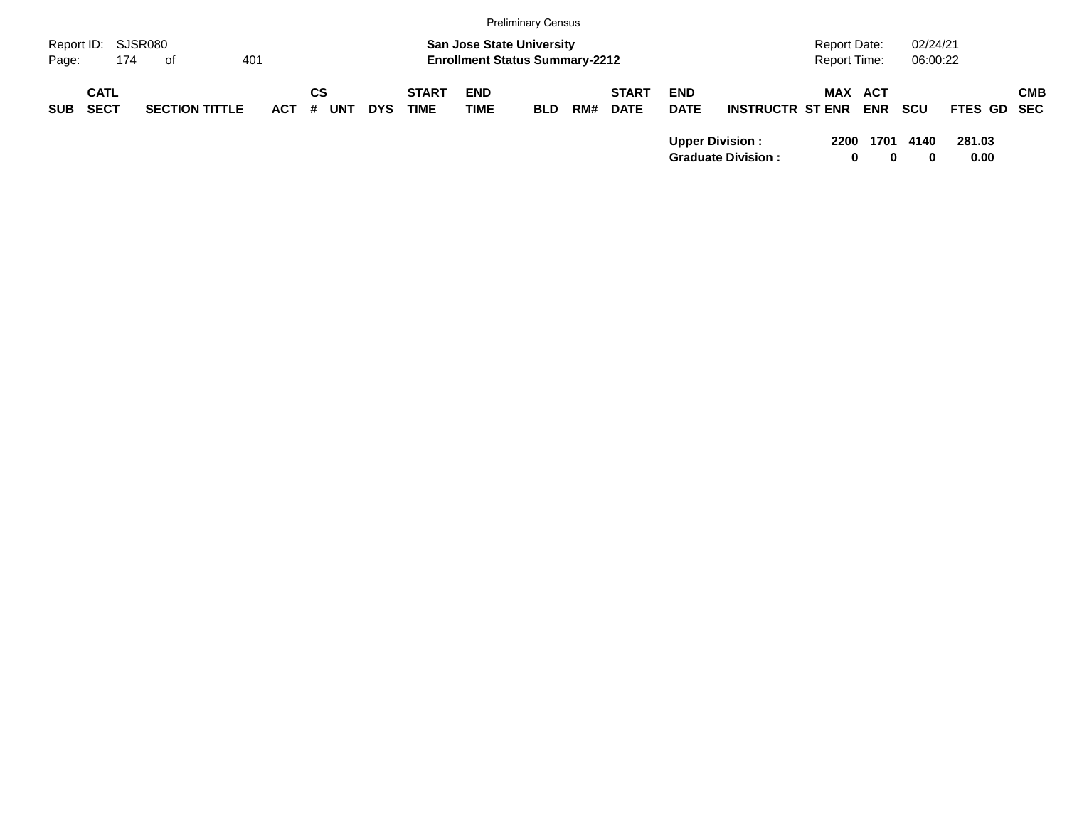|            |                            |                       |         |                  |            |                             |                                                                           | <b>Preliminary Census</b> |     |                             |                           |                                                     |                                            |            |                      |                |            |
|------------|----------------------------|-----------------------|---------|------------------|------------|-----------------------------|---------------------------------------------------------------------------|---------------------------|-----|-----------------------------|---------------------------|-----------------------------------------------------|--------------------------------------------|------------|----------------------|----------------|------------|
| Page:      | Report ID: SJSR080<br>174  | of                    | 401     |                  |            |                             | <b>San Jose State University</b><br><b>Enrollment Status Summary-2212</b> |                           |     |                             |                           |                                                     | <b>Report Date:</b><br><b>Report Time:</b> |            | 02/24/21<br>06:00:22 |                |            |
| <b>SUB</b> | <b>CATL</b><br><b>SECT</b> | <b>SECTION TITTLE</b> | $ACT$ # | СS<br><b>UNT</b> | <b>DYS</b> | <b>START</b><br><b>TIME</b> | <b>END</b><br><b>TIME</b>                                                 | <b>BLD</b>                | RM# | <b>START</b><br><b>DATE</b> | <b>END</b><br><b>DATE</b> | <b>INSTRUCTR ST ENR</b>                             | MAX ACT                                    | <b>ENR</b> | <b>SCU</b>           | FTES GD SEC    | <b>CMB</b> |
|            |                            |                       |         |                  |            |                             |                                                                           |                           |     |                             |                           | <b>Upper Division:</b><br><b>Graduate Division:</b> | 2200<br>0                                  | 1701<br>0  | 4140<br>0            | 281.03<br>0.00 |            |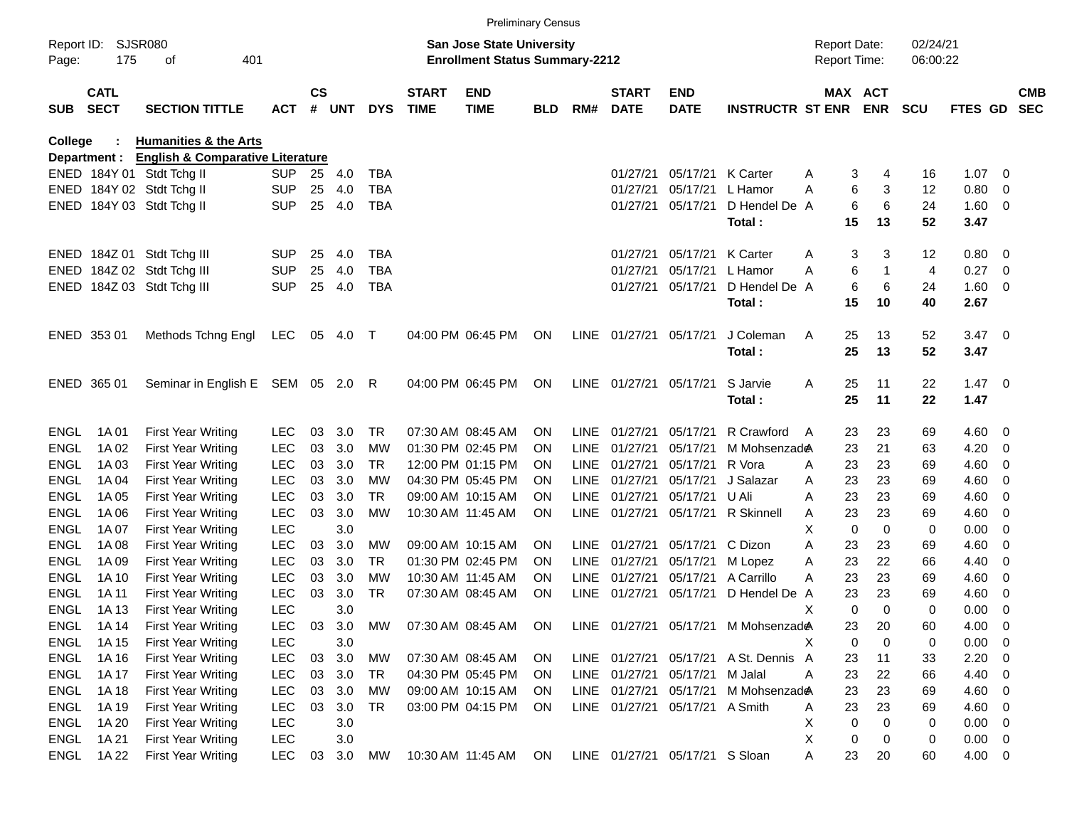|                     |                            |                                             |            |               |       |            |                             |                                                                           | <b>Preliminary Census</b> |             |                             |                                |                                       |                                     |                            |                      |                |                          |                          |
|---------------------|----------------------------|---------------------------------------------|------------|---------------|-------|------------|-----------------------------|---------------------------------------------------------------------------|---------------------------|-------------|-----------------------------|--------------------------------|---------------------------------------|-------------------------------------|----------------------------|----------------------|----------------|--------------------------|--------------------------|
| Report ID:<br>Page: | 175                        | <b>SJSR080</b><br>401<br>οf                 |            |               |       |            |                             | <b>San Jose State University</b><br><b>Enrollment Status Summary-2212</b> |                           |             |                             |                                |                                       | <b>Report Date:</b><br>Report Time: |                            | 02/24/21<br>06:00:22 |                |                          |                          |
| <b>SUB</b>          | <b>CATL</b><br><b>SECT</b> | <b>SECTION TITTLE</b>                       | <b>ACT</b> | $\mathsf{cs}$ | # UNT | <b>DYS</b> | <b>START</b><br><b>TIME</b> | <b>END</b><br><b>TIME</b>                                                 | <b>BLD</b>                | RM#         | <b>START</b><br><b>DATE</b> | <b>END</b><br><b>DATE</b>      | <b>INSTRUCTR ST ENR</b>               |                                     | MAX ACT<br><b>ENR</b>      | <b>SCU</b>           | FTES GD        |                          | <b>CMB</b><br><b>SEC</b> |
| College             |                            | <b>Humanities &amp; the Arts</b>            |            |               |       |            |                             |                                                                           |                           |             |                             |                                |                                       |                                     |                            |                      |                |                          |                          |
|                     | Department :               | <b>English &amp; Comparative Literature</b> |            |               |       |            |                             |                                                                           |                           |             |                             |                                |                                       |                                     |                            |                      |                |                          |                          |
|                     |                            | ENED 184Y 01 Stdt Tchg II                   | <b>SUP</b> | 25            | 4.0   | <b>TBA</b> |                             |                                                                           |                           |             | 01/27/21                    |                                | 05/17/21 K Carter                     | Α                                   | 3<br>4                     | 16                   | $1.07 \quad 0$ |                          |                          |
|                     |                            | ENED 184Y 02 Stdt Tchg II                   | <b>SUP</b> | 25            | 4.0   | <b>TBA</b> |                             |                                                                           |                           |             | 01/27/21                    | 05/17/21                       | L Hamor                               | A                                   | 6<br>3                     | 12                   | 0.80           | $\overline{\mathbf{0}}$  |                          |
|                     |                            | ENED 184Y 03 Stdt Tchg II                   | <b>SUP</b> | 25            | 4.0   | <b>TBA</b> |                             |                                                                           |                           |             | 01/27/21                    | 05/17/21                       | D Hendel De A                         |                                     | 6<br>6                     | 24                   | 1.60           | $\overline{\phantom{0}}$ |                          |
|                     |                            |                                             |            |               |       |            |                             |                                                                           |                           |             |                             |                                | Total:                                | 15                                  | 13                         | 52                   | 3.47           |                          |                          |
|                     |                            | ENED 184Z 01 Stdt Tchg III                  | <b>SUP</b> | 25            | 4.0   | <b>TBA</b> |                             |                                                                           |                           |             | 01/27/21                    | 05/17/21                       | K Carter                              | Α                                   | 3<br>3                     | 12                   | 0.80           | $\overline{\phantom{0}}$ |                          |
|                     |                            | ENED 184Z 02 Stdt Tchg III                  | <b>SUP</b> | 25            | 4.0   | <b>TBA</b> |                             |                                                                           |                           |             | 01/27/21                    | 05/17/21                       | L Hamor                               | A                                   | 6<br>-1                    | 4                    | 0.27           | $\overline{\mathbf{0}}$  |                          |
|                     |                            | ENED 184Z 03 Stdt Tchg III                  | <b>SUP</b> | 25            | 4.0   | <b>TBA</b> |                             |                                                                           |                           |             | 01/27/21                    | 05/17/21                       | D Hendel De A                         |                                     | 6<br>6                     | 24                   | 1.60           | $\overline{\phantom{0}}$ |                          |
|                     |                            |                                             |            |               |       |            |                             |                                                                           |                           |             |                             |                                | Total:                                | 15                                  | 10                         | 40                   | 2.67           |                          |                          |
|                     | ENED 353 01                | Methods Tchng Engl                          | LEC        | 05            | 4.0   | $\top$     |                             | 04:00 PM 06:45 PM                                                         | ON                        |             | LINE 01/27/21               | 05/17/21                       | J Coleman                             | 25<br>A                             | 13                         | 52                   | $3.47 \ 0$     |                          |                          |
|                     |                            |                                             |            |               |       |            |                             |                                                                           |                           |             |                             |                                | Total:                                | 25                                  | 13                         | 52                   | 3.47           |                          |                          |
|                     | ENED 365 01                | Seminar in English E SEM 05 2.0 R           |            |               |       |            |                             | 04:00 PM 06:45 PM                                                         | ON                        |             | LINE 01/27/21               | 05/17/21                       | S Jarvie                              | Α<br>25                             | 11                         | 22                   | $1.47 \ 0$     |                          |                          |
|                     |                            |                                             |            |               |       |            |                             |                                                                           |                           |             |                             |                                | Total:                                | 25                                  | 11                         | 22                   | 1.47           |                          |                          |
| <b>ENGL</b>         | 1A 01                      | <b>First Year Writing</b>                   | <b>LEC</b> | 03            | 3.0   | TR.        |                             | 07:30 AM 08:45 AM                                                         | <b>ON</b>                 | LINE.       | 01/27/21                    | 05/17/21                       | R Crawford                            | 23<br>A                             | 23                         | 69                   | $4.60 \ 0$     |                          |                          |
| <b>ENGL</b>         | 1A 02                      | <b>First Year Writing</b>                   | <b>LEC</b> | 03            | 3.0   | <b>MW</b>  |                             | 01:30 PM 02:45 PM                                                         | <b>ON</b>                 | <b>LINE</b> | 01/27/21                    | 05/17/21                       | M Mohsenzade                          | 23                                  | 21                         | 63                   | 4.20           | - 0                      |                          |
| <b>ENGL</b>         | 1A 03                      | <b>First Year Writing</b>                   | <b>LEC</b> | 03            | 3.0   | TR.        |                             | 12:00 PM 01:15 PM                                                         | <b>ON</b>                 | <b>LINE</b> | 01/27/21                    | 05/17/21                       | R Vora                                | 23<br>A                             | 23                         | 69                   | 4.60           | $\overline{0}$           |                          |
| <b>ENGL</b>         | 1A 04                      | <b>First Year Writing</b>                   | <b>LEC</b> | 03            | 3.0   | МW         |                             | 04:30 PM 05:45 PM                                                         | <b>ON</b>                 | <b>LINE</b> | 01/27/21                    | 05/17/21                       | J Salazar                             | 23<br>Α                             | 23                         | 69                   | 4.60           | $\overline{0}$           |                          |
| <b>ENGL</b>         | 1A 05                      | <b>First Year Writing</b>                   | <b>LEC</b> | 03            | 3.0   | TR         |                             | 09:00 AM 10:15 AM                                                         | <b>ON</b>                 | <b>LINE</b> | 01/27/21                    | 05/17/21                       | U Ali                                 | 23<br>A                             | 23                         | 69                   | 4.60           | $\overline{0}$           |                          |
| <b>ENGL</b>         | 1A 06                      | <b>First Year Writing</b>                   | <b>LEC</b> | 03            | 3.0   | MW         |                             | 10:30 AM 11:45 AM                                                         | <b>ON</b>                 |             | LINE 01/27/21               |                                | 05/17/21 R Skinnell                   | 23<br>Α                             | 23                         | 69                   | 4.60           | $\overline{0}$           |                          |
| <b>ENGL</b>         | 1A 07                      | <b>First Year Writing</b>                   | <b>LEC</b> |               | 3.0   |            |                             |                                                                           |                           |             |                             |                                |                                       | х                                   | $\mathbf 0$<br>$\mathbf 0$ | 0                    | 0.00           | 0                        |                          |
| <b>ENGL</b>         | 1A 08                      | <b>First Year Writing</b>                   | <b>LEC</b> | 03            | 3.0   | MW         |                             | 09:00 AM 10:15 AM                                                         | <b>ON</b>                 | LINE        | 01/27/21                    | 05/17/21                       | C Dizon                               | A<br>23                             | 23                         | 69                   | 4.60           | $\overline{0}$           |                          |
| <b>ENGL</b>         | 1A 09                      | <b>First Year Writing</b>                   | LEC        | 03            | 3.0   | TR         |                             | 01:30 PM 02:45 PM                                                         | <b>ON</b>                 | LINE        | 01/27/21                    | 05/17/21                       | M Lopez                               | 23<br>Α                             | 22                         | 66                   | 4.40           | 0                        |                          |
| <b>ENGL</b>         | 1A 10                      | <b>First Year Writing</b>                   | <b>LEC</b> | 03            | 3.0   | МW         |                             | 10:30 AM 11:45 AM                                                         | <b>ON</b>                 | <b>LINE</b> | 01/27/21                    | 05/17/21                       | A Carrillo                            | 23<br>А                             | 23                         | 69                   | 4.60           | $\overline{0}$           |                          |
| <b>ENGL</b>         | 1A 11                      | <b>First Year Writing</b>                   | <b>LEC</b> | 03            | 3.0   | <b>TR</b>  |                             | 07:30 AM 08:45 AM                                                         | ON                        | LINE        | 01/27/21                    | 05/17/21                       | D Hendel De                           | 23<br>A                             | 23                         | 69                   | 4.60           | $\overline{0}$           |                          |
| <b>ENGL</b>         | 1A 13                      | <b>First Year Writing</b>                   | <b>LEC</b> |               | 3.0   |            |                             |                                                                           |                           |             |                             |                                |                                       | х                                   | $\mathbf 0$<br>$\Omega$    | 0                    | 0.00           | $\overline{\mathbf{0}}$  |                          |
| ENGL                | 1A 14                      | <b>First Year Writing</b>                   | <b>LEC</b> | 03            | 3.0   | MW         |                             | 07:30 AM 08:45 AM ON                                                      |                           |             |                             |                                | LINE 01/27/21 05/17/21 M Mohsenzade   | 23                                  | 20                         | 60                   | 4.00           | $\overline{\mathbf{0}}$  |                          |
| ENGL                | 1A 15                      | <b>First Year Writing</b>                   | LEC        |               | 3.0   |            |                             |                                                                           |                           |             |                             |                                |                                       | Х                                   | 0<br>0                     | 0                    | 0.00           | $\overline{\phantom{0}}$ |                          |
| ENGL                | 1A 16                      | <b>First Year Writing</b>                   | <b>LEC</b> | 03            | 3.0   | <b>MW</b>  |                             | 07:30 AM 08:45 AM                                                         | ON                        |             |                             |                                | LINE 01/27/21 05/17/21 A St. Dennis A | 23                                  | 11                         | 33                   | 2.20           | $\overline{\mathbf{0}}$  |                          |
| ENGL                | 1A 17                      | <b>First Year Writing</b>                   | <b>LEC</b> | 03            | 3.0   | TR         |                             | 04:30 PM 05:45 PM                                                         | <b>ON</b>                 |             |                             | LINE 01/27/21 05/17/21 M Jalal |                                       | 23<br>A                             | 22                         | 66                   | 4.40           | $\overline{\phantom{0}}$ |                          |
| <b>ENGL</b>         | 1A 18                      | First Year Writing                          | <b>LEC</b> | 03            | 3.0   | MW         |                             | 09:00 AM 10:15 AM                                                         | <b>ON</b>                 |             | LINE 01/27/21               | 05/17/21                       | M Mohsenzade                          | 23                                  | 23                         | 69                   | $4.60 \ 0$     |                          |                          |
| ENGL                | 1A 19                      | <b>First Year Writing</b>                   | <b>LEC</b> | 03            | 3.0   | TR         |                             | 03:00 PM 04:15 PM                                                         | <b>ON</b>                 |             |                             | LINE 01/27/21 05/17/21 A Smith |                                       | 23<br>A                             | 23                         | 69                   | 4.60           | $\overline{\phantom{0}}$ |                          |
| ENGL                | 1A 20                      | <b>First Year Writing</b>                   | <b>LEC</b> |               | 3.0   |            |                             |                                                                           |                           |             |                             |                                |                                       | Х                                   | 0<br>0                     | 0                    | $0.00 \t 0$    |                          |                          |
| ENGL                | 1A 21                      | First Year Writing                          | <b>LEC</b> |               | 3.0   |            |                             |                                                                           |                           |             |                             |                                |                                       | X                                   | 0<br>0                     | 0                    | $0.00 \t 0$    |                          |                          |
| ENGL                | 1A 22                      | First Year Writing                          | <b>LEC</b> | 03            | 3.0   | МW         |                             | 10:30 AM 11:45 AM                                                         | ON                        |             |                             | LINE 01/27/21 05/17/21 S Sloan |                                       | 23<br>Α                             | 20                         | 60                   | 4.00 0         |                          |                          |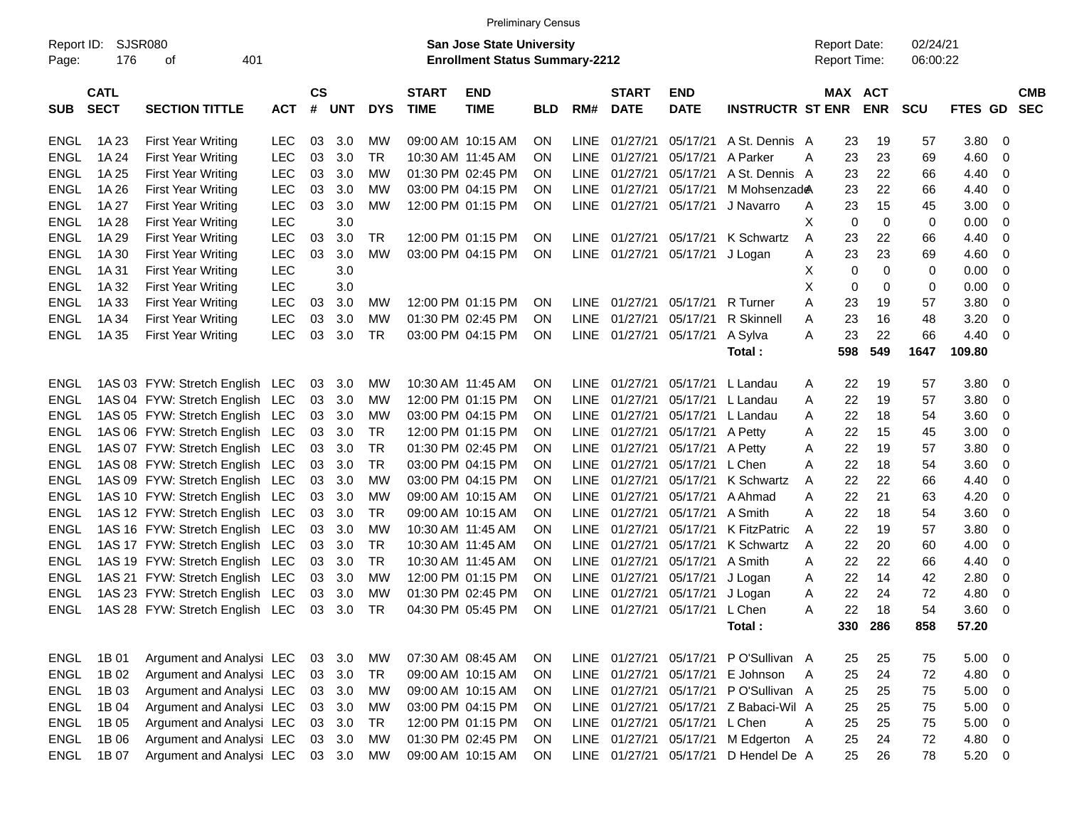|             | <b>Preliminary Census</b>                                                                                                                                                                                              |                                 |            |                    |            |            |                             |                           |            |             |                             |                           |                         |           |                       |            |         |                |            |
|-------------|------------------------------------------------------------------------------------------------------------------------------------------------------------------------------------------------------------------------|---------------------------------|------------|--------------------|------------|------------|-----------------------------|---------------------------|------------|-------------|-----------------------------|---------------------------|-------------------------|-----------|-----------------------|------------|---------|----------------|------------|
| Page:       | SJSR080<br><b>San Jose State University</b><br>02/24/21<br>Report ID:<br><b>Report Date:</b><br>176<br>401<br><b>Enrollment Status Summary-2212</b><br>Report Time:<br>06:00:22<br>οf                                  |                                 |            |                    |            |            |                             |                           |            |             |                             |                           |                         |           |                       |            |         |                |            |
| <b>SUB</b>  | <b>CATL</b><br><b>SECT</b>                                                                                                                                                                                             | <b>SECTION TITTLE</b>           | <b>ACT</b> | $\mathsf{cs}$<br># | <b>UNT</b> | <b>DYS</b> | <b>START</b><br><b>TIME</b> | <b>END</b><br><b>TIME</b> | <b>BLD</b> | RM#         | <b>START</b><br><b>DATE</b> | <b>END</b><br><b>DATE</b> | <b>INSTRUCTR ST ENR</b> |           | MAX ACT<br><b>ENR</b> | <b>SCU</b> | FTES GD | <b>SEC</b>     | <b>CMB</b> |
| <b>ENGL</b> | 1A 23                                                                                                                                                                                                                  | <b>First Year Writing</b>       | <b>LEC</b> | 03                 | 3.0        | МW         |                             | 09:00 AM 10:15 AM         | ON         | <b>LINE</b> | 01/27/21                    | 05/17/21                  | A St. Dennis A          | 23        | 19                    | 57         | 3.80    | 0              |            |
| <b>ENGL</b> | 1A 24                                                                                                                                                                                                                  | <b>First Year Writing</b>       | <b>LEC</b> | 03                 | 3.0        | <b>TR</b>  |                             | 10:30 AM 11:45 AM         | ΟN         | <b>LINE</b> | 01/27/21                    | 05/17/21                  | A Parker                | 23<br>A   | 23                    | 69         | 4.60    | 0              |            |
| <b>ENGL</b> | 1A 25                                                                                                                                                                                                                  | First Year Writing              | <b>LEC</b> | 03                 | 3.0        | МW         |                             | 01:30 PM 02:45 PM         | ON         | LINE        | 01/27/21                    | 05/17/21                  | A St. Dennis A          | 23        | 22                    | 66         | 4.40    | 0              |            |
| <b>ENGL</b> | 1A 26                                                                                                                                                                                                                  | <b>First Year Writing</b>       | LEC        | 03                 | 3.0        | МW         |                             | 03:00 PM 04:15 PM         | ON         | LINE        | 01/27/21                    | 05/17/21                  | M Mohsenzade            | 23        | 22                    | 66         | 4.40    | 0              |            |
| <b>ENGL</b> | 1A 27                                                                                                                                                                                                                  | <b>First Year Writing</b>       | <b>LEC</b> | 03                 | 3.0        | <b>MW</b>  |                             | 12:00 PM 01:15 PM         | ON         | <b>LINE</b> | 01/27/21                    | 05/17/21                  | J Navarro               | 23<br>A   | 15                    | 45         | 3.00    | 0              |            |
| <b>ENGL</b> | 1A 28                                                                                                                                                                                                                  | <b>First Year Writing</b>       | LEC        |                    | 3.0        |            |                             |                           |            |             |                             |                           |                         | X<br>0    | $\mathbf 0$           | 0          | 0.00    | 0              |            |
| <b>ENGL</b> | 1A 29                                                                                                                                                                                                                  | <b>First Year Writing</b>       | <b>LEC</b> | 03                 | 3.0        | <b>TR</b>  |                             |                           | ΟN         | LINE        | 01/27/21                    | 05/17/21                  | K Schwartz              | A         | 22                    | 66         | 4.40    | 0              |            |
| <b>ENGL</b> | 12:00 PM 01:15 PM<br>23<br>23<br><b>LEC</b><br>03<br>3.0<br><b>MW</b><br>03:00 PM 04:15 PM<br><b>LINE</b><br>01/27/21<br>05/17/21<br>23<br>4.60<br>0<br>1A 30<br><b>First Year Writing</b><br>ΟN<br>J Logan<br>Α<br>69 |                                 |            |                    |            |            |                             |                           |            |             |                             |                           |                         |           |                       |            |         |                |            |
| <b>ENGL</b> | <b>LEC</b><br>3.0<br>Х<br>0<br>$\mathbf 0$<br>0.00<br>$\mathbf 0$<br>1A 31<br><b>First Year Writing</b><br>0                                                                                                           |                                 |            |                    |            |            |                             |                           |            |             |                             |                           |                         |           |                       |            |         |                |            |
| <b>ENGL</b> | X<br><b>LEC</b><br>3.0<br>0.00<br>$\mathbf 0$<br>1A 32<br><b>First Year Writing</b><br>0<br>0<br>0                                                                                                                     |                                 |            |                    |            |            |                             |                           |            |             |                             |                           |                         |           |                       |            |         |                |            |
| <b>ENGL</b> | 1A 33                                                                                                                                                                                                                  | <b>First Year Writing</b>       | LEC        | 03                 | 3.0        | МW         |                             | 12:00 PM 01:15 PM         | ΟN         | LINE        | 01/27/21                    | 05/17/21                  | R Turner                | 23<br>Α   | 19                    | 57         | 3.80    | $\mathbf 0$    |            |
| <b>ENGL</b> | 1A 34                                                                                                                                                                                                                  | <b>First Year Writing</b>       | LEC        | 03                 | 3.0        | MW         |                             | 01:30 PM 02:45 PM         | ΟN         | LINE        | 01/27/21                    | 05/17/21                  | <b>R</b> Skinnell       | 23<br>A   | 16                    | 48         | 3.20    | 0              |            |
| <b>ENGL</b> | 1A 35                                                                                                                                                                                                                  | <b>First Year Writing</b>       | <b>LEC</b> | 03                 | 3.0        | <b>TR</b>  |                             | 03:00 PM 04:15 PM         | ON         | <b>LINE</b> | 01/27/21                    | 05/17/21                  | A Sylva                 | 23<br>Α   | 22                    | 66         | 4.40    | 0              |            |
|             |                                                                                                                                                                                                                        |                                 |            |                    |            |            |                             |                           |            |             |                             |                           | Total:                  | 598       | 549                   | 1647       | 109.80  |                |            |
| <b>ENGL</b> |                                                                                                                                                                                                                        | 1AS 03 FYW: Stretch English LEC |            | 03                 | 3.0        | MW         |                             | 10:30 AM 11:45 AM         | ON         | <b>LINE</b> | 01/27/21                    | 05/17/21                  | L Landau                | 22<br>A   | 19                    | 57         | 3.80    | 0              |            |
| <b>ENGL</b> |                                                                                                                                                                                                                        | 1AS 04 FYW: Stretch English     | <b>LEC</b> | 03                 | 3.0        | MW         |                             | 12:00 PM 01:15 PM         | ON         | <b>LINE</b> | 01/27/21                    | 05/17/21                  | L Landau                | 22<br>Α   | 19                    | 57         | 3.80    | $\mathbf 0$    |            |
| <b>ENGL</b> |                                                                                                                                                                                                                        | 1AS 05 FYW: Stretch English     | LEC        | 03                 | 3.0        | MW         |                             | 03:00 PM 04:15 PM         | 0N         | LINE        | 01/27/21                    | 05/17/21                  | L Landau                | 22<br>A   | 18                    | 54         | 3.60    | 0              |            |
| <b>ENGL</b> |                                                                                                                                                                                                                        | 1AS 06 FYW: Stretch English     | <b>LEC</b> | 03                 | 3.0        | <b>TR</b>  |                             | 12:00 PM 01:15 PM         | 0N         | LINE        | 01/27/21                    | 05/17/21                  | A Petty                 | 22<br>A   | 15                    | 45         | 3.00    | 0              |            |
| <b>ENGL</b> |                                                                                                                                                                                                                        | 1AS 07 FYW: Stretch English     | <b>LEC</b> | 03                 | 3.0        | <b>TR</b>  |                             | 01:30 PM 02:45 PM         | ΟN         | LINE        | 01/27/21                    | 05/17/21                  | A Petty                 | 22<br>Α   | 19                    | 57         | 3.80    | 0              |            |
| <b>ENGL</b> |                                                                                                                                                                                                                        | 1AS 08 FYW: Stretch English     | <b>LEC</b> | 03                 | 3.0        | <b>TR</b>  |                             | 03:00 PM 04:15 PM         | ON         | LINE        | 01/27/21                    | 05/17/21                  | L Chen                  | 22<br>Α   | 18                    | 54         | 3.60    | 0              |            |
| <b>ENGL</b> |                                                                                                                                                                                                                        | 1AS 09 FYW: Stretch English     | <b>LEC</b> | 03                 | 3.0        | <b>MW</b>  |                             | 03:00 PM 04:15 PM         | ON         | LINE        | 01/27/21                    | 05/17/21                  | K Schwartz              | 22<br>A   | 22                    | 66         | 4.40    | 0              |            |
| <b>ENGL</b> |                                                                                                                                                                                                                        | 1AS 10 FYW: Stretch English     | <b>LEC</b> | 03                 | 3.0        | MW         |                             | 09:00 AM 10:15 AM         | ΟN         | LINE        | 01/27/21                    | 05/17/21                  | A Ahmad                 | 22<br>A   | 21                    | 63         | 4.20    | 0              |            |
| <b>ENGL</b> |                                                                                                                                                                                                                        | 1AS 12 FYW: Stretch English     | <b>LEC</b> | 03                 | 3.0        | <b>TR</b>  |                             | 09:00 AM 10:15 AM         | ΟN         | LINE        | 01/27/21                    | 05/17/21                  | A Smith                 | 22<br>Α   | 18                    | 54         | 3.60    | 0              |            |
| <b>ENGL</b> |                                                                                                                                                                                                                        | 1AS 16 FYW: Stretch English     | <b>LEC</b> | 03                 | 3.0        | <b>MW</b>  |                             | 10:30 AM 11:45 AM         | ΟN         | LINE        | 01/27/21                    | 05/17/21                  | <b>K FitzPatric</b>     | 22<br>A   | 19                    | 57         | 3.80    | 0              |            |
| <b>ENGL</b> |                                                                                                                                                                                                                        | 1AS 17 FYW: Stretch English     | <b>LEC</b> | 03                 | 3.0        | <b>TR</b>  |                             | 10:30 AM 11:45 AM         | 0N         | LINE        | 01/27/21                    | 05/17/21                  | K Schwartz              | 22<br>A   | 20                    | 60         | 4.00    | 0              |            |
| <b>ENGL</b> |                                                                                                                                                                                                                        | 1AS 19 FYW: Stretch English     | <b>LEC</b> | 03                 | 3.0        | <b>TR</b>  |                             | 10:30 AM 11:45 AM         | 0N         | LINE        | 01/27/21                    | 05/17/21                  | A Smith                 | 22<br>A   | 22                    | 66         | 4.40    | 0              |            |
| <b>ENGL</b> |                                                                                                                                                                                                                        | 1AS 21 FYW: Stretch English     | <b>LEC</b> | 03                 | 3.0        | MW         |                             | 12:00 PM 01:15 PM         | 0N         | LINE        | 01/27/21                    | 05/17/21                  | J Logan                 | 22<br>A   | 14                    | 42         | 2.80    | 0              |            |
| <b>ENGL</b> |                                                                                                                                                                                                                        | 1AS 23 FYW: Stretch English     | <b>LEC</b> | 03                 | 3.0        | MW         |                             | 01:30 PM 02:45 PM         | ΟN         | LINE        | 01/27/21                    | 05/17/21                  | J Logan                 | 22<br>A   | 24                    | 72         | 4.80    | 0              |            |
| <b>ENGL</b> |                                                                                                                                                                                                                        | 1AS 28 FYW: Stretch English LEC |            | 03                 | 3.0        | <b>TR</b>  |                             | 04:30 PM 05:45 PM         | ON         | LINE        | 01/27/21                    | 05/17/21                  | L Chen                  | 22<br>Α   | 18                    | 54         | 3.60    | 0              |            |
|             |                                                                                                                                                                                                                        |                                 |            |                    |            |            |                             |                           |            |             |                             |                           | Total:                  |           | 330 286               | 858        | 57.20   |                |            |
| <b>ENGL</b> | 1B 01                                                                                                                                                                                                                  | Argument and Analysi LEC        |            | 03                 | 3.0        | <b>MW</b>  |                             | 07:30 AM 08:45 AM         | ON         |             | LINE 01/27/21               | 05/17/21                  | P O'Sullivan A          | 25        | 25                    | 75         | 5.00    | $\mathbf 0$    |            |
| <b>ENGL</b> | 1B 02                                                                                                                                                                                                                  | Argument and Analysi LEC        |            | 03                 | 3.0        | <b>TR</b>  |                             | 09:00 AM 10:15 AM         | ON         |             | LINE 01/27/21               | 05/17/21                  | E Johnson               | 25<br>- A | 24                    | 72         | 4.80    | $\overline{0}$ |            |
| <b>ENGL</b> | 1B 03                                                                                                                                                                                                                  | Argument and Analysi LEC        |            | 03                 | 3.0        | <b>MW</b>  |                             | 09:00 AM 10:15 AM         | ON         |             | LINE 01/27/21               | 05/17/21                  | P O'Sullivan A          | 25        | 25                    | 75         | 5.00    | $\overline{0}$ |            |
| <b>ENGL</b> | 1B 04                                                                                                                                                                                                                  | Argument and Analysi LEC        |            | 03                 | 3.0        | MW         |                             | 03:00 PM 04:15 PM         | ON         |             | LINE 01/27/21               | 05/17/21                  | Z Babaci-Wil A          | 25        | 25                    | 75         | 5.00    | $\mathbf 0$    |            |
| <b>ENGL</b> | 1B 05                                                                                                                                                                                                                  | Argument and Analysi LEC        |            | 03                 | 3.0        | <b>TR</b>  |                             | 12:00 PM 01:15 PM         | ON         |             | LINE 01/27/21               | 05/17/21                  | L Chen                  | 25<br>Α   | 25                    | 75         | 5.00    | $\mathbf 0$    |            |
| <b>ENGL</b> | 1B 06                                                                                                                                                                                                                  | Argument and Analysi LEC        |            | 03                 | 3.0        | MW         |                             | 01:30 PM 02:45 PM         | ON         |             | LINE 01/27/21               | 05/17/21                  | M Edgerton A            | 25        | 24                    | 72         | 4.80    | $\overline{0}$ |            |
| <b>ENGL</b> | 1B 07                                                                                                                                                                                                                  | Argument and Analysi LEC        |            |                    | 03 3.0     | MW         |                             | 09:00 AM 10:15 AM         | ON         |             |                             | LINE 01/27/21 05/17/21    | D Hendel De A           | 25        | 26                    | 78         | 5.20 0  |                |            |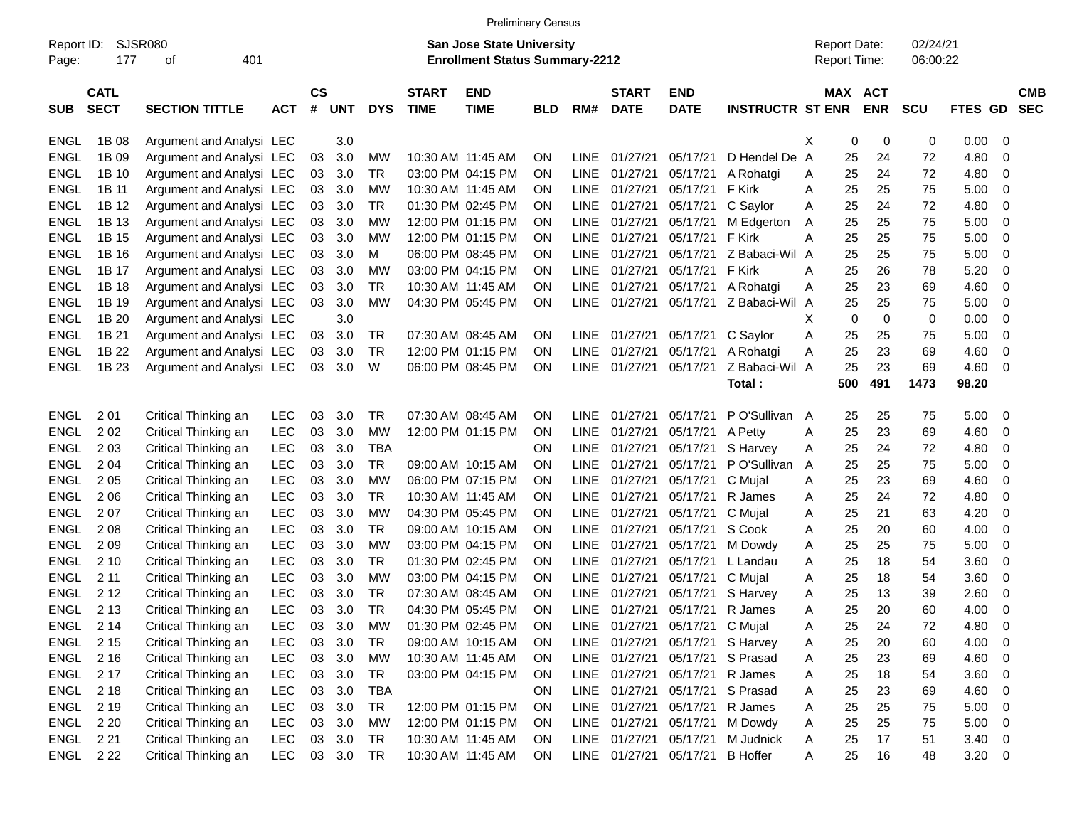|                                                                                                                                 | <b>Preliminary Census</b>  |                          |            |                |            |            |                             |                           |            |             |                             |                                |                                     |   |                      |             |            |         |                          |
|---------------------------------------------------------------------------------------------------------------------------------|----------------------------|--------------------------|------------|----------------|------------|------------|-----------------------------|---------------------------|------------|-------------|-----------------------------|--------------------------------|-------------------------------------|---|----------------------|-------------|------------|---------|--------------------------|
| SJSR080<br><b>San Jose State University</b><br>Report ID:<br><b>Enrollment Status Summary-2212</b><br>177<br>401<br>Page:<br>οf |                            |                          |            |                |            |            |                             |                           |            |             |                             |                                | <b>Report Date:</b><br>Report Time: |   | 02/24/21<br>06:00:22 |             |            |         |                          |
| <b>SUB</b>                                                                                                                      | <b>CATL</b><br><b>SECT</b> | <b>SECTION TITTLE</b>    | <b>ACT</b> | <b>CS</b><br># | <b>UNT</b> | <b>DYS</b> | <b>START</b><br><b>TIME</b> | <b>END</b><br><b>TIME</b> | <b>BLD</b> | RM#         | <b>START</b><br><b>DATE</b> | <b>END</b><br><b>DATE</b>      | <b>INSTRUCTR ST ENR</b>             |   | <b>MAX ACT</b>       | <b>ENR</b>  | <b>SCU</b> | FTES GD | <b>CMB</b><br><b>SEC</b> |
| <b>ENGL</b>                                                                                                                     | 1B 08                      | Argument and Analysi LEC |            |                | 3.0        |            |                             |                           |            |             |                             |                                |                                     | X | 0                    | 0           | 0          | 0.00    | 0                        |
| <b>ENGL</b>                                                                                                                     | 1B 09                      | Argument and Analysi LEC |            | 03             | 3.0        | MW         | 10:30 AM 11:45 AM           |                           | ON.        | LINE        | 01/27/21                    | 05/17/21                       | D Hendel De A                       |   | 25                   | 24          | 72         | 4.80    | 0                        |
| <b>ENGL</b>                                                                                                                     | 1B 10                      | Argument and Analysi LEC |            | 03             | 3.0        | TR         | 03:00 PM 04:15 PM           |                           | ΟN         | LINE        | 01/27/21                    | 05/17/21                       | A Rohatgi                           | Α | 25                   | 24          | 72         | 4.80    | 0                        |
| <b>ENGL</b>                                                                                                                     | 1B 11                      | Argument and Analysi LEC |            | 03             | 3.0        | <b>MW</b>  | 10:30 AM 11:45 AM           |                           | ON         | LINE        | 01/27/21                    | 05/17/21                       | F Kirk                              | Α | 25                   | 25          | 75         | 5.00    | 0                        |
| <b>ENGL</b>                                                                                                                     | 1B 12                      | Argument and Analysi LEC |            | 03             | 3.0        | TR         | 01:30 PM 02:45 PM           |                           | ON         | LINE        | 01/27/21                    | 05/17/21                       | C Saylor                            | Α | 25                   | 24          | 72         | 4.80    | 0                        |
| <b>ENGL</b>                                                                                                                     | 1B 13                      | Argument and Analysi LEC |            | 03             | 3.0        | МW         |                             | 12:00 PM 01:15 PM         | ON         |             | LINE 01/27/21               | 05/17/21                       | M Edgerton                          | Α | 25                   | 25          | 75         | 5.00    | 0                        |
| <b>ENGL</b>                                                                                                                     | 1B 15                      | Argument and Analysi LEC |            | 03             | 3.0        | МW         |                             | 12:00 PM 01:15 PM         | ON         | LINE        | 01/27/21                    | 05/17/21                       | F Kirk                              | A | 25                   | 25          | 75         | 5.00    | 0                        |
| <b>ENGL</b>                                                                                                                     | 1B 16                      | Argument and Analysi LEC |            | 03             | 3.0        | м          | 06:00 PM 08:45 PM           |                           | ΟN         | LINE        | 01/27/21                    | 05/17/21                       | Z Babaci-Wil A                      |   | 25                   | 25          | 75         | 5.00    | 0                        |
| <b>ENGL</b>                                                                                                                     | 1B 17                      | Argument and Analysi LEC |            | 03             | 3.0        | <b>MW</b>  | 03:00 PM 04:15 PM           |                           | ON         | LINE        | 01/27/21                    | 05/17/21                       | F Kirk                              | Α | 25                   | 26          | 78         | 5.20    | 0                        |
| <b>ENGL</b>                                                                                                                     | 1B 18                      | Argument and Analysi LEC |            | 03             | 3.0        | TR         | 10:30 AM 11:45 AM           |                           | ON         |             | LINE 01/27/21               | 05/17/21                       | A Rohatgi                           | Α | 25                   | 23          | 69         | 4.60    | 0                        |
| <b>ENGL</b>                                                                                                                     | 1B 19                      | Argument and Analysi LEC |            | 03             | 3.0        | <b>MW</b>  |                             | 04:30 PM 05:45 PM         | ON         |             | LINE 01/27/21               | 05/17/21                       | Z Babaci-Wil A                      |   | 25                   | 25          | 75         | 5.00    | 0                        |
| <b>ENGL</b>                                                                                                                     | 1B 20                      | Argument and Analysi LEC |            |                | 3.0        |            |                             |                           |            |             |                             |                                |                                     | х | 0                    | $\mathbf 0$ | 0          | 0.00    | 0                        |
| <b>ENGL</b>                                                                                                                     | 1B 21                      | Argument and Analysi LEC |            | 03             | 3.0        | TR         | 07:30 AM 08:45 AM           |                           | ΟN         |             | LINE 01/27/21               | 05/17/21                       | C Saylor                            | Α | 25                   | 25          | 75         | 5.00    | 0                        |
| <b>ENGL</b>                                                                                                                     | 1B 22                      | Argument and Analysi LEC |            | 03             | 3.0        | TR         | 12:00 PM 01:15 PM           |                           | ΟN         |             | LINE 01/27/21               | 05/17/21                       | A Rohatgi                           | Α | 25                   | 23          | 69         | 4.60    | 0                        |
| <b>ENGL</b>                                                                                                                     | 1B 23                      | Argument and Analysi LEC |            | 03             | 3.0        | W          |                             | 06:00 PM 08:45 PM         | 0N         |             | LINE 01/27/21               | 05/17/21                       | Z Babaci-Wil A                      |   | 25                   | 23          | 69         | 4.60    | 0                        |
|                                                                                                                                 |                            |                          |            |                |            |            |                             |                           |            |             |                             |                                | Total:                              |   | 500                  | 491         | 1473       | 98.20   |                          |
| <b>ENGL</b>                                                                                                                     | 201                        | Critical Thinking an     | <b>LEC</b> | 03             | 3.0        | TR         | 07:30 AM 08:45 AM           |                           | ΟN         |             | LINE 01/27/21               | 05/17/21                       | P O'Sullivan A                      |   | 25                   | 25          | 75         | 5.00    | 0                        |
| <b>ENGL</b>                                                                                                                     | 202                        | Critical Thinking an     | <b>LEC</b> | 03             | 3.0        | <b>MW</b>  |                             | 12:00 PM 01:15 PM         | ON         | LINE        | 01/27/21                    | 05/17/21                       | A Petty                             | Α | 25                   | 23          | 69         | 4.60    | 0                        |
| <b>ENGL</b>                                                                                                                     | 2 0 3                      | Critical Thinking an     | <b>LEC</b> | 03             | 3.0        | <b>TBA</b> |                             |                           | ΟN         |             | LINE 01/27/21               | 05/17/21                       | S Harvey                            | Α | 25                   | 24          | 72         | 4.80    | 0                        |
| <b>ENGL</b>                                                                                                                     | 2 0 4                      | Critical Thinking an     | <b>LEC</b> | 03             | 3.0        | TR         | 09:00 AM 10:15 AM           |                           | ΟN         | LINE        | 01/27/21                    | 05/17/21                       | P O'Sullivan                        | A | 25                   | 25          | 75         | 5.00    | 0                        |
| <b>ENGL</b>                                                                                                                     | 2 0 5                      | Critical Thinking an     | <b>LEC</b> | 03             | 3.0        | <b>MW</b>  | 06:00 PM 07:15 PM           |                           | ΟN         | LINE        | 01/27/21                    | 05/17/21                       | C Mujal                             | Α | 25                   | 23          | 69         | 4.60    | 0                        |
| <b>ENGL</b>                                                                                                                     | 2 0 6                      | Critical Thinking an     | <b>LEC</b> | 03             | 3.0        | TR         | 10:30 AM 11:45 AM           |                           | ON         | LINE        | 01/27/21                    | 05/17/21                       | R James                             | Α | 25                   | 24          | 72         | 4.80    | 0                        |
| <b>ENGL</b>                                                                                                                     | 207                        | Critical Thinking an     | <b>LEC</b> | 03             | 3.0        | МW         | 04:30 PM 05:45 PM           |                           | ΟN         | LINE        | 01/27/21                    | 05/17/21                       | C Mujal                             | Α | 25                   | 21          | 63         | 4.20    | 0                        |
| <b>ENGL</b>                                                                                                                     | 2 0 8                      | Critical Thinking an     | <b>LEC</b> | 03             | 3.0        | TR         |                             | 09:00 AM 10:15 AM         | ON         | LINE        | 01/27/21                    | 05/17/21                       | S Cook                              | Α | 25                   | 20          | 60         | 4.00    | 0                        |
| <b>ENGL</b>                                                                                                                     | 209                        | Critical Thinking an     | <b>LEC</b> | 03             | 3.0        | МW         | 03:00 PM 04:15 PM           |                           | ON         | LINE        | 01/27/21                    | 05/17/21                       | M Dowdy                             | Α | 25                   | 25          | 75         | 5.00    | 0                        |
| <b>ENGL</b>                                                                                                                     | 2 1 0                      | Critical Thinking an     | <b>LEC</b> | 03             | 3.0        | TR         | 01:30 PM 02:45 PM           |                           | ΟN         | LINE        | 01/27/21                    | 05/17/21                       | L Landau                            | Α | 25                   | 18          | 54         | 3.60    | 0                        |
| <b>ENGL</b>                                                                                                                     | 211                        | Critical Thinking an     | <b>LEC</b> | 03             | 3.0        | <b>MW</b>  | 03:00 PM 04:15 PM           |                           | ON         | LINE        | 01/27/21                    | 05/17/21                       | C Mujal                             | A | 25                   | 18          | 54         | 3.60    | 0                        |
| <b>ENGL</b>                                                                                                                     | 2 1 2                      | Critical Thinking an     | <b>LEC</b> | 03             | 3.0        | TR         | 07:30 AM 08:45 AM           |                           | ΟN         | <b>LINE</b> | 01/27/21                    | 05/17/21                       | S Harvey                            | Α | 25                   | 13          | 39         | 2.60    | 0                        |
| ENGL                                                                                                                            | 2 1 3                      | Critical Thinking an     | <b>LEC</b> | 03             | 3.0        | TR         |                             | 04:30 PM 05:45 PM         | ON         |             | LINE 01/27/21               | 05/17/21                       | R James                             | A | 25                   | 20          | 60         | 4.00    | 0                        |
| ENGL 214                                                                                                                        |                            | Critical Thinking an     | <b>LEC</b> | 03             | 3.0        | <b>MW</b>  |                             | 01:30 PM 02:45 PM         | <b>ON</b>  |             |                             | LINE 01/27/21 05/17/21 C Mujal |                                     | Α | 25                   | 24          | 72         | 4.80    | 0                        |
| ENGL 215                                                                                                                        |                            | Critical Thinking an     | <b>LEC</b> | 03             | 3.0        | <b>TR</b>  |                             | 09:00 AM 10:15 AM         | <b>ON</b>  |             | LINE 01/27/21 05/17/21      |                                | S Harvey                            | A | 25                   | 20          | 60         | 4.00    | 0                        |
| ENGL 216                                                                                                                        |                            | Critical Thinking an     | <b>LEC</b> |                | 03 3.0     | МW         | 10:30 AM 11:45 AM           |                           | <b>ON</b>  |             | LINE 01/27/21 05/17/21      |                                | S Prasad                            | A | 25                   | 23          | 69         | 4.60    | 0                        |
| ENGL 217                                                                                                                        |                            | Critical Thinking an     | <b>LEC</b> |                | 03 3.0     | TR         |                             | 03:00 PM 04:15 PM         | <b>ON</b>  |             | LINE 01/27/21 05/17/21      |                                | R James                             | Α | 25                   | 18          | 54         | 3.60    | 0                        |
| ENGL 218                                                                                                                        |                            | Critical Thinking an     | <b>LEC</b> |                | 03 3.0     | <b>TBA</b> |                             |                           | ON.        |             | LINE 01/27/21 05/17/21      |                                | S Prasad                            | Α | 25                   | 23          | 69         | 4.60    | 0                        |
| ENGL                                                                                                                            | 2 1 9                      | Critical Thinking an     | <b>LEC</b> |                | 03 3.0     | TR         |                             | 12:00 PM 01:15 PM         | <b>ON</b>  |             | LINE 01/27/21 05/17/21      |                                | R James                             | Α | 25                   | 25          | 75         | 5.00    | 0                        |
| ENGL                                                                                                                            | 2 2 0                      | Critical Thinking an     | <b>LEC</b> |                | 03 3.0     | МW         |                             | 12:00 PM 01:15 PM         | <b>ON</b>  |             | LINE 01/27/21 05/17/21      |                                | M Dowdy                             | Α | 25                   | 25          | 75         | 5.00    | 0                        |
| ENGL 221                                                                                                                        |                            | Critical Thinking an     | LEC        |                | 03 3.0     | TR         | 10:30 AM 11:45 AM           |                           | <b>ON</b>  |             | LINE 01/27/21 05/17/21      |                                | M Judnick                           | Α | 25                   | 17          | 51         | 3.40    | - 0                      |
| ENGL 222                                                                                                                        |                            | Critical Thinking an     | LEC.       |                | 03 3.0     | TR         |                             | 10:30 AM 11:45 AM         | ON         |             | LINE 01/27/21 05/17/21      |                                | <b>B</b> Hoffer                     | Α | 25                   | 16          | 48         | 3.20    | $\overline{\phantom{0}}$ |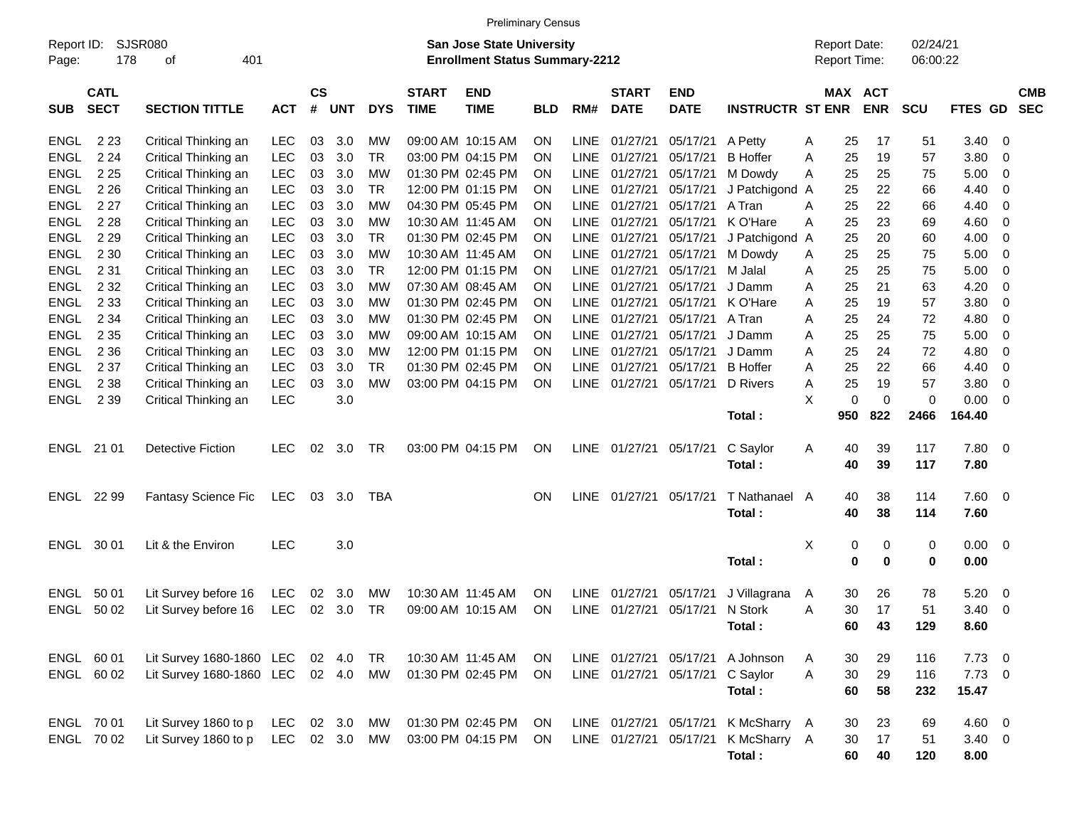|             | <b>Preliminary Census</b>                                                                                                                                                             |                                 |            |                |            |            |                             |                           |            |             |                             |                           |                         |         |                       |            |                |                         |                          |
|-------------|---------------------------------------------------------------------------------------------------------------------------------------------------------------------------------------|---------------------------------|------------|----------------|------------|------------|-----------------------------|---------------------------|------------|-------------|-----------------------------|---------------------------|-------------------------|---------|-----------------------|------------|----------------|-------------------------|--------------------------|
| Page:       | SJSR080<br>02/24/21<br>Report ID:<br><b>San Jose State University</b><br><b>Report Date:</b><br><b>Enrollment Status Summary-2212</b><br>Report Time:<br>178<br>401<br>06:00:22<br>οf |                                 |            |                |            |            |                             |                           |            |             |                             |                           |                         |         |                       |            |                |                         |                          |
| <b>SUB</b>  | <b>CATL</b><br><b>SECT</b>                                                                                                                                                            | <b>SECTION TITTLE</b>           | <b>ACT</b> | <b>CS</b><br># | <b>UNT</b> | <b>DYS</b> | <b>START</b><br><b>TIME</b> | <b>END</b><br><b>TIME</b> | <b>BLD</b> | RM#         | <b>START</b><br><b>DATE</b> | <b>END</b><br><b>DATE</b> | <b>INSTRUCTR ST ENR</b> |         | MAX ACT<br><b>ENR</b> | <b>SCU</b> | FTES GD        |                         | <b>CMB</b><br><b>SEC</b> |
| <b>ENGL</b> | 2 2 3                                                                                                                                                                                 | Critical Thinking an            | LEC        | 03             | 3.0        | MW         |                             | 09:00 AM 10:15 AM         | ΟN         | <b>LINE</b> | 01/27/21                    | 05/17/21                  | A Petty                 | A<br>25 | 17                    | 51         | 3.40           | 0                       |                          |
| <b>ENGL</b> | 2 2 4                                                                                                                                                                                 | Critical Thinking an            | <b>LEC</b> | 03             | 3.0        | TR         |                             | 03:00 PM 04:15 PM         | ON         | <b>LINE</b> | 01/27/21                    | 05/17/21                  | <b>B</b> Hoffer         | 25<br>A | 19                    | 57         | 3.80           | 0                       |                          |
| <b>ENGL</b> | 2 2 5                                                                                                                                                                                 | Critical Thinking an            | <b>LEC</b> | 03             | 3.0        | МW         |                             | 01:30 PM 02:45 PM         | ΟN         | <b>LINE</b> | 01/27/21                    | 05/17/21                  | M Dowdy                 | 25<br>A | 25                    | 75         | 5.00           | 0                       |                          |
| <b>ENGL</b> | 2 2 6                                                                                                                                                                                 | Critical Thinking an            | <b>LEC</b> | 03             | 3.0        | TR         |                             | 12:00 PM 01:15 PM         | ΟN         | <b>LINE</b> | 01/27/21                    | 05/17/21                  | J Patchigond A          | 25      | 22                    | 66         | 4.40           | 0                       |                          |
| <b>ENGL</b> | 2 2 7                                                                                                                                                                                 | Critical Thinking an            | <b>LEC</b> | 03             | 3.0        | МW         |                             | 04:30 PM 05:45 PM         | ΟN         | <b>LINE</b> | 01/27/21                    | 05/17/21                  | A Tran                  | 25<br>A | 22                    | 66         | 4.40           | 0                       |                          |
| <b>ENGL</b> | 2 2 8                                                                                                                                                                                 | Critical Thinking an            | <b>LEC</b> | 03             | 3.0        | МW         |                             | 10:30 AM 11:45 AM         | ΟN         | <b>LINE</b> | 01/27/21                    | 05/17/21                  | K O'Hare                | 25<br>A | 23                    | 69         | 4.60           | 0                       |                          |
| <b>ENGL</b> | 2 2 9                                                                                                                                                                                 | Critical Thinking an            | <b>LEC</b> | 03             | 3.0        | TR         |                             | 01:30 PM 02:45 PM         | ΟN         | <b>LINE</b> | 01/27/21                    | 05/17/21                  | J Patchigond A          | 25      | 20                    | 60         | 4.00           | 0                       |                          |
| <b>ENGL</b> | 2 3 0                                                                                                                                                                                 | Critical Thinking an            | <b>LEC</b> | 03             | 3.0        | МW         |                             | 10:30 AM 11:45 AM         | ΟN         | <b>LINE</b> | 01/27/21                    | 05/17/21                  | M Dowdy                 | 25<br>A | 25                    | 75         | 5.00           | 0                       |                          |
| <b>ENGL</b> | 2 3 1                                                                                                                                                                                 | Critical Thinking an            | <b>LEC</b> | 03             | 3.0        | TR         |                             | 12:00 PM 01:15 PM         | ΟN         | <b>LINE</b> | 01/27/21                    | 05/17/21                  | M Jalal                 | 25<br>Α | 25                    | 75         | 5.00           | 0                       |                          |
| <b>ENGL</b> | 2 3 2                                                                                                                                                                                 | Critical Thinking an            | <b>LEC</b> | 03             | 3.0        | МW         |                             | 07:30 AM 08:45 AM         | ΟN         | <b>LINE</b> | 01/27/21                    | 05/17/21                  | J Damm                  | 25<br>A | 21                    | 63         | 4.20           | 0                       |                          |
| <b>ENGL</b> | 2 3 3                                                                                                                                                                                 | Critical Thinking an            | <b>LEC</b> | 03             | 3.0        | МW         |                             | 01:30 PM 02:45 PM         | ΟN         | <b>LINE</b> | 01/27/21                    | 05/17/21                  | K O'Hare                | 25<br>A | 19                    | 57         | 3.80           | 0                       |                          |
| <b>ENGL</b> | 2 3 4                                                                                                                                                                                 | Critical Thinking an            | <b>LEC</b> | 03             | 3.0        | МW         |                             | 01:30 PM 02:45 PM         | ΟN         | <b>LINE</b> | 01/27/21                    | 05/17/21                  | A Tran                  | 25<br>A | 24                    | 72         | 4.80           | 0                       |                          |
| <b>ENGL</b> | 2 3 5                                                                                                                                                                                 | Critical Thinking an            | <b>LEC</b> | 03             | 3.0        | МW         |                             | 09:00 AM 10:15 AM         | ΟN         | <b>LINE</b> | 01/27/21                    | 05/17/21                  | J Damm                  | 25<br>A | 25                    | 75         | 5.00           | 0                       |                          |
| <b>ENGL</b> | 2 3 6                                                                                                                                                                                 | Critical Thinking an            | <b>LEC</b> | 03             | 3.0        | МW         |                             | 12:00 PM 01:15 PM         | ΟN         | <b>LINE</b> | 01/27/21                    | 05/17/21                  | J Damm                  | 25<br>A | 24                    | 72         | 4.80           | 0                       |                          |
| <b>ENGL</b> | 2 3 7                                                                                                                                                                                 | Critical Thinking an            | <b>LEC</b> | 03             | 3.0        | TR         |                             | 01:30 PM 02:45 PM         | ΟN         | <b>LINE</b> | 01/27/21                    | 05/17/21                  | <b>B</b> Hoffer         | 25<br>A | 22                    | 66         | 4.40           | 0                       |                          |
| <b>ENGL</b> | 2 3 8                                                                                                                                                                                 | Critical Thinking an            | <b>LEC</b> | 03             | 3.0        | <b>MW</b>  |                             | 03:00 PM 04:15 PM         | ON         | <b>LINE</b> | 01/27/21                    | 05/17/21                  | D Rivers                | 25<br>A | 19                    | 57         | 3.80           | 0                       |                          |
| ENGL        | 2 3 9                                                                                                                                                                                 | Critical Thinking an            | <b>LEC</b> |                | 3.0        |            |                             |                           |            |             |                             |                           |                         | Χ<br>0  | 0                     | 0          | 0.00           | 0                       |                          |
|             |                                                                                                                                                                                       |                                 |            |                |            |            |                             |                           |            |             |                             |                           | Total:                  | 950     | 822                   | 2466       | 164.40         |                         |                          |
|             | ENGL 21 01                                                                                                                                                                            | <b>Detective Fiction</b>        | <b>LEC</b> | 02             | 3.0        | TR         |                             | 03:00 PM 04:15 PM         | ON         |             | LINE 01/27/21               | 05/17/21                  | C Saylor                | A<br>40 | 39                    | 117        | 7.80           | 0                       |                          |
|             |                                                                                                                                                                                       |                                 |            |                |            |            |                             |                           |            |             |                             |                           | Total:                  | 40      | 39                    | 117        | 7.80           |                         |                          |
| ENGL        | 22 99                                                                                                                                                                                 | Fantasy Science Fic             | LEC        | 03             | 3.0        | TBA        |                             |                           | ΟN         | <b>LINE</b> | 01/27/21                    | 05/17/21                  | T Nathanael             | A<br>40 | 38                    | 114        | 7.60           | 0                       |                          |
|             |                                                                                                                                                                                       |                                 |            |                |            |            |                             |                           |            |             |                             |                           | Total:                  | 40      | 38                    | 114        | 7.60           |                         |                          |
| ENGL        | 30 01                                                                                                                                                                                 | Lit & the Environ               | <b>LEC</b> |                | 3.0        |            |                             |                           |            |             |                             |                           |                         | X<br>0  | 0                     | 0          | $0.00\,$       | 0                       |                          |
|             |                                                                                                                                                                                       |                                 |            |                |            |            |                             |                           |            |             |                             |                           | Total:                  | 0       | 0                     | 0          | 0.00           |                         |                          |
| ENGL        | 50 01                                                                                                                                                                                 | Lit Survey before 16            | <b>LEC</b> | 02             | 3.0        | MW         |                             | 10:30 AM 11:45 AM         | ΟN         | <b>LINE</b> | 01/27/21                    | 05/17/21                  | J Villagrana            | 30<br>A | 26                    | 78         | 5.20           | 0                       |                          |
| ENGL        | 50 02                                                                                                                                                                                 | Lit Survey before 16            | LEC        | 02             | 3.0        | TR         |                             | 09:00 AM 10:15 AM         | ON         | LINE        | 01/27/21                    | 05/17/21                  | N Stork                 | Α<br>30 | 17                    | 51         | 3.40           | 0                       |                          |
|             |                                                                                                                                                                                       |                                 |            |                |            |            |                             |                           |            |             |                             |                           | Total:                  | 60      | 43                    | 129        | 8.60           |                         |                          |
|             | ENGL 60 01                                                                                                                                                                            | Lit Survey 1680-1860 LEC 02 4.0 |            |                |            | TR         |                             | 10:30 AM 11:45 AM         | ON         |             |                             | LINE 01/27/21 05/17/21    | A Johnson               | 30<br>A | 29                    | 116        | $7.73$ 0       |                         |                          |
|             | ENGL 60 02                                                                                                                                                                            | Lit Survey 1680-1860 LEC 02 4.0 |            |                |            | MW         |                             | 01:30 PM 02:45 PM         | ON.        |             | LINE 01/27/21 05/17/21      |                           | C Saylor                | 30<br>A | 29                    | 116        | 7.73           | $\overline{\mathbf{0}}$ |                          |
|             |                                                                                                                                                                                       |                                 |            |                |            |            |                             |                           |            |             |                             |                           | Total:                  | 60      | 58                    | 232        | 15.47          |                         |                          |
|             | ENGL 70 01                                                                                                                                                                            | Lit Survey 1860 to p            | LEC        |                | 02 3.0     | MW         |                             | 01:30 PM 02:45 PM         | ON         |             | LINE 01/27/21 05/17/21      |                           | K McSharry A            | 30      | 23                    | 69         | $4.60 \quad 0$ |                         |                          |
|             | ENGL 70 02                                                                                                                                                                            | Lit Survey 1860 to p            | LEC 02 3.0 |                |            | MW         |                             | 03:00 PM 04:15 PM         | ON         |             | LINE 01/27/21 05/17/21      |                           | K McSharry A            | 30      | 17                    | 51         | $3.40 \ 0$     |                         |                          |
|             |                                                                                                                                                                                       |                                 |            |                |            |            |                             |                           |            |             |                             |                           | Total:                  | 60      | 40                    | 120        | 8.00           |                         |                          |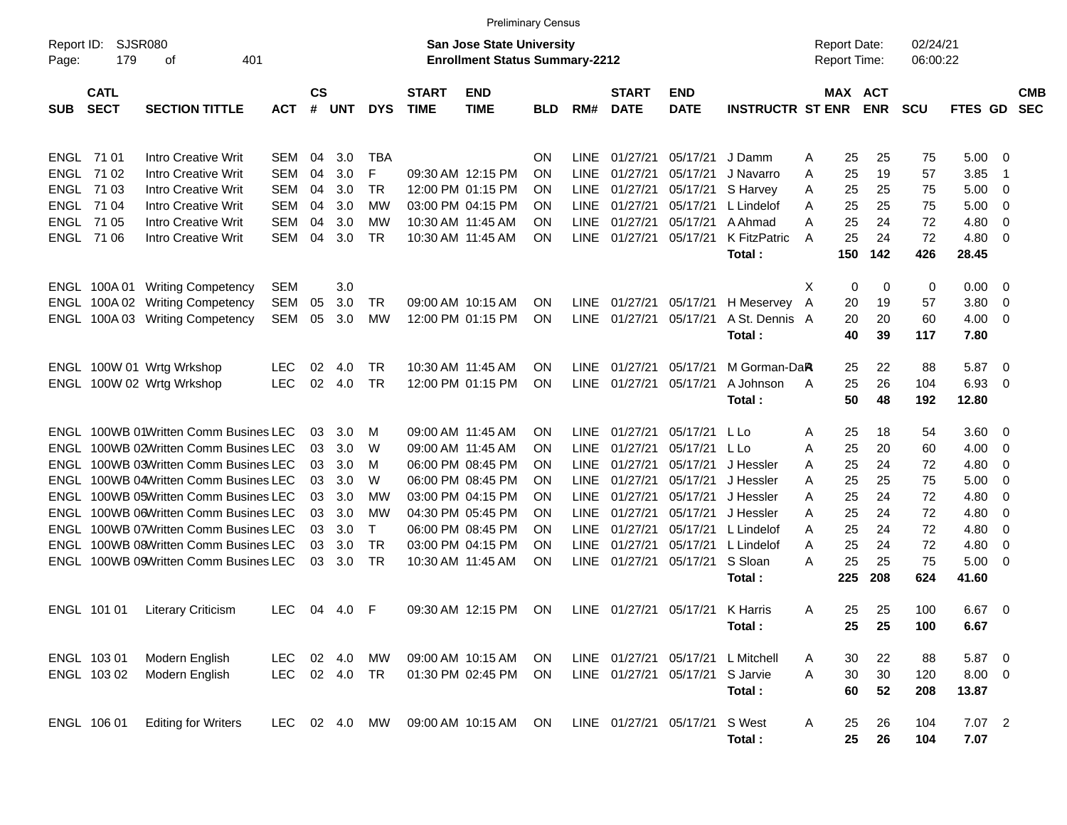|                                                                                                                                        | <b>Preliminary Census</b>              |                                                                                                          |                                        |                |                   |                             |                             |                                                             |                                                  |                                           |                                                  |                                  |                                                 |                                      |                          |                       |                               |                         |                          |
|----------------------------------------------------------------------------------------------------------------------------------------|----------------------------------------|----------------------------------------------------------------------------------------------------------|----------------------------------------|----------------|-------------------|-----------------------------|-----------------------------|-------------------------------------------------------------|--------------------------------------------------|-------------------------------------------|--------------------------------------------------|----------------------------------|-------------------------------------------------|--------------------------------------|--------------------------|-----------------------|-------------------------------|-------------------------|--------------------------|
| <b>SJSR080</b><br>Report ID:<br><b>San Jose State University</b><br>179<br><b>Enrollment Status Summary-2212</b><br>401<br>οf<br>Page: |                                        |                                                                                                          |                                        |                |                   |                             |                             |                                                             |                                                  |                                           |                                                  |                                  |                                                 | <b>Report Date:</b><br>Report Time:  |                          | 02/24/21<br>06:00:22  |                               |                         |                          |
| <b>SUB</b>                                                                                                                             | <b>CATL</b><br><b>SECT</b>             | <b>SECTION TITTLE</b>                                                                                    | <b>ACT</b>                             | <b>CS</b><br># | <b>UNT</b>        | <b>DYS</b>                  | <b>START</b><br><b>TIME</b> | <b>END</b><br><b>TIME</b>                                   | <b>BLD</b>                                       | RM#                                       | <b>START</b><br><b>DATE</b>                      | <b>END</b><br><b>DATE</b>        | <b>INSTRUCTR ST ENR</b>                         |                                      | MAX ACT<br><b>ENR</b>    | <b>SCU</b>            | FTES GD                       |                         | <b>CMB</b><br><b>SEC</b> |
| ENGL<br><b>ENGL</b><br><b>ENGL</b>                                                                                                     | 71 01<br>71 02<br>71 03                | Intro Creative Writ<br>Intro Creative Writ<br>Intro Creative Writ                                        | SEM<br><b>SEM</b><br><b>SEM</b>        | 04<br>04<br>04 | 3.0<br>3.0<br>3.0 | TBA<br>F<br>TR              |                             | 09:30 AM 12:15 PM<br>12:00 PM 01:15 PM                      | <b>ON</b><br><b>ON</b><br><b>ON</b>              | <b>LINE</b><br><b>LINE</b><br><b>LINE</b> | 01/27/21<br>01/27/21<br>01/27/21                 | 05/17/21<br>05/17/21<br>05/17/21 | J Damm<br>J Navarro<br>S Harvey                 | 25<br>Α<br>25<br>A<br>25<br>A        | 25<br>19<br>25           | 75<br>57<br>75        | 5.00<br>3.85<br>5.00          | - 0<br>-1<br>0          |                          |
| <b>ENGL</b><br><b>ENGL</b><br>ENGL                                                                                                     | 71 04<br>71 05<br>71 06                | Intro Creative Writ<br>Intro Creative Writ<br>Intro Creative Writ                                        | <b>SEM</b><br><b>SEM</b><br><b>SEM</b> | 04<br>04<br>04 | 3.0<br>3.0<br>3.0 | МW<br>МW<br><b>TR</b>       |                             | 03:00 PM 04:15 PM<br>10:30 AM 11:45 AM<br>10:30 AM 11:45 AM | <b>ON</b><br><b>ON</b><br><b>ON</b>              | LINE<br><b>LINE</b><br><b>LINE</b>        | 01/27/21<br>01/27/21<br>01/27/21                 | 05/17/21<br>05/17/21<br>05/17/21 | L Lindelof<br>A Ahmad<br>K FitzPatric<br>Total: | 25<br>Α<br>25<br>Α<br>25<br>A<br>150 | 25<br>24<br>24<br>142    | 75<br>72<br>72<br>426 | 5.00<br>4.80<br>4.80<br>28.45 | 0<br>0<br>0             |                          |
| ENGL                                                                                                                                   | ENGL 100A 01<br>100A 02<br>ENGL 100A03 | <b>Writing Competency</b><br><b>Writing Competency</b><br><b>Writing Competency</b>                      | <b>SEM</b><br><b>SEM</b><br><b>SEM</b> | 05<br>05       | 3.0<br>3.0<br>3.0 | TR<br>МW                    |                             | 09:00 AM 10:15 AM<br>12:00 PM 01:15 PM                      | <b>ON</b><br><b>ON</b>                           | LINE<br><b>LINE</b>                       | 01/27/21<br>01/27/21                             | 05/17/21<br>05/17/21             | H Meservey<br>A St. Dennis A<br>Total:          | X<br>20<br>A<br>20<br>40             | 0<br>0<br>19<br>20<br>39 | 0<br>57<br>60<br>117  | 0.00<br>3.80<br>4.00<br>7.80  | - 0<br>0<br>0           |                          |
|                                                                                                                                        |                                        | ENGL 100W 01 Wrtg Wrkshop<br>ENGL 100W 02 Wrtg Wrkshop                                                   | LEC<br><b>LEC</b>                      | 02<br>02       | 4.0<br>4.0        | TR<br><b>TR</b>             |                             | 10:30 AM 11:45 AM<br>12:00 PM 01:15 PM                      | <b>ON</b><br><b>ON</b>                           | <b>LINE</b><br><b>LINE</b>                | 01/27/21<br>01/27/21                             | 05/17/21<br>05/17/21             | M Gorman-DaR<br>A Johnson<br>Total:             | 25<br>25<br>A<br>50                  | 22<br>26<br>48           | 88<br>104<br>192      | 5.87<br>6.93<br>12.80         | - 0<br>0                |                          |
| ENGL<br>ENGL                                                                                                                           |                                        | 100WB 01Written Comm Busines LEC<br>100WB 02Written Comm Busines LEC<br>100WB 03Written Comm Busines LEC |                                        | 03<br>03<br>03 | 3.0<br>3.0<br>3.0 | M<br>W<br>м                 |                             | 09:00 AM 11:45 AM<br>09:00 AM 11:45 AM<br>06:00 PM 08:45 PM | <b>ON</b><br><b>ON</b>                           | <b>LINE</b><br><b>LINE</b><br><b>LINE</b> | 01/27/21<br>01/27/21<br>01/27/21                 | 05/17/21<br>05/17/21<br>05/17/21 | L Lo<br>L Lo<br>J Hessler                       | 25<br>A<br>25<br>A<br>25             | 18<br>20<br>24           | 54<br>60<br>72        | 3.60<br>4.00<br>4.80          | - 0<br>0                |                          |
| <b>ENGL</b><br><b>ENGL</b><br><b>ENGL</b><br>ENGL                                                                                      |                                        | 100WB 04Written Comm Busines LEC<br>100WB 05Written Comm Busines LEC<br>100WB 06Written Comm Busines LEC |                                        | 03<br>03<br>03 | 3.0<br>3.0<br>3.0 | W<br>МW<br>МW               |                             | 06:00 PM 08:45 PM<br>03:00 PM 04:15 PM<br>04:30 PM 05:45 PM | <b>ON</b><br><b>ON</b><br><b>ON</b><br><b>ON</b> | <b>LINE</b><br><b>LINE</b><br><b>LINE</b> | 01/27/21<br>01/27/21<br>01/27/21                 | 05/17/21<br>05/17/21<br>05/17/21 | J Hessler<br>J Hessler<br>J Hessler             | Α<br>25<br>Α<br>25<br>Α<br>25<br>Α   | 25<br>24<br>24           | 75<br>72<br>72        | 5.00<br>4.80<br>4.80          | 0<br>0<br>0<br>0        |                          |
| ENGL<br>ENGL<br>ENGL                                                                                                                   |                                        | 100WB 07Written Comm Busines LEC<br>100WB 08Written Comm Busines LEC<br>100WB 09Written Comm Busines LEC |                                        | 03<br>03<br>03 | 3.0<br>3.0<br>3.0 | т<br><b>TR</b><br><b>TR</b> |                             | 06:00 PM 08:45 PM<br>03:00 PM 04:15 PM<br>10:30 AM 11:45 AM | <b>ON</b><br><b>ON</b><br><b>ON</b>              | LINE<br><b>LINE</b><br><b>LINE</b>        | 01/27/21<br>01/27/21<br>01/27/21                 | 05/17/21<br>05/17/21<br>05/17/21 | L Lindelof<br>L Lindelof<br>S Sloan             | 25<br>A<br>25<br>A<br>25<br>A        | 24<br>24<br>25           | 72<br>72<br>75        | 4.80<br>4.80<br>5.00          | 0<br>0<br>0             |                          |
|                                                                                                                                        | ENGL 101 01                            | <b>Literary Criticism</b>                                                                                | <b>LEC</b>                             | 04             | 4.0               | F                           |                             | 09:30 AM 12:15 PM                                           | ON                                               |                                           | LINE 01/27/21                                    | 05/17/21                         | Total:<br>K Harris                              | 225<br>A                             | 208<br>25<br>25          | 624<br>100            | 41.60<br>6.67                 | $\overline{\mathbf{0}}$ |                          |
|                                                                                                                                        | ENGL 103 01<br>ENGL 103 02             | Modern English<br>Modern English                                                                         | LEC.<br><b>LEC</b>                     |                | 02 4.0<br>02 4.0  | MW<br>TR                    |                             | 09:00 AM 10:15 AM<br>01:30 PM 02:45 PM                      | ON<br><b>ON</b>                                  |                                           | LINE 01/27/21 05/17/21<br>LINE 01/27/21 05/17/21 |                                  | Total:<br>L Mitchell<br>S Jarvie                | 25<br>30<br>A<br>30<br>A             | 25<br>22<br>$30\,$       | 100<br>88<br>120      | 6.67<br>5.87 0<br>$8.00 \t 0$ |                         |                          |
|                                                                                                                                        | ENGL 106 01                            | <b>Editing for Writers</b>                                                                               | <b>LEC</b>                             |                | 02 4.0            | MW                          |                             | 09:00 AM 10:15 AM                                           | ON                                               |                                           | LINE 01/27/21 05/17/21                           |                                  | Total:<br>S West<br>Total:                      | 60<br>A<br>25<br>25                  | 52<br>26<br>26           | 208<br>104<br>104     | 13.87<br>$7.07$ 2<br>7.07     |                         |                          |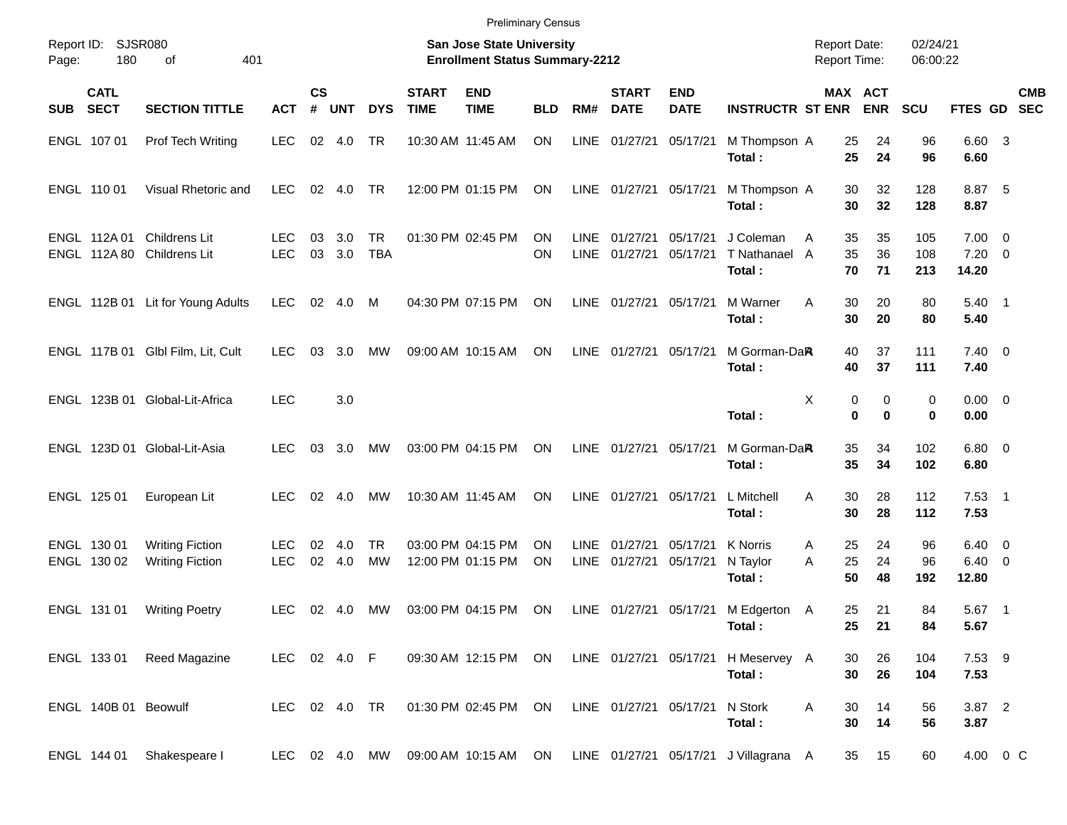|                                                                                                                                                                                                    | <b>Preliminary Census</b>  |                                                  |                    |                |               |                         |                             |                                        |                        |                     |                             |                           |                                               |                          |                            |                   |                                           |            |
|----------------------------------------------------------------------------------------------------------------------------------------------------------------------------------------------------|----------------------------|--------------------------------------------------|--------------------|----------------|---------------|-------------------------|-----------------------------|----------------------------------------|------------------------|---------------------|-----------------------------|---------------------------|-----------------------------------------------|--------------------------|----------------------------|-------------------|-------------------------------------------|------------|
| Report ID: SJSR080<br><b>San Jose State University</b><br>02/24/21<br><b>Report Date:</b><br>180<br>401<br><b>Enrollment Status Summary-2212</b><br><b>Report Time:</b><br>06:00:22<br>of<br>Page: |                            |                                                  |                    |                |               |                         |                             |                                        |                        |                     |                             |                           |                                               |                          |                            |                   |                                           |            |
| SUB SECT                                                                                                                                                                                           | <b>CATL</b>                | <b>SECTION TITTLE</b>                            | <b>ACT</b>         | <b>CS</b><br># | <b>UNT</b>    | <b>DYS</b>              | <b>START</b><br><b>TIME</b> | <b>END</b><br><b>TIME</b>              | <b>BLD</b>             | RM#                 | <b>START</b><br><b>DATE</b> | <b>END</b><br><b>DATE</b> | <b>INSTRUCTR ST ENR</b>                       |                          | MAX ACT<br><b>ENR</b>      | <b>SCU</b>        | FTES GD SEC                               | <b>CMB</b> |
|                                                                                                                                                                                                    | ENGL 107 01                | Prof Tech Writing                                | <b>LEC</b>         | 02             | 4.0           | <b>TR</b>               |                             | 10:30 AM 11:45 AM                      | <b>ON</b>              | LINE                | 01/27/21                    | 05/17/21                  | M Thompson A<br>Total:                        | 25<br>25                 | 24<br>24                   | 96<br>96          | 6.60 3<br>6.60                            |            |
|                                                                                                                                                                                                    | ENGL 110 01                | Visual Rhetoric and                              | <b>LEC</b>         |                | 02 4.0        | <b>TR</b>               |                             | 12:00 PM 01:15 PM                      | <b>ON</b>              |                     | LINE 01/27/21 05/17/21      |                           | M Thompson A<br>Total:                        | 30<br>30                 | 32<br>32                   | 128<br>128        | 8.87 5<br>8.87                            |            |
|                                                                                                                                                                                                    | ENGL 112A 01               | Childrens Lit<br>ENGL 112A 80 Childrens Lit      | LEC.<br><b>LEC</b> | 03<br>03       | 3.0<br>3.0    | <b>TR</b><br><b>TBA</b> |                             | 01:30 PM 02:45 PM                      | <b>ON</b><br>ON        | LINE<br><b>LINE</b> | 01/27/21<br>01/27/21        | 05/17/21<br>05/17/21      | J Coleman<br>T Nathanael A<br>Total:          | 35<br>A<br>35<br>70      | 35<br>36<br>71             | 105<br>108<br>213 | $7.00 \t 0$<br>$7.20 \t 0$<br>14.20       |            |
|                                                                                                                                                                                                    |                            | ENGL 112B 01 Lit for Young Adults                | <b>LEC</b>         | 02             | 4.0           | M                       |                             | 04:30 PM 07:15 PM                      | <b>ON</b>              | LINE                | 01/27/21 05/17/21           |                           | M Warner<br>Total:                            | 30<br>A<br>30            | 20<br>20                   | 80<br>80          | $5.40$ 1<br>5.40                          |            |
|                                                                                                                                                                                                    |                            | ENGL 117B 01 Glbl Film, Lit, Cult                | LEC.               | 03             | 3.0           | MW                      |                             | 09:00 AM 10:15 AM                      | <b>ON</b>              | LINE                | 01/27/21 05/17/21           |                           | M Gorman-DaR<br>Total:                        | 40<br>40                 | 37<br>37                   | 111<br>111        | $7.40 \quad 0$<br>7.40                    |            |
|                                                                                                                                                                                                    |                            | ENGL 123B 01 Global-Lit-Africa                   | <b>LEC</b>         |                | 3.0           |                         |                             |                                        |                        |                     |                             |                           | Total:                                        | X                        | 0<br>0<br>$\mathbf 0$<br>0 | 0<br>$\bf{0}$     | $0.00 \t 0$<br>0.00                       |            |
|                                                                                                                                                                                                    |                            | ENGL 123D 01 Global-Lit-Asia                     | LEC.               | 03             | 3.0           | MW                      |                             | 03:00 PM 04:15 PM                      | <b>ON</b>              | LINE                | 01/27/21 05/17/21           |                           | M Gorman-DaR<br>Total:                        | 35<br>35                 | 34<br>34                   | 102<br>102        | $6.80$ 0<br>6.80                          |            |
|                                                                                                                                                                                                    | ENGL 125 01                | European Lit                                     | LEC.               | 02             | 4.0           | MW                      |                             | 10:30 AM 11:45 AM                      | <b>ON</b>              |                     | LINE 01/27/21               | 05/17/21                  | L Mitchell<br>Total:                          | 30<br>A<br>30            | 28<br>28                   | 112<br>112        | $7.53$ 1<br>7.53                          |            |
|                                                                                                                                                                                                    | ENGL 130 01<br>ENGL 130 02 | <b>Writing Fiction</b><br><b>Writing Fiction</b> | LEC.<br><b>LEC</b> | 02             | 4.0<br>02 4.0 | <b>TR</b><br><b>MW</b>  |                             | 03:00 PM 04:15 PM<br>12:00 PM 01:15 PM | <b>ON</b><br><b>ON</b> | LINE<br>LINE        | 01/27/21<br>01/27/21        | 05/17/21<br>05/17/21      | <b>K</b> Norris<br>N Taylor<br>Total:         | 25<br>A<br>25<br>A<br>50 | 24<br>24<br>48             | 96<br>96<br>192   | $6.40 \quad 0$<br>$6.40 \quad 0$<br>12.80 |            |
|                                                                                                                                                                                                    | ENGL 131 01                | <b>Writing Poetry</b>                            | <b>LEC</b>         |                | 02 4.0        | MW                      |                             | 03:00 PM 04:15 PM                      | ON                     |                     |                             | LINE 01/27/21 05/17/21    | M Edgerton A<br>Total:                        | 25<br>25                 | 21<br>21                   | 84<br>84          | $5.67$ 1<br>5.67                          |            |
|                                                                                                                                                                                                    |                            | ENGL 133 01 Reed Magazine                        | LEC 02 4.0 F       |                |               |                         |                             | 09:30 AM 12:15 PM ON                   |                        |                     |                             |                           | LINE 01/27/21 05/17/21 H Meservey A<br>Total: | 30<br>30                 | 26<br>26                   | 104<br>104        | 7.53 9<br>7.53                            |            |
|                                                                                                                                                                                                    | ENGL 140B 01 Beowulf       |                                                  | LEC 02 4.0 TR      |                |               |                         |                             | 01:30 PM 02:45 PM                      | ON                     |                     | LINE 01/27/21 05/17/21      |                           | N Stork<br>Total:                             | A<br>30<br>30            | 14<br>14                   | 56<br>56          | 3.87 2<br>3.87                            |            |
|                                                                                                                                                                                                    | ENGL 144 01                | Shakespeare I                                    | LEC 02 4.0 MW      |                |               |                         |                             | 09:00 AM 10:15 AM ON                   |                        |                     |                             |                           | LINE 01/27/21 05/17/21 J Villagrana A         | 35                       | 15                         | 60                | 4.00 0 C                                  |            |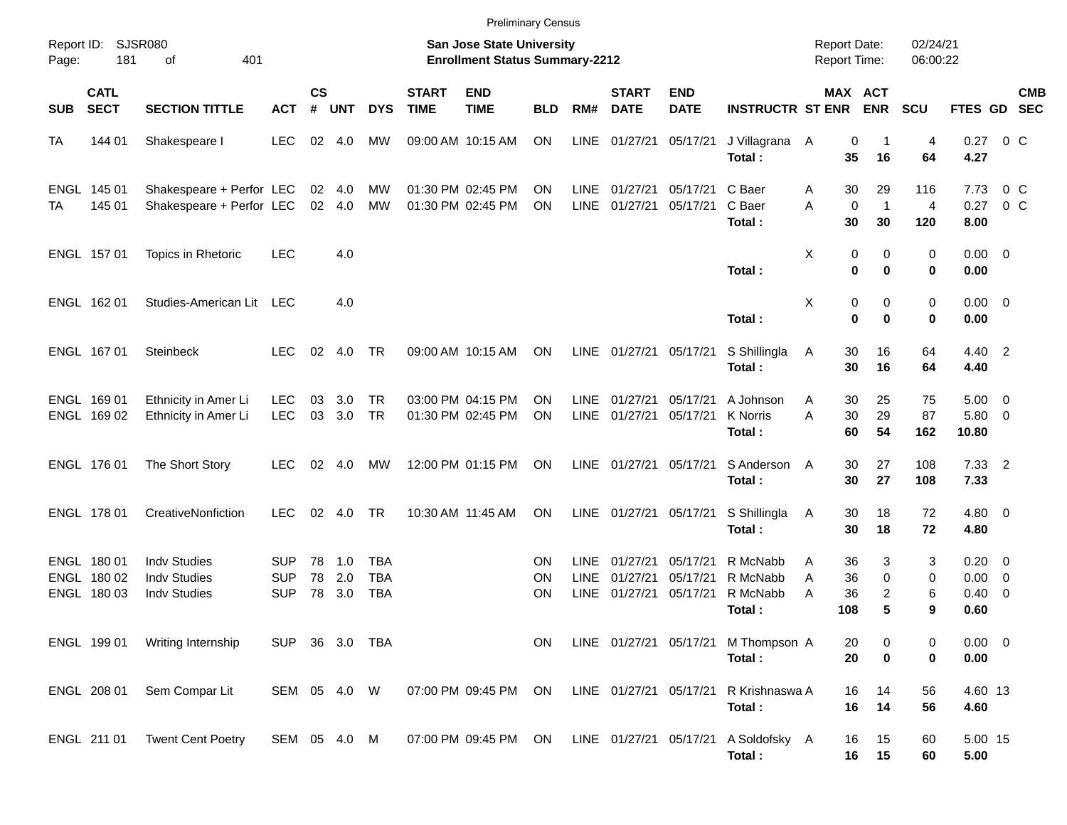|                                                                                                                       |                                           |                                                                   |                                        |                    |                   |                                 |                             | <b>Preliminary Census</b>              |                 |                                           |                                  |                                  |                                                |                                            |                          |                      |                                    |                                                      |            |
|-----------------------------------------------------------------------------------------------------------------------|-------------------------------------------|-------------------------------------------------------------------|----------------------------------------|--------------------|-------------------|---------------------------------|-----------------------------|----------------------------------------|-----------------|-------------------------------------------|----------------------------------|----------------------------------|------------------------------------------------|--------------------------------------------|--------------------------|----------------------|------------------------------------|------------------------------------------------------|------------|
| Report ID: SJSR080<br>San Jose State University<br>401<br><b>Enrollment Status Summary-2212</b><br>181<br>of<br>Page: |                                           |                                                                   |                                        |                    |                   |                                 |                             |                                        |                 |                                           |                                  |                                  |                                                | <b>Report Date:</b><br><b>Report Time:</b> |                          | 02/24/21<br>06:00:22 |                                    |                                                      |            |
| <b>SUB</b>                                                                                                            | <b>CATL</b><br><b>SECT</b>                | <b>SECTION TITTLE</b>                                             | <b>ACT</b>                             | $\mathsf{cs}$<br># | <b>UNT</b>        | <b>DYS</b>                      | <b>START</b><br><b>TIME</b> | <b>END</b><br><b>TIME</b>              | <b>BLD</b>      | RM#                                       | <b>START</b><br><b>DATE</b>      | <b>END</b><br><b>DATE</b>        | <b>INSTRUCTR ST ENR</b>                        | MAX ACT                                    | <b>ENR</b>               | <b>SCU</b>           | FTES GD SEC                        |                                                      | <b>CMB</b> |
| TA                                                                                                                    | 144 01                                    | Shakespeare I                                                     | <b>LEC</b>                             | 02                 | 4.0               | MW                              |                             | 09:00 AM 10:15 AM                      | ON              | LINE                                      | 01/27/21                         | 05/17/21                         | J Villagrana A<br>Total:                       | 0<br>35                                    | -1<br>16                 | 4<br>64              | 0.27<br>4.27                       | $0\,$ C                                              |            |
| TA                                                                                                                    | ENGL 145 01<br>145 01                     | Shakespeare + Perfor LEC<br>Shakespeare + Perfor LEC              |                                        | 02                 | 4.0<br>02 4.0     | MW<br>MW                        |                             | 01:30 PM 02:45 PM<br>01:30 PM 02:45 PM | OΝ<br>ON        | LINE<br><b>LINE</b>                       | 01/27/21<br>01/27/21             | 05/17/21<br>05/17/21             | C Baer<br>C Baer<br>Total:                     | 30<br>Α<br>A<br>$\mathbf 0$<br>30          | 29<br>$\mathbf{1}$<br>30 | 116<br>4<br>120      | 7.73<br>0.27<br>8.00               | $0\,C$<br>$0\,C$                                     |            |
|                                                                                                                       | ENGL 157 01                               | Topics in Rhetoric                                                | <b>LEC</b>                             |                    | 4.0               |                                 |                             |                                        |                 |                                           |                                  |                                  | Total:                                         | Χ<br>0<br>0                                | 0<br>$\bf{0}$            | 0<br>0               | $0.00 \t 0$<br>0.00                |                                                      |            |
|                                                                                                                       | ENGL 162 01                               | Studies-American Lit LEC                                          |                                        |                    | 4.0               |                                 |                             |                                        |                 |                                           |                                  |                                  | Total:                                         | Χ<br>0<br>$\mathbf 0$                      | 0<br>$\bf{0}$            | 0<br>0               | $0.00 \t 0$<br>0.00                |                                                      |            |
|                                                                                                                       | ENGL 167 01                               | <b>Steinbeck</b>                                                  | <b>LEC</b>                             | 02                 | 4.0               | TR                              |                             | 09:00 AM 10:15 AM                      | ON              | LINE                                      | 01/27/21                         | 05/17/21                         | S Shillingla<br>Total:                         | 30<br>A<br>30                              | 16<br>16                 | 64<br>64             | 4.40 2<br>4.40                     |                                                      |            |
|                                                                                                                       | ENGL 169 01<br>ENGL 169 02                | Ethnicity in Amer Li<br>Ethnicity in Amer Li                      | <b>LEC</b><br><b>LEC</b>               | 03<br>03           | 3.0<br>3.0        | <b>TR</b><br><b>TR</b>          |                             | 03:00 PM 04:15 PM<br>01:30 PM 02:45 PM | ΟN<br><b>ON</b> | LINE<br>LINE                              | 01/27/21<br>01/27/21             | 05/17/21<br>05/17/21             | A Johnson<br>K Norris<br>Total:                | 30<br>Α<br>A<br>30<br>60                   | 25<br>29<br>54           | 75<br>87<br>162      | $5.00 \quad 0$<br>5.80 0<br>10.80  |                                                      |            |
|                                                                                                                       | ENGL 176 01                               | The Short Story                                                   | <b>LEC</b>                             | 02                 | 4.0               | МW                              |                             | 12:00 PM 01:15 PM                      | ON              | LINE                                      | 01/27/21                         | 05/17/21                         | S Anderson<br>Total:                           | 30<br>A<br>30                              | 27<br>27                 | 108<br>108           | $7.33$ 2<br>7.33                   |                                                      |            |
|                                                                                                                       | ENGL 178 01                               | CreativeNonfiction                                                | LEC.                                   | 02                 | 4.0               | TR                              |                             | 10:30 AM 11:45 AM                      | ON              | LINE                                      | 01/27/21                         | 05/17/21                         | S Shillingla<br>Total:                         | 30<br>A<br>30                              | 18<br>18                 | 72<br>72             | $4.80$ 0<br>4.80                   |                                                      |            |
|                                                                                                                       | ENGL 180 01<br>ENGL 180 02<br>ENGL 180 03 | <b>Indv Studies</b><br><b>Indy Studies</b><br><b>Indy Studies</b> | <b>SUP</b><br><b>SUP</b><br><b>SUP</b> | 78<br>78<br>78     | 1.0<br>2.0<br>3.0 | TBA<br><b>TBA</b><br><b>TBA</b> |                             |                                        | ΟN<br>ΟN<br>ΟN  | <b>LINE</b><br><b>LINE</b><br><b>LINE</b> | 01/27/21<br>01/27/21<br>01/27/21 | 05/17/21<br>05/17/21<br>05/17/21 | R McNabb<br>R McNabb<br>R McNabb<br>Total :    | 36<br>Α<br>36<br>A<br>Α<br>36<br>108       | 3<br>0<br>2<br>5         | 3<br>0<br>6<br>9     | $0.20 \ 0$<br>0.00<br>0.40<br>0.60 | $\overline{\phantom{0}}$<br>$\overline{\phantom{0}}$ |            |
|                                                                                                                       | ENGL 199 01                               | Writing Internship                                                | SUP 36 3.0 TBA                         |                    |                   |                                 |                             |                                        | ON              |                                           |                                  |                                  | LINE 01/27/21 05/17/21 M Thompson A<br>Total:  | 20<br>20                                   | 0<br>$\mathbf 0$         | 0<br>0               | $0.00 \t 0$<br>0.00                |                                                      |            |
|                                                                                                                       | ENGL 208 01                               | Sem Compar Lit                                                    | SEM 05 4.0 W                           |                    |                   |                                 |                             | 07:00 PM 09:45 PM ON                   |                 |                                           | LINE 01/27/21 05/17/21           |                                  | R Krishnaswa A<br>Total:                       | 16<br>16                                   | 14<br>14                 | 56<br>56             | 4.60 13<br>4.60                    |                                                      |            |
|                                                                                                                       | ENGL 211 01                               | <b>Twent Cent Poetry</b>                                          | SEM 05 4.0 M                           |                    |                   |                                 |                             | 07:00 PM 09:45 PM ON                   |                 |                                           |                                  |                                  | LINE 01/27/21 05/17/21 A Soldofsky A<br>Total: | 16<br>16                                   | 15<br>15                 | 60<br>60             | 5.00 15<br>5.00                    |                                                      |            |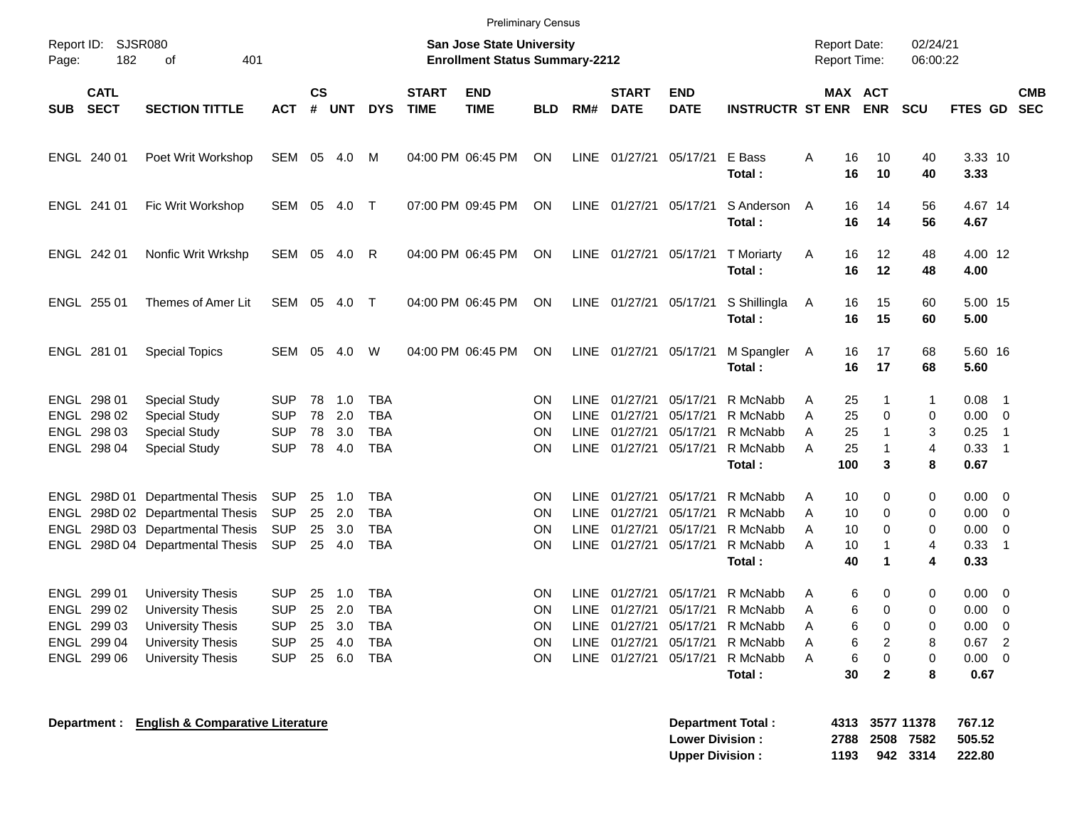|                                                                         | <b>Preliminary Census</b>                                                                                                                |                                                                    |                            |                                 |                                                             |                             |                           |                                           |                                                                  |                                                          |                                                          |                                                                    |                         |                                                                                                    |                                  |                                              |                                                                  |            |
|-------------------------------------------------------------------------|------------------------------------------------------------------------------------------------------------------------------------------|--------------------------------------------------------------------|----------------------------|---------------------------------|-------------------------------------------------------------|-----------------------------|---------------------------|-------------------------------------------|------------------------------------------------------------------|----------------------------------------------------------|----------------------------------------------------------|--------------------------------------------------------------------|-------------------------|----------------------------------------------------------------------------------------------------|----------------------------------|----------------------------------------------|------------------------------------------------------------------|------------|
| Page:                                                                   | Report ID: SJSR080<br><b>San Jose State University</b><br>401<br><b>Enrollment Status Summary-2212</b><br>182<br>0f                      |                                                                    |                            |                                 |                                                             |                             |                           |                                           |                                                                  |                                                          |                                                          |                                                                    |                         | <b>Report Date:</b><br>Report Time:                                                                | 02/24/21<br>06:00:22             |                                              |                                                                  |            |
| <b>CATL</b><br><b>SECT</b><br><b>SUB</b>                                | <b>SECTION TITTLE</b>                                                                                                                    | <b>ACT</b>                                                         | <b>CS</b><br>#             | <b>UNT</b>                      | <b>DYS</b>                                                  | <b>START</b><br><b>TIME</b> | <b>END</b><br><b>TIME</b> | <b>BLD</b>                                | RM#                                                              | <b>START</b><br><b>DATE</b>                              | <b>END</b><br><b>DATE</b>                                | <b>INSTRUCTR ST ENR</b>                                            |                         | MAX ACT<br><b>ENR</b>                                                                              | <b>SCU</b>                       | FTES GD SEC                                  |                                                                  | <b>CMB</b> |
| ENGL 240 01                                                             | Poet Writ Workshop                                                                                                                       | SEM                                                                | 05                         | 4.0                             | M                                                           |                             | 04:00 PM 06:45 PM         | ON                                        | <b>LINE</b>                                                      | 01/27/21                                                 | 05/17/21                                                 | E Bass<br>Total:                                                   | A                       | 16<br>10<br>16<br>10                                                                               | 40<br>40                         | 3.33 10<br>3.33                              |                                                                  |            |
| ENGL 241 01                                                             | Fic Writ Workshop                                                                                                                        | <b>SEM</b>                                                         | 05                         | 4.0                             | $\mathsf{T}$                                                |                             | 07:00 PM 09:45 PM         | ON                                        | <b>LINE</b>                                                      | 01/27/21                                                 | 05/17/21                                                 | S Anderson<br>Total:                                               | $\overline{A}$          | 14<br>16<br>16<br>14                                                                               | 56<br>56                         | 4.67 14<br>4.67                              |                                                                  |            |
| ENGL 242 01                                                             | Nonfic Writ Wrkshp                                                                                                                       | SEM                                                                | 05                         | 4.0                             | R                                                           |                             | 04:00 PM 06:45 PM         | ON                                        | LINE                                                             | 01/27/21 05/17/21                                        |                                                          | <b>T</b> Moriarty<br>Total:                                        | Α                       | 16<br>12<br>16<br>12                                                                               | 48<br>48                         | 4.00 12<br>4.00                              |                                                                  |            |
| ENGL 255 01                                                             | Themes of Amer Lit                                                                                                                       | SEM                                                                | 05                         | 4.0                             | $\top$                                                      |                             | 04:00 PM 06:45 PM         | ON                                        | <b>LINE</b>                                                      | 01/27/21 05/17/21                                        |                                                          | S Shillingla<br>Total:                                             | A                       | 15<br>16<br>16<br>15                                                                               | 60<br>60                         | 5.00 15<br>5.00                              |                                                                  |            |
| ENGL 281 01                                                             | <b>Special Topics</b>                                                                                                                    | SEM                                                                | 05                         | 4.0                             | W                                                           |                             | 04:00 PM 06:45 PM         | ON                                        | LINE                                                             |                                                          | 01/27/21 05/17/21                                        | M Spangler<br>Total:                                               | A                       | 16<br>17<br>16<br>17                                                                               | 68<br>68                         | 5.60 16<br>5.60                              |                                                                  |            |
| ENGL 298 01<br>ENGL 298 02<br>ENGL 298 03<br>ENGL 298 04                | Special Study<br><b>Special Study</b><br><b>Special Study</b><br>Special Study                                                           | <b>SUP</b><br><b>SUP</b><br><b>SUP</b><br><b>SUP</b>               | 78<br>78<br>78<br>78       | 1.0<br>2.0<br>3.0<br>4.0        | TBA<br><b>TBA</b><br><b>TBA</b><br><b>TBA</b>               |                             |                           | ΟN<br><b>ON</b><br><b>ON</b><br><b>ON</b> | LINE<br><b>LINE</b><br>LINE<br>LINE                              | 01/27/21<br>01/27/21<br>01/27/21<br>01/27/21             | 05/17/21<br>05/17/21<br>05/17/21<br>05/17/21             | R McNabb<br>R McNabb<br>R McNabb<br>R McNabb<br>Total:             | Α<br>A<br>A<br>A<br>100 | 25<br>-1<br>$\Omega$<br>25<br>25<br>1<br>25<br>-1<br>3                                             | $\mathbf{1}$<br>0<br>3<br>4<br>8 | 0.08<br>0.00<br>0.25<br>0.33<br>0.67         | -1<br>$\overline{0}$<br>$\overline{1}$<br>$\overline{1}$         |            |
| ENGL<br>ENGL<br>ENGL                                                    | ENGL 298D 01 Departmental Thesis<br>298D 02 Departmental Thesis<br>298D 03 Departmental Thesis<br>298D 04 Departmental Thesis            | <b>SUP</b><br><b>SUP</b><br><b>SUP</b><br><b>SUP</b>               | 25<br>25<br>25<br>25       | 1.0<br>2.0<br>3.0<br>4.0        | <b>TBA</b><br><b>TBA</b><br><b>TBA</b><br><b>TBA</b>        |                             |                           | <b>ON</b><br>ON<br>ΟN<br>ΟN               | <b>LINE</b><br><b>LINE</b><br><b>LINE</b><br>LINE                | 01/27/21<br>01/27/21<br>01/27/21<br>01/27/21             | 05/17/21<br>05/17/21<br>05/17/21<br>05/17/21             | R McNabb<br>R McNabb<br>R McNabb<br>R McNabb<br>Total:             | Α<br>A<br>Α<br>A        | 10<br>0<br>10<br>$\Omega$<br>$\Omega$<br>10<br>10<br>-1<br>40<br>1                                 | 0<br>$\Omega$<br>0<br>4<br>4     | 0.00<br>0.00<br>0.00<br>0.33<br>0.33         | $\mathbf 0$<br>$\mathbf 0$<br>$\mathbf 0$<br>$\overline{1}$      |            |
| ENGL 299 01<br>ENGL 299 02<br>ENGL 299 03<br>ENGL 299 04<br>ENGL 299 06 | <b>University Thesis</b><br><b>University Thesis</b><br><b>University Thesis</b><br><b>University Thesis</b><br><b>University Thesis</b> | <b>SUP</b><br><b>SUP</b><br><b>SUP</b><br><b>SUP</b><br><b>SUP</b> | 25<br>25<br>25<br>25<br>25 | 1.0<br>2.0<br>3.0<br>4.0<br>6.0 | TBA<br><b>TBA</b><br><b>TBA</b><br><b>TBA</b><br><b>TBA</b> |                             |                           | ΟN<br>ON<br><b>ON</b><br><b>ON</b><br>ON  | <b>LINE</b><br><b>LINE</b><br><b>LINE</b><br><b>LINE</b><br>LINE | 01/27/21<br>01/27/21<br>01/27/21<br>01/27/21<br>01/27/21 | 05/17/21<br>05/17/21<br>05/17/21<br>05/17/21<br>05/17/21 | R McNabb<br>R McNabb<br>R McNabb<br>R McNabb<br>R McNabb<br>Total: | Α<br>A<br>A<br>A<br>A   | 6<br>0<br>6<br>$\Omega$<br>$\mathbf 0$<br>6<br>6<br>$\overline{2}$<br>6<br>0<br>$\mathbf{2}$<br>30 | 0<br>0<br>0<br>8<br>0<br>8       | 0.00<br>0.00<br>0.00<br>0.67<br>0.00<br>0.67 | 0<br>$\mathbf 0$<br>$\mathbf 0$<br>$\overline{2}$<br>$\mathbf 0$ |            |

**Department : English & Comparative Literature All intervents in the Separtment Total Separtment in the Separative D** 

| <b>Department Total:</b> |      | 4313 3577 11378 |          | 767.12                |
|--------------------------|------|-----------------|----------|-----------------------|
| <b>Lower Division :</b>  |      |                 |          | 2788 2508 7582 505.52 |
| <b>Upper Division:</b>   | 1193 |                 | 942 3314 | 222.80                |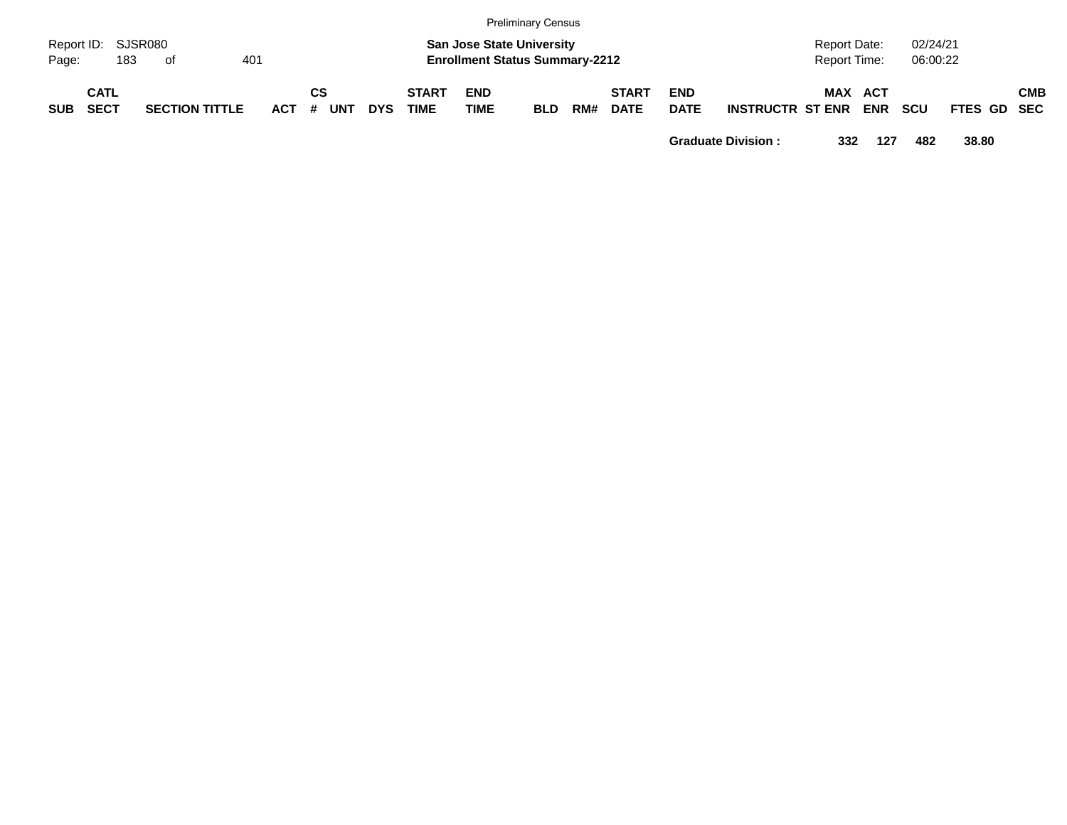|            | <b>Preliminary Census</b>  |                       |  |         |    |            |            |                                                                           |                           |            |     |                             |                           |                         |            |                          |            |             |  |            |
|------------|----------------------------|-----------------------|--|---------|----|------------|------------|---------------------------------------------------------------------------|---------------------------|------------|-----|-----------------------------|---------------------------|-------------------------|------------|--------------------------|------------|-------------|--|------------|
| Page:      | Report ID: SJSR080<br>183  | of                    |  |         |    |            |            | <b>San Jose State University</b><br><b>Enrollment Status Summary-2212</b> |                           |            |     | 02/24/21<br>06:00:22        |                           |                         |            |                          |            |             |  |            |
| <b>SUB</b> | <b>CATL</b><br><b>SECT</b> | <b>SECTION TITTLE</b> |  | $ACT$ # | СS | <b>UNT</b> | <b>DYS</b> | <b>START</b><br><b>TIME</b>                                               | <b>END</b><br><b>TIME</b> | <b>BLD</b> | RM# | <b>START</b><br><b>DATE</b> | <b>END</b><br><b>DATE</b> | <b>INSTRUCTR ST ENR</b> | <b>MAX</b> | <b>ACT</b><br><b>ENR</b> | <b>SCU</b> | FTES GD SEC |  | <b>CMB</b> |

**Graduate Division : 332 127 482 38.80**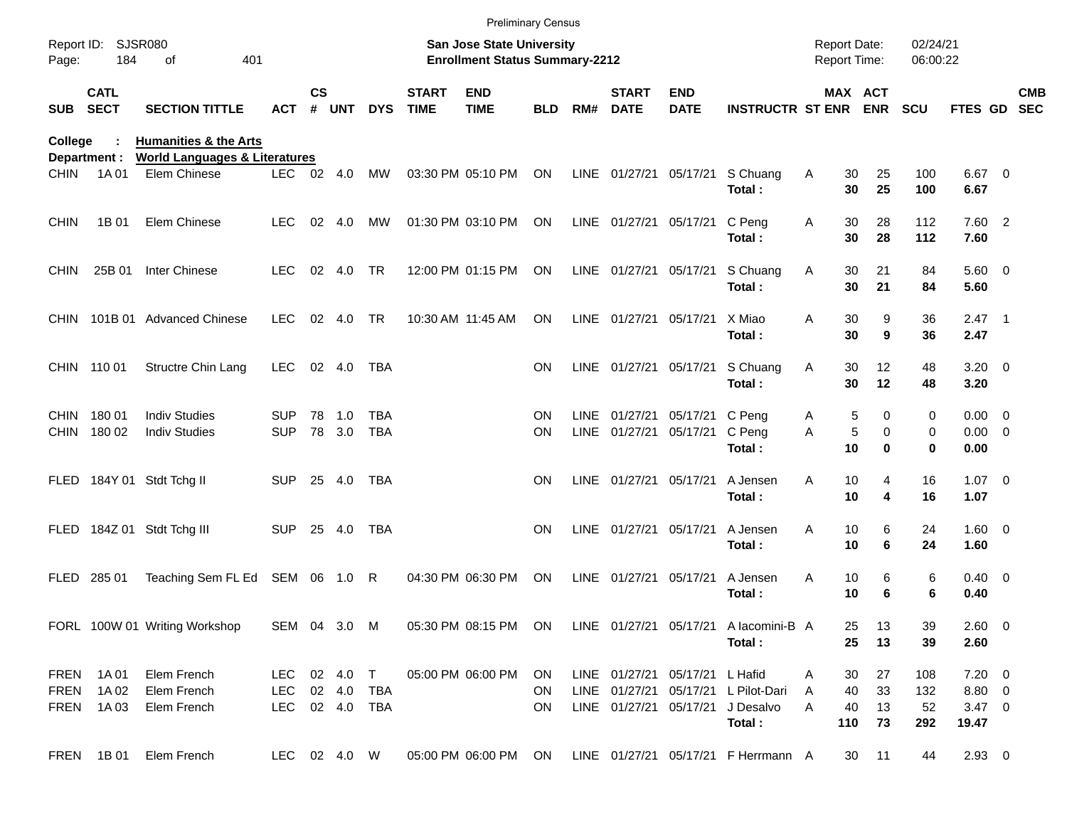|                            |                                        |                                                                              |                                       |               |            |                          |                             | <b>Preliminary Census</b>                                          |                        |             |                                                  |                           |                                                |                                            |                                               |                         |                                                  |                          |
|----------------------------|----------------------------------------|------------------------------------------------------------------------------|---------------------------------------|---------------|------------|--------------------------|-----------------------------|--------------------------------------------------------------------|------------------------|-------------|--------------------------------------------------|---------------------------|------------------------------------------------|--------------------------------------------|-----------------------------------------------|-------------------------|--------------------------------------------------|--------------------------|
| Report ID:<br>Page:        | 184                                    | <b>SJSR080</b><br>401<br>of                                                  |                                       |               |            |                          |                             | San Jose State University<br><b>Enrollment Status Summary-2212</b> |                        |             |                                                  |                           |                                                | <b>Report Date:</b><br><b>Report Time:</b> |                                               | 02/24/21<br>06:00:22    |                                                  |                          |
| <b>SUB</b>                 | <b>CATL</b><br><b>SECT</b>             | <b>SECTION TITTLE</b>                                                        | ACT                                   | $\mathsf{cs}$ | # UNT      | <b>DYS</b>               | <b>START</b><br><b>TIME</b> | <b>END</b><br><b>TIME</b>                                          | <b>BLD</b>             | RM#         | <b>START</b><br><b>DATE</b>                      | <b>END</b><br><b>DATE</b> | <b>INSTRUCTR ST ENR ENR</b>                    |                                            | MAX ACT                                       | <b>SCU</b>              | <b>FTES GD</b>                                   | <b>CMB</b><br><b>SEC</b> |
| College                    |                                        | <b>Humanities &amp; the Arts</b><br><b>World Languages &amp; Literatures</b> |                                       |               |            |                          |                             |                                                                    |                        |             |                                                  |                           |                                                |                                            |                                               |                         |                                                  |                          |
| <b>CHIN</b>                | Department :<br>1A 01                  | Elem Chinese                                                                 | LEC.                                  | 02 4.0        |            | MW                       |                             | 03:30 PM 05:10 PM                                                  | ON                     |             | LINE 01/27/21 05/17/21                           |                           | S Chuang<br>Total:                             | Α<br>30<br>30                              | 25<br>25                                      | 100<br>100              | $6.67$ 0<br>6.67                                 |                          |
| <b>CHIN</b>                | 1B 01                                  | Elem Chinese                                                                 | <b>LEC</b>                            | 02            | 4.0        | MW                       |                             | 01:30 PM 03:10 PM                                                  | ON                     |             | LINE 01/27/21 05/17/21                           |                           | C Peng<br>Total:                               | 30<br>Α<br>30                              | 28<br>28                                      | 112<br>112              | 7.60 2<br>7.60                                   |                          |
| <b>CHIN</b>                | 25B 01                                 | Inter Chinese                                                                | LEC.                                  |               | 02 4.0     | TR                       |                             | 12:00 PM 01:15 PM                                                  | ON                     |             | LINE 01/27/21 05/17/21                           |                           | S Chuang<br>Total:                             | 30<br>A<br>30                              | 21<br>21                                      | 84<br>84                | 5.60 0<br>5.60                                   |                          |
| <b>CHIN</b>                |                                        | 101B 01 Advanced Chinese                                                     | <b>LEC</b>                            |               | 02 4.0     | TR                       |                             | 10:30 AM 11:45 AM                                                  | ON                     |             | LINE 01/27/21 05/17/21                           |                           | X Miao<br>Total:                               | A<br>30<br>30                              | 9<br>9                                        | 36<br>36                | $2.47$ 1<br>2.47                                 |                          |
|                            | CHIN 110 01                            | Structre Chin Lang                                                           | <b>LEC</b>                            |               | 02 4.0     | TBA                      |                             |                                                                    | ON                     |             | LINE 01/27/21 05/17/21                           |                           | S Chuang<br>Total:                             | A<br>30<br>30                              | 12<br>12                                      | 48<br>48                | $3.20 \ 0$<br>3.20                               |                          |
| <b>CHIN</b><br><b>CHIN</b> | 18001<br>180 02                        | <b>Indiv Studies</b><br><b>Indiv Studies</b>                                 | <b>SUP</b><br><b>SUP</b>              | 78<br>78      | 1.0<br>3.0 | <b>TBA</b><br><b>TBA</b> |                             |                                                                    | <b>ON</b><br><b>ON</b> | <b>LINE</b> | 01/27/21<br>LINE 01/27/21                        | 05/17/21<br>05/17/21      | C Peng<br>C Peng<br>Total:                     | A<br>Α<br>10                               | 5<br>$\Omega$<br>5<br>$\mathbf 0$<br>$\bf{0}$ | 0<br>0<br>$\bf{0}$      | $0.00 \t 0$<br>$0.00 \t 0$<br>0.00               |                          |
|                            |                                        | FLED 184Y 01 Stdt Tchg II                                                    | SUP.                                  | 25            | 4.0        | TBA                      |                             |                                                                    | <b>ON</b>              |             | LINE 01/27/21 05/17/21                           |                           | A Jensen<br>Total:                             | Α<br>10<br>10                              | 4<br>4                                        | 16<br>16                | $1.07 \t 0$<br>1.07                              |                          |
| FLED                       |                                        | 184Z 01 Stdt Tchg III                                                        | <b>SUP</b>                            | 25            | 4.0        | <b>TBA</b>               |                             |                                                                    | <b>ON</b>              |             | LINE 01/27/21 05/17/21                           |                           | A Jensen<br>Total:                             | A<br>10<br>10                              | 6<br>6                                        | 24<br>24                | $1.60 \t 0$<br>1.60                              |                          |
| <b>FLED</b>                | 285 01                                 | Teaching Sem FL Ed SEM 06 1.0 R                                              |                                       |               |            |                          |                             | 04:30 PM 06:30 PM                                                  | ON                     |             | LINE 01/27/21                                    | 05/17/21                  | A Jensen<br>Total:                             | Α<br>10<br>10                              | 6<br>6                                        | 6<br>6                  | $0.40 \quad 0$<br>0.40                           |                          |
|                            |                                        | FORL 100W 01 Writing Workshop                                                | SEM 04 3.0 M                          |               |            |                          |                             | 05:30 PM 08:15 PM ON                                               |                        |             |                                                  | LINE 01/27/21 05/17/21    | A lacomini-B A<br>Total:                       | 25<br>25                                   | 13<br>13                                      | 39<br>39                | $2.60 \t 0$<br>2.60                              |                          |
| <b>FREN</b>                | <b>FREN</b> 1A01<br>1A 02<br>FREN 1A03 | Elem French<br>Elem French<br>Elem French                                    | LEC 02 4.0 T<br>LEC<br>LEC 02 4.0 TBA |               |            | 02 4.0 TBA               |                             | 05:00 PM 06:00 PM                                                  | ON<br>ON.<br>ON.       |             | LINE 01/27/21 05/17/21<br>LINE 01/27/21 05/17/21 | LINE 01/27/21 05/17/21    | L Hafid<br>L Pilot-Dari<br>J Desalvo<br>Total: | 30<br>A<br>40<br>A<br>40<br>A<br>110       | 27<br>33<br>13<br>73                          | 108<br>132<br>52<br>292 | $7.20 \t 0$<br>8.80 0<br>$3.47 \quad 0$<br>19.47 |                          |
|                            | FREN 1B01                              | Elem French                                                                  | LEC 02 4.0 W                          |               |            |                          |                             | 05:00 PM 06:00 PM ON                                               |                        |             |                                                  |                           | LINE 01/27/21 05/17/21 F Herrmann A            | 30                                         | 11                                            | 44                      | $2.93$ 0                                         |                          |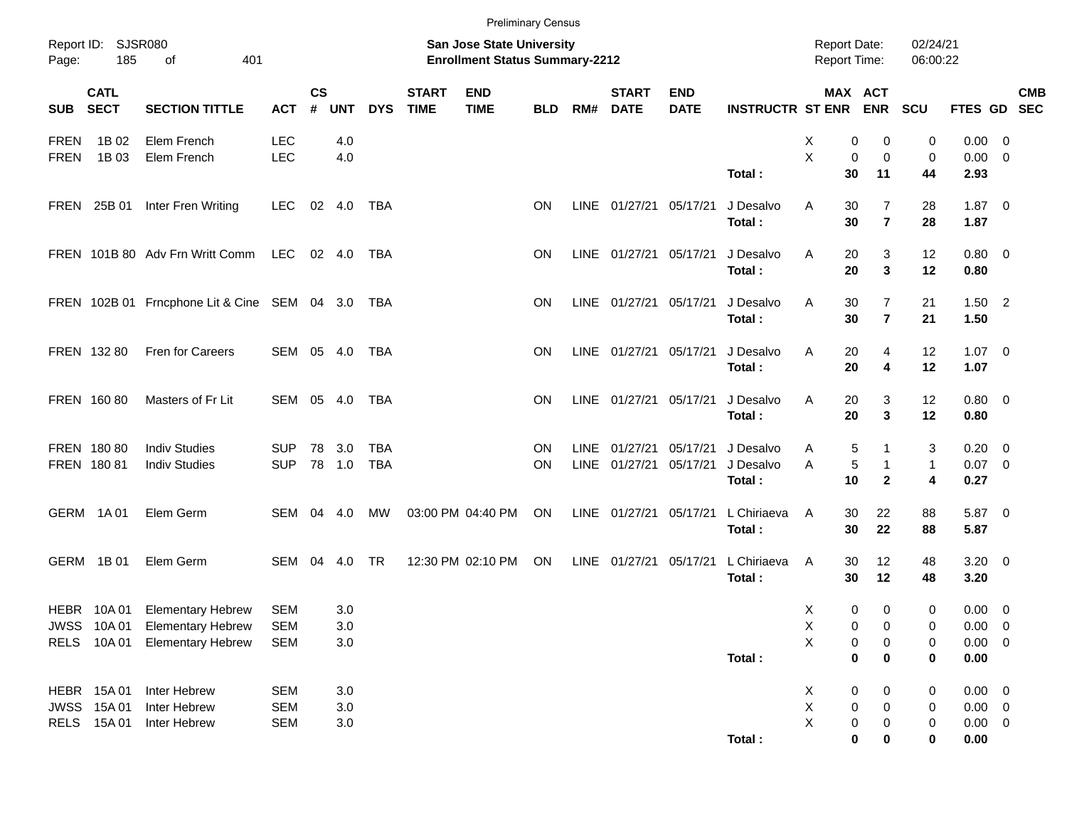|                            |                                         |                                                                                       |                                        |                         |                           |                          |                             | <b>Preliminary Census</b>                                                 |            |             |                             |                           |                                  |                                                                   |                                   |                                  |                                                       |                                                      |            |
|----------------------------|-----------------------------------------|---------------------------------------------------------------------------------------|----------------------------------------|-------------------------|---------------------------|--------------------------|-----------------------------|---------------------------------------------------------------------------|------------|-------------|-----------------------------|---------------------------|----------------------------------|-------------------------------------------------------------------|-----------------------------------|----------------------------------|-------------------------------------------------------|------------------------------------------------------|------------|
| Page:                      | Report ID: SJSR080<br>185               | 401<br>οf                                                                             |                                        |                         |                           |                          |                             | <b>San Jose State University</b><br><b>Enrollment Status Summary-2212</b> |            |             |                             |                           |                                  | <b>Report Date:</b><br>Report Time:                               |                                   | 02/24/21<br>06:00:22             |                                                       |                                                      |            |
| <b>SUB</b>                 | <b>CATL</b><br><b>SECT</b>              | <b>SECTION TITTLE</b>                                                                 | <b>ACT</b>                             | <b>CS</b><br>$\pmb{\#}$ | <b>UNT</b>                | <b>DYS</b>               | <b>START</b><br><b>TIME</b> | <b>END</b><br><b>TIME</b>                                                 | <b>BLD</b> | RM#         | <b>START</b><br><b>DATE</b> | <b>END</b><br><b>DATE</b> | <b>INSTRUCTR ST ENR</b>          | MAX ACT                                                           | <b>ENR</b>                        | <b>SCU</b>                       | FTES GD SEC                                           |                                                      | <b>CMB</b> |
| <b>FREN</b><br><b>FREN</b> | 1B 02<br>1B 03                          | Elem French<br>Elem French                                                            | <b>LEC</b><br><b>LEC</b>               |                         | 4.0<br>4.0                |                          |                             |                                                                           |            |             |                             |                           | Total:                           | X<br>0<br>X<br>$\mathbf 0$<br>30                                  | 0<br>0<br>11                      | 0<br>$\mathbf 0$<br>44           | 0.00<br>0.00<br>2.93                                  | $\overline{\phantom{0}}$<br>$\overline{\phantom{0}}$ |            |
|                            | FREN 25B 01                             | Inter Fren Writing                                                                    | <b>LEC</b>                             |                         | 02 4.0                    | TBA                      |                             |                                                                           | ΟN         |             | LINE 01/27/21 05/17/21      |                           | J Desalvo<br>Total:              | A<br>30<br>30                                                     | 7<br>$\overline{7}$               | 28<br>28                         | $1.87 \t 0$<br>1.87                                   |                                                      |            |
|                            |                                         | FREN 101B 80 Adv Frn Writt Comm                                                       | LEC                                    |                         | 02 4.0                    | TBA                      |                             |                                                                           | ΟN         |             | LINE 01/27/21 05/17/21      |                           | J Desalvo<br>Total:              | A<br>20<br>20                                                     | 3<br>$\mathbf{3}$                 | 12<br>12                         | $0.80 \ 0$<br>0.80                                    |                                                      |            |
|                            |                                         | FREN 102B 01 Frncphone Lit & Cine SEM 04 3.0 TBA                                      |                                        |                         |                           |                          |                             |                                                                           | ΟN         |             | LINE 01/27/21 05/17/21      |                           | J Desalvo<br>Total:              | A<br>30<br>30                                                     | $\overline{7}$<br>$\overline{7}$  | 21<br>21                         | $1.50$ 2<br>1.50                                      |                                                      |            |
|                            | FREN 132 80                             | Fren for Careers                                                                      | SEM 05 4.0                             |                         |                           | TBA                      |                             |                                                                           | ΟN         |             | LINE 01/27/21 05/17/21      |                           | J Desalvo<br>Total:              | 20<br>A<br>20                                                     | 4<br>4                            | 12<br>12                         | $1.07 \t 0$<br>1.07                                   |                                                      |            |
|                            | FREN 160 80                             | Masters of Fr Lit                                                                     | SEM 05 4.0                             |                         |                           | TBA                      |                             |                                                                           | ΟN         |             | LINE 01/27/21 05/17/21      |                           | J Desalvo<br>Total:              | 20<br>A<br>20                                                     | 3<br>3                            | 12<br>12                         | $0.80 \ 0$<br>0.80                                    |                                                      |            |
|                            | FREN 180 80<br>FREN 180 81              | <b>Indiv Studies</b><br><b>Indiv Studies</b>                                          | <b>SUP</b><br><b>SUP</b>               | 78                      | 3.0<br>78 1.0             | <b>TBA</b><br><b>TBA</b> |                             |                                                                           | ΟN<br>ON   | <b>LINE</b> | 01/27/21<br>LINE 01/27/21   | 05/17/21<br>05/17/21      | J Desalvo<br>J Desalvo<br>Total: | 5<br>A<br>5<br>A<br>10                                            | 1<br>$\mathbf{1}$<br>$\mathbf{2}$ | 3<br>$\mathbf{1}$<br>4           | 0.20<br>$0.07$ 0<br>0.27                              | $\overline{\phantom{0}}$                             |            |
|                            | GERM 1A01                               | Elem Germ                                                                             | SEM                                    |                         | 04 4.0                    | MW                       |                             | 03:00 PM 04:40 PM                                                         | ON         |             | LINE 01/27/21               | 05/17/21                  | L Chiriaeva<br>Total:            | 30<br>A<br>30                                                     | 22<br>22                          | 88<br>88                         | 5.87 0<br>5.87                                        |                                                      |            |
|                            | GERM 1B01                               | Elem Germ                                                                             | SEM                                    | 04                      | 4.0                       | <b>TR</b>                |                             | 12:30 PM 02:10 PM                                                         | ON         |             | LINE 01/27/21 05/17/21      |                           | L Chiriaeva<br>Total:            | 30<br>A<br>30                                                     | 12<br>12                          | 48<br>48                         | $3.20 \ 0$<br>3.20                                    |                                                      |            |
| <b>RELS</b>                | <b>HEBR 10A01</b><br>10A 01             | <b>Elementary Hebrew</b><br>JWSS 10A 01 Elementary Hebrew<br><b>Elementary Hebrew</b> | <b>SEM</b><br><b>SEM</b><br><b>SEM</b> |                         | 3.0<br>3.0<br>$3.0\,$     |                          |                             |                                                                           |            |             |                             |                           | Total:                           | X<br>0<br>Χ<br>$\pmb{0}$<br>X<br>$\pmb{0}$<br>$\pmb{0}$           | 0<br>0<br>$\pmb{0}$<br>0          | $\pmb{0}$<br>0<br>0<br>$\pmb{0}$ | 0.00<br>$0.00 \t 0$<br>$0.00 \t 0$<br>0.00            | $\overline{\mathbf{0}}$                              |            |
|                            | HEBR 15A01<br>JWSS 15A01<br>RELS 15A 01 | Inter Hebrew<br>Inter Hebrew<br>Inter Hebrew                                          | <b>SEM</b><br><b>SEM</b><br><b>SEM</b> |                         | 3.0<br>$3.0\,$<br>$3.0\,$ |                          |                             |                                                                           |            |             |                             |                           | Total:                           | X<br>$\pmb{0}$<br>X<br>$\pmb{0}$<br>X<br>$\pmb{0}$<br>$\mathbf 0$ | 0<br>0<br>0<br>$\bf{0}$           | 0<br>0<br>0<br>0                 | $0.00 \t 0$<br>$0.00 \t 0$<br>$0.00 \t 0$<br>$0.00\,$ |                                                      |            |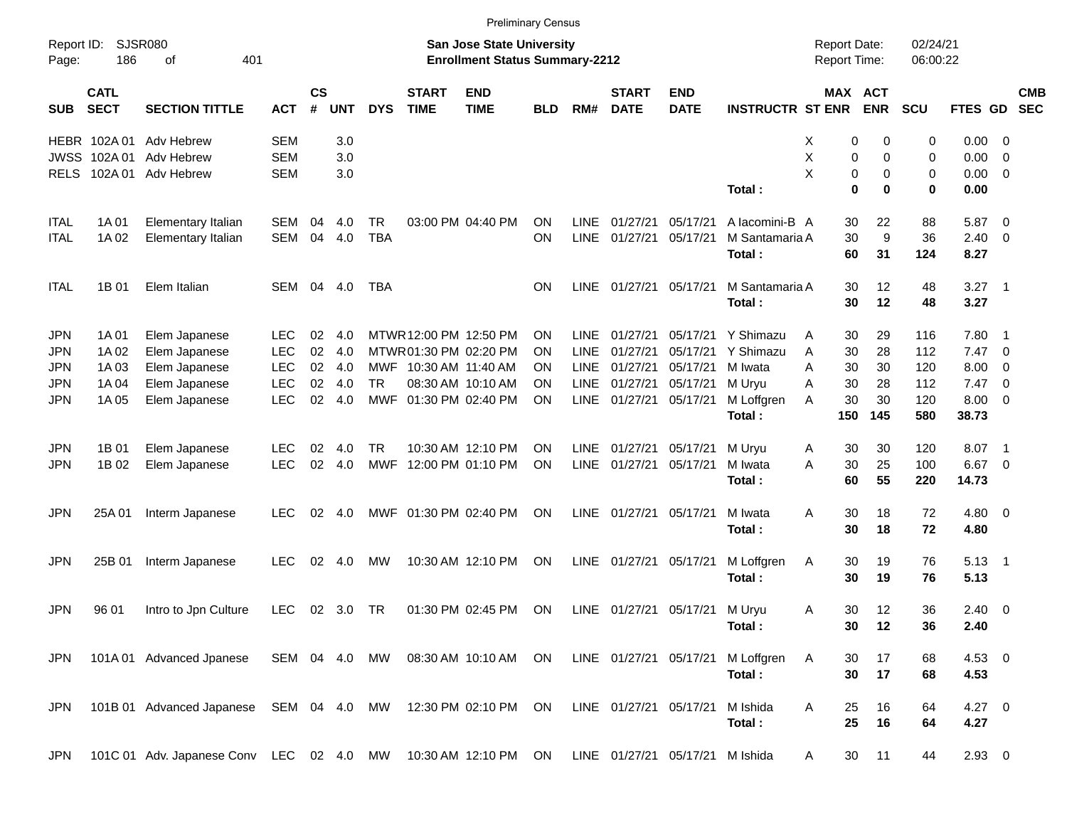|                     |                            |                                          |               |                |               |            |                             |                                                                           | <b>Preliminary Census</b> |             |                             |                                 |                                   |                                     |                              |                      |            |                          |                          |
|---------------------|----------------------------|------------------------------------------|---------------|----------------|---------------|------------|-----------------------------|---------------------------------------------------------------------------|---------------------------|-------------|-----------------------------|---------------------------------|-----------------------------------|-------------------------------------|------------------------------|----------------------|------------|--------------------------|--------------------------|
| Report ID:<br>Page: | 186                        | <b>SJSR080</b><br>401<br>оf              |               |                |               |            |                             | <b>San Jose State University</b><br><b>Enrollment Status Summary-2212</b> |                           |             |                             |                                 |                                   | <b>Report Date:</b><br>Report Time: |                              | 02/24/21<br>06:00:22 |            |                          |                          |
| <b>SUB</b>          | <b>CATL</b><br><b>SECT</b> | <b>SECTION TITTLE</b>                    | <b>ACT</b>    | <b>CS</b><br># | <b>UNT</b>    | <b>DYS</b> | <b>START</b><br><b>TIME</b> | <b>END</b><br><b>TIME</b>                                                 | <b>BLD</b>                | RM#         | <b>START</b><br><b>DATE</b> | <b>END</b><br><b>DATE</b>       | <b>INSTRUCTR ST ENR</b>           |                                     | <b>MAX ACT</b><br><b>ENR</b> | SCU                  | FTES GD    |                          | <b>CMB</b><br><b>SEC</b> |
|                     | HEBR 102A01                | Adv Hebrew                               | <b>SEM</b>    |                | 3.0           |            |                             |                                                                           |                           |             |                             |                                 |                                   | х                                   | 0<br>0                       | 0                    | 0.00       | - 0                      |                          |
| <b>JWSS</b>         | 102A 01                    | Adv Hebrew                               | <b>SEM</b>    |                | 3.0           |            |                             |                                                                           |                           |             |                             |                                 |                                   | Χ                                   | 0<br>0                       | 0                    | 0.00       | $\overline{0}$           |                          |
| <b>RELS</b>         |                            | 102A 01 Adv Hebrew                       | <b>SEM</b>    |                | 3.0           |            |                             |                                                                           |                           |             |                             |                                 |                                   | X                                   | 0<br>0                       | 0                    | 0.00       | $\overline{\mathbf{0}}$  |                          |
|                     |                            |                                          |               |                |               |            |                             |                                                                           |                           |             |                             |                                 | Total:                            |                                     | 0<br>0                       | 0                    | 0.00       |                          |                          |
| <b>ITAL</b>         | 1A 01                      | Elementary Italian                       | SEM           | 04             | 4.0           | <b>TR</b>  |                             | 03:00 PM 04:40 PM                                                         | <b>ON</b>                 | LINE        | 01/27/21                    | 05/17/21                        | A lacomini-B A                    |                                     | 30<br>22                     | 88                   | 5.87       | $\overline{\mathbf{0}}$  |                          |
| ITAL                | 1A 02                      | Elementary Italian                       | <b>SEM</b>    | 04             | 4.0           | <b>TBA</b> |                             |                                                                           | ON                        | <b>LINE</b> | 01/27/21                    | 05/17/21                        | M Santamaria A                    | 30                                  | 9                            | 36                   | 2.40       | - 0                      |                          |
|                     |                            |                                          |               |                |               |            |                             |                                                                           |                           |             |                             |                                 | Total:                            | 60                                  | 31                           | 124                  | 8.27       |                          |                          |
| ITAL                | 1B 01                      | Elem Italian                             | <b>SEM</b>    | 04             | 4.0           | TBA        |                             |                                                                           | ΟN                        | LINE        | 01/27/21                    | 05/17/21                        | M Santamaria A                    |                                     | 12<br>30                     | 48                   | 3.27       | $\overline{\phantom{0}}$ |                          |
|                     |                            |                                          |               |                |               |            |                             |                                                                           |                           |             |                             |                                 | Total:                            | 30                                  | 12                           | 48                   | 3.27       |                          |                          |
| <b>JPN</b>          | 1A 01                      | Elem Japanese                            | LEC.          | 02             | 4.0           |            | MTWR 12:00 PM 12:50 PM      |                                                                           | ΟN                        | LINE        | 01/27/21                    | 05/17/21                        | Y Shimazu                         | 30<br>Α                             | 29                           | 116                  | 7.80       | $\overline{\phantom{1}}$ |                          |
| <b>JPN</b>          | 1A 02                      | Elem Japanese                            | <b>LEC</b>    | 02             | 4.0           |            | MTWR01:30 PM 02:20 PM       |                                                                           | ΟN                        | <b>LINE</b> | 01/27/21                    | 05/17/21                        | Y Shimazu                         | 30<br>A                             | 28                           | 112                  | 7.47       | $\overline{\phantom{0}}$ |                          |
| JPN                 | 1A 03                      | Elem Japanese                            | <b>LEC</b>    | 02             | 4.0           |            | MWF 10:30 AM 11:40 AM       |                                                                           | ΟN                        | <b>LINE</b> | 01/27/21                    | 05/17/21                        | M Iwata                           | 30<br>Α                             | 30                           | 120                  | 8.00       | $\overline{\mathbf{0}}$  |                          |
| JPN                 | 1A 04                      | Elem Japanese                            | <b>LEC</b>    | 02             | 4.0           | <b>TR</b>  |                             | 08:30 AM 10:10 AM                                                         | ON                        | <b>LINE</b> | 01/27/21                    | 05/17/21                        | M Uryu                            | 30<br>Α                             | 28                           | 112                  | 7.47       | $\overline{\mathbf{0}}$  |                          |
| <b>JPN</b>          | 1A 05                      | Elem Japanese                            | <b>LEC</b>    | 02             | 4.0           |            | MWF 01:30 PM 02:40 PM       |                                                                           | ON                        | <b>LINE</b> | 01/27/21                    | 05/17/21                        | M Loffgren                        | 30<br>A                             | 30                           | 120                  | 8.00       | $\overline{\mathbf{0}}$  |                          |
|                     |                            |                                          |               |                |               |            |                             |                                                                           |                           |             |                             |                                 | Total:                            | 150                                 | 145                          | 580                  | 38.73      |                          |                          |
| JPN                 | 1B 01                      | Elem Japanese                            | LEC.          | 02             | 4.0           | <b>TR</b>  |                             | 10:30 AM 12:10 PM                                                         | ΟN                        | LINE        | 01/27/21                    | 05/17/21                        | M Uryu                            | Α                                   | 30<br>30                     | 120                  | 8.07       | $\overline{\phantom{1}}$ |                          |
| JPN                 | 1B 02                      | Elem Japanese                            | <b>LEC</b>    | 02             | 4.0           | MWF        | 12:00 PM 01:10 PM           |                                                                           | ΟN                        | <b>LINE</b> | 01/27/21                    | 05/17/21                        | M Iwata                           | 30<br>Α                             | 25                           | 100                  | 6.67       | $\overline{\phantom{0}}$ |                          |
|                     |                            |                                          |               |                |               |            |                             |                                                                           |                           |             |                             |                                 | Total:                            | 60                                  | 55                           | 220                  | 14.73      |                          |                          |
| JPN                 | 25A 01                     | Interm Japanese                          | LEC           | 02             | 4.0           |            | MWF 01:30 PM 02:40 PM       |                                                                           | ΟN                        | <b>LINE</b> | 01/27/21 05/17/21           |                                 | M Iwata                           | 30<br>A                             | 18                           | 72                   | $4.80\ 0$  |                          |                          |
|                     |                            |                                          |               |                |               |            |                             |                                                                           |                           |             |                             |                                 | Total:                            | 30                                  | 18                           | 72                   | 4.80       |                          |                          |
| JPN                 | 25B 01                     | Interm Japanese                          | LEC           | 02             | 4.0           | МW         |                             | 10:30 AM 12:10 PM                                                         | ON                        | LINE        | 01/27/21                    | 05/17/21                        | M Loffgren                        | Α                                   | 30<br>19                     | 76                   | 5.13       | $\overline{\phantom{0}}$ |                          |
|                     |                            |                                          |               |                |               |            |                             |                                                                           |                           |             |                             |                                 | Total:                            | 30                                  | 19                           | 76                   | 5.13       |                          |                          |
| JPN                 | 96 01                      | Intro to Jpn Culture                     | <b>LEC</b>    | 02             | 3.0           | TR         |                             | 01:30 PM 02:45 PM                                                         | <b>ON</b>                 | LINE        |                             | 01/27/21 05/17/21               | M Uryu                            | Α                                   | 12<br>30                     | 36                   | $2.40 \ 0$ |                          |                          |
|                     |                            |                                          |               |                |               |            |                             |                                                                           |                           |             |                             |                                 | Total:                            |                                     | 30<br>12                     | 36                   | 2.40       |                          |                          |
| JPN                 |                            | 101A 01 Advanced Jpanese                 |               |                | SEM 04 4.0 MW |            |                             | 08:30 AM 10:10 AM                                                         | ON                        |             |                             |                                 | LINE 01/27/21 05/17/21 M Loffgren | Α                                   | 17<br>30                     | 68                   | 4.53 0     |                          |                          |
|                     |                            |                                          |               |                |               |            |                             |                                                                           |                           |             |                             |                                 | Total:                            |                                     | 30<br>17                     | 68                   | 4.53       |                          |                          |
| <b>JPN</b>          |                            | 101B 01 Advanced Japanese                | SEM 04 4.0 MW |                |               |            |                             | 12:30 PM 02:10 PM                                                         | ON                        |             | LINE 01/27/21 05/17/21      |                                 | M Ishida                          | A<br>25                             | 16                           |                      | $4.27$ 0   |                          |                          |
|                     |                            |                                          |               |                |               |            |                             |                                                                           |                           |             |                             |                                 | Total:                            |                                     | 25<br>16                     | 64<br>64             | 4.27       |                          |                          |
|                     |                            |                                          |               |                |               |            |                             |                                                                           |                           |             |                             |                                 |                                   |                                     |                              |                      |            |                          |                          |
| <b>JPN</b>          |                            | 101C 01 Adv. Japanese Conv LEC 02 4.0 MW |               |                |               |            |                             | 10:30 AM 12:10 PM ON                                                      |                           |             |                             | LINE 01/27/21 05/17/21 M Ishida |                                   | A                                   | 11<br>30                     | 44                   | $2.93$ 0   |                          |                          |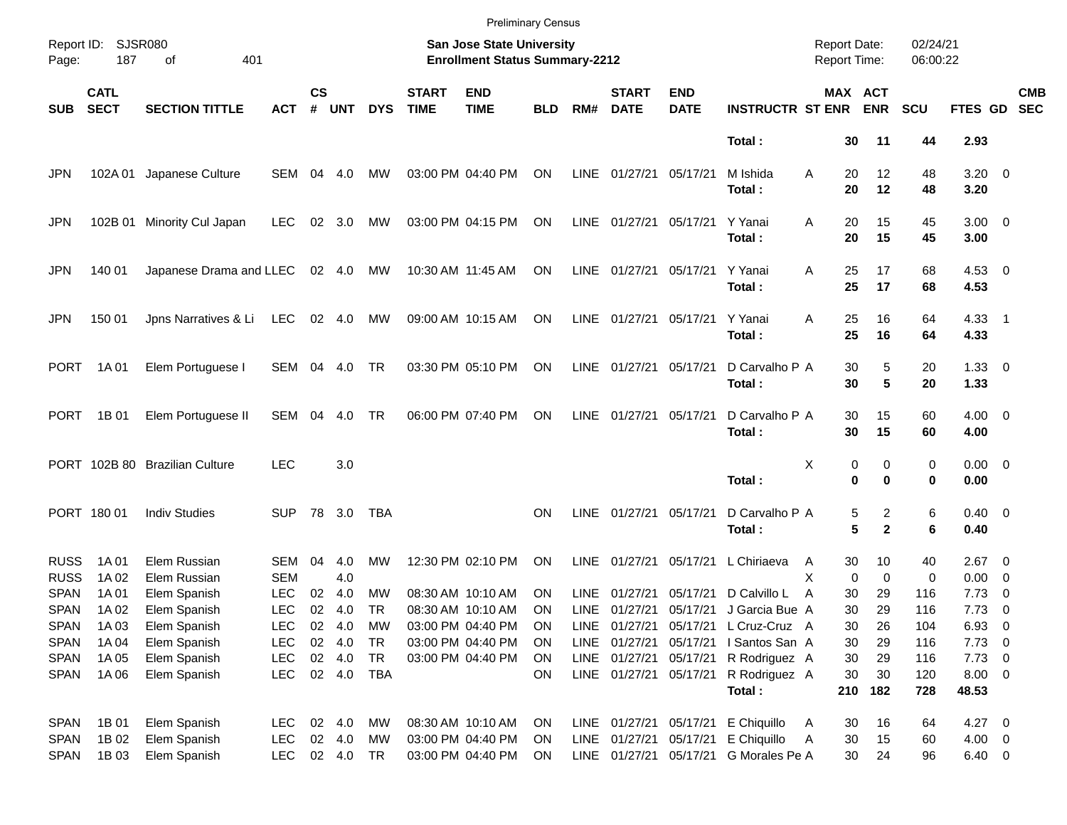|                                    |                            |                                              |                                        |                    |                            |                  |                             | <b>Preliminary Census</b>                                                 |                        |                     |                             |                                                  |                                                                                                                   |                                     |                                        |                      |                                  |                                 |                          |
|------------------------------------|----------------------------|----------------------------------------------|----------------------------------------|--------------------|----------------------------|------------------|-----------------------------|---------------------------------------------------------------------------|------------------------|---------------------|-----------------------------|--------------------------------------------------|-------------------------------------------------------------------------------------------------------------------|-------------------------------------|----------------------------------------|----------------------|----------------------------------|---------------------------------|--------------------------|
| Report ID:<br>Page:                | 187                        | <b>SJSR080</b><br>401<br>οf                  |                                        |                    |                            |                  |                             | <b>San Jose State University</b><br><b>Enrollment Status Summary-2212</b> |                        |                     |                             |                                                  |                                                                                                                   | <b>Report Date:</b><br>Report Time: |                                        | 02/24/21<br>06:00:22 |                                  |                                 |                          |
| <b>SUB</b>                         | <b>CATL</b><br><b>SECT</b> | <b>SECTION TITTLE</b>                        | ACT                                    | $\mathsf{cs}$<br># | <b>UNT</b>                 | <b>DYS</b>       | <b>START</b><br><b>TIME</b> | <b>END</b><br><b>TIME</b>                                                 | BLD.                   | RM#                 | <b>START</b><br><b>DATE</b> | <b>END</b><br><b>DATE</b>                        | <b>INSTRUCTR ST ENR</b>                                                                                           |                                     | <b>MAX ACT</b><br><b>ENR</b>           | <b>SCU</b>           | FTES GD                          |                                 | <b>CMB</b><br><b>SEC</b> |
|                                    |                            |                                              |                                        |                    |                            |                  |                             |                                                                           |                        |                     |                             |                                                  | Total:                                                                                                            |                                     | 30<br>11                               | 44                   | 2.93                             |                                 |                          |
| <b>JPN</b>                         | 102A 01                    | Japanese Culture                             | SEM                                    | 04                 | 4.0                        | MW               |                             | 03:00 PM 04:40 PM                                                         | <b>ON</b>              | LINE                | 01/27/21                    | 05/17/21                                         | M Ishida<br>Total:                                                                                                | Α                                   | 20<br>12<br>20<br>12                   | 48<br>48             | $3.20 \ 0$<br>3.20               |                                 |                          |
| <b>JPN</b>                         | 102B 01                    | Minority Cul Japan                           | <b>LEC</b>                             | 02                 | 3.0                        | МW               |                             | 03:00 PM 04:15 PM                                                         | ON                     | LINE                | 01/27/21 05/17/21           |                                                  | Y Yanai<br>Total:                                                                                                 | Α                                   | 20<br>15<br>20<br>15                   | 45<br>45             | $3.00 \ 0$<br>3.00               |                                 |                          |
| <b>JPN</b>                         | 140 01                     | Japanese Drama and LLEC                      |                                        |                    | 02 4.0                     | МW               |                             | 10:30 AM 11:45 AM                                                         | ON                     | LINE                |                             | 01/27/21 05/17/21                                | Y Yanai<br>Total:                                                                                                 | Α                                   | 17<br>25<br>25<br>17                   | 68<br>68             | $4.53$ 0<br>4.53                 |                                 |                          |
| JPN                                | 150 01                     | Jpns Narratives & Li                         | LEC                                    |                    | 02 4.0                     | МW               |                             | 09:00 AM 10:15 AM                                                         | ON                     | LINE                | 01/27/21                    | 05/17/21                                         | Y Yanai<br>Total:                                                                                                 | Α                                   | 25<br>16<br>25<br>16                   | 64<br>64             | 4.33 1<br>4.33                   |                                 |                          |
| <b>PORT</b>                        | 1A 01                      | Elem Portuguese I                            | SEM                                    | 04                 | 4.0                        | TR               |                             | 03:30 PM 05:10 PM                                                         | ON                     | LINE                | 01/27/21 05/17/21           |                                                  | D Carvalho P A<br>Total:                                                                                          |                                     | 30<br>5<br>5<br>30                     | 20<br>20             | $1.33 \ 0$<br>1.33               |                                 |                          |
| <b>PORT</b>                        | 1B 01                      | Elem Portuguese II                           | SEM                                    | 04                 | 4.0                        | TR               |                             | 06:00 PM 07:40 PM                                                         | ON                     | LINE                | 01/27/21 05/17/21           |                                                  | D Carvalho P A<br>Total:                                                                                          |                                     | 30<br>15<br>30<br>15                   | 60<br>60             | $4.00 \ 0$<br>4.00               |                                 |                          |
|                                    |                            | PORT 102B 80 Brazilian Culture               | <b>LEC</b>                             |                    | 3.0                        |                  |                             |                                                                           |                        |                     |                             |                                                  | Total:                                                                                                            | X                                   | 0<br>0<br>0<br>$\bf{0}$                | 0<br>0               | $0.00 \t 0$<br>0.00              |                                 |                          |
|                                    | PORT 180 01                | <b>Indiv Studies</b>                         | <b>SUP</b>                             |                    | 78 3.0                     | TBA              |                             |                                                                           | ON                     | LINE                | 01/27/21 05/17/21           |                                                  | D Carvalho P A<br>Total:                                                                                          |                                     | 5<br>2<br>5<br>$\mathbf{2}$            | 6<br>6               | $0.40 \quad 0$<br>0.40           |                                 |                          |
| <b>RUSS</b><br><b>RUSS</b>         | 1A 01<br>1A 02             | Elem Russian<br>Elem Russian                 | SEM<br><b>SEM</b>                      | 04                 | 4.0<br>4.0                 | MW               |                             | 12:30 PM 02:10 PM                                                         | ON                     | <b>LINE</b>         | 01/27/21                    | 05/17/21                                         | L Chiriaeva                                                                                                       | A<br>Χ                              | 30<br>10<br>$\mathbf 0$<br>$\mathbf 0$ | 40<br>0              | $2.67 \quad 0$<br>0.00           | $\overline{\phantom{0}}$        |                          |
| <b>SPAN</b><br><b>SPAN</b>         | 1A 01<br>1A 02             | Elem Spanish<br>Elem Spanish                 | <b>LEC</b><br><b>LEC</b>               | 02<br>02           | 4.0<br>4.0                 | MW<br>TR         |                             | 08:30 AM 10:10 AM<br>08:30 AM 10:10 AM                                    | OΝ<br>ΟN               | <b>LINE</b><br>LINE | 01/27/21                    | 05/17/21                                         | D Calvillo L<br>01/27/21 05/17/21 J Garcia Bue A                                                                  | A                                   | 30<br>29<br>30<br>29                   | 116<br>116           | 7.73<br>7.73                     | - 0<br>$\overline{\phantom{0}}$ |                          |
| <b>SPAN</b><br>SPAN                | 1A 03<br>1A 04             | Elem Spanish<br>Elem Spanish                 | <b>LEC</b><br><b>LEC</b>               | 02                 | 4.0<br>02 4.0              | МW<br><b>TR</b>  |                             | 03:00 PM 04:40 PM<br>03:00 PM 04:40 PM                                    | <b>ON</b><br>ON.       |                     |                             | LINE 01/27/21 05/17/21                           | LINE 01/27/21 05/17/21 L Cruz-Cruz A<br>I Santos San A                                                            |                                     | 30<br>26<br>30<br>29                   | 104<br>116           | 6.93<br>$7.73$ 0                 | $\overline{\phantom{0}}$        |                          |
| SPAN<br>SPAN                       | 1A 05<br>1A 06             | Elem Spanish<br>Elem Spanish                 | <b>LEC</b><br><b>LEC</b>               |                    | 02 4.0<br>02 4.0           | <b>TR</b><br>TBA |                             | 03:00 PM 04:40 PM                                                         | <b>ON</b><br><b>ON</b> |                     |                             | LINE 01/27/21 05/17/21<br>LINE 01/27/21 05/17/21 | R Rodriguez A<br>R Rodriguez A<br>Total:                                                                          | 210                                 | 30<br>29<br>30<br>30<br>182            | 116<br>120<br>728    | $7.73$ 0<br>$8.00 \t 0$<br>48.53 |                                 |                          |
| <b>SPAN</b><br>SPAN<br><b>SPAN</b> | 1B 01<br>1B 02<br>1B 03    | Elem Spanish<br>Elem Spanish<br>Elem Spanish | <b>LEC</b><br><b>LEC</b><br><b>LEC</b> |                    | 02 4.0<br>02 4.0<br>02 4.0 | MW<br>МW<br>TR   |                             | 08:30 AM 10:10 AM<br>03:00 PM 04:40 PM<br>03:00 PM 04:40 PM               | ON.<br>ON<br><b>ON</b> |                     |                             |                                                  | LINE 01/27/21 05/17/21 E Chiquillo<br>LINE 01/27/21 05/17/21 E Chiquillo<br>LINE 01/27/21 05/17/21 G Morales Pe A | A<br>Α                              | 30<br>16<br>30<br>15<br>30<br>24       | 64<br>60<br>96       | $4.27$ 0<br>$4.00 \ 0$<br>6.40 0 |                                 |                          |
|                                    |                            |                                              |                                        |                    |                            |                  |                             |                                                                           |                        |                     |                             |                                                  |                                                                                                                   |                                     |                                        |                      |                                  |                                 |                          |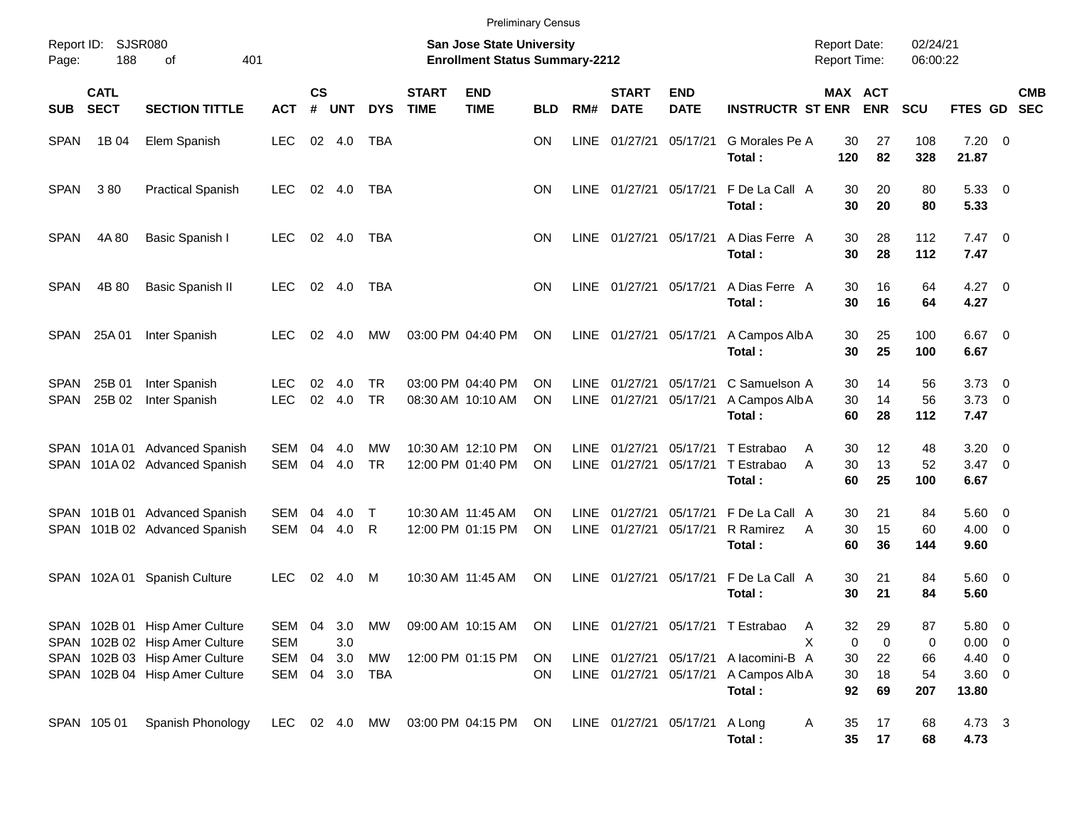| Report ID:<br>Page: | 188                        | SJSR080<br>401<br>οf                                             |                          |                |               |                        |                             | <b>San Jose State University</b><br><b>Enrollment Status Summary-2212</b> | <b>Preliminary Census</b> |                     |                             |                           |                                                                                         | <b>Report Date:</b><br><b>Report Time:</b> |                | 02/24/21<br>06:00:22 |                            |                                                      |
|---------------------|----------------------------|------------------------------------------------------------------|--------------------------|----------------|---------------|------------------------|-----------------------------|---------------------------------------------------------------------------|---------------------------|---------------------|-----------------------------|---------------------------|-----------------------------------------------------------------------------------------|--------------------------------------------|----------------|----------------------|----------------------------|------------------------------------------------------|
| <b>SUB</b>          | <b>CATL</b><br><b>SECT</b> | <b>SECTION TITTLE</b>                                            | <b>ACT</b>               | <b>CS</b><br># | <b>UNT</b>    | <b>DYS</b>             | <b>START</b><br><b>TIME</b> | <b>END</b><br><b>TIME</b>                                                 | <b>BLD</b>                | RM#                 | <b>START</b><br><b>DATE</b> | <b>END</b><br><b>DATE</b> | <b>INSTRUCTR ST ENR</b>                                                                 | MAX ACT                                    | <b>ENR</b>     | <b>SCU</b>           | FTES GD                    | <b>CMB</b><br><b>SEC</b>                             |
| <b>SPAN</b>         | 1B 04                      | Elem Spanish                                                     | <b>LEC</b>               | 02             | 4.0           | TBA                    |                             |                                                                           | <b>ON</b>                 | <b>LINE</b>         | 01/27/21                    | 05/17/21                  | G Morales Pe A<br>Total:                                                                | 30<br>120                                  | 27<br>82       | 108<br>328           | $7.20 \t 0$<br>21.87       |                                                      |
| <b>SPAN</b>         | 380                        | <b>Practical Spanish</b>                                         | <b>LEC</b>               | 02             | 4.0           | TBA                    |                             |                                                                           | <b>ON</b>                 | LINE                | 01/27/21                    | 05/17/21                  | F De La Call A<br>Total:                                                                | 30<br>30                                   | 20<br>20       | 80<br>80             | 5.33<br>5.33               | $\overline{\phantom{0}}$                             |
| <b>SPAN</b>         | 4A 80                      | Basic Spanish I                                                  | <b>LEC</b>               | 02             | 4.0           | <b>TBA</b>             |                             |                                                                           | <b>ON</b>                 | LINE                | 01/27/21                    | 05/17/21                  | A Dias Ferre A<br>Total:                                                                | 30<br>30                                   | 28<br>28       | 112<br>112           | $7.47\ 0$<br>7.47          |                                                      |
| <b>SPAN</b>         | 4B 80                      | <b>Basic Spanish II</b>                                          | <b>LEC</b>               | 02             | 4.0           | <b>TBA</b>             |                             |                                                                           | <b>ON</b>                 | LINE                | 01/27/21                    | 05/17/21                  | A Dias Ferre A<br>Total:                                                                | 30<br>30                                   | 16<br>16       | 64<br>64             | 4.27<br>4.27               | $\overline{\phantom{0}}$                             |
| <b>SPAN</b>         | 25A 01                     | Inter Spanish                                                    | LEC.                     | 02             | 4.0           | МW                     |                             | 03:00 PM 04:40 PM                                                         | ON                        |                     | LINE 01/27/21               | 05/17/21                  | A Campos Alb A<br>Total:                                                                | 30<br>30                                   | 25<br>25       | 100<br>100           | 6.67<br>6.67               | $\overline{\phantom{0}}$                             |
| SPAN<br><b>SPAN</b> | 25B 01<br>25B 02           | Inter Spanish<br>Inter Spanish                                   | <b>LEC</b><br><b>LEC</b> | 02<br>02       | 4.0<br>4.0    | <b>TR</b><br><b>TR</b> |                             | 03:00 PM 04:40 PM<br>08:30 AM 10:10 AM                                    | ON<br><b>ON</b>           | LINE                | 01/27/21<br>LINE 01/27/21   | 05/17/21<br>05/17/21      | C Samuelson A<br>A Campos Alb A<br>Total:                                               | 30<br>30<br>60                             | 14<br>14<br>28 | 56<br>56<br>112      | 3.73<br>3.73<br>7.47       | $\overline{\phantom{0}}$<br>$\overline{\phantom{0}}$ |
|                     | SPAN 101A01                | <b>Advanced Spanish</b><br>SPAN 101A 02 Advanced Spanish         | <b>SEM</b><br><b>SEM</b> | 04<br>04       | 4.0<br>4.0    | МW<br><b>TR</b>        |                             | 10:30 AM 12:10 PM<br>12:00 PM 01:40 PM                                    | ON<br>ΟN                  | LINE                | 01/27/21<br>LINE 01/27/21   | 05/17/21<br>05/17/21      | T Estrabao<br>T Estrabao<br>Total:                                                      | A<br>30<br>A<br>30<br>60                   | 12<br>13<br>25 | 48<br>52<br>100      | 3.20<br>$3.47 \ 0$<br>6.67 | $\overline{\mathbf{0}}$                              |
|                     |                            | SPAN 101B 01 Advanced Spanish<br>SPAN 101B 02 Advanced Spanish   | <b>SEM</b><br>SEM        | 04<br>04       | 4.0<br>4.0    | $\mathsf T$<br>R       |                             | 10:30 AM 11:45 AM<br>12:00 PM 01:15 PM                                    | ON<br><b>ON</b>           | LINE<br><b>LINE</b> | 01/27/21<br>01/27/21        | 05/17/21<br>05/17/21      | F De La Call A<br>R Ramirez<br>Total:                                                   | 30<br>30<br>A<br>60                        | 21<br>15<br>36 | 84<br>60<br>144      | 5.60<br>$4.00 \ 0$<br>9.60 | $\overline{\phantom{0}}$                             |
|                     | SPAN 102A 01               | <b>Spanish Culture</b>                                           | <b>LEC</b>               | 02             | 4.0           | M                      |                             | 10:30 AM 11:45 AM                                                         | <b>ON</b>                 | LINE                | 01/27/21                    | 05/17/21                  | F De La Call A<br>Total:                                                                | 30<br>30                                   | 21<br>21       | 84<br>84             | 5.60 0<br>5.60             |                                                      |
|                     |                            | SPAN 102B 01 Hisp Amer Culture<br>SPAN 102B 02 Hisp Amer Culture | <b>SEM</b>               |                | 3.0           |                        |                             |                                                                           |                           |                     |                             |                           | SEM 04 3.0 MW 09:00 AM 10:15 AM ON LINE 01/27/21 05/17/21 T Estrabao                    | A<br>0<br>X                                | 32<br>29<br>0  | 87<br>0              | 5.80 0<br>$0.00 \t 0$      |                                                      |
|                     |                            | SPAN 102B 03 Hisp Amer Culture<br>SPAN 102B 04 Hisp Amer Culture | SEM<br>SEM               | 04             | 3.0<br>04 3.0 | MW<br>TBA              |                             | 12:00 PM 01:15 PM                                                         | ON<br>ON                  |                     |                             |                           | LINE 01/27/21 05/17/21 Alacomini-B A<br>LINE 01/27/21 05/17/21 A Campos Alb A<br>Total: | 30<br>30<br>92                             | 22<br>18<br>69 | 66<br>54<br>207      | 4.40 0<br>3.60 0<br>13.80  |                                                      |
|                     | SPAN 105 01                | Spanish Phonology                                                | LEC 02 4.0 MW            |                |               |                        |                             | 03:00 PM 04:15 PM                                                         | <b>ON</b>                 |                     | LINE 01/27/21 05/17/21      |                           | A Long<br>Total:                                                                        | 35<br>A<br>$35\phantom{a}$                 | 17<br>17       | 68<br>68             | 4.73 3<br>4.73             |                                                      |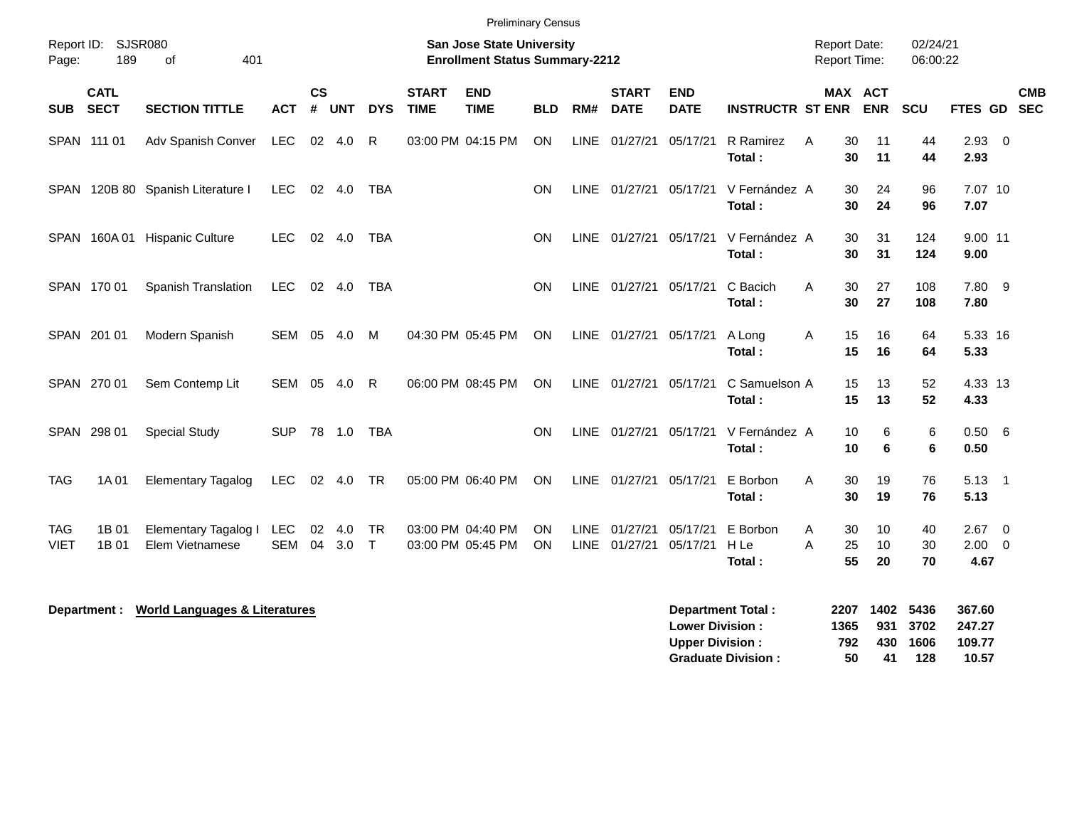|                           |                            |                                          |            |                             |                |                     |                             | <b>Preliminary Census</b>                                          |            |             |                             |                                                  |                                                       |                     |                                     |                             |                                     |                          |
|---------------------------|----------------------------|------------------------------------------|------------|-----------------------------|----------------|---------------------|-----------------------------|--------------------------------------------------------------------|------------|-------------|-----------------------------|--------------------------------------------------|-------------------------------------------------------|---------------------|-------------------------------------|-----------------------------|-------------------------------------|--------------------------|
| Page:                     | Report ID: SJSR080<br>189  | 401<br>of                                |            |                             |                |                     |                             | San Jose State University<br><b>Enrollment Status Summary-2212</b> |            |             |                             |                                                  |                                                       |                     | <b>Report Date:</b><br>Report Time: | 02/24/21<br>06:00:22        |                                     |                          |
| SUB                       | <b>CATL</b><br><b>SECT</b> | <b>SECTION TITTLE</b>                    | <b>ACT</b> | $\mathsf{cs}$<br>$\pmb{\#}$ | <b>UNT</b>     | <b>DYS</b>          | <b>START</b><br><b>TIME</b> | <b>END</b><br><b>TIME</b>                                          | <b>BLD</b> | RM#         | <b>START</b><br><b>DATE</b> | <b>END</b><br><b>DATE</b>                        | <b>INSTRUCTR ST ENR</b>                               |                     | MAX ACT<br><b>ENR</b>               | <b>SCU</b>                  | FTES GD                             | <b>CMB</b><br><b>SEC</b> |
|                           | SPAN 111 01                | Adv Spanish Conver                       | LEC        | $02\,$                      | 4.0            | $\mathsf{R}$        |                             | 03:00 PM 04:15 PM                                                  | <b>ON</b>  | <b>LINE</b> | 01/27/21                    | 05/17/21                                         | R Ramirez<br>Total:                                   | Α                   | 30<br>11<br>30<br>11                | 44<br>44                    | $2.93$ 0<br>2.93                    |                          |
|                           |                            | SPAN 120B 80 Spanish Literature I        | LEC.       |                             | 02 4.0         | <b>TBA</b>          |                             |                                                                    | ON         | LINE        | 01/27/21 05/17/21           |                                                  | V Fernández A<br>Total:                               |                     | 30<br>24<br>30<br>24                | 96<br>96                    | 7.07 10<br>7.07                     |                          |
|                           | SPAN 160A01                | <b>Hispanic Culture</b>                  | LEC.       |                             | 02 4.0         | TBA                 |                             |                                                                    | ON         |             | LINE 01/27/21 05/17/21      |                                                  | V Fernández A<br>Total:                               |                     | 31<br>30<br>30<br>31                | 124<br>124                  | 9.00 11<br>9.00                     |                          |
|                           | SPAN 170 01                | Spanish Translation                      | <b>LEC</b> |                             | $02 \quad 4.0$ | TBA                 |                             |                                                                    | <b>ON</b>  |             | LINE 01/27/21               | 05/17/21                                         | C Bacich<br>Total:                                    | A                   | 30<br>27<br>30<br>27                | 108<br>108                  | 7.80 9<br>7.80                      |                          |
|                           | SPAN 201 01                | Modern Spanish                           | SEM 05     |                             | 4.0            | M                   |                             | 04:30 PM 05:45 PM                                                  | <b>ON</b>  | LINE        | 01/27/21 05/17/21           |                                                  | A Long<br>Total:                                      | Α                   | 15<br>16<br>15<br>16                | 64<br>64                    | 5.33 16<br>5.33                     |                          |
|                           | SPAN 270 01                | Sem Contemp Lit                          | SEM        | 05                          | 4.0            | R                   |                             | 06:00 PM 08:45 PM                                                  | <b>ON</b>  |             | LINE 01/27/21               | 05/17/21                                         | C Samuelson A<br>Total:                               |                     | 15<br>13<br>15<br>13                | 52<br>52                    | 4.33 13<br>4.33                     |                          |
|                           | SPAN 298 01                | <b>Special Study</b>                     | <b>SUP</b> |                             | 78 1.0         | <b>TBA</b>          |                             |                                                                    | OΝ         |             | LINE 01/27/21               | 05/17/21                                         | V Fernández A<br>Total:                               |                     | 6<br>10<br>6<br>10                  | 6<br>6                      | 0.50 6<br>0.50                      |                          |
| <b>TAG</b>                | 1A 01                      | <b>Elementary Tagalog</b>                | <b>LEC</b> |                             | 02 4.0         | <b>TR</b>           |                             | 05:00 PM 06:40 PM                                                  | ON         |             | LINE 01/27/21               | 05/17/21                                         | E Borbon<br>Total:                                    | A                   | 30<br>19<br>30<br>19                | 76<br>76                    | $5.13 \quad 1$<br>5.13              |                          |
| <b>TAG</b><br><b>VIET</b> | 1B 01<br>1B 01             | Elementary Tagalog I<br>Elem Vietnamese  | LEC<br>SEM | 02<br>04                    | 4.0<br>3.0     | <b>TR</b><br>$\top$ |                             | 03:00 PM 04:40 PM<br>03:00 PM 05:45 PM                             | OΝ<br>ON   | <b>LINE</b> | 01/27/21<br>LINE 01/27/21   | 05/17/21<br>05/17/21                             | E Borbon<br>H Le<br>Total:                            | A<br>A              | 30<br>10<br>10<br>25<br>55<br>20    | 40<br>30<br>70              | $2.67$ 0<br>$2.00 \t 0$<br>4.67     |                          |
|                           | Department :               | <b>World Languages &amp; Literatures</b> |            |                             |                |                     |                             |                                                                    |            |             |                             | <b>Lower Division:</b><br><b>Upper Division:</b> | <b>Department Total:</b><br><b>Graduate Division:</b> | 2207<br>1365<br>792 | 1402<br>931<br>430<br>50<br>41      | 5436<br>3702<br>1606<br>128 | 367.60<br>247.27<br>109.77<br>10.57 |                          |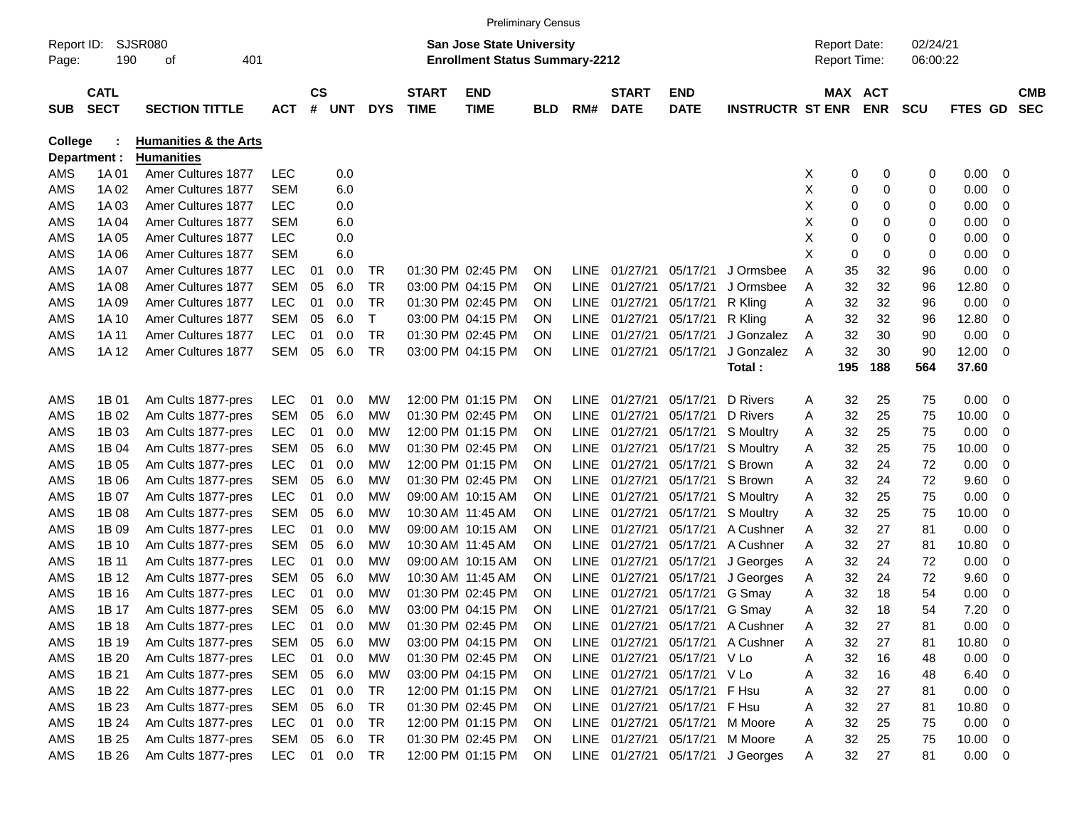|                |              |                                  |            |               |            |            |              |                                       | <b>Preliminary Census</b> |             |               |                             |                                  |   |                     |            |            |                |                          |            |
|----------------|--------------|----------------------------------|------------|---------------|------------|------------|--------------|---------------------------------------|---------------------------|-------------|---------------|-----------------------------|----------------------------------|---|---------------------|------------|------------|----------------|--------------------------|------------|
| Report ID:     |              | SJSR080                          |            |               |            |            |              | San Jose State University             |                           |             |               |                             |                                  |   | <b>Report Date:</b> |            | 02/24/21   |                |                          |            |
| Page:          | 190          | 401<br>οf                        |            |               |            |            |              | <b>Enrollment Status Summary-2212</b> |                           |             |               |                             |                                  |   | Report Time:        |            | 06:00:22   |                |                          |            |
|                | <b>CATL</b>  |                                  |            | $\mathsf{cs}$ |            |            | <b>START</b> | <b>END</b>                            |                           |             | <b>START</b>  | <b>END</b>                  |                                  |   | MAX ACT             |            |            |                |                          | <b>CMB</b> |
| <b>SUB</b>     | <b>SECT</b>  | <b>SECTION TITTLE</b>            | <b>ACT</b> | #             | <b>UNT</b> | <b>DYS</b> | <b>TIME</b>  | <b>TIME</b>                           | <b>BLD</b>                | RM#         | <b>DATE</b>   | <b>DATE</b>                 | <b>INSTRUCTR ST ENR</b>          |   |                     | <b>ENR</b> | <b>SCU</b> | <b>FTES GD</b> |                          | <b>SEC</b> |
| <b>College</b> |              | <b>Humanities &amp; the Arts</b> |            |               |            |            |              |                                       |                           |             |               |                             |                                  |   |                     |            |            |                |                          |            |
|                | Department : | <b>Humanities</b>                |            |               |            |            |              |                                       |                           |             |               |                             |                                  |   |                     |            |            |                |                          |            |
| AMS            | 1A 01        | Amer Cultures 1877               | <b>LEC</b> |               | 0.0        |            |              |                                       |                           |             |               |                             |                                  | X | 0                   | 0          | 0          | 0.00           | 0                        |            |
| AMS            | 1A 02        | Amer Cultures 1877               | <b>SEM</b> |               | 6.0        |            |              |                                       |                           |             |               |                             |                                  | Χ | 0                   | 0          | 0          | 0.00           | 0                        |            |
| AMS            | 1A03         | Amer Cultures 1877               | LEC        |               | 0.0        |            |              |                                       |                           |             |               |                             |                                  | Χ | 0                   | 0          | 0          | 0.00           | 0                        |            |
| AMS            | 1A 04        | Amer Cultures 1877               | <b>SEM</b> |               | 6.0        |            |              |                                       |                           |             |               |                             |                                  | Χ | 0                   | 0          | 0          | 0.00           | 0                        |            |
| AMS            | 1A 05        | Amer Cultures 1877               | LEC        |               | 0.0        |            |              |                                       |                           |             |               |                             |                                  | Χ | 0                   | 0          | 0          | 0.00           | 0                        |            |
| AMS            | 1A 06        | Amer Cultures 1877               | <b>SEM</b> |               | 6.0        |            |              |                                       |                           |             |               |                             |                                  | X | 0                   | 0          | 0          | 0.00           | 0                        |            |
| AMS            | 1A 07        | Amer Cultures 1877               | <b>LEC</b> | 01            | 0.0        | TR         |              | 01:30 PM 02:45 PM                     | <b>ON</b>                 | LINE        | 01/27/21      | 05/17/21                    | J Ormsbee                        | A | 35                  | 32         | 96         | 0.00           | 0                        |            |
| AMS            | 1A 08        | Amer Cultures 1877               | <b>SEM</b> | 05            | 6.0        | <b>TR</b>  |              | 03:00 PM 04:15 PM                     | <b>ON</b>                 | <b>LINE</b> | 01/27/21      | 05/17/21                    | J Ormsbee                        | Α | 32                  | 32         | 96         | 12.80          | 0                        |            |
| AMS            | 1A 09        | Amer Cultures 1877               | <b>LEC</b> | 01            | 0.0        | <b>TR</b>  |              | 01:30 PM 02:45 PM                     | ΟN                        | LINE        | 01/27/21      | 05/17/21                    | R Kling                          | Α | 32                  | 32         | 96         | 0.00           | 0                        |            |
| AMS            | 1A 10        | Amer Cultures 1877               | <b>SEM</b> | 05            | 6.0        | T          |              | 03:00 PM 04:15 PM                     | <b>ON</b>                 | LINE        | 01/27/21      | 05/17/21                    | R Kling                          | Α | 32                  | 32         | 96         | 12.80          | 0                        |            |
| AMS            | 1A 11        | Amer Cultures 1877               | <b>LEC</b> | 01            | 0.0        | TR         |              | 01:30 PM 02:45 PM                     | ON                        | <b>LINE</b> | 01/27/21      | 05/17/21                    | J Gonzalez                       | Α | 32                  | 30         | 90         | 0.00           | 0                        |            |
| AMS            | 1A 12        | <b>Amer Cultures 1877</b>        | <b>SEM</b> | 05            | 6.0        | <b>TR</b>  |              | 03:00 PM 04:15 PM                     | ON                        | LINE        | 01/27/21      | 05/17/21                    | J Gonzalez                       | A | 32                  | 30         | 90         | 12.00          | $\overline{0}$           |            |
|                |              |                                  |            |               |            |            |              |                                       |                           |             |               |                             | Total:                           |   | 195                 | 188        | 564        | 37.60          |                          |            |
|                |              |                                  |            |               |            |            |              |                                       |                           |             |               |                             |                                  |   |                     |            |            |                |                          |            |
| AMS            | 1B 01        | Am Cults 1877-pres               | <b>LEC</b> | 01            | 0.0        | МW         |              | 12:00 PM 01:15 PM                     | <b>ON</b>                 | LINE.       | 01/27/21      | 05/17/21                    | D Rivers                         | A | 32                  | 25         | 75         | 0.00           | 0                        |            |
| AMS            | 1B 02        | Am Cults 1877-pres               | <b>SEM</b> | 05            | 6.0        | МW         |              | 01:30 PM 02:45 PM                     | ΟN                        | <b>LINE</b> | 01/27/21      | 05/17/21                    | D Rivers                         | A | 32                  | 25         | 75         | 10.00          | 0                        |            |
| AMS            | 1B 03        | Am Cults 1877-pres               | LEC        | 01            | 0.0        | MW         |              | 12:00 PM 01:15 PM                     | <b>ON</b>                 | LINE        | 01/27/21      | 05/17/21                    | S Moultry                        | A | 32                  | 25         | 75         | 0.00           | 0                        |            |
| AMS            | 1B 04        | Am Cults 1877-pres               | <b>SEM</b> | 05            | 6.0        | МW         |              | 01:30 PM 02:45 PM                     | ΟN                        | <b>LINE</b> | 01/27/21      | 05/17/21                    | S Moultry                        | A | 32                  | 25         | 75         | 10.00          | 0                        |            |
| AMS            | 1B 05        | Am Cults 1877-pres               | <b>LEC</b> | 01            | 0.0        | МW         |              | 12:00 PM 01:15 PM                     | ON                        | <b>LINE</b> | 01/27/21      | 05/17/21                    | S Brown                          | A | 32                  | 24         | 72         | 0.00           | 0                        |            |
| AMS            | 1B 06        | Am Cults 1877-pres               | <b>SEM</b> | 05            | 6.0        | МW         |              | 01:30 PM 02:45 PM                     | ON                        | <b>LINE</b> | 01/27/21      | 05/17/21                    | S Brown                          | A | 32                  | 24         | 72         | 9.60           | 0                        |            |
| AMS            | 1B 07        | Am Cults 1877-pres               | <b>LEC</b> | 01            | 0.0        | МW         |              | 09:00 AM 10:15 AM                     | ΟN                        | LINE        | 01/27/21      | 05/17/21                    | S Moultry                        | A | 32                  | 25         | 75         | 0.00           | 0                        |            |
| AMS            | 1B 08        | Am Cults 1877-pres               | <b>SEM</b> | 05            | 6.0        | МW         |              | 10:30 AM 11:45 AM                     | ΟN                        | <b>LINE</b> | 01/27/21      | 05/17/21                    | S Moultry                        | A | 32                  | 25         | 75         | 10.00          | 0                        |            |
| AMS            | 1B 09        | Am Cults 1877-pres               | LEC        | 01            | 0.0        | МW         |              | 09:00 AM 10:15 AM                     | <b>ON</b>                 | <b>LINE</b> | 01/27/21      | 05/17/21                    | A Cushner                        | A | 32                  | 27         | 81         | 0.00           | 0                        |            |
| AMS            | 1B 10        | Am Cults 1877-pres               | <b>SEM</b> | 05            | 6.0        | МW         |              | 10:30 AM 11:45 AM                     | ΟN                        | <b>LINE</b> | 01/27/21      | 05/17/21                    | A Cushner                        | A | 32                  | 27         | 81         | 10.80          | 0                        |            |
| AMS            | 1B 11        | Am Cults 1877-pres               | LEC        | 01            | 0.0        | МW         |              | 09:00 AM 10:15 AM                     | <b>ON</b>                 | LINE        | 01/27/21      | 05/17/21                    | J Georges                        | A | 32                  | 24         | 72         | 0.00           | 0                        |            |
| AMS            | 1B 12        | Am Cults 1877-pres               | <b>SEM</b> | 05            | 6.0        | MW         |              | 10:30 AM 11:45 AM                     | <b>ON</b>                 | LINE        | 01/27/21      | 05/17/21                    | J Georges                        | A | 32                  | 24         | 72         | 9.60           | 0                        |            |
| AMS            | 1B 16        | Am Cults 1877-pres               | <b>LEC</b> | 01            | 0.0        | МW         |              | 01:30 PM 02:45 PM                     | ΟN                        | LINE        | 01/27/21      | 05/17/21                    | G Smay                           | A | 32                  | 18         | 54         | 0.00           | 0                        |            |
| AMS            | 1B 17        | Am Cults 1877-pres               | SEM        | 05            | 6.0        | MW         |              | 03:00 PM 04:15 PM                     | ON                        |             | LINE 01/27/21 | 05/17/21 G Smay             |                                  | A | 32                  | 18         | 54         | 7.20           | 0                        |            |
| AMS            | 1B 18        | Am Cults 1877-pres               | <b>LEC</b> | 01            | 0.0        | MW         |              | 01:30 PM 02:45 PM                     | ON                        |             |               |                             | LINE 01/27/21 05/17/21 A Cushner | A | 32                  | 27         | 81         | 0.00           | $\overline{\mathbf{0}}$  |            |
| AMS            | 1B 19        | Am Cults 1877-pres               | SEM        | 05            | 6.0        | МW         |              | 03:00 PM 04:15 PM                     | <b>ON</b>                 |             | LINE 01/27/21 |                             | 05/17/21 A Cushner               | A | 32                  | 27         | 81         | 10.80          | $\overline{\phantom{0}}$ |            |
| AMS            | 1B 20        | Am Cults 1877-pres               | <b>LEC</b> |               | 01 0.0     | MW         |              | 01:30 PM 02:45 PM                     | <b>ON</b>                 |             |               | LINE 01/27/21 05/17/21 V Lo |                                  | A | 32                  | 16         | 48         | $0.00 \t 0$    |                          |            |
| AMS            | 1B 21        | Am Cults 1877-pres               | SEM        |               | 05 6.0     | МW         |              | 03:00 PM 04:15 PM                     | <b>ON</b>                 |             |               | LINE 01/27/21 05/17/21 V Lo |                                  | A | 32                  | 16         | 48         | $6.40\ 0$      |                          |            |
| AMS            | 1B 22        | Am Cults 1877-pres               | <b>LEC</b> |               | 01 0.0     | TR         |              | 12:00 PM 01:15 PM                     | <b>ON</b>                 |             | LINE 01/27/21 | 05/17/21 F Hsu              |                                  | A | 32                  | 27         | 81         | 0.00           | $\overline{\phantom{0}}$ |            |
| AMS            | 1B 23        | Am Cults 1877-pres               | SEM        |               | 05 6.0     | TR         |              | 01:30 PM 02:45 PM                     | <b>ON</b>                 |             | LINE 01/27/21 | 05/17/21 F Hsu              |                                  | A | 32                  | 27         | 81         | 10.80          | $\overline{\phantom{0}}$ |            |
| AMS            | 1B 24        | Am Cults 1877-pres               | LEC.       |               | 01 0.0     | TR         |              | 12:00 PM 01:15 PM                     | <b>ON</b>                 |             | LINE 01/27/21 | 05/17/21                    | M Moore                          | A | 32                  | 25         | 75         | $0.00 \t 0$    |                          |            |
| AMS            | 1B 25        | Am Cults 1877-pres               | SEM        |               | 05 6.0     | TR         |              | 01:30 PM 02:45 PM                     | <b>ON</b>                 |             | LINE 01/27/21 | 05/17/21                    | M Moore                          | A | 32                  | 25         | 75         | $10.00 \t 0$   |                          |            |
| AMS            | 1B 26        | Am Cults 1877-pres               | LEC        |               | 01 0.0     | TR         |              | 12:00 PM 01:15 PM                     | ON                        |             |               |                             | LINE 01/27/21 05/17/21 J Georges | A | 32                  | 27         | 81         | $0.00 \t 0$    |                          |            |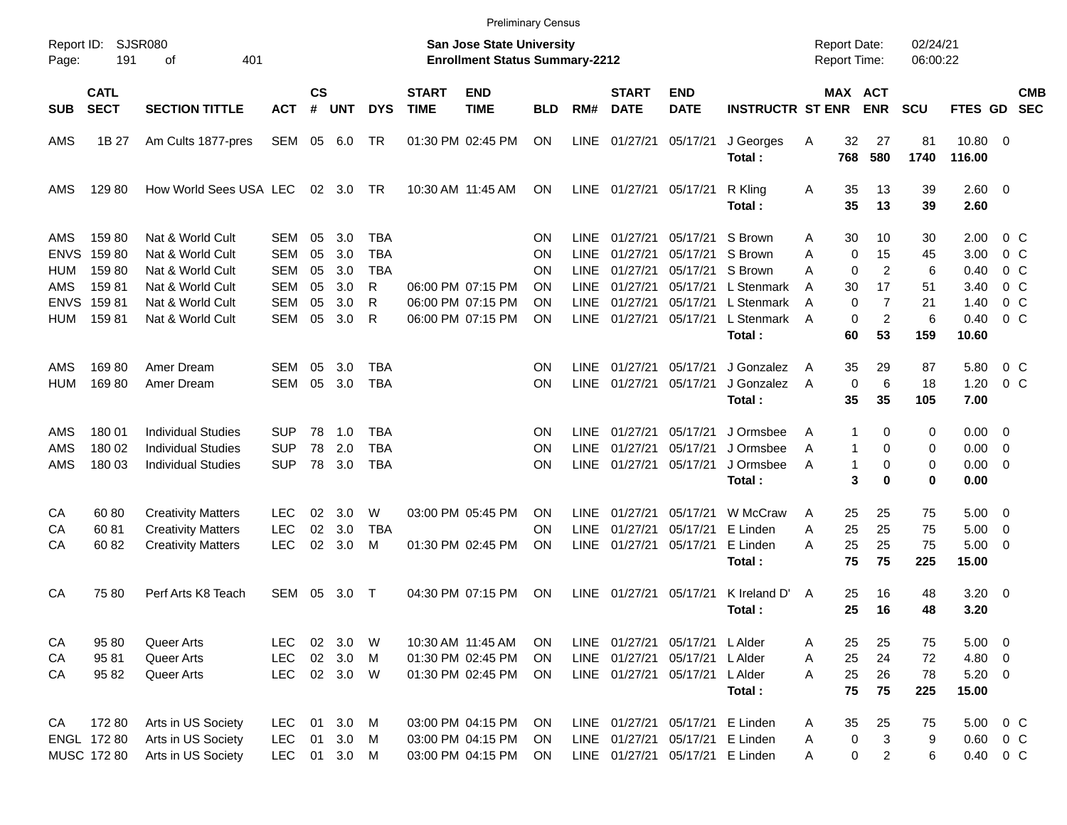|                     |                            |                             |                          |                    |                |             |                             |                                                                    | <b>Preliminary Census</b> |             |                             |                                 |                         |   |                              |                                     |                      |                    |                          |                          |
|---------------------|----------------------------|-----------------------------|--------------------------|--------------------|----------------|-------------|-----------------------------|--------------------------------------------------------------------|---------------------------|-------------|-----------------------------|---------------------------------|-------------------------|---|------------------------------|-------------------------------------|----------------------|--------------------|--------------------------|--------------------------|
| Report ID:<br>Page: | 191                        | <b>SJSR080</b><br>401<br>оf |                          |                    |                |             |                             | San Jose State University<br><b>Enrollment Status Summary-2212</b> |                           |             |                             |                                 |                         |   |                              | <b>Report Date:</b><br>Report Time: | 02/24/21<br>06:00:22 |                    |                          |                          |
| <b>SUB</b>          | <b>CATL</b><br><b>SECT</b> | <b>SECTION TITTLE</b>       | <b>ACT</b>               | $\mathsf{cs}$<br># | <b>UNT</b>     | <b>DYS</b>  | <b>START</b><br><b>TIME</b> | <b>END</b><br><b>TIME</b>                                          | <b>BLD</b>                | RM#         | <b>START</b><br><b>DATE</b> | <b>END</b><br><b>DATE</b>       | <b>INSTRUCTR ST ENR</b> |   |                              | MAX ACT<br><b>ENR</b>               | <b>SCU</b>           | <b>FTES GD</b>     |                          | <b>CMB</b><br><b>SEC</b> |
| AMS                 | 1B 27                      | Am Cults 1877-pres          | SEM 05 6.0               |                    |                | TR          |                             | 01:30 PM 02:45 PM                                                  | ON                        | LINE        | 01/27/21                    | 05/17/21                        | J Georges<br>Total:     | Α | 32<br>768                    | 27<br>580                           | 81<br>1740           | 10.80 0<br>116.00  |                          |                          |
| AMS                 | 129 80                     | How World Sees USA LEC      |                          |                    | $02 \quad 3.0$ | TR          |                             | 10:30 AM 11:45 AM                                                  | ON                        | LINE        | 01/27/21                    | 05/17/21                        | R Kling<br>Total:       | A | 35<br>35                     | 13<br>13                            | 39<br>39             | 2.60 0<br>2.60     |                          |                          |
| AMS                 | 15980                      | Nat & World Cult            | SEM                      | 05                 | 3.0            | TBA         |                             |                                                                    | ΟN                        | <b>LINE</b> | 01/27/21                    | 05/17/21                        | S Brown                 | Α | 30                           | 10                                  | 30                   | 2.00               | 0 C                      |                          |
| <b>ENVS</b>         | 15980                      | Nat & World Cult            | <b>SEM</b>               | 05                 | 3.0            | <b>TBA</b>  |                             |                                                                    | ΟN                        | <b>LINE</b> | 01/27/21                    | 05/17/21                        | S Brown                 | Α | 0                            | 15                                  | 45                   | 3.00               | $0\,C$                   |                          |
| HUM                 | 15980                      | Nat & World Cult            | <b>SEM</b>               | 05                 | 3.0            | TBA         |                             |                                                                    | ΟN                        | <b>LINE</b> | 01/27/21                    | 05/17/21                        | S Brown                 | A | $\Omega$                     | 2                                   | 6                    | 0.40               | 0 <sup>o</sup>           |                          |
| AMS                 | 15981                      | Nat & World Cult            | <b>SEM</b>               | 05                 | 3.0            | R           |                             | 06:00 PM 07:15 PM                                                  | ΟN                        | <b>LINE</b> | 01/27/21                    | 05/17/21                        | L Stenmark              | A | 30                           | 17                                  | 51                   | 3.40               | $0\,$ C                  |                          |
| <b>ENVS</b>         | 15981                      | Nat & World Cult            | <b>SEM</b>               | 05                 | 3.0            | R           |                             | 06:00 PM 07:15 PM                                                  | ΟN                        | <b>LINE</b> | 01/27/21                    | 05/17/21                        | L Stenmark              | A | 0                            | $\overline{7}$                      | 21                   | 1.40               | 0 <sup>o</sup>           |                          |
| HUM                 | 15981                      | Nat & World Cult            | <b>SEM</b>               | 05                 | 3.0            | R           |                             | 06:00 PM 07:15 PM                                                  | ΟN                        | LINE        | 01/27/21                    | 05/17/21                        | L Stenmark<br>Total:    | A | 0<br>60                      | 2<br>53                             | 6<br>159             | 0.40<br>10.60      | 0 <sup>o</sup>           |                          |
|                     |                            |                             |                          |                    |                |             |                             |                                                                    |                           |             |                             |                                 |                         |   |                              |                                     |                      |                    |                          |                          |
| AMS                 | 16980                      | Amer Dream                  | <b>SEM</b>               | 05                 | 3.0            | TBA         |                             |                                                                    | ON                        | <b>LINE</b> | 01/27/21                    | 05/17/21                        | J Gonzalez              | A | 35                           | 29                                  | 87                   | 5.80               | 0 C                      |                          |
| <b>HUM</b>          | 16980                      | Amer Dream                  | <b>SEM</b>               | 05                 | 3.0            | <b>TBA</b>  |                             |                                                                    | ΟN                        | <b>LINE</b> | 01/27/21                    | 05/17/21                        | J Gonzalez              | A | $\mathbf 0$                  | 6                                   | 18                   | 1.20               | $0\,C$                   |                          |
|                     |                            |                             |                          |                    |                |             |                             |                                                                    |                           |             |                             |                                 | Total:                  |   | 35                           | 35                                  | 105                  | 7.00               |                          |                          |
|                     |                            |                             |                          |                    |                |             |                             |                                                                    |                           |             |                             |                                 |                         |   |                              |                                     |                      |                    |                          |                          |
| AMS                 | 180 01                     | Individual Studies          | <b>SUP</b>               | 78                 | 1.0            | TBA         |                             |                                                                    | ON                        | <b>LINE</b> | 01/27/21                    | 05/17/21                        | J Ormsbee               | Α | 1                            | 0                                   | 0                    | $0.00 \quad 0$     |                          |                          |
| AMS                 | 180 02                     | <b>Individual Studies</b>   | <b>SUP</b><br><b>SUP</b> | 78                 | 2.0            | <b>TBA</b>  |                             |                                                                    | ΟN                        | <b>LINE</b> | 01/27/21                    | 05/17/21                        | J Ormsbee               | A | $\mathbf{1}$<br>$\mathbf{1}$ | 0                                   | 0                    | 0.00               | $\overline{\phantom{0}}$ |                          |
| AMS                 | 180 03                     | <b>Individual Studies</b>   |                          | 78                 | 3.0            | <b>TBA</b>  |                             |                                                                    | ΟN                        | <b>LINE</b> | 01/27/21                    | 05/17/21                        | J Ormsbee<br>Total:     | A | 3                            | 0<br>$\bf{0}$                       | 0<br>0               | 0.00<br>0.00       | $\overline{\phantom{0}}$ |                          |
|                     |                            |                             |                          |                    |                |             |                             |                                                                    |                           |             |                             |                                 |                         |   |                              |                                     |                      |                    |                          |                          |
| CA                  | 6080                       | <b>Creativity Matters</b>   | <b>LEC</b>               | 02                 | 3.0            | W           |                             | 03:00 PM 05:45 PM                                                  | ΟN                        | <b>LINE</b> | 01/27/21                    | 05/17/21                        | W McCraw                | A | 25                           | 25                                  | 75                   | 5.00               | $\overline{\phantom{0}}$ |                          |
| СA                  | 6081                       | <b>Creativity Matters</b>   | <b>LEC</b>               | 02                 | 3.0            | <b>TBA</b>  |                             |                                                                    | ΟN                        | <b>LINE</b> | 01/27/21                    | 05/17/21                        | E Linden                | Α | 25                           | 25                                  | 75                   | 5.00               | $\overline{\mathbf{0}}$  |                          |
| CA                  | 60 82                      | <b>Creativity Matters</b>   | <b>LEC</b>               | 02                 | 3.0            | M           |                             | 01:30 PM 02:45 PM                                                  | ΟN                        | LINE        | 01/27/21                    | 05/17/21                        | E Linden                | А | 25                           | 25                                  | 75                   | 5.00               | $\overline{\phantom{0}}$ |                          |
|                     |                            |                             |                          |                    |                |             |                             |                                                                    |                           |             |                             |                                 | Total:                  |   | 75                           | 75                                  | 225                  | 15.00              |                          |                          |
|                     |                            |                             |                          |                    |                |             |                             |                                                                    |                           |             | 01/27/21                    |                                 |                         |   |                              |                                     |                      |                    |                          |                          |
| CA                  | 7580                       | Perf Arts K8 Teach          | SEM                      | 05                 | 3.0            | $\mathsf T$ |                             | 04:30 PM 07:15 PM                                                  | ON                        | <b>LINE</b> |                             | 05/17/21                        | K Ireland D'<br>Total : | A | 25<br>25                     | 16<br>16                            | 48<br>48             | $3.20 \ 0$<br>3.20 |                          |                          |
|                     |                            |                             |                          |                    |                |             |                             |                                                                    |                           |             |                             |                                 |                         |   |                              |                                     |                      |                    |                          |                          |
| CA                  | 95 80                      | Queer Arts                  | <b>LEC</b>               |                    | 02 3.0         | W           |                             | 10:30 AM 11:45 AM                                                  | <b>ON</b>                 |             |                             | LINE 01/27/21 05/17/21 LAIder   |                         | A | 25                           | 25                                  | 75                   | $5.00 \t 0$        |                          |                          |
| СA                  | 9581                       | Queer Arts                  | <b>LEC</b>               | $02\,$             | 3.0            | M           |                             | 01:30 PM 02:45 PM                                                  | ON                        |             | LINE 01/27/21               | 05/17/21                        | L Alder                 | Α | 25                           | 24                                  | 72                   | 4.80 0             |                          |                          |
| CA                  | 95 82                      | Queer Arts                  | <b>LEC</b>               |                    | 02 3.0 W       |             |                             | 01:30 PM 02:45 PM                                                  | <b>ON</b>                 |             | LINE 01/27/21               | 05/17/21                        | L Alder                 | A | 25                           | 26                                  | 78                   | $5.20 \ 0$         |                          |                          |
|                     |                            |                             |                          |                    |                |             |                             |                                                                    |                           |             |                             |                                 | Total:                  |   | 75                           | 75                                  | 225                  | 15.00              |                          |                          |
|                     |                            |                             |                          |                    |                |             |                             |                                                                    |                           |             |                             |                                 |                         |   |                              |                                     |                      |                    |                          |                          |
| CA                  | 17280                      | Arts in US Society          | <b>LEC</b>               | 01                 | 3.0            | M           |                             | 03:00 PM 04:15 PM                                                  | ON                        |             |                             | LINE 01/27/21 05/17/21          | E Linden                | A | 35                           | 25                                  | 75                   | 5.00 0 C           |                          |                          |
|                     | ENGL 172 80                | Arts in US Society          | LEC                      | 01                 | 3.0            | M           |                             | 03:00 PM 04:15 PM                                                  | ON                        |             | LINE 01/27/21               |                                 | 05/17/21 E Linden       | Α | 0                            | 3                                   | 9                    | $0.60 \t 0 C$      |                          |                          |
|                     | MUSC 172 80                | Arts in US Society          | <b>LEC</b>               |                    | 01 3.0 M       |             |                             | 03:00 PM 04:15 PM                                                  | ON                        |             |                             | LINE 01/27/21 05/17/21 E Linden |                         | Α | 0                            | $\overline{a}$                      | 6                    | 0.40 0 C           |                          |                          |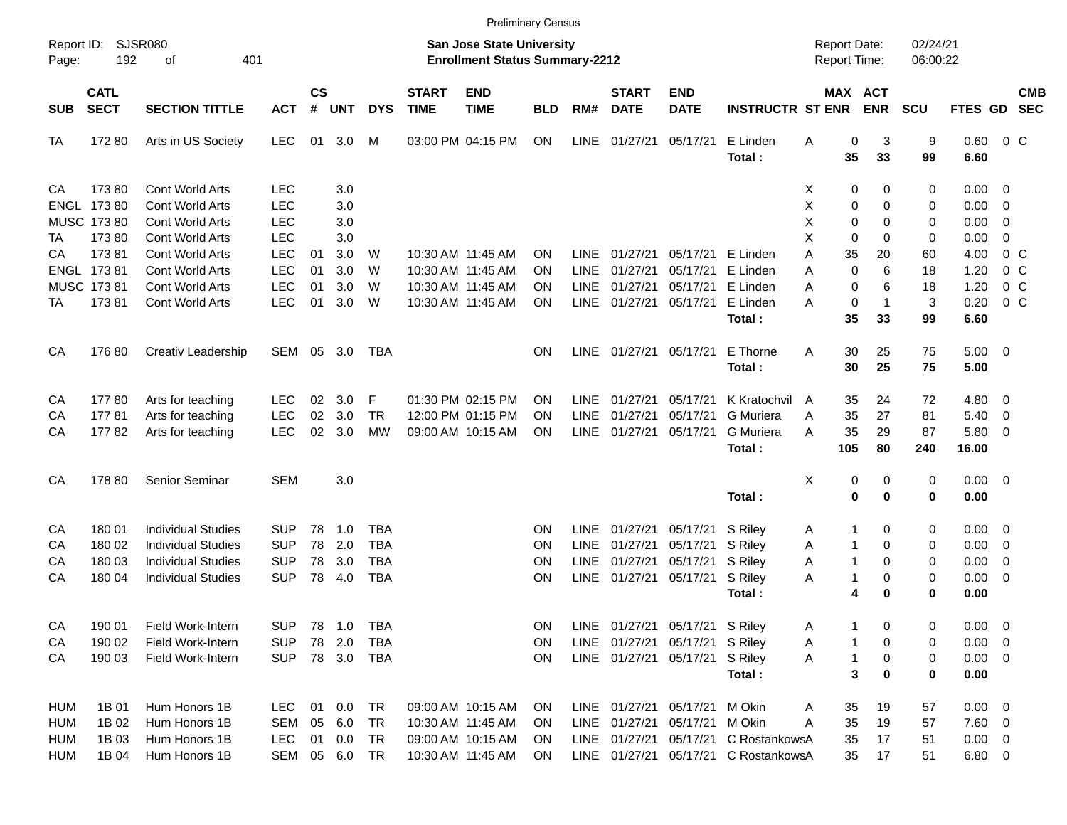|                     |                            |                             |            |                    |            |            |                             |                                                                    | <b>Preliminary Census</b> |             |                             |                                |                                      |                                     |                              |                      |              |                          |                          |
|---------------------|----------------------------|-----------------------------|------------|--------------------|------------|------------|-----------------------------|--------------------------------------------------------------------|---------------------------|-------------|-----------------------------|--------------------------------|--------------------------------------|-------------------------------------|------------------------------|----------------------|--------------|--------------------------|--------------------------|
| Report ID:<br>Page: | 192                        | <b>SJSR080</b><br>401<br>оf |            |                    |            |            |                             | San Jose State University<br><b>Enrollment Status Summary-2212</b> |                           |             |                             |                                |                                      | <b>Report Date:</b><br>Report Time: |                              | 02/24/21<br>06:00:22 |              |                          |                          |
| <b>SUB</b>          | <b>CATL</b><br><b>SECT</b> | <b>SECTION TITTLE</b>       | <b>ACT</b> | $\mathsf{cs}$<br># | <b>UNT</b> | <b>DYS</b> | <b>START</b><br><b>TIME</b> | <b>END</b><br><b>TIME</b>                                          | <b>BLD</b>                | RM#         | <b>START</b><br><b>DATE</b> | <b>END</b><br><b>DATE</b>      | <b>INSTRUCTR ST ENR</b>              |                                     | <b>MAX ACT</b><br><b>ENR</b> | <b>SCU</b>           | FTES GD      |                          | <b>CMB</b><br><b>SEC</b> |
| TA                  | 17280                      | Arts in US Society          | <b>LEC</b> | 01                 | 3.0        | М          |                             | 03:00 PM 04:15 PM                                                  | ON                        | LINE        | 01/27/21                    | 05/17/21                       | E Linden<br>Total:                   | Α                                   | 0<br>3<br>35<br>33           | 9<br>99              | 0.60<br>6.60 | $0\,$ C                  |                          |
| CA                  | 17380                      | <b>Cont World Arts</b>      | <b>LEC</b> |                    | 3.0        |            |                             |                                                                    |                           |             |                             |                                |                                      | X                                   | 0<br>0                       | 0                    | $0.00 \t 0$  |                          |                          |
|                     | ENGL 173 80                | <b>Cont World Arts</b>      | <b>LEC</b> |                    | 3.0        |            |                             |                                                                    |                           |             |                             |                                |                                      | X                                   | 0<br>0                       | 0                    | 0.00         | $\overline{\mathbf{0}}$  |                          |
|                     | MUSC 173 80                | Cont World Arts             | <b>LEC</b> |                    | 3.0        |            |                             |                                                                    |                           |             |                             |                                |                                      | X                                   | 0<br>$\Omega$                | 0                    | 0.00         | 0                        |                          |
| ТA                  | 17380                      | Cont World Arts             | <b>LEC</b> |                    | 3.0        |            |                             |                                                                    |                           |             |                             |                                |                                      | X                                   | 0<br>$\Omega$                | 0                    | 0.00         | $\mathbf 0$              |                          |
| СA                  | 17381                      | Cont World Arts             | <b>LEC</b> | 01                 | 3.0        | W          |                             | 10:30 AM 11:45 AM                                                  | ΟN                        | <b>LINE</b> | 01/27/21                    | 05/17/21                       | E Linden                             | Α                                   | 35<br>20                     | 60                   | 4.00         | 0 <sup>o</sup>           |                          |
|                     | ENGL 17381                 | Cont World Arts             | <b>LEC</b> | 01                 | 3.0        | W          |                             | 10:30 AM 11:45 AM                                                  | ΟN                        | <b>LINE</b> | 01/27/21                    | 05/17/21                       | E Linden                             | Α                                   | $\mathbf{0}$<br>6            | 18                   | 1.20         | 0 <sup>o</sup>           |                          |
|                     | MUSC 17381                 | Cont World Arts             | <b>LEC</b> | 01                 | 3.0        | W          |                             | 10:30 AM 11:45 AM                                                  | ΟN                        | <b>LINE</b> | 01/27/21                    | 05/17/21                       | E Linden                             | Α                                   | 6<br>0                       | 18                   | 1.20         | 0 <sup>o</sup>           |                          |
| TA                  | 17381                      | Cont World Arts             | <b>LEC</b> | 01                 | 3.0        | W          |                             | 10:30 AM 11:45 AM                                                  | OΝ                        | LINE        | 01/27/21                    | 05/17/21                       | E Linden                             | А                                   | 0<br>$\mathbf{1}$            | 3                    | 0.20         | $0\,C$                   |                          |
|                     |                            |                             |            |                    |            |            |                             |                                                                    |                           |             |                             |                                | Total:                               |                                     | 35<br>33                     | 99                   | 6.60         |                          |                          |
| CA                  | 17680                      | Creativ Leadership          | SEM 05 3.0 |                    |            | TBA        |                             |                                                                    | OΝ                        | LINE        | 01/27/21                    | 05/17/21                       | E Thorne                             | Α                                   | 30<br>25                     | 75                   | $5.00 \t 0$  |                          |                          |
|                     |                            |                             |            |                    |            |            |                             |                                                                    |                           |             |                             |                                | Total:                               |                                     | 30<br>25                     | 75                   | 5.00         |                          |                          |
| CA                  | 17780                      | Arts for teaching           | <b>LEC</b> | 02                 | 3.0        | F          |                             | 01:30 PM 02:15 PM                                                  | ON                        | <b>LINE</b> | 01/27/21                    | 05/17/21                       | K Kratochvil                         | A                                   | 35<br>24                     | 72                   | 4.80         | $\overline{\phantom{0}}$ |                          |
| CA                  | 17781                      | Arts for teaching           | <b>LEC</b> | 02                 | 3.0        | <b>TR</b>  |                             | 12:00 PM 01:15 PM                                                  | ΟN                        | <b>LINE</b> | 01/27/21                    | 05/17/21                       | G Muriera                            | A                                   | 35<br>27                     | 81                   | 5.40         | $\overline{\mathbf{0}}$  |                          |
| CA                  | 17782                      | Arts for teaching           | <b>LEC</b> | 02                 | 3.0        | <b>MW</b>  |                             | 09:00 AM 10:15 AM                                                  | ΟN                        | LINE        | 01/27/21                    | 05/17/21                       | G Muriera                            | A                                   | 35<br>29                     | 87                   | 5.80         | $\overline{\phantom{0}}$ |                          |
|                     |                            |                             |            |                    |            |            |                             |                                                                    |                           |             |                             |                                | Total:                               | 105                                 | 80                           | 240                  | 16.00        |                          |                          |
| CA                  | 178 80                     | Senior Seminar              | <b>SEM</b> |                    | 3.0        |            |                             |                                                                    |                           |             |                             |                                |                                      | X                                   | 0<br>0                       | 0                    | $0.00 \t 0$  |                          |                          |
|                     |                            |                             |            |                    |            |            |                             |                                                                    |                           |             |                             |                                | Total:                               |                                     | 0<br>$\bf{0}$                | 0                    | 0.00         |                          |                          |
| CA                  | 180 01                     | <b>Individual Studies</b>   | <b>SUP</b> | 78                 | 1.0        | <b>TBA</b> |                             |                                                                    | ON                        | <b>LINE</b> | 01/27/21                    | 05/17/21                       | S Riley                              | A                                   | 0<br>1                       | 0                    | $0.00 \t 0$  |                          |                          |
| CA                  | 180 02                     | <b>Individual Studies</b>   | <b>SUP</b> | 78                 | 2.0        | <b>TBA</b> |                             |                                                                    | ON                        | <b>LINE</b> | 01/27/21                    | 05/17/21                       | S Riley                              | Α                                   | 0<br>$\mathbf{1}$            | 0                    | 0.00         | $\overline{\phantom{0}}$ |                          |
| CA                  | 180 03                     | <b>Individual Studies</b>   | <b>SUP</b> | 78                 | 3.0        | <b>TBA</b> |                             |                                                                    | ΟN                        | <b>LINE</b> | 01/27/21                    | 05/17/21                       | S Riley                              | Α                                   | $\mathbf{1}$<br>0            | 0                    | 0.00         | 0                        |                          |
| CA                  | 180 04                     | <b>Individual Studies</b>   | <b>SUP</b> | 78                 | 4.0        | <b>TBA</b> |                             |                                                                    | ON                        | LINE        | 01/27/21                    | 05/17/21                       | S Riley                              | A                                   | $\mathbf{1}$<br>0            | 0                    | 0.00         | $\overline{\phantom{0}}$ |                          |
|                     |                            |                             |            |                    |            |            |                             |                                                                    |                           |             |                             |                                | Total:                               |                                     | 4<br>$\bf{0}$                | 0                    | 0.00         |                          |                          |
| CA                  | 190 01                     | Field Work-Intern           | <b>SUP</b> |                    | 78 1.0     | TBA        |                             |                                                                    | ON                        |             |                             | LINE 01/27/21 05/17/21 S Riley |                                      | A                                   | 0<br>1                       | 0                    | $0.00 \t 0$  |                          |                          |
| CA                  | 190 02                     | Field Work-Intern           | <b>SUP</b> | 78                 | 2.0        | <b>TBA</b> |                             |                                                                    | ON                        |             | LINE 01/27/21               | 05/17/21 S Riley               |                                      | A                                   | 0<br>1                       | 0                    | $0.00 \t 0$  |                          |                          |
| CA                  | 190 03                     | Field Work-Intern           | <b>SUP</b> |                    |            | 78 3.0 TBA |                             |                                                                    | ON                        |             | LINE 01/27/21               | 05/17/21 S Riley               |                                      | A                                   | 0<br>1                       | 0                    | $0.00 \t 0$  |                          |                          |
|                     |                            |                             |            |                    |            |            |                             |                                                                    |                           |             |                             |                                | Total:                               |                                     | 3<br>0                       | 0                    | 0.00         |                          |                          |
| <b>HUM</b>          | 1B 01                      | Hum Honors 1B               | <b>LEC</b> | 01                 | $0.0\,$    | TR         |                             | 09:00 AM 10:15 AM                                                  | <b>ON</b>                 |             | LINE 01/27/21               | 05/17/21                       | M Okin                               | A                                   | 35<br>19                     | 57                   | $0.00 \t 0$  |                          |                          |
| <b>HUM</b>          | 1B 02                      | Hum Honors 1B               | SEM        | 05                 | 6.0        | TR         |                             | 10:30 AM 11:45 AM                                                  | <b>ON</b>                 |             | LINE 01/27/21               | 05/17/21 M Okin                |                                      | Α                                   | 35<br>19                     | 57                   | $7.60$ 0     |                          |                          |
| <b>HUM</b>          | 1B 03                      | Hum Honors 1B               | <b>LEC</b> | 01                 | 0.0        | TR         |                             | 09:00 AM 10:15 AM                                                  | <b>ON</b>                 |             | LINE 01/27/21               |                                | 05/17/21 C RostankowsA               |                                     | 35<br>17                     | 51                   | $0.00 \t 0$  |                          |                          |
| <b>HUM</b>          | 1B 04                      | Hum Honors 1B               | SEM        |                    | 05 6.0 TR  |            |                             | 10:30 AM 11:45 AM                                                  | <b>ON</b>                 |             |                             |                                | LINE 01/27/21 05/17/21 C RostankowsA |                                     | 35<br>17                     | 51                   | $6.80\ 0$    |                          |                          |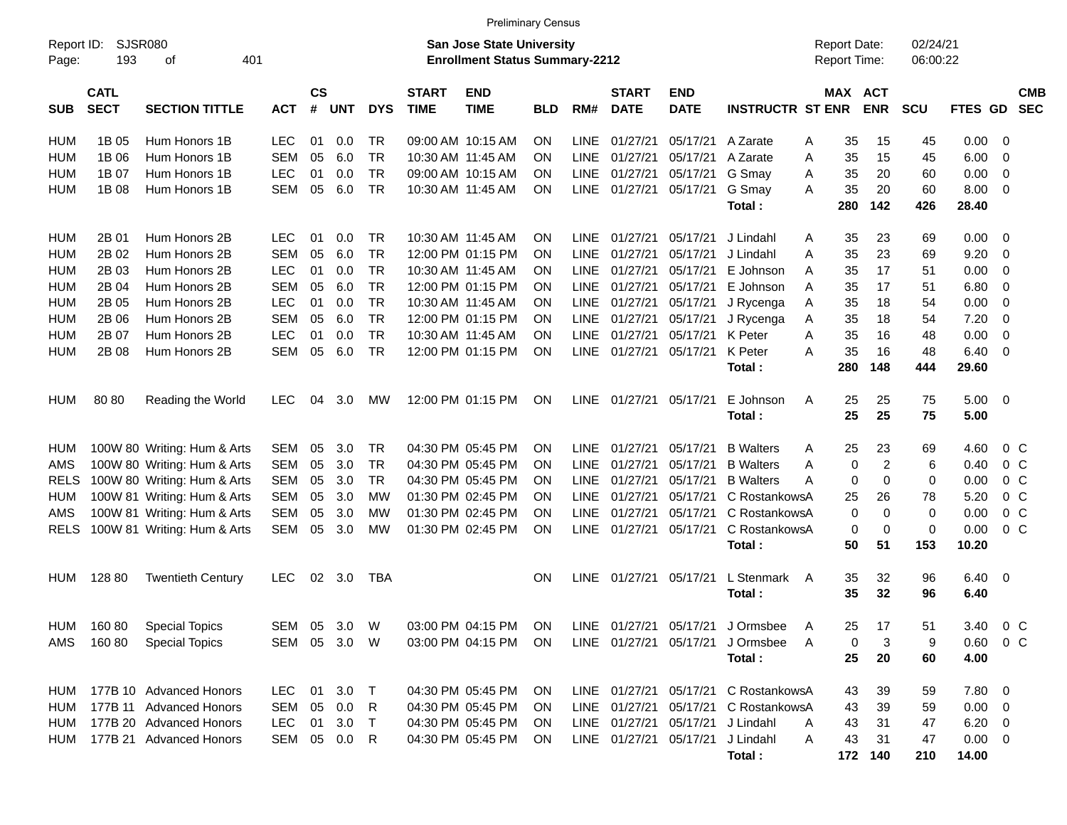|                     |                            |                             |              |                    |            |            |                             | <b>Preliminary Census</b>                                                 |            |             |                             |                                  |                                                                    |   |                                     |                          |                      |                      |                          |
|---------------------|----------------------------|-----------------------------|--------------|--------------------|------------|------------|-----------------------------|---------------------------------------------------------------------------|------------|-------------|-----------------------------|----------------------------------|--------------------------------------------------------------------|---|-------------------------------------|--------------------------|----------------------|----------------------|--------------------------|
| Report ID:<br>Page: | 193                        | <b>SJSR080</b><br>401<br>οf |              |                    |            |            |                             | <b>San Jose State University</b><br><b>Enrollment Status Summary-2212</b> |            |             |                             |                                  |                                                                    |   | <b>Report Date:</b><br>Report Time: |                          | 02/24/21<br>06:00:22 |                      |                          |
| <b>SUB</b>          | <b>CATL</b><br><b>SECT</b> | <b>SECTION TITTLE</b>       | <b>ACT</b>   | $\mathsf{cs}$<br># | <b>UNT</b> | <b>DYS</b> | <b>START</b><br><b>TIME</b> | <b>END</b><br><b>TIME</b>                                                 | <b>BLD</b> | RM#         | <b>START</b><br><b>DATE</b> | <b>END</b><br><b>DATE</b>        | <b>INSTRUCTR ST ENR</b>                                            |   | MAX                                 | <b>ACT</b><br><b>ENR</b> | <b>SCU</b>           | <b>FTES GD</b>       | <b>CMB</b><br><b>SEC</b> |
| HUM                 | 1B 05                      | Hum Honors 1B               | <b>LEC</b>   | 01                 | 0.0        | TR         |                             | 09:00 AM 10:15 AM                                                         | <b>ON</b>  | <b>LINE</b> | 01/27/21                    | 05/17/21                         | A Zarate                                                           | A | 35                                  | 15                       | 45                   | 0.00                 | - 0                      |
| <b>HUM</b>          | 1B 06                      | Hum Honors 1B               | <b>SEM</b>   | 05                 | 6.0        | <b>TR</b>  | 10:30 AM 11:45 AM           |                                                                           | ON.        | LINE        | 01/27/21                    | 05/17/21                         | A Zarate                                                           | A | 35                                  | 15                       | 45                   | 6.00                 | 0                        |
| <b>HUM</b>          | 1B 07                      | Hum Honors 1B               | <b>LEC</b>   | 01                 | 0.0        | <b>TR</b>  |                             | 09:00 AM 10:15 AM                                                         | ON.        | <b>LINE</b> | 01/27/21                    | 05/17/21                         | G Smay                                                             | Α | 35                                  | 20                       | 60                   | 0.00                 | 0                        |
| <b>HUM</b>          | 1B 08                      | Hum Honors 1B               | <b>SEM</b>   | 05                 | 6.0        | <b>TR</b>  | 10:30 AM 11:45 AM           |                                                                           | ON         |             | LINE 01/27/21               | 05/17/21                         | G Smay                                                             | A | 35                                  | 20                       | 60                   | 8.00                 | - 0                      |
|                     |                            |                             |              |                    |            |            |                             |                                                                           |            |             |                             |                                  | Total:                                                             |   | 280                                 | 142                      | 426                  | 28.40                |                          |
| HUM                 | 2B 01                      | Hum Honors 2B               | <b>LEC</b>   | 01                 | 0.0        | <b>TR</b>  | 10:30 AM 11:45 AM           |                                                                           | <b>ON</b>  |             | LINE 01/27/21               | 05/17/21                         | J Lindahl                                                          | A | 35                                  | 23                       | 69                   | 0.00                 | 0                        |
| <b>HUM</b>          | 2B 02                      | Hum Honors 2B               | SEM          | 05                 | 6.0        | <b>TR</b>  |                             | 12:00 PM 01:15 PM                                                         | <b>ON</b>  | <b>LINE</b> | 01/27/21                    | 05/17/21                         | J Lindahl                                                          | A | 35                                  | 23                       | 69                   | 9.20                 | 0                        |
| <b>HUM</b>          | 2B 03                      | Hum Honors 2B               | <b>LEC</b>   | 01                 | 0.0        | <b>TR</b>  | 10:30 AM 11:45 AM           |                                                                           | <b>ON</b>  | <b>LINE</b> | 01/27/21                    | 05/17/21                         | E Johnson                                                          | A | 35                                  | 17                       | 51                   | 0.00                 | 0                        |
| <b>HUM</b>          | 2B 04                      | Hum Honors 2B               | <b>SEM</b>   | 05                 | 6.0        | <b>TR</b>  |                             | 12:00 PM 01:15 PM                                                         | <b>ON</b>  | <b>LINE</b> | 01/27/21                    | 05/17/21                         | E Johnson                                                          | A | 35                                  | 17                       | 51                   | 6.80                 | 0                        |
| <b>HUM</b>          | 2B 05                      | Hum Honors 2B               | <b>LEC</b>   | 01                 | 0.0        | <b>TR</b>  | 10:30 AM 11:45 AM           |                                                                           | ON         | <b>LINE</b> | 01/27/21                    | 05/17/21                         | J Rycenga                                                          | A | 35                                  | 18                       | 54                   | 0.00                 | 0                        |
| <b>HUM</b>          | 2B 06                      | Hum Honors 2B               | <b>SEM</b>   | 05                 | 6.0        | <b>TR</b>  |                             | 12:00 PM 01:15 PM                                                         | <b>ON</b>  | <b>LINE</b> | 01/27/21                    | 05/17/21                         | J Rycenga                                                          | A | 35                                  | 18                       | 54                   | 7.20                 | 0                        |
| <b>HUM</b>          | 2B 07                      | Hum Honors 2B               | <b>LEC</b>   | 01                 | 0.0        | <b>TR</b>  | 10:30 AM 11:45 AM           |                                                                           | <b>ON</b>  | <b>LINE</b> | 01/27/21                    | 05/17/21                         | K Peter                                                            | A | 35                                  | 16                       | 48                   | 0.00                 | 0                        |
| <b>HUM</b>          | 2B 08                      | Hum Honors 2B               | <b>SEM</b>   | 05                 | 6.0        | <b>TR</b>  |                             | 12:00 PM 01:15 PM                                                         | ON         |             | LINE 01/27/21               | 05/17/21                         | K Peter                                                            | A | 35                                  | 16                       | 48                   | 6.40                 | - 0                      |
|                     |                            |                             |              |                    |            |            |                             |                                                                           |            |             |                             |                                  | Total:                                                             |   | 280                                 | 148                      | 444                  | 29.60                |                          |
| HUM                 | 80 80                      | Reading the World           | <b>LEC</b>   | 04                 | 3.0        | MW         |                             | 12:00 PM 01:15 PM                                                         | ON         |             | LINE 01/27/21               | 05/17/21                         | E Johnson<br>Total:                                                | A | 25<br>25                            | 25<br>25                 | 75<br>75             | 5.00<br>5.00         | $\overline{\mathbf{0}}$  |
| HUM                 |                            | 100W 80 Writing: Hum & Arts | <b>SEM</b>   | 05                 | 3.0        | TR         |                             | 04:30 PM 05:45 PM                                                         | <b>ON</b>  | <b>LINE</b> | 01/27/21                    | 05/17/21                         | <b>B</b> Walters                                                   | A | 25                                  | 23                       | 69                   | 4.60                 | $0\,C$                   |
| AMS                 |                            | 100W 80 Writing: Hum & Arts | <b>SEM</b>   | 05                 | 3.0        | <b>TR</b>  |                             | 04:30 PM 05:45 PM                                                         | <b>ON</b>  | <b>LINE</b> | 01/27/21                    | 05/17/21                         | <b>B</b> Walters                                                   | Α | 0                                   | $\overline{2}$           | 6                    | 0.40                 | 0 <sup>C</sup>           |
| <b>RELS</b>         |                            | 100W 80 Writing: Hum & Arts | <b>SEM</b>   | 05                 | 3.0        | <b>TR</b>  |                             | 04:30 PM 05:45 PM                                                         | <b>ON</b>  | <b>LINE</b> | 01/27/21                    | 05/17/21                         | <b>B</b> Walters                                                   | A | 0                                   | 0                        | 0                    | 0.00                 | 0 <sup>o</sup>           |
| HUM                 |                            | 100W 81 Writing: Hum & Arts | <b>SEM</b>   | 05                 | 3.0        | МW         |                             | 01:30 PM 02:45 PM                                                         | <b>ON</b>  | <b>LINE</b> | 01/27/21                    | 05/17/21                         | C RostankowsA                                                      |   | 25                                  | 26                       | 78                   | 5.20                 | 0 <sup>o</sup>           |
| AMS                 |                            | 100W 81 Writing: Hum & Arts | <b>SEM</b>   | 05                 | 3.0        | МW         |                             | 01:30 PM 02:45 PM                                                         | <b>ON</b>  | <b>LINE</b> | 01/27/21                    | 05/17/21                         | C RostankowsA                                                      |   | 0                                   | $\mathbf 0$              | 0                    | 0.00                 | 0 <sup>o</sup>           |
| <b>RELS</b>         |                            | 100W 81 Writing: Hum & Arts | <b>SEM</b>   | 05                 | 3.0        | <b>MW</b>  |                             | 01:30 PM 02:45 PM                                                         | ON         |             | LINE 01/27/21               | 05/17/21                         | C RostankowsA                                                      |   | 0                                   | 0                        | 0                    | 0.00                 | 0 <sup>o</sup>           |
|                     |                            |                             |              |                    |            |            |                             |                                                                           |            |             |                             |                                  | Total:                                                             |   | 50                                  | 51                       | 153                  | 10.20                |                          |
| <b>HUM</b>          | 128 80                     | <b>Twentieth Century</b>    | <b>LEC</b>   |                    | 02 3.0     | TBA        |                             |                                                                           | <b>ON</b>  |             | LINE 01/27/21               | 05/17/21                         | L Stenmark<br>Total:                                               | A | 35<br>35                            | 32<br>32                 | 96<br>96             | 6.40<br>6.40         | $\overline{\mathbf{0}}$  |
|                     |                            | HUM 160 80 Special Topics   |              |                    |            |            |                             |                                                                           |            |             |                             |                                  | SEM 05 3.0 W 03:00 PM 04:15 PM ON LINE 01/27/21 05/17/21 J Ormsbee |   | 25                                  | 17                       | 51                   | 3.40 0 C             |                          |
| AMS                 | 160 80                     | <b>Special Topics</b>       | SEM 05 3.0 W |                    |            |            |                             | 03:00 PM 04:15 PM                                                         | <b>ON</b>  |             |                             |                                  | LINE 01/27/21 05/17/21 J Ormsbee                                   | A | 0                                   | 3                        | 9                    | 0.60                 | $0\,$ C                  |
|                     |                            |                             |              |                    |            |            |                             |                                                                           |            |             |                             |                                  | Total:                                                             |   | 25                                  | 20                       | 60                   | 4.00                 |                          |
| HUM                 |                            | 177B 10 Advanced Honors     | LEC.         |                    | 01 3.0     | $\top$     |                             | 04:30 PM 05:45 PM                                                         | <b>ON</b>  |             |                             |                                  | LINE 01/27/21 05/17/21 C RostankowsA                               |   | 43                                  | 39                       | 59                   | $7.80\ 0$            |                          |
| <b>HUM</b>          |                            | 177B 11 Advanced Honors     | SEM          | 05                 | 0.0        | R          |                             | 04:30 PM 05:45 PM                                                         | <b>ON</b>  |             |                             |                                  | LINE 01/27/21 05/17/21 C RostankowsA                               |   | 43                                  | 39                       | 59                   | $0.00 \t 0$          |                          |
| HUM                 |                            | 177B 20 Advanced Honors     | <b>LEC</b>   | 01                 | 3.0        | $\top$     |                             | 04:30 PM 05:45 PM                                                         | <b>ON</b>  |             |                             | LINE 01/27/21 05/17/21           | J Lindahl                                                          | A | 43                                  | 31                       | 47                   | $6.20 \t 0$          |                          |
| <b>HUM</b>          |                            | 177B 21 Advanced Honors     | SEM          |                    | 05 0.0     | R          |                             | 04:30 PM 05:45 PM                                                         | <b>ON</b>  |             |                             | LINE 01/27/21 05/17/21 J Lindahl | Total:                                                             | Α | 43                                  | 31<br>172 140            | 47<br>210            | $0.00 \t 0$<br>14.00 |                          |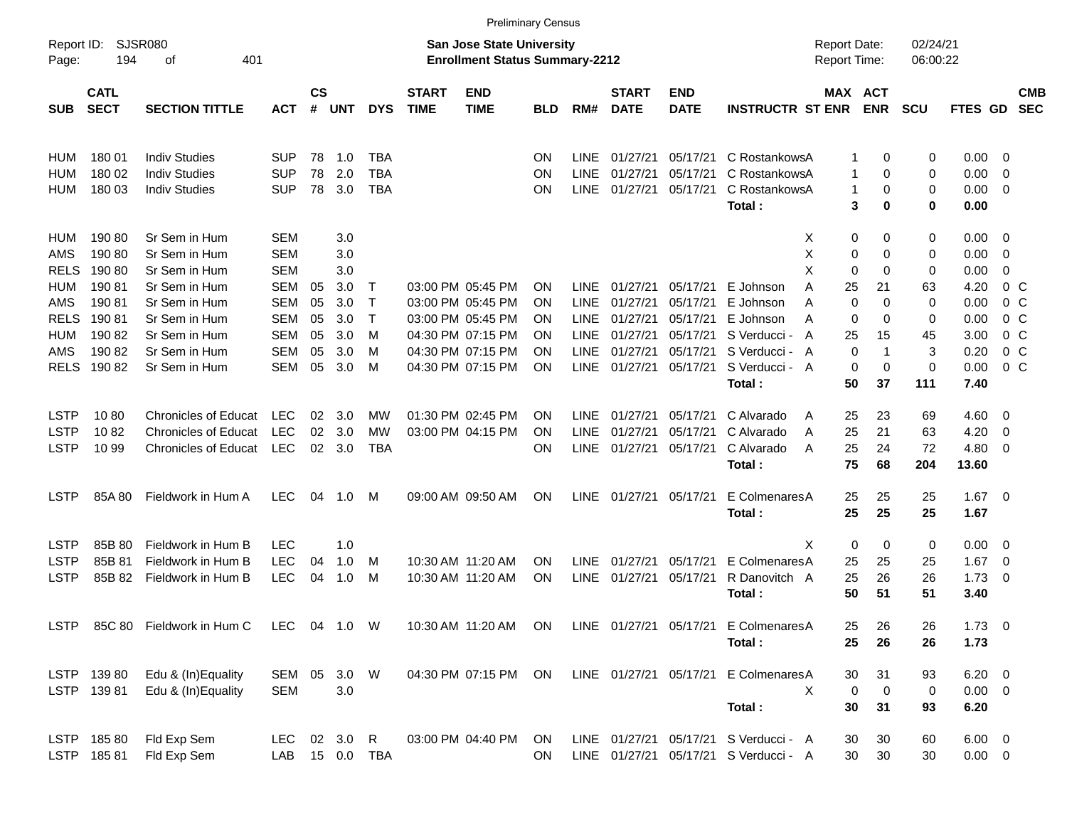|                     |                            |                                          |                      |                    |              |                |                             |                                                                           | <b>Preliminary Census</b> |             |                             |                           |                                       |                                     |                   |                      |                               |                          |                          |
|---------------------|----------------------------|------------------------------------------|----------------------|--------------------|--------------|----------------|-----------------------------|---------------------------------------------------------------------------|---------------------------|-------------|-----------------------------|---------------------------|---------------------------------------|-------------------------------------|-------------------|----------------------|-------------------------------|--------------------------|--------------------------|
| Report ID:<br>Page: | 194                        | <b>SJSR080</b><br>401<br>оf              |                      |                    |              |                |                             | <b>San Jose State University</b><br><b>Enrollment Status Summary-2212</b> |                           |             |                             |                           |                                       | <b>Report Date:</b><br>Report Time: |                   | 02/24/21<br>06:00:22 |                               |                          |                          |
| <b>SUB</b>          | <b>CATL</b><br><b>SECT</b> | <b>SECTION TITTLE</b>                    | <b>ACT</b>           | $\mathsf{cs}$<br># | <b>UNT</b>   | <b>DYS</b>     | <b>START</b><br><b>TIME</b> | <b>END</b><br><b>TIME</b>                                                 | <b>BLD</b>                | RM#         | <b>START</b><br><b>DATE</b> | <b>END</b><br><b>DATE</b> | <b>INSTRUCTR ST ENR</b>               | MAX ACT                             | <b>ENR</b>        | <b>SCU</b>           | FTES GD                       |                          | <b>CMB</b><br><b>SEC</b> |
| HUM                 | 180 01                     | <b>Indiv Studies</b>                     | <b>SUP</b>           | 78                 | 1.0          | <b>TBA</b>     |                             |                                                                           | ΟN                        | <b>LINE</b> | 01/27/21                    | 05/17/21                  | C RostankowsA                         | 1                                   | 0                 | 0                    | $0.00 \t 0$                   |                          |                          |
| HUM                 | 180 02                     | <b>Indiv Studies</b>                     | <b>SUP</b>           | 78                 | 2.0          | <b>TBA</b>     |                             |                                                                           | ΟN                        | <b>LINE</b> | 01/27/21                    | 05/17/21                  | C RostankowsA                         | 1                                   | 0                 | 0                    | 0.00                          | 0                        |                          |
| <b>HUM</b>          | 180 03                     | <b>Indiv Studies</b>                     | <b>SUP</b>           | 78                 | 3.0          | <b>TBA</b>     |                             |                                                                           | ΟN                        | <b>LINE</b> | 01/27/21                    | 05/17/21                  | C RostankowsA                         | 1                                   | 0                 | 0                    | 0.00                          | $\overline{0}$           |                          |
|                     |                            |                                          |                      |                    |              |                |                             |                                                                           |                           |             |                             |                           | Total:                                | 3                                   | 0                 | 0                    | 0.00                          |                          |                          |
| HUM                 | 190 80                     | Sr Sem in Hum                            | <b>SEM</b>           |                    | 3.0          |                |                             |                                                                           |                           |             |                             |                           | X                                     | 0                                   | 0                 | 0                    | 0.00                          | $\overline{\phantom{0}}$ |                          |
| <b>AMS</b>          | 190 80                     | Sr Sem in Hum                            | <b>SEM</b>           |                    | 3.0          |                |                             |                                                                           |                           |             |                             |                           | Χ                                     | 0                                   | 0                 | 0                    | 0.00                          | $\overline{0}$           |                          |
| <b>RELS</b>         | 190 80                     | Sr Sem in Hum                            | <b>SEM</b>           |                    | 3.0          |                |                             |                                                                           |                           |             |                             |                           | X                                     | $\mathbf 0$                         | 0                 | 0                    | 0.00                          | $\mathbf 0$              |                          |
| HUM                 | 19081                      | Sr Sem in Hum                            | <b>SEM</b>           | 05                 | 3.0          | T              |                             | 03:00 PM 05:45 PM                                                         | ΟN                        | <b>LINE</b> | 01/27/21                    | 05/17/21                  | E Johnson<br>Α                        | 25                                  | 21                | 63                   | 4.20                          | 0 <sup>o</sup>           |                          |
| <b>AMS</b>          | 19081                      | Sr Sem in Hum                            | <b>SEM</b>           | 05                 | 3.0          | $\mathsf T$    |                             | 03:00 PM 05:45 PM                                                         | ΟN                        | <b>LINE</b> | 01/27/21                    | 05/17/21                  | E Johnson<br>Α                        | $\mathbf 0$                         | 0                 | 0                    | 0.00                          | 0 <sup>o</sup>           |                          |
| <b>RELS</b>         | 19081                      | Sr Sem in Hum                            | <b>SEM</b>           | 05                 | 3.0          | $\top$         |                             | 03:00 PM 05:45 PM                                                         | ON                        | <b>LINE</b> | 01/27/21                    | 05/17/21                  | E Johnson<br>Α                        | 0                                   | 0                 | 0                    | 0.00                          | 0 <sup>o</sup>           |                          |
| HUM                 | 190 82                     | Sr Sem in Hum                            | <b>SEM</b>           | 05                 | 3.0          | M              |                             | 04:30 PM 07:15 PM                                                         | ΟN                        | <b>LINE</b> | 01/27/21                    | 05/17/21                  | S Verducci -<br>A                     | 25                                  | 15                | 45                   | 3.00                          | 0 <sup>o</sup>           |                          |
| <b>AMS</b>          | 190 82                     | Sr Sem in Hum                            | <b>SEM</b>           | 05                 | 3.0          | M              |                             | 04:30 PM 07:15 PM                                                         | ON                        | <b>LINE</b> | 01/27/21                    | 05/17/21                  | S Verducci -<br>A                     | $\mathbf 0$                         | $\mathbf 1$       | 3                    | 0.20                          | $0\,C$                   |                          |
| <b>RELS</b>         | 190 82                     | Sr Sem in Hum                            | <b>SEM</b>           | 05                 | 3.0          | M              |                             | 04:30 PM 07:15 PM                                                         | ΟN                        | <b>LINE</b> | 01/27/21                    | 05/17/21                  | S Verducci - A                        | 0                                   | $\mathbf 0$       | 0                    | 0.00                          | 0 <sup>o</sup>           |                          |
|                     |                            |                                          |                      |                    |              |                |                             |                                                                           |                           |             |                             |                           | Total:                                | 50                                  | 37                | 111                  | 7.40                          |                          |                          |
| <b>LSTP</b>         | 1080                       | <b>Chronicles of Educat</b>              | <b>LEC</b>           | 02                 | 3.0          | MW             |                             | 01:30 PM 02:45 PM                                                         | ΟN                        | <b>LINE</b> | 01/27/21                    | 05/17/21                  | C Alvarado<br>A                       | 25                                  | 23                | 69                   | 4.60                          | $\overline{\mathbf{0}}$  |                          |
| <b>LSTP</b>         | 1082                       | <b>Chronicles of Educat</b>              | <b>LEC</b>           | 02                 | 3.0          | <b>MW</b>      |                             | 03:00 PM 04:15 PM                                                         | ΟN                        | <b>LINE</b> | 01/27/21                    | 05/17/21                  | C Alvarado<br>A                       | 25                                  | 21                | 63                   | 4.20                          | 0                        |                          |
| <b>LSTP</b>         | 10 99                      | <b>Chronicles of Educat</b>              | <b>LEC</b>           | 02                 | 3.0          | <b>TBA</b>     |                             |                                                                           | ΟN                        | <b>LINE</b> | 01/27/21                    | 05/17/21                  | C Alvarado<br>A                       | 25                                  | 24                | 72                   | 4.80                          | $\overline{\mathbf{0}}$  |                          |
|                     |                            |                                          |                      |                    |              |                |                             |                                                                           |                           |             |                             |                           | Total:                                | 75                                  | 68                | 204                  | 13.60                         |                          |                          |
| LSTP                | 85A 80                     | Fieldwork in Hum A                       | <b>LEC</b>           | 04                 | 1.0          | M              |                             | 09:00 AM 09:50 AM                                                         | ΟN                        | LINE        | 01/27/21                    | 05/17/21                  | E ColmenaresA                         | 25                                  | 25                | 25                   | 1.67                          | - 0                      |                          |
|                     |                            |                                          |                      |                    |              |                |                             |                                                                           |                           |             |                             |                           | Total:                                | 25                                  | 25                | 25                   | 1.67                          |                          |                          |
|                     |                            |                                          |                      |                    |              |                |                             |                                                                           |                           |             |                             |                           |                                       |                                     |                   |                      |                               |                          |                          |
| <b>LSTP</b>         | 85B 80                     | Fieldwork in Hum B                       | <b>LEC</b>           |                    | 1.0          |                |                             |                                                                           |                           |             |                             |                           | X                                     | 0                                   | 0                 | 0                    | 0.00                          | $\overline{\mathbf{0}}$  |                          |
| <b>LSTP</b>         | 85B 81                     | Fieldwork in Hum B                       | <b>LEC</b>           | 04                 | 1.0          | M              |                             | 10:30 AM 11:20 AM                                                         | ON                        | <b>LINE</b> | 01/27/21                    | 05/17/21                  | E Colmenares A                        | 25                                  | 25                | 25                   | 1.67                          | $\overline{0}$           |                          |
| <b>LSTP</b>         | 85B 82                     | Fieldwork in Hum B                       | LEC                  | 04                 | 1.0          | M              |                             | 10:30 AM 11:20 AM                                                         | ΟN                        | <b>LINE</b> | 01/27/21                    | 05/17/21                  | R Danovitch A                         | 25                                  | 26                | 26                   | 1.73                          | $\overline{\mathbf{0}}$  |                          |
|                     |                            |                                          |                      |                    |              |                |                             |                                                                           |                           |             |                             |                           | Total:                                | 50                                  | 51                | 51                   | 3.40                          |                          |                          |
| <b>LSTP</b>         |                            | 85C 80 Fieldwork in Hum C                | LEC 04 1.0 W         |                    |              |                |                             | 10:30 AM 11:20 AM                                                         | ON                        |             |                             |                           | LINE 01/27/21 05/17/21 E ColmenaresA  | 25                                  | 26                | 26                   | $1.73 \t 0$                   |                          |                          |
|                     |                            |                                          |                      |                    |              |                |                             |                                                                           |                           |             |                             |                           | Total:                                | 25                                  | 26                | 26                   | 1.73                          |                          |                          |
|                     |                            |                                          |                      |                    |              |                |                             |                                                                           |                           |             |                             |                           |                                       |                                     |                   |                      |                               |                          |                          |
|                     | LSTP 139 80<br>LSTP 139 81 | Edu & (In)Equality<br>Edu & (In)Equality | SEM 05<br><b>SEM</b> |                    | 3.0 W<br>3.0 |                |                             | 04:30 PM 07:15 PM                                                         | ON                        |             |                             | LINE 01/27/21 05/17/21    | E ColmenaresA<br>X                    | 30<br>$\mathbf 0$                   | 31<br>$\mathbf 0$ | 93<br>0              | $6.20 \quad 0$<br>$0.00 \t 0$ |                          |                          |
|                     |                            |                                          |                      |                    |              |                |                             |                                                                           |                           |             |                             |                           | Total:                                | 30                                  | 31                | 93                   | 6.20                          |                          |                          |
|                     |                            |                                          |                      |                    |              |                |                             |                                                                           |                           |             |                             |                           |                                       |                                     |                   |                      |                               |                          |                          |
|                     | LSTP 185 80                | Fld Exp Sem                              | <b>LEC</b>           |                    | 02 3.0 R     |                |                             | 03:00 PM 04:40 PM                                                         | ON                        |             |                             |                           | LINE 01/27/21 05/17/21 S Verducci - A | 30                                  | 30                | 60                   | $6.00 \quad 0$                |                          |                          |
|                     | LSTP 185 81                | Fld Exp Sem                              |                      |                    |              | LAB 15 0.0 TBA |                             |                                                                           | <b>ON</b>                 |             |                             |                           | LINE 01/27/21 05/17/21 S Verducci - A | 30                                  | 30                | 30                   | $0.00 \t 0$                   |                          |                          |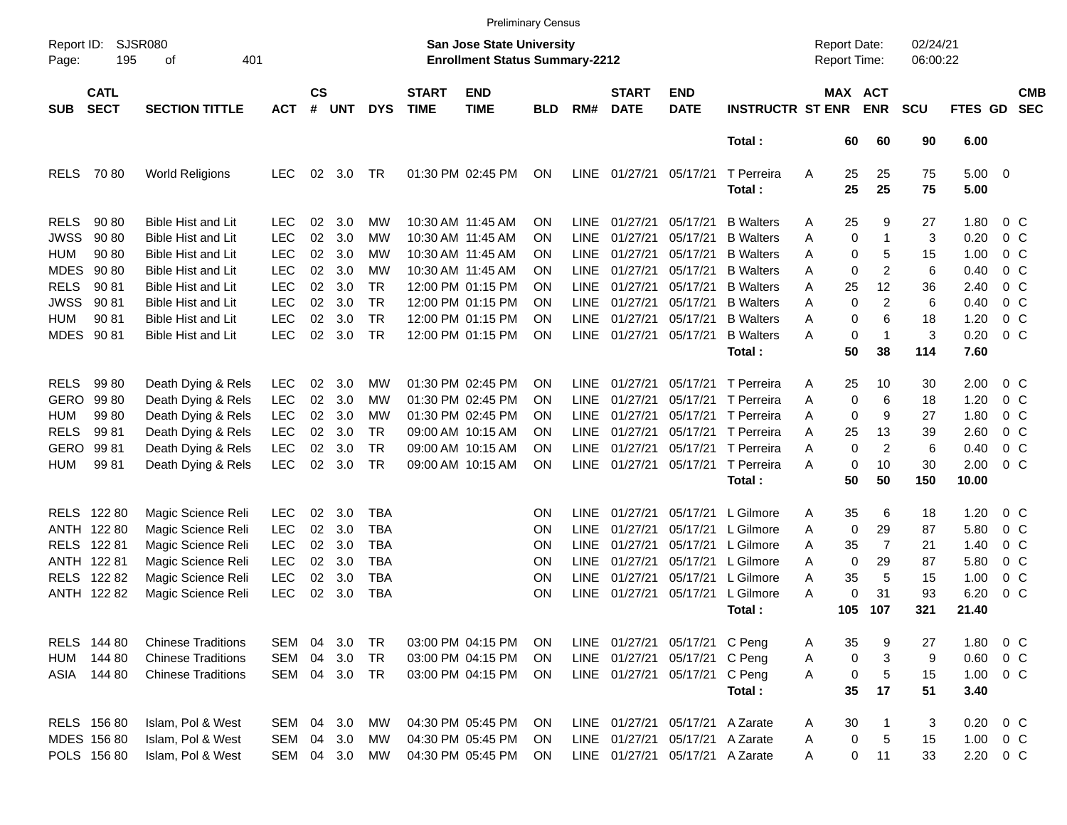|                                                                                      |                                                                            |                                                                                                                                  |                                                                                  |                                  |                                        |                                                                                  |                             | <b>Preliminary Census</b>                                                                                                  |                                  |                                                                                        |                                                                      |                                                                                                       |                                                                                            |                                     |                                      |                                                   |                                         |                                                       |                                                                                              |                          |
|--------------------------------------------------------------------------------------|----------------------------------------------------------------------------|----------------------------------------------------------------------------------------------------------------------------------|----------------------------------------------------------------------------------|----------------------------------|----------------------------------------|----------------------------------------------------------------------------------|-----------------------------|----------------------------------------------------------------------------------------------------------------------------|----------------------------------|----------------------------------------------------------------------------------------|----------------------------------------------------------------------|-------------------------------------------------------------------------------------------------------|--------------------------------------------------------------------------------------------|-------------------------------------|--------------------------------------|---------------------------------------------------|-----------------------------------------|-------------------------------------------------------|----------------------------------------------------------------------------------------------|--------------------------|
| Report ID:<br>Page:                                                                  | 195                                                                        | <b>SJSR080</b><br>401<br>οf                                                                                                      |                                                                                  |                                  |                                        |                                                                                  |                             | <b>San Jose State University</b><br><b>Enrollment Status Summary-2212</b>                                                  |                                  |                                                                                        |                                                                      |                                                                                                       |                                                                                            | <b>Report Date:</b><br>Report Time: |                                      |                                                   | 02/24/21<br>06:00:22                    |                                                       |                                                                                              |                          |
| <b>SUB</b>                                                                           | <b>CATL</b><br><b>SECT</b>                                                 | <b>SECTION TITTLE</b>                                                                                                            | <b>ACT</b>                                                                       | $\mathsf{cs}$<br>#               | <b>UNT</b>                             | <b>DYS</b>                                                                       | <b>START</b><br><b>TIME</b> | <b>END</b><br><b>TIME</b>                                                                                                  | <b>BLD</b>                       | RM#                                                                                    | <b>START</b><br><b>DATE</b>                                          | <b>END</b><br><b>DATE</b>                                                                             | <b>INSTRUCTR ST ENR</b>                                                                    |                                     |                                      | MAX ACT<br><b>ENR</b>                             | <b>SCU</b>                              | FTES GD                                               |                                                                                              | <b>CMB</b><br><b>SEC</b> |
|                                                                                      |                                                                            |                                                                                                                                  |                                                                                  |                                  |                                        |                                                                                  |                             |                                                                                                                            |                                  |                                                                                        |                                                                      |                                                                                                       | Total:                                                                                     |                                     | 60                                   | 60                                                | 90                                      | 6.00                                                  |                                                                                              |                          |
| <b>RELS</b>                                                                          | 7080                                                                       | <b>World Religions</b>                                                                                                           | <b>LEC</b>                                                                       | 02                               | 3.0                                    | TR                                                                               |                             | 01:30 PM 02:45 PM                                                                                                          | ΟN                               | <b>LINE</b>                                                                            | 01/27/21                                                             | 05/17/21                                                                                              | T Perreira<br>Total:                                                                       | A                                   | 25<br>25                             | 25<br>25                                          | 75<br>75                                | 5.00<br>5.00                                          | $\overline{0}$                                                                               |                          |
| <b>RELS</b><br><b>JWSS</b>                                                           | 90 80<br>90 80                                                             | <b>Bible Hist and Lit</b><br><b>Bible Hist and Lit</b>                                                                           | <b>LEC</b><br><b>LEC</b>                                                         | 02<br>02                         | 3.0<br>3.0                             | MW<br><b>MW</b>                                                                  |                             | 10:30 AM 11:45 AM<br>10:30 AM 11:45 AM                                                                                     | ΟN<br>ΟN                         | LINE<br><b>LINE</b>                                                                    | 01/27/21<br>01/27/21                                                 | 05/17/21<br>05/17/21                                                                                  | <b>B</b> Walters<br><b>B</b> Walters                                                       | A<br>Α                              | 25<br>0                              | 9<br>1                                            | 27<br>3                                 | 1.80<br>0.20                                          | 0 <sup>C</sup><br>$0\quad C$                                                                 |                          |
| <b>HUM</b><br><b>MDES</b><br><b>RELS</b>                                             | 90 80<br>90 80<br>90 81                                                    | <b>Bible Hist and Lit</b><br><b>Bible Hist and Lit</b><br><b>Bible Hist and Lit</b>                                              | <b>LEC</b><br><b>LEC</b><br><b>LEC</b>                                           | 02<br>02<br>02                   | 3.0<br>3.0<br>3.0                      | MW<br><b>MW</b><br><b>TR</b>                                                     |                             | 10:30 AM 11:45 AM<br>10:30 AM 11:45 AM<br>12:00 PM 01:15 PM                                                                | ΟN<br>ΟN<br>ΟN                   | <b>LINE</b><br><b>LINE</b><br><b>LINE</b>                                              | 01/27/21<br>01/27/21<br>01/27/21                                     | 05/17/21<br>05/17/21<br>05/17/21                                                                      | <b>B</b> Walters<br><b>B</b> Walters<br><b>B</b> Walters                                   | A<br>A<br>A                         | 0<br>0<br>25                         | 5<br>$\overline{2}$<br>12                         | 15<br>6<br>36                           | 1.00<br>0.40<br>2.40                                  | 0 <sup>C</sup><br>0 <sub>C</sub><br>0 <sub>C</sub>                                           |                          |
| <b>JWSS</b><br><b>HUM</b><br>MDES                                                    | 90 81<br>90 81<br>9081                                                     | <b>Bible Hist and Lit</b><br><b>Bible Hist and Lit</b><br><b>Bible Hist and Lit</b>                                              | <b>LEC</b><br><b>LEC</b><br><b>LEC</b>                                           | 02<br>02<br>02                   | 3.0<br>3.0<br>3.0                      | <b>TR</b><br><b>TR</b><br><b>TR</b>                                              |                             | 12:00 PM 01:15 PM<br>12:00 PM 01:15 PM<br>12:00 PM 01:15 PM                                                                | ΟN<br>ΟN<br>ON                   | <b>LINE</b><br><b>LINE</b><br><b>LINE</b>                                              | 01/27/21<br>01/27/21<br>01/27/21                                     | 05/17/21<br>05/17/21<br>05/17/21                                                                      | <b>B</b> Walters<br><b>B</b> Walters<br><b>B</b> Walters<br>Total:                         | A<br>A<br>Α                         | 0<br>0<br>0<br>50                    | $\overline{2}$<br>6<br>$\overline{1}$<br>38       | 6<br>18<br>3<br>114                     | 0.40<br>1.20<br>0.20<br>7.60                          | 0 <sub>C</sub><br>$0\quad C$<br>$0\,C$                                                       |                          |
| <b>RELS</b><br><b>GERO</b><br><b>HUM</b><br><b>RELS</b><br><b>GERO</b><br><b>HUM</b> | 9980<br>99 80<br>99 80<br>9981<br>9981<br>9981                             | Death Dying & Rels<br>Death Dying & Rels<br>Death Dying & Rels<br>Death Dying & Rels<br>Death Dying & Rels<br>Death Dying & Rels | <b>LEC</b><br><b>LEC</b><br><b>LEC</b><br><b>LEC</b><br><b>LEC</b><br><b>LEC</b> | 02<br>02<br>02<br>02<br>02<br>02 | 3.0<br>3.0<br>3.0<br>3.0<br>3.0<br>3.0 | MW<br>MW<br><b>MW</b><br><b>TR</b><br><b>TR</b><br><b>TR</b>                     |                             | 01:30 PM 02:45 PM<br>01:30 PM 02:45 PM<br>01:30 PM 02:45 PM<br>09:00 AM 10:15 AM<br>09:00 AM 10:15 AM<br>09:00 AM 10:15 AM | ΟN<br>ΟN<br>ΟN<br>ΟN<br>ΟN<br>ON | <b>LINE</b><br><b>LINE</b><br><b>LINE</b><br><b>LINE</b><br><b>LINE</b><br><b>LINE</b> | 01/27/21<br>01/27/21<br>01/27/21<br>01/27/21<br>01/27/21<br>01/27/21 | 05/17/21<br>05/17/21<br>05/17/21<br>05/17/21<br>05/17/21<br>05/17/21                                  | T Perreira<br>T Perreira<br>T Perreira<br>T Perreira<br>T Perreira<br>T Perreira<br>Total: | Α<br>A<br>A<br>A<br>Α<br>Α          | 25<br>0<br>0<br>25<br>0<br>0<br>50   | 10<br>6<br>9<br>13<br>$\overline{2}$<br>10<br>50  | 30<br>18<br>27<br>39<br>6<br>30<br>150  | 2.00<br>1.20<br>1.80<br>2.60<br>0.40<br>2.00<br>10.00 | 0 <sup>C</sup><br>$0\quad C$<br>0 <sup>C</sup><br>$0\quad C$<br>0 <sup>C</sup><br>$0\,C$     |                          |
| <b>RELS</b><br><b>RELS</b>                                                           | RELS 122 80<br>ANTH 122 80<br>12281<br>ANTH 122 81<br>12282<br>ANTH 122 82 | Magic Science Reli<br>Magic Science Reli<br>Magic Science Reli<br>Magic Science Reli<br>Magic Science Reli<br>Magic Science Reli | <b>LEC</b><br><b>LEC</b><br><b>LEC</b><br><b>LEC</b><br><b>LEC</b><br><b>LEC</b> | 02<br>02<br>02<br>02<br>02<br>02 | 3.0<br>3.0<br>3.0<br>3.0<br>3.0<br>3.0 | <b>TBA</b><br><b>TBA</b><br><b>TBA</b><br><b>TBA</b><br><b>TBA</b><br><b>TBA</b> |                             |                                                                                                                            | OΝ<br>ON<br>ON<br>ON<br>ON<br>ON | <b>LINE</b><br><b>LINE</b><br><b>LINE</b><br><b>LINE</b><br><b>LINE</b><br><b>LINE</b> | 01/27/21<br>01/27/21<br>01/27/21<br>01/27/21<br>01/27/21<br>01/27/21 | 05/17/21<br>05/17/21<br>05/17/21<br>05/17/21<br>05/17/21<br>05/17/21                                  | L Gilmore<br>L Gilmore<br>L Gilmore<br>L Gilmore<br>L Gilmore<br>L Gilmore<br>Total:       | A<br>Α<br>Α<br>A<br>A<br>Α          | 35<br>0<br>35<br>0<br>35<br>0<br>105 | 6<br>29<br>$\overline{7}$<br>29<br>5<br>31<br>107 | 18<br>87<br>21<br>87<br>15<br>93<br>321 | 1.20<br>5.80<br>1.40<br>5.80<br>1.00<br>6.20<br>21.40 | 0 <sup>C</sup><br>$0\quad C$<br>0 <sup>C</sup><br>$0\quad C$<br>0 <sup>C</sup><br>$0\quad C$ |                          |
| HUM                                                                                  | RELS 144 80<br>144 80<br>ASIA 144 80                                       | <b>Chinese Traditions</b><br><b>Chinese Traditions</b><br><b>Chinese Traditions</b>                                              | SEM<br>SEM<br>SEM 04 3.0 TR                                                      | 04<br>04                         | 3.0<br>3.0                             | TR<br><b>TR</b>                                                                  |                             | 03:00 PM 04:15 PM<br>03:00 PM 04:15 PM<br>03:00 PM 04:15 PM                                                                | <b>ON</b><br>ON<br>ON.           |                                                                                        |                                                                      | LINE 01/27/21 05/17/21 C Peng<br>LINE 01/27/21 05/17/21 C Peng<br>LINE 01/27/21 05/17/21 C Peng       | Total:                                                                                     | Α<br>A<br>A                         | 35<br>0<br>0<br>35                   | 9<br>3<br>$\sqrt{5}$<br>17                        | 27<br>9<br>15<br>51                     | 1.80<br>0.60<br>1.00<br>3.40                          | $0\,C$<br>0 <sup>o</sup><br>$0\,C$                                                           |                          |
|                                                                                      | RELS 156 80<br>MDES 156 80<br>POLS 156 80                                  | Islam, Pol & West<br>Islam, Pol & West<br>Islam, Pol & West                                                                      | SEM<br>SEM<br>SEM 04 3.0                                                         |                                  | 04 3.0<br>04 3.0                       | MW<br>MW<br>MW                                                                   |                             | 04:30 PM 05:45 PM<br>04:30 PM 05:45 PM<br>04:30 PM 05:45 PM                                                                | ON<br><b>ON</b><br>ON            |                                                                                        |                                                                      | LINE 01/27/21 05/17/21 A Zarate<br>LINE 01/27/21 05/17/21 A Zarate<br>LINE 01/27/21 05/17/21 A Zarate |                                                                                            | A<br>A<br>Α                         | 30<br>0<br>0                         | -1<br>$\sqrt{5}$<br>11                            | 3<br>15<br>33                           | 0.20<br>1.00<br>2.20                                  | 0 <sup>o</sup><br>$0\,C$<br>0 C                                                              |                          |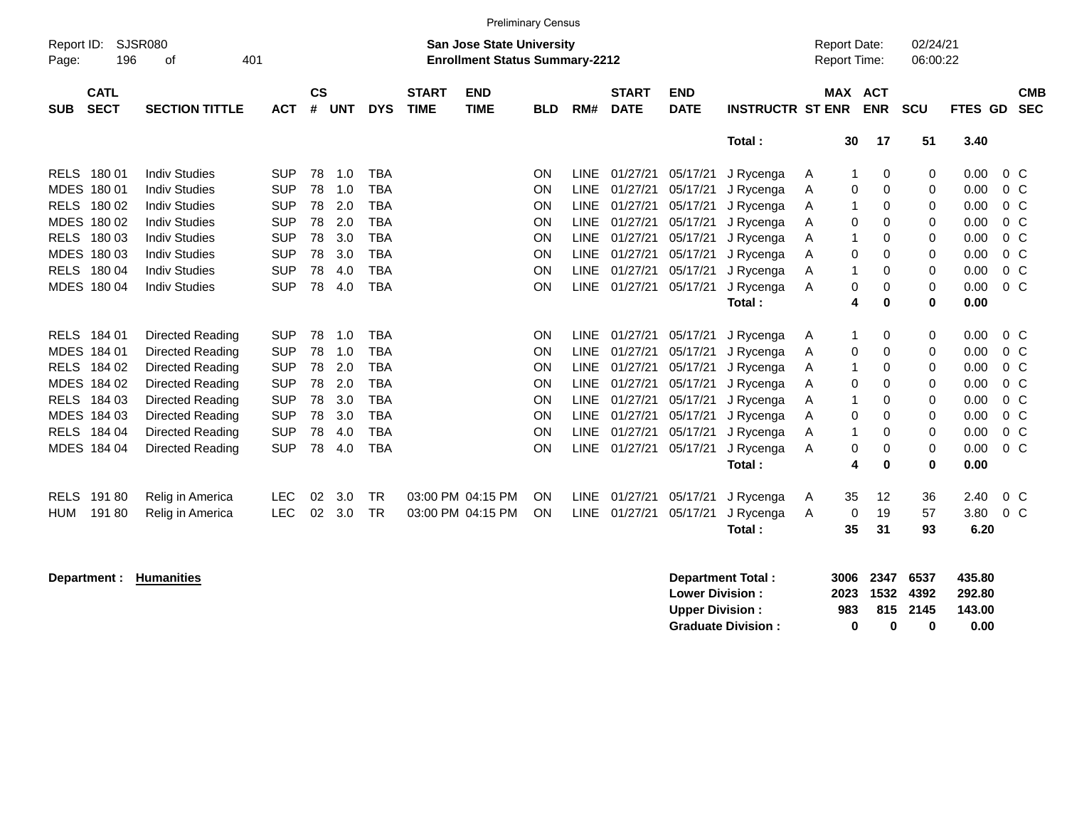| <b>Preliminary Census</b> |                                                                                                                 |                       |            |                |            |            |                             |                           |            |             |                             |                           |                         |                   |                                            |                      |         |                |                          |
|---------------------------|-----------------------------------------------------------------------------------------------------------------|-----------------------|------------|----------------|------------|------------|-----------------------------|---------------------------|------------|-------------|-----------------------------|---------------------------|-------------------------|-------------------|--------------------------------------------|----------------------|---------|----------------|--------------------------|
| Report ID:<br>Page:       | <b>SJSR080</b><br><b>San Jose State University</b><br>196<br>401<br><b>Enrollment Status Summary-2212</b><br>οf |                       |            |                |            |            |                             |                           |            |             |                             |                           |                         |                   | <b>Report Date:</b><br><b>Report Time:</b> | 02/24/21<br>06:00:22 |         |                |                          |
| <b>SUB</b>                | <b>CATL</b><br><b>SECT</b>                                                                                      | <b>SECTION TITTLE</b> | <b>ACT</b> | <b>CS</b><br># | <b>UNT</b> | <b>DYS</b> | <b>START</b><br><b>TIME</b> | <b>END</b><br><b>TIME</b> | <b>BLD</b> | RM#         | <b>START</b><br><b>DATE</b> | <b>END</b><br><b>DATE</b> | <b>INSTRUCTR ST ENR</b> | <b>MAX</b>        | <b>ACT</b><br><b>ENR</b>                   | <b>SCU</b>           | FTES GD |                | <b>CMB</b><br><b>SEC</b> |
|                           |                                                                                                                 |                       |            |                |            |            |                             |                           |            |             |                             |                           | Total:                  | 30                | 17                                         | 51                   | 3.40    |                |                          |
|                           | RELS 180 01                                                                                                     | <b>Indiv Studies</b>  | <b>SUP</b> | 78             | 1.0        | <b>TBA</b> |                             |                           | <b>ON</b>  | <b>LINE</b> | 01/27/21                    | 05/17/21                  | J Rycenga               | A<br>1            | 0                                          | 0                    | 0.00    | $0\,$ C        |                          |
|                           | MDES 180 01                                                                                                     | <b>Indiv Studies</b>  | <b>SUP</b> | 78             | 1.0        | <b>TBA</b> |                             |                           | ON         | <b>LINE</b> | 01/27/21                    | 05/17/21                  | J Rycenga               | 0<br>A            | 0                                          | 0                    | 0.00    | $0\,C$         |                          |
| <b>RELS</b>               | 180 02                                                                                                          | <b>Indiv Studies</b>  | <b>SUP</b> | 78             | 2.0        | <b>TBA</b> |                             |                           | ON         | <b>LINE</b> | 01/27/21                    | 05/17/21                  | J Rycenga               | $\mathbf{1}$<br>A | 0                                          | 0                    | 0.00    | 0 <sup>o</sup> |                          |
|                           | MDES 180 02                                                                                                     | <b>Indiv Studies</b>  | <b>SUP</b> | 78             | 2.0        | <b>TBA</b> |                             |                           | ON         | <b>LINE</b> | 01/27/21                    | 05/17/21                  | J Rycenga               | 0<br>A            | $\Omega$                                   | 0                    | 0.00    | 0 <sup>o</sup> |                          |
|                           | RELS 180 03                                                                                                     | <b>Indiv Studies</b>  | <b>SUP</b> | 78             | 3.0        | <b>TBA</b> |                             |                           | ON         | <b>LINE</b> | 01/27/21                    | 05/17/21                  | J Rycenga               | 1<br>A            | 0                                          | 0                    | 0.00    | 0 <sup>o</sup> |                          |
|                           | MDES 180 03                                                                                                     | <b>Indiv Studies</b>  | <b>SUP</b> | 78             | 3.0        | <b>TBA</b> |                             |                           | ON         | <b>LINE</b> | 01/27/21                    | 05/17/21                  | J Rycenga               | 0<br>Α            | 0                                          | 0                    | 0.00    | 0 <sup>o</sup> |                          |
| <b>RELS</b>               | 180 04                                                                                                          | <b>Indiv Studies</b>  | <b>SUP</b> | 78             | 4.0        | <b>TBA</b> |                             |                           | <b>ON</b>  | <b>LINE</b> | 01/27/21                    | 05/17/21                  | J Rycenga               | $\mathbf{1}$<br>A | $\Omega$                                   | 0                    | 0.00    | $0\,C$         |                          |
|                           | MDES 180 04                                                                                                     | <b>Indiv Studies</b>  | <b>SUP</b> | 78             | 4.0        | <b>TBA</b> |                             |                           | ON         | <b>LINE</b> | 01/27/21                    | 05/17/21                  | J Rycenga               | 0<br>A            | 0                                          | 0                    | 0.00    | 0 <sup>o</sup> |                          |
|                           |                                                                                                                 |                       |            |                |            |            |                             |                           |            |             |                             |                           | Total:                  | 4                 | 0                                          | 0                    | 0.00    |                |                          |
|                           | RELS 184 01                                                                                                     | Directed Reading      | <b>SUP</b> | 78             | 1.0        | <b>TBA</b> |                             |                           | <b>ON</b>  | LINE        | 01/27/21                    | 05/17/21                  | J Rycenga               | 1<br>A            | 0                                          | 0                    | 0.00    | 0 <sup>o</sup> |                          |
|                           | MDES 184 01                                                                                                     | Directed Reading      | <b>SUP</b> | 78             | 1.0        | <b>TBA</b> |                             |                           | <b>ON</b>  | <b>LINE</b> | 01/27/21                    | 05/17/21                  | J Rycenga               | 0<br>Α            | 0                                          | 0                    | 0.00    | $0\,$ C        |                          |
| <b>RELS</b>               | 184 02                                                                                                          | Directed Reading      | <b>SUP</b> | 78             | 2.0        | <b>TBA</b> |                             |                           | ON         | <b>LINE</b> | 01/27/21                    | 05/17/21                  | J Rycenga               | 1<br>A            | $\mathbf 0$                                | $\mathbf 0$          | 0.00    | $0\,C$         |                          |
|                           | MDES 184 02                                                                                                     | Directed Reading      | <b>SUP</b> | 78             | 2.0        | <b>TBA</b> |                             |                           | ON         | <b>LINE</b> | 01/27/21                    | 05/17/21                  | J Rycenga               | 0<br>A            | 0                                          | 0                    | 0.00    | $0\,C$         |                          |
|                           | RELS 184 03                                                                                                     | Directed Reading      | <b>SUP</b> | 78             | 3.0        | <b>TBA</b> |                             |                           | ON         | <b>LINE</b> | 01/27/21                    | 05/17/21                  | J Rycenga               | $\mathbf{1}$<br>A | $\Omega$                                   | 0                    | 0.00    | 0 <sup>o</sup> |                          |
|                           | MDES 184 03                                                                                                     | Directed Reading      | <b>SUP</b> | 78             | 3.0        | <b>TBA</b> |                             |                           | ON         | <b>LINE</b> | 01/27/21                    | 05/17/21                  | J Rycenga               | 0<br>A            | $\Omega$                                   | 0                    | 0.00    | 0 <sup>o</sup> |                          |
|                           | RELS 184 04                                                                                                     | Directed Reading      | <b>SUP</b> | 78             | 4.0        | <b>TBA</b> |                             |                           | <b>ON</b>  | <b>LINE</b> | 01/27/21                    | 05/17/21                  | J Rycenga               | 1<br>A            | 0                                          | 0                    | 0.00    | 0 <sup>o</sup> |                          |
|                           | MDES 184 04                                                                                                     | Directed Reading      | <b>SUP</b> | 78             | 4.0        | <b>TBA</b> |                             |                           | ON         |             | LINE 01/27/21               | 05/17/21                  | J Rycenga               | 0<br>A            | 0                                          | 0                    | 0.00    | 0 <sup>o</sup> |                          |
|                           |                                                                                                                 |                       |            |                |            |            |                             |                           |            |             |                             |                           | Total:                  | 4                 | $\bf{0}$                                   | 0                    | 0.00    |                |                          |
| <b>RELS</b>               | 19180                                                                                                           | Relig in America      | <b>LEC</b> | 02             | 3.0        | <b>TR</b>  |                             | 03:00 PM 04:15 PM         | <b>ON</b>  | LINE        | 01/27/21                    | 05/17/21                  | J Rycenga               | 35<br>A           | 12                                         | 36                   | 2.40    | $0\,C$         |                          |
| HUM                       | 19180                                                                                                           | Relig in America      | <b>LEC</b> | 02             | 3.0        | <b>TR</b>  |                             | 03:00 PM 04:15 PM         | ON         | <b>LINE</b> | 01/27/21                    | 05/17/21                  | J Rycenga               | 0<br>A            | 19                                         | 57                   | 3.80    | 0 <sup>o</sup> |                          |
|                           |                                                                                                                 |                       |            |                |            |            |                             |                           |            |             |                             |                           | Total:                  | 35                | 31                                         | 93                   | 6.20    |                |                          |

**Department : Humanities** 

| <b>Department Total:</b>  |     | 3006 2347 6537 |          | 435.80 |
|---------------------------|-----|----------------|----------|--------|
| <b>Lower Division:</b>    |     | 2023 1532 4392 |          | 292.80 |
| <b>Upper Division:</b>    | 983 |                | 815 2145 | 143.00 |
| <b>Graduate Division:</b> | n   | n              | o        | 0.00   |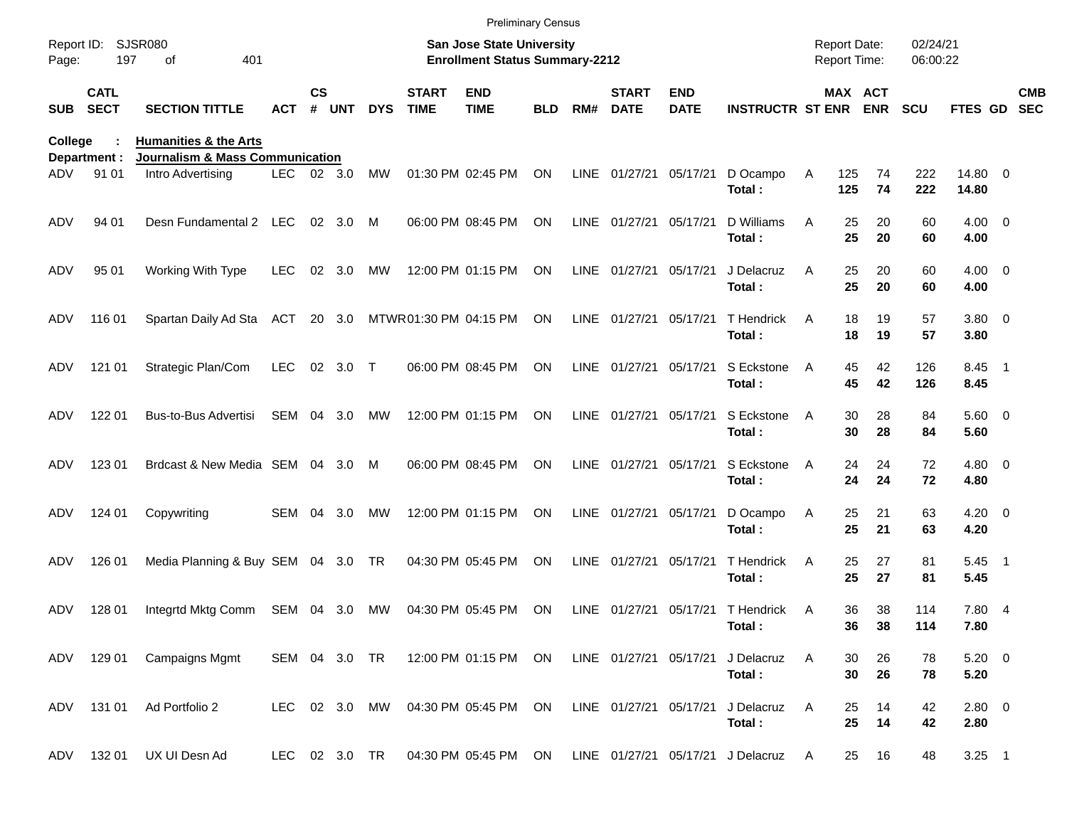|                       |                            |                                                                                                     |               |           |                |               |                             | <b>Preliminary Census</b>                                                 |            |     |                             |                           |                                                        |                                     |                            |                      |                             |                          |
|-----------------------|----------------------------|-----------------------------------------------------------------------------------------------------|---------------|-----------|----------------|---------------|-----------------------------|---------------------------------------------------------------------------|------------|-----|-----------------------------|---------------------------|--------------------------------------------------------|-------------------------------------|----------------------------|----------------------|-----------------------------|--------------------------|
| Report ID:<br>Page:   | 197                        | SJSR080<br>401<br>of                                                                                |               |           |                |               |                             | <b>San Jose State University</b><br><b>Enrollment Status Summary-2212</b> |            |     |                             |                           |                                                        | <b>Report Date:</b><br>Report Time: |                            | 02/24/21<br>06:00:22 |                             |                          |
| <b>SUB</b>            | <b>CATL</b><br><b>SECT</b> | <b>SECTION TITTLE</b>                                                                               | <b>ACT</b>    | <b>CS</b> | # UNT          | <b>DYS</b>    | <b>START</b><br><b>TIME</b> | <b>END</b><br><b>TIME</b>                                                 | <b>BLD</b> | RM# | <b>START</b><br><b>DATE</b> | <b>END</b><br><b>DATE</b> | <b>INSTRUCTR ST ENR ENR</b>                            |                                     | MAX ACT                    | <b>SCU</b>           | <b>FTES GD</b>              | <b>CMB</b><br><b>SEC</b> |
| <b>College</b><br>ADV | Department :<br>91 01      | <b>Humanities &amp; the Arts</b><br><b>Journalism &amp; Mass Communication</b><br>Intro Advertising | LEC 02 3.0    |           |                | MW            |                             | 01:30 PM 02:45 PM                                                         | ON         |     | LINE 01/27/21               | 05/17/21                  | D Ocampo                                               | Α<br>125                            | 74                         | 222                  | 14.80 0                     |                          |
| ADV                   | 94 01                      | Desn Fundamental 2 LEC                                                                              |               |           | 02 3.0         | M             |                             | 06:00 PM 08:45 PM                                                         | <b>ON</b>  |     | LINE 01/27/21               | 05/17/21                  | Total:<br>D Williams<br>Total:                         | 125<br>A                            | 74<br>25<br>20<br>25<br>20 | 222<br>60<br>60      | 14.80<br>$4.00 \ 0$<br>4.00 |                          |
| ADV                   | 95 01                      | Working With Type                                                                                   | <b>LEC</b>    |           | $02 \quad 3.0$ | MW            |                             | 12:00 PM 01:15 PM                                                         | ON         |     | LINE 01/27/21               | 05/17/21                  | J Delacruz<br>Total:                                   | A                                   | 25<br>20<br>25<br>20       | 60<br>60             | $4.00 \ 0$<br>4.00          |                          |
| ADV                   | 116 01                     | Spartan Daily Ad Sta ACT 20 3.0                                                                     |               |           |                |               | MTWR01:30 PM 04:15 PM       |                                                                           | ON         |     | LINE 01/27/21               | 05/17/21                  | T Hendrick<br>Total:                                   | A                                   | 18<br>19<br>18<br>19       | 57<br>57             | $3.80\ 0$<br>3.80           |                          |
| ADV                   | 121 01                     | Strategic Plan/Com                                                                                  | <b>LEC</b>    |           | 02 3.0         | $\top$        |                             | 06:00 PM 08:45 PM                                                         | ON         |     | LINE 01/27/21               | 05/17/21                  | S Eckstone<br>Total:                                   | A                                   | 42<br>45<br>45<br>42       | 126<br>126           | 8.45 1<br>8.45              |                          |
| ADV                   | 122 01                     | Bus-to-Bus Advertisi                                                                                | SEM           |           | 04 3.0         | MW            |                             | 12:00 PM 01:15 PM                                                         | ON         |     | LINE 01/27/21               | 05/17/21                  | S Eckstone<br>Total:                                   | A                                   | 30<br>28<br>30<br>28       | 84<br>84             | 5.60 0<br>5.60              |                          |
| ADV                   | 123 01                     | Brdcast & New Media SEM 04 3.0                                                                      |               |           |                | M             |                             | 06:00 PM 08:45 PM                                                         | ON         |     | LINE 01/27/21               | 05/17/21                  | S Eckstone<br>Total:                                   | A                                   | 24<br>24<br>24<br>24       | 72<br>72             | $4.80\ 0$<br>4.80           |                          |
| ADV                   | 124 01                     | Copywriting                                                                                         | SEM           | 04        | 3.0            | MW            |                             | 12:00 PM 01:15 PM                                                         | ON         |     | LINE 01/27/21               | 05/17/21                  | D Ocampo<br>Total:                                     | A                                   | 25<br>21<br>25<br>21       | 63<br>63             | $4.20 \ 0$<br>4.20          |                          |
| ADV                   | 126 01                     | Media Planning & Buy SEM 04 3.0 TR                                                                  |               |           |                |               |                             | 04:30 PM 05:45 PM                                                         | ON         |     | LINE 01/27/21               | 05/17/21                  | T Hendrick<br>Total:                                   | A                                   | 25<br>27<br>25<br>27       | 81<br>81             | $5.45$ 1<br>5.45            |                          |
| ADV                   | 128 01                     | Integrtd Mktg Comm                                                                                  | SEM 04 3.0    |           |                | МW            |                             | 04:30 PM 05:45 PM                                                         | ON         |     | LINE 01/27/21 05/17/21      |                           | T Hendrick<br>Total:                                   | A                                   | 36<br>38<br>36<br>38       | 114<br>114           | 7.80 4<br>7.80              |                          |
|                       |                            | ADV 129 01 Campaigns Mgmt                                                                           |               |           |                | SEM 04 3.0 TR |                             | 12:00 PM 01:15 PM ON                                                      |            |     | LINE 01/27/21 05/17/21      |                           | J Delacruz<br>Total:                                   | Α                                   | 26<br>30<br>30<br>26       | 78<br>78             | $5.20 \ 0$<br>5.20          |                          |
|                       |                            | ADV 131 01 Ad Portfolio 2                                                                           | LEC 02 3.0 MW |           |                |               |                             | 04:30 PM 05:45 PM ON                                                      |            |     | LINE 01/27/21 05/17/21      |                           | J Delacruz<br>Total:                                   | Α                                   | 25<br>14<br>25<br>14       | 42<br>42             | 2.80 0<br>2.80              |                          |
| ADV                   | 132 01                     | UX UI Desn Ad                                                                                       |               |           |                | LEC 02 3.0 TR |                             |                                                                           |            |     |                             |                           | 04:30 PM 05:45 PM ON LINE 01/27/21 05/17/21 J Delacruz | <b>A</b>                            | 16<br>25                   | 48                   | $3.25$ 1                    |                          |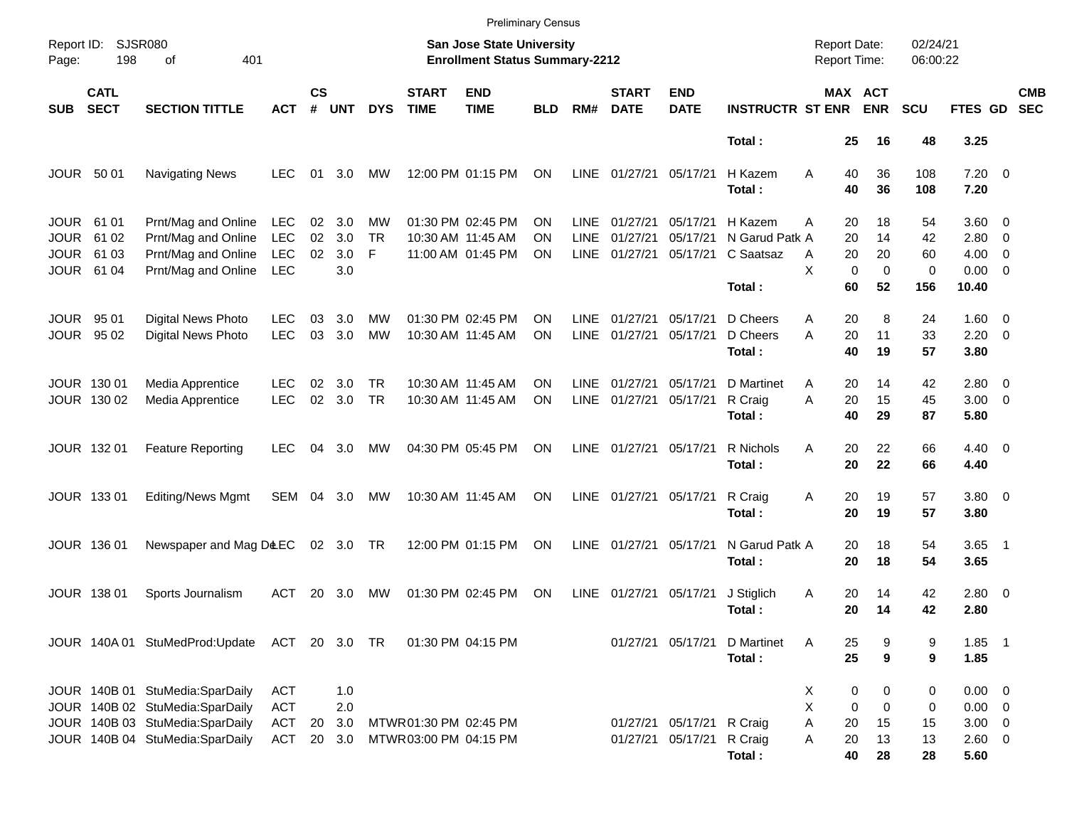|                     |                            |                                              |                   |                    |            |            |                             | <b>Preliminary Census</b>                                                 |            |             |                             |                           |                         |                                            |                              |                      |                           |                          |
|---------------------|----------------------------|----------------------------------------------|-------------------|--------------------|------------|------------|-----------------------------|---------------------------------------------------------------------------|------------|-------------|-----------------------------|---------------------------|-------------------------|--------------------------------------------|------------------------------|----------------------|---------------------------|--------------------------|
| Report ID:<br>Page: | <b>SJSR080</b><br>198      | 401<br>of                                    |                   |                    |            |            |                             | <b>San Jose State University</b><br><b>Enrollment Status Summary-2212</b> |            |             |                             |                           |                         | <b>Report Date:</b><br><b>Report Time:</b> |                              | 02/24/21<br>06:00:22 |                           |                          |
| <b>SUB</b>          | <b>CATL</b><br><b>SECT</b> | <b>SECTION TITTLE</b>                        | <b>ACT</b>        | $\mathsf{cs}$<br># | <b>UNT</b> | <b>DYS</b> | <b>START</b><br><b>TIME</b> | <b>END</b><br><b>TIME</b>                                                 | <b>BLD</b> | RM#         | <b>START</b><br><b>DATE</b> | <b>END</b><br><b>DATE</b> | <b>INSTRUCTR ST ENR</b> |                                            | <b>MAX ACT</b><br><b>ENR</b> | <b>SCU</b>           | FTES GD                   | <b>CMB</b><br><b>SEC</b> |
|                     |                            |                                              |                   |                    |            |            |                             |                                                                           |            |             |                             |                           | Total:                  | 25                                         | 16                           | 48                   | 3.25                      |                          |
| JOUR 50 01          |                            | <b>Navigating News</b>                       | <b>LEC</b>        | 01                 | 3.0        | MW         |                             | 12:00 PM 01:15 PM                                                         | ON         | LINE        | 01/27/21                    | 05/17/21                  | H Kazem<br>Total:       | A<br>40<br>40                              | 36<br>36                     | 108<br>108           | $7.20 \t 0$<br>7.20       |                          |
| JOUR                | 61 01                      | Prnt/Mag and Online                          | LEC               | 02                 | 3.0        | MW         |                             | 01:30 PM 02:45 PM                                                         | ON         | <b>LINE</b> | 01/27/21                    | 05/17/21                  | H Kazem                 | 20<br>A                                    | 18                           | 54                   | $3.60 \ 0$                |                          |
| <b>JOUR</b>         | 61 02                      | Prnt/Mag and Online                          | LEC               | 02                 | 3.0        | <b>TR</b>  |                             | 10:30 AM 11:45 AM                                                         | ΟN         | <b>LINE</b> | 01/27/21                    | 05/17/21                  | N Garud Patk A          | 20                                         | 14                           | 42                   | $2.80 \t 0$               |                          |
| JOUR<br><b>JOUR</b> | 61 03<br>61 04             | Prnt/Mag and Online<br>Prnt/Mag and Online   | LEC<br><b>LEC</b> | 02                 | 3.0<br>3.0 | F          |                             | 11:00 AM 01:45 PM                                                         | OΝ         | LINE        | 01/27/21                    | 05/17/21                  | C Saatsaz               | 20<br>A<br>X<br>$\mathbf 0$                | 20<br>$\mathbf 0$            | 60<br>0              | $4.00 \ 0$<br>$0.00 \t 0$ |                          |
|                     |                            |                                              |                   |                    |            |            |                             |                                                                           |            |             |                             |                           | Total:                  | 60                                         | 52                           | 156                  | 10.40                     |                          |
| <b>JOUR</b>         | 95 01                      | <b>Digital News Photo</b>                    | <b>LEC</b>        | 03                 | 3.0        | MW         |                             | 01:30 PM 02:45 PM                                                         | ΟN         | <b>LINE</b> | 01/27/21                    | 05/17/21                  | D Cheers                | 20<br>A                                    | 8                            | 24                   | $1.60 \t 0$               |                          |
| JOUR                | 95 02                      | Digital News Photo                           | <b>LEC</b>        | 03                 | 3.0        | <b>MW</b>  |                             | 10:30 AM 11:45 AM                                                         | ΟN         | <b>LINE</b> | 01/27/21                    | 05/17/21                  | D Cheers<br>Total:      | 20<br>A<br>40                              | 11<br>19                     | 33<br>57             | $2.20 \t 0$<br>3.80       |                          |
|                     |                            |                                              |                   |                    |            |            |                             |                                                                           |            |             |                             |                           |                         |                                            |                              |                      |                           |                          |
|                     | JOUR 130 01                | Media Apprentice                             | <b>LEC</b>        | 02                 | 3.0        | <b>TR</b>  |                             | 10:30 AM 11:45 AM                                                         | OΝ         | <b>LINE</b> | 01/27/21                    | 05/17/21                  | D Martinet              | 20<br>A                                    | 14                           | 42                   | $2.80 \t 0$               |                          |
|                     | JOUR 130 02                | Media Apprentice                             | <b>LEC</b>        | 02                 | 3.0        | <b>TR</b>  |                             | 10:30 AM 11:45 AM                                                         | ON         | LINE        | 01/27/21                    | 05/17/21                  | R Craig<br>Total:       | A<br>20<br>40                              | 15<br>29                     | 45<br>87             | $3.00 \ 0$<br>5.80        |                          |
|                     | JOUR 132 01                | <b>Feature Reporting</b>                     | <b>LEC</b>        | 04                 | 3.0        | МW         |                             | 04:30 PM 05:45 PM                                                         | <b>ON</b>  | <b>LINE</b> | 01/27/21                    | 05/17/21                  | R Nichols               | A<br>20                                    | 22                           | 66                   | $4.40 \quad 0$            |                          |
|                     |                            |                                              |                   |                    |            |            |                             |                                                                           |            |             |                             |                           | Total:                  | 20                                         | 22                           | 66                   | 4.40                      |                          |
|                     | JOUR 133 01                | <b>Editing/News Mgmt</b>                     | SEM 04 3.0        |                    |            | МW         |                             | 10:30 AM 11:45 AM                                                         | ON         |             | LINE 01/27/21               | 05/17/21                  | R Craig                 | Α<br>20                                    | 19                           | 57                   | $3.80\ 0$                 |                          |
|                     |                            |                                              |                   |                    |            |            |                             |                                                                           |            |             |                             |                           | Total:                  | 20                                         | 19                           | 57                   | 3.80                      |                          |
|                     | JOUR 136 01                | Newspaper and Mag D&EC                       |                   |                    | 02 3.0 TR  |            |                             | 12:00 PM 01:15 PM                                                         | ON         | LINE        | 01/27/21                    | 05/17/21                  | N Garud Patk A          | 20                                         | 18                           | 54                   | $3.65$ 1                  |                          |
|                     |                            |                                              |                   |                    |            |            |                             |                                                                           |            |             |                             |                           | Total:                  | 20                                         | 18                           | 54                   | 3.65                      |                          |
|                     | <b>JOUR 138 01</b>         | Sports Journalism                            | <b>ACT</b>        | 20                 | 3.0        | MW         |                             | 01:30 PM 02:45 PM                                                         | ON         | LINE        | 01/27/21                    | 05/17/21                  | J Stiglich              | 20<br>A                                    | 14                           | 42                   | $2.80 \t 0$               |                          |
|                     |                            |                                              |                   |                    |            |            |                             |                                                                           |            |             |                             |                           | Total:                  | 20                                         | 14                           | 42                   | 2.80                      |                          |
|                     |                            | JOUR 140A 01 StuMedProd:Update ACT 20 3.0 TR |                   |                    |            |            |                             | 01:30 PM 04:15 PM                                                         |            |             |                             | 01/27/21 05/17/21         | D Martinet              | A<br>25                                    | 9                            | 9                    | $1.85$ 1                  |                          |
|                     |                            |                                              |                   |                    |            |            |                             |                                                                           |            |             |                             |                           | Total:                  | 25                                         | 9                            | 9                    | 1.85                      |                          |
|                     |                            | JOUR 140B 01 StuMedia:SparDaily              | <b>ACT</b>        |                    | 1.0        |            |                             |                                                                           |            |             |                             |                           |                         | Х                                          | 0<br>0                       | 0                    | $0.00 \t 0$               |                          |
|                     |                            | JOUR 140B 02 StuMedia:SparDaily              | <b>ACT</b>        |                    | 2.0        |            |                             |                                                                           |            |             |                             |                           |                         | X<br>0                                     | 0                            | 0                    | $0.00 \t 0$               |                          |
|                     |                            | JOUR 140B 03 StuMedia:SparDaily              | ACT               | 20                 | 3.0        |            | MTWR01:30 PM 02:45 PM       |                                                                           |            |             | 01/27/21                    | 05/17/21                  | R Craig                 | Α<br>20                                    | 15                           | 15                   | $3.00 \ 0$                |                          |
|                     |                            | JOUR 140B 04 StuMedia:SparDaily              | ACT               | 20                 | 3.0        |            | MTWR03:00 PM 04:15 PM       |                                                                           |            |             | 01/27/21                    | 05/17/21                  | R Craig                 | Α<br>20                                    | 13                           | 13                   | 2.60 0                    |                          |
|                     |                            |                                              |                   |                    |            |            |                             |                                                                           |            |             |                             |                           | Total:                  | 40                                         | 28                           | 28                   | 5.60                      |                          |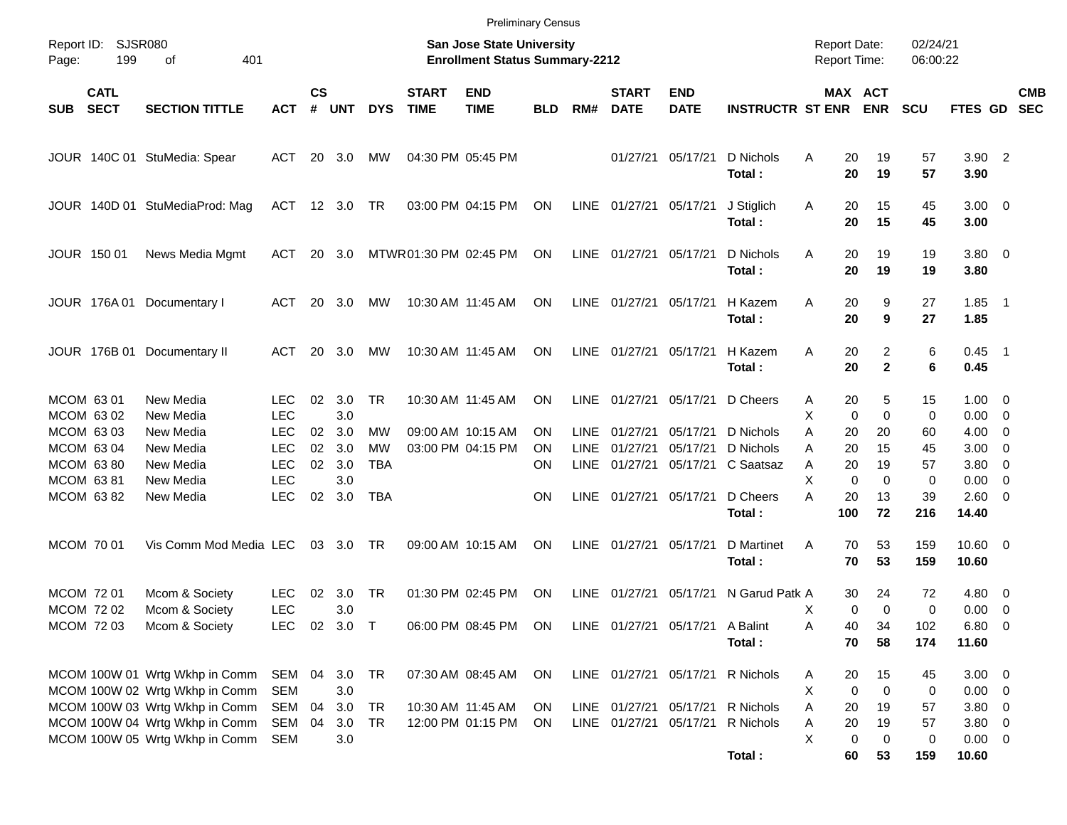|                     |                            |                                                                  |                          |                    |            |                        |                             | <b>Preliminary Census</b>                                                 |            |                     |                             |                                 |                                  |                                            |             |                                |                      |                           |                                                      |                          |
|---------------------|----------------------------|------------------------------------------------------------------|--------------------------|--------------------|------------|------------------------|-----------------------------|---------------------------------------------------------------------------|------------|---------------------|-----------------------------|---------------------------------|----------------------------------|--------------------------------------------|-------------|--------------------------------|----------------------|---------------------------|------------------------------------------------------|--------------------------|
| Report ID:<br>Page: | SJSR080<br>199             | 401<br>of                                                        |                          |                    |            |                        |                             | <b>San Jose State University</b><br><b>Enrollment Status Summary-2212</b> |            |                     |                             |                                 |                                  | <b>Report Date:</b><br><b>Report Time:</b> |             |                                | 02/24/21<br>06:00:22 |                           |                                                      |                          |
| <b>SUB</b>          | <b>CATL</b><br><b>SECT</b> | <b>SECTION TITTLE</b>                                            | <b>ACT</b>               | $\mathsf{cs}$<br># | <b>UNT</b> | <b>DYS</b>             | <b>START</b><br><b>TIME</b> | <b>END</b><br><b>TIME</b>                                                 | <b>BLD</b> | RM#                 | <b>START</b><br><b>DATE</b> | <b>END</b><br><b>DATE</b>       | <b>INSTRUCTR ST ENR</b>          | MAX ACT                                    |             | <b>ENR</b>                     | <b>SCU</b>           | <b>FTES GD</b>            |                                                      | <b>CMB</b><br><b>SEC</b> |
|                     |                            | JOUR 140C 01 StuMedia: Spear                                     | ACT                      | 20                 | 3.0        | МW                     |                             | 04:30 PM 05:45 PM                                                         |            |                     | 01/27/21                    | 05/17/21                        | D Nichols<br>Total:              | A                                          | 20<br>20    | 19<br>19                       | 57<br>57             | $3.90$ 2<br>3.90          |                                                      |                          |
|                     |                            | JOUR 140D 01 StuMediaProd: Mag                                   | ACT 12 3.0               |                    |            | TR.                    |                             | 03:00 PM 04:15 PM                                                         | ON         | LINE                | 01/27/21                    | 05/17/21                        | J Stiglich<br>Total:             | Α                                          | 20<br>20    | 15<br>15                       | 45<br>45             | $3.00 \ 0$<br>3.00        |                                                      |                          |
|                     | JOUR 150 01                | News Media Mgmt                                                  | ACT                      | 20                 | 3.0        |                        |                             | MTWR 01:30 PM 02:45 PM                                                    | <b>ON</b>  | <b>LINE</b>         | 01/27/21 05/17/21           |                                 | D Nichols<br>Total:              | A                                          | 20<br>20    | 19<br>19                       | 19<br>19             | $3.80\ 0$<br>3.80         |                                                      |                          |
|                     |                            | JOUR 176A 01 Documentary I                                       | ACT                      | 20                 | 3.0        | MW                     |                             | 10:30 AM 11:45 AM                                                         | <b>ON</b>  | <b>LINE</b>         | 01/27/21 05/17/21           |                                 | H Kazem<br>Total:                | A                                          | 20<br>20    | 9<br>9                         | 27<br>27             | $1.85$ 1<br>1.85          |                                                      |                          |
|                     |                            | JOUR 176B 01 Documentary II                                      | ACT                      | 20                 | 3.0        | MW                     |                             | 10:30 AM 11:45 AM                                                         | <b>ON</b>  | <b>LINE</b>         | 01/27/21 05/17/21           |                                 | H Kazem<br>Total:                | A                                          | 20<br>20    | $\overline{2}$<br>$\mathbf{2}$ | 6<br>6               | $0.45$ 1<br>0.45          |                                                      |                          |
|                     | MCOM 63 01<br>MCOM 63 02   | New Media<br>New Media                                           | <b>LEC</b><br><b>LEC</b> | 02                 | 3.0<br>3.0 | <b>TR</b>              |                             | 10:30 AM 11:45 AM                                                         | ON         | LINE                | 01/27/21                    | 05/17/21                        | D Cheers                         | Α<br>X                                     | 20<br>0     | 5<br>$\mathbf 0$               | 15<br>0              | $1.00 \t 0$<br>0.00       | $\overline{\phantom{0}}$                             |                          |
|                     | MCOM 63 03<br>MCOM 63 04   | New Media<br>New Media                                           | <b>LEC</b><br><b>LEC</b> | 02<br>02           | 3.0<br>3.0 | <b>MW</b><br><b>MW</b> |                             | 09:00 AM 10:15 AM<br>03:00 PM 04:15 PM                                    | ΟN<br>ΟN   | LINE<br><b>LINE</b> | 01/27/21<br>01/27/21        | 05/17/21<br>05/17/21            | D Nichols<br>D Nichols           | Α<br>Α                                     | 20<br>20    | 20<br>15                       | 60<br>45             | 4.00<br>3.00              | $\overline{\phantom{0}}$<br>$\overline{\phantom{0}}$ |                          |
|                     | MCOM 6380                  | New Media                                                        | <b>LEC</b>               | 02                 | 3.0        | <b>TBA</b>             |                             |                                                                           | ΟN         | LINE                | 01/27/21                    | 05/17/21                        | C Saatsaz                        | A                                          | 20          | 19                             | 57                   | 3.80 0                    |                                                      |                          |
|                     | MCOM 6381                  | New Media                                                        | <b>LEC</b>               |                    | 3.0        |                        |                             |                                                                           |            |                     |                             |                                 |                                  | X                                          | $\mathbf 0$ | $\mathbf 0$                    | 0                    | 0.00                      | $\overline{\phantom{0}}$                             |                          |
|                     | MCOM 63 82                 | New Media                                                        | <b>LEC</b>               | 02                 | 3.0        | <b>TBA</b>             |                             |                                                                           | ON         | <b>LINE</b>         | 01/27/21                    | 05/17/21                        | D Cheers                         | Α                                          | 20          | 13                             | 39                   | 2.60 0                    |                                                      |                          |
|                     |                            |                                                                  |                          |                    |            |                        |                             |                                                                           |            |                     |                             |                                 | Total:                           |                                            | 100         | 72                             | 216                  | 14.40                     |                                                      |                          |
|                     | MCOM 70 01                 | Vis Comm Mod Media LEC                                           |                          | 03                 | 3.0        | TR                     |                             | 09:00 AM 10:15 AM                                                         | ON         | LINE                | 01/27/21                    | 05/17/21                        | D Martinet<br>Total:             | A                                          | 70<br>70    | 53<br>53                       | 159<br>159           | $10.60 \t 0$<br>10.60     |                                                      |                          |
|                     | MCOM 72 01                 | Mcom & Society                                                   | <b>LEC</b>               | 02                 | 3.0        | <b>TR</b>              |                             | 01:30 PM 02:45 PM                                                         | ON         | <b>LINE</b>         | 01/27/21                    | 05/17/21                        | N Garud Patk A                   |                                            | 30          | 24                             | 72                   | 4.80 0                    |                                                      |                          |
|                     | <b>MCOM 7202</b>           | Mcom & Society                                                   | <b>LEC</b>               |                    | 3.0        |                        |                             |                                                                           |            |                     |                             |                                 |                                  | Χ                                          | 0           | $\Omega$                       | 0                    | $0.00 \t 0$               |                                                      |                          |
|                     | MCOM 72 03                 | Mcom & Society                                                   | LEC.                     |                    | 02 3.0 T   |                        |                             | 06:00 PM 08:45 PM                                                         | ON         |                     |                             | LINE 01/27/21 05/17/21 A Balint |                                  | Α                                          | 40          | 34                             | 102                  | $6.80$ 0                  |                                                      |                          |
|                     |                            |                                                                  |                          |                    |            |                        |                             |                                                                           |            |                     |                             |                                 | Total:                           |                                            | 70          | 58                             | 174                  | 11.60                     |                                                      |                          |
|                     |                            |                                                                  |                          |                    |            |                        |                             |                                                                           |            |                     |                             |                                 |                                  |                                            |             |                                |                      |                           |                                                      |                          |
|                     |                            | MCOM 100W 01 Wrtg Wkhp in Comm<br>MCOM 100W 02 Wrtg Wkhp in Comm | SEM 04<br><b>SEM</b>     |                    | 3.0<br>3.0 | TR                     |                             | 07:30 AM 08:45 AM                                                         | <b>ON</b>  |                     |                             |                                 | LINE 01/27/21 05/17/21 R Nichols | Α<br>х                                     | 20<br>0     | 15<br>0                        | 45<br>0              | $3.00 \ 0$<br>$0.00 \t 0$ |                                                      |                          |
|                     |                            | MCOM 100W 03 Wrtg Wkhp in Comm                                   | SEM                      | 04                 | 3.0        | TR                     |                             | 10:30 AM 11:45 AM                                                         | ON         |                     |                             |                                 | LINE 01/27/21 05/17/21 R Nichols | Α                                          | 20          | 19                             | 57                   | $3.80\ 0$                 |                                                      |                          |
|                     |                            | MCOM 100W 04 Wrtg Wkhp in Comm                                   | SEM                      | 04                 | 3.0        | TR                     |                             | 12:00 PM 01:15 PM                                                         | <b>ON</b>  |                     | LINE 01/27/21 05/17/21      |                                 | R Nichols                        | Α                                          | 20          | 19                             | 57                   | $3.80\ 0$                 |                                                      |                          |
|                     |                            | MCOM 100W 05 Wrtg Wkhp in Comm                                   | <b>SEM</b>               |                    | 3.0        |                        |                             |                                                                           |            |                     |                             |                                 |                                  | X                                          | 0           | 0                              | 0                    | $0.00 \t 0$               |                                                      |                          |
|                     |                            |                                                                  |                          |                    |            |                        |                             |                                                                           |            |                     |                             |                                 | Total:                           |                                            | 60          | 53                             | 159                  | 10.60                     |                                                      |                          |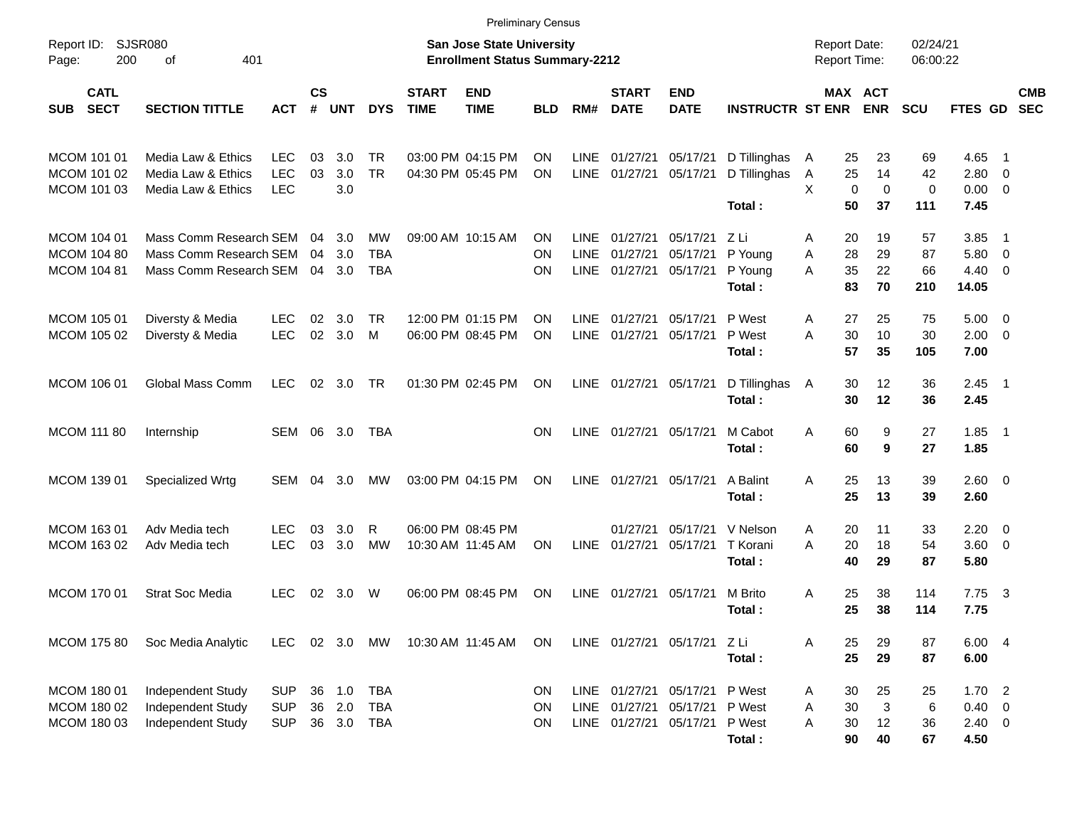|                                                  |                                                                            |                                        |                    |                      |                                 |                             |                                                                    | <b>Preliminary Census</b> |                                    |                                                          |                                  |                                      |                                            |                                  |                       |                                                |                                                     |                          |
|--------------------------------------------------|----------------------------------------------------------------------------|----------------------------------------|--------------------|----------------------|---------------------------------|-----------------------------|--------------------------------------------------------------------|---------------------------|------------------------------------|----------------------------------------------------------|----------------------------------|--------------------------------------|--------------------------------------------|----------------------------------|-----------------------|------------------------------------------------|-----------------------------------------------------|--------------------------|
| Report ID:<br>200<br>Page:                       | SJSR080<br>401<br>οf                                                       |                                        |                    |                      |                                 |                             | San Jose State University<br><b>Enrollment Status Summary-2212</b> |                           |                                    |                                                          |                                  |                                      | <b>Report Date:</b><br><b>Report Time:</b> |                                  | 02/24/21<br>06:00:22  |                                                |                                                     |                          |
| <b>CATL</b><br><b>SECT</b><br><b>SUB</b>         | <b>SECTION TITTLE</b>                                                      | <b>ACT</b>                             | $\mathsf{cs}$<br># | <b>UNT</b>           | <b>DYS</b>                      | <b>START</b><br><b>TIME</b> | <b>END</b><br><b>TIME</b>                                          | <b>BLD</b>                | RM#                                | <b>START</b><br><b>DATE</b>                              | <b>END</b><br><b>DATE</b>        | <b>INSTRUCTR ST ENR</b>              |                                            | MAX ACT<br><b>ENR</b>            | <b>SCU</b>            | <b>FTES GD</b>                                 |                                                     | <b>CMB</b><br><b>SEC</b> |
| MCOM 101 01<br>MCOM 101 02                       | Media Law & Ethics<br>Media Law & Ethics                                   | <b>LEC</b><br><b>LEC</b>               | 03<br>03           | 3.0<br>3.0           | <b>TR</b><br><b>TR</b>          |                             | 03:00 PM 04:15 PM<br>04:30 PM 05:45 PM                             | ON<br><b>ON</b>           | <b>LINE</b><br>LINE                | 01/27/21<br>01/27/21                                     | 05/17/21<br>05/17/21             | D Tillinghas<br>D Tillinghas         | 25<br>$\mathsf{A}$<br>25<br>A              | 23<br>14                         | 69<br>42              | 4.65<br>2.80                                   | $\overline{\phantom{1}}$<br>$\overline{\mathbf{0}}$ |                          |
| MCOM 101 03                                      | Media Law & Ethics                                                         | <b>LEC</b>                             |                    | 3.0                  |                                 |                             |                                                                    |                           |                                    |                                                          |                                  | Total:                               | X<br>50                                    | $\mathbf 0$<br>$\mathbf 0$<br>37 | $\mathbf 0$<br>111    | 0.00<br>7.45                                   | $\overline{\mathbf{0}}$                             |                          |
| MCOM 104 01<br>MCOM 104 80<br><b>MCOM 104 81</b> | Mass Comm Research SEM<br>Mass Comm Research SEM<br>Mass Comm Research SEM |                                        | 04<br>04           | 3.0<br>3.0<br>04 3.0 | MW<br><b>TBA</b><br><b>TBA</b>  |                             | 09:00 AM 10:15 AM                                                  | ON<br>ON<br>ΟN            | <b>LINE</b><br><b>LINE</b><br>LINE | 01/27/21<br>01/27/21<br>01/27/21                         | 05/17/21<br>05/17/21<br>05/17/21 | ZLi<br>P Young<br>P Young<br>Total:  | 20<br>A<br>28<br>Α<br>35<br>A<br>83        | 19<br>29<br>22<br>70             | 57<br>87<br>66<br>210 | 3.85<br>5.80<br>4.40<br>14.05                  | - 1<br>$\overline{\mathbf{0}}$<br>- 0               |                          |
| MCOM 105 01<br>MCOM 105 02                       | Diversty & Media<br>Diversty & Media                                       | <b>LEC</b><br><b>LEC</b>               | 02<br>02           | 3.0<br>3.0           | TR<br>M                         |                             | 12:00 PM 01:15 PM<br>06:00 PM 08:45 PM                             | ON<br>ΟN                  | <b>LINE</b><br><b>LINE</b>         | 01/27/21<br>01/27/21                                     | 05/17/21<br>05/17/21             | P West<br>P West<br>Total:           | 27<br>A<br>30<br>A<br>57                   | 25<br>10<br>35                   | 75<br>30<br>105       | 5.00<br>2.00<br>7.00                           | - 0<br>$\overline{\mathbf{0}}$                      |                          |
| MCOM 106 01                                      | Global Mass Comm                                                           | <b>LEC</b>                             | 02                 | 3.0                  | TR                              |                             | 01:30 PM 02:45 PM                                                  | ON                        | LINE                               | 01/27/21                                                 | 05/17/21                         | D Tillinghas<br>Total:               | 30<br>A<br>30                              | 12<br>12                         | 36<br>36              | 2.45<br>2.45                                   | $\overline{\phantom{1}}$                            |                          |
| <b>MCOM 111 80</b>                               | Internship                                                                 | SEM                                    | 06                 | 3.0                  | TBA                             |                             |                                                                    | <b>ON</b>                 | LINE                               | 01/27/21                                                 | 05/17/21                         | M Cabot<br>Total:                    | A<br>60<br>60                              | 9<br>9                           | 27<br>27              | 1.85<br>1.85                                   | $\overline{\phantom{1}}$                            |                          |
| MCOM 139 01                                      | Specialized Wrtg                                                           | <b>SEM</b>                             | 04                 | 3.0                  | MW                              |                             | 03:00 PM 04:15 PM                                                  | ON                        | LINE                               | 01/27/21                                                 | 05/17/21                         | A Balint<br>Total:                   | A<br>25<br>25                              | 13<br>13                         | 39<br>39              | 2.60 0<br>2.60                                 |                                                     |                          |
| MCOM 163 01<br>MCOM 163 02                       | Adv Media tech<br>Adv Media tech                                           | <b>LEC</b><br><b>LEC</b>               | 03<br>03           | 3.0<br>3.0           | R<br><b>MW</b>                  |                             | 06:00 PM 08:45 PM<br>10:30 AM 11:45 AM                             | ON                        | LINE                               | 01/27/21<br>01/27/21                                     | 05/17/21<br>05/17/21             | V Nelson<br>T Korani<br>Total:       | 20<br>A<br>A<br>20<br>40                   | 11<br>18<br>29                   | 33<br>54<br>87        | 2.20<br>3.60<br>5.80                           | $\overline{\mathbf{0}}$<br>- 0                      |                          |
| MCOM 170 01                                      | <b>Strat Soc Media</b>                                                     | <b>LEC</b>                             | 02                 | 3.0                  | W                               |                             | 06:00 PM 08:45 PM                                                  | ON                        | LINE                               | 01/27/21                                                 | 05/17/21                         | M Brito<br>Total:                    | Α<br>25<br>25                              | 38<br>38                         | 114<br>114            | 7.75<br>7.75                                   | - 3                                                 |                          |
| <b>MCOM 175 80</b>                               | Soc Media Analytic                                                         | LEC 02 3.0 MW                          |                    |                      |                                 |                             | 10:30 AM 11:45 AM                                                  | <b>ON</b>                 |                                    |                                                          | LINE 01/27/21 05/17/21 Z Li      | Total:                               | 25<br>A<br>25                              | 29<br>29                         | 87<br>87              | 6.00 4<br>6.00                                 |                                                     |                          |
| MCOM 180 01<br>MCOM 180 02<br>MCOM 180 03        | Independent Study<br>Independent Study<br>Independent Study                | <b>SUP</b><br><b>SUP</b><br><b>SUP</b> | 36<br>36<br>36     | 1.0<br>2.0<br>3.0    | <b>TBA</b><br><b>TBA</b><br>TBA |                             |                                                                    | ON<br>ON<br><b>ON</b>     |                                    | LINE 01/27/21 05/17/21<br>LINE 01/27/21<br>LINE 01/27/21 | 05/17/21<br>05/17/21             | P West<br>P West<br>P West<br>Total: | 30<br>A<br>30<br>Α<br>Α<br>30<br>90        | 25<br>$\sqrt{3}$<br>12<br>40     | 25<br>6<br>36<br>67   | 1.702<br>$0.40 \quad 0$<br>$2.40 \t 0$<br>4.50 |                                                     |                          |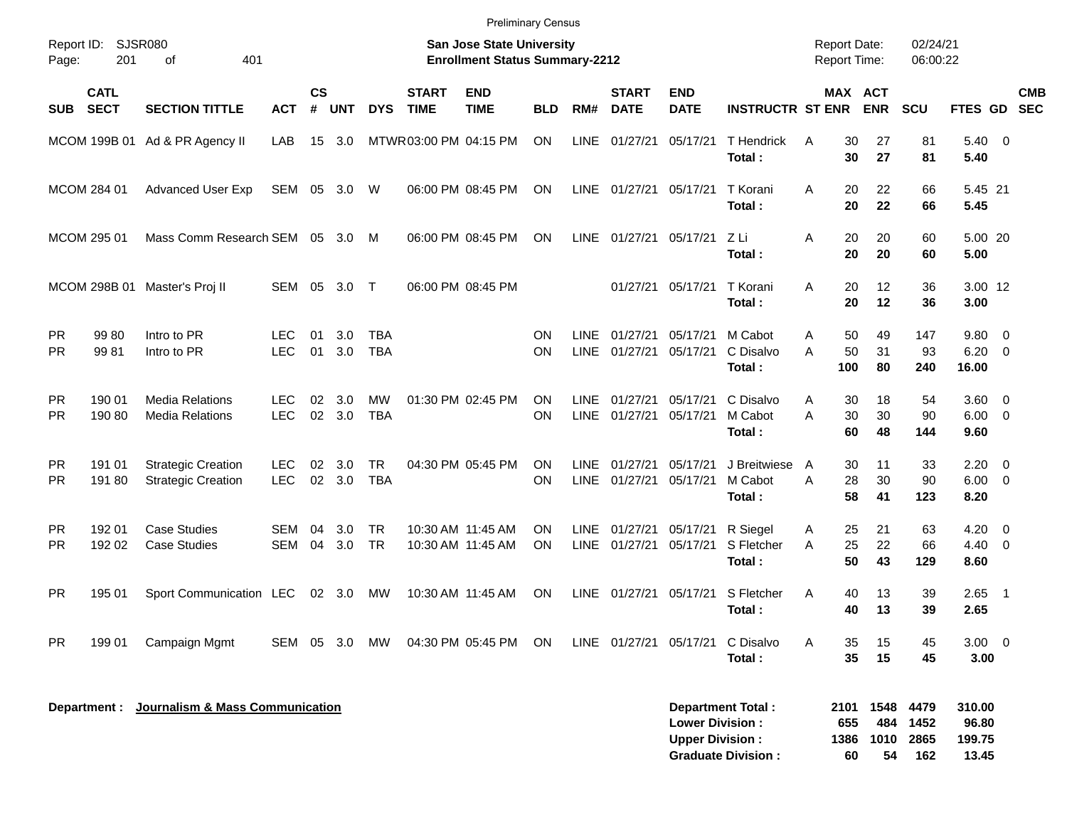|                        |                            |                                                        |                   |                    |            |                          |                             | <b>Preliminary Census</b>                                          |                        |                            |                             |                                                  |                                                |                                            |                           |                              |                             |                                       |            |
|------------------------|----------------------------|--------------------------------------------------------|-------------------|--------------------|------------|--------------------------|-----------------------------|--------------------------------------------------------------------|------------------------|----------------------------|-----------------------------|--------------------------------------------------|------------------------------------------------|--------------------------------------------|---------------------------|------------------------------|-----------------------------|---------------------------------------|------------|
| Report ID:<br>Page:    | 201                        | SJSR080<br>401<br>οf                                   |                   |                    |            |                          |                             | San Jose State University<br><b>Enrollment Status Summary-2212</b> |                        |                            |                             |                                                  |                                                | <b>Report Date:</b><br><b>Report Time:</b> |                           |                              | 02/24/21<br>06:00:22        |                                       |            |
| <b>SUB</b>             | <b>CATL</b><br><b>SECT</b> | <b>SECTION TITTLE</b>                                  | <b>ACT</b>        | $\mathsf{cs}$<br># | <b>UNT</b> | <b>DYS</b>               | <b>START</b><br><b>TIME</b> | <b>END</b><br><b>TIME</b>                                          | <b>BLD</b>             | RM#                        | <b>START</b><br><b>DATE</b> | <b>END</b><br><b>DATE</b>                        | <b>INSTRUCTR ST ENR</b>                        |                                            |                           | <b>MAX ACT</b><br><b>ENR</b> | <b>SCU</b>                  | FTES GD SEC                           | <b>CMB</b> |
|                        |                            | MCOM 199B 01 Ad & PR Agency II                         | LAB               |                    | 15 3.0     |                          | MTWR 03:00 PM 04:15 PM      |                                                                    | <b>ON</b>              | <b>LINE</b>                | 01/27/21                    | 05/17/21                                         | <b>T</b> Hendrick<br>Total:                    | A                                          | 30<br>30                  | 27<br>27                     | 81<br>81                    | $5.40 \ 0$<br>5.40                    |            |
|                        | MCOM 284 01                | <b>Advanced User Exp</b>                               | SEM               |                    | 05 3.0     | W                        |                             | 06:00 PM 08:45 PM                                                  | <b>ON</b>              | <b>LINE</b>                | 01/27/21                    | 05/17/21                                         | T Korani<br>Total:                             | A                                          | 20<br>20                  | 22<br>22                     | 66<br>66                    | 5.45 21<br>5.45                       |            |
|                        | MCOM 295 01                | Mass Comm Research SEM 05 3.0                          |                   |                    |            | M                        |                             | 06:00 PM 08:45 PM                                                  | <b>ON</b>              | <b>LINE</b>                | 01/27/21                    | 05/17/21 Z Li                                    | Total:                                         | Α                                          | 20<br>20                  | 20<br>20                     | 60<br>60                    | 5.00 20<br>5.00                       |            |
|                        |                            | MCOM 298B 01 Master's Proj II                          | SEM               | 05                 | 3.0        | $\top$                   |                             | 06:00 PM 08:45 PM                                                  |                        |                            | 01/27/21                    | 05/17/21                                         | T Korani<br>Total:                             | A                                          | 20<br>20                  | 12<br>12                     | 36<br>36                    | 3.00 12<br>3.00                       |            |
| <b>PR</b><br><b>PR</b> | 99 80<br>9981              | Intro to PR<br>Intro to PR                             | LEC<br><b>LEC</b> | 01<br>01           | 3.0<br>3.0 | <b>TBA</b><br><b>TBA</b> |                             |                                                                    | <b>ON</b><br><b>ON</b> | <b>LINE</b><br><b>LINE</b> | 01/27/21<br>01/27/21        | 05/17/21<br>05/17/21                             | M Cabot<br>C Disalvo<br>Total:                 | A<br>A                                     | 50<br>50<br>100           | 49<br>31<br>80               | 147<br>93<br>240            | 9.80 0<br>$6.20 \quad 0$<br>16.00     |            |
| <b>PR</b><br><b>PR</b> | 190 01<br>190 80           | <b>Media Relations</b><br><b>Media Relations</b>       | LEC<br><b>LEC</b> | 02<br>02           | 3.0<br>3.0 | MW<br><b>TBA</b>         |                             | 01:30 PM 02:45 PM                                                  | <b>ON</b><br><b>ON</b> | <b>LINE</b><br><b>LINE</b> | 01/27/21<br>01/27/21        | 05/17/21<br>05/17/21                             | C Disalvo<br>M Cabot<br>Total:                 | A<br>A                                     | 30<br>30<br>60            | 18<br>30<br>48               | 54<br>90<br>144             | 3.60 0<br>$6.00 \quad 0$<br>9.60      |            |
| <b>PR</b><br><b>PR</b> | 191 01<br>19180            | <b>Strategic Creation</b><br><b>Strategic Creation</b> | LEC<br><b>LEC</b> | 02<br>02           | 3.0<br>3.0 | <b>TR</b><br><b>TBA</b>  |                             | 04:30 PM 05:45 PM                                                  | <b>ON</b><br><b>ON</b> | <b>LINE</b><br><b>LINE</b> | 01/27/21<br>01/27/21        | 05/17/21<br>05/17/21                             | J Breitwiese<br>M Cabot<br>Total:              | A<br>A                                     | 30<br>28<br>58            | 11<br>30<br>41               | 33<br>90<br>123             | $2.20 \t 0$<br>$6.00 \quad 0$<br>8.20 |            |
| <b>PR</b><br>PR.       | 192 01<br>192 02           | <b>Case Studies</b><br><b>Case Studies</b>             | SEM<br>SEM        | 04<br>04           | 3.0<br>3.0 | <b>TR</b><br><b>TR</b>   |                             | 10:30 AM 11:45 AM<br>10:30 AM 11:45 AM                             | <b>ON</b><br><b>ON</b> | <b>LINE</b><br><b>LINE</b> | 01/27/21<br>01/27/21        | 05/17/21<br>05/17/21                             | R Siegel<br>S Fletcher<br>Total:               | A<br>A                                     | 25<br>25<br>50            | 21<br>22<br>43               | 63<br>66<br>129             | $4.20 \ 0$<br>$4.40 \quad 0$<br>8.60  |            |
| <b>PR</b>              | 195 01                     | Sport Communication LEC                                |                   |                    | 02 3.0     | МW                       |                             | 10:30 AM 11:45 AM                                                  | ON                     | <b>LINE</b>                | 01/27/21                    | 05/17/21                                         | S Fletcher<br>Total:                           | Α                                          | 40<br>40                  | 13<br>13                     | 39<br>39                    | $2.65$ 1<br>2.65                      |            |
| <b>PR</b>              | 199 01                     | Campaign Mgmt                                          | SEM 05 3.0        |                    |            | MW                       |                             | 04:30 PM 05:45 PM                                                  | ON                     |                            | LINE 01/27/21               | 05/17/21                                         | C Disalvo<br>Total:                            | A                                          | 35<br>35                  | 15<br>15                     | 45<br>45                    | $3.00 \ 0$<br>3.00                    |            |
|                        | Department :               | Journalism & Mass Communication                        |                   |                    |            |                          |                             |                                                                    |                        |                            |                             | <b>Lower Division:</b><br><b>Upper Division:</b> | Department Total:<br><b>Graduate Division:</b> |                                            | 2101<br>655<br>1386<br>60 | 1548<br>484<br>1010<br>54    | 4479<br>1452<br>2865<br>162 | 310.00<br>96.80<br>199.75<br>13.45    |            |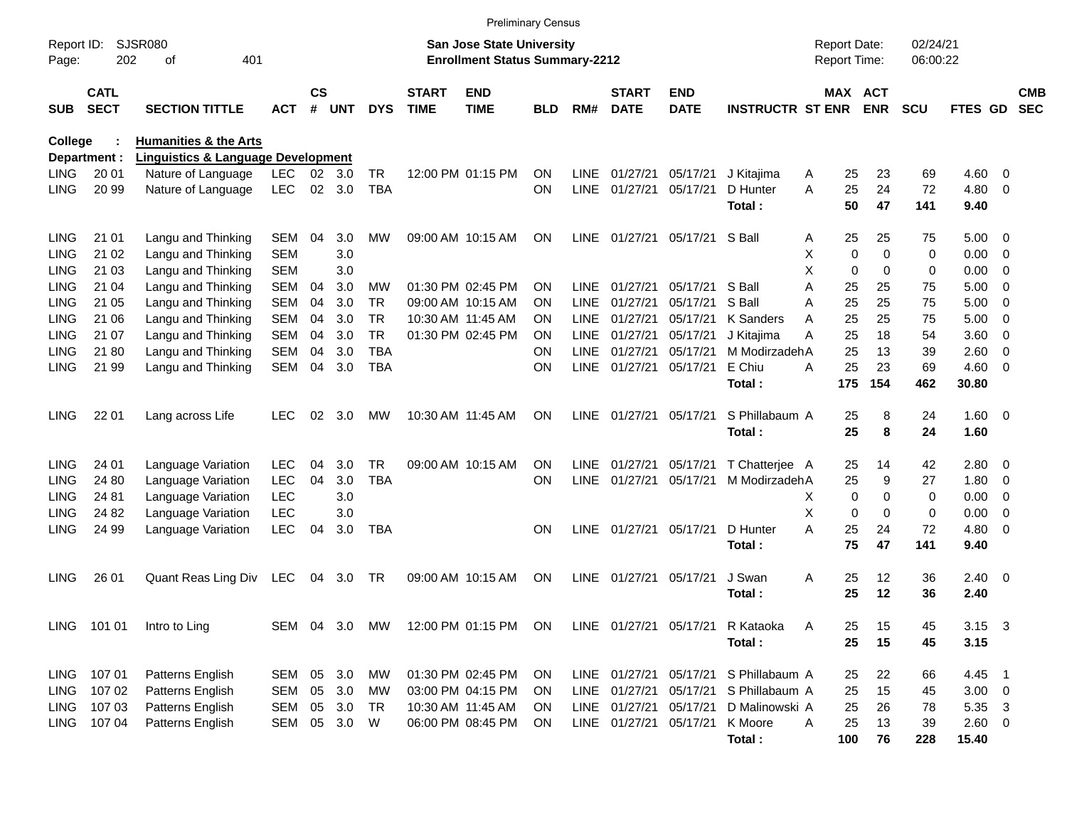|                     |                            |                                               |            |                    |               |            |                             | <b>Preliminary Census</b>                                                 |            |             |                             |                           |                                       |                                     |             |                              |                      |                |                         |                          |
|---------------------|----------------------------|-----------------------------------------------|------------|--------------------|---------------|------------|-----------------------------|---------------------------------------------------------------------------|------------|-------------|-----------------------------|---------------------------|---------------------------------------|-------------------------------------|-------------|------------------------------|----------------------|----------------|-------------------------|--------------------------|
| Report ID:<br>Page: | 202                        | <b>SJSR080</b><br>401<br>οf                   |            |                    |               |            |                             | <b>San Jose State University</b><br><b>Enrollment Status Summary-2212</b> |            |             |                             |                           |                                       | <b>Report Date:</b><br>Report Time: |             |                              | 02/24/21<br>06:00:22 |                |                         |                          |
| <b>SUB</b>          | <b>CATL</b><br><b>SECT</b> | <b>SECTION TITTLE</b>                         | <b>ACT</b> | $\mathsf{cs}$<br># | <b>UNT</b>    | <b>DYS</b> | <b>START</b><br><b>TIME</b> | <b>END</b><br><b>TIME</b>                                                 | <b>BLD</b> | RM#         | <b>START</b><br><b>DATE</b> | <b>END</b><br><b>DATE</b> | <b>INSTRUCTR ST ENR</b>               |                                     |             | <b>MAX ACT</b><br><b>ENR</b> | <b>SCU</b>           | FTES GD        |                         | <b>CMB</b><br><b>SEC</b> |
| <b>College</b>      |                            | <b>Humanities &amp; the Arts</b>              |            |                    |               |            |                             |                                                                           |            |             |                             |                           |                                       |                                     |             |                              |                      |                |                         |                          |
|                     | Department :               | <b>Linguistics &amp; Language Development</b> |            |                    |               |            |                             |                                                                           |            |             |                             |                           |                                       |                                     |             |                              |                      |                |                         |                          |
| LING                | 20 01                      | Nature of Language                            | <b>LEC</b> | 02                 | 3.0           | <b>TR</b>  |                             | 12:00 PM 01:15 PM                                                         | ΟN         | <b>LINE</b> | 01/27/21                    | 05/17/21                  | J Kitajima                            | Α                                   | 25          | 23                           | 69                   | 4.60           | - 0                     |                          |
| <b>LING</b>         | 20 99                      | Nature of Language                            | <b>LEC</b> | $02\,$             | 3.0           | <b>TBA</b> |                             |                                                                           | ON         | <b>LINE</b> | 01/27/21                    | 05/17/21                  | D Hunter<br>Total:                    | A                                   | 25<br>50    | 24<br>47                     | 72<br>141            | 4.80<br>9.40   | - 0                     |                          |
| <b>LING</b>         | 21 01                      | Langu and Thinking                            | <b>SEM</b> | 04                 | 3.0           | MW         |                             | 09:00 AM 10:15 AM                                                         | ΟN         | <b>LINE</b> |                             | 01/27/21 05/17/21 S Ball  |                                       | Α                                   | 25          | 25                           | 75                   | $5.00 \t 0$    |                         |                          |
| LING                | 21 02                      | Langu and Thinking                            | <b>SEM</b> |                    | 3.0           |            |                             |                                                                           |            |             |                             |                           |                                       | х                                   | $\mathbf 0$ | $\Omega$                     | 0                    | 0.00           | $\overline{\mathbf{0}}$ |                          |
| LING                | 21 03                      | Langu and Thinking                            | <b>SEM</b> |                    | 3.0           |            |                             |                                                                           |            |             |                             |                           |                                       | X                                   | $\mathbf 0$ | $\Omega$                     | 0                    | 0.00           | - 0                     |                          |
| LING                | 21 04                      | Langu and Thinking                            | <b>SEM</b> | 04                 | 3.0           | MW         |                             | 01:30 PM 02:45 PM                                                         | OΝ         | <b>LINE</b> | 01/27/21                    | 05/17/21                  | S Ball                                | A                                   | 25          | 25                           | 75                   | 5.00           | - 0                     |                          |
| LING                | 21 05                      | Langu and Thinking                            | <b>SEM</b> | 04                 | 3.0           | TR         |                             | 09:00 AM 10:15 AM                                                         | OΝ         | <b>LINE</b> | 01/27/21                    | 05/17/21                  | S Ball                                | Α                                   | 25          | 25                           | 75                   | 5.00           | - 0                     |                          |
| LING                | 21 06                      | Langu and Thinking                            | <b>SEM</b> | 04                 | 3.0           | <b>TR</b>  |                             | 10:30 AM 11:45 AM                                                         | ON         | <b>LINE</b> | 01/27/21                    | 05/17/21                  | K Sanders                             | Α                                   | 25          | 25                           | 75                   | 5.00           | - 0                     |                          |
| LING                | 21 07                      | Langu and Thinking                            | <b>SEM</b> | 04                 | 3.0           | <b>TR</b>  |                             | 01:30 PM 02:45 PM                                                         | ΟN         | <b>LINE</b> | 01/27/21                    | 05/17/21                  | J Kitajima                            | А                                   | 25          | 18                           | 54                   | 3.60           | - 0                     |                          |
| LING                | 21 80                      | Langu and Thinking                            | <b>SEM</b> | 04                 | 3.0           | <b>TBA</b> |                             |                                                                           | OΝ         | <b>LINE</b> | 01/27/21                    | 05/17/21                  | M ModirzadehA                         |                                     | 25          | 13                           | 39                   | 2.60           | - 0                     |                          |
| <b>LING</b>         | 21 99                      | Langu and Thinking                            | <b>SEM</b> | 04                 | 3.0           | <b>TBA</b> |                             |                                                                           | ΟN         | <b>LINE</b> | 01/27/21                    | 05/17/21                  | E Chiu                                | А                                   | 25          | 23                           | 69                   | $4.60 \ 0$     |                         |                          |
|                     |                            |                                               |            |                    |               |            |                             |                                                                           |            |             |                             |                           | Total:                                |                                     | 175         | 154                          | 462                  | 30.80          |                         |                          |
| <b>LING</b>         | 22 01                      | Lang across Life                              | <b>LEC</b> | 02                 | 3.0           | MW         |                             | 10:30 AM 11:45 AM                                                         | ΟN         | <b>LINE</b> | 01/27/21                    | 05/17/21                  | S Phillabaum A                        |                                     | 25          | 8                            | 24                   | $1.60 \t 0$    |                         |                          |
|                     |                            |                                               |            |                    |               |            |                             |                                                                           |            |             |                             |                           | Total:                                |                                     | 25          | 8                            | 24                   | 1.60           |                         |                          |
|                     |                            |                                               |            |                    |               |            |                             |                                                                           |            |             |                             |                           |                                       |                                     |             |                              |                      |                |                         |                          |
| <b>LING</b>         | 24 01                      | Language Variation                            | <b>LEC</b> | 04                 | 3.0           | TR         |                             | 09:00 AM 10:15 AM                                                         | ΟN         | <b>LINE</b> | 01/27/21                    | 05/17/21                  | T Chatterjee A                        |                                     | 25          | 14                           | 42                   | $2.80 \t 0$    |                         |                          |
| <b>LING</b>         | 24 80                      | Language Variation                            | <b>LEC</b> | 04                 | 3.0           | <b>TBA</b> |                             |                                                                           | ΟN         | <b>LINE</b> | 01/27/21                    | 05/17/21                  | M ModirzadehA                         |                                     | 25          | 9                            | 27                   | 1.80           | $\overline{\mathbf{0}}$ |                          |
| LING                | 24 81                      | Language Variation                            | <b>LEC</b> |                    | 3.0           |            |                             |                                                                           |            |             |                             |                           |                                       | X                                   | $\mathbf 0$ | $\Omega$                     | 0                    | 0.00           | - 0                     |                          |
| LING                | 24 82                      | Language Variation                            | <b>LEC</b> |                    | 3.0           |            |                             |                                                                           |            |             |                             |                           |                                       | X                                   | $\mathbf 0$ | $\Omega$                     | 0                    | 0.00           | $\overline{0}$          |                          |
| <b>LING</b>         | 24 99                      | Language Variation                            | <b>LEC</b> | 04                 | 3.0           | TBA        |                             |                                                                           | ΟN         | <b>LINE</b> | 01/27/21 05/17/21           |                           | D Hunter<br>Total:                    | A                                   | 25<br>75    | 24<br>47                     | 72<br>141            | 4.80<br>9.40   | - 0                     |                          |
|                     |                            |                                               |            |                    |               |            |                             |                                                                           |            |             |                             |                           |                                       |                                     |             |                              |                      |                |                         |                          |
| <b>LING</b>         | 26 01                      | Quant Reas Ling Div                           | LEC        | 04                 | 3.0           | TR         |                             | 09:00 AM 10:15 AM                                                         | ON         | <b>LINE</b> | 01/27/21                    | 05/17/21                  | J Swan                                | Α                                   | 25          | 12                           | 36                   | $2.40 \ 0$     |                         |                          |
|                     |                            |                                               |            |                    |               |            |                             |                                                                           |            |             |                             |                           | Total:                                |                                     | 25          | 12                           | 36                   | 2.40           |                         |                          |
|                     |                            |                                               |            |                    |               |            |                             |                                                                           |            |             |                             |                           |                                       |                                     |             |                              |                      |                |                         |                          |
|                     | LING 101 01                | Intro to Ling                                 |            |                    | SEM 04 3.0 MW |            |                             | 12:00 PM 01:15 PM ON                                                      |            |             |                             |                           | LINE 01/27/21 05/17/21 R Kataoka      | Α                                   | 25          | 15                           | 45                   | $3.15 \quad 3$ |                         |                          |
|                     |                            |                                               |            |                    |               |            |                             |                                                                           |            |             |                             |                           | Total:                                |                                     | 25          | 15                           | 45                   | 3.15           |                         |                          |
|                     | LING 107 01                | Patterns English                              | SEM 05 3.0 |                    |               | MW         |                             | 01:30 PM 02:45 PM                                                         | <b>ON</b>  |             |                             |                           | LINE 01/27/21 05/17/21 S Phillabaum A |                                     | 25          | 22                           | 66                   | 4.45 1         |                         |                          |
| LING                | 107 02                     | Patterns English                              | SEM        |                    | 05 3.0        | МW         |                             | 03:00 PM 04:15 PM                                                         | <b>ON</b>  |             |                             |                           | LINE 01/27/21 05/17/21 S Phillabaum A |                                     | 25          | 15                           | 45                   | $3.00 \ 0$     |                         |                          |
| LING                | 107 03                     | Patterns English                              | SEM        |                    | 05 3.0        | TR         |                             | 10:30 AM 11:45 AM                                                         | ON.        |             |                             | LINE 01/27/21 05/17/21    | D Malinowski A                        |                                     | 25          | 26                           | 78                   | 5.35 3         |                         |                          |
| LING                | 107 04                     | Patterns English                              | SEM        |                    | 05 3.0        | W          |                             | 06:00 PM 08:45 PM                                                         | ON         |             |                             | LINE 01/27/21 05/17/21    | K Moore                               | A                                   | 25          | 13                           | 39                   | $2.60 \t 0$    |                         |                          |
|                     |                            |                                               |            |                    |               |            |                             |                                                                           |            |             |                             |                           | Total:                                |                                     | 100         | 76                           | 228                  | 15.40          |                         |                          |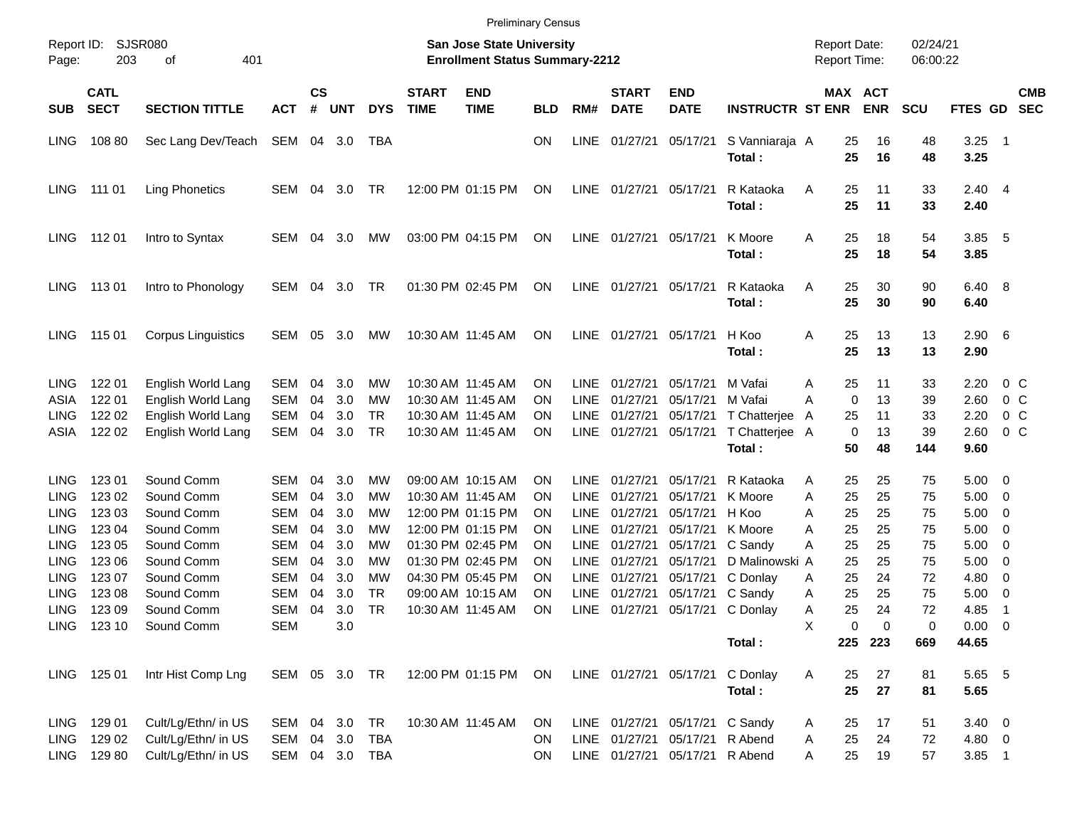|                            |                            |                                          |               |                |            |                |                             | <b>Preliminary Census</b>                                                 |            |                            |                             |                                |                                           |                                            |                       |                      |                       |                                  |
|----------------------------|----------------------------|------------------------------------------|---------------|----------------|------------|----------------|-----------------------------|---------------------------------------------------------------------------|------------|----------------------------|-----------------------------|--------------------------------|-------------------------------------------|--------------------------------------------|-----------------------|----------------------|-----------------------|----------------------------------|
| Report ID:<br>Page:        | 203                        | <b>SJSR080</b><br>401<br>οf              |               |                |            |                |                             | <b>San Jose State University</b><br><b>Enrollment Status Summary-2212</b> |            |                            |                             |                                |                                           | <b>Report Date:</b><br><b>Report Time:</b> |                       | 02/24/21<br>06:00:22 |                       |                                  |
| <b>SUB</b>                 | <b>CATL</b><br><b>SECT</b> | <b>SECTION TITTLE</b>                    | <b>ACT</b>    | <b>CS</b><br># | <b>UNT</b> | <b>DYS</b>     | <b>START</b><br><b>TIME</b> | <b>END</b><br><b>TIME</b>                                                 | <b>BLD</b> | RM#                        | <b>START</b><br><b>DATE</b> | <b>END</b><br><b>DATE</b>      | <b>INSTRUCTR ST ENR</b>                   |                                            | MAX ACT<br><b>ENR</b> | <b>SCU</b>           | FTES GD               | <b>CMB</b><br><b>SEC</b>         |
| <b>LING</b>                | 108 80                     | Sec Lang Dev/Teach                       | SEM           |                | 04 3.0     | TBA            |                             |                                                                           | OΝ         | <b>LINE</b>                | 01/27/21                    | 05/17/21                       | S Vanniaraja A<br>Total:                  | 25<br>25                                   | 16<br>16              | 48<br>48             | 3.25<br>3.25          | - 1                              |
| <b>LING</b>                | 111 01                     | <b>Ling Phonetics</b>                    | SEM           | 04             | 3.0        | TR             |                             | 12:00 PM 01:15 PM                                                         | ON         | <b>LINE</b>                | 01/27/21                    | 05/17/21                       | R Kataoka<br>Total:                       | 25<br>Α<br>25                              | 11<br>11              | 33<br>33             | $2.40$ 4<br>2.40      |                                  |
| <b>LING</b>                | 11201                      | Intro to Syntax                          | SEM           | 04             | 3.0        | МW             |                             | 03:00 PM 04:15 PM                                                         | ON         | <b>LINE</b>                | 01/27/21                    | 05/17/21                       | K Moore<br>Total:                         | 25<br>Α<br>25                              | 18<br>18              | 54<br>54             | 3.85<br>3.85          | - 5                              |
| LING                       | 11301                      | Intro to Phonology                       | SEM           | 04             | 3.0        | TR             |                             | 01:30 PM 02:45 PM                                                         | ON         | <b>LINE</b>                | 01/27/21                    | 05/17/21                       | R Kataoka<br>Total:                       | 25<br>Α<br>25                              | 30<br>30              | 90<br>90             | 6.40 8<br>6.40        |                                  |
| <b>LING</b>                | 115 01                     | <b>Corpus Linguistics</b>                | SEM           | 05             | 3.0        | МW             |                             | 10:30 AM 11:45 AM                                                         | <b>ON</b>  | <b>LINE</b>                | 01/27/21                    | 05/17/21                       | H Koo<br>Total:                           | Α<br>25<br>25                              | 13<br>13              | 13<br>13             | $2.90\quad 6$<br>2.90 |                                  |
| <b>LING</b>                | 122 01                     | English World Lang                       | SEM           | 04             | 3.0        | МW             |                             | 10:30 AM 11:45 AM                                                         | ΟN         | <b>LINE</b>                | 01/27/21                    | 05/17/21                       | M Vafai                                   | 25<br>Α                                    | 11                    | 33                   | 2.20                  | 0 C                              |
| ASIA<br><b>LING</b>        | 122 01<br>122 02           | English World Lang<br>English World Lang | SEM<br>SEM    | 04<br>04       | 3.0<br>3.0 | МW<br>TR       |                             | 10:30 AM 11:45 AM<br>10:30 AM 11:45 AM                                    | ΟN<br>OΝ   | <b>LINE</b><br><b>LINE</b> | 01/27/21<br>01/27/21        | 05/17/21<br>05/17/21           | M Vafai<br>T Chatterjee                   | 0<br>A<br>25                               | 13<br>11              | 39<br>33             | 2.60<br>2.20          | 0 <sup>o</sup><br>0 <sup>o</sup> |
| ASIA                       | 122 02                     | English World Lang                       | SEM           | 04             | 3.0        | TR             |                             | 10:30 AM 11:45 AM                                                         | ΟN         | <b>LINE</b>                | 01/27/21                    | 05/17/21                       | T Chatterjee                              | A<br>0<br>A                                | 13                    | 39                   | 2.60                  | 0 <sup>o</sup>                   |
|                            |                            |                                          |               |                |            |                |                             |                                                                           |            |                            |                             |                                | Total:                                    | 50                                         | 48                    | 144                  | 9.60                  |                                  |
| <b>LING</b>                | 123 01                     | Sound Comm                               | SEM           | 04             | 3.0        | МW             |                             | 09:00 AM 10:15 AM                                                         | ΟN         | <b>LINE</b>                | 01/27/21                    | 05/17/21                       | R Kataoka                                 | 25<br>Α                                    | 25                    | 75                   | 5.00                  | $\overline{\phantom{0}}$         |
| <b>LING</b>                | 123 02                     | Sound Comm                               | SEM           | 04             | 3.0        | МW             |                             | 10:30 AM 11:45 AM                                                         | ΟN         | <b>LINE</b>                | 01/27/21                    | 05/17/21                       | K Moore                                   | 25<br>A                                    | 25                    | 75                   | 5.00                  | $\overline{\phantom{0}}$         |
| <b>LING</b>                | 123 03                     | Sound Comm                               | SEM           | 04             | 3.0        | МW             |                             | 12:00 PM 01:15 PM                                                         | ΟN         | LINE                       | 01/27/21                    | 05/17/21                       | H Koo                                     | 25<br>Α                                    | 25                    | 75                   | 5.00                  | $\overline{\mathbf{0}}$          |
| <b>LING</b>                | 123 04                     | Sound Comm                               | SEM           | 04             | 3.0        | МW             |                             | 12:00 PM 01:15 PM                                                         | ΟN         | LINE                       | 01/27/21                    | 05/17/21                       | K Moore                                   | 25<br>Α                                    | 25                    | 75                   | 5.00                  | $\overline{\mathbf{0}}$          |
| <b>LING</b>                | 123 05                     | Sound Comm<br>Sound Comm                 | SEM           | 04             | 3.0        | МW             |                             | 01:30 PM 02:45 PM                                                         | ΟN         | <b>LINE</b>                | 01/27/21                    | 05/17/21                       | C Sandy                                   | 25<br>Α                                    | 25                    | 75                   | 5.00                  | $\overline{\mathbf{0}}$          |
| <b>LING</b><br><b>LING</b> | 123 06<br>123 07           | Sound Comm                               | SEM<br>SEM    | 04<br>04       | 3.0<br>3.0 | МW<br>МW       |                             | 01:30 PM 02:45 PM<br>04:30 PM 05:45 PM                                    | ΟN<br>ΟN   | LINE<br><b>LINE</b>        | 01/27/21<br>01/27/21        | 05/17/21<br>05/17/21           | D Malinowski A<br>C Donlay                | 25<br>25                                   | 25<br>24              | 75<br>72             | 5.00<br>4.80          | $\overline{\mathbf{0}}$<br>0     |
| <b>LING</b>                | 123 08                     | Sound Comm                               | <b>SEM</b>    | 04             | 3.0        | <b>TR</b>      |                             | 09:00 AM 10:15 AM                                                         | ΟN         | LINE                       | 01/27/21                    | 05/17/21                       | C Sandy                                   | Α<br>25<br>Α                               | 25                    | 75                   | 5.00                  | $\overline{\mathbf{0}}$          |
| <b>LING</b>                | 123 09                     | Sound Comm                               | SEM           | 04             | 3.0        | <b>TR</b>      |                             | 10:30 AM 11:45 AM                                                         | ΟN         | <b>LINE</b>                | 01/27/21                    |                                | 05/17/21 C Donlay                         | 25<br>Α                                    | 24                    | 72                   | 4.85                  | -1                               |
|                            |                            | LING 123 10 Sound Comm                   | SEM           |                | 3.0        |                |                             |                                                                           |            |                            |                             |                                |                                           | Х                                          | 0<br>0                | 0                    | $0.00 \t 0$           |                                  |
|                            |                            |                                          |               |                |            |                |                             |                                                                           |            |                            |                             |                                | Total:                                    |                                            | 225 223               | 669                  | 44.65                 |                                  |
|                            | LING 125 01                | Intr Hist Comp Lng                       | SEM 05 3.0 TR |                |            |                |                             | 12:00 PM 01:15 PM ON                                                      |            |                            |                             |                                | LINE 01/27/21 05/17/21 C Donlay<br>Total: | 25<br>A<br>25                              | 27<br>27              | 81<br>81             | 5.65 5<br>5.65        |                                  |
| <b>LING</b>                | 129 01                     | Cult/Lg/Ethn/ in US                      | SEM 04 3.0    |                |            | TR             |                             | 10:30 AM 11:45 AM                                                         | <b>ON</b>  |                            |                             | LINE 01/27/21 05/17/21 C Sandy |                                           | 25<br>A                                    | 17                    | 51                   | $3.40 \ 0$            |                                  |
| <b>LING</b>                | 129 02                     | Cult/Lg/Ethn/ in US                      |               |                |            | SEM 04 3.0 TBA |                             |                                                                           | <b>ON</b>  |                            |                             | LINE 01/27/21 05/17/21 R Abend |                                           | 25<br>A                                    | 24                    | 72                   | 4.80 0                |                                  |
|                            | LING 129 80                | Cult/Lg/Ethn/ in US                      |               |                |            | SEM 04 3.0 TBA |                             |                                                                           | ON.        |                            |                             | LINE 01/27/21 05/17/21 R Abend |                                           | 25<br>A                                    | 19                    | 57                   | $3.85$ 1              |                                  |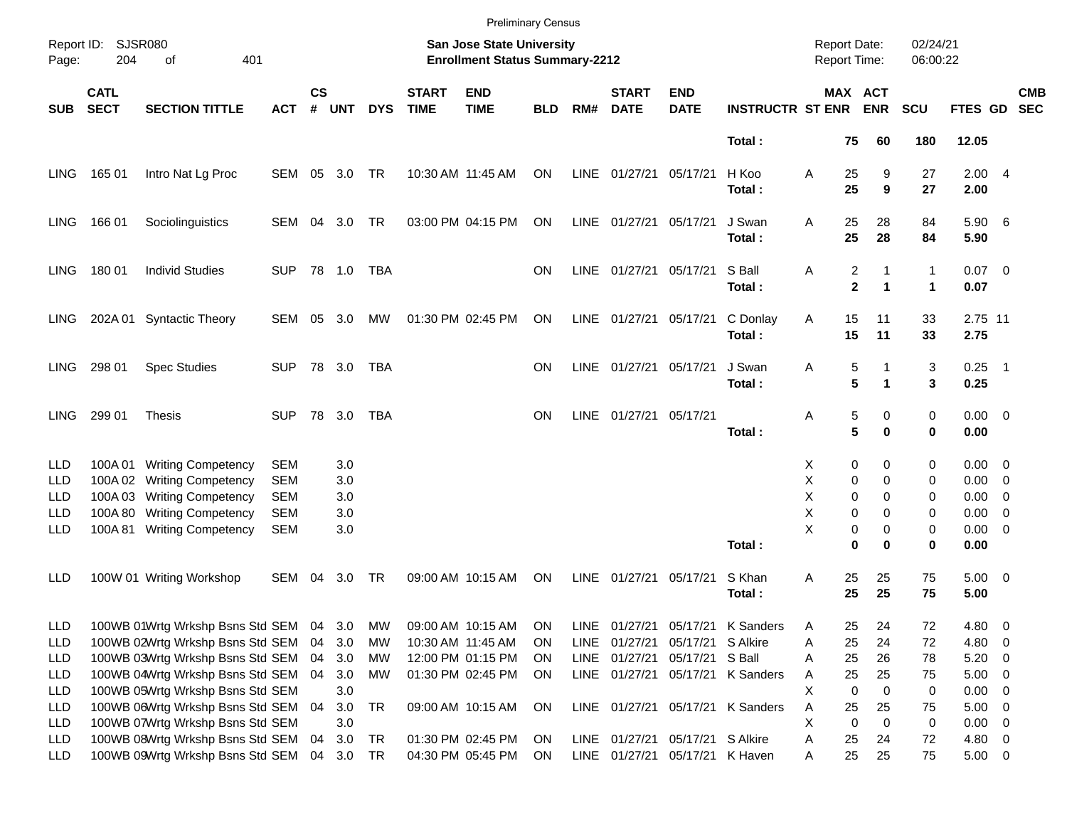|                                        |                            |                                                                                                          |                                        |                    |                         |            |                             |                                                                    | <b>Preliminary Census</b> |              |                             |                                                                   |                                  |                                                         |                                  |                           |                                      |                          |                          |
|----------------------------------------|----------------------------|----------------------------------------------------------------------------------------------------------|----------------------------------------|--------------------|-------------------------|------------|-----------------------------|--------------------------------------------------------------------|---------------------------|--------------|-----------------------------|-------------------------------------------------------------------|----------------------------------|---------------------------------------------------------|----------------------------------|---------------------------|--------------------------------------|--------------------------|--------------------------|
| Page:                                  | Report ID: SJSR080<br>204  | 401<br>οf                                                                                                |                                        |                    |                         |            |                             | San Jose State University<br><b>Enrollment Status Summary-2212</b> |                           |              |                             |                                                                   |                                  | <b>Report Date:</b><br>Report Time:                     |                                  | 02/24/21<br>06:00:22      |                                      |                          |                          |
| <b>SUB</b>                             | <b>CATL</b><br><b>SECT</b> | <b>SECTION TITTLE</b>                                                                                    | <b>ACT</b>                             | $\mathsf{cs}$<br># | <b>UNT</b>              | <b>DYS</b> | <b>START</b><br><b>TIME</b> | <b>END</b><br><b>TIME</b>                                          | <b>BLD</b>                | RM#          | <b>START</b><br><b>DATE</b> | <b>END</b><br><b>DATE</b>                                         | <b>INSTRUCTR ST ENR</b>          |                                                         | MAX ACT<br><b>ENR</b>            | <b>SCU</b>                | FTES GD                              |                          | <b>CMB</b><br><b>SEC</b> |
|                                        |                            |                                                                                                          |                                        |                    |                         |            |                             |                                                                    |                           |              |                             |                                                                   | Total:                           | 75                                                      | 60                               | 180                       | 12.05                                |                          |                          |
| LING.                                  | 165 01                     | Intro Nat Lg Proc                                                                                        | SEM                                    | 05                 | 3.0                     | TR         |                             | 10:30 AM 11:45 AM                                                  | ON                        | LINE         | 01/27/21                    | 05/17/21                                                          | H Koo<br>Total:                  | Α<br>25<br>25                                           | 9<br>9                           | 27<br>27                  | 2.004<br>2.00                        |                          |                          |
| LING.                                  | 166 01                     | Sociolinguistics                                                                                         | SEM                                    | 04                 | 3.0                     | TR         |                             | 03:00 PM 04:15 PM                                                  | ON                        | LINE         | 01/27/21                    | 05/17/21                                                          | J Swan<br>Total:                 | 25<br>Α<br>25                                           | 28<br>28                         | 84<br>84                  | 5.90 6<br>5.90                       |                          |                          |
| LING.                                  | 180 01                     | <b>Individ Studies</b>                                                                                   | <b>SUP</b>                             |                    |                         | TBA        |                             |                                                                    | ΟN                        | LINE         | 01/27/21                    | 05/17/21                                                          | S Ball<br>Total:                 | $\overline{\mathbf{c}}$<br>Α<br>$\overline{\mathbf{2}}$ | 1<br>1                           | 1<br>$\blacktriangleleft$ | $0.07$ 0<br>0.07                     |                          |                          |
| LING.                                  |                            | 202A 01 Syntactic Theory                                                                                 | SEM                                    | 05                 | 3.0                     | MW         |                             | 01:30 PM 02:45 PM                                                  | ON                        | LINE         | 01/27/21                    | 05/17/21                                                          | C Donlay<br>Total:               | 15<br>Α<br>15                                           | 11<br>11                         | 33<br>33                  | 2.75 11<br>2.75                      |                          |                          |
| LING.                                  | 298 01                     | <b>Spec Studies</b>                                                                                      | <b>SUP</b>                             |                    | 78 3.0                  | TBA        |                             |                                                                    | ΟN                        | LINE         | 01/27/21                    | 05/17/21                                                          | J Swan<br>Total:                 | 5<br>Α<br>5                                             | 1                                | 3<br>3                    | $0.25$ 1<br>0.25                     |                          |                          |
| <b>LING</b>                            | 299 01                     | <b>Thesis</b>                                                                                            | <b>SUP</b>                             |                    | 78 3.0                  | TBA        |                             |                                                                    | ΟN                        | LINE         | 01/27/21 05/17/21           |                                                                   | Total:                           | 5<br>Α<br>5                                             | 0<br>0                           | 0<br>0                    | $0.00 \t 0$<br>0.00                  |                          |                          |
| LLD<br>LLD<br>LLD                      | 100A 01<br>100A03          | <b>Writing Competency</b><br>100A 02 Writing Competency<br><b>Writing Competency</b>                     | <b>SEM</b><br><b>SEM</b><br><b>SEM</b> |                    | 3.0<br>3.0<br>3.0       |            |                             |                                                                    |                           |              |                             |                                                                   |                                  | 0<br>X<br>Χ<br>0<br>X<br>0                              | 0<br>0<br>0                      | 0<br>0<br>0               | $0.00 \t 0$<br>$0.00 \t 0$<br>0.00   | $\overline{\phantom{0}}$ |                          |
| LLD<br>LLD                             | 100A 80<br>100A 81         | <b>Writing Competency</b><br><b>Writing Competency</b>                                                   | <b>SEM</b><br><b>SEM</b>               |                    | 3.0<br>3.0              |            |                             |                                                                    |                           |              |                             |                                                                   | Total:                           | Χ<br>0<br>X<br>0<br>0                                   | 0<br>0<br>0                      | 0<br>0<br>0               | 0.00<br>$0.00 \t 0$<br>0.00          | $\overline{\phantom{0}}$ |                          |
| LLD                                    |                            | 100W 01 Writing Workshop                                                                                 | SEM                                    | 04                 | 3.0                     | TR         |                             | 09:00 AM 10:15 AM                                                  | ON                        | <b>LINE</b>  | 01/27/21                    | 05/17/21                                                          | S Khan<br>Total:                 | 25<br>Α<br>25                                           | 25<br>25                         | 75<br>75                  | $5.00 \t 0$<br>5.00                  |                          |                          |
| LLD<br>LLD                             |                            | 100WB 01Wrtg Wrkshp Bsns Std SEM<br>100WB 02Wrtg Wrkshp Bsns Std SEM                                     |                                        | 04<br>04           | 3.0<br>3.0              | MW<br>МW   |                             | 09:00 AM 10:15 AM<br>10:30 AM 11:45 AM                             | ON<br><b>ON</b>           | LINE<br>LINE | 01/27/21                    | 05/17/21 S Alkire                                                 | 01/27/21 05/17/21 K Sanders      | 25<br>Α<br>25<br>Α                                      | 24<br>24                         | 72<br>72                  | 4.80 0<br>4.80 0                     |                          |                          |
| <b>LLD</b><br><b>LLD</b>               |                            | 100WB 03Wrtg Wrkshp Bsns Std SEM<br>100WB 04Wrtg Wrkshp Bsns Std SEM                                     |                                        | 04<br>04           | 3.0<br>3.0              | МW<br>МW   |                             | 12:00 PM 01:15 PM<br>01:30 PM 02:45 PM                             | ON.<br>ON                 | LINE<br>LINE | 01/27/21                    | 05/17/21 S Ball                                                   | 01/27/21 05/17/21 K Sanders      | 25<br>Α<br>25<br>Α                                      | 26<br>25                         | 78<br>75                  | $5.20 \ 0$<br>$5.00 \t 0$            |                          |                          |
| <b>LLD</b><br><b>LLD</b>               |                            | 100WB 05Wrtg Wrkshp Bsns Std SEM<br>100WB 06Wrtg Wrkshp Bsns Std SEM                                     |                                        | 04                 | 3.0<br>3.0              | <b>TR</b>  |                             | 09:00 AM 10:15 AM                                                  | ON                        |              |                             |                                                                   | LINE 01/27/21 05/17/21 K Sanders | X<br>0<br>Α<br>25                                       | $\mathbf 0$<br>25<br>$\mathbf 0$ | 0<br>75                   | $0.00 \t 0$<br>$5.00 \t 0$           |                          |                          |
| <b>LLD</b><br><b>LLD</b><br><b>LLD</b> |                            | 100WB 07Wrtg Wrkshp Bsns Std SEM<br>100WB 08Wrtg Wrkshp Bsns Std SEM<br>100WB 09Wrtg Wrkshp Bsns Std SEM |                                        | 04                 | 3.0<br>3.0<br>04 3.0 TR | TR         |                             | 01:30 PM 02:45 PM<br>04:30 PM 05:45 PM                             | ON<br>ON                  |              |                             | LINE 01/27/21 05/17/21 S Alkire<br>LINE 01/27/21 05/17/21 K Haven |                                  | $\mathbf 0$<br>Χ<br>25<br>Α<br>25<br>Α                  | 24<br>25                         | 0<br>72<br>75             | $0.00 \t 0$<br>4.80 0<br>$5.00 \t 0$ |                          |                          |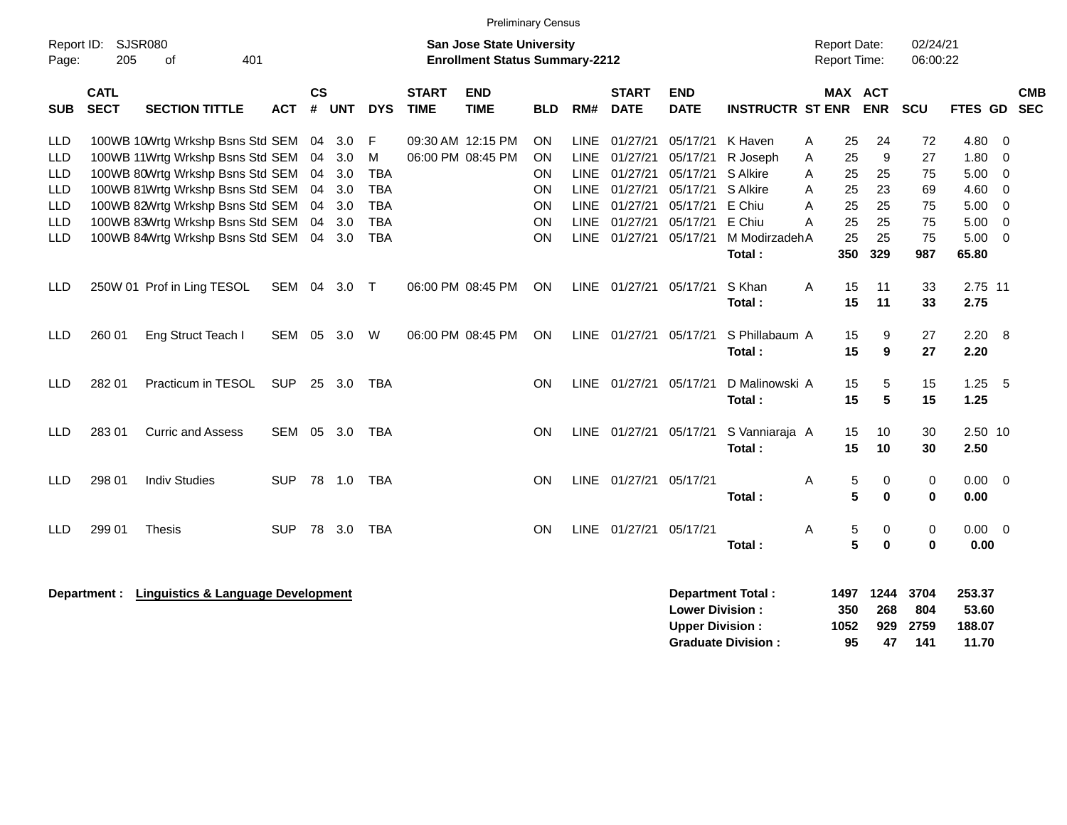|                                                                                                                                 | <b>Preliminary Census</b><br><b>Report Date:</b><br>02/24/21 |                                                                                                                                                                                                                                                          |            |                                        |                                               |                                                                              |                             |                                        |                                                                           |                                       |                                                                                                 |                                                                                  |                                                                                            |                            |                                               |                                              |                                               |                                                               |                                                                          |                          |
|---------------------------------------------------------------------------------------------------------------------------------|--------------------------------------------------------------|----------------------------------------------------------------------------------------------------------------------------------------------------------------------------------------------------------------------------------------------------------|------------|----------------------------------------|-----------------------------------------------|------------------------------------------------------------------------------|-----------------------------|----------------------------------------|---------------------------------------------------------------------------|---------------------------------------|-------------------------------------------------------------------------------------------------|----------------------------------------------------------------------------------|--------------------------------------------------------------------------------------------|----------------------------|-----------------------------------------------|----------------------------------------------|-----------------------------------------------|---------------------------------------------------------------|--------------------------------------------------------------------------|--------------------------|
| Report ID:<br>SJSR080<br><b>San Jose State University</b><br>205<br>401<br><b>Enrollment Status Summary-2212</b><br>of<br>Page: |                                                              |                                                                                                                                                                                                                                                          |            |                                        |                                               |                                                                              |                             |                                        |                                                                           |                                       |                                                                                                 |                                                                                  |                                                                                            | <b>Report Time:</b>        |                                               |                                              | 06:00:22                                      |                                                               |                                                                          |                          |
| <b>SUB</b>                                                                                                                      | <b>CATL</b><br><b>SECT</b>                                   | <b>SECTION TITTLE</b>                                                                                                                                                                                                                                    | <b>ACT</b> | $\mathsf{cs}$<br>#                     | <b>UNT</b>                                    | <b>DYS</b>                                                                   | <b>START</b><br><b>TIME</b> | <b>END</b><br><b>TIME</b>              | <b>BLD</b>                                                                | RM#                                   | <b>START</b><br><b>DATE</b>                                                                     | <b>END</b><br><b>DATE</b>                                                        | <b>INSTRUCTR ST ENR</b>                                                                    |                            | MAX ACT                                       | <b>ENR</b>                                   | SCU                                           | FTES GD                                                       |                                                                          | <b>CMB</b><br><b>SEC</b> |
| <b>LLD</b><br><b>LLD</b><br><b>LLD</b><br><b>LLD</b><br><b>LLD</b><br><b>LLD</b><br><b>LLD</b>                                  |                                                              | 100WB 10Wrtg Wrkshp Bsns Std SEM<br>100WB 11Wrtg Wrkshp Bsns Std SEM<br>100WB 80Wrtg Wrkshp Bsns Std SEM<br>100WB 81Wrtg Wrkshp Bsns Std SEM<br>100WB 82Wrtg Wrkshp Bsns Std SEM<br>100WB 83Wrtg Wrkshp Bsns Std SEM<br>100WB 84Wrtg Wrkshp Bsns Std SEM |            | 04<br>04<br>04<br>04<br>04<br>04<br>04 | 3.0<br>3.0<br>3.0<br>3.0<br>3.0<br>3.0<br>3.0 | F<br>M<br><b>TBA</b><br><b>TBA</b><br><b>TBA</b><br><b>TBA</b><br><b>TBA</b> |                             | 09:30 AM 12:15 PM<br>06:00 PM 08:45 PM | <b>ON</b><br><b>ON</b><br><b>ON</b><br><b>ON</b><br><b>ON</b><br>ON<br>ON | <b>LINE</b><br>LINE.<br>LINE.<br>LINE | LINE 01/27/21<br>01/27/21<br>LINE 01/27/21<br>01/27/21<br>01/27/21<br>01/27/21<br>LINE 01/27/21 | 05/17/21<br>05/17/21<br>05/17/21<br>05/17/21<br>05/17/21<br>05/17/21<br>05/17/21 | K Haven<br>R Joseph<br>S Alkire<br>S Alkire<br>E Chiu<br>E Chiu<br>M ModirzadehA<br>Total: | Α<br>A<br>A<br>A<br>A<br>A | 25<br>25<br>25<br>25<br>25<br>25<br>25<br>350 | 24<br>9<br>25<br>23<br>25<br>25<br>25<br>329 | 72<br>27<br>75<br>69<br>75<br>75<br>75<br>987 | 4.80<br>1.80<br>5.00<br>4.60<br>5.00<br>5.00<br>5.00<br>65.80 | 0<br>0<br>$\mathbf 0$<br>$\mathbf 0$<br>$\Omega$<br>$\Omega$<br>$\Omega$ |                          |
| <b>LLD</b>                                                                                                                      |                                                              | 250W 01 Prof in Ling TESOL                                                                                                                                                                                                                               | <b>SEM</b> | 04                                     | 3.0                                           | $\top$                                                                       |                             | 06:00 PM 08:45 PM                      | ON                                                                        |                                       | LINE 01/27/21                                                                                   | 05/17/21                                                                         | S Khan<br>Total:                                                                           | A                          | 15<br>15                                      | 11<br>11                                     | 33<br>33                                      | 2.75 11<br>2.75                                               |                                                                          |                          |
| LLD                                                                                                                             | 260 01                                                       | Eng Struct Teach I                                                                                                                                                                                                                                       | SEM        | 05                                     | 3.0                                           | W                                                                            |                             | 06:00 PM 08:45 PM                      | <b>ON</b>                                                                 |                                       | LINE 01/27/21                                                                                   | 05/17/21                                                                         | S Phillabaum A<br>Total:                                                                   |                            | 15<br>15                                      | 9<br>9                                       | 27<br>27                                      | 2.20<br>2.20                                                  | 8                                                                        |                          |
| LLD                                                                                                                             | 282 01                                                       | Practicum in TESOL                                                                                                                                                                                                                                       | <b>SUP</b> | 25                                     | 3.0                                           | TBA                                                                          |                             |                                        | ON                                                                        |                                       | LINE 01/27/21                                                                                   | 05/17/21                                                                         | D Malinowski A<br>Total:                                                                   |                            | 15<br>15                                      | 5<br>5                                       | 15<br>15                                      | 1.25<br>1.25                                                  | - 5                                                                      |                          |
| LLD                                                                                                                             | 283 01                                                       | <b>Curric and Assess</b>                                                                                                                                                                                                                                 | SEM        | 05                                     | 3.0                                           | <b>TBA</b>                                                                   |                             |                                        | <b>ON</b>                                                                 |                                       | LINE 01/27/21                                                                                   | 05/17/21                                                                         | S Vanniaraja A<br>Total:                                                                   |                            | 15<br>15                                      | 10<br>10                                     | 30<br>30                                      | 2.50 10<br>2.50                                               |                                                                          |                          |
| <b>LLD</b>                                                                                                                      | 298 01                                                       | <b>Indiv Studies</b>                                                                                                                                                                                                                                     | <b>SUP</b> |                                        | 78 1.0                                        | <b>TBA</b>                                                                   |                             |                                        | <b>ON</b>                                                                 |                                       | LINE 01/27/21 05/17/21                                                                          |                                                                                  | Total:                                                                                     | A                          | 5<br>5                                        | 0<br>$\bf{0}$                                | 0<br>0                                        | $0.00 \ 0$<br>0.00                                            |                                                                          |                          |
| LLD                                                                                                                             | 299 01                                                       | <b>Thesis</b>                                                                                                                                                                                                                                            | <b>SUP</b> |                                        | 78 3.0                                        | <b>TBA</b>                                                                   |                             |                                        | <b>ON</b>                                                                 |                                       | LINE 01/27/21 05/17/21                                                                          |                                                                                  | Total:                                                                                     | Α                          | 5<br>5                                        | 0<br>$\mathbf 0$                             | 0<br>0                                        | $0.00 \t 0$<br>0.00                                           |                                                                          |                          |
|                                                                                                                                 | Department :                                                 | <b>Linguistics &amp; Language Development</b>                                                                                                                                                                                                            |            |                                        |                                               |                                                                              |                             |                                        |                                                                           |                                       |                                                                                                 | <b>Lower Division:</b><br><b>Upper Division:</b>                                 | <b>Department Total:</b>                                                                   | 1497<br>1052               | 350                                           | 1244<br>268<br>929                           | 3704<br>804<br>2759                           | 253.37<br>53.60<br>188.07                                     |                                                                          |                          |

**Graduate Division : 95 47 141 11.70**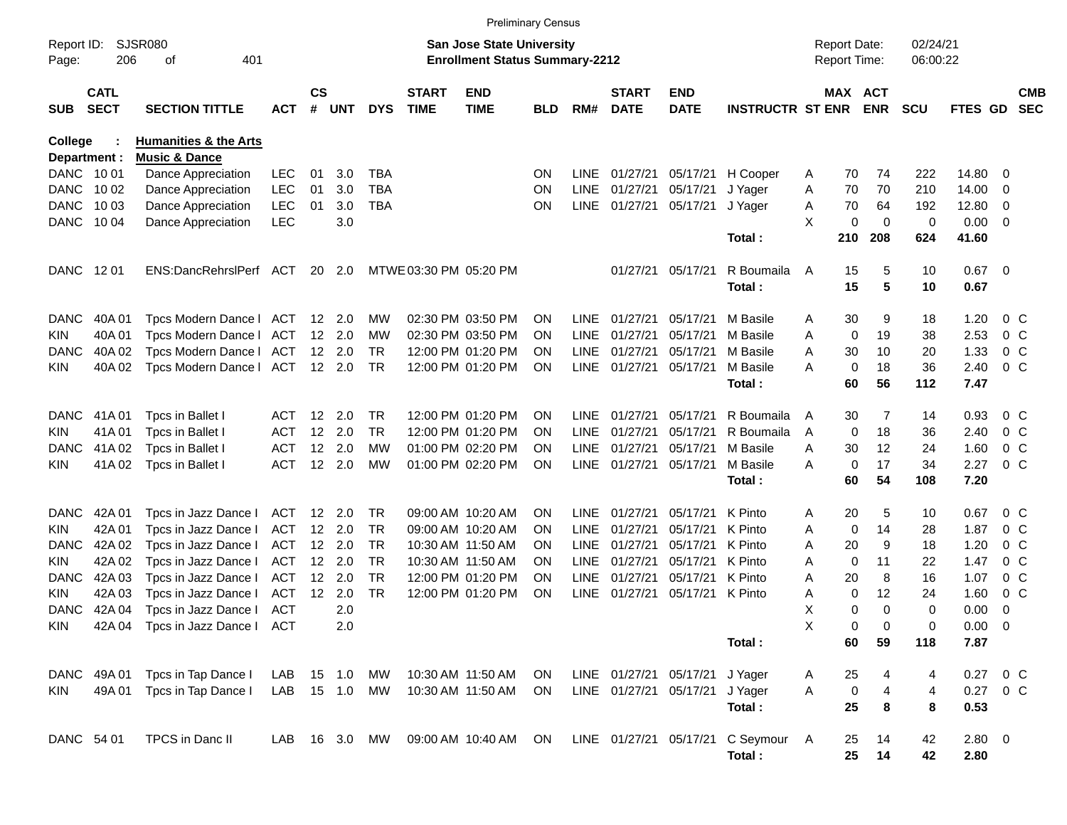|                     |                            |                                              |                          |                    |                   |                 |                             |                                                                           | <b>Preliminary Census</b> |                            |                             |                           |                                    |        |                                     |                    |                      |                |                    |                          |
|---------------------|----------------------------|----------------------------------------------|--------------------------|--------------------|-------------------|-----------------|-----------------------------|---------------------------------------------------------------------------|---------------------------|----------------------------|-----------------------------|---------------------------|------------------------------------|--------|-------------------------------------|--------------------|----------------------|----------------|--------------------|--------------------------|
| Report ID:<br>Page: | 206                        | SJSR080<br>401<br>οf                         |                          |                    |                   |                 |                             | <b>San Jose State University</b><br><b>Enrollment Status Summary-2212</b> |                           |                            |                             |                           |                                    |        | <b>Report Date:</b><br>Report Time: |                    | 02/24/21<br>06:00:22 |                |                    |                          |
| <b>SUB</b>          | <b>CATL</b><br><b>SECT</b> | <b>SECTION TITTLE</b>                        | <b>ACT</b>               | $\mathsf{cs}$<br># | <b>UNT</b>        | <b>DYS</b>      | <b>START</b><br><b>TIME</b> | <b>END</b><br><b>TIME</b>                                                 | <b>BLD</b>                | RM#                        | <b>START</b><br><b>DATE</b> | <b>END</b><br><b>DATE</b> | <b>INSTRUCTR ST ENR</b>            |        | MAX ACT                             | <b>ENR</b>         | <b>SCU</b>           | <b>FTES GD</b> |                    | <b>CMB</b><br><b>SEC</b> |
| <b>College</b>      |                            | <b>Humanities &amp; the Arts</b>             |                          |                    |                   |                 |                             |                                                                           |                           |                            |                             |                           |                                    |        |                                     |                    |                      |                |                    |                          |
| Department :        |                            | <b>Music &amp; Dance</b>                     |                          |                    |                   |                 |                             |                                                                           |                           |                            |                             |                           |                                    |        |                                     |                    |                      |                |                    |                          |
| DANC 1001           |                            | Dance Appreciation                           | <b>LEC</b>               | 01                 | 3.0               | <b>TBA</b>      |                             |                                                                           | <b>ON</b>                 | LINE                       | 01/27/21                    | 05/17/21                  | H Cooper                           | Α      | 70                                  | 74                 | 222                  | 14.80          | 0                  |                          |
| <b>DANC</b>         | 10 02                      | Dance Appreciation                           | <b>LEC</b>               | 01                 | 3.0               | <b>TBA</b>      |                             |                                                                           | <b>ON</b>                 | <b>LINE</b>                | 01/27/21                    | 05/17/21                  | J Yager                            | Α      | 70                                  | 70                 | 210                  | 14.00          | 0                  |                          |
| <b>DANC</b>         | 10 03                      | Dance Appreciation                           | <b>LEC</b>               | 01                 | 3.0               | <b>TBA</b>      |                             |                                                                           | <b>ON</b>                 | LINE                       | 01/27/21                    | 05/17/21                  | J Yager                            | A      | 70                                  | 64                 | 192                  | 12.80          | 0                  |                          |
| <b>DANC</b>         | 10 04                      | Dance Appreciation                           | <b>LEC</b>               |                    | 3.0               |                 |                             |                                                                           |                           |                            |                             |                           | Total:                             | X      | 0<br>210                            | $\mathbf 0$<br>208 | 0<br>624             | 0.00<br>41.60  | - 0                |                          |
| <b>DANC</b>         | 12 01                      | ENS:DancRehrslPerf ACT                       |                          |                    | 20 2.0            |                 |                             | MTWE 03:30 PM 05:20 PM                                                    |                           |                            | 01/27/21                    | 05/17/21                  | R Boumaila                         | A      | 15                                  | 5                  | 10                   | $0.67$ 0       |                    |                          |
|                     |                            |                                              |                          |                    |                   |                 |                             |                                                                           |                           |                            |                             |                           | Total:                             |        | 15                                  | 5                  | 10                   | 0.67           |                    |                          |
| <b>DANC</b>         | 40A 01                     | Tpcs Modern Dance I                          | ACT                      |                    | 12 2.0            | MW              |                             | 02:30 PM 03:50 PM                                                         | <b>ON</b>                 | LINE                       | 01/27/21                    | 05/17/21                  | M Basile                           | Α      | 30                                  | 9                  | 18                   | 1.20           | $0\,$ C            |                          |
| <b>KIN</b>          | 40A01                      | Tpcs Modern Dance I                          | ACT                      |                    | 12 2.0            | МW              |                             | 02:30 PM 03:50 PM                                                         | <b>ON</b>                 | <b>LINE</b>                | 01/27/21                    | 05/17/21                  | M Basile                           | Α      | 0                                   | 19                 | 38                   | 2.53           | $0\,$ C            |                          |
| DANC                | 40A 02                     | Tpcs Modern Dance I                          | ACT                      |                    | $12 \quad 2.0$    | TR.             |                             | 12:00 PM 01:20 PM                                                         | <b>ON</b>                 | <b>LINE</b>                | 01/27/21                    | 05/17/21                  | M Basile                           | A      | 30                                  | 10                 | 20                   | 1.33           | $0\,$ C            |                          |
| <b>KIN</b>          | 40A 02                     | Tpcs Modern Dance I                          | ACT                      |                    | 12 2.0            | TR.             |                             | 12:00 PM 01:20 PM                                                         | <b>ON</b>                 | <b>LINE</b>                | 01/27/21                    | 05/17/21                  | M Basile                           | A      | $\mathbf 0$                         | 18                 | 36                   | 2.40           | 0 <sup>o</sup>     |                          |
|                     |                            |                                              |                          |                    |                   |                 |                             |                                                                           |                           |                            |                             |                           | Total:                             |        | 60                                  | 56                 | 112                  | 7.47           |                    |                          |
| <b>DANC</b>         | 41A 01                     | Tpcs in Ballet I                             | ACT                      | $12 \overline{ }$  | - 2.0             | TR.             |                             | 12:00 PM 01:20 PM                                                         | <b>ON</b>                 | LINE                       | 01/27/21                    | 05/17/21                  | R Boumaila                         | A      | 30                                  | 7                  | 14                   | 0.93           | $0\,$ C            |                          |
| <b>KIN</b>          | 41A01                      | Tpcs in Ballet I                             | <b>ACT</b>               | 12                 | 2.0               | TR.             |                             | 12:00 PM 01:20 PM                                                         | <b>ON</b>                 | <b>LINE</b>                | 01/27/21                    | 05/17/21                  | R Boumaila                         | A      | 0                                   | 18                 | 36                   | 2.40           | $0\,$ C            |                          |
| DANC                | 41A 02                     | Tpcs in Ballet I                             | ACT                      | 12                 | 2.0               | МW              |                             | 01:00 PM 02:20 PM                                                         | <b>ON</b>                 | <b>LINE</b>                | 01/27/21                    | 05/17/21                  | M Basile                           | A      | 30                                  | 12                 | 24                   | 1.60           | $0\,$ C            |                          |
| <b>KIN</b>          | 41A 02                     | Tpcs in Ballet I                             | <b>ACT</b>               |                    | 12 2.0            | МW              |                             | 01:00 PM 02:20 PM                                                         | <b>ON</b>                 | <b>LINE</b>                | 01/27/21                    | 05/17/21                  | M Basile<br>Total:                 | A      | $\mathbf 0$<br>60                   | 17<br>54           | 34<br>108            | 2.27<br>7.20   | $0\,C$             |                          |
|                     |                            |                                              |                          |                    |                   |                 |                             |                                                                           |                           |                            |                             |                           |                                    |        |                                     |                    |                      |                |                    |                          |
| <b>DANC</b>         | 42A 01                     | Tpcs in Jazz Dance I                         | ACT                      |                    | 12 2.0            | TR.             |                             | 09:00 AM 10:20 AM                                                         | <b>ON</b>                 | LINE                       | 01/27/21                    | 05/17/21                  | K Pinto                            | Α      | 20                                  | 5                  | 10                   | 0.67           | $0\,$ C            |                          |
| <b>KIN</b><br>DANC  | 42A 01<br>42A 02           | Tpcs in Jazz Dance I                         | <b>ACT</b><br><b>ACT</b> |                    | 12 2.0<br>12, 2.0 | TR<br><b>TR</b> |                             | 09:00 AM 10:20 AM<br>10:30 AM 11:50 AM                                    | <b>ON</b>                 | <b>LINE</b><br><b>LINE</b> | 01/27/21<br>01/27/21        | 05/17/21<br>05/17/21      | K Pinto<br>K Pinto                 | Α      | 0<br>20                             | 14<br>9            | 28<br>18             | 1.87<br>1.20   | $0\,$ C<br>$0\,$ C |                          |
| <b>KIN</b>          | 42A 02                     | Tpcs in Jazz Dance I<br>Tpcs in Jazz Dance I | <b>ACT</b>               |                    | $12 \quad 2.0$    | TR              |                             | 10:30 AM 11:50 AM                                                         | <b>ON</b><br><b>ON</b>    | <b>LINE</b>                | 01/27/21                    | 05/17/21                  | K Pinto                            | Α<br>Α | 0                                   | 11                 | 22                   | 1.47           | $0\,$ C            |                          |
| <b>DANC</b>         | 42A 03                     | Tpcs in Jazz Dance I                         | ACT                      |                    | 12 2.0            | <b>TR</b>       |                             | 12:00 PM 01:20 PM                                                         | <b>ON</b>                 | <b>LINE</b>                | 01/27/21                    | 05/17/21                  | K Pinto                            | Α      | 20                                  | 8                  | 16                   | 1.07           | $0\,$ C            |                          |
| <b>KIN</b>          | 42A 03                     | Tpcs in Jazz Dance I                         | <b>ACT</b>               | 12                 | 2.0               | <b>TR</b>       |                             | 12:00 PM 01:20 PM                                                         | <b>ON</b>                 | <b>LINE</b>                | 01/27/21                    | 05/17/21 K Pinto          |                                    | A      | 0                                   | 12                 | 24                   | 1.60           | $0\,C$             |                          |
| <b>DANC</b>         | 42A 04                     | Tpcs in Jazz Dance I                         | ACT                      |                    | 2.0               |                 |                             |                                                                           |                           |                            |                             |                           |                                    | X      | 0                                   | $\Omega$           | 0                    | 0.00           | 0                  |                          |
| <b>KIN</b>          |                            | 42A 04 Tpcs in Jazz Dance I ACT              |                          |                    | 2.0               |                 |                             |                                                                           |                           |                            |                             |                           |                                    | Х      | 0                                   | 0                  | 0                    | $0.00 \t 0$    |                    |                          |
|                     |                            |                                              |                          |                    |                   |                 |                             |                                                                           |                           |                            |                             |                           | Total:                             |        | 60                                  | 59                 | 118                  | 7.87           |                    |                          |
| DANC                | 49A 01                     | Tpcs in Tap Dance I                          | LAB                      |                    | 15 1.0            | MW              |                             | 10:30 AM 11:50 AM                                                         | ON                        |                            |                             | LINE 01/27/21 05/17/21    | J Yager                            | A      | 25                                  | 4                  | 4                    | 0.27 0 C       |                    |                          |
| KIN                 | 49A 01                     | Tpcs in Tap Dance I                          | LAB 15 1.0               |                    |                   | MW              |                             | 10:30 AM 11:50 AM                                                         | ON.                       |                            | LINE 01/27/21 05/17/21      |                           | J Yager                            | A      | $\pmb{0}$                           | 4                  | 4                    | 0.27 0 C       |                    |                          |
|                     |                            |                                              |                          |                    |                   |                 |                             |                                                                           |                           |                            |                             |                           | Total:                             |        | 25                                  | 8                  | 8                    | 0.53           |                    |                          |
| DANC 54 01          |                            | TPCS in Danc II                              | LAB                      |                    |                   | 16 3.0 MW       |                             | 09:00 AM 10:40 AM                                                         | ON                        |                            |                             |                           | LINE 01/27/21 05/17/21 C Seymour A |        | 25                                  | 14                 | 42                   | 2.80 0         |                    |                          |
|                     |                            |                                              |                          |                    |                   |                 |                             |                                                                           |                           |                            |                             |                           | Total:                             |        | 25                                  | 14                 | 42                   | 2.80           |                    |                          |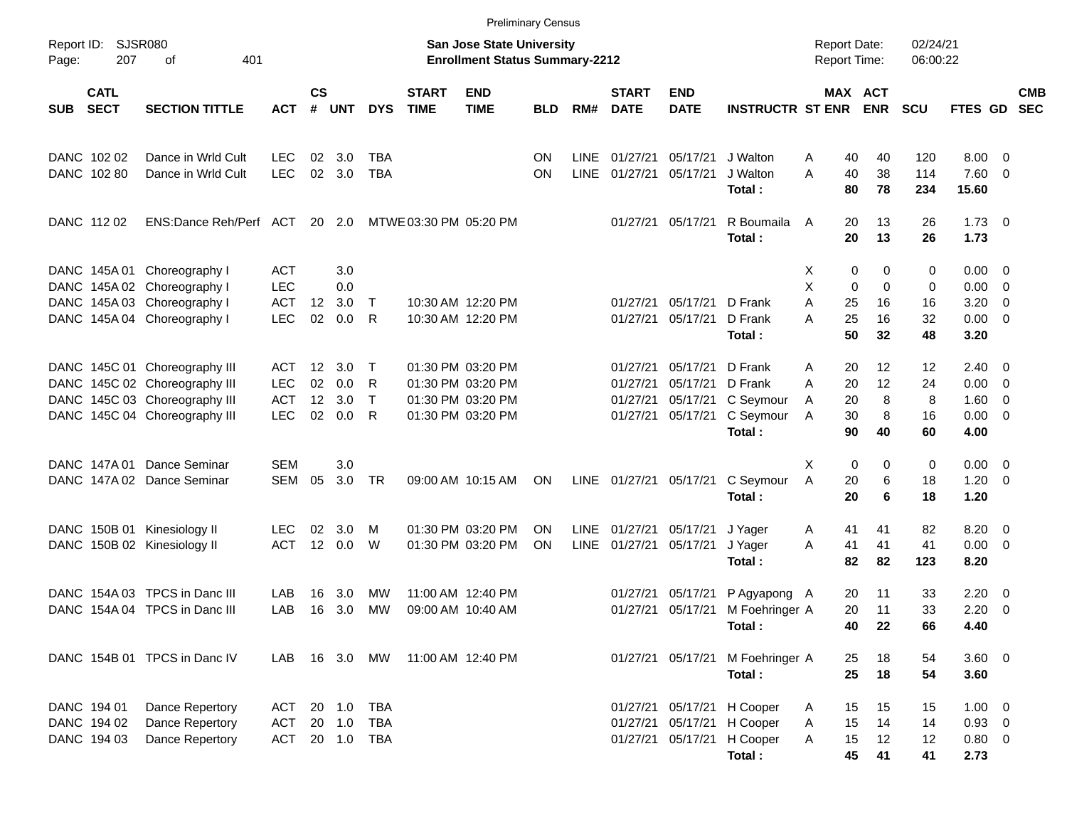|                     |                                           |                                                                                                                                  |                                                      |                      |                            |                                 |                             | <b>Preliminary Census</b>                                                        |                        |                     |                                              |                                              |                                                        |                               |                                            |                          |                           |                                                |                                                                                                          |            |
|---------------------|-------------------------------------------|----------------------------------------------------------------------------------------------------------------------------------|------------------------------------------------------|----------------------|----------------------------|---------------------------------|-----------------------------|----------------------------------------------------------------------------------|------------------------|---------------------|----------------------------------------------|----------------------------------------------|--------------------------------------------------------|-------------------------------|--------------------------------------------|--------------------------|---------------------------|------------------------------------------------|----------------------------------------------------------------------------------------------------------|------------|
| Report ID:<br>Page: | SJSR080<br>207                            | 401<br>оf                                                                                                                        |                                                      |                      |                            |                                 |                             | <b>San Jose State University</b><br><b>Enrollment Status Summary-2212</b>        |                        |                     |                                              |                                              |                                                        |                               | <b>Report Date:</b><br><b>Report Time:</b> |                          | 02/24/21<br>06:00:22      |                                                |                                                                                                          |            |
| <b>SUB</b>          | <b>CATL</b><br><b>SECT</b>                | <b>SECTION TITTLE</b>                                                                                                            | <b>ACT</b>                                           | $\mathsf{cs}$<br>#   | <b>UNT</b>                 | <b>DYS</b>                      | <b>START</b><br><b>TIME</b> | <b>END</b><br><b>TIME</b>                                                        | <b>BLD</b>             | RM#                 | <b>START</b><br><b>DATE</b>                  | <b>END</b><br><b>DATE</b>                    | <b>INSTRUCTR ST ENR</b>                                |                               | MAX ACT                                    | <b>ENR</b>               | <b>SCU</b>                | FTES GD SEC                                    |                                                                                                          | <b>CMB</b> |
|                     | DANC 102 02<br>DANC 102 80                | Dance in Wrld Cult<br>Dance in Wrld Cult                                                                                         | <b>LEC</b><br><b>LEC</b>                             | 02<br>02             | 3.0<br>3.0                 | TBA<br><b>TBA</b>               |                             |                                                                                  | <b>ON</b><br><b>ON</b> | LINE<br><b>LINE</b> | 01/27/21<br>01/27/21                         | 05/17/21<br>05/17/21                         | J Walton<br>J Walton<br>Total:                         | A<br>A                        | 40<br>40<br>80                             | 40<br>38<br>78           | 120<br>114<br>234         | 8.00<br>7.60<br>15.60                          | - 0<br>$\overline{\mathbf{0}}$                                                                           |            |
|                     | DANC 112 02                               | ENS:Dance Reh/Perf ACT                                                                                                           |                                                      |                      | 20 2.0                     |                                 | MTWE 03:30 PM 05:20 PM      |                                                                                  |                        |                     | 01/27/21                                     | 05/17/21                                     | R Boumaila<br>Total:                                   | A                             | 20<br>20                                   | 13<br>13                 | 26<br>26                  | $1.73 \t 0$<br>1.73                            |                                                                                                          |            |
|                     |                                           | DANC 145A 01 Choreography I<br>DANC 145A 02 Choreography I<br>DANC 145A 03 Choreography I<br>DANC 145A 04 Choreography I         | <b>ACT</b><br><b>LEC</b><br><b>ACT</b><br><b>LEC</b> | 12<br>02             | 3.0<br>0.0<br>3.0<br>0.0   | $\top$<br>R                     |                             | 10:30 AM 12:20 PM<br>10:30 AM 12:20 PM                                           |                        |                     | 01/27/21<br>01/27/21                         | 05/17/21<br>05/17/21                         | D Frank<br>D Frank<br>Total:                           | х<br>X<br>A<br>Α              | 0<br>0<br>25<br>25<br>50                   | 0<br>0<br>16<br>16<br>32 | 0<br>0<br>16<br>32<br>48  | 0.00<br>0.00<br>3.20<br>0.00<br>3.20           | $\overline{\mathbf{0}}$<br>$\overline{\mathbf{0}}$<br>$\overline{\mathbf{0}}$<br>$\overline{\mathbf{0}}$ |            |
|                     |                                           | DANC 145C 01 Choreography III<br>DANC 145C 02 Choreography III<br>DANC 145C 03 Choreography III<br>DANC 145C 04 Choreography III | ACT<br><b>LEC</b><br><b>ACT</b><br><b>LEC</b>        | 12<br>02<br>12<br>02 | 3.0<br>0.0<br>3.0<br>0.0   | $\top$<br>R<br>$\top$<br>R.     |                             | 01:30 PM 03:20 PM<br>01:30 PM 03:20 PM<br>01:30 PM 03:20 PM<br>01:30 PM 03:20 PM |                        |                     | 01/27/21<br>01/27/21<br>01/27/21<br>01/27/21 | 05/17/21<br>05/17/21<br>05/17/21<br>05/17/21 | D Frank<br>D Frank<br>C Seymour<br>C Seymour<br>Total: | A<br>A<br>A<br>$\overline{A}$ | 20<br>20<br>20<br>30<br>90                 | 12<br>12<br>8<br>8<br>40 | 12<br>24<br>8<br>16<br>60 | 2.40<br>0.00<br>1.60<br>0.00<br>4.00           | $\overline{\mathbf{0}}$<br>$\overline{\mathbf{0}}$<br>$\overline{\mathbf{0}}$<br>$\overline{\mathbf{0}}$ |            |
|                     | DANC 147A 01                              | Dance Seminar<br>DANC 147A 02 Dance Seminar                                                                                      | <b>SEM</b><br><b>SEM</b>                             | 05                   | 3.0<br>3.0                 | <b>TR</b>                       |                             | 09:00 AM 10:15 AM                                                                | ON                     |                     | LINE 01/27/21                                | 05/17/21                                     | C Seymour<br>Total:                                    | X<br>A                        | 0<br>20<br>20                              | 0<br>6<br>6              | 0<br>18<br>18             | 0.00<br>1.20<br>1.20                           | $\overline{\mathbf{0}}$<br>$\overline{\mathbf{0}}$                                                       |            |
| DANC .              |                                           | DANC 150B 01 Kinesiology II<br>150B 02 Kinesiology II                                                                            | <b>LEC</b><br><b>ACT</b>                             | 02                   | 3.0<br>12 0.0              | M<br>W                          |                             | 01:30 PM 03:20 PM<br>01:30 PM 03:20 PM                                           | <b>ON</b><br><b>ON</b> | LINE                | LINE 01/27/21<br>01/27/21                    | 05/17/21<br>05/17/21                         | J Yager<br>J Yager<br>Total:                           | A<br>A                        | 41<br>41<br>82                             | 41<br>41<br>82           | 82<br>41<br>123           | 8.20<br>0.00<br>8.20                           | $\overline{0}$<br>$\overline{\mathbf{0}}$                                                                |            |
|                     | DANC 154A 03                              | TPCS in Danc III<br>DANC 154A 04 TPCS in Danc III                                                                                | LAB<br>LAB                                           | 16<br>16             | 3.0<br>3.0                 | МW<br><b>MW</b>                 |                             | 11:00 AM 12:40 PM<br>09:00 AM 10:40 AM                                           |                        |                     | 01/27/21<br>01/27/21                         | 05/17/21<br>05/17/21                         | P Agyapong A<br>M Foehringer A<br>Total:               |                               | 20<br>20<br>40                             | 11<br>11<br>22           | 33<br>33<br>66            | 2.20<br>2.20<br>4.40                           | $\overline{0}$<br>- 0                                                                                    |            |
|                     |                                           | DANC 154B 01 TPCS in Danc IV                                                                                                     | LAB                                                  |                      | 16 3.0                     | MW                              | 11:00 AM 12:40 PM           |                                                                                  |                        |                     |                                              | 01/27/21 05/17/21                            | M Foehringer A<br>Total:                               |                               | 25<br>25                                   | 18<br>18                 | 54<br>54                  | $3.60 \ 0$<br>3.60                             |                                                                                                          |            |
|                     | DANC 194 01<br>DANC 194 02<br>DANC 194 03 | Dance Repertory<br>Dance Repertory<br>Dance Repertory                                                                            | <b>ACT</b><br><b>ACT</b><br>ACT                      |                      | 20 1.0<br>20 1.0<br>20 1.0 | <b>TBA</b><br><b>TBA</b><br>TBA |                             |                                                                                  |                        |                     | 01/27/21<br>01/27/21                         | 05/17/21<br>05/17/21<br>01/27/21 05/17/21    | H Cooper<br>H Cooper<br>H Cooper<br>Total:             | A<br>Α<br>Α                   | 15<br>15<br>15<br>45                       | 15<br>14<br>12<br>41     | 15<br>14<br>12<br>41      | $1.00 \t 0$<br>$0.93$ 0<br>$0.80 \t 0$<br>2.73 |                                                                                                          |            |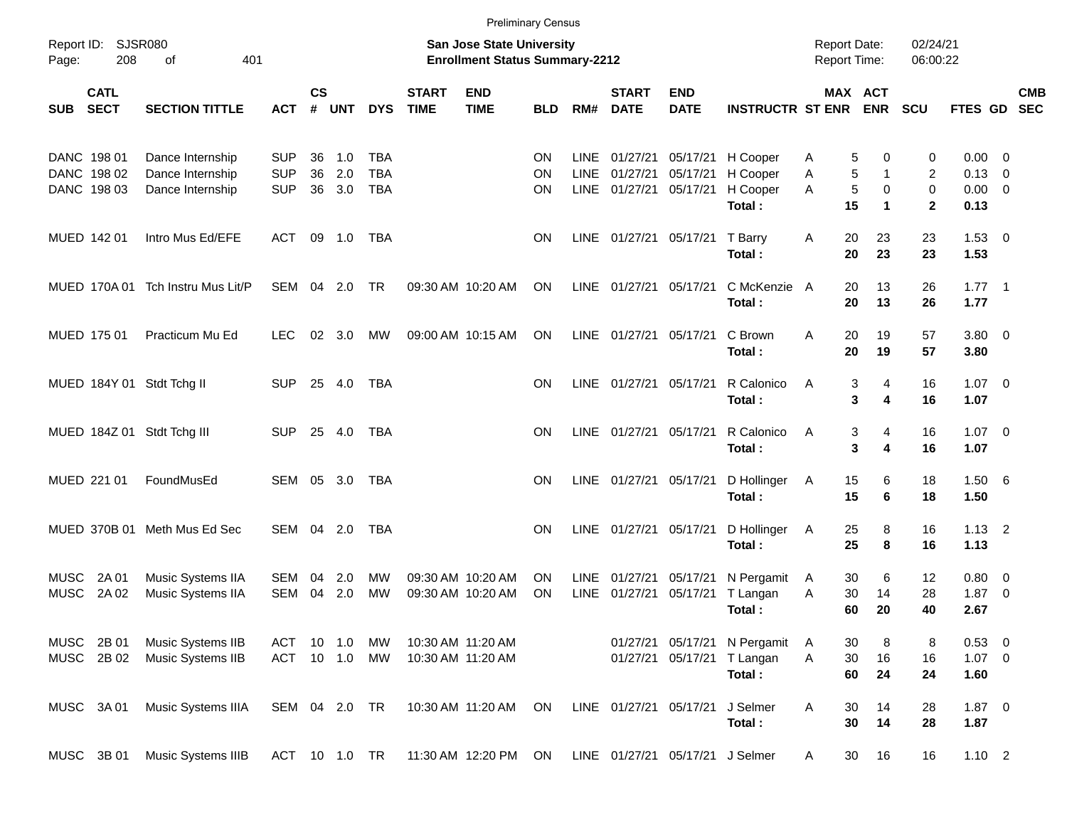|                            |                                           |                                                          |                                        |                |                   |                                        |                             |                                                                           | <b>Preliminary Census</b>    |                             |                                  |                                  |                                            |             |                   |                                            |                            |                                                     |                          |            |
|----------------------------|-------------------------------------------|----------------------------------------------------------|----------------------------------------|----------------|-------------------|----------------------------------------|-----------------------------|---------------------------------------------------------------------------|------------------------------|-----------------------------|----------------------------------|----------------------------------|--------------------------------------------|-------------|-------------------|--------------------------------------------|----------------------------|-----------------------------------------------------|--------------------------|------------|
| Page:                      | Report ID: SJSR080<br>208                 | 401<br>оf                                                |                                        |                |                   |                                        |                             | <b>San Jose State University</b><br><b>Enrollment Status Summary-2212</b> |                              |                             |                                  |                                  |                                            |             |                   | <b>Report Date:</b><br><b>Report Time:</b> | 02/24/21<br>06:00:22       |                                                     |                          |            |
| <b>SUB</b>                 | <b>CATL</b><br><b>SECT</b>                | <b>SECTION TITTLE</b>                                    | <b>ACT</b>                             | <b>CS</b><br># | <b>UNT</b>        | <b>DYS</b>                             | <b>START</b><br><b>TIME</b> | <b>END</b><br><b>TIME</b>                                                 | <b>BLD</b>                   | RM#                         | <b>START</b><br><b>DATE</b>      | <b>END</b><br><b>DATE</b>        | <b>INSTRUCTR ST ENR</b>                    |             |                   | MAX ACT<br><b>ENR</b>                      | <b>SCU</b>                 | FTES GD SEC                                         |                          | <b>CMB</b> |
|                            | DANC 198 01<br>DANC 198 02<br>DANC 198 03 | Dance Internship<br>Dance Internship<br>Dance Internship | <b>SUP</b><br><b>SUP</b><br><b>SUP</b> | 36<br>36<br>36 | 1.0<br>2.0<br>3.0 | <b>TBA</b><br><b>TBA</b><br><b>TBA</b> |                             |                                                                           | <b>ON</b><br>ON<br><b>ON</b> | LINE<br><b>LINE</b><br>LINE | 01/27/21<br>01/27/21<br>01/27/21 | 05/17/21<br>05/17/21<br>05/17/21 | H Cooper<br>H Cooper<br>H Cooper<br>Total: | A<br>Α<br>A | 5<br>5<br>5<br>15 | 0<br>$\mathbf{1}$<br>0<br>$\mathbf 1$      | 0<br>2<br>0<br>$\mathbf 2$ | $0.00 \t 0$<br>$0.13 \quad 0$<br>$0.00 \ 0$<br>0.13 |                          |            |
|                            | MUED 142 01                               | Intro Mus Ed/EFE                                         | ACT                                    | 09             | 1.0               | TBA                                    |                             |                                                                           | <b>ON</b>                    | LINE                        |                                  | 01/27/21 05/17/21                | T Barry<br>Total:                          | Α           | 20<br>20          | 23<br>23                                   | 23<br>23                   | $1.53 \t 0$<br>1.53                                 |                          |            |
|                            |                                           | MUED 170A 01 Tch Instru Mus Lit/P                        | SEM 04                                 |                | 2.0               | <b>TR</b>                              |                             | 09:30 AM 10:20 AM                                                         | <b>ON</b>                    | LINE                        | 01/27/21 05/17/21                |                                  | C McKenzie A<br>Total:                     |             | 20<br>20          | 13<br>13                                   | 26<br>26                   | $1.77$ 1<br>1.77                                    |                          |            |
|                            | MUED 175 01                               | Practicum Mu Ed                                          | LEC.                                   | 02             | 3.0               | MW                                     |                             | 09:00 AM 10:15 AM                                                         | <b>ON</b>                    | LINE                        | 01/27/21 05/17/21                |                                  | C Brown<br>Total:                          | A           | 20<br>20          | 19<br>19                                   | 57<br>57                   | $3.80\ 0$<br>3.80                                   |                          |            |
|                            |                                           | MUED 184Y 01 Stdt Tchg II                                | <b>SUP</b>                             |                | 25 4.0            | TBA                                    |                             |                                                                           | <b>ON</b>                    | <b>LINE</b>                 |                                  | 01/27/21 05/17/21                | R Calonico<br>Total:                       | A           | 3<br>3            | 4<br>4                                     | 16<br>16                   | $1.07 \t 0$<br>1.07                                 |                          |            |
|                            |                                           | MUED 184Z 01 Stdt Tchg III                               | <b>SUP</b>                             |                | 25 4.0            | TBA                                    |                             |                                                                           | <b>ON</b>                    | <b>LINE</b>                 |                                  | 01/27/21 05/17/21                | R Calonico<br>Total:                       | A           | 3<br>3            | 4<br>4                                     | 16<br>16                   | $1.07 \t 0$<br>1.07                                 |                          |            |
|                            | MUED 221 01                               | FoundMusEd                                               | SEM                                    | 05             | 3.0               | TBA                                    |                             |                                                                           | <b>ON</b>                    | LINE                        |                                  | 01/27/21 05/17/21                | D Hollinger<br>Total:                      | A           | 15<br>15          | 6<br>6                                     | 18<br>18                   | 1.506<br>1.50                                       |                          |            |
|                            |                                           | MUED 370B 01 Meth Mus Ed Sec                             | SEM                                    |                | 04 2.0            | TBA                                    |                             |                                                                           | <b>ON</b>                    | LINE                        |                                  | 01/27/21 05/17/21                | D Hollinger<br>Total:                      | A           | 25<br>25          | 8<br>8                                     | 16<br>16                   | $1.13$ 2<br>1.13                                    |                          |            |
| <b>MUSC</b><br><b>MUSC</b> | 2A 01<br>2A 02                            | Music Systems IIA<br>Music Systems IIA                   | SEM<br><b>SEM</b>                      | 04<br>04       | 2.0<br>2.0        | МW<br><b>MW</b>                        |                             | 09:30 AM 10:20 AM<br>09:30 AM 10:20 AM                                    | <b>ON</b><br>ON              | LINE<br><b>LINE</b>         | 01/27/21<br>01/27/21             | 05/17/21<br>05/17/21             | N Pergamit<br>T Langan<br>Total:           | A<br>A      | 30<br>30<br>60    | 6<br>14<br>20                              | 12<br>28<br>40             | $0.80 \ 0$<br>1.87<br>2.67                          | $\overline{\phantom{0}}$ |            |
| MUSC<br><b>MUSC</b>        | 2B 01<br>2B 02                            | Music Systems IIB<br>Music Systems IIB                   | ACT<br>ACT 10 1.0                      | 10             | 1.0               | МW<br>MW                               |                             | 10:30 AM 11:20 AM<br>10:30 AM 11:20 AM                                    |                              |                             | 01/27/21<br>01/27/21             | 05/17/21<br>05/17/21             | N Pergamit<br>T Langan<br>Total:           | Α<br>Α      | 30<br>30<br>60    | 8<br>16<br>24                              | 8<br>16<br>24              | 0.53 0<br>$1.07 \t 0$<br>1.60                       |                          |            |
| MUSC                       | 3A 01                                     | Music Systems IIIA                                       |                                        |                | SEM 04 2.0 TR     |                                        |                             | 10:30 AM 11:20 AM                                                         | ON                           |                             | LINE 01/27/21 05/17/21           |                                  | J Selmer<br>Total:                         | Α           | 30<br>30          | 14<br>14                                   | 28<br>28                   | $1.87 \ 0$<br>1.87                                  |                          |            |
|                            | MUSC 3B 01                                | Music Systems IIIB                                       |                                        |                | ACT 10 1.0 TR     |                                        |                             | 11:30 AM 12:20 PM                                                         | ON                           |                             |                                  | LINE 01/27/21 05/17/21 J Selmer  |                                            | A           | 30                | 16                                         | 16                         | $1.10$ 2                                            |                          |            |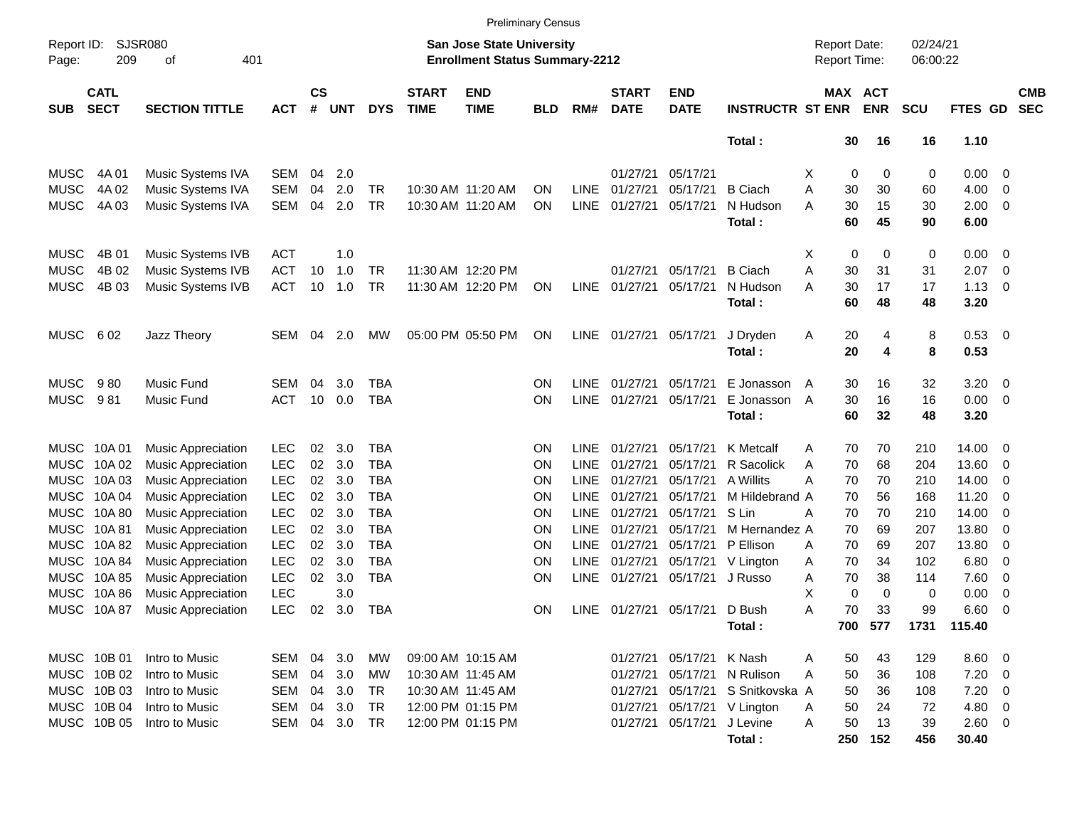|                     |                            |                           |            |                |            |            |                             |                                                                    | <b>Preliminary Census</b> |             |                             |                           |                         |                                     |    |                       |                      |             |                          |                          |
|---------------------|----------------------------|---------------------------|------------|----------------|------------|------------|-----------------------------|--------------------------------------------------------------------|---------------------------|-------------|-----------------------------|---------------------------|-------------------------|-------------------------------------|----|-----------------------|----------------------|-------------|--------------------------|--------------------------|
| Report ID:<br>Page: | 209                        | SJSR080<br>401<br>οf      |            |                |            |            |                             | San Jose State University<br><b>Enrollment Status Summary-2212</b> |                           |             |                             |                           |                         | <b>Report Date:</b><br>Report Time: |    |                       | 02/24/21<br>06:00:22 |             |                          |                          |
| <b>SUB</b>          | <b>CATL</b><br><b>SECT</b> | <b>SECTION TITTLE</b>     | <b>ACT</b> | <b>CS</b><br># | <b>UNT</b> | <b>DYS</b> | <b>START</b><br><b>TIME</b> | <b>END</b><br><b>TIME</b>                                          | <b>BLD</b>                | RM#         | <b>START</b><br><b>DATE</b> | <b>END</b><br><b>DATE</b> | <b>INSTRUCTR ST ENR</b> |                                     |    | MAX ACT<br><b>ENR</b> | <b>SCU</b>           | FTES GD     |                          | <b>CMB</b><br><b>SEC</b> |
|                     |                            |                           |            |                |            |            |                             |                                                                    |                           |             |                             |                           | Total:                  |                                     | 30 | 16                    | 16                   | 1.10        |                          |                          |
| <b>MUSC</b>         | 4A 01                      | Music Systems IVA         | <b>SEM</b> | 04             | 2.0        |            |                             |                                                                    |                           |             | 01/27/21                    | 05/17/21                  |                         | х                                   | 0  | 0                     | 0                    | $0.00 \t 0$ |                          |                          |
| <b>MUSC</b>         | 4A 02                      | Music Systems IVA         | <b>SEM</b> | 04             | 2.0        | TR         |                             | 10:30 AM 11:20 AM                                                  | ΟN                        | LINE.       | 01/27/21                    | 05/17/21                  | <b>B</b> Ciach          | Α                                   | 30 | 30                    | 60                   | 4.00        | $\overline{\mathbf{0}}$  |                          |
| <b>MUSC</b>         | 4A 03                      | Music Systems IVA         | <b>SEM</b> | 04             | 2.0        | <b>TR</b>  |                             | 10:30 AM 11:20 AM                                                  | ON                        | <b>LINE</b> | 01/27/21                    | 05/17/21                  | N Hudson                | А                                   | 30 | 15                    | 30                   | 2.00        | $\overline{\phantom{0}}$ |                          |
|                     |                            |                           |            |                |            |            |                             |                                                                    |                           |             |                             |                           | Total:                  |                                     | 60 | 45                    | 90                   | 6.00        |                          |                          |
| <b>MUSC</b>         | 4B 01                      | Music Systems IVB         | <b>ACT</b> |                | 1.0        |            |                             |                                                                    |                           |             |                             |                           |                         | х                                   | 0  | 0                     | 0                    | 0.00        | $\overline{\phantom{0}}$ |                          |
| <b>MUSC</b>         | 4B 02                      | Music Systems IVB         | <b>ACT</b> | 10             | 1.0        | TR         |                             | 11:30 AM 12:20 PM                                                  |                           |             | 01/27/21                    | 05/17/21                  | <b>B</b> Ciach          | Α                                   | 30 | 31                    | 31                   | 2.07        | $\overline{\mathbf{0}}$  |                          |
| <b>MUSC</b>         | 4B 03                      | Music Systems IVB         | <b>ACT</b> | 10             | 1.0        | <b>TR</b>  |                             | 11:30 AM 12:20 PM                                                  | ON                        | <b>LINE</b> | 01/27/21                    | 05/17/21                  | N Hudson                | Α                                   | 30 | 17                    | 17                   | 1.13        | $\overline{\phantom{0}}$ |                          |
|                     |                            |                           |            |                |            |            |                             |                                                                    |                           |             |                             |                           | Total:                  |                                     | 60 | 48                    | 48                   | 3.20        |                          |                          |
| <b>MUSC</b>         | 602                        | Jazz Theory               | <b>SEM</b> | 04             | 2.0        | MW.        |                             | 05:00 PM 05:50 PM                                                  | ON                        | <b>LINE</b> | 01/27/21                    | 05/17/21                  | J Dryden                | A                                   | 20 | 4                     | 8                    | 0.53 0      |                          |                          |
|                     |                            |                           |            |                |            |            |                             |                                                                    |                           |             |                             |                           | Total:                  |                                     | 20 | 4                     | 8                    | 0.53        |                          |                          |
|                     |                            |                           |            |                |            |            |                             |                                                                    |                           |             |                             |                           |                         |                                     |    |                       |                      |             |                          |                          |
| <b>MUSC</b>         | 980                        | <b>Music Fund</b>         | SEM        | 04             | 3.0        | TBA        |                             |                                                                    | ΟN                        | <b>LINE</b> | 01/27/21                    | 05/17/21                  | E Jonasson              | $\mathsf{A}$                        | 30 | 16                    | 32                   | 3.20        | $\overline{\mathbf{0}}$  |                          |
| <b>MUSC</b>         | 981                        | Music Fund                | <b>ACT</b> | 10             | 0.0        | TBA        |                             |                                                                    | ON                        | <b>LINE</b> | 01/27/21                    | 05/17/21                  | E Jonasson              | A                                   | 30 | 16                    | 16                   | 0.00        | $\overline{\phantom{0}}$ |                          |
|                     |                            |                           |            |                |            |            |                             |                                                                    |                           |             |                             |                           | Total:                  |                                     | 60 | 32                    | 48                   | 3.20        |                          |                          |
| MUSC                | 10A 01                     | <b>Music Appreciation</b> | <b>LEC</b> | 02             | 3.0        | TBA        |                             |                                                                    | ΟN                        | <b>LINE</b> | 01/27/21                    | 05/17/21                  | K Metcalf               | Α                                   | 70 | 70                    | 210                  | 14.00       | - 0                      |                          |
| <b>MUSC</b>         | 10A 02                     | <b>Music Appreciation</b> | <b>LEC</b> | 02             | 3.0        | <b>TBA</b> |                             |                                                                    | ΟN                        | <b>LINE</b> | 01/27/21                    | 05/17/21                  | R Sacolick              | Α                                   | 70 | 68                    | 204                  | 13.60       | - 0                      |                          |
| MUSC                | 10A 03                     | <b>Music Appreciation</b> | <b>LEC</b> | 02             | 3.0        | <b>TBA</b> |                             |                                                                    | ΟN                        | <b>LINE</b> | 01/27/21                    | 05/17/21                  | A Willits               | А                                   | 70 | 70                    | 210                  | 14.00       | - 0                      |                          |
| MUSC                | 10A 04                     | <b>Music Appreciation</b> | <b>LEC</b> | 02             | 3.0        | <b>TBA</b> |                             |                                                                    | ΟN                        | <b>LINE</b> | 01/27/21                    | 05/17/21                  | M Hildebrand A          |                                     | 70 | 56                    | 168                  | 11.20       | - 0                      |                          |
| MUSC                | 10A 80                     | <b>Music Appreciation</b> | <b>LEC</b> | 02             | 3.0        | <b>TBA</b> |                             |                                                                    | ΟN                        | <b>LINE</b> | 01/27/21                    | 05/17/21                  | S Lin                   | А                                   | 70 | 70                    | 210                  | 14.00       | - 0                      |                          |
| MUSC                | 10A 81                     | <b>Music Appreciation</b> | <b>LEC</b> | 02             | 3.0        | <b>TBA</b> |                             |                                                                    | ΟN                        | <b>LINE</b> | 01/27/21                    | 05/17/21                  | M Hernandez A           |                                     | 70 | 69                    | 207                  | 13.80       | -0                       |                          |
| MUSC                | 10A 82                     | <b>Music Appreciation</b> | <b>LEC</b> | 02             | 3.0        | TBA        |                             |                                                                    | ΟN                        | <b>LINE</b> | 01/27/21                    | 05/17/21                  | P Ellison               | Α                                   | 70 | 69                    | 207                  | 13.80       | 0                        |                          |
| MUSC                | 10A 84                     | <b>Music Appreciation</b> | <b>LEC</b> | 02             | 3.0        | <b>TBA</b> |                             |                                                                    | ON                        | <b>LINE</b> | 01/27/21                    |                           | 05/17/21 V Lington      | Α                                   | 70 | 34                    | 102                  | 6.80        | - 0                      |                          |
| MUSC                | 10A 85                     | <b>Music Appreciation</b> | <b>LEC</b> | 02             | 3.0        | <b>TBA</b> |                             |                                                                    | ON                        | <b>LINE</b> | 01/27/21                    | 05/17/21 J Russo          |                         | Α                                   | 70 | 38                    | 114                  | 7.60        | $\overline{\mathbf{0}}$  |                          |
| <b>MUSC</b>         | 10A 86                     | <b>Music Appreciation</b> | <b>LEC</b> |                | 3.0        |            |                             |                                                                    |                           |             |                             |                           |                         | Х                                   | 0  | 0                     | 0                    | 0.00        | 0                        |                          |
|                     | MUSC 10A87                 | <b>Music Appreciation</b> | <b>LEC</b> | 02             | 3.0        | TBA        |                             |                                                                    | ON                        | <b>LINE</b> | 01/27/21                    | 05/17/21 D Bush           |                         | Α                                   | 70 | 33                    | 99                   | 6.60        | - 0                      |                          |
|                     |                            |                           |            |                |            |            |                             |                                                                    |                           |             |                             |                           | Total:                  |                                     |    | 700 577               |                      | 1731 115.40 |                          |                          |
|                     | MUSC 10B 01                | Intro to Music            | SEM        |                | 04 3.0     | МW         |                             | 09:00 AM 10:15 AM                                                  |                           |             | 01/27/21                    | 05/17/21 K Nash           |                         | Α                                   | 50 | 43                    | 129                  | $8.60$ 0    |                          |                          |
|                     | MUSC 10B 02                | Intro to Music            | SEM        |                | 04 3.0     | МW         |                             | 10:30 AM 11:45 AM                                                  |                           |             | 01/27/21                    |                           | 05/17/21 N Rulison      | Α                                   | 50 | 36                    | 108                  | $7.20 \t 0$ |                          |                          |
|                     | MUSC 10B 03                | Intro to Music            | <b>SEM</b> |                | 04 3.0     | TR         |                             | 10:30 AM 11:45 AM                                                  |                           |             | 01/27/21                    |                           | 05/17/21 S Snitkovska A |                                     | 50 | 36                    | 108                  | $7.20 \t 0$ |                          |                          |
|                     | MUSC 10B 04                | Intro to Music            | <b>SEM</b> | 04             | 3.0        | TR         |                             | 12:00 PM 01:15 PM                                                  |                           |             | 01/27/21                    |                           | 05/17/21 V Lington      | Α                                   | 50 | 24                    | 72                   | 4.80 0      |                          |                          |
|                     | MUSC 10B 05                | Intro to Music            | SEM        |                | 04 3.0 TR  |            |                             | 12:00 PM 01:15 PM                                                  |                           |             | 01/27/21                    | 05/17/21 J Levine         |                         | Α                                   | 50 | 13                    | 39                   | 2.60 0      |                          |                          |
|                     |                            |                           |            |                |            |            |                             |                                                                    |                           |             |                             |                           | Total:                  |                                     |    | 250 152               | 456                  | 30.40       |                          |                          |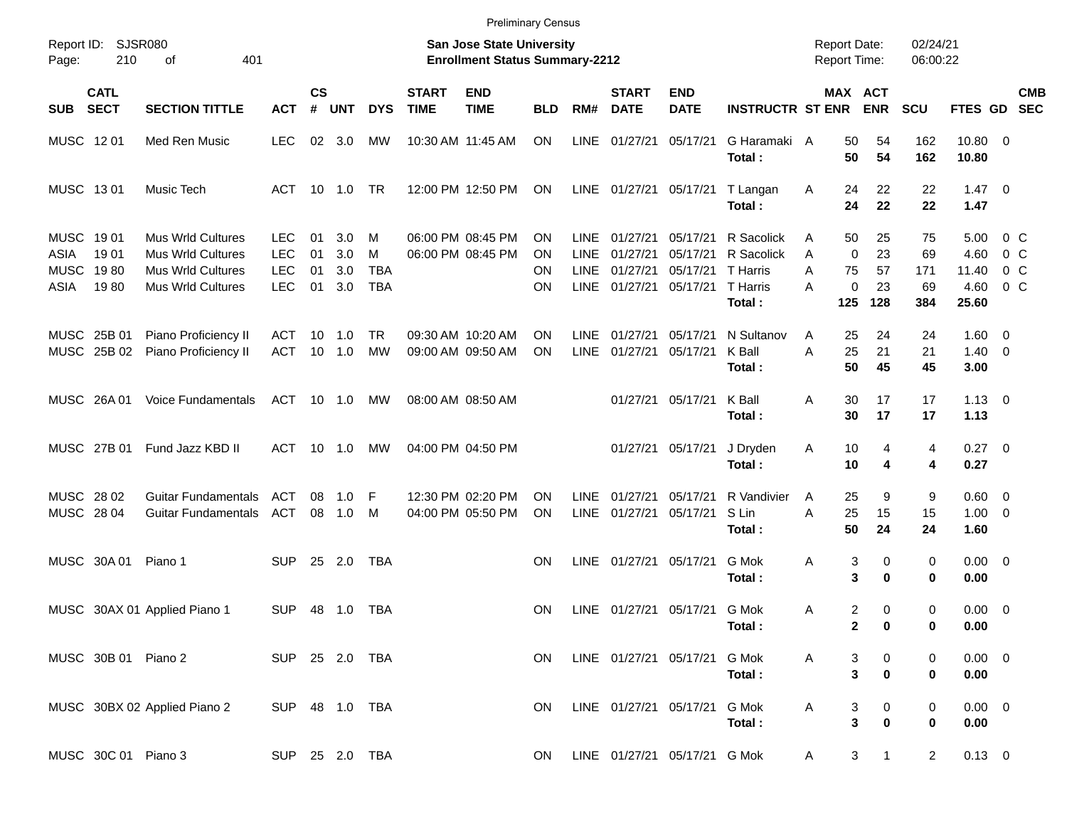|                                                          |                               |                                                                                                       |                                                      |                       |                          |                                    |                             | <b>Preliminary Census</b>                                                 |                             |                                                   |                                              |                                              |                                                            |                  |                                                                    |                              |                                        |                                                           |                          |
|----------------------------------------------------------|-------------------------------|-------------------------------------------------------------------------------------------------------|------------------------------------------------------|-----------------------|--------------------------|------------------------------------|-----------------------------|---------------------------------------------------------------------------|-----------------------------|---------------------------------------------------|----------------------------------------------|----------------------------------------------|------------------------------------------------------------|------------------|--------------------------------------------------------------------|------------------------------|----------------------------------------|-----------------------------------------------------------|--------------------------|
| Page:                                                    | Report ID: SJSR080<br>210     | 401<br>оf                                                                                             |                                                      |                       |                          |                                    |                             | <b>San Jose State University</b><br><b>Enrollment Status Summary-2212</b> |                             |                                                   |                                              |                                              |                                                            |                  | <b>Report Date:</b><br><b>Report Time:</b>                         | 02/24/21<br>06:00:22         |                                        |                                                           |                          |
| <b>SUB</b>                                               | <b>CATL</b><br><b>SECT</b>    | <b>SECTION TITTLE</b>                                                                                 | <b>ACT</b>                                           | $\mathsf{cs}$<br>$\#$ | <b>UNT</b>               | <b>DYS</b>                         | <b>START</b><br><b>TIME</b> | <b>END</b><br><b>TIME</b>                                                 | <b>BLD</b>                  | RM#                                               | <b>START</b><br><b>DATE</b>                  | <b>END</b><br><b>DATE</b>                    | <b>INSTRUCTR ST ENR</b>                                    |                  | MAX ACT<br><b>ENR</b>                                              | <b>SCU</b>                   | <b>FTES GD</b>                         |                                                           | <b>CMB</b><br><b>SEC</b> |
| MUSC 1201                                                |                               | Med Ren Music                                                                                         | <b>LEC</b>                                           | 02                    | 3.0                      | МW                                 |                             | 10:30 AM 11:45 AM                                                         | ON.                         | <b>LINE</b>                                       | 01/27/21                                     | 05/17/21                                     | G Haramaki A<br>Total:                                     |                  | 50<br>54<br>50<br>54                                               | 162<br>162                   | 10.80 0<br>10.80                       |                                                           |                          |
| MUSC 1301                                                |                               | Music Tech                                                                                            | ACT                                                  |                       | $10 \quad 1.0$           | <b>TR</b>                          |                             | 12:00 PM 12:50 PM                                                         | ON                          |                                                   |                                              |                                              | LINE 01/27/21 05/17/21 T Langan<br>Total:                  | A                | 22<br>24<br>24<br>22                                               | 22<br>22                     | $1.47 \quad 0$<br>1.47                 |                                                           |                          |
| <b>MUSC</b><br><b>ASIA</b><br><b>MUSC</b><br><b>ASIA</b> | 19 01<br>1901<br>1980<br>1980 | <b>Mus Wrld Cultures</b><br><b>Mus Wrld Cultures</b><br><b>Mus Wrld Cultures</b><br>Mus Wrld Cultures | <b>LEC</b><br><b>LEC</b><br><b>LEC</b><br><b>LEC</b> | 01<br>01<br>01<br>01  | 3.0<br>3.0<br>3.0<br>3.0 | M<br>M<br><b>TBA</b><br><b>TBA</b> |                             | 06:00 PM 08:45 PM<br>06:00 PM 08:45 PM                                    | ΟN<br>ΟN<br>ON<br><b>ON</b> | <b>LINE</b><br><b>LINE</b><br><b>LINE</b><br>LINE | 01/27/21<br>01/27/21<br>01/27/21<br>01/27/21 | 05/17/21<br>05/17/21<br>05/17/21<br>05/17/21 | R Sacolick<br>R Sacolick<br>T Harris<br>T Harris<br>Total: | A<br>A<br>A<br>A | 50<br>25<br>23<br>$\mathbf 0$<br>75<br>57<br>23<br>0<br>125<br>128 | 75<br>69<br>171<br>69<br>384 | 5.00<br>4.60<br>11.40<br>4.60<br>25.60 | 0 C<br>0 <sup>o</sup><br>0 <sup>o</sup><br>0 <sup>o</sup> |                          |
| <b>MUSC</b>                                              | MUSC 25B 01<br>25B 02         | Piano Proficiency II<br>Piano Proficiency II                                                          | ACT<br><b>ACT</b>                                    | 10<br>10              | 1.0<br>1.0               | <b>TR</b><br>MW                    |                             | 09:30 AM 10:20 AM<br>09:00 AM 09:50 AM                                    | ΟN<br><b>ON</b>             | <b>LINE</b><br><b>LINE</b>                        | 01/27/21<br>01/27/21                         | 05/17/21<br>05/17/21                         | N Sultanov<br>K Ball<br>Total:                             | Α<br>A           | 24<br>25<br>25<br>21<br>50<br>45                                   | 24<br>21<br>45               | $1.60 \t 0$<br>$1.40 \ 0$<br>3.00      |                                                           |                          |
|                                                          | MUSC 26A01                    | Voice Fundamentals                                                                                    | ACT                                                  |                       | 10 1.0                   | МW                                 |                             | 08:00 AM 08:50 AM                                                         |                             |                                                   |                                              | 01/27/21 05/17/21                            | K Ball<br>Total:                                           | Α                | 30<br>17<br>30<br>17                                               | 17<br>17                     | $1.13 \ 0$<br>1.13                     |                                                           |                          |
|                                                          | MUSC 27B 01                   | Fund Jazz KBD II                                                                                      | <b>ACT</b>                                           |                       | 10 1.0                   | <b>MW</b>                          |                             | 04:00 PM 04:50 PM                                                         |                             |                                                   | 01/27/21                                     | 05/17/21                                     | J Dryden<br>Total:                                         | Α                | 10<br>4<br>10<br>4                                                 | 4<br>4                       | $0.27 \t 0$<br>0.27                    |                                                           |                          |
| <b>MUSC</b><br>MUSC 28 04                                | 28 02                         | <b>Guitar Fundamentals</b><br><b>Guitar Fundamentals</b>                                              | <b>ACT</b><br>ACT                                    | 08<br>08              | 1.0<br>1.0               | -F<br>M                            |                             | 12:30 PM 02:20 PM<br>04:00 PM 05:50 PM                                    | ΟN<br><b>ON</b>             | <b>LINE</b><br>LINE                               | 01/27/21<br>01/27/21                         | 05/17/21<br>05/17/21                         | R Vandivier<br>S Lin<br>Total:                             | A<br>A           | 25<br>9<br>25<br>15<br>50<br>24                                    | 9<br>15<br>24                | $0.60 \quad 0$<br>$1.00 \t 0$<br>1.60  |                                                           |                          |
|                                                          | MUSC 30A 01                   | Piano 1                                                                                               | <b>SUP</b>                                           | 25                    | 2.0                      | <b>TBA</b>                         |                             |                                                                           | ΟN                          | <b>LINE</b>                                       |                                              | 01/27/21 05/17/21                            | G Mok<br>Total:                                            | Α                | 3<br>0<br>3<br>0                                                   | 0<br>0                       | $0.00 \t 0$<br>0.00                    |                                                           |                          |
|                                                          |                               | MUSC 30AX 01 Applied Piano 1                                                                          | <b>SUP</b>                                           |                       | 48 1.0                   | TBA                                |                             |                                                                           | <b>ON</b>                   |                                                   |                                              | LINE 01/27/21 05/17/21 G Mok                 | Total:                                                     | Α                | 2<br>0<br>$\mathbf 2$<br>$\bf{0}$                                  | 0<br>0                       | $0.00 \t 0$<br>0.00                    |                                                           |                          |
|                                                          | MUSC 30B 01 Piano 2           |                                                                                                       | SUP 25 2.0 TBA                                       |                       |                          |                                    |                             |                                                                           | <b>ON</b>                   |                                                   | LINE 01/27/21 05/17/21                       |                                              | G Mok<br>Total:                                            | Α                | 0<br>3<br>3<br>$\bf{0}$                                            | 0<br>0                       | $0.00 \t 0$<br>0.00                    |                                                           |                          |
|                                                          |                               | MUSC 30BX 02 Applied Piano 2                                                                          | SUP 48 1.0 TBA                                       |                       |                          |                                    |                             |                                                                           | ON                          |                                                   | LINE 01/27/21 05/17/21                       |                                              | G Mok<br>Total:                                            | Α                | 0<br>3<br>3<br>$\bf{0}$                                            | 0<br>0                       | $0.00 \t 0$<br>0.00                    |                                                           |                          |
|                                                          | MUSC 30C 01 Piano 3           |                                                                                                       | SUP 25 2.0 TBA                                       |                       |                          |                                    |                             |                                                                           | ON                          |                                                   |                                              | LINE 01/27/21 05/17/21 G Mok                 |                                                            | Α                | 3<br>$\mathbf{1}$                                                  | $\overline{a}$               | $0.13 \ 0$                             |                                                           |                          |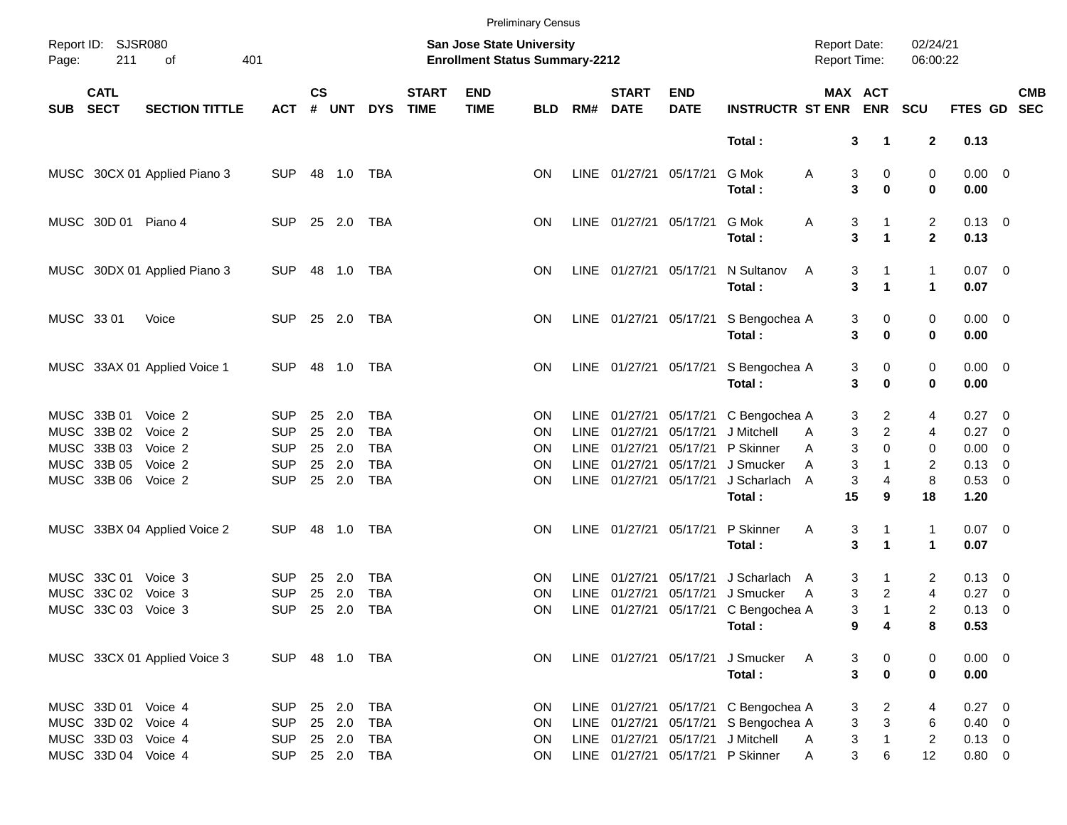|            |                            |                              |                          |                    |               |                          |                             |                                                                           | <b>Preliminary Census</b> |             |                             |                           |                                      |                                     |                              |                                |                     |                          |            |
|------------|----------------------------|------------------------------|--------------------------|--------------------|---------------|--------------------------|-----------------------------|---------------------------------------------------------------------------|---------------------------|-------------|-----------------------------|---------------------------|--------------------------------------|-------------------------------------|------------------------------|--------------------------------|---------------------|--------------------------|------------|
| Page:      | Report ID: SJSR080<br>211  | of                           | 401                      |                    |               |                          |                             | <b>San Jose State University</b><br><b>Enrollment Status Summary-2212</b> |                           |             |                             |                           |                                      | <b>Report Date:</b><br>Report Time: |                              | 02/24/21<br>06:00:22           |                     |                          |            |
| <b>SUB</b> | <b>CATL</b><br><b>SECT</b> | <b>SECTION TITTLE</b>        | <b>ACT</b>               | $\mathsf{cs}$<br># | <b>UNT</b>    | <b>DYS</b>               | <b>START</b><br><b>TIME</b> | <b>END</b><br><b>TIME</b>                                                 | <b>BLD</b>                | RM#         | <b>START</b><br><b>DATE</b> | <b>END</b><br><b>DATE</b> | <b>INSTRUCTR ST ENR</b>              |                                     | MAX ACT<br><b>ENR</b>        | <b>SCU</b>                     | FTES GD SEC         |                          | <b>CMB</b> |
|            |                            |                              |                          |                    |               |                          |                             |                                                                           |                           |             |                             |                           | Total:                               |                                     | 3<br>$\mathbf 1$             | $\mathbf{2}$                   | 0.13                |                          |            |
|            |                            | MUSC 30CX 01 Applied Piano 3 | <b>SUP</b>               |                    | 48 1.0        | TBA                      |                             |                                                                           | <b>ON</b>                 |             | LINE 01/27/21 05/17/21      |                           | G Mok<br>Total:                      | A                                   | 3<br>0<br>3<br>0             | 0<br>$\mathbf 0$               | $0.00 \t 0$<br>0.00 |                          |            |
|            | MUSC 30D 01 Piano 4        |                              | <b>SUP</b>               |                    | 25 2.0        | TBA                      |                             |                                                                           | <b>ON</b>                 |             | LINE 01/27/21 05/17/21      |                           | G Mok<br>Total:                      | A                                   | 3<br>3<br>$\mathbf 1$        | $\overline{c}$<br>$\mathbf{2}$ | $0.13 \ 0$<br>0.13  |                          |            |
|            |                            | MUSC 30DX 01 Applied Piano 3 | <b>SUP</b>               |                    | 48 1.0        | TBA                      |                             |                                                                           | <b>ON</b>                 |             | LINE 01/27/21 05/17/21      |                           | N Sultanov<br>Total:                 | A                                   | 3<br>3<br>1                  | $\mathbf{1}$<br>$\mathbf{1}$   | $0.07$ 0<br>0.07    |                          |            |
|            | MUSC 33 01                 | Voice                        | <b>SUP</b>               |                    | 25 2.0        | TBA                      |                             |                                                                           | <b>ON</b>                 |             | LINE 01/27/21 05/17/21      |                           | S Bengochea A<br>Total:              |                                     | 0<br>3<br>3<br>$\bf{0}$      | 0<br>$\mathbf 0$               | $0.00 \t 0$<br>0.00 |                          |            |
|            |                            | MUSC 33AX 01 Applied Voice 1 | <b>SUP</b>               | 48                 | 1.0           | TBA                      |                             |                                                                           | <b>ON</b>                 |             | LINE 01/27/21 05/17/21      |                           | S Bengochea A<br>Total:              |                                     | 3<br>0<br>3<br>$\bf{0}$      | 0<br>0                         | $0.00 \t 0$<br>0.00 |                          |            |
|            | MUSC 33B 01                | Voice 2                      | <b>SUP</b>               | 25                 | 2.0           | <b>TBA</b>               |                             |                                                                           | <b>ON</b>                 | LINE.       | 01/27/21                    | 05/17/21                  | C Bengochea A                        |                                     | 2<br>3                       | 4                              | $0.27 \t 0$         |                          |            |
|            | MUSC 33B 02                | Voice 2                      | <b>SUP</b>               | 25                 | 2.0           | <b>TBA</b>               |                             |                                                                           | <b>ON</b>                 | <b>LINE</b> | 01/27/21                    | 05/17/21                  | J Mitchell                           | A                                   | $\overline{\mathbf{c}}$<br>3 | 4                              | 0.27 0              |                          |            |
|            | MUSC 33B 03                | Voice 2                      | <b>SUP</b>               | 25                 | 2.0           | <b>TBA</b>               |                             |                                                                           | <b>ON</b>                 | <b>LINE</b> | 01/27/21                    | 05/17/21                  | P Skinner                            | A                                   | 3<br>$\Omega$                | 0                              | 0.00                | $\overline{\phantom{0}}$ |            |
|            | MUSC 33B 05<br>MUSC 33B 06 | Voice 2<br>Voice 2           | <b>SUP</b><br><b>SUP</b> | 25                 | 2.0<br>25 2.0 | <b>TBA</b><br><b>TBA</b> |                             |                                                                           | <b>ON</b><br><b>ON</b>    | <b>LINE</b> | 01/27/21<br>LINE 01/27/21   | 05/17/21<br>05/17/21      | J Smucker<br>J Scharlach             | A<br>A                              | 3<br>3<br>4                  | 2<br>8                         | 0.13<br>0.53 0      | $\overline{\phantom{0}}$ |            |
|            |                            |                              |                          |                    |               |                          |                             |                                                                           |                           |             |                             |                           | Total:                               | 15                                  | 9                            | 18                             | 1.20                |                          |            |
|            |                            | MUSC 33BX 04 Applied Voice 2 | <b>SUP</b>               | 48                 | 1.0           | TBA                      |                             |                                                                           | <b>ON</b>                 |             | LINE 01/27/21               | 05/17/21                  | P Skinner                            | A                                   | 3                            | $\mathbf 1$                    | $0.07$ 0            |                          |            |
|            |                            |                              |                          |                    |               |                          |                             |                                                                           |                           |             |                             |                           | Total:                               |                                     | 3<br>1                       | $\blacktriangleleft$           | 0.07                |                          |            |
|            | MUSC 33C 01                | Voice 3                      | <b>SUP</b>               | 25                 | 2.0           | <b>TBA</b>               |                             |                                                                           | <b>ON</b>                 | LINE        | 01/27/21                    | 05/17/21                  | J Scharlach A                        |                                     | 3                            | 2                              | $0.13 \quad 0$      |                          |            |
|            | MUSC 33C 02                | Voice 3                      | <b>SUP</b>               | 25                 | 2.0           | <b>TBA</b>               |                             |                                                                           | <b>ON</b>                 | <b>LINE</b> | 01/27/21                    | 05/17/21                  | J Smucker                            | A                                   | 3<br>2                       | $\overline{4}$                 | 0.27                | $\overline{\phantom{0}}$ |            |
|            | MUSC 33C 03 Voice 3        |                              | <b>SUP</b>               | 25                 | 2.0           | <b>TBA</b>               |                             |                                                                           | <b>ON</b>                 |             |                             |                           | LINE 01/27/21 05/17/21 C Bengochea A |                                     | 3<br>1                       | 2                              | 0.13                | $\overline{\phantom{0}}$ |            |
|            |                            |                              |                          |                    |               |                          |                             |                                                                           |                           |             |                             |                           | Total:                               |                                     | 9<br>4                       | 8                              | 0.53                |                          |            |
|            |                            | MUSC 33CX 01 Applied Voice 3 | SUP 48 1.0 TBA           |                    |               |                          |                             |                                                                           | ON                        |             | LINE 01/27/21 05/17/21      |                           | J Smucker                            | A                                   | 3<br>$\mathbf 0$             | 0                              | $0.00 \t 0$         |                          |            |
|            |                            |                              |                          |                    |               |                          |                             |                                                                           |                           |             |                             |                           | Total:                               |                                     | 3<br>$\bf{0}$                | $\mathbf 0$                    | 0.00                |                          |            |
|            | MUSC 33D 01 Voice 4        |                              | <b>SUP</b>               |                    | 25 2.0        | <b>TBA</b>               |                             |                                                                           | ON                        |             |                             |                           | LINE 01/27/21 05/17/21 C Bengochea A |                                     | 3<br>$\overline{c}$          | 4                              | 0.27 0              |                          |            |
|            | MUSC 33D 02 Voice 4        |                              | <b>SUP</b>               |                    | 25 2.0        | <b>TBA</b>               |                             |                                                                           | ON                        |             | LINE 01/27/21               |                           | 05/17/21 S Bengochea A               |                                     | 3<br>3                       | 6                              | $0.40 \ 0$          |                          |            |
|            | MUSC 33D 03 Voice 4        |                              | <b>SUP</b>               |                    | 25 2.0        | TBA                      |                             |                                                                           | ON                        |             | LINE 01/27/21               | 05/17/21                  | J Mitchell                           | A                                   | 3<br>$\mathbf{1}$            | $\overline{2}$                 | $0.13 \ 0$          |                          |            |
|            | MUSC 33D 04 Voice 4        |                              | <b>SUP</b>               |                    | 25  2.0  TBA  |                          |                             |                                                                           | ON                        |             |                             |                           | LINE 01/27/21 05/17/21 P Skinner     | A                                   | 3<br>6                       | 12                             | $0.80 \t 0$         |                          |            |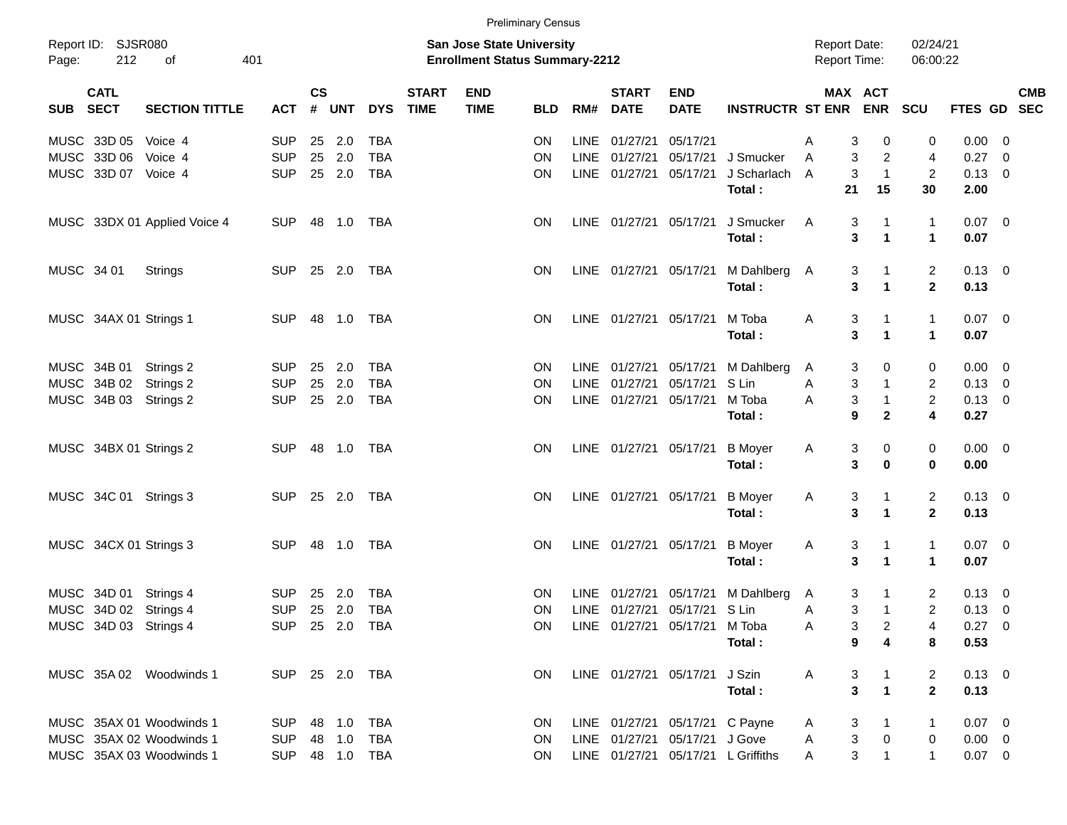|            |                           |                              |                |               |        |              |                             |                                                                           | <b>Preliminary Census</b> |             |                             |                                |                                    |                                     |                              |                         |                |                          |
|------------|---------------------------|------------------------------|----------------|---------------|--------|--------------|-----------------------------|---------------------------------------------------------------------------|---------------------------|-------------|-----------------------------|--------------------------------|------------------------------------|-------------------------------------|------------------------------|-------------------------|----------------|--------------------------|
| Page:      | Report ID: SJSR080<br>212 | 401<br>of                    |                |               |        |              |                             | <b>San Jose State University</b><br><b>Enrollment Status Summary-2212</b> |                           |             |                             |                                |                                    | <b>Report Date:</b><br>Report Time: |                              | 02/24/21<br>06:00:22    |                |                          |
| SUB SECT   | <b>CATL</b>               | <b>SECTION TITTLE</b>        | <b>ACT</b>     | $\mathsf{cs}$ | # UNT  | <b>DYS</b>   | <b>START</b><br><b>TIME</b> | <b>END</b><br><b>TIME</b>                                                 | <b>BLD</b>                | RM#         | <b>START</b><br><b>DATE</b> | <b>END</b><br><b>DATE</b>      | <b>INSTRUCTR ST ENR</b>            |                                     | MAX ACT<br><b>ENR</b>        | SCU                     | <b>FTES GD</b> | <b>CMB</b><br><b>SEC</b> |
|            | MUSC 33D 05               | Voice 4                      | <b>SUP</b>     | 25            | 2.0    | <b>TBA</b>   |                             |                                                                           | <b>ON</b>                 |             | LINE 01/27/21               | 05/17/21                       |                                    | 3<br>A                              | 0                            | 0                       | 0.00           | - 0                      |
|            | MUSC 33D 06               | Voice 4                      | <b>SUP</b>     | 25            | 2.0    | <b>TBA</b>   |                             |                                                                           | ΟN                        |             | LINE 01/27/21               | 05/17/21                       | J Smucker                          | 3<br>A                              | 2                            | 4                       | 0.27           | 0                        |
|            | MUSC 33D 07               | Voice 4                      | <b>SUP</b>     |               | 25 2.0 | <b>TBA</b>   |                             |                                                                           | ON                        |             | LINE 01/27/21               | 05/17/21                       | J Scharlach                        | $\mathbf{3}$<br>A                   | $\mathbf{1}$                 | $\overline{c}$          | 0.13           | - 0                      |
|            |                           |                              |                |               |        |              |                             |                                                                           |                           |             |                             |                                | Total:                             | 21                                  | 15                           | 30                      | 2.00           |                          |
|            |                           | MUSC 33DX 01 Applied Voice 4 | <b>SUP</b>     |               | 48 1.0 | TBA          |                             |                                                                           | ON.                       |             | LINE 01/27/21               | 05/17/21                       | J Smucker                          | 3<br>A                              | 1                            | 1                       | $0.07$ 0       |                          |
|            |                           |                              |                |               |        |              |                             |                                                                           |                           |             |                             |                                | Total:                             | 3                                   | 1                            | $\blacktriangleleft$    | 0.07           |                          |
| MUSC 34 01 |                           | Strings                      | <b>SUP</b>     |               | 25 2.0 | TBA          |                             |                                                                           | <b>ON</b>                 |             |                             | LINE 01/27/21 05/17/21         | M Dahlberg A                       | 3                                   | 1                            | 2                       | $0.13 \ 0$     |                          |
|            |                           |                              |                |               |        |              |                             |                                                                           |                           |             |                             |                                | Total:                             | 3                                   | 1                            | $\mathbf 2$             | 0.13           |                          |
|            | MUSC 34AX 01 Strings 1    |                              | <b>SUP</b>     | 48            | 1.0    | TBA          |                             |                                                                           | ON.                       |             | LINE 01/27/21               | 05/17/21                       | M Toba                             | 3<br>Α                              | 1                            | 1                       | $0.07$ 0       |                          |
|            |                           |                              |                |               |        |              |                             |                                                                           |                           |             |                             |                                | Total:                             | 3                                   | 1                            | $\blacktriangleleft$    | 0.07           |                          |
|            | MUSC 34B 01               | Strings 2                    | <b>SUP</b>     | 25            | 2.0    | <b>TBA</b>   |                             |                                                                           | <b>ON</b>                 |             | LINE 01/27/21               | 05/17/21                       | M Dahlberg                         | 3<br>A                              | 0                            | 0                       | 0.00           | - 0                      |
|            | MUSC 34B 02               | Strings 2                    | <b>SUP</b>     | 25            | 2.0    | <b>TBA</b>   |                             |                                                                           | ON                        | <b>LINE</b> | 01/27/21                    | 05/17/21                       | S Lin                              | 3<br>A                              | $\mathbf{1}$                 | $\overline{\mathbf{c}}$ | 0.13           | $\overline{0}$           |
|            | MUSC 34B 03               | Strings 2                    | <b>SUP</b>     |               | 25 2.0 | <b>TBA</b>   |                             |                                                                           | ON                        |             | LINE 01/27/21               | 05/17/21                       | M Toba<br>Total:                   | $\mathbf{3}$<br>A<br>9              | $\mathbf{1}$<br>$\mathbf{2}$ | $\overline{c}$<br>4     | 0.13<br>0.27   | - 0                      |
|            |                           |                              |                |               |        |              |                             |                                                                           |                           |             |                             |                                |                                    |                                     |                              |                         |                |                          |
|            | MUSC 34BX 01 Strings 2    |                              | <b>SUP</b>     |               |        | TBA          |                             |                                                                           | <b>ON</b>                 |             | LINE 01/27/21               | 05/17/21                       | <b>B</b> Moyer                     | 3<br>A                              | 0                            | 0                       | $0.00 \t 0$    |                          |
|            |                           |                              |                |               |        |              |                             |                                                                           |                           |             |                             |                                | Total:                             | 3                                   | $\mathbf 0$                  | 0                       | 0.00           |                          |
|            | MUSC 34C 01 Strings 3     |                              | <b>SUP</b>     |               | 25 2.0 | TBA          |                             |                                                                           | ON.                       |             | LINE 01/27/21               | 05/17/21                       | <b>B</b> Moyer                     | 3<br>A                              | 1                            | $\overline{\mathbf{c}}$ | $0.13 \ 0$     |                          |
|            |                           |                              |                |               |        |              |                             |                                                                           |                           |             |                             |                                | Total:                             | 3                                   | 1                            | $\mathbf 2$             | 0.13           |                          |
|            | MUSC 34CX 01 Strings 3    |                              | <b>SUP</b>     | 48            | 1.0    | TBA          |                             |                                                                           | ON.                       |             | LINE 01/27/21               | 05/17/21                       | <b>B</b> Moyer                     | 3<br>A                              | 1                            | 1                       | $0.07$ 0       |                          |
|            |                           |                              |                |               |        |              |                             |                                                                           |                           |             |                             |                                | Total:                             | 3                                   | 1                            | 1                       | 0.07           |                          |
|            | MUSC 34D 01 Strings 4     |                              | <b>SUP</b>     | 25            | 2.0    | <b>TBA</b>   |                             |                                                                           | ON.                       |             | LINE 01/27/21               | 05/17/21                       | M Dahlberg                         | 3<br>A                              | 1                            | 2                       | 0.13           | - 0                      |
|            | MUSC 34D 02 Strings 4     |                              | <b>SUP</b>     |               | 25 2.0 | <b>TBA</b>   |                             |                                                                           | ON.                       |             | LINE 01/27/21               | 05/17/21 S Lin                 |                                    | 3<br>Α                              | $\mathbf{1}$                 | $\overline{2}$          | 0.13           | - 0                      |
|            | MUSC 34D 03 Strings 4     |                              | SUP 25 2.0 TBA |               |        |              |                             |                                                                           | ON.                       |             |                             | LINE 01/27/21 05/17/21         | M Toba                             | A                                   | 3<br>$\overline{c}$          | 4                       | $0.27 \quad 0$ |                          |
|            |                           |                              |                |               |        |              |                             |                                                                           |                           |             |                             |                                | Total:                             | 9                                   | 4                            | 8                       | 0.53           |                          |
|            |                           | MUSC 35A 02 Woodwinds 1      | SUP 25 2.0 TBA |               |        |              |                             |                                                                           | ON.                       |             |                             | LINE 01/27/21 05/17/21 J Szin  |                                    | A<br>3                              | $\mathbf{1}$                 | 2                       | $0.13 \ 0$     |                          |
|            |                           |                              |                |               |        |              |                             |                                                                           |                           |             |                             |                                | Total:                             |                                     | 3<br>$\mathbf 1$             | $\overline{\mathbf{2}}$ | 0.13           |                          |
|            |                           | MUSC 35AX 01 Woodwinds 1     | <b>SUP</b>     |               | 48 1.0 | <b>TBA</b>   |                             |                                                                           | <b>ON</b>                 |             |                             | LINE 01/27/21 05/17/21 C Payne |                                    | 3<br>A                              | 1                            |                         | $0.07$ 0       |                          |
|            |                           | MUSC 35AX 02 Woodwinds 1     | <b>SUP</b>     |               | 48 1.0 | <b>TBA</b>   |                             |                                                                           | 0N                        |             |                             | LINE 01/27/21 05/17/21 J Gove  |                                    | $\ensuremath{\mathsf{3}}$<br>Α      | $\pmb{0}$                    | 0                       | $0.00 \t 0$    |                          |
|            |                           | MUSC 35AX 03 Woodwinds 1     | <b>SUP</b>     |               |        | 48  1.0  TBA |                             |                                                                           | ON.                       |             |                             |                                | LINE 01/27/21 05/17/21 L Griffiths | 3<br>A                              | $\mathbf{1}$                 | $\mathbf{1}$            | $0.07$ 0       |                          |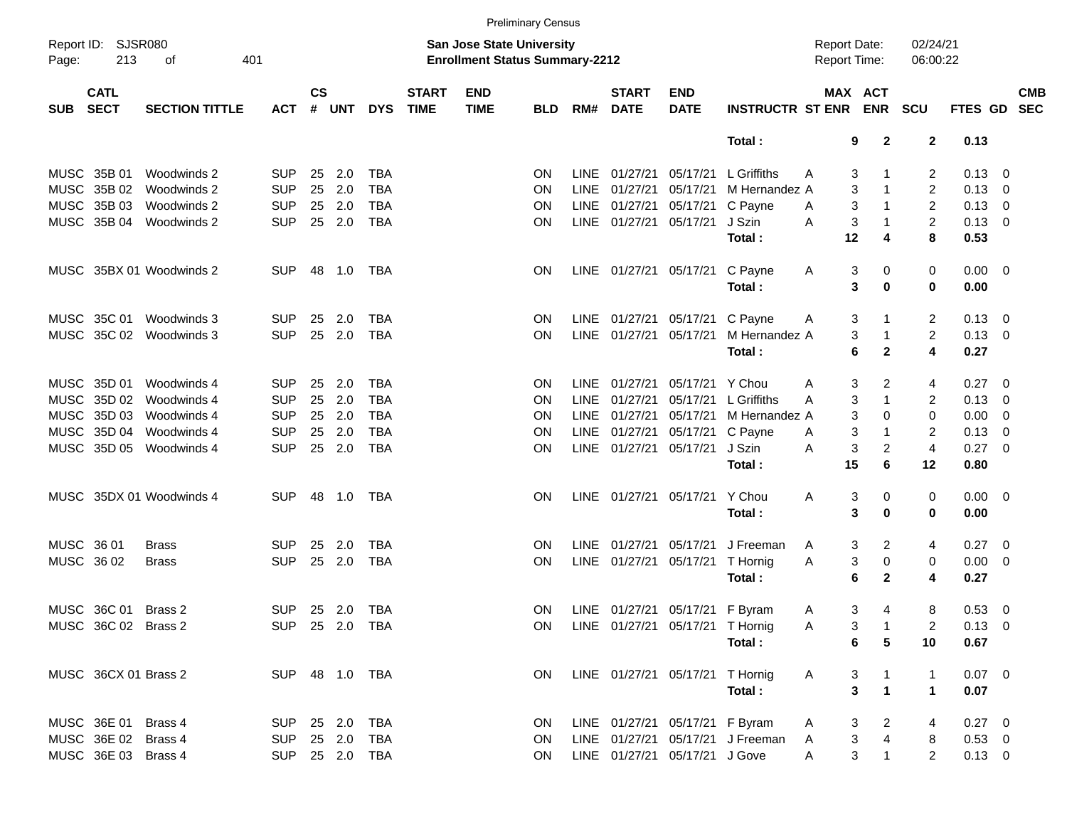|             |                            |                          |                |               |        |            |                             | <b>Preliminary Census</b>                                                 |            |             |                             |                                 |                                    |                                            |                                           |                      |                |                          |                          |
|-------------|----------------------------|--------------------------|----------------|---------------|--------|------------|-----------------------------|---------------------------------------------------------------------------|------------|-------------|-----------------------------|---------------------------------|------------------------------------|--------------------------------------------|-------------------------------------------|----------------------|----------------|--------------------------|--------------------------|
| Page:       | Report ID: SJSR080<br>213  | 401<br>οf                |                |               |        |            |                             | <b>San Jose State University</b><br><b>Enrollment Status Summary-2212</b> |            |             |                             |                                 |                                    | <b>Report Date:</b><br><b>Report Time:</b> |                                           | 02/24/21<br>06:00:22 |                |                          |                          |
| <b>SUB</b>  | <b>CATL</b><br><b>SECT</b> | <b>SECTION TITTLE</b>    | <b>ACT</b>     | $\mathsf{cs}$ | # UNT  | <b>DYS</b> | <b>START</b><br><b>TIME</b> | <b>END</b><br><b>TIME</b>                                                 | <b>BLD</b> | RM#         | <b>START</b><br><b>DATE</b> | <b>END</b><br><b>DATE</b>       | <b>INSTRUCTR ST ENR</b>            |                                            | MAX ACT<br><b>ENR</b>                     | <b>SCU</b>           | FTES GD        |                          | <b>CMB</b><br><b>SEC</b> |
|             |                            |                          |                |               |        |            |                             |                                                                           |            |             |                             |                                 | Total:                             |                                            | 9<br>$\mathbf{2}$                         | $\mathbf{2}$         | 0.13           |                          |                          |
|             | MUSC 35B 01                | Woodwinds 2              | <b>SUP</b>     | 25            | 2.0    | <b>TBA</b> |                             |                                                                           | ON.        |             | LINE 01/27/21               | 05/17/21                        | L Griffiths                        | A                                          | 3<br>-1                                   | $\overline{2}$       | 0.13           | - 0                      |                          |
| <b>MUSC</b> | 35B 02                     | Woodwinds 2              | <b>SUP</b>     | 25            | 2.0    | <b>TBA</b> |                             |                                                                           | ON.        | <b>LINE</b> | 01/27/21                    | 05/17/21                        | M Hernandez A                      |                                            | 3<br>$\overline{1}$                       | $\overline{2}$       | 0.13           | $\overline{0}$           |                          |
| <b>MUSC</b> | 35B 03                     | Woodwinds 2              | <b>SUP</b>     | 25            | 2.0    | <b>TBA</b> |                             |                                                                           | <b>ON</b>  |             | LINE 01/27/21               | 05/17/21                        | C Payne                            | A                                          | 3<br>$\overline{1}$                       | $\overline{c}$       | 0.13           | $\overline{0}$           |                          |
|             | MUSC 35B 04                | Woodwinds 2              | <b>SUP</b>     | 25            | 2.0    | <b>TBA</b> |                             |                                                                           | <b>ON</b>  |             | LINE 01/27/21               | 05/17/21                        | J Szin                             | A                                          | 3<br>$\overline{1}$                       | $\overline{2}$       | 0.13           | $\overline{\mathbf{0}}$  |                          |
|             |                            |                          |                |               |        |            |                             |                                                                           |            |             |                             |                                 | Total:                             |                                            | 12<br>4                                   | 8                    | 0.53           |                          |                          |
|             |                            | MUSC 35BX 01 Woodwinds 2 | <b>SUP</b>     | 48            | 1.0    | TBA        |                             |                                                                           | <b>ON</b>  |             | LINE 01/27/21               | 05/17/21                        | C Payne                            | A                                          | 3<br>0                                    | 0                    | 0.00           | $\overline{\mathbf{0}}$  |                          |
|             |                            |                          |                |               |        |            |                             |                                                                           |            |             |                             |                                 | Total:                             |                                            | 3<br>0                                    | 0                    | 0.00           |                          |                          |
|             | MUSC 35C 01                | Woodwinds 3              | <b>SUP</b>     | 25            | 2.0    | TBA        |                             |                                                                           | <b>ON</b>  |             | LINE 01/27/21               | 05/17/21                        | C Payne                            | A                                          | 3<br>-1                                   | $\overline{2}$       | 0.13           | $\overline{0}$           |                          |
|             | MUSC 35C 02                | Woodwinds 3              | <b>SUP</b>     | 25            | 2.0    | <b>TBA</b> |                             |                                                                           | <b>ON</b>  |             | LINE 01/27/21               | 05/17/21                        | M Hernandez A                      |                                            | $\overline{1}$<br>3                       | $\overline{2}$       | 0.13           | $\overline{\mathbf{0}}$  |                          |
|             |                            |                          |                |               |        |            |                             |                                                                           |            |             |                             |                                 | Total:                             |                                            | $\mathbf{2}$<br>6                         | 4                    | 0.27           |                          |                          |
|             | MUSC 35D 01                | Woodwinds 4              | <b>SUP</b>     | 25            | 2.0    | <b>TBA</b> |                             |                                                                           | ON.        |             | LINE 01/27/21               | 05/17/21                        | Y Chou                             | A                                          | 3<br>2                                    | 4                    | 0.27           | $\overline{\mathbf{0}}$  |                          |
| <b>MUSC</b> | 35D 02                     | Woodwinds 4              | <b>SUP</b>     | 25            | 2.0    | <b>TBA</b> |                             |                                                                           | ON.        | LINE        | 01/27/21                    | 05/17/21                        | L Griffiths                        | A                                          | $\overline{1}$<br>3                       | 2                    | 0.13           | 0                        |                          |
| <b>MUSC</b> | 35D 03                     | Woodwinds 4              | <b>SUP</b>     | 25            | 2.0    | <b>TBA</b> |                             |                                                                           | <b>ON</b>  |             | LINE 01/27/21               | 05/17/21                        | M Hernandez A                      |                                            | 3<br>0                                    | $\mathbf 0$          | 0.00           | 0                        |                          |
| MUSC        | 35D 04                     | Woodwinds 4              | <b>SUP</b>     | 25            | 2.0    | <b>TBA</b> |                             |                                                                           | <b>ON</b>  |             | LINE 01/27/21               | 05/17/21                        | C Payne                            | A                                          | 3<br>$\overline{1}$                       | 2                    | 0.13           | 0                        |                          |
|             | MUSC 35D 05                | Woodwinds 4              | <b>SUP</b>     | 25            | 2.0    | <b>TBA</b> |                             |                                                                           | <b>ON</b>  |             | LINE 01/27/21               | 05/17/21                        | J Szin                             | A                                          | $\overline{2}$<br>3                       | 4                    | 0.27           | $\overline{\mathbf{0}}$  |                          |
|             |                            |                          |                |               |        |            |                             |                                                                           |            |             |                             |                                 | Total:                             |                                            | 15<br>6                                   | 12                   | 0.80           |                          |                          |
|             |                            | MUSC 35DX 01 Woodwinds 4 | <b>SUP</b>     | 48            | 1.0    | TBA        |                             |                                                                           | <b>ON</b>  |             | LINE 01/27/21               | 05/17/21                        | Y Chou                             | A                                          | 3<br>0                                    | 0                    | 0.00           | $\overline{\phantom{0}}$ |                          |
|             |                            |                          |                |               |        |            |                             |                                                                           |            |             |                             |                                 | Total:                             |                                            | 3<br>0                                    | 0                    | 0.00           |                          |                          |
| MUSC 36 01  |                            | <b>Brass</b>             | <b>SUP</b>     | 25            | 2.0    | <b>TBA</b> |                             |                                                                           | ON.        |             | LINE 01/27/21               | 05/17/21                        | J Freeman                          | A                                          | 3<br>2                                    | 4                    | 0.27           | $\overline{\mathbf{0}}$  |                          |
| MUSC 36 02  |                            | <b>Brass</b>             | <b>SUP</b>     | 25            | 2.0    | <b>TBA</b> |                             |                                                                           | <b>ON</b>  |             | LINE 01/27/21               | 05/17/21                        | T Hornig                           | A                                          | 3<br>0                                    | 0                    | 0.00           | $\overline{\mathbf{0}}$  |                          |
|             |                            |                          |                |               |        |            |                             |                                                                           |            |             |                             |                                 | Total:                             |                                            | 6<br>$\mathbf{2}$                         | 4                    | 0.27           |                          |                          |
|             | MUSC 36C 01                | Brass 2                  | <b>SUP</b>     |               | 25 2.0 | <b>TBA</b> |                             |                                                                           | ON         |             |                             | LINE 01/27/21 05/17/21 F Byram  |                                    | A                                          | 3<br>4                                    | 8                    | 0.53           | $\overline{0}$           |                          |
|             | MUSC 36C 02 Brass 2        |                          | SUP 25 2.0 TBA |               |        |            |                             |                                                                           | ON.        |             |                             | LINE 01/27/21 05/17/21 T Hornig |                                    | A                                          | 3<br>$\overline{\phantom{1}}$             | $\overline{2}$       | $0.13 \ 0$     |                          |                          |
|             |                            |                          |                |               |        |            |                             |                                                                           |            |             |                             |                                 | Total:                             |                                            | 6<br>5                                    | 10                   | 0.67           |                          |                          |
|             | MUSC 36CX 01 Brass 2       |                          | SUP 48 1.0 TBA |               |        |            |                             |                                                                           | ON         |             |                             | LINE 01/27/21 05/17/21 T Hornig |                                    | A                                          | 3<br>$\overline{\phantom{a}}$ 1           | 1                    | $0.07 \quad 0$ |                          |                          |
|             |                            |                          |                |               |        |            |                             |                                                                           |            |             |                             |                                 | Total:                             |                                            | $\overline{\mathbf{3}}$<br>$\overline{1}$ | $\mathbf{1}$         | 0.07           |                          |                          |
|             | MUSC 36E 01 Brass 4        |                          | SUP 25 2.0     |               |        | TBA        |                             |                                                                           | ON         |             |                             | LINE 01/27/21 05/17/21 F Byram  |                                    | $\mathsf{A}$                               | $\overline{\phantom{a}}$<br>3             | 4                    | $0.27 \quad 0$ |                          |                          |
|             | MUSC 36E 02 Brass 4        |                          | SUP 25 2.0     |               |        | TBA        |                             |                                                                           | <b>ON</b>  |             |                             |                                 | LINE 01/27/21 05/17/21 J Freeman A |                                            | $\overline{4}$<br>$\mathbf{3}$            | 8                    | $0.53 \ 0$     |                          |                          |
|             | MUSC 36E 03 Brass 4        |                          | SUP 25 2.0 TBA |               |        |            |                             |                                                                           | ON.        |             |                             | LINE 01/27/21 05/17/21 J Gove   |                                    | A                                          | 3<br>$\overline{1}$                       | $\overline{2}$       | $0.13 \ 0$     |                          |                          |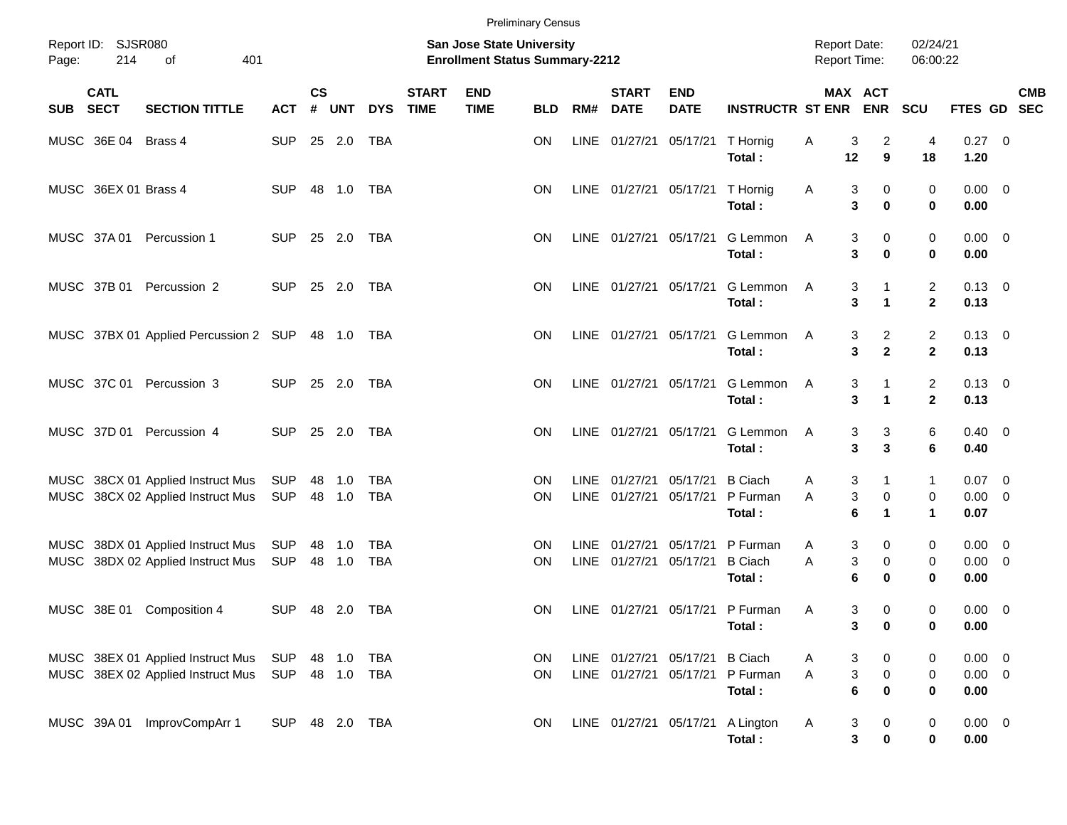|            |                            |                                                                        |                   |                    |                  |                          |                             | <b>Preliminary Census</b>                                                 |                        |     |                                                  |                           |                                      |                                            |                                          |                                           |                                    |                         |  |
|------------|----------------------------|------------------------------------------------------------------------|-------------------|--------------------|------------------|--------------------------|-----------------------------|---------------------------------------------------------------------------|------------------------|-----|--------------------------------------------------|---------------------------|--------------------------------------|--------------------------------------------|------------------------------------------|-------------------------------------------|------------------------------------|-------------------------|--|
| Page:      | Report ID: SJSR080<br>214  | 401<br>οf                                                              |                   |                    |                  |                          |                             | <b>San Jose State University</b><br><b>Enrollment Status Summary-2212</b> |                        |     |                                                  |                           |                                      | <b>Report Date:</b><br><b>Report Time:</b> |                                          | 02/24/21<br>06:00:22                      |                                    |                         |  |
| <b>SUB</b> | <b>CATL</b><br><b>SECT</b> | <b>SECTION TITTLE</b>                                                  | <b>ACT</b>        | $\mathsf{cs}$<br># | <b>UNT</b>       | <b>DYS</b>               | <b>START</b><br><b>TIME</b> | <b>END</b><br><b>TIME</b>                                                 | <b>BLD</b>             | RM# | <b>START</b><br><b>DATE</b>                      | <b>END</b><br><b>DATE</b> | <b>INSTRUCTR ST ENR</b>              |                                            | MAX ACT<br><b>ENR</b>                    | SCU                                       | FTES GD SEC                        | <b>CMB</b>              |  |
|            | MUSC 36E 04                | Brass 4                                                                | <b>SUP</b>        |                    | 25 2.0           | TBA                      |                             |                                                                           | ON                     |     | LINE 01/27/21 05/17/21                           |                           | T Hornig<br>Total:                   | Α<br>12                                    | $\overline{a}$<br>3<br>$\boldsymbol{9}$  | 4<br>18                                   | $0.27$ 0<br>1.20                   |                         |  |
|            | MUSC 36EX 01 Brass 4       |                                                                        | <b>SUP</b>        |                    | 48 1.0           | <b>TBA</b>               |                             |                                                                           | ON                     |     | LINE 01/27/21 05/17/21                           |                           | T Hornig<br>Total:                   | A                                          | 3<br>0<br>3<br>$\mathbf 0$               | 0<br>$\mathbf 0$                          | $0.00 \t 0$<br>0.00                |                         |  |
|            |                            | MUSC 37A 01 Percussion 1                                               | <b>SUP</b>        |                    | 25 2.0           | <b>TBA</b>               |                             |                                                                           | <b>ON</b>              |     | LINE 01/27/21 05/17/21                           |                           | G Lemmon<br>Total:                   | A                                          | 0<br>3<br>3<br>$\mathbf 0$               | 0<br>$\mathbf 0$                          | $0.00 \t 0$<br>0.00                |                         |  |
|            |                            | MUSC 37B 01 Percussion 2                                               | <b>SUP</b>        |                    | 25 2.0           | <b>TBA</b>               |                             |                                                                           | <b>ON</b>              |     | LINE 01/27/21 05/17/21                           |                           | G Lemmon<br>Total:                   | A                                          | 3<br>$\mathbf{1}$<br>3<br>$\mathbf{1}$   | $\overline{2}$<br>$\mathbf{2}$            | $0.13 \quad 0$<br>0.13             |                         |  |
|            |                            | MUSC 37BX 01 Applied Percussion 2 SUP 48 1.0 TBA                       |                   |                    |                  |                          |                             |                                                                           | <b>ON</b>              |     | LINE 01/27/21 05/17/21                           |                           | G Lemmon<br>Total:                   | A                                          | $\overline{c}$<br>3<br>$\mathbf{2}$<br>3 | $\overline{c}$<br>$\mathbf{2}$            | $0.13 \quad 0$<br>0.13             |                         |  |
|            |                            | MUSC 37C 01 Percussion 3                                               | <b>SUP</b>        |                    | 25 2.0           | <b>TBA</b>               |                             |                                                                           | <b>ON</b>              |     | LINE 01/27/21 05/17/21                           |                           | G Lemmon<br>Total:                   | A                                          | 3<br>$\mathbf{1}$<br>3<br>$\mathbf{1}$   | $\overline{2}$<br>$\mathbf{2}$            | $0.13 \quad 0$<br>0.13             |                         |  |
|            |                            | MUSC 37D 01 Percussion 4                                               | <b>SUP</b>        |                    | 25 2.0           | <b>TBA</b>               |                             |                                                                           | <b>ON</b>              |     | LINE 01/27/21 05/17/21                           |                           | G Lemmon<br>Total:                   | A                                          | $\ensuremath{\mathsf{3}}$<br>3<br>3<br>3 | 6<br>6                                    | $0.40 \quad 0$<br>0.40             |                         |  |
|            |                            | MUSC 38CX 01 Applied Instruct Mus<br>MUSC 38CX 02 Applied Instruct Mus | SUP<br>SUP        |                    | 48 1.0<br>48 1.0 | <b>TBA</b><br><b>TBA</b> |                             |                                                                           | <b>ON</b><br><b>ON</b> |     | LINE 01/27/21<br>LINE 01/27/21                   | 05/17/21<br>05/17/21      | <b>B</b> Ciach<br>P Furman<br>Total: | A<br>A                                     | 3<br>$\mathbf{1}$<br>3<br>0<br>6<br>1    | $\mathbf{1}$<br>0<br>$\blacktriangleleft$ | 0.07<br>$0.00 \t 0$<br>0.07        | $\overline{\mathbf{0}}$ |  |
|            |                            | MUSC 38DX 01 Applied Instruct Mus<br>MUSC 38DX 02 Applied Instruct Mus | SUP<br>SUP        |                    | 48 1.0<br>48 1.0 | <b>TBA</b><br><b>TBA</b> |                             |                                                                           | <b>ON</b><br><b>ON</b> |     | LINE 01/27/21<br>LINE 01/27/21                   | 05/17/21<br>05/17/21      | P Furman<br><b>B</b> Ciach<br>Total: | Α<br>A                                     | 3<br>0<br>3<br>0<br>6<br>$\bf{0}$        | 0<br>0<br>0                               | $0.00 \t 0$<br>$0.00 \t 0$<br>0.00 |                         |  |
|            |                            | MUSC 38E 01 Composition 4                                              | <b>SUP</b>        |                    | 48 2.0           | TBA                      |                             |                                                                           | <b>ON</b>              |     |                                                  | LINE 01/27/21 05/17/21    | P Furman<br>Total:                   | Α                                          | 3<br>0<br>3<br>$\bf{0}$                  | 0<br>0                                    | $0.00 \ 0$<br>0.00                 |                         |  |
|            |                            | MUSC 38EX 01 Applied Instruct Mus<br>MUSC 38EX 02 Applied Instruct Mus | SUP<br>SUP 48 1.0 |                    | 48 1.0           | <b>TBA</b><br>TBA        |                             |                                                                           | ON<br>ON               |     | LINE 01/27/21 05/17/21<br>LINE 01/27/21 05/17/21 |                           | <b>B</b> Ciach<br>P Furman<br>Total: | Α<br>A                                     | 3<br>0<br>3<br>0<br>$\bf 6$<br>$\bf{0}$  | 0<br>0<br>0                               | $0.00 \t 0$<br>$0.00 \t 0$<br>0.00 |                         |  |
|            |                            | MUSC 39A 01 ImprovCompArr 1                                            | SUP 48 2.0 TBA    |                    |                  |                          |                             |                                                                           | ON                     |     | LINE 01/27/21 05/17/21                           |                           | A Lington<br>Total:                  | Α                                          | 3<br>0<br>3<br>$\pmb{0}$                 | 0<br>$\pmb{0}$                            | $0.00 \t 0$<br>0.00                |                         |  |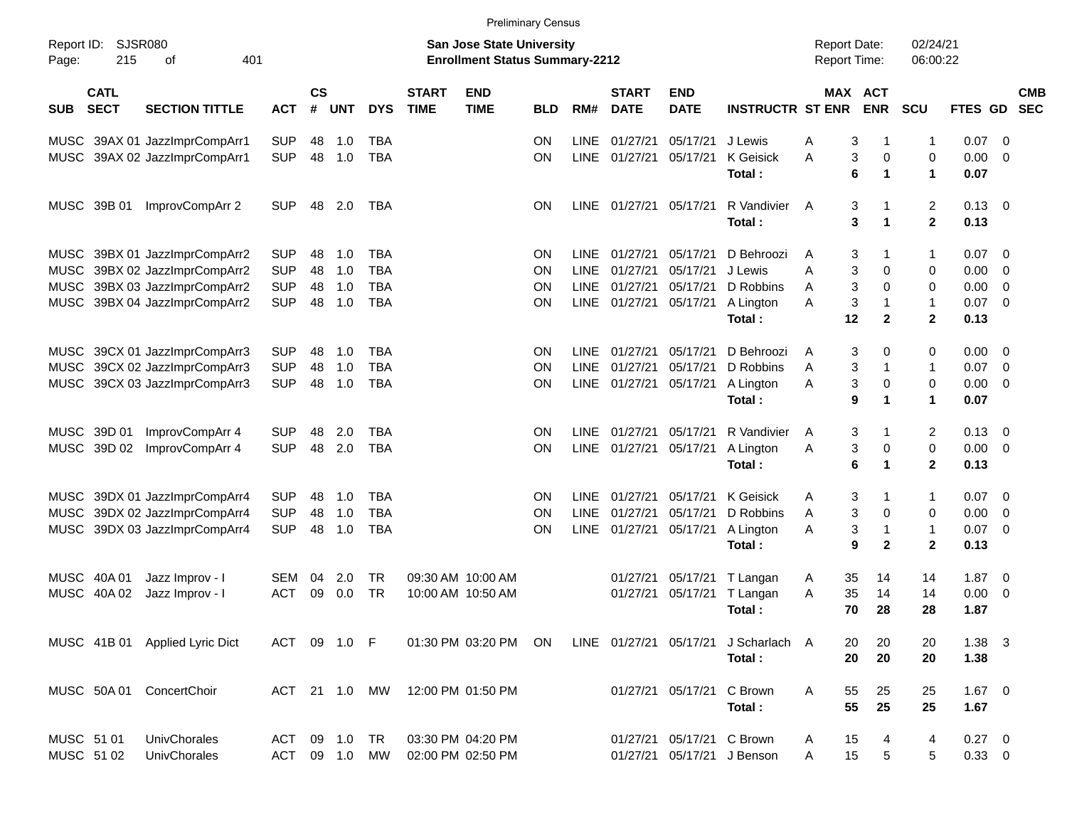|                     |                            |                                |               |                    |            |            |                             |                                                                    | <b>Preliminary Census</b> |             |                             |                           |                                      |                                            |                              |                              |                    |                         |                          |
|---------------------|----------------------------|--------------------------------|---------------|--------------------|------------|------------|-----------------------------|--------------------------------------------------------------------|---------------------------|-------------|-----------------------------|---------------------------|--------------------------------------|--------------------------------------------|------------------------------|------------------------------|--------------------|-------------------------|--------------------------|
| Report ID:<br>Page: | <b>SJSR080</b><br>215      | 401<br>οf                      |               |                    |            |            |                             | San Jose State University<br><b>Enrollment Status Summary-2212</b> |                           |             |                             |                           |                                      | <b>Report Date:</b><br><b>Report Time:</b> |                              | 02/24/21<br>06:00:22         |                    |                         |                          |
| <b>SUB</b>          | <b>CATL</b><br><b>SECT</b> | <b>SECTION TITTLE</b>          | <b>ACT</b>    | $\mathsf{cs}$<br># | <b>UNT</b> | <b>DYS</b> | <b>START</b><br><b>TIME</b> | <b>END</b><br><b>TIME</b>                                          | <b>BLD</b>                | RM#         | <b>START</b><br><b>DATE</b> | <b>END</b><br><b>DATE</b> | <b>INSTRUCTR ST ENR</b>              |                                            | <b>MAX ACT</b><br><b>ENR</b> | <b>SCU</b>                   | FTES GD            |                         | <b>CMB</b><br><b>SEC</b> |
|                     |                            | MUSC 39AX 01 JazzImprCompArr1  | <b>SUP</b>    | 48                 | 1.0        | TBA        |                             |                                                                    | <b>ON</b>                 | <b>LINE</b> | 01/27/21                    | 05/17/21                  | J Lewis                              | Α                                          | 3<br>-1                      | 1                            | 0.07               | - 0                     |                          |
| MUSC                |                            | 39AX 02 JazzImprCompArr1       | <b>SUP</b>    | 48                 | 1.0        | <b>TBA</b> |                             |                                                                    | ON                        | <b>LINE</b> | 01/27/21                    | 05/17/21                  | K Geisick<br>Total:                  | Α                                          | 3<br>0<br>6<br>$\mathbf 1$   | 0<br>$\mathbf 1$             | 0.00<br>0.07       | - 0                     |                          |
| MUSC                | 39B 01                     | ImprovCompArr 2                | <b>SUP</b>    | 48                 | 2.0        | TBA        |                             |                                                                    | <b>ON</b>                 |             | LINE 01/27/21               | 05/17/21                  | R Vandivier<br>Total:                | A                                          | 3<br>-1<br>3<br>1            | 2<br>$\mathbf 2$             | $0.13 \ 0$<br>0.13 |                         |                          |
| <b>MUSC</b>         |                            | 39BX 01 JazzImprCompArr2       | <b>SUP</b>    | 48                 | 1.0        | TBA        |                             |                                                                    | <b>ON</b>                 | <b>LINE</b> | 01/27/21                    | 05/17/21                  | D Behroozi                           | Α                                          | 3<br>-1                      | 1                            | 0.07               | - 0                     |                          |
| <b>MUSC</b>         |                            | 39BX 02 JazzImprCompArr2       | <b>SUP</b>    | 48                 | 1.0        | <b>TBA</b> |                             |                                                                    | <b>ON</b>                 | LINE        | 01/27/21                    | 05/17/21                  | J Lewis                              | Α                                          | 3<br>0                       | 0                            | 0.00               | 0                       |                          |
| <b>MUSC</b>         |                            | 39BX 03 JazzImprCompArr2       | <b>SUP</b>    | 48                 | 1.0        | <b>TBA</b> |                             |                                                                    | <b>ON</b>                 | LINE        | 01/27/21                    | 05/17/21                  | D Robbins                            | A                                          | 3<br>0                       | 0                            | 0.00               | 0                       |                          |
| MUSC                |                            | 39BX 04 JazzImprCompArr2       | <b>SUP</b>    | 48                 | 1.0        | <b>TBA</b> |                             |                                                                    | ON                        |             | LINE 01/27/21               | 05/17/21                  | A Lington<br>Total:                  | A<br>12                                    | 3<br>-1<br>$\mathbf{2}$      | $\mathbf{1}$<br>$\mathbf{2}$ | 0.07<br>0.13       | - 0                     |                          |
| MUSC                |                            | 39CX 01 JazzImprCompArr3       | <b>SUP</b>    | 48                 | 1.0        | TBA        |                             |                                                                    | <b>ON</b>                 | LINE        | 01/27/21                    | 05/17/21                  | D Behroozi                           | A                                          | 3<br>0                       | 0                            | 0.00               | - 0                     |                          |
| <b>MUSC</b>         |                            | 39CX 02 JazzImprCompArr3       | <b>SUP</b>    | 48                 | 1.0        | <b>TBA</b> |                             |                                                                    | <b>ON</b>                 | <b>LINE</b> | 01/27/21                    | 05/17/21                  | D Robbins                            | A                                          | 3<br>-1                      | $\mathbf{1}$                 | 0.07               | - 0                     |                          |
| MUSC                |                            | 39CX 03 JazzImprCompArr3       | <b>SUP</b>    | 48                 | 1.0        | <b>TBA</b> |                             |                                                                    | ON                        | <b>LINE</b> | 01/27/21                    | 05/17/21                  | A Lington                            | Α                                          | 3<br>0                       | 0                            | 0.00               | - 0                     |                          |
|                     |                            |                                |               |                    |            |            |                             |                                                                    |                           |             |                             |                           | Total:                               |                                            | 9<br>1                       | 1                            | 0.07               |                         |                          |
| MUSC                | 39D 01                     | ImprovCompArr 4                | <b>SUP</b>    | 48                 | 2.0        | TBA        |                             |                                                                    | <b>ON</b>                 | LINE.       | 01/27/21                    | 05/17/21                  | R Vandivier                          | A                                          | 3<br>-1                      | 2                            | 0.13               | 0                       |                          |
| MUSC                | 39D 02                     | ImprovCompArr 4                | <b>SUP</b>    | 48                 | 2.0        | <b>TBA</b> |                             |                                                                    | ON                        | <b>LINE</b> | 01/27/21                    | 05/17/21                  | A Lington                            | Α                                          | 3<br>0                       | 0                            | 0.00               | - 0                     |                          |
|                     |                            |                                |               |                    |            |            |                             |                                                                    |                           |             |                             |                           | Total:                               |                                            | 6<br>$\mathbf 1$             | $\mathbf{2}$                 | 0.13               |                         |                          |
| MUSC                |                            | 39DX 01 JazzImprCompArr4       | <b>SUP</b>    | 48                 | 1.0        | TBA        |                             |                                                                    | <b>ON</b>                 | <b>LINE</b> | 01/27/21                    | 05/17/21                  | <b>K</b> Geisick                     | Α                                          | 3<br>-1                      | 1                            | 0.07               | $\overline{\mathbf{0}}$ |                          |
| <b>MUSC</b>         |                            | 39DX 02 JazzImprCompArr4       | <b>SUP</b>    | 48                 | 1.0        | <b>TBA</b> |                             |                                                                    | <b>ON</b>                 | LINE        | 01/27/21                    | 05/17/21                  | D Robbins                            | A                                          | 3<br>0                       | 0                            | 0.00               | 0                       |                          |
| <b>MUSC</b>         |                            | 39DX 03 JazzImprCompArr4       | <b>SUP</b>    | 48                 | 1.0        | <b>TBA</b> |                             |                                                                    | <b>ON</b>                 | <b>LINE</b> | 01/27/21                    | 05/17/21                  | A Lington                            | Α                                          | 3<br>$\overline{\mathbf{1}}$ | $\mathbf{1}$                 | 0.07               | - 0                     |                          |
|                     |                            |                                |               |                    |            |            |                             |                                                                    |                           |             |                             |                           | Total:                               |                                            | 9<br>$\mathbf{2}$            | $\mathbf{2}$                 | 0.13               |                         |                          |
|                     | MUSC 40A 01                | Jazz Improv - I                | SEM           | 04                 | 2.0        | TR         |                             | 09:30 AM 10:00 AM                                                  |                           |             | 01/27/21                    | 05/17/21                  | T Langan                             | 35<br>A                                    | 14                           | 14                           | 1.87               | $\overline{\mathbf{0}}$ |                          |
| <b>MUSC</b>         | 40A 02                     | Jazz Improv - I                | ACT           | 09                 | 0.0        | <b>TR</b>  |                             | 10:00 AM 10:50 AM                                                  |                           |             | 01/27/21                    | 05/17/21                  | T Langan                             | 35<br>A                                    | 14                           | 14                           | 0.00               | - 0                     |                          |
|                     |                            |                                |               |                    |            |            |                             |                                                                    |                           |             |                             |                           | Total:                               | 70                                         | 28                           | 28                           | 1.87               |                         |                          |
|                     |                            | MUSC 41B 01 Applied Lyric Dict | ACT 09 1.0 F  |                    |            |            |                             | 01:30 PM 03:20 PM ON                                               |                           |             |                             |                           | LINE 01/27/21 05/17/21 J Scharlach A | 20                                         | 20                           | 20                           | $1.38$ 3           |                         |                          |
|                     |                            |                                |               |                    |            |            |                             |                                                                    |                           |             |                             |                           | Total:                               | 20                                         | 20                           | 20                           | 1.38               |                         |                          |
|                     |                            | MUSC 50A 01 ConcertChoir       | ACT 21 1.0 MW |                    |            |            |                             | 12:00 PM 01:50 PM                                                  |                           |             |                             | 01/27/21 05/17/21         | C Brown                              | A<br>55                                    | 25                           | 25                           | $1.67$ 0           |                         |                          |
|                     |                            |                                |               |                    |            |            |                             |                                                                    |                           |             |                             |                           | Total:                               | 55                                         | 25                           | 25                           | 1.67               |                         |                          |
|                     | MUSC 51 01                 | UnivChorales                   | ACT           |                    | 09 1.0     | TR         |                             | 03:30 PM 04:20 PM                                                  |                           |             |                             | 01/27/21 05/17/21 C Brown |                                      | 15<br>A                                    | 4                            | 4                            | $0.27 \t 0$        |                         |                          |
|                     | MUSC 51 02                 | <b>UnivChorales</b>            | <b>ACT</b>    |                    |            | 09 1.0 MW  |                             | 02:00 PM 02:50 PM                                                  |                           |             |                             |                           | 01/27/21 05/17/21 J Benson           | 15<br>A                                    | $\,$ 5 $\,$                  | 5                            | $0.33 \ 0$         |                         |                          |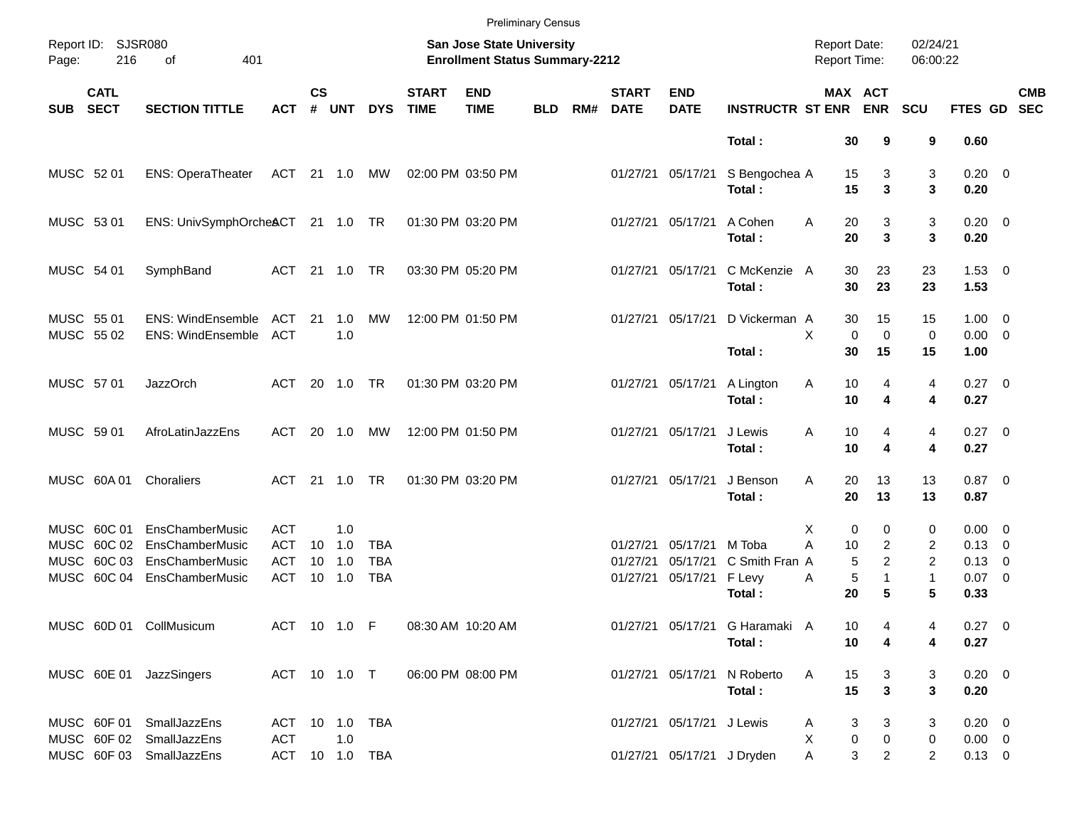|                          |                            |                                                      |                          |                 |            |            |                             |                                                                    | <b>Preliminary Census</b> |     |                             |                            |                                |                                     |                                  |                      |                            |            |
|--------------------------|----------------------------|------------------------------------------------------|--------------------------|-----------------|------------|------------|-----------------------------|--------------------------------------------------------------------|---------------------------|-----|-----------------------------|----------------------------|--------------------------------|-------------------------------------|----------------------------------|----------------------|----------------------------|------------|
| Page:                    | Report ID: SJSR080<br>216  | 401<br>of                                            |                          |                 |            |            |                             | San Jose State University<br><b>Enrollment Status Summary-2212</b> |                           |     |                             |                            |                                | <b>Report Date:</b><br>Report Time: |                                  | 02/24/21<br>06:00:22 |                            |            |
| <b>SUB</b>               | <b>CATL</b><br><b>SECT</b> | <b>SECTION TITTLE</b>                                | <b>ACT</b>               | $\mathsf{cs}$   | # UNT      | <b>DYS</b> | <b>START</b><br><b>TIME</b> | <b>END</b><br><b>TIME</b>                                          | <b>BLD</b>                | RM# | <b>START</b><br><b>DATE</b> | <b>END</b><br><b>DATE</b>  | <b>INSTRUCTR ST ENR ENR</b>    |                                     | MAX ACT                          | <b>SCU</b>           | FTES GD SEC                | <b>CMB</b> |
|                          |                            |                                                      |                          |                 |            |            |                             |                                                                    |                           |     |                             |                            | Total:                         | 30                                  | 9                                | 9                    | 0.60                       |            |
| MUSC 52 01               |                            | <b>ENS: OperaTheater</b>                             | ACT 21 1.0 MW            |                 |            |            |                             | 02:00 PM 03:50 PM                                                  |                           |     |                             | 01/27/21 05/17/21          | S Bengochea A<br>Total:        | 15<br>15                            | 3<br>$\overline{\mathbf{3}}$     | 3<br>3               | $0.20 \ 0$<br>0.20         |            |
| MUSC 53 01               |                            | ENS: UnivSymphOrcheACT 21 1.0 TR                     |                          |                 |            |            |                             | 01:30 PM 03:20 PM                                                  |                           |     |                             | 01/27/21 05/17/21          | A Cohen<br>Total:              | Α<br>20<br>20                       | 3<br>$\overline{\mathbf{3}}$     | 3<br>3               | $0.20 \ 0$<br>0.20         |            |
| MUSC 54 01               |                            | SymphBand                                            | <b>ACT</b>               |                 |            |            |                             | 03:30 PM 05:20 PM                                                  |                           |     |                             | 01/27/21 05/17/21          | C McKenzie A<br>Total:         | 30<br>30                            | 23<br>23                         | 23<br>23             | $1.53 \t 0$<br>1.53        |            |
| MUSC 55 01<br>MUSC 55 02 |                            | <b>ENS: WindEnsemble</b><br><b>ENS: WindEnsemble</b> | <b>ACT</b><br><b>ACT</b> | 21              | 1.0<br>1.0 | МW         |                             | 12:00 PM 01:50 PM                                                  |                           |     |                             | 01/27/21 05/17/21          | D Vickerman A                  | 30<br>X                             | 15<br>$\mathbf 0$<br>$\mathbf 0$ | 15<br>$\mathbf 0$    | $1.00 \t 0$<br>$0.00 \t 0$ |            |
|                          |                            |                                                      |                          |                 |            |            |                             |                                                                    |                           |     |                             |                            | Total:                         | 30                                  | 15                               | 15                   | 1.00                       |            |
| MUSC 57 01               |                            | <b>JazzOrch</b>                                      | ACT                      |                 | 20 1.0 TR  |            |                             | 01:30 PM 03:20 PM                                                  |                           |     |                             | 01/27/21 05/17/21          | A Lington<br>Total:            | 10<br>Α<br>10                       | 4<br>4                           | 4<br>4               | $0.27$ 0<br>0.27           |            |
| MUSC 59 01               |                            | AfroLatinJazzEns                                     | ACT                      |                 | 20 1.0     | MW         |                             | 12:00 PM 01:50 PM                                                  |                           |     |                             | 01/27/21 05/17/21          | J Lewis<br>Total:              | 10<br>Α<br>10                       | 4<br>$\overline{\mathbf{4}}$     | 4<br>4               | $0.27$ 0<br>0.27           |            |
|                          | MUSC 60A 01                | Choraliers                                           | ACT                      |                 | 21 1.0 TR  |            |                             | 01:30 PM 03:20 PM                                                  |                           |     |                             | 01/27/21 05/17/21          | J Benson<br>Total:             | 20<br>Α<br>20                       | 13<br>13                         | 13<br>13             | $0.87$ 0<br>0.87           |            |
|                          | MUSC 60C 01                | EnsChamberMusic                                      | <b>ACT</b>               |                 | 1.0        |            |                             |                                                                    |                           |     |                             |                            |                                | х                                   | $\mathbf 0$<br>0                 | 0                    | $0.00 \t 0$                |            |
|                          | MUSC 60C 02                | EnsChamberMusic                                      | <b>ACT</b>               | 10              | 1.0        | <b>TBA</b> |                             |                                                                    |                           |     | 01/27/21                    | 05/17/21 M Toba            |                                | A<br>10                             | $\overline{2}$                   | 2                    | $0.13 \ 0$                 |            |
|                          | MUSC 60C 03                | EnsChamberMusic                                      | <b>ACT</b>               | 10 <sup>°</sup> | 1.0        | <b>TBA</b> |                             |                                                                    |                           |     | 01/27/21                    | 05/17/21                   | C Smith Fran A                 |                                     | $\overline{a}$<br>5              | 2                    | $0.13 \ 0$                 |            |
|                          | MUSC 60C 04                | EnsChamberMusic                                      | <b>ACT</b>               |                 | 10 1.0     | <b>TBA</b> |                             |                                                                    |                           |     |                             | 01/27/21 05/17/21 F Levy   | Total:                         | Α<br>20                             | $\sqrt{5}$<br>$\mathbf{1}$<br>5  | $\mathbf{1}$<br>5    | $0.07$ 0<br>0.33           |            |
|                          |                            | MUSC 60D 01 CollMusicum                              | ACT 10 1.0 F             |                 |            |            |                             | 08:30 AM 10:20 AM                                                  |                           |     |                             |                            | 01/27/21 05/17/21 G Haramaki A | 10                                  |                                  | 4                    | $0.27 \t 0$                |            |
|                          |                            |                                                      |                          |                 |            |            |                             |                                                                    |                           |     |                             |                            | Total:                         | 10                                  | 4                                | 4                    | 0.27                       |            |
|                          |                            |                                                      | ACT 10 1.0 T             |                 |            |            |                             |                                                                    |                           |     |                             |                            | 01/27/21 05/17/21 N Roberto    |                                     |                                  |                      |                            |            |
|                          |                            | MUSC 60E 01 JazzSingers                              |                          |                 |            |            |                             | 06:00 PM 08:00 PM                                                  |                           |     |                             |                            | Total:                         | 15<br>A<br>15                       | 3<br>$\mathbf{3}$                | 3<br>3               | $0.20 \ 0$<br>0.20         |            |
|                          | MUSC 60F 01                | SmallJazzEns                                         | ACT 10 1.0 TBA           |                 |            |            |                             |                                                                    |                           |     |                             | 01/27/21 05/17/21 J Lewis  |                                | A                                   | 3<br>3                           | 3                    | $0.20 \ 0$                 |            |
|                          |                            | MUSC 60F 02 SmallJazzEns                             | <b>ACT</b>               |                 | 1.0        |            |                             |                                                                    |                           |     |                             |                            |                                | X                                   | 0<br>0                           | $\mathbf 0$          | $0.00 \quad 0$             |            |
|                          |                            | MUSC 60F 03 SmallJazzEns                             | ACT 10 1.0 TBA           |                 |            |            |                             |                                                                    |                           |     |                             | 01/27/21 05/17/21 J Dryden |                                | A                                   | 3<br>$\overline{2}$              | $\overline{2}$       | $0.13 \ 0$                 |            |
|                          |                            |                                                      |                          |                 |            |            |                             |                                                                    |                           |     |                             |                            |                                |                                     |                                  |                      |                            |            |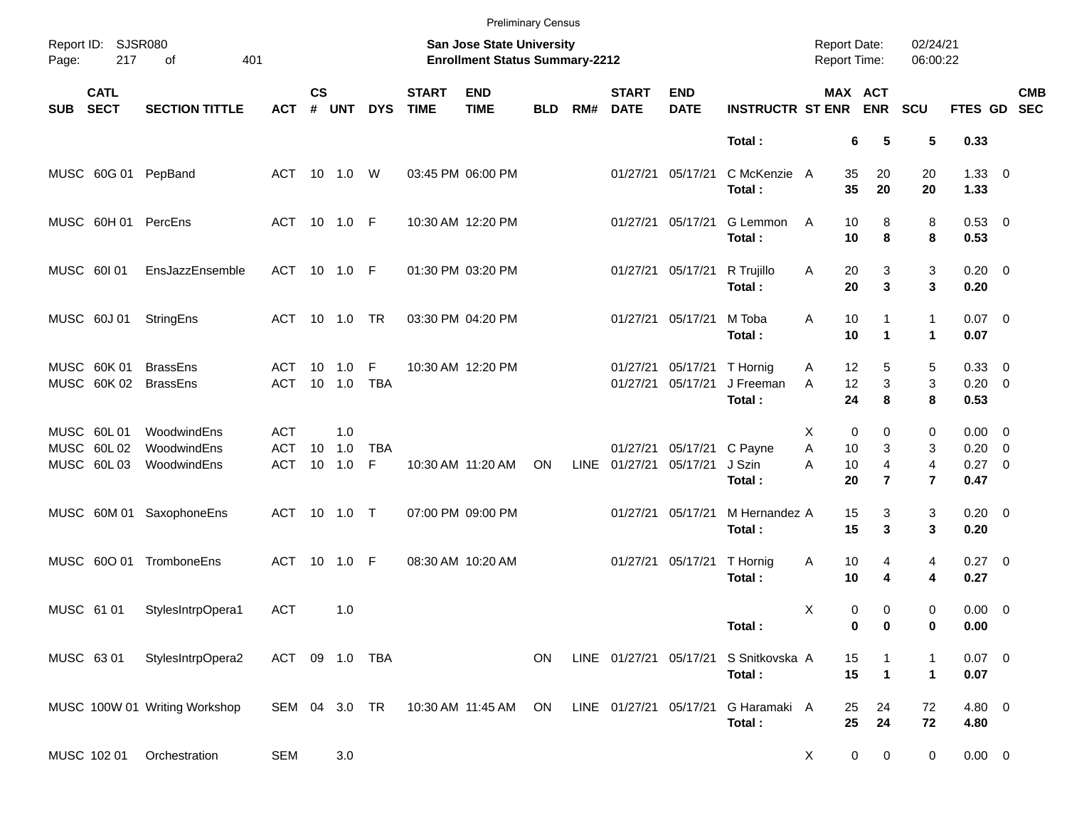|            |                                        |                                           |                                 |                    |                      |                 |                             | <b>Preliminary Census</b>                                          |            |      |                             |                           |                                          |                                     |                                                 |                                            |                                               |            |
|------------|----------------------------------------|-------------------------------------------|---------------------------------|--------------------|----------------------|-----------------|-----------------------------|--------------------------------------------------------------------|------------|------|-----------------------------|---------------------------|------------------------------------------|-------------------------------------|-------------------------------------------------|--------------------------------------------|-----------------------------------------------|------------|
| Page:      | Report ID: SJSR080<br>217              | 401<br>of                                 |                                 |                    |                      |                 |                             | San Jose State University<br><b>Enrollment Status Summary-2212</b> |            |      |                             |                           |                                          | <b>Report Date:</b><br>Report Time: |                                                 | 02/24/21<br>06:00:22                       |                                               |            |
| <b>SUB</b> | <b>CATL</b><br><b>SECT</b>             | <b>SECTION TITTLE</b>                     | <b>ACT</b>                      | $\mathsf{cs}$<br># | <b>UNT</b>           | <b>DYS</b>      | <b>START</b><br><b>TIME</b> | <b>END</b><br><b>TIME</b>                                          | <b>BLD</b> | RM#  | <b>START</b><br><b>DATE</b> | <b>END</b><br><b>DATE</b> | <b>INSTRUCTR ST ENR</b>                  |                                     | MAX ACT<br><b>ENR</b>                           | SCU                                        | FTES GD SEC                                   | <b>CMB</b> |
|            |                                        |                                           |                                 |                    |                      |                 |                             |                                                                    |            |      |                             |                           | Total:                                   |                                     | 6<br>5                                          | 5                                          | 0.33                                          |            |
|            | MUSC 60G 01                            | PepBand                                   | ACT 10 1.0 W                    |                    |                      |                 |                             | 03:45 PM 06:00 PM                                                  |            |      |                             | 01/27/21 05/17/21         | C McKenzie A<br>Total:                   | 35<br>35                            | 20<br>20                                        | 20<br>20                                   | $1.33 \ 0$<br>1.33                            |            |
|            | MUSC 60H 01 PercEns                    |                                           | ACT 10 1.0 F                    |                    |                      |                 |                             | 10:30 AM 12:20 PM                                                  |            |      |                             | 01/27/21 05/17/21         | G Lemmon<br>Total:                       | 10<br>Α<br>10                       | 8<br>8                                          | 8<br>8                                     | 0.53 0<br>0.53                                |            |
|            | MUSC 601 01                            | EnsJazzEnsemble                           | ACT 10 1.0 F                    |                    |                      |                 |                             | 01:30 PM 03:20 PM                                                  |            |      |                             | 01/27/21 05/17/21         | R Trujillo<br>Total:                     | Α<br>20<br>20                       | 3<br>$\mathbf{3}$                               | 3<br>3                                     | $0.20 \ 0$<br>0.20                            |            |
|            | MUSC 60J 01                            | StringEns                                 | ACT                             |                    |                      |                 |                             | 03:30 PM 04:20 PM                                                  |            |      |                             | 01/27/21 05/17/21         | M Toba<br>Total:                         | 10<br>Α<br>10                       | 1<br>$\blacktriangleleft$                       | $\mathbf{1}$<br>$\mathbf{1}$               | $0.07$ 0<br>0.07                              |            |
|            | MUSC 60K 01<br>MUSC 60K 02             | <b>BrassEns</b><br><b>BrassEns</b>        | ACT<br>ACT                      | 10 <sup>°</sup>    | 1.0<br>10 1.0        | F<br><b>TBA</b> |                             | 10:30 AM 12:20 PM                                                  |            |      | 01/27/21<br>01/27/21        | 05/17/21                  | 05/17/21 T Hornig<br>J Freeman<br>Total: | 12<br>A<br>12<br>A<br>24            | 5<br>$\mathbf{3}$<br>8                          | 5<br>3<br>8                                | 0.33 0<br>$0.20 \ 0$<br>0.53                  |            |
|            | MUSC 60L01<br>MUSC 60L02<br>MUSC 60L03 | WoodwindEns<br>WoodwindEns<br>WoodwindEns | <b>ACT</b><br><b>ACT</b><br>ACT | 10                 | 1.0<br>1.0<br>10 1.0 | <b>TBA</b><br>F |                             | 10:30 AM 11:20 AM                                                  | ON         | LINE | 01/27/21<br>01/27/21        | 05/17/21                  | 05/17/21 C Payne<br>J Szin<br>Total:     | X<br>Α<br>10<br>10<br>A<br>20       | 0<br>0<br>3<br>$\overline{4}$<br>$\overline{7}$ | 0<br>3<br>$\overline{4}$<br>$\overline{7}$ | $0.00 \t 0$<br>$0.20 \ 0$<br>$0.27$ 0<br>0.47 |            |
|            |                                        | MUSC 60M 01 SaxophoneEns                  | ACT 10 1.0 T                    |                    |                      |                 |                             | 07:00 PM 09:00 PM                                                  |            |      | 01/27/21                    | 05/17/21                  | M Hernandez A<br>Total:                  | 15<br>15                            | 3<br>$\mathbf{3}$                               | 3<br>3                                     | $0.20 \ 0$<br>0.20                            |            |
|            | MUSC 600 01                            | TromboneEns                               | ACT 10 1.0 F                    |                    |                      |                 |                             | 08:30 AM 10:20 AM                                                  |            |      | 01/27/21                    | 05/17/21                  | T Hornig<br>Total:                       | 10<br>Α<br>10                       | 4<br>4                                          | 4<br>4                                     | $0.27$ 0<br>0.27                              |            |
|            | MUSC 61 01                             | StylesIntrpOpera1                         | <b>ACT</b>                      |                    | 1.0                  |                 |                             |                                                                    |            |      |                             |                           | Total:                                   | X                                   | 0<br>0<br>0<br>0                                | 0<br>0                                     | $0.00 \t 0$<br>0.00                           |            |
|            | MUSC 6301                              | StylesIntrpOpera2                         | ACT 09 1.0 TBA                  |                    |                      |                 |                             |                                                                    | ON         |      |                             | LINE 01/27/21 05/17/21    | S Snitkovska A<br>Total:                 | 15<br>15                            | 1<br>$\mathbf 1$                                | -1<br>$\blacktriangleleft$                 | $0.07$ 0<br>0.07                              |            |
|            |                                        | MUSC 100W 01 Writing Workshop             | SEM 04 3.0 TR                   |                    |                      |                 |                             | 10:30 AM 11:45 AM                                                  | ON         |      | LINE 01/27/21 05/17/21      |                           | G Haramaki A<br>Total:                   | 25<br>25                            | 24<br>24                                        | 72<br>72                                   | 4.80 0<br>4.80                                |            |
|            | MUSC 102 01                            | Orchestration                             | <b>SEM</b>                      |                    | 3.0                  |                 |                             |                                                                    |            |      |                             |                           |                                          | X                                   | 0<br>$\mathbf 0$                                | 0                                          | $0.00 \t 0$                                   |            |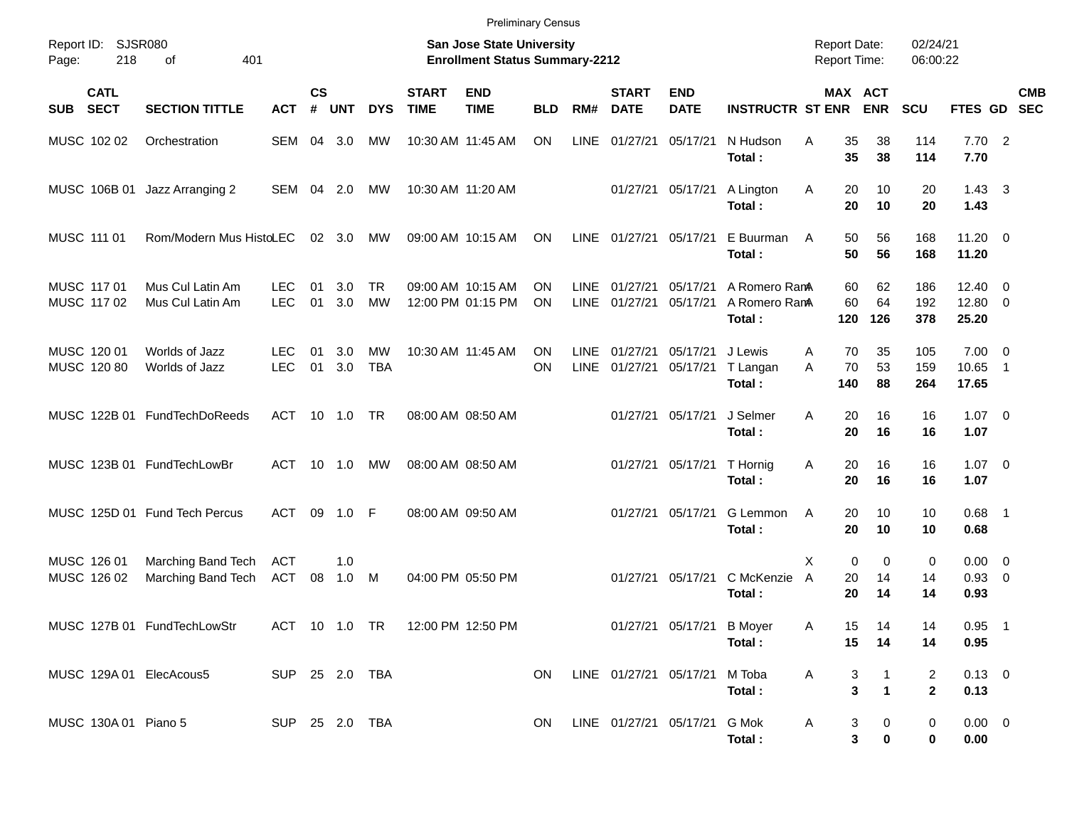|            |                            |                                           |                          |                |                |                         |                                 | <b>Preliminary Census</b>                                                 |            |                     |                             |                              |                                          |                                            |                                                    |                                |                                  |                            |            |
|------------|----------------------------|-------------------------------------------|--------------------------|----------------|----------------|-------------------------|---------------------------------|---------------------------------------------------------------------------|------------|---------------------|-----------------------------|------------------------------|------------------------------------------|--------------------------------------------|----------------------------------------------------|--------------------------------|----------------------------------|----------------------------|------------|
| Page:      | Report ID: SJSR080<br>218  | 401<br>of                                 |                          |                |                |                         |                                 | <b>San Jose State University</b><br><b>Enrollment Status Summary-2212</b> |            |                     |                             |                              |                                          | <b>Report Date:</b><br><b>Report Time:</b> |                                                    | 02/24/21<br>06:00:22           |                                  |                            |            |
| <b>SUB</b> | <b>CATL</b><br><b>SECT</b> | <b>SECTION TITTLE</b>                     | <b>ACT</b>               | <b>CS</b><br># | <b>UNT</b>     | <b>DYS</b>              | <b>START</b><br><b>TIME</b>     | <b>END</b><br><b>TIME</b>                                                 | <b>BLD</b> | RM#                 | <b>START</b><br><b>DATE</b> | <b>END</b><br><b>DATE</b>    | <b>INSTRUCTR ST ENR</b>                  |                                            | MAX ACT<br><b>ENR</b>                              | SCU                            | FTES GD SEC                      |                            | <b>CMB</b> |
|            | MUSC 102 02                | Orchestration                             | SEM                      | 04             | 3.0            | МW                      | 10:30 AM 11:45 AM               |                                                                           | <b>ON</b>  | LINE                | 01/27/21                    | 05/17/21                     | N Hudson<br>Total:                       | A                                          | 35<br>38<br>35<br>38                               | 114<br>114                     | 7.702<br>7.70                    |                            |            |
|            |                            | MUSC 106B 01 Jazz Arranging 2             | SEM 04                   |                | 2.0            | МW                      | 10:30 AM 11:20 AM               |                                                                           |            |                     | 01/27/21                    | 05/17/21                     | A Lington<br>Total:                      | A                                          | 20<br>10<br>20<br>10                               | 20<br>20                       | $1.43 \quad 3$<br>1.43           |                            |            |
|            | MUSC 111 01                | Rom/Modern Mus HistoLEC                   |                          |                | $02 \quad 3.0$ | <b>MW</b>               |                                 | 09:00 AM 10:15 AM                                                         | <b>ON</b>  | <b>LINE</b>         | 01/27/21 05/17/21           |                              | E Buurman<br>Total:                      | $\overline{A}$                             | 56<br>50<br>50<br>56                               | 168<br>168                     | $11.20 \t 0$<br>11.20            |                            |            |
|            | MUSC 117 01<br>MUSC 117 02 | Mus Cul Latin Am<br>Mus Cul Latin Am      | LEC.<br><b>LEC</b>       | 01<br>01       | 3.0<br>3.0     | <b>TR</b><br><b>MW</b>  | 09:00 AM 10:15 AM               | 12:00 PM 01:15 PM                                                         | ON<br>ON   | LINE<br><b>LINE</b> | 01/27/21<br>01/27/21        | 05/17/21<br>05/17/21         | A Romero RamA<br>A Romero RamA<br>Total: | 120                                        | 62<br>60<br>60<br>64<br>126                        | 186<br>192<br>378              | $12.40 \t 0$<br>12.80 0<br>25.20 |                            |            |
|            | MUSC 120 01<br>MUSC 120 80 | Worlds of Jazz<br>Worlds of Jazz          | LEC.<br><b>LEC</b>       | 01<br>01       | 3.0<br>3.0     | <b>MW</b><br><b>TBA</b> |                                 | 10:30 AM 11:45 AM                                                         | ON<br>ON   | LINE<br><b>LINE</b> | 01/27/21<br>01/27/21        | 05/17/21<br>05/17/21         | J Lewis<br>T Langan<br>Total:            | A<br>A<br>140                              | 70<br>35<br>70<br>53<br>88                         | 105<br>159<br>264              | $7.00 \t 0$<br>10.65<br>17.65    | $\overline{\phantom{0}}$ 1 |            |
|            |                            | MUSC 122B 01 FundTechDoReeds              | ACT 10 1.0               |                |                | <b>TR</b>               | 08:00 AM 08:50 AM               |                                                                           |            |                     | 01/27/21                    | 05/17/21                     | J Selmer<br>Total:                       | A                                          | 20<br>16<br>20<br>16                               | 16<br>16                       | $1.07 \quad 0$<br>1.07           |                            |            |
|            |                            | MUSC 123B 01 FundTechLowBr                | <b>ACT</b>               | 10             | 1.0            | MW                      | 08:00 AM 08:50 AM               |                                                                           |            |                     | 01/27/21                    | 05/17/21                     | T Hornig<br>Total:                       | Α                                          | 20<br>16<br>20<br>16                               | 16<br>16                       | $1.07 \quad 0$<br>1.07           |                            |            |
|            |                            | MUSC 125D 01 Fund Tech Percus             | <b>ACT</b>               | 09             | 1.0            | -F                      | 08:00 AM 09:50 AM               |                                                                           |            |                     | 01/27/21                    | 05/17/21                     | G Lemmon<br>Total:                       | A                                          | 20<br>10<br>20<br>10                               | 10<br>10                       | $0.68$ 1<br>0.68                 |                            |            |
|            | MUSC 126 01<br>MUSC 126 02 | Marching Band Tech<br>Marching Band Tech  | <b>ACT</b><br><b>ACT</b> | 08             | 1.0<br>1.0     | M                       | 04:00 PM 05:50 PM               |                                                                           |            |                     | 01/27/21                    | 05/17/21                     | C McKenzie<br>Total:                     | X<br>$\overline{A}$                        | $\mathbf 0$<br>$\mathbf 0$<br>20<br>14<br>20<br>14 | 0<br>14<br>14                  | $0.00 \t 0$<br>0.93 0<br>0.93    |                            |            |
|            |                            | MUSC 127B 01 FundTechLowStr               |                          |                |                |                         | ACT 10 1.0 TR 12:00 PM 12:50 PM |                                                                           |            |                     |                             | 01/27/21 05/17/21 B Moyer    | Total:                                   | Α                                          | 15<br>14<br>15<br>14                               | 14<br>14                       | $0.95$ 1<br>0.95                 |                            |            |
|            |                            | MUSC 129A 01 ElecAcous5<br>SUP 25 2.0 TBA |                          |                |                |                         |                                 |                                                                           | ON.        |                     | LINE 01/27/21 05/17/21      |                              | M Toba<br>Total:                         | Α                                          | 3<br>1<br>3<br>$\mathbf{1}$                        | $\overline{c}$<br>$\mathbf{2}$ | $0.13 \ 0$<br>0.13               |                            |            |
|            | MUSC 130A 01 Piano 5       |                                           | SUP 25 2.0 TBA           |                |                |                         |                                 |                                                                           | ON         |                     |                             | LINE 01/27/21 05/17/21 G Mok | Total:                                   | A                                          | 3<br>$\mathbf 0$<br>3<br>$\pmb{0}$                 | 0<br>0                         | $0.00 \t 0$<br>0.00              |                            |            |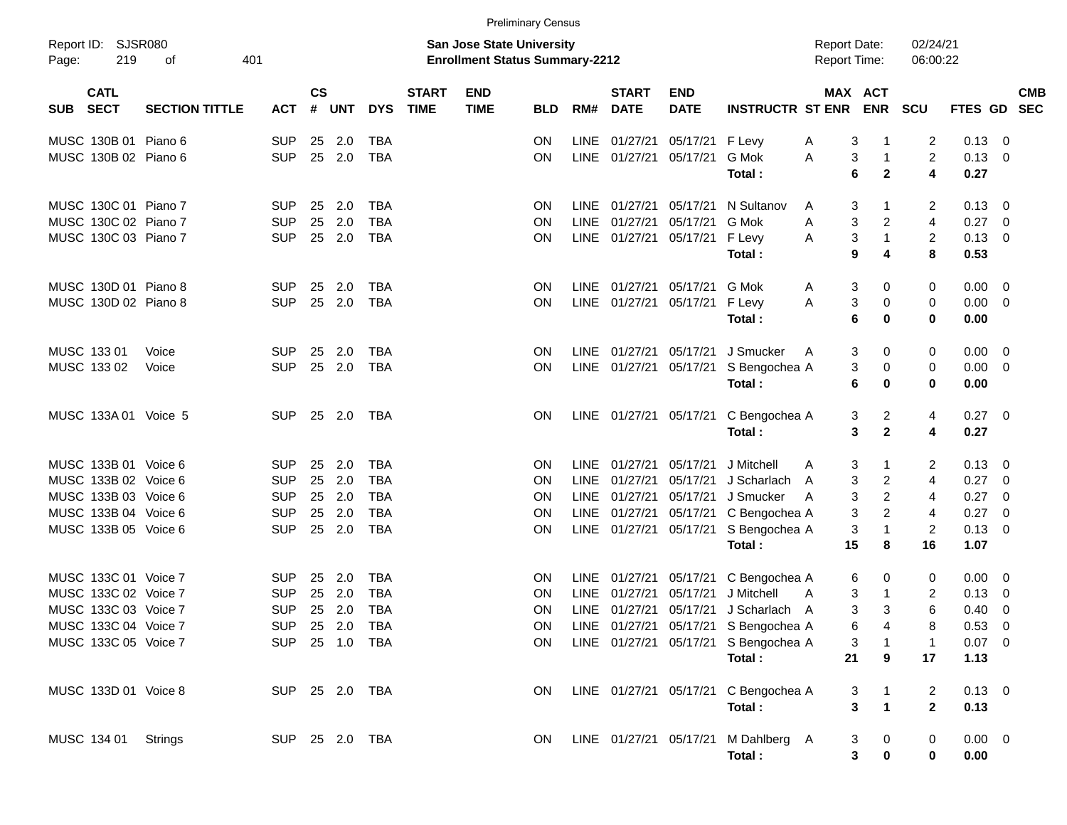|                                                 |                       |                |                                                                           |            |              |                             |                           | <b>Preliminary Census</b> |             |                             |                           |                                      |                                     |                              |                         |                |                          |  |
|-------------------------------------------------|-----------------------|----------------|---------------------------------------------------------------------------|------------|--------------|-----------------------------|---------------------------|---------------------------|-------------|-----------------------------|---------------------------|--------------------------------------|-------------------------------------|------------------------------|-------------------------|----------------|--------------------------|--|
| Report ID: SJSR080<br>401<br>219<br>Page:<br>of |                       |                | <b>San Jose State University</b><br><b>Enrollment Status Summary-2212</b> |            |              |                             |                           |                           |             |                             |                           |                                      | <b>Report Date:</b><br>Report Time: |                              | 02/24/21<br>06:00:22    |                |                          |  |
| <b>CATL</b><br><b>SECT</b><br><b>SUB</b>        | <b>SECTION TITTLE</b> | <b>ACT</b>     | $\mathsf{cs}$<br>#                                                        | <b>UNT</b> | <b>DYS</b>   | <b>START</b><br><b>TIME</b> | <b>END</b><br><b>TIME</b> | <b>BLD</b>                | RM#         | <b>START</b><br><b>DATE</b> | <b>END</b><br><b>DATE</b> | <b>INSTRUCTR ST ENR</b>              |                                     | MAX ACT<br><b>ENR</b>        | SCU                     | <b>FTES GD</b> | <b>CMB</b><br><b>SEC</b> |  |
| MUSC 130B 01 Piano 6                            |                       | <b>SUP</b>     | 25                                                                        | 2.0        | <b>TBA</b>   |                             |                           | ΟN                        |             | LINE 01/27/21               | 05/17/21                  | F Levy                               | A                                   | 3<br>1                       | 2                       | 0.13           | 0                        |  |
| MUSC 130B 02 Piano 6                            |                       | <b>SUP</b>     | 25                                                                        | 2.0        | <b>TBA</b>   |                             |                           | ΟN                        |             | LINE 01/27/21               | 05/17/21                  | G Mok<br>Total:                      | Α<br>6                              | 3<br>1<br>$\mathbf 2$        | $\overline{c}$<br>4     | 0.13<br>0.27   | 0                        |  |
| MUSC 130C 01 Piano 7                            |                       | <b>SUP</b>     | 25                                                                        | 2.0        | <b>TBA</b>   |                             |                           | ON.                       |             | LINE 01/27/21               | 05/17/21                  | N Sultanov                           | A                                   | 3<br>1                       | 2                       | 0.13           | 0                        |  |
| MUSC 130C 02 Piano 7                            |                       | <b>SUP</b>     | 25                                                                        | 2.0        | <b>TBA</b>   |                             |                           | ΟN                        | <b>LINE</b> | 01/27/21                    | 05/17/21                  | G Mok                                | Α                                   | 3<br>2                       | 4                       | 0.27           | 0                        |  |
| MUSC 130C 03 Piano 7                            |                       | <b>SUP</b>     | 25                                                                        | 2.0        | <b>TBA</b>   |                             |                           | ON                        |             | LINE 01/27/21               | 05/17/21                  | F Levy                               | Α                                   | 3<br>$\mathbf{1}$            | $\overline{\mathbf{c}}$ | 0.13           | 0                        |  |
|                                                 |                       |                |                                                                           |            |              |                             |                           |                           |             |                             |                           | Total:                               | 9                                   | 4                            | 8                       | 0.53           |                          |  |
| MUSC 130D 01 Piano 8                            |                       | <b>SUP</b>     | 25                                                                        | 2.0        | <b>TBA</b>   |                             |                           | ON                        |             | LINE 01/27/21               | 05/17/21                  | G Mok                                | A                                   | 3<br>0                       | 0                       | 0.00           | 0                        |  |
| MUSC 130D 02 Piano 8                            |                       | <b>SUP</b>     | 25                                                                        | 2.0        | <b>TBA</b>   |                             |                           | ON                        |             | LINE 01/27/21               | 05/17/21                  | F Levy                               | Α                                   | 3<br>0                       | 0                       | 0.00           | 0                        |  |
|                                                 |                       |                |                                                                           |            |              |                             |                           |                           |             |                             |                           | Total:                               | 6                                   | 0                            | 0                       | 0.00           |                          |  |
| MUSC 133 01                                     | Voice                 | <b>SUP</b>     | 25                                                                        | 2.0        | <b>TBA</b>   |                             |                           | ON                        |             | LINE 01/27/21               | 05/17/21                  | J Smucker                            | A                                   | 3<br>0                       | 0                       | 0.00           | 0                        |  |
| MUSC 133 02                                     | Voice                 | <b>SUP</b>     | 25                                                                        | 2.0        | <b>TBA</b>   |                             |                           | ON                        |             | LINE 01/27/21               | 05/17/21                  | S Bengochea A                        |                                     | 3<br>0                       | 0                       | 0.00           | 0                        |  |
|                                                 |                       |                |                                                                           |            |              |                             |                           |                           |             |                             |                           | Total:                               | 6                                   | 0                            | 0                       | 0.00           |                          |  |
| MUSC 133A 01 Voice 5                            |                       | <b>SUP</b>     | 25                                                                        | 2.0        | TBA          |                             |                           | ON.                       |             | LINE 01/27/21               | 05/17/21                  | C Bengochea A                        |                                     | 3<br>2                       | 4                       | 0.27           | $\overline{\mathbf{0}}$  |  |
|                                                 |                       |                |                                                                           |            |              |                             |                           |                           |             |                             |                           | Total:                               |                                     | $\mathbf{2}$<br>3            | 4                       | 0.27           |                          |  |
| MUSC 133B 01 Voice 6                            |                       | <b>SUP</b>     | 25                                                                        | 2.0        | TBA          |                             |                           | ON                        |             | LINE 01/27/21               | 05/17/21                  | J Mitchell                           | A                                   | 3<br>1                       | 2                       | 0.13           | 0                        |  |
| MUSC 133B 02 Voice 6                            |                       | <b>SUP</b>     | 25                                                                        | 2.0        | <b>TBA</b>   |                             |                           | ΟN                        | <b>LINE</b> | 01/27/21                    | 05/17/21                  | J Scharlach                          | A                                   | 3<br>2                       | 4                       | 0.27           | 0                        |  |
| MUSC 133B 03 Voice 6                            |                       | <b>SUP</b>     | 25                                                                        | 2.0        | <b>TBA</b>   |                             |                           | ON                        | LINE        | 01/27/21                    | 05/17/21                  | J Smucker                            | A                                   | 3<br>$\overline{c}$          | 4                       | 0.27           | 0                        |  |
| MUSC 133B 04 Voice 6                            |                       | <b>SUP</b>     | 25                                                                        | 2.0        | <b>TBA</b>   |                             |                           | ON                        |             | LINE 01/27/21               | 05/17/21                  | C Bengochea A                        |                                     | 3<br>$\overline{c}$          | 4                       | 0.27           | 0                        |  |
| MUSC 133B 05 Voice 6                            |                       | <b>SUP</b>     | 25                                                                        | 2.0        | <b>TBA</b>   |                             |                           | ON                        |             | LINE 01/27/21               | 05/17/21                  | S Bengochea A                        |                                     | 3<br>1                       | 2                       | 0.13           | 0                        |  |
|                                                 |                       |                |                                                                           |            |              |                             |                           |                           |             |                             |                           | Total:                               | 15                                  | 8                            | 16                      | 1.07           |                          |  |
| MUSC 133C 01 Voice 7                            |                       | <b>SUP</b>     | 25                                                                        | 2.0        | <b>TBA</b>   |                             |                           | ON.                       |             | LINE 01/27/21               | 05/17/21                  | C Bengochea A                        | 6                                   | 0                            | 0                       | 0.00           | - 0                      |  |
| MUSC 133C 02 Voice 7                            |                       | <b>SUP</b>     | 25                                                                        | 2.0        | <b>TBA</b>   |                             |                           | ΟN                        | <b>LINE</b> | 01/27/21                    | 05/17/21                  | J Mitchell                           | A                                   | 3<br>$\mathbf{1}$            | 2                       | 0.13           | 0                        |  |
| MUSC 133C 03 Voice 7                            |                       | <b>SUP</b>     | 25                                                                        | 2.0        | <b>TBA</b>   |                             |                           | ΟN                        |             | LINE 01/27/21               | 05/17/21                  | J Scharlach                          | A                                   | 3<br>3                       | 6                       | 0.40           | 0                        |  |
| MUSC 133C 04 Voice 7                            |                       | SUP            |                                                                           |            | 25  2.0  TBA |                             |                           | <b>ON</b>                 |             |                             |                           | LINE 01/27/21 05/17/21 S Bengochea A |                                     | 6<br>4                       | 8                       | $0.53$ 0       |                          |  |
| MUSC 133C 05 Voice 7                            |                       | SUP 25 1.0 TBA |                                                                           |            |              |                             |                           | ON.                       |             |                             |                           | LINE 01/27/21 05/17/21 S Bengochea A |                                     | 3<br>1                       | 1                       | $0.07$ 0       |                          |  |
|                                                 |                       |                |                                                                           |            |              |                             |                           |                           |             |                             |                           | Total:                               | 21                                  | 9                            | 17                      | 1.13           |                          |  |
| MUSC 133D 01 Voice 8                            |                       | SUP 25 2.0 TBA |                                                                           |            |              |                             |                           | ON.                       |             |                             |                           | LINE 01/27/21 05/17/21 C Bengochea A |                                     | 3<br>$\mathbf{1}$            | 2                       | $0.13 \ 0$     |                          |  |
|                                                 |                       |                |                                                                           |            |              |                             |                           |                           |             |                             |                           | Total:                               |                                     | 3<br>$\overline{\mathbf{1}}$ | $\mathbf{2}$            | 0.13           |                          |  |
| MUSC 134 01                                     | <b>Strings</b>        | SUP 25 2.0 TBA |                                                                           |            |              |                             |                           | ON.                       |             |                             |                           | LINE 01/27/21 05/17/21 M Dahlberg A  |                                     | 3<br>$\mathbf 0$             | 0                       | $0.00 \t 0$    |                          |  |
|                                                 |                       |                |                                                                           |            |              |                             |                           |                           |             |                             |                           | Total:                               |                                     | 3<br>0                       | 0                       | 0.00           |                          |  |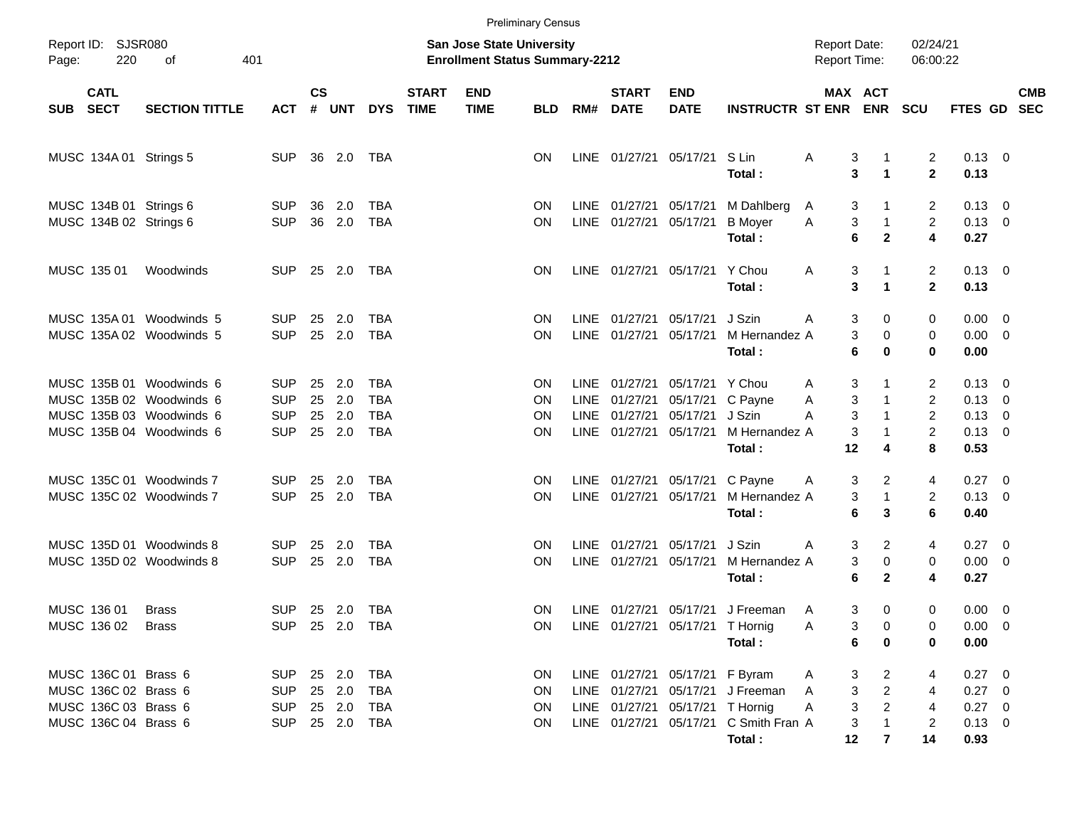|       |                                                                                              |                                                                                                              |                                                      |                |                                  |                                        |                             |                                                                           | <b>Preliminary Census</b>     |                                    |                                                            |                                                                                             |                                                              |                                            |                                            |                                                              |                                                                      |            |
|-------|----------------------------------------------------------------------------------------------|--------------------------------------------------------------------------------------------------------------|------------------------------------------------------|----------------|----------------------------------|----------------------------------------|-----------------------------|---------------------------------------------------------------------------|-------------------------------|------------------------------------|------------------------------------------------------------|---------------------------------------------------------------------------------------------|--------------------------------------------------------------|--------------------------------------------|--------------------------------------------|--------------------------------------------------------------|----------------------------------------------------------------------|------------|
| Page: | Report ID: SJSR080<br>220<br>401<br>оf                                                       |                                                                                                              |                                                      |                |                                  |                                        |                             | <b>San Jose State University</b><br><b>Enrollment Status Summary-2212</b> |                               |                                    |                                                            |                                                                                             |                                                              | <b>Report Date:</b><br><b>Report Time:</b> |                                            | 02/24/21<br>06:00:22                                         |                                                                      |            |
| SUB   | <b>CATL</b><br><b>SECT</b>                                                                   | <b>SECTION TITTLE</b>                                                                                        | <b>ACT</b>                                           | <b>CS</b><br># | UNT                              | <b>DYS</b>                             | <b>START</b><br><b>TIME</b> | <b>END</b><br><b>TIME</b>                                                 | <b>BLD</b>                    | RM#                                | <b>START</b><br><b>DATE</b>                                | <b>END</b><br><b>DATE</b>                                                                   | <b>INSTRUCTR ST ENR</b>                                      | MAX ACT                                    | <b>ENR</b>                                 | <b>SCU</b>                                                   | FTES GD SEC                                                          | <b>CMB</b> |
|       |                                                                                              | MUSC 134A 01 Strings 5                                                                                       | <b>SUP</b>                                           |                | 36 2.0                           | TBA                                    |                             |                                                                           | ΟN                            |                                    | LINE 01/27/21 05/17/21                                     |                                                                                             | S Lin<br>Total:                                              | Α<br>3<br>3                                | 1<br>$\blacktriangleleft$                  | 2<br>$\mathbf{2}$                                            | $0.13 \quad 0$<br>0.13                                               |            |
|       |                                                                                              | MUSC 134B 01 Strings 6<br>MUSC 134B 02 Strings 6                                                             | <b>SUP</b><br><b>SUP</b>                             | 36             | 2.0<br>36 2.0                    | TBA<br><b>TBA</b>                      |                             |                                                                           | <b>ON</b><br>ΟN               |                                    | LINE 01/27/21 05/17/21<br>LINE 01/27/21 05/17/21           |                                                                                             | M Dahlberg<br><b>B</b> Moyer<br>Total:                       | 3<br>A<br>3<br>Α<br>6                      | $\mathbf{1}$<br>$\mathbf{2}$               | 2<br>$\overline{2}$<br>4                                     | $0.13 \quad 0$<br>$0.13 \ 0$<br>0.27                                 |            |
|       | MUSC 135 01                                                                                  | Woodwinds                                                                                                    | <b>SUP</b>                                           |                | 25 2.0                           | TBA                                    |                             |                                                                           | ΟN                            |                                    | LINE 01/27/21 05/17/21                                     |                                                                                             | Y Chou<br>Total:                                             | 3<br>A<br>3                                | $\blacktriangleleft$                       | $\overline{2}$<br>$\overline{2}$                             | $0.13 \quad 0$<br>0.13                                               |            |
|       |                                                                                              | MUSC 135A 01 Woodwinds 5<br>MUSC 135A 02 Woodwinds 5                                                         | <b>SUP</b><br><b>SUP</b>                             | 25             | 2.0<br>25 2.0                    | TBA<br><b>TBA</b>                      |                             |                                                                           | ON<br>ΟN                      | LINE                               | 01/27/21<br>LINE 01/27/21                                  | 05/17/21<br>05/17/21                                                                        | J Szin<br>M Hernandez A<br>Total:                            | 3<br>A<br>3<br>6                           | 0<br>0<br>0                                | 0<br>0<br>0                                                  | $0.00 \quad 0$<br>$0.00 \t 0$<br>0.00                                |            |
|       |                                                                                              | MUSC 135B 01 Woodwinds 6<br>MUSC 135B 02 Woodwinds 6<br>MUSC 135B 03 Woodwinds 6<br>MUSC 135B 04 Woodwinds 6 | <b>SUP</b><br><b>SUP</b><br><b>SUP</b><br><b>SUP</b> | 25<br>25<br>25 | 2.0<br>2.0<br>2.0<br>25 2.0      | TBA<br><b>TBA</b><br>TBA<br><b>TBA</b> |                             |                                                                           | <b>ON</b><br>ON<br>ΟN<br>ΟN   | <b>LINE</b><br><b>LINE</b><br>LINE | 01/27/21<br>01/27/21<br>01/27/21<br>LINE 01/27/21 05/17/21 | 05/17/21<br>05/17/21<br>05/17/21                                                            | Y Chou<br>C Payne<br>J Szin<br>M Hernandez A<br>Total:       | 3<br>A<br>3<br>Α<br>3<br>A<br>3<br>12      | $\mathbf{1}$<br>4                          | 2<br>$\overline{2}$<br>$\overline{2}$<br>$\overline{2}$<br>8 | $0.13 \quad 0$<br>$0.13 \ 0$<br>$0.13 \ 0$<br>$0.13 \quad 0$<br>0.53 |            |
|       |                                                                                              | MUSC 135C 01 Woodwinds 7<br>MUSC 135C 02 Woodwinds 7                                                         | <b>SUP</b><br><b>SUP</b>                             | 25             | 2.0<br>25 2.0                    | TBA<br><b>TBA</b>                      |                             |                                                                           | <b>ON</b><br>ΟN               |                                    | LINE 01/27/21<br>LINE 01/27/21 05/17/21                    | 05/17/21                                                                                    | C Payne<br>M Hernandez A<br>Total:                           | 3<br>A<br>3<br>6                           | 2<br>$\mathbf{1}$<br>3                     | 4<br>$\overline{2}$<br>6                                     | $0.27 \quad 0$<br>$0.13 \ 0$<br>0.40                                 |            |
|       |                                                                                              | MUSC 135D 01 Woodwinds 8<br>MUSC 135D 02 Woodwinds 8                                                         | <b>SUP</b><br><b>SUP</b>                             | 25             | 2.0<br>25 2.0                    | TBA<br>TBA                             |                             |                                                                           | ON<br>ΟN                      | <b>LINE</b><br><b>LINE</b>         | 01/27/21<br>01/27/21                                       | 05/17/21<br>05/17/21                                                                        | J Szin<br>M Hernandez A<br>Total:                            | 3<br>A<br>3<br>6                           | 2<br>0<br>$\mathbf{2}$                     | 4<br>0<br>4                                                  | $0.27 \quad 0$<br>$0.00 \t 0$<br>0.27                                |            |
|       | MUSC 136 01<br>MUSC 136 02 Brass                                                             | <b>Brass</b>                                                                                                 | <b>SUP</b>                                           |                | 25 2.0                           | TBA<br>SUP 25 2.0 TBA                  |                             |                                                                           | ON<br>ON.                     |                                    | LINE 01/27/21 05/17/21                                     | LINE 01/27/21 05/17/21 T Hornig                                                             | J Freeman<br>Total:                                          | A<br>3<br>A<br>6                           | 3<br>0<br>0<br>0                           | 0<br>0<br>0                                                  | $0.00 \t 0$<br>$0.00 \t 0$<br>0.00                                   |            |
|       | MUSC 136C 01 Brass 6<br>MUSC 136C 02 Brass 6<br>MUSC 136C 03 Brass 6<br>MUSC 136C 04 Brass 6 |                                                                                                              | SUP<br><b>SUP</b><br><b>SUP</b>                      |                | 25  2.0  TBA<br>25 2.0<br>25 2.0 | TBA<br>TBA<br>SUP 25 2.0 TBA           |                             |                                                                           | ON.<br><b>ON</b><br>ON<br>ON. |                                    |                                                            | LINE 01/27/21 05/17/21 F Byram<br>LINE 01/27/21 05/17/21 T Hornig<br>LINE 01/27/21 05/17/21 | LINE 01/27/21 05/17/21 J Freeman<br>C Smith Fran A<br>Total: | 3<br>A<br>3<br>A<br>3<br>A<br>3<br>12      | 2<br>$\overline{2}$<br>$\overline{2}$<br>7 | 4<br>4<br>4<br>2<br>14                                       | $0.27$ 0<br>$0.27 \t 0$<br>$0.27 \t 0$<br>$0.13 \ 0$<br>0.93         |            |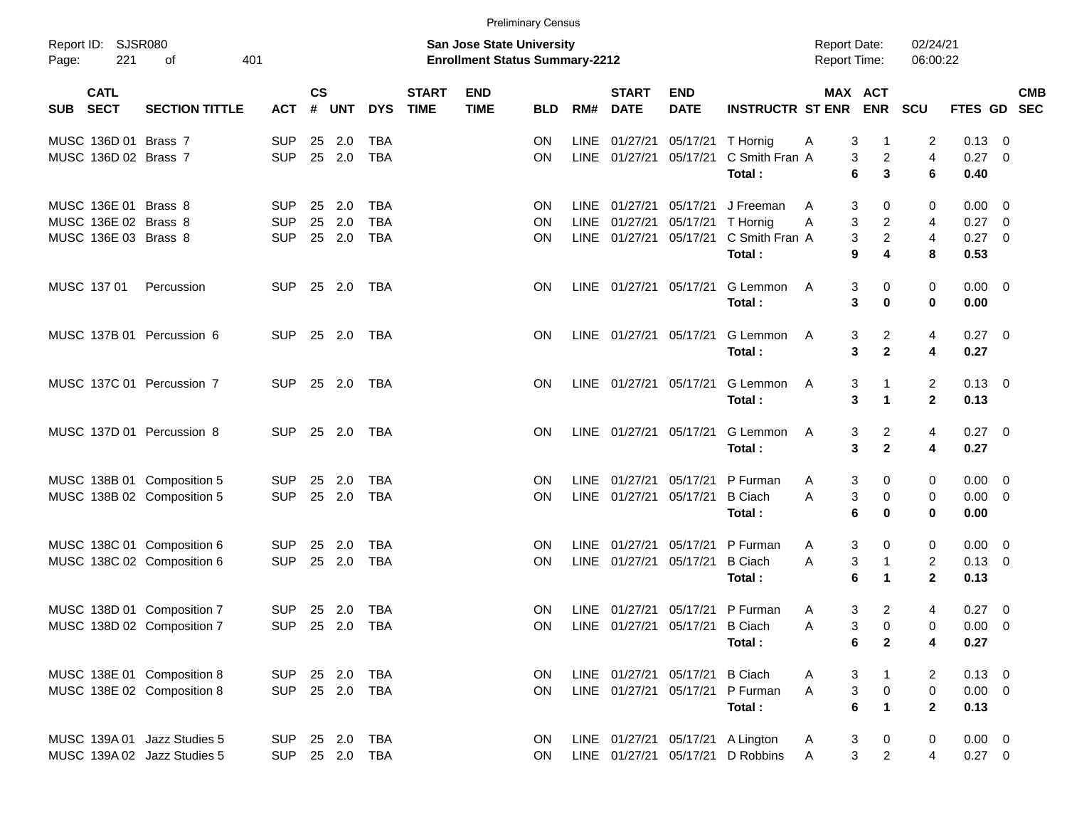|            |                            |                             |            |                    |              |              |                             |                                                                           | <b>Preliminary Census</b> |             |                             |                           |                                  |                                            |                                        |                         |             |                          |
|------------|----------------------------|-----------------------------|------------|--------------------|--------------|--------------|-----------------------------|---------------------------------------------------------------------------|---------------------------|-------------|-----------------------------|---------------------------|----------------------------------|--------------------------------------------|----------------------------------------|-------------------------|-------------|--------------------------|
| Page:      | Report ID: SJSR080<br>221  | 401<br>of                   |            |                    |              |              |                             | <b>San Jose State University</b><br><b>Enrollment Status Summary-2212</b> |                           |             |                             |                           |                                  | <b>Report Date:</b><br><b>Report Time:</b> |                                        | 02/24/21<br>06:00:22    |             |                          |
| <b>SUB</b> | <b>CATL</b><br><b>SECT</b> | <b>SECTION TITTLE</b>       | <b>ACT</b> | $\mathsf{cs}$<br># | <b>UNT</b>   | <b>DYS</b>   | <b>START</b><br><b>TIME</b> | <b>END</b><br><b>TIME</b>                                                 | <b>BLD</b>                | RM#         | <b>START</b><br><b>DATE</b> | <b>END</b><br><b>DATE</b> | <b>INSTRUCTR ST ENR</b>          |                                            | MAX ACT<br><b>ENR</b>                  | SCU                     | FTES GD     | <b>CMB</b><br><b>SEC</b> |
|            | MUSC 136D 01 Brass 7       |                             | <b>SUP</b> | 25                 | 2.0          | <b>TBA</b>   |                             |                                                                           | <b>ON</b>                 | LINE        | 01/27/21                    | 05/17/21                  | T Hornig                         | A                                          | 3<br>-1                                | 2                       | 0.13        | 0                        |
|            | MUSC 136D 02 Brass 7       |                             | <b>SUP</b> | 25                 | 2.0          | <b>TBA</b>   |                             |                                                                           | ON                        |             | LINE 01/27/21               | 05/17/21                  | C Smith Fran A                   |                                            | 3<br>$\overline{c}$                    | $\overline{\mathbf{4}}$ | 0.27        | 0                        |
|            |                            |                             |            |                    |              |              |                             |                                                                           |                           |             |                             |                           | Total:                           |                                            | 3<br>6                                 | 6                       | 0.40        |                          |
|            | MUSC 136E 01 Brass 8       |                             | <b>SUP</b> | 25                 | 2.0          | <b>TBA</b>   |                             |                                                                           | ON.                       | <b>LINE</b> | 01/27/21                    | 05/17/21                  | J Freeman                        | A                                          | 3<br>0                                 | 0                       | 0.00        | - 0                      |
|            | MUSC 136E 02 Brass 8       |                             | <b>SUP</b> | 25                 | 2.0          | <b>TBA</b>   |                             |                                                                           | ON                        | LINE        | 01/27/21                    | 05/17/21                  | T Hornig                         | Α                                          | 3<br>$\overline{c}$                    | 4                       | 0.27        | 0                        |
|            | MUSC 136E 03 Brass 8       |                             | <b>SUP</b> | 25                 | 2.0          | <b>TBA</b>   |                             |                                                                           | ON                        |             | LINE 01/27/21               | 05/17/21                  | C Smith Fran A                   |                                            | $\overline{a}$<br>3                    | $\overline{\mathbf{4}}$ | 0.27        | - 0                      |
|            |                            |                             |            |                    |              |              |                             |                                                                           |                           |             |                             |                           | Total:                           |                                            | 9<br>4                                 | 8                       | 0.53        |                          |
|            | MUSC 137 01                | Percussion                  | <b>SUP</b> | 25                 | 2.0          | TBA          |                             |                                                                           | ON.                       |             | LINE 01/27/21               | 05/17/21                  | G Lemmon                         | A                                          | 3<br>0                                 | 0                       | 0.00        | $\overline{\phantom{0}}$ |
|            |                            |                             |            |                    |              |              |                             |                                                                           |                           |             |                             |                           | Total:                           |                                            | 3<br>$\mathbf 0$                       | 0                       | 0.00        |                          |
|            |                            | MUSC 137B 01 Percussion 6   | <b>SUP</b> | 25                 | 2.0          | TBA          |                             |                                                                           | ΟN                        |             | LINE 01/27/21               | 05/17/21                  | G Lemmon                         | A                                          | 3<br>2                                 | 4                       | 0.27        | $\overline{\mathbf{0}}$  |
|            |                            |                             |            |                    |              |              |                             |                                                                           |                           |             |                             |                           | Total:                           |                                            | $\mathbf 2$<br>3                       | 4                       | 0.27        |                          |
|            |                            | MUSC 137C 01 Percussion 7   | <b>SUP</b> |                    | 25 2.0       | TBA          |                             |                                                                           | ΟN                        |             | LINE 01/27/21               | 05/17/21                  | G Lemmon                         | A                                          | 3<br>1                                 | 2                       | $0.13 \ 0$  |                          |
|            |                            |                             |            |                    |              |              |                             |                                                                           |                           |             |                             |                           | Total:                           |                                            | 3<br>1                                 | $\mathbf{2}$            | 0.13        |                          |
|            |                            | MUSC 137D 01 Percussion 8   | <b>SUP</b> | 25                 | 2.0          | TBA          |                             |                                                                           | ΟN                        |             | LINE 01/27/21               | 05/17/21                  | G Lemmon                         | A                                          | 3<br>2                                 | 4                       | 0.27        | $\overline{\phantom{0}}$ |
|            |                            |                             |            |                    |              |              |                             |                                                                           |                           |             |                             |                           | Total:                           |                                            | $\mathbf 2$<br>3                       | 4                       | 0.27        |                          |
|            |                            | MUSC 138B 01 Composition 5  | <b>SUP</b> | 25                 | 2.0          | <b>TBA</b>   |                             |                                                                           | ON                        | LINE        | 01/27/21                    | 05/17/21                  | P Furman                         | A                                          | 3<br>0                                 | 0                       | 0.00        | - 0                      |
|            |                            | MUSC 138B 02 Composition 5  | <b>SUP</b> | 25                 | 2.0          | <b>TBA</b>   |                             |                                                                           | ON                        |             | LINE 01/27/21               | 05/17/21                  | <b>B</b> Ciach                   | A                                          | 3<br>0                                 | 0                       | 0.00        | $\overline{0}$           |
|            |                            |                             |            |                    |              |              |                             |                                                                           |                           |             |                             |                           | Total:                           |                                            | 6<br>$\mathbf 0$                       | 0                       | 0.00        |                          |
|            |                            | MUSC 138C 01 Composition 6  | <b>SUP</b> | 25                 | 2.0          | <b>TBA</b>   |                             |                                                                           | ON.                       | LINE        | 01/27/21                    | 05/17/21                  | P Furman                         | A                                          | 3<br>0                                 | 0                       | 0.00        | - 0                      |
|            |                            | MUSC 138C 02 Composition 6  | <b>SUP</b> | 25                 | 2.0          | <b>TBA</b>   |                             |                                                                           | ON                        |             | LINE 01/27/21               | 05/17/21                  | <b>B</b> Ciach                   | A                                          | 3<br>$\mathbf{1}$                      | $\overline{\mathbf{c}}$ | 0.13        | - 0                      |
|            |                            |                             |            |                    |              |              |                             |                                                                           |                           |             |                             |                           | Total:                           |                                            | 6<br>1                                 | $\mathbf{2}$            | 0.13        |                          |
|            |                            | MUSC 138D 01 Composition 7  | <b>SUP</b> |                    | 25 2.0       | TBA          |                             |                                                                           | ON.                       |             | LINE 01/27/21               |                           | 05/17/21 P Furman                | A                                          | 3<br>2                                 | 4                       | 0.27        | - 0                      |
|            |                            | MUSC 138D 02 Composition 7  | <b>SUP</b> |                    | 25  2.0  TBA |              |                             |                                                                           | ON                        |             | LINE 01/27/21 05/17/21      |                           | <b>B</b> Ciach                   | Α                                          | 3<br>0                                 | 0                       | $0.00 \t 0$ |                          |
|            |                            |                             |            |                    |              |              |                             |                                                                           |                           |             |                             |                           | Total:                           |                                            | $\mathbf{2}$<br>6                      | 4                       | 0.27        |                          |
|            |                            | MUSC 138E 01 Composition 8  | SUP        | 25 2.0             |              | <b>TBA</b>   |                             |                                                                           | ON.                       |             | LINE 01/27/21 05/17/21      |                           | <b>B</b> Ciach                   | A                                          | 3<br>$\mathbf{1}$                      | 2                       | $0.13 \ 0$  |                          |
|            |                            | MUSC 138E 02 Composition 8  | <b>SUP</b> |                    | 25 2.0 TBA   |              |                             |                                                                           | ON                        |             | LINE 01/27/21               | 05/17/21                  | P Furman                         | A                                          | $\ensuremath{\mathsf{3}}$<br>$\pmb{0}$ | $\pmb{0}$               | $0.00 \t 0$ |                          |
|            |                            |                             |            |                    |              |              |                             |                                                                           |                           |             |                             |                           | Total:                           |                                            | $\mathbf{1}$<br>$\bf 6$                | $\mathbf{2}$            | 0.13        |                          |
|            |                            | MUSC 139A 01 Jazz Studies 5 | <b>SUP</b> |                    | 25 2.0       | <b>TBA</b>   |                             |                                                                           | <b>ON</b>                 |             |                             |                           | LINE 01/27/21 05/17/21 A Lington | A                                          | 3<br>$\mathbf 0$                       | 0                       | $0.00 \t 0$ |                          |
|            |                            | MUSC 139A 02 Jazz Studies 5 | <b>SUP</b> |                    |              | 25  2.0  TBA |                             |                                                                           | ON                        |             |                             |                           | LINE 01/27/21 05/17/21 D Robbins | $\mathsf{A}$                               | $\mathbf{3}$<br>$\overline{c}$         | 4                       | $0.27 \t 0$ |                          |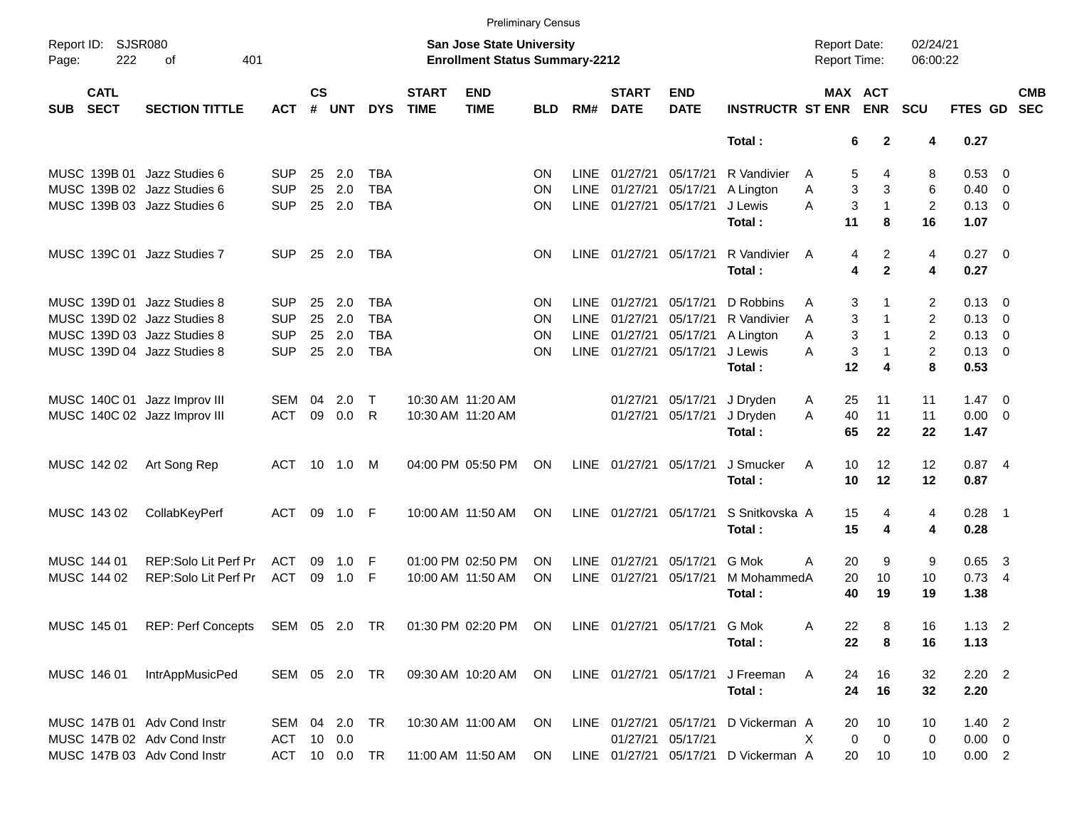|            |                            |                                                                   |               |                |               |            |                             |                                                                           | <b>Preliminary Census</b> |             |                             |                              |                                      |                                     |                               |                                |                |                          |                          |
|------------|----------------------------|-------------------------------------------------------------------|---------------|----------------|---------------|------------|-----------------------------|---------------------------------------------------------------------------|---------------------------|-------------|-----------------------------|------------------------------|--------------------------------------|-------------------------------------|-------------------------------|--------------------------------|----------------|--------------------------|--------------------------|
| Page:      | Report ID: SJSR080<br>222  | 401<br>οf                                                         |               |                |               |            |                             | <b>San Jose State University</b><br><b>Enrollment Status Summary-2212</b> |                           |             |                             |                              |                                      | <b>Report Date:</b><br>Report Time: |                               | 02/24/21<br>06:00:22           |                |                          |                          |
| <b>SUB</b> | <b>CATL</b><br><b>SECT</b> | <b>SECTION TITTLE</b>                                             | <b>ACT</b>    | <b>CS</b><br># | <b>UNT</b>    | <b>DYS</b> | <b>START</b><br><b>TIME</b> | <b>END</b><br><b>TIME</b>                                                 | <b>BLD</b>                | RM#         | <b>START</b><br><b>DATE</b> | <b>END</b><br><b>DATE</b>    | <b>INSTRUCTR ST ENR</b>              |                                     | MAX ACT<br><b>ENR</b>         | SCU                            | FTES GD        |                          | <b>CMB</b><br><b>SEC</b> |
|            |                            |                                                                   |               |                |               |            |                             |                                                                           |                           |             |                             |                              | Total:                               |                                     | 6                             | $\overline{2}$<br>4            | 0.27           |                          |                          |
|            |                            | MUSC 139B 01 Jazz Studies 6                                       | <b>SUP</b>    | 25             | 2.0           | <b>TBA</b> |                             |                                                                           | <b>ON</b>                 | <b>LINE</b> | 01/27/21                    | 05/17/21                     | R Vandivier                          | A                                   | 5                             | 4<br>8                         | 0.53 0         |                          |                          |
|            |                            | MUSC 139B 02 Jazz Studies 6                                       | <b>SUP</b>    | 25             | 2.0           | <b>TBA</b> |                             |                                                                           | <b>ON</b>                 | <b>LINE</b> | 01/27/21                    | 05/17/21                     | A Lington                            | Α                                   | 3                             | 3<br>6                         | 0.40           | $\overline{0}$           |                          |
|            |                            | MUSC 139B 03 Jazz Studies 6                                       | <b>SUP</b>    | 25             | 2.0           | <b>TBA</b> |                             |                                                                           | <b>ON</b>                 |             | LINE 01/27/21               | 05/17/21                     | J Lewis                              | A                                   | 3                             | $\overline{c}$<br>$\mathbf{1}$ | $0.13 \ 0$     |                          |                          |
|            |                            |                                                                   |               |                |               |            |                             |                                                                           |                           |             |                             |                              | Total:                               |                                     | 11                            | 16<br>8                        | 1.07           |                          |                          |
|            |                            | MUSC 139C 01 Jazz Studies 7                                       | <b>SUP</b>    | 25             | 2.0           | <b>TBA</b> |                             |                                                                           | <b>ON</b>                 |             | LINE 01/27/21 05/17/21      |                              | R Vandivier<br>Total:                | $\overline{A}$                      | 4<br>4                        | 2<br>4<br>$\mathbf{2}$<br>4    | 0.27 0<br>0.27 |                          |                          |
|            |                            | MUSC 139D 01 Jazz Studies 8                                       | <b>SUP</b>    | 25             | 2.0           | <b>TBA</b> |                             |                                                                           | ON                        | <b>LINE</b> | 01/27/21                    | 05/17/21                     | D Robbins                            | A                                   | 3                             | 2                              | $0.13 \ 0$     |                          |                          |
|            |                            | MUSC 139D 02 Jazz Studies 8                                       | <b>SUP</b>    | 25             | 2.0           | <b>TBA</b> |                             |                                                                           | <b>ON</b>                 | <b>LINE</b> | 01/27/21                    | 05/17/21                     | R Vandivier                          | A                                   | 3<br>1                        | $\overline{c}$                 | 0.13           | $\overline{\phantom{0}}$ |                          |
|            |                            | MUSC 139D 03 Jazz Studies 8                                       | <b>SUP</b>    | 25             | 2.0           | <b>TBA</b> |                             |                                                                           | <b>ON</b>                 | <b>LINE</b> | 01/27/21                    | 05/17/21                     | A Lington                            | A                                   | 3                             | $\overline{c}$<br>1            | 0.13           | $\overline{\phantom{0}}$ |                          |
|            |                            | MUSC 139D 04 Jazz Studies 8                                       | <b>SUP</b>    | 25             | 2.0           | <b>TBA</b> |                             |                                                                           | ON                        |             | LINE 01/27/21               | 05/17/21                     | J Lewis                              | A                                   | 3                             | 2<br>1                         | $0.13 \ 0$     |                          |                          |
|            |                            |                                                                   |               |                |               |            |                             |                                                                           |                           |             |                             |                              | Total:                               |                                     | 12                            | 8<br>4                         | 0.53           |                          |                          |
|            |                            | MUSC 140C 01 Jazz Improv III                                      | SEM           | 04             | 2.0           | $\top$     |                             | 10:30 AM 11:20 AM                                                         |                           |             | 01/27/21                    | 05/17/21                     | J Dryden                             | A                                   | 25<br>11                      | 11                             | 1.47           | $\overline{\phantom{0}}$ |                          |
|            |                            | MUSC 140C 02 Jazz Improv III                                      | <b>ACT</b>    | 09             | 0.0           | R          |                             | 10:30 AM 11:20 AM                                                         |                           |             | 01/27/21                    | 05/17/21                     | J Dryden                             | A                                   | 40<br>11                      | 11                             | $0.00 \t 0$    |                          |                          |
|            |                            |                                                                   |               |                |               |            |                             |                                                                           |                           |             |                             |                              | Total:                               |                                     | 65<br>22                      | 22                             | 1.47           |                          |                          |
|            | MUSC 142 02                | Art Song Rep                                                      | <b>ACT</b>    | 10             | 1.0           | M          |                             | 04:00 PM 05:50 PM                                                         | ON                        |             | LINE 01/27/21               | 05/17/21                     | J Smucker                            | A                                   | 12<br>10                      | 12                             | 0.874          |                          |                          |
|            |                            |                                                                   |               |                |               |            |                             |                                                                           |                           |             |                             |                              | Total:                               |                                     | 12<br>10                      | 12                             | 0.87           |                          |                          |
|            | MUSC 143 02                | CollabKeyPerf                                                     | <b>ACT</b>    | 09             | 1.0           | -F         |                             | 10:00 AM 11:50 AM                                                         | ON                        |             | LINE 01/27/21               | 05/17/21                     | S Snitkovska A                       |                                     | 15                            | 4<br>4                         | $0.28$ 1       |                          |                          |
|            |                            |                                                                   |               |                |               |            |                             |                                                                           |                           |             |                             |                              | Total:                               |                                     | 15                            | 4<br>4                         | 0.28           |                          |                          |
|            | MUSC 144 01                | REP:Solo Lit Perf Pr                                              | <b>ACT</b>    | 09             | 1.0           | F          |                             | 01:00 PM 02:50 PM                                                         | <b>ON</b>                 | <b>LINE</b> | 01/27/21                    | 05/17/21                     | G Mok                                | Α                                   | 20                            | 9<br>9                         | 0.65           | $\overline{\mathbf{3}}$  |                          |
|            | MUSC 144 02                | REP:Solo Lit Perf Pr                                              | <b>ACT</b>    | 09             | 1.0           | F          |                             | 10:00 AM 11:50 AM                                                         | <b>ON</b>                 | <b>LINE</b> | 01/27/21                    | 05/17/21                     | M MohammedA                          |                                     | 20<br>10                      | 10                             | $0.73$ 4       |                          |                          |
|            |                            |                                                                   |               |                |               |            |                             |                                                                           |                           |             |                             |                              | Total:                               |                                     | 40<br>19                      | 19                             | 1.38           |                          |                          |
|            |                            | MUSC 145 01 REP: Perf Concepts SEM 05 2.0 TR 01:30 PM 02:20 PM ON |               |                |               |            |                             |                                                                           |                           |             |                             | LINE 01/27/21 05/17/21 G Mok |                                      | A                                   | 22                            | 8<br>16                        | $1.13$ 2       |                          |                          |
|            |                            |                                                                   |               |                |               |            |                             |                                                                           |                           |             |                             |                              | Total:                               |                                     | 22<br>8                       | 16                             | 1.13           |                          |                          |
|            | MUSC 146 01                | IntrAppMusicPed                                                   | SEM 05 2.0 TR |                |               |            |                             | 09:30 AM 10:20 AM                                                         | ON                        |             |                             | LINE 01/27/21 05/17/21       | J Freeman                            | A                                   | 16<br>24                      | 32                             | $2.20$ 2       |                          |                          |
|            |                            |                                                                   |               |                |               |            |                             |                                                                           |                           |             |                             |                              | Total:                               |                                     | 24<br>16                      | 32                             | 2.20           |                          |                          |
|            |                            | MUSC 147B 01 Adv Cond Instr                                       | SEM 04 2.0    |                |               | TR         |                             | 10:30 AM 11:00 AM                                                         | ON                        |             |                             | LINE 01/27/21 05/17/21       | D Vickerman A                        |                                     | 20<br>10                      | 10                             | $1.40$ 2       |                          |                          |
|            |                            | MUSC 147B 02 Adv Cond Instr                                       | ACT           |                | 10 0.0        |            |                             |                                                                           |                           |             |                             | 01/27/21 05/17/21            |                                      | X                                   | $\mathbf 0$<br>$\overline{0}$ | 0                              | $0.00 \t 0$    |                          |                          |
|            |                            | MUSC 147B 03 Adv Cond Instr                                       |               |                | ACT 10 0.0 TR |            |                             | 11:00 AM 11:50 AM ON                                                      |                           |             |                             |                              | LINE 01/27/21 05/17/21 D Vickerman A |                                     | 20<br>10                      | 10                             | 0.00 2         |                          |                          |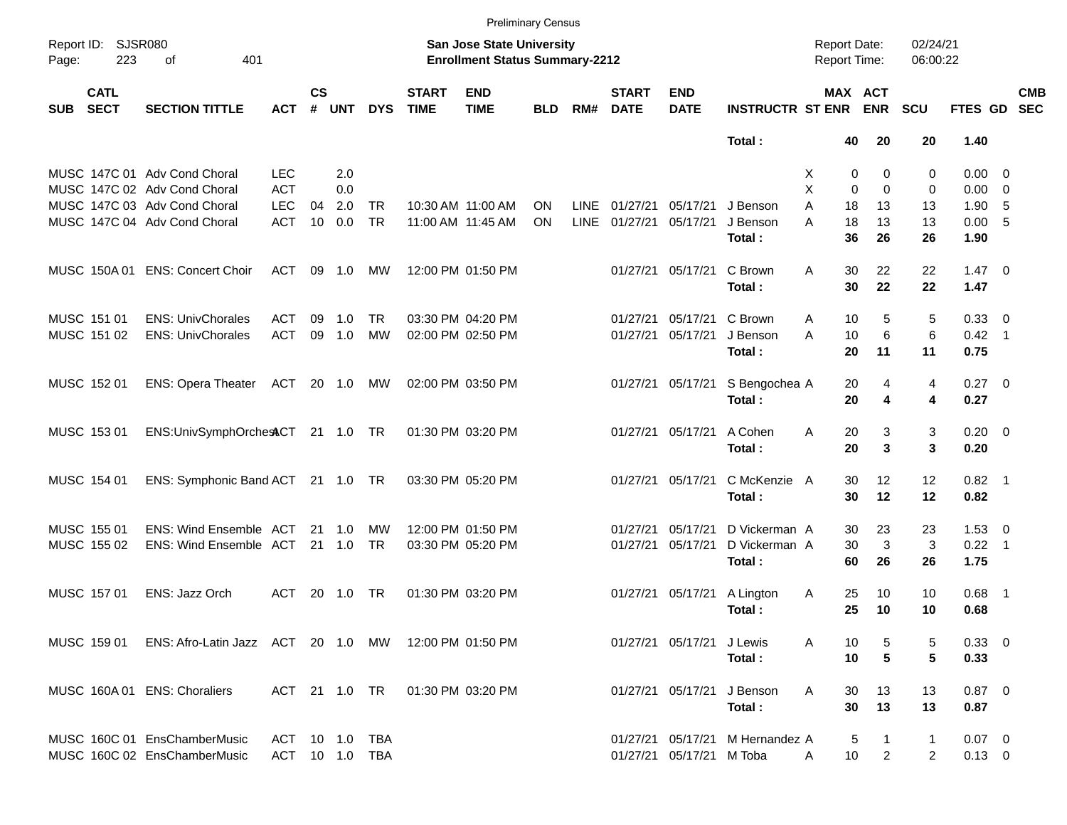|                     |                            |                                                      |                |                    |                |            |                             |                                                                           | <b>Preliminary Census</b> |             |                             |                           |                                 |                                     |                       |                      |                |                          |
|---------------------|----------------------------|------------------------------------------------------|----------------|--------------------|----------------|------------|-----------------------------|---------------------------------------------------------------------------|---------------------------|-------------|-----------------------------|---------------------------|---------------------------------|-------------------------------------|-----------------------|----------------------|----------------|--------------------------|
| Report ID:<br>Page: | <b>SJSR080</b><br>223      | 401<br>оf                                            |                |                    |                |            |                             | <b>San Jose State University</b><br><b>Enrollment Status Summary-2212</b> |                           |             |                             |                           |                                 | <b>Report Date:</b><br>Report Time: |                       | 02/24/21<br>06:00:22 |                |                          |
| <b>SUB</b>          | <b>CATL</b><br><b>SECT</b> | <b>SECTION TITTLE</b>                                | <b>ACT</b>     | $\mathsf{cs}$<br># | <b>UNT</b>     | <b>DYS</b> | <b>START</b><br><b>TIME</b> | <b>END</b><br><b>TIME</b>                                                 | <b>BLD</b>                | RM#         | <b>START</b><br><b>DATE</b> | <b>END</b><br><b>DATE</b> | <b>INSTRUCTR ST ENR</b>         |                                     | MAX ACT<br><b>ENR</b> | <b>SCU</b>           | FTES GD        | <b>CMB</b><br><b>SEC</b> |
|                     |                            |                                                      |                |                    |                |            |                             |                                                                           |                           |             |                             |                           | Total:                          | 40                                  | 20                    | 20                   | 1.40           |                          |
|                     |                            | MUSC 147C 01 Adv Cond Choral                         | <b>LEC</b>     |                    | 2.0            |            |                             |                                                                           |                           |             |                             |                           |                                 | 0<br>X.                             | 0                     | 0                    | $0.00 \quad 0$ |                          |
|                     |                            | MUSC 147C 02 Adv Cond Choral                         | <b>ACT</b>     |                    | 0.0            |            |                             |                                                                           |                           |             |                             |                           |                                 | X<br>$\mathbf 0$                    | $\mathbf 0$           | 0                    | $0.00 \ 0$     |                          |
|                     |                            | MUSC 147C 03 Adv Cond Choral                         | <b>LEC</b>     | 04                 | 2.0            | <b>TR</b>  |                             | 10:30 AM 11:00 AM                                                         | ON                        | <b>LINE</b> | 01/27/21                    | 05/17/21                  | J Benson                        | A<br>18                             | 13                    | 13                   | 1.90, 5        |                          |
|                     |                            | MUSC 147C 04 Adv Cond Choral                         | <b>ACT</b>     | 10                 | 0.0            | <b>TR</b>  |                             | 11:00 AM 11:45 AM                                                         | ON                        | <b>LINE</b> | 01/27/21                    | 05/17/21                  | J Benson                        | 18<br>A                             | 13                    | 13                   | 0.00 5         |                          |
|                     |                            |                                                      |                |                    |                |            |                             |                                                                           |                           |             |                             |                           | Total:                          | 36                                  | 26                    | 26                   | 1.90           |                          |
|                     | MUSC 150A 01               | <b>ENS: Concert Choir</b>                            | <b>ACT</b>     | 09                 | 1.0            | МW         |                             | 12:00 PM 01:50 PM                                                         |                           |             |                             | 01/27/21 05/17/21         | C Brown                         | 30<br>Α                             | 22                    | 22                   | $1.47 \quad 0$ |                          |
|                     |                            |                                                      |                |                    |                |            |                             |                                                                           |                           |             |                             |                           | Total:                          | 30                                  | 22                    | 22                   | 1.47           |                          |
|                     | MUSC 151 01                | <b>ENS: UnivChorales</b>                             | <b>ACT</b>     | 09                 | 1.0            | TR         |                             | 03:30 PM 04:20 PM                                                         |                           |             | 01/27/21                    | 05/17/21                  | C Brown                         | 10<br>Α                             | 5                     | 5                    | 0.33 0         |                          |
|                     | MUSC 151 02                | <b>ENS: UnivChorales</b>                             | <b>ACT</b>     | 09                 | 1.0            | <b>MW</b>  |                             | 02:00 PM 02:50 PM                                                         |                           |             | 01/27/21                    | 05/17/21                  | J Benson                        | A<br>10                             | 6                     | 6                    | $0.42$ 1       |                          |
|                     |                            |                                                      |                |                    |                |            |                             |                                                                           |                           |             |                             |                           | Total:                          | 20                                  | 11                    | 11                   | 0.75           |                          |
|                     | MUSC 152 01                | <b>ENS: Opera Theater</b>                            | ACT            |                    | 20 1.0         | MW         |                             | 02:00 PM 03:50 PM                                                         |                           |             |                             | 01/27/21 05/17/21         | S Bengochea A                   | 20                                  | 4                     | 4                    | $0.27$ 0       |                          |
|                     |                            |                                                      |                |                    |                |            |                             |                                                                           |                           |             |                             |                           | Total:                          | 20                                  | 4                     | 4                    | 0.27           |                          |
|                     | MUSC 153 01                | ENS:UnivSymphOrchesACT 21 1.0 TR                     |                |                    |                |            |                             | 01:30 PM 03:20 PM                                                         |                           |             |                             | 01/27/21 05/17/21         | A Cohen                         | Α<br>20                             | 3                     | 3                    | $0.20 \ 0$     |                          |
|                     |                            |                                                      |                |                    |                |            |                             |                                                                           |                           |             |                             |                           | Total:                          | 20                                  | 3                     | 3                    | 0.20           |                          |
|                     | MUSC 154 01                | ENS: Symphonic Band ACT 21 1.0 TR                    |                |                    |                |            |                             | 03:30 PM 05:20 PM                                                         |                           |             |                             | 01/27/21 05/17/21         | C McKenzie A                    | 30                                  | 12                    | 12                   | $0.82$ 1       |                          |
|                     |                            |                                                      |                |                    |                |            |                             |                                                                           |                           |             |                             |                           | Total:                          | 30                                  | 12                    | 12                   | 0.82           |                          |
|                     | MUSC 155 01                | <b>ENS: Wind Ensemble ACT</b>                        |                |                    | 21 1.0         | МW         |                             | 12:00 PM 01:50 PM                                                         |                           |             | 01/27/21                    | 05/17/21                  | D Vickerman A                   | 30                                  | 23                    | 23                   | $1.53 \t 0$    |                          |
|                     | MUSC 155 02                | ENS: Wind Ensemble ACT                               |                |                    | $21 \quad 1.0$ | <b>TR</b>  |                             | 03:30 PM 05:20 PM                                                         |                           |             | 01/27/21                    | 05/17/21                  | D Vickerman A                   | 30                                  | 3                     | 3                    | $0.22$ 1       |                          |
|                     |                            |                                                      |                |                    |                |            |                             |                                                                           |                           |             |                             |                           | Total:                          | 60                                  | 26                    | 26                   | 1.75           |                          |
|                     | MUSC 157 01                | ENS: Jazz Orch                                       | ACT            | 20                 | 1.0            | TR.        |                             | 01:30 PM 03:20 PM                                                         |                           |             |                             | 01/27/21 05/17/21         | A Lington                       | 25<br>Α                             | 10                    | 10                   | $0.68$ 1       |                          |
|                     |                            |                                                      |                |                    |                |            |                             |                                                                           |                           |             |                             |                           | Total:                          | 25                                  | 10                    | 10                   | 0.68           |                          |
|                     | MUSC 159 01                | ENS: Afro-Latin Jazz ACT 20 1.0 MW 12:00 PM 01:50 PM |                |                    |                |            |                             |                                                                           |                           |             |                             | 01/27/21 05/17/21 J Lewis |                                 | A<br>10                             | 5                     | 5                    | $0.33 \ 0$     |                          |
|                     |                            |                                                      |                |                    |                |            |                             |                                                                           |                           |             |                             |                           | Total:                          | 10                                  | 5                     | 5                    | 0.33           |                          |
|                     |                            | MUSC 160A 01 ENS: Choraliers                         | ACT 21 1.0 TR  |                    |                |            |                             | 01:30 PM 03:20 PM                                                         |                           |             |                             |                           | 01/27/21 05/17/21 J Benson      | 30<br>Α                             | 13                    | 13                   | $0.87$ 0       |                          |
|                     |                            |                                                      |                |                    |                |            |                             |                                                                           |                           |             |                             |                           | Total:                          | 30                                  | 13                    | 13                   | 0.87           |                          |
|                     |                            | MUSC 160C 01 EnsChamberMusic                         | ACT 10 1.0 TBA |                    |                |            |                             |                                                                           |                           |             |                             |                           | 01/27/21 05/17/21 M Hernandez A |                                     | 5<br>1                | 1                    | $0.07$ 0       |                          |
|                     |                            | MUSC 160C 02 EnsChamberMusic                         | ACT 10 1.0 TBA |                    |                |            |                             |                                                                           |                           |             |                             | 01/27/21 05/17/21 M Toba  |                                 | 10<br>A                             | $\overline{2}$        | $\overline{2}$       | $0.13 \ 0$     |                          |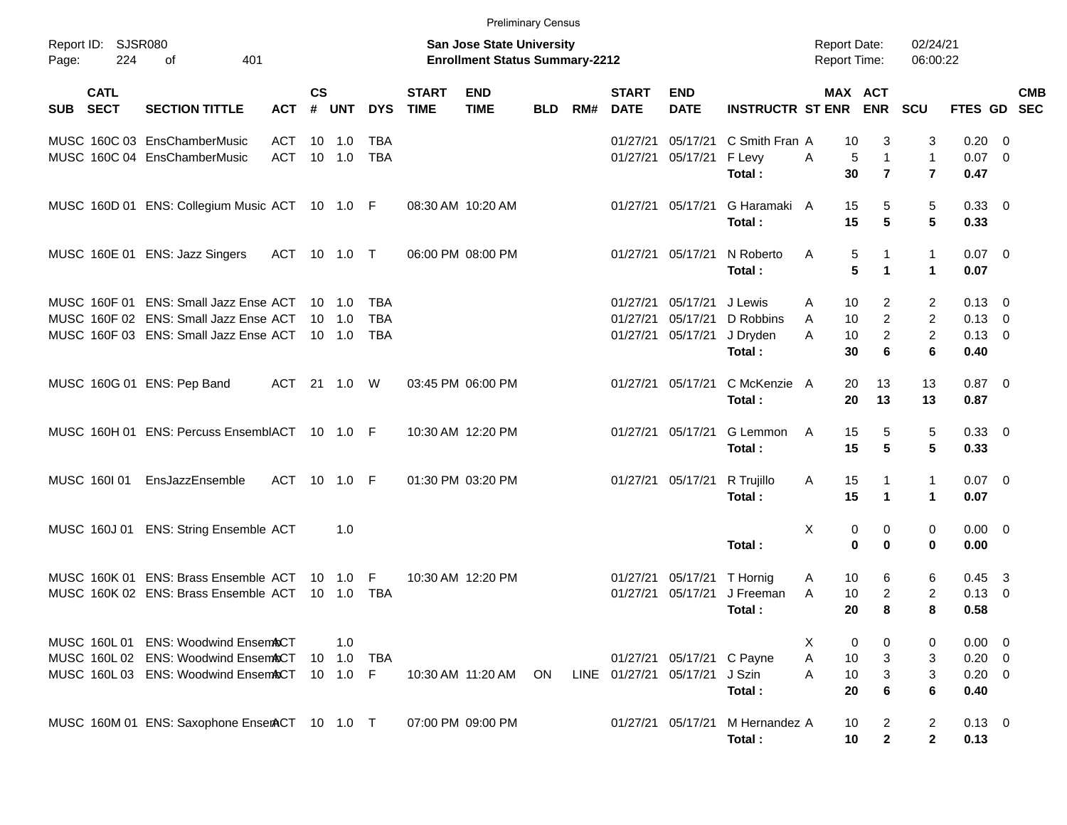|                     |                            |                                                |            |                |                |            |                             |                                                                           | <b>Preliminary Census</b> |     |                             |                           |                         |                                     |                                      |                                |                        |                           |
|---------------------|----------------------------|------------------------------------------------|------------|----------------|----------------|------------|-----------------------------|---------------------------------------------------------------------------|---------------------------|-----|-----------------------------|---------------------------|-------------------------|-------------------------------------|--------------------------------------|--------------------------------|------------------------|---------------------------|
| Report ID:<br>Page: | <b>SJSR080</b><br>224      | of<br>401                                      |            |                |                |            |                             | <b>San Jose State University</b><br><b>Enrollment Status Summary-2212</b> |                           |     |                             |                           |                         | <b>Report Date:</b><br>Report Time: |                                      | 02/24/21<br>06:00:22           |                        |                           |
| <b>SUB</b>          | <b>CATL</b><br><b>SECT</b> | <b>SECTION TITTLE</b>                          | <b>ACT</b> | <b>CS</b><br># | <b>UNT</b>     | <b>DYS</b> | <b>START</b><br><b>TIME</b> | <b>END</b><br><b>TIME</b>                                                 | <b>BLD</b>                | RM# | <b>START</b><br><b>DATE</b> | <b>END</b><br><b>DATE</b> | <b>INSTRUCTR ST ENR</b> | MAX ACT                             | <b>ENR</b>                           | <b>SCU</b>                     |                        | <b>CMB</b><br>FTES GD SEC |
|                     |                            | MUSC 160C 03 EnsChamberMusic                   | <b>ACT</b> | 10             | 1.0            | TBA        |                             |                                                                           |                           |     | 01/27/21                    | 05/17/21                  | C Smith Fran A          | 10                                  | 3                                    | 3                              | 0.20                   | - 0                       |
|                     |                            | MUSC 160C 04 EnsChamberMusic                   | <b>ACT</b> |                | 10 1.0         | <b>TBA</b> |                             |                                                                           |                           |     | 01/27/21                    | 05/17/21                  | F Levy<br>Total:        | 5<br>Α<br>30                        | $\mathbf{1}$<br>$\overline{7}$       | $\mathbf{1}$<br>$\overline{7}$ | $0.07$ 0<br>0.47       |                           |
|                     |                            | MUSC 160D 01 ENS: Collegium Music ACT 10 1.0 F |            |                |                |            |                             | 08:30 AM 10:20 AM                                                         |                           |     | 01/27/21                    | 05/17/21                  | G Haramaki A<br>Total:  | 15<br>15                            | 5<br>$5\phantom{.0}$                 | $\mathbf 5$<br>5               | 0.33<br>0.33           | $\overline{\phantom{0}}$  |
|                     |                            | MUSC 160E 01 ENS: Jazz Singers                 | ACT        |                |                |            |                             | 06:00 PM 08:00 PM                                                         |                           |     | 01/27/21                    | 05/17/21                  | N Roberto<br>Total:     | Α<br>5<br>5                         | $\mathbf{1}$<br>$\blacktriangleleft$ | $\mathbf{1}$<br>$\mathbf{1}$   | $0.07 \quad 0$<br>0.07 |                           |
|                     |                            | MUSC 160F 01 ENS: Small Jazz Ense ACT          |            | $10 \quad 1.0$ |                | TBA        |                             |                                                                           |                           |     | 01/27/21                    | 05/17/21                  | J Lewis                 | 10<br>A                             | 2                                    | 2                              | 0.13                   | $\overline{\mathbf{0}}$   |
|                     |                            | MUSC 160F 02 ENS: Small Jazz Ense ACT          |            |                | $10 \quad 1.0$ | <b>TBA</b> |                             |                                                                           |                           |     | 01/27/21                    | 05/17/21                  | D Robbins               | 10<br>A                             | $\overline{c}$                       | $\overline{c}$                 | 0.13                   | $\overline{\mathbf{0}}$   |
|                     |                            | MUSC 160F 03 ENS: Small Jazz Ense ACT          |            |                | $10 \quad 1.0$ | <b>TBA</b> |                             |                                                                           |                           |     | 01/27/21                    | 05/17/21                  | J Dryden                | A<br>10                             | $\overline{c}$                       | $\overline{2}$                 | 0.13                   | $\overline{\mathbf{0}}$   |
|                     |                            |                                                |            |                |                |            |                             |                                                                           |                           |     |                             |                           | Total:                  | 30                                  | 6                                    | 6                              | 0.40                   |                           |
|                     |                            | MUSC 160G 01 ENS: Pep Band                     | ACT        |                | 21 1.0         | W          |                             | 03:45 PM 06:00 PM                                                         |                           |     | 01/27/21                    | 05/17/21                  | C McKenzie A            | 20                                  | 13                                   | 13                             | $0.87 \quad 0$         |                           |
|                     |                            |                                                |            |                |                |            |                             |                                                                           |                           |     |                             |                           | Total:                  | 20                                  | 13                                   | 13                             | 0.87                   |                           |
|                     |                            | MUSC 160H 01 ENS: Percuss EnsemblACT 10 1.0 F  |            |                |                |            |                             | 10:30 AM 12:20 PM                                                         |                           |     | 01/27/21                    | 05/17/21                  | G Lemmon                | A<br>15                             | 5                                    | 5                              | 0.33                   | $\overline{\phantom{0}}$  |
|                     |                            |                                                |            |                |                |            |                             |                                                                           |                           |     |                             |                           | Total:                  | 15                                  | $5\phantom{.0}$                      | $5\phantom{.0}$                | 0.33                   |                           |
|                     | MUSC 160101                | EnsJazzEnsemble                                | <b>ACT</b> |                | 10 1.0 F       |            |                             | 01:30 PM 03:20 PM                                                         |                           |     | 01/27/21                    | 05/17/21                  | R Trujillo              | A<br>15                             | $\mathbf 1$                          | $\mathbf{1}$                   | $0.07 \quad 0$         |                           |
|                     |                            |                                                |            |                |                |            |                             |                                                                           |                           |     |                             |                           | Total:                  | 15                                  | $\blacktriangleleft$                 | $\mathbf{1}$                   | 0.07                   |                           |
|                     | MUSC 160J 01               | <b>ENS: String Ensemble ACT</b>                |            |                | 1.0            |            |                             |                                                                           |                           |     |                             |                           |                         | Χ<br>0                              | 0                                    | 0                              | $0.00 \quad 0$         |                           |
|                     |                            |                                                |            |                |                |            |                             |                                                                           |                           |     |                             |                           | Total:                  | $\mathbf 0$                         | 0                                    | 0                              | 0.00                   |                           |
|                     |                            | MUSC 160K 01 ENS: Brass Ensemble ACT           |            |                | $10 \quad 1.0$ | F          |                             | 10:30 AM 12:20 PM                                                         |                           |     | 01/27/21                    | 05/17/21                  | T Hornig                | A<br>10                             | 6                                    | 6                              | 0.45                   | $\overline{\mathbf{3}}$   |
|                     |                            | MUSC 160K 02 ENS: Brass Ensemble ACT           |            |                | $10 \quad 1.0$ | TBA        |                             |                                                                           |                           |     | 01/27/21                    | 05/17/21                  | J Freeman               | A<br>10                             | $\overline{c}$                       | 2                              | 0.13                   | 0                         |
|                     |                            |                                                |            |                |                |            |                             |                                                                           |                           |     |                             |                           | Total:                  | 20                                  | 8                                    | 8                              | 0.58                   |                           |
|                     |                            | MUSC 160L 01 ENS: Woodwind Ensem&CT            |            |                | 1.0            |            |                             |                                                                           |                           |     |                             |                           |                         | X<br>0                              | 0                                    | 0                              | $0.00 \t 0$            |                           |
|                     |                            | MUSC 160L 02 ENS: Woodwind EnsemACT            |            |                | 10 1.0         | TBA        |                             |                                                                           |                           |     |                             | 01/27/21 05/17/21         | C Payne                 | Α<br>10                             | 3                                    | 3                              | $0.20 \ 0$             |                           |
|                     |                            | MUSC 160L 03 ENS: Woodwind Ensem&CT            |            | $10 \t1.0$     |                | F          |                             | 10:30 AM 11:20 AM                                                         | <b>ON</b>                 |     | LINE 01/27/21               | 05/17/21                  | J Szin                  | 10<br>Α                             | 3                                    | 3                              | $0.20 \ 0$             |                           |
|                     |                            |                                                |            |                |                |            |                             |                                                                           |                           |     |                             |                           | Total:                  | 20                                  | 6                                    | 6                              | 0.40                   |                           |
|                     |                            | MUSC 160M 01 ENS: Saxophone EnserACT 10 1.0 T  |            |                |                |            |                             | 07:00 PM 09:00 PM                                                         |                           |     |                             | 01/27/21 05/17/21         | M Hernandez A           | 10                                  | $\overline{c}$                       | $\overline{2}$                 | $0.13 \ 0$             |                           |
|                     |                            |                                                |            |                |                |            |                             |                                                                           |                           |     |                             |                           | Total:                  | 10                                  | $\mathbf 2$                          | $\mathbf{2}$                   | 0.13                   |                           |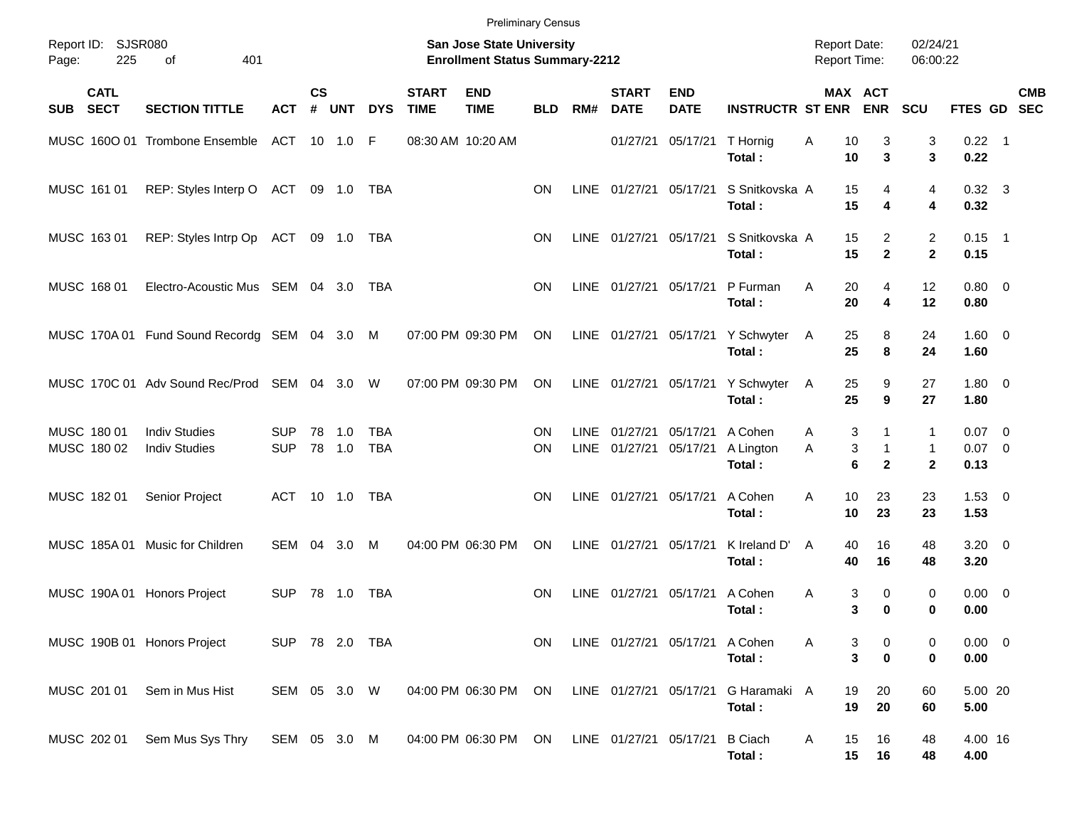|             |                            |                                              |                          |                |                  |                          |                             | <b>Preliminary Census</b>                                                 |            |                            |                             |                                |                                             |                                     |             |                                     |                                   |                              |            |
|-------------|----------------------------|----------------------------------------------|--------------------------|----------------|------------------|--------------------------|-----------------------------|---------------------------------------------------------------------------|------------|----------------------------|-----------------------------|--------------------------------|---------------------------------------------|-------------------------------------|-------------|-------------------------------------|-----------------------------------|------------------------------|------------|
| Page:       | Report ID: SJSR080<br>225  | 401<br>of                                    |                          |                |                  |                          |                             | <b>San Jose State University</b><br><b>Enrollment Status Summary-2212</b> |            |                            |                             |                                |                                             | <b>Report Date:</b><br>Report Time: |             |                                     | 02/24/21<br>06:00:22              |                              |            |
| <b>SUB</b>  | <b>CATL</b><br><b>SECT</b> | <b>SECTION TITTLE</b>                        | <b>ACT</b>               | <b>CS</b><br># | <b>UNT</b>       | <b>DYS</b>               | <b>START</b><br><b>TIME</b> | <b>END</b><br><b>TIME</b>                                                 | <b>BLD</b> | RM#                        | <b>START</b><br><b>DATE</b> | <b>END</b><br><b>DATE</b>      | <b>INSTRUCTR ST ENR</b>                     |                                     | MAX ACT     | <b>ENR</b>                          | SCU                               | FTES GD SEC                  | <b>CMB</b> |
|             |                            | MUSC 1600 01 Trombone Ensemble               | ACT 10 1.0               |                |                  | -F                       |                             | 08:30 AM 10:20 AM                                                         |            |                            | 01/27/21                    | 05/17/21                       | T Hornig<br>Total:                          | Α                                   | 10<br>10    | 3<br>3                              | 3<br>3                            | $0.22$ 1<br>0.22             |            |
|             | MUSC 161 01                | REP: Styles Interp O ACT 09 1.0              |                          |                |                  | TBA                      |                             |                                                                           | <b>ON</b>  | <b>LINE</b>                | 01/27/21 05/17/21           |                                | S Snitkovska A<br>Total:                    |                                     | 15<br>15    | 4<br>4                              | 4<br>4                            | $0.32 \quad 3$<br>0.32       |            |
|             | MUSC 163 01                | REP: Styles Intrp Op ACT 09 1.0              |                          |                |                  | TBA                      |                             |                                                                           | <b>ON</b>  | <b>LINE</b>                | 01/27/21 05/17/21           |                                | S Snitkovska A<br>Total:                    |                                     | 15<br>15    | $\overline{2}$<br>$\mathbf{2}$      | $\overline{c}$<br>$\mathbf{2}$    | $0.15$ 1<br>0.15             |            |
|             | MUSC 168 01                | Electro-Acoustic Mus SEM 04 3.0              |                          |                |                  | TBA                      |                             |                                                                           | ΟN         | <b>LINE</b>                | 01/27/21 05/17/21           |                                | P Furman<br>Total:                          | A                                   | 20<br>20    | $\overline{4}$<br>4                 | 12<br>12                          | $0.80 \ 0$<br>0.80           |            |
|             |                            | MUSC 170A 01 Fund Sound Recordg SEM 04 3.0 M |                          |                |                  |                          |                             | 07:00 PM 09:30 PM                                                         | ON         |                            |                             |                                | LINE 01/27/21 05/17/21 Y Schwyter<br>Total: | A                                   | 25<br>25    | 8<br>8                              | 24<br>24                          | $1.60 \t 0$<br>1.60          |            |
|             |                            | MUSC 170C 01 Adv Sound Rec/Prod SEM 04 3.0   |                          |                |                  | W                        |                             | 07:00 PM 09:30 PM                                                         | ON         |                            |                             |                                | LINE 01/27/21 05/17/21 Y Schwyter<br>Total: | A                                   | 25<br>25    | 9<br>9                              | 27<br>27                          | $1.80 \ 0$<br>1.80           |            |
| MUSC 180 01 | MUSC 180 02                | <b>Indiv Studies</b><br><b>Indiv Studies</b> | <b>SUP</b><br><b>SUP</b> |                | 78 1.0<br>78 1.0 | <b>TBA</b><br><b>TBA</b> |                             |                                                                           | ΟN<br>ON   | <b>LINE</b><br><b>LINE</b> | 01/27/21<br>01/27/21        | 05/17/21<br>05/17/21           | A Cohen<br>A Lington<br>Total:              | A<br>A                              | 3<br>3<br>6 | 1<br>$\mathbf{1}$<br>$\overline{2}$ | 1<br>$\mathbf{1}$<br>$\mathbf{2}$ | $0.07$ 0<br>$0.07$ 0<br>0.13 |            |
| MUSC 182 01 |                            | Senior Project                               | ACT                      |                | 10 1.0           | <b>TBA</b>               |                             |                                                                           | ΟN         | <b>LINE</b>                | 01/27/21                    | 05/17/21                       | A Cohen<br>Total:                           | A                                   | 10<br>10    | 23<br>23                            | 23<br>23                          | $1.53 \t 0$<br>1.53          |            |
|             |                            | MUSC 185A 01 Music for Children              | SEM                      | 04             | 3.0              | M                        |                             | 04:00 PM 06:30 PM                                                         | <b>ON</b>  | <b>LINE</b>                | 01/27/21                    | 05/17/21                       | K Ireland D'<br>Total:                      | A                                   | 40<br>40    | 16<br>16                            | 48<br>48                          | $3.20 \ 0$<br>3.20           |            |
|             |                            | MUSC 190A 01 Honors Project                  | <b>SUP</b>               |                | 78 1.0           | TBA                      |                             |                                                                           | <b>ON</b>  | LINE                       | 01/27/21                    | 05/17/21                       | A Cohen<br>Total:                           | A                                   | 3<br>3      | 0<br>0                              | 0<br>$\mathbf 0$                  | $0.00 \ 0$<br>0.00           |            |
|             |                            | MUSC 190B 01 Honors Project                  | SUP 78 2.0 TBA           |                |                  |                          |                             |                                                                           | ON         |                            |                             | LINE 01/27/21 05/17/21 A Cohen | Total:                                      |                                     | 3<br>3      | 0<br>$\bf{0}$                       | 0<br>0                            | $0.00 \t 0$<br>$0.00\,$      |            |
|             | MUSC 201 01                | Sem in Mus Hist                              | SEM 05 3.0 W             |                |                  |                          |                             | 04:00 PM 06:30 PM                                                         | ON         |                            | LINE 01/27/21               | 05/17/21                       | G Haramaki A<br>Total:                      |                                     | 19<br>19    | 20<br>20                            | 60<br>60                          | 5.00 20<br>5.00              |            |
|             | MUSC 202 01                | Sem Mus Sys Thry                             | SEM 05 3.0 M             |                |                  |                          |                             | 04:00 PM 06:30 PM                                                         | ON         |                            | LINE 01/27/21 05/17/21      |                                | <b>B</b> Ciach<br>Total:                    | Α                                   | 15<br>15    | 16<br>16                            | 48<br>48                          | 4.00 16<br>4.00              |            |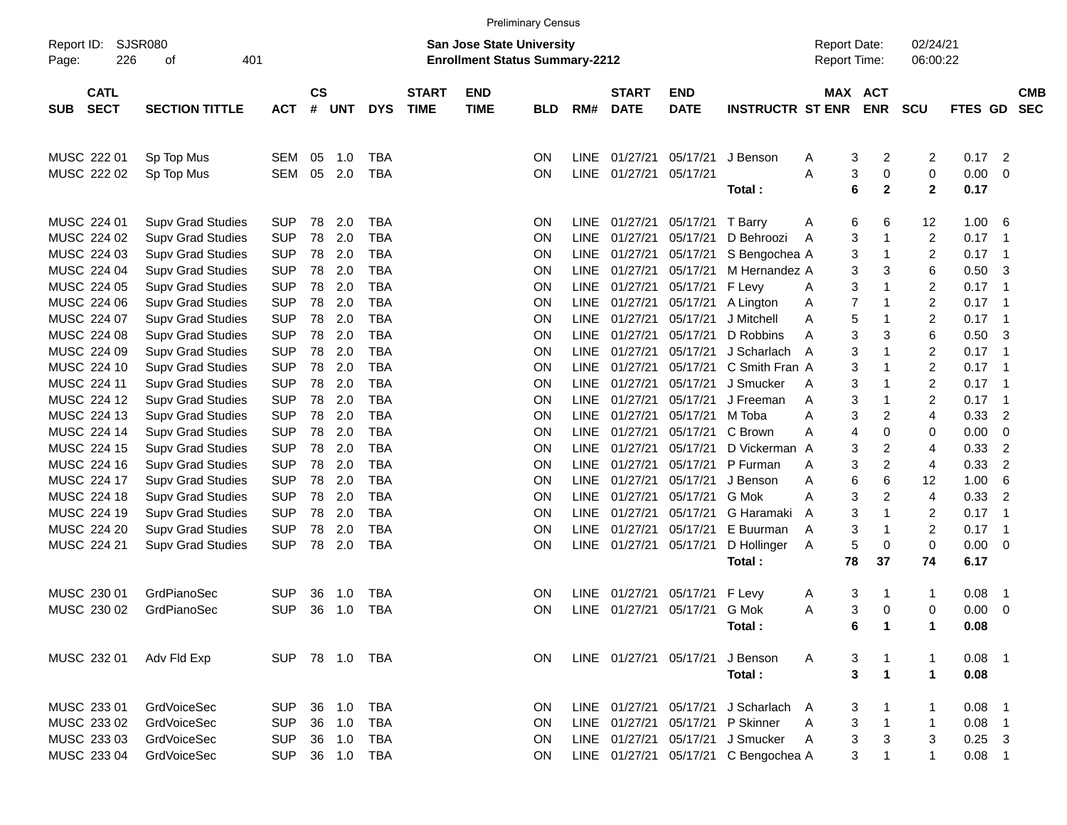|                     |                            |                          |            |                    |            |            |                                                                    |                           | <b>Preliminary Census</b> |             |                             |                           |                                     |                       |                                                  |                   |                |                          |
|---------------------|----------------------------|--------------------------|------------|--------------------|------------|------------|--------------------------------------------------------------------|---------------------------|---------------------------|-------------|-----------------------------|---------------------------|-------------------------------------|-----------------------|--------------------------------------------------|-------------------|----------------|--------------------------|
| Report ID:<br>Page: | <b>SJSR080</b><br>226      | 401                      |            |                    |            |            | San Jose State University<br><b>Enrollment Status Summary-2212</b> |                           |                           |             |                             |                           | <b>Report Date:</b><br>Report Time: |                       | 02/24/21<br>06:00:22                             |                   |                |                          |
| SUB                 | <b>CATL</b><br><b>SECT</b> | <b>SECTION TITTLE</b>    | <b>ACT</b> | $\mathsf{cs}$<br># | <b>UNT</b> | <b>DYS</b> | <b>START</b><br><b>TIME</b>                                        | <b>END</b><br><b>TIME</b> | <b>BLD</b>                | RM#         | <b>START</b><br><b>DATE</b> | <b>END</b><br><b>DATE</b> | <b>INSTRUCTR ST ENR</b>             | <b>MAX</b>            | <b>ACT</b><br><b>ENR</b>                         | <b>SCU</b>        | <b>FTES GD</b> | <b>CMB</b><br><b>SEC</b> |
|                     | MUSC 222 01                | Sp Top Mus               | <b>SEM</b> | 05                 | 1.0        | TBA        |                                                                    |                           | ON                        | <b>LINE</b> | 01/27/21                    | 05/17/21                  | J Benson                            | A                     | 3<br>2                                           | 2                 | 0.17           | 2                        |
|                     | MUSC 222 02                | Sp Top Mus               | <b>SEM</b> | 05                 | 2.0        | TBA        |                                                                    |                           | ON                        | LINE        | 01/27/21                    | 05/17/21                  | Total:                              | A                     | $\mathbf 0$<br>3<br>$\overline{\mathbf{2}}$<br>6 | 0<br>$\mathbf{2}$ | 0.00<br>0.17   | 0                        |
|                     | MUSC 224 01                | <b>Supv Grad Studies</b> | <b>SUP</b> | 78                 | 2.0        | <b>TBA</b> |                                                                    |                           | ON                        | LINE        | 01/27/21                    | 05/17/21                  | T Barry                             | A                     | 6<br>6                                           | 12                | 1.00           | 6                        |
|                     | MUSC 224 02                | <b>Supv Grad Studies</b> | <b>SUP</b> | 78                 | 2.0        | <b>TBA</b> |                                                                    |                           | ON                        | <b>LINE</b> | 01/27/21                    | 05/17/21                  | D Behroozi                          | A                     | 3<br>1                                           | $\overline{2}$    | 0.17           | -1                       |
|                     | MUSC 224 03                | <b>Supv Grad Studies</b> | <b>SUP</b> | 78                 | 2.0        | <b>TBA</b> |                                                                    |                           | ON                        | <b>LINE</b> | 01/27/21                    | 05/17/21                  | S Bengochea A                       |                       | 3<br>1                                           | $\boldsymbol{2}$  | 0.17           | -1                       |
|                     | MUSC 224 04                | <b>Supv Grad Studies</b> | <b>SUP</b> | 78                 | 2.0        | <b>TBA</b> |                                                                    |                           | ON                        | <b>LINE</b> | 01/27/21                    | 05/17/21                  | M Hernandez A                       |                       | 3<br>3                                           | 6                 | 0.50           | 3                        |
|                     | MUSC 224 05                | <b>Supv Grad Studies</b> | <b>SUP</b> | 78                 | 2.0        | <b>TBA</b> |                                                                    |                           | ON                        | <b>LINE</b> | 01/27/21                    | 05/17/21                  | F Levy                              | A                     | 3<br>1                                           | $\overline{c}$    | 0.17           | -1                       |
|                     | MUSC 224 06                | <b>Supv Grad Studies</b> | <b>SUP</b> | 78                 | 2.0        | <b>TBA</b> |                                                                    |                           | ON                        | <b>LINE</b> | 01/27/21                    | 05/17/21                  | A Lington                           | 7<br>A                | 1                                                | $\overline{c}$    | 0.17           | -1                       |
|                     | MUSC 224 07                | <b>Supv Grad Studies</b> | <b>SUP</b> | 78                 | 2.0        | <b>TBA</b> |                                                                    |                           | ON                        | <b>LINE</b> | 01/27/21                    | 05/17/21                  | J Mitchell                          | Α                     | 5<br>1                                           | $\overline{c}$    | 0.17           | -1                       |
|                     | MUSC 224 08                | <b>Supv Grad Studies</b> | <b>SUP</b> | 78                 | 2.0        | <b>TBA</b> |                                                                    |                           | ON                        | <b>LINE</b> | 01/27/21                    | 05/17/21                  | D Robbins                           | A                     | 3<br>3                                           | 6                 | 0.50           | 3                        |
|                     | MUSC 224 09                | <b>Supv Grad Studies</b> | <b>SUP</b> | 78                 | 2.0        | <b>TBA</b> |                                                                    |                           | ON                        | <b>LINE</b> | 01/27/21                    | 05/17/21                  | J Scharlach                         | A                     | 3<br>1                                           | $\overline{c}$    | 0.17           | -1                       |
|                     | MUSC 224 10                | <b>Supv Grad Studies</b> | <b>SUP</b> | 78                 | 2.0        | <b>TBA</b> |                                                                    |                           | ON                        | <b>LINE</b> | 01/27/21                    | 05/17/21                  | C Smith Fran A                      |                       | 3<br>1                                           | $\overline{c}$    | 0.17           | -1                       |
|                     | MUSC 224 11                | <b>Supv Grad Studies</b> | <b>SUP</b> | 78                 | 2.0        | <b>TBA</b> |                                                                    |                           | ON                        | <b>LINE</b> | 01/27/21                    | 05/17/21                  | J Smucker                           | A                     | 3<br>1                                           | $\overline{c}$    | 0.17           | -1                       |
|                     | MUSC 224 12                | <b>Supv Grad Studies</b> | <b>SUP</b> | 78                 | 2.0        | <b>TBA</b> |                                                                    |                           | ON                        | <b>LINE</b> | 01/27/21                    | 05/17/21                  | J Freeman                           | Α                     | 3<br>1                                           | $\overline{c}$    | 0.17           | -1                       |
|                     | MUSC 224 13                | <b>Supv Grad Studies</b> | <b>SUP</b> | 78                 | 2.0        | <b>TBA</b> |                                                                    |                           | ON                        | <b>LINE</b> | 01/27/21                    | 05/17/21                  | M Toba                              | Α                     | 3<br>$\overline{c}$                              | 4                 | 0.33           | $\overline{2}$           |
|                     | MUSC 224 14                | <b>Supv Grad Studies</b> | <b>SUP</b> | 78                 | 2.0        | <b>TBA</b> |                                                                    |                           | ON                        | <b>LINE</b> | 01/27/21                    | 05/17/21                  | C Brown                             | Α                     | $\mathbf 0$<br>4                                 | 0                 | 0.00           | 0                        |
|                     | MUSC 224 15                | <b>Supv Grad Studies</b> | <b>SUP</b> | 78                 | 2.0        | <b>TBA</b> |                                                                    |                           | ON                        | <b>LINE</b> | 01/27/21                    | 05/17/21                  | D Vickerman A                       |                       | 3<br>2                                           | 4                 | 0.33           | $\overline{2}$           |
|                     | MUSC 224 16                | <b>Supv Grad Studies</b> | <b>SUP</b> | 78                 | 2.0        | <b>TBA</b> |                                                                    |                           | ON                        | <b>LINE</b> | 01/27/21                    | 05/17/21                  | P Furman                            | Α                     | $\boldsymbol{2}$<br>3                            | 4                 | 0.33           | $\overline{2}$           |
|                     | MUSC 224 17                | <b>Supv Grad Studies</b> | <b>SUP</b> | 78                 | 2.0        | <b>TBA</b> |                                                                    |                           | ON                        | <b>LINE</b> | 01/27/21                    | 05/17/21                  | J Benson                            | Α                     | 6<br>6                                           | 12                | 1.00           | 6                        |
|                     | MUSC 224 18                | <b>Supv Grad Studies</b> | <b>SUP</b> | 78                 | 2.0        | <b>TBA</b> |                                                                    |                           | ON                        | <b>LINE</b> | 01/27/21                    | 05/17/21                  | G Mok                               | A                     | $\boldsymbol{2}$<br>3                            | 4                 | 0.33           | $\overline{2}$           |
|                     | MUSC 224 19                | <b>Supv Grad Studies</b> | <b>SUP</b> | 78                 | 2.0        | <b>TBA</b> |                                                                    |                           | ON                        | <b>LINE</b> | 01/27/21                    | 05/17/21                  | G Haramaki                          | A                     | 3<br>1                                           | 2                 | 0.17           | -1                       |
|                     | MUSC 224 20                | <b>Supv Grad Studies</b> | <b>SUP</b> | 78                 | 2.0        | <b>TBA</b> |                                                                    |                           | ON                        | <b>LINE</b> | 01/27/21                    | 05/17/21                  | E Buurman                           | Α                     | 3<br>1                                           | $\overline{c}$    | 0.17           | -1                       |
|                     | MUSC 224 21                | <b>Supv Grad Studies</b> | <b>SUP</b> | 78                 | 2.0        | <b>TBA</b> |                                                                    |                           | ON                        | <b>LINE</b> | 01/27/21                    | 05/17/21                  | D Hollinger                         | 5<br>Α                | $\mathbf 0$                                      | $\pmb{0}$         | 0.00           | 0                        |
|                     |                            |                          |            |                    |            |            |                                                                    |                           |                           |             |                             |                           | Total:                              | 78                    | 37                                               | 74                | 6.17           |                          |
|                     | MUSC 230 01                | GrdPianoSec              | <b>SUP</b> | 36                 | 1.0        | <b>TBA</b> |                                                                    |                           | 0N                        | LINE        | 01/27/21                    | 05/17/21                  | F Levy                              | A                     | 3<br>-1                                          | 1                 | 0.08           | -1                       |
|                     | MUSC 230 02                | GrdPianoSec              | <b>SUP</b> | 36                 | 1.0        | <b>TBA</b> |                                                                    |                           | ΟN                        | LINE        | 01/27/21                    | 05/17/21                  | G Mok                               | Α                     | 3<br>0                                           | 0                 | 0.00           | 0                        |
|                     |                            |                          |            |                    |            |            |                                                                    |                           |                           |             |                             |                           | Total:                              |                       | 6<br>$\mathbf{1}$                                |                   | 0.08           |                          |
|                     | MUSC 232 01                | Adv Fld Exp              | <b>SUP</b> |                    |            |            |                                                                    |                           | ON.                       |             |                             | LINE 01/27/21 05/17/21    | J Benson                            | A                     | 3<br>$\mathbf{1}$                                | -1                | 0.08           | $\overline{\phantom{1}}$ |
|                     |                            |                          |            |                    |            |            |                                                                    |                           |                           |             |                             |                           | Total:                              |                       | 3<br>$\blacktriangleleft$                        | $\mathbf 1$       | 0.08           |                          |
|                     | MUSC 233 01                | <b>GrdVoiceSec</b>       | <b>SUP</b> |                    | 36 1.0     | TBA        |                                                                    |                           | ON.                       |             | LINE 01/27/21               | 05/17/21                  | J Scharlach A                       |                       | 3<br>$\mathbf 1$                                 |                   | 0.08           | - 1                      |
|                     | MUSC 233 02                | <b>GrdVoiceSec</b>       | <b>SUP</b> | 36                 | 1.0        | <b>TBA</b> |                                                                    |                           | 0N                        |             | LINE 01/27/21               | 05/17/21                  | P Skinner                           | 3<br>Α                | $\mathbf{1}$                                     | $\mathbf 1$       | 0.08           | $\overline{\mathbf{1}}$  |
|                     | MUSC 233 03                | GrdVoiceSec              | <b>SUP</b> |                    | 36 1.0     | TBA        |                                                                    |                           | 0N                        |             | LINE 01/27/21               | 05/17/21                  | J Smucker                           | $\boldsymbol{3}$<br>A | 3                                                | 3                 | 0.25           | 3                        |
|                     | MUSC 233 04                | GrdVoiceSec              | <b>SUP</b> |                    | 36 1.0     | <b>TBA</b> |                                                                    |                           | <b>ON</b>                 |             | LINE 01/27/21               | 05/17/21                  | C Bengochea A                       |                       | 3<br>1                                           | 1                 | 0.08           | - 1                      |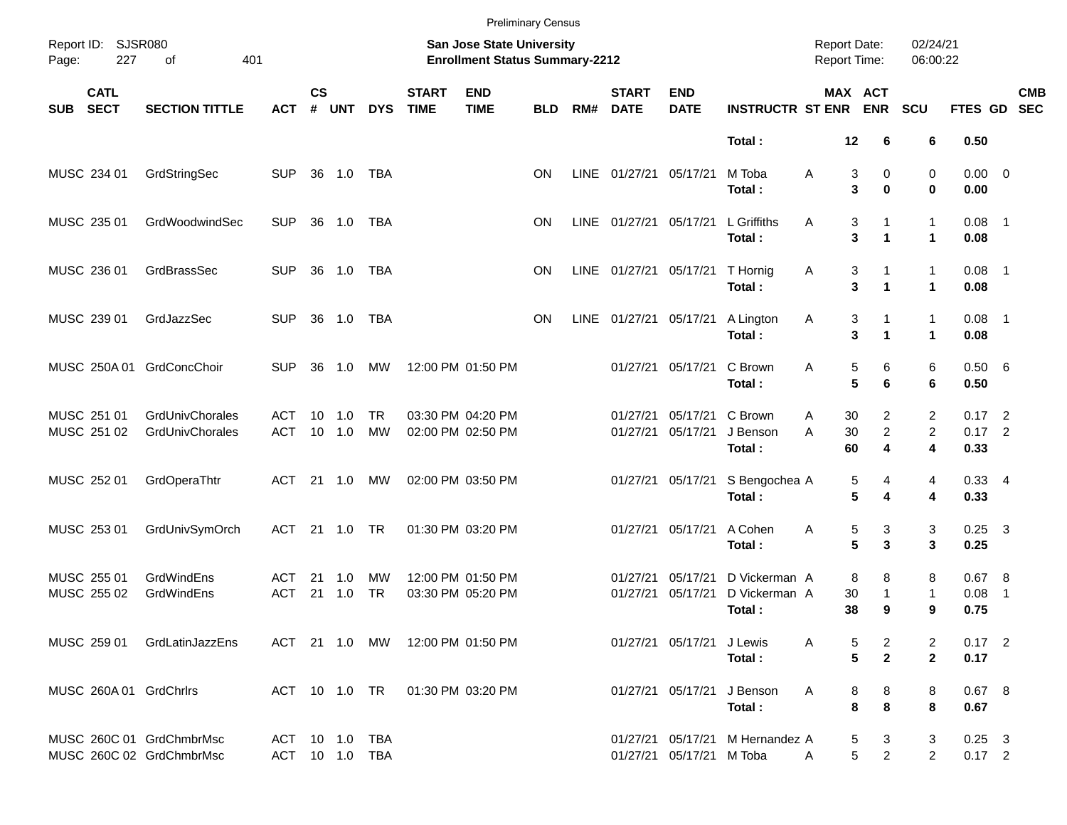|                                                      |                                    |                                  |                    |               |                 |                             |                                                                    | <b>Preliminary Census</b> |      |                             |                               |                                          |                                     |                               |                           |                              |                |            |
|------------------------------------------------------|------------------------------------|----------------------------------|--------------------|---------------|-----------------|-----------------------------|--------------------------------------------------------------------|---------------------------|------|-----------------------------|-------------------------------|------------------------------------------|-------------------------------------|-------------------------------|---------------------------|------------------------------|----------------|------------|
| Report ID: SJSR080<br>227<br>Page:                   | 401<br>of                          |                                  |                    |               |                 |                             | San Jose State University<br><b>Enrollment Status Summary-2212</b> |                           |      |                             |                               |                                          | <b>Report Date:</b><br>Report Time: |                               | 02/24/21<br>06:00:22      |                              |                |            |
| <b>CATL</b><br><b>SECT</b><br><b>SUB</b>             | <b>SECTION TITTLE</b>              | <b>ACT</b>                       | $\mathsf{cs}$<br># | <b>UNT</b>    | <b>DYS</b>      | <b>START</b><br><b>TIME</b> | <b>END</b><br><b>TIME</b>                                          | <b>BLD</b>                | RM#  | <b>START</b><br><b>DATE</b> | <b>END</b><br><b>DATE</b>     | <b>INSTRUCTR ST ENR</b>                  |                                     | MAX ACT<br><b>ENR</b>         | <b>SCU</b>                | FTES GD SEC                  |                | <b>CMB</b> |
|                                                      |                                    |                                  |                    |               |                 |                             |                                                                    |                           |      |                             |                               | Total:                                   | 12                                  | 6                             | 6                         | 0.50                         |                |            |
| MUSC 234 01                                          | GrdStringSec                       | <b>SUP</b>                       |                    | 36 1.0        | TBA             |                             |                                                                    | <b>ON</b>                 |      | LINE 01/27/21 05/17/21      |                               | M Toba<br>Total:                         | Α                                   | 3<br>0<br>3<br>$\bf{0}$       | 0<br>0                    | $0.00 \t 0$<br>0.00          |                |            |
| MUSC 235 01                                          | GrdWoodwindSec                     | <b>SUP</b>                       |                    | 36 1.0        | TBA             |                             |                                                                    | ΟN                        |      | LINE 01/27/21 05/17/21      |                               | L Griffiths<br>Total:                    | Α                                   | 3<br>1<br>3<br>1              | 1<br>$\mathbf{1}$         | $0.08$ 1<br>0.08             |                |            |
| MUSC 236 01                                          | GrdBrassSec                        | <b>SUP</b>                       |                    | 36 1.0        | TBA             |                             |                                                                    | <b>ON</b>                 |      |                             | LINE 01/27/21 05/17/21        | T Hornig<br>Total:                       | Α                                   | 3<br>3<br>1                   | 1<br>$\blacktriangleleft$ | $0.08$ 1<br>0.08             |                |            |
| MUSC 239 01                                          | GrdJazzSec                         | <b>SUP</b>                       |                    | 36 1.0        | <b>TBA</b>      |                             |                                                                    | <b>ON</b>                 | LINE | 01/27/21 05/17/21           |                               | A Lington<br>Total:                      | Α                                   | 3<br>3<br>1                   | 1<br>$\blacktriangleleft$ | $0.08$ 1<br>0.08             |                |            |
| MUSC 250A 01                                         | GrdConcChoir                       | <b>SUP</b>                       | 36                 | 1.0           | МW              |                             | 12:00 PM 01:50 PM                                                  |                           |      |                             | 01/27/21 05/17/21             | C Brown<br>Total:                        | Α                                   | 5<br>6<br>5<br>6              | 6<br>6                    | 0.50 6<br>0.50               |                |            |
| MUSC 251 01<br>MUSC 251 02                           | GrdUnivChorales<br>GrdUnivChorales | ACT<br><b>ACT</b>                | 10                 | 1.0<br>10 1.0 | TR<br><b>MW</b> |                             | 03:30 PM 04:20 PM<br>02:00 PM 02:50 PM                             |                           |      | 01/27/21                    | 05/17/21<br>01/27/21 05/17/21 | C Brown<br>J Benson<br>Total:            | 30<br>Α<br>30<br>A<br>60            | 2<br>$\overline{c}$<br>4      | 2<br>$\overline{2}$<br>4  | $0.17$ 2<br>$0.17$ 2<br>0.33 |                |            |
| MUSC 252 01                                          | GrdOperaThtr                       | ACT                              |                    | 21 1.0        | MW              |                             | 02:00 PM 03:50 PM                                                  |                           |      |                             | 01/27/21 05/17/21             | S Bengochea A<br>Total:                  |                                     | 5<br>4<br>5<br>4              | 4<br>4                    | $0.33 + 4$<br>0.33           |                |            |
| MUSC 253 01                                          | GrdUnivSymOrch                     | <b>ACT</b>                       |                    | 21 1.0        | TR              |                             | 01:30 PM 03:20 PM                                                  |                           |      |                             | 01/27/21 05/17/21             | A Cohen<br>Total:                        | Α                                   | 3<br>5<br>5<br>3              | 3<br>3                    | $0.25$ 3<br>0.25             |                |            |
| MUSC 255 01<br>MUSC 255 02                           | GrdWindEns<br>GrdWindEns           | ACT<br><b>ACT</b>                | 21<br>21           | 1.0<br>1.0    | МW<br><b>TR</b> |                             | 12:00 PM 01:50 PM<br>03:30 PM 05:20 PM                             |                           |      | 01/27/21<br>01/27/21        | 05/17/21<br>05/17/21          | D Vickerman A<br>D Vickerman A<br>Total: | 30<br>38                            | 8<br>8<br>1<br>9              | 8<br>$\mathbf{1}$<br>9    | 0.67 8<br>0.08<br>0.75       | $\overline{1}$ |            |
| MUSC 259 01                                          | GrdLatinJazzEns                    |                                  |                    |               |                 |                             | ACT 21 1.0 MW 12:00 PM 01:50 PM                                    |                           |      |                             | 01/27/21 05/17/21 J Lewis     | Total:                                   | Α                                   | 5<br>2<br>5<br>$\mathbf{2}$   | 2<br>$\mathbf{2}$         | $0.17$ 2<br>0.17             |                |            |
| MUSC 260A 01 GrdChrirs                               |                                    |                                  |                    |               | ACT 10 1.0 TR   |                             | 01:30 PM 03:20 PM                                                  |                           |      |                             |                               | 01/27/21 05/17/21 J Benson<br>Total:     | A                                   | 8<br>8<br>$\pmb{8}$<br>8      | 8<br>8                    | 0.67 8<br>0.67               |                |            |
| MUSC 260C 01 GrdChmbrMsc<br>MUSC 260C 02 GrdChmbrMsc |                                    | ACT 10 1.0 TBA<br>ACT 10 1.0 TBA |                    |               |                 |                             |                                                                    |                           |      |                             | 01/27/21 05/17/21 M Toba      | 01/27/21 05/17/21 M Hernandez A          | A                                   | 5<br>3<br>$\overline{a}$<br>5 | 3<br>$\overline{2}$       | $0.25$ 3<br>$0.17$ 2         |                |            |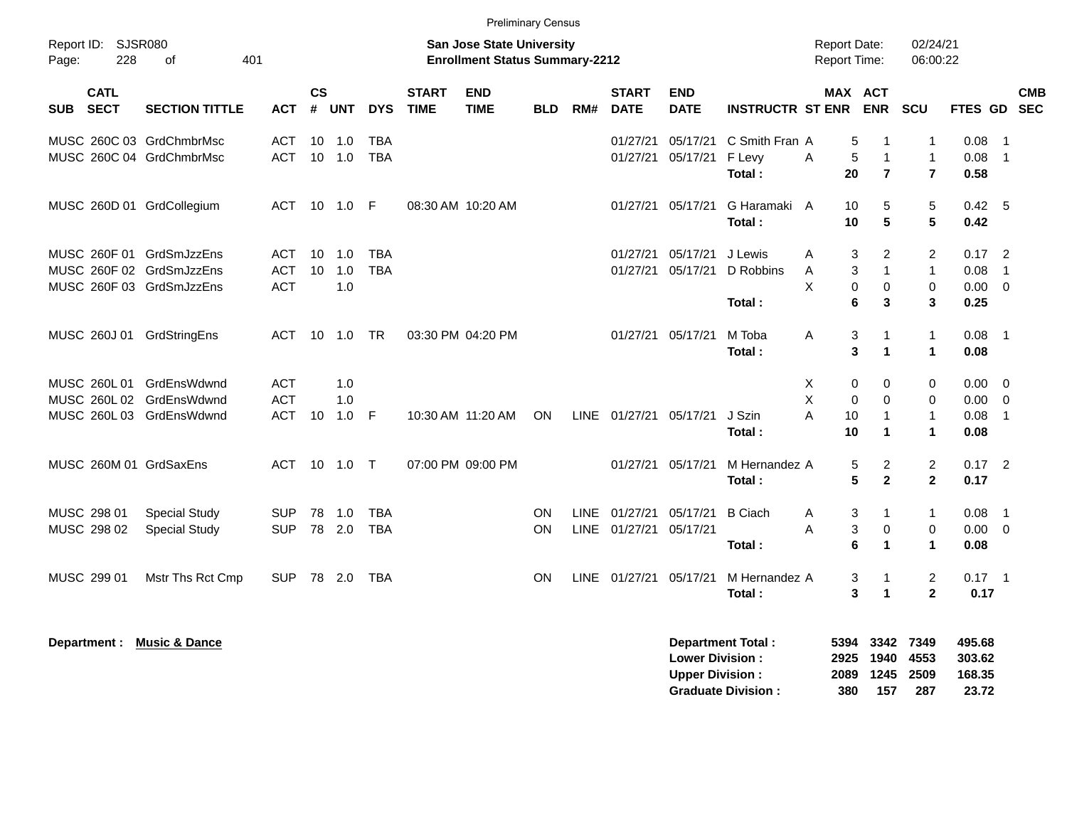|                                          |                          |            |                    |                |              |                             |                                                                           | <b>Preliminary Census</b> |      |                             |                           |                          |   |                                            |                              |                         |          |                            |
|------------------------------------------|--------------------------|------------|--------------------|----------------|--------------|-----------------------------|---------------------------------------------------------------------------|---------------------------|------|-----------------------------|---------------------------|--------------------------|---|--------------------------------------------|------------------------------|-------------------------|----------|----------------------------|
| Report ID: SJSR080<br>228<br>Page:       | 401<br>οf                |            |                    |                |              |                             | <b>San Jose State University</b><br><b>Enrollment Status Summary-2212</b> |                           |      |                             |                           |                          |   | <b>Report Date:</b><br><b>Report Time:</b> |                              | 02/24/21<br>06:00:22    |          |                            |
| <b>CATL</b><br><b>SECT</b><br><b>SUB</b> | <b>SECTION TITTLE</b>    | <b>ACT</b> | $\mathsf{cs}$<br># | <b>UNT</b>     | <b>DYS</b>   | <b>START</b><br><b>TIME</b> | <b>END</b><br><b>TIME</b>                                                 | <b>BLD</b>                | RM#  | <b>START</b><br><b>DATE</b> | <b>END</b><br><b>DATE</b> | <b>INSTRUCTR ST ENR</b>  |   |                                            | <b>MAX ACT</b><br><b>ENR</b> | SCU                     | FTES GD  | <b>CMB</b><br><b>SEC</b>   |
| MUSC 260C 03 GrdChmbrMsc                 |                          | <b>ACT</b> | 10                 | 1.0            | <b>TBA</b>   |                             |                                                                           |                           |      | 01/27/21                    | 05/17/21                  | C Smith Fran A           |   | 5                                          | $\mathbf{1}$                 | 1                       | 0.08     | $\overline{1}$             |
| MUSC 260C 04 GrdChmbrMsc                 |                          | <b>ACT</b> |                    | $10$ $1.0$     | <b>TBA</b>   |                             |                                                                           |                           |      | 01/27/21                    | 05/17/21                  | F Levy                   | Α | 5                                          | $\overline{1}$               | $\mathbf{1}$            | 0.08     | $\overline{\phantom{0}}$   |
|                                          |                          |            |                    |                |              |                             |                                                                           |                           |      |                             |                           | Total:                   |   | 20                                         | $\overline{7}$               | $\overline{\mathbf{r}}$ | 0.58     |                            |
| MUSC 260D 01 GrdCollegium                |                          | ACT        |                    | 10  1.0        | -F           |                             | 08:30 AM 10:20 AM                                                         |                           |      | 01/27/21                    | 05/17/21                  | G Haramaki A             |   | 10                                         | 5                            | 5                       | 0.42 5   |                            |
|                                          |                          |            |                    |                |              |                             |                                                                           |                           |      |                             |                           | Total:                   |   | 10                                         | 5                            | 5                       | 0.42     |                            |
| MUSC 260F 01 GrdSmJzzEns                 |                          | ACT        |                    | $10 \quad 1.0$ | <b>TBA</b>   |                             |                                                                           |                           |      | 01/27/21                    | 05/17/21                  | J Lewis                  | A | 3                                          | 2                            | $\overline{2}$          | $0.17$ 2 |                            |
| MUSC 260F 02 GrdSmJzzEns                 |                          | <b>ACT</b> | 10                 | 1.0            | <b>TBA</b>   |                             |                                                                           |                           |      | 01/27/21                    | 05/17/21                  | D Robbins                | A | 3                                          | $\mathbf{1}$                 | $\mathbf{1}$            | 0.08     | $\overline{1}$             |
| MUSC 260F 03 GrdSmJzzEns                 |                          | <b>ACT</b> |                    | 1.0            |              |                             |                                                                           |                           |      |                             |                           |                          | X | $\mathbf 0$                                | $\pmb{0}$                    | $\mathbf 0$             | 0.00     | $\overline{0}$             |
|                                          |                          |            |                    |                |              |                             |                                                                           |                           |      |                             |                           | Total:                   |   | 6                                          | 3                            | 3                       | 0.25     |                            |
| MUSC 260J 01                             | GrdStringEns             | <b>ACT</b> | 10                 | 1.0            | TR           |                             | 03:30 PM 04:20 PM                                                         |                           |      | 01/27/21                    | 05/17/21                  | M Toba                   | Α | 3                                          | $\mathbf{1}$                 | $\mathbf{1}$            | 0.08     | $\overline{1}$             |
|                                          |                          |            |                    |                |              |                             |                                                                           |                           |      |                             |                           | Total:                   |   | 3                                          | 1                            | $\mathbf 1$             | 0.08     |                            |
| MUSC 260L 01                             | GrdEnsWdwnd              | <b>ACT</b> |                    | 1.0            |              |                             |                                                                           |                           |      |                             |                           |                          | Х | 0                                          | 0                            | 0                       | 0.00     | - 0                        |
| MUSC 260L 02                             | GrdEnsWdwnd              | <b>ACT</b> |                    | 1.0            |              |                             |                                                                           |                           |      |                             |                           |                          | X | $\mathbf 0$                                | $\mathbf 0$                  | $\mathbf 0$             | 0.00     | $\overline{0}$             |
| MUSC 260L 03 GrdEnsWdwnd                 |                          | ACT        | 10                 | 1.0            | $\mathsf{F}$ |                             | 10:30 AM 11:20 AM                                                         | <b>ON</b>                 |      | LINE 01/27/21               | 05/17/21                  | J Szin                   | A | 10                                         | $\overline{1}$               | $\mathbf{1}$            | 0.08     | $\overline{1}$             |
|                                          |                          |            |                    |                |              |                             |                                                                           |                           |      |                             |                           | Total:                   |   | 10                                         | $\mathbf{1}$                 | $\mathbf{1}$            | 0.08     |                            |
| MUSC 260M 01 GrdSaxEns                   |                          | ACT        |                    | $10 \quad 1.0$ | $\top$       |                             | 07:00 PM 09:00 PM                                                         |                           |      | 01/27/21                    | 05/17/21                  | M Hernandez A            |   | 5                                          | $\overline{c}$               | $\overline{c}$          | $0.17$ 2 |                            |
|                                          |                          |            |                    |                |              |                             |                                                                           |                           |      |                             |                           | Total:                   |   | 5                                          | $\mathbf{2}$                 | $\mathbf 2$             | 0.17     |                            |
| MUSC 298 01                              | <b>Special Study</b>     | <b>SUP</b> | 78                 | 1.0            | <b>TBA</b>   |                             |                                                                           | <b>ON</b>                 | LINE | 01/27/21                    | 05/17/21                  | <b>B</b> Ciach           | A | 3                                          | 1                            | $\mathbf{1}$            | 0.08     | $\overline{\phantom{0}}$ 1 |
| MUSC 298 02                              | <b>Special Study</b>     | <b>SUP</b> |                    | 78 2.0         | <b>TBA</b>   |                             |                                                                           | <b>ON</b>                 |      | LINE 01/27/21               | 05/17/21                  |                          | A | 3                                          | $\pmb{0}$                    | $\mathbf 0$             | 0.00     | $\overline{0}$             |
|                                          |                          |            |                    |                |              |                             |                                                                           |                           |      |                             |                           | Total:                   |   | 6                                          | $\mathbf{1}$                 | $\mathbf 1$             | 0.08     |                            |
| MUSC 299 01                              | Mstr Ths Rct Cmp         | <b>SUP</b> |                    | 78 2.0         | TBA          |                             |                                                                           | <b>ON</b>                 |      | LINE 01/27/21               | 05/17/21                  | M Hernandez A            |   | 3                                          | $\mathbf 1$                  | $\overline{c}$          | $0.17$ 1 |                            |
|                                          |                          |            |                    |                |              |                             |                                                                           |                           |      |                             |                           | Total:                   |   | 3                                          | $\overline{1}$               | $\mathbf{2}$            | 0.17     |                            |
|                                          | <b>Music &amp; Dance</b> |            |                    |                |              |                             |                                                                           |                           |      |                             |                           | <b>Department Total:</b> |   | 5394                                       | 3342                         | 7349                    | 495.68   |                            |
| Department :                             |                          |            |                    |                |              |                             |                                                                           |                           |      |                             | <b>Lower Division:</b>    |                          |   | 2925                                       | 1940                         | 4553                    | 303.62   |                            |

| <b>Upper Division:</b>    |     | 2089 1245 2509 |       | 168.35 |
|---------------------------|-----|----------------|-------|--------|
| <b>Graduate Division:</b> | 380 | 157            | - 287 | 23.72  |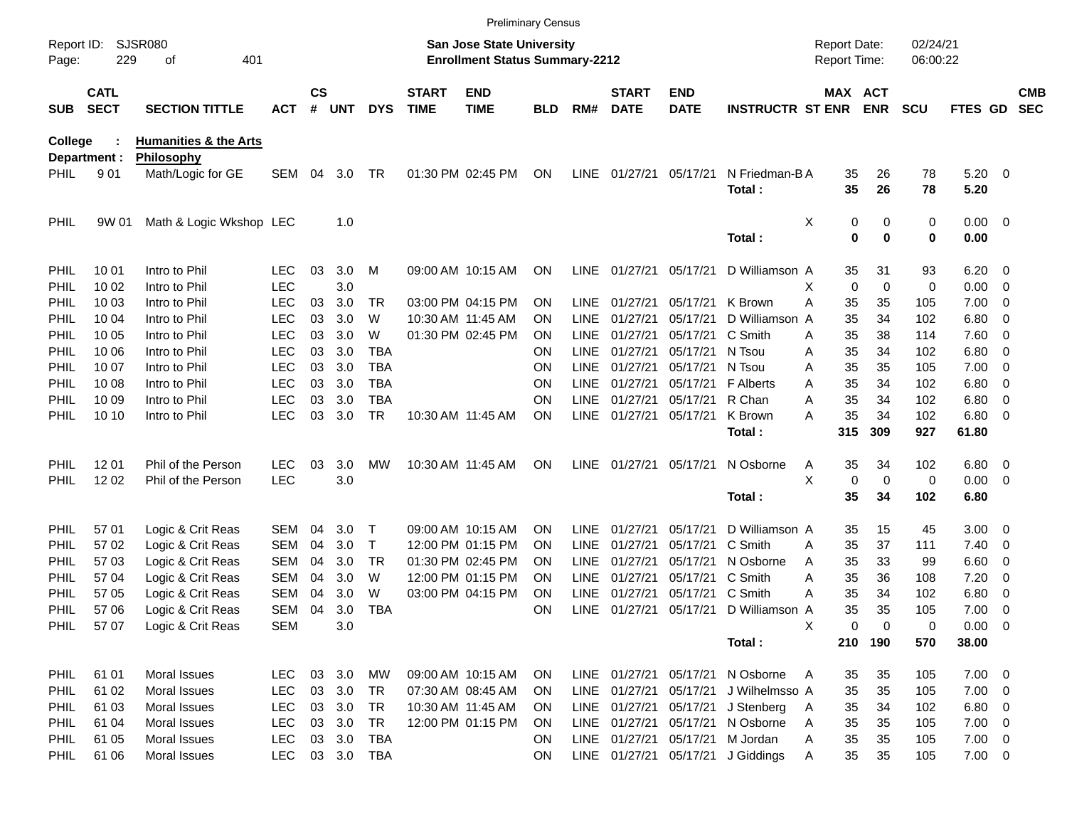|                     |                            |                                        |            |                |            |              |                             |                                                                           | <b>Preliminary Census</b> |             |                             |                           |                         |                                     |                       |                      |             |                          |                          |
|---------------------|----------------------------|----------------------------------------|------------|----------------|------------|--------------|-----------------------------|---------------------------------------------------------------------------|---------------------------|-------------|-----------------------------|---------------------------|-------------------------|-------------------------------------|-----------------------|----------------------|-------------|--------------------------|--------------------------|
| Report ID:<br>Page: | 229                        | SJSR080<br>οf<br>401                   |            |                |            |              |                             | <b>San Jose State University</b><br><b>Enrollment Status Summary-2212</b> |                           |             |                             |                           |                         | <b>Report Date:</b><br>Report Time: |                       | 02/24/21<br>06:00:22 |             |                          |                          |
| <b>SUB</b>          | <b>CATL</b><br><b>SECT</b> | <b>SECTION TITTLE</b>                  | <b>ACT</b> | <b>CS</b><br># | <b>UNT</b> | <b>DYS</b>   | <b>START</b><br><b>TIME</b> | <b>END</b><br><b>TIME</b>                                                 | <b>BLD</b>                | RM#         | <b>START</b><br><b>DATE</b> | <b>END</b><br><b>DATE</b> | <b>INSTRUCTR ST ENR</b> |                                     | MAX ACT<br><b>ENR</b> | <b>SCU</b>           | FTES GD     |                          | <b>CMB</b><br><b>SEC</b> |
| <b>College</b>      |                            | <b>Humanities &amp; the Arts</b>       |            |                |            |              |                             |                                                                           |                           |             |                             |                           |                         |                                     |                       |                      |             |                          |                          |
| PHIL                | Department :<br>901        | <b>Philosophy</b><br>Math/Logic for GE | SEM        | 04             | 3.0        | TR           |                             | 01:30 PM 02:45 PM                                                         | <b>ON</b>                 | LINE        | 01/27/21                    | 05/17/21                  | N Friedman-B A          | 35                                  | 26                    | 78                   | $5.20 \ 0$  |                          |                          |
|                     |                            |                                        |            |                |            |              |                             |                                                                           |                           |             |                             |                           | Total:                  | 35                                  | 26                    | 78                   | 5.20        |                          |                          |
| PHIL                | 9W 01                      | Math & Logic Wkshop LEC                |            |                | 1.0        |              |                             |                                                                           |                           |             |                             |                           |                         | Χ<br>0                              | 0                     | 0                    | $0.00 \t 0$ |                          |                          |
|                     |                            |                                        |            |                |            |              |                             |                                                                           |                           |             |                             |                           | Total:                  | 0                                   | $\mathbf 0$           | 0                    | 0.00        |                          |                          |
| PHIL                | 10 01                      | Intro to Phil                          | <b>LEC</b> | 03             | 3.0        | M            |                             | 09:00 AM 10:15 AM                                                         | <b>ON</b>                 | <b>LINE</b> | 01/27/21                    | 05/17/21                  | D Williamson A          | 35                                  | 31                    | 93                   | 6.20        | $\overline{\phantom{0}}$ |                          |
| PHIL                | 10 02                      | Intro to Phil                          | <b>LEC</b> |                | 3.0        |              |                             |                                                                           |                           |             |                             |                           |                         | 0<br>X                              | $\mathbf 0$           | 0                    | 0.00        | $\overline{\mathbf{0}}$  |                          |
| PHIL                | 10 03                      | Intro to Phil                          | <b>LEC</b> | 03             | 3.0        | TR           |                             | 03:00 PM 04:15 PM                                                         | <b>ON</b>                 | LINE        | 01/27/21                    | 05/17/21                  | K Brown                 | Α<br>35                             | 35                    | 105                  | 7.00        | $\overline{\mathbf{0}}$  |                          |
| PHIL                | 10 04                      | Intro to Phil                          | <b>LEC</b> | 03             | 3.0        | W            |                             | 10:30 AM 11:45 AM                                                         | <b>ON</b>                 | <b>LINE</b> | 01/27/21                    | 05/17/21                  | D Williamson            | 35<br>A                             | 34                    | 102                  | 6.80        | 0                        |                          |
| <b>PHIL</b>         | 10 05                      | Intro to Phil                          | <b>LEC</b> | 03             | 3.0        | W            |                             | 01:30 PM 02:45 PM                                                         | <b>ON</b>                 | <b>LINE</b> | 01/27/21                    | 05/17/21                  | C Smith                 | 35<br>Α                             | 38                    | 114                  | 7.60        | $\overline{\mathbf{0}}$  |                          |
| PHIL                | 10 06                      | Intro to Phil                          | <b>LEC</b> | 03             | 3.0        | <b>TBA</b>   |                             |                                                                           | <b>ON</b>                 | <b>LINE</b> | 01/27/21                    | 05/17/21                  | N Tsou                  | 35<br>Α                             | 34                    | 102                  | 6.80        | 0                        |                          |
| PHIL                | 10 07                      | Intro to Phil                          | <b>LEC</b> | 03             | 3.0        | <b>TBA</b>   |                             |                                                                           | ON                        | <b>LINE</b> | 01/27/21                    | 05/17/21                  | N Tsou                  | 35<br>Α                             | 35                    | 105                  | 7.00        | 0                        |                          |
| PHIL                | 10 08                      | Intro to Phil                          | <b>LEC</b> | 03             | 3.0        | <b>TBA</b>   |                             |                                                                           | ON                        | <b>LINE</b> | 01/27/21                    | 05/17/21                  | F Alberts               | 35<br>Α                             | 34                    | 102                  | 6.80        | 0                        |                          |
| PHIL                | 10 09                      | Intro to Phil                          | <b>LEC</b> | 03             | 3.0        | <b>TBA</b>   |                             |                                                                           | <b>ON</b>                 | <b>LINE</b> | 01/27/21                    | 05/17/21                  | R Chan                  | 35<br>Α                             | 34                    | 102                  | 6.80        | 0                        |                          |
| <b>PHIL</b>         | 10 10                      | Intro to Phil                          | <b>LEC</b> | 03             | 3.0        | <b>TR</b>    |                             | 10:30 AM 11:45 AM                                                         | ON                        | LINE        | 01/27/21                    | 05/17/21                  | K Brown                 | 35<br>Α                             | 34                    | 102                  | 6.80        | $\overline{\mathbf{0}}$  |                          |
|                     |                            |                                        |            |                |            |              |                             |                                                                           |                           |             |                             |                           | Total:                  | 315                                 | 309                   | 927                  | 61.80       |                          |                          |
| PHIL                | 12 01                      | Phil of the Person                     | <b>LEC</b> | 03             | 3.0        | МW           |                             | 10:30 AM 11:45 AM                                                         | ON                        |             | LINE 01/27/21               | 05/17/21                  | N Osborne               | 35<br>A                             | 34                    | 102                  | 6.80        | $\overline{\phantom{0}}$ |                          |
| <b>PHIL</b>         | 12 02                      | Phil of the Person                     | <b>LEC</b> |                | 3.0        |              |                             |                                                                           |                           |             |                             |                           |                         | X<br>0                              | $\mathbf 0$           | 0                    | 0.00        | $\overline{\phantom{0}}$ |                          |
|                     |                            |                                        |            |                |            |              |                             |                                                                           |                           |             |                             |                           | Total:                  | 35                                  | 34                    | 102                  | 6.80        |                          |                          |
| PHIL                | 57 01                      | Logic & Crit Reas                      | <b>SEM</b> | 04             | 3.0        | $\mathsf T$  |                             | 09:00 AM 10:15 AM                                                         | <b>ON</b>                 | LINE        | 01/27/21                    | 05/17/21                  | D Williamson A          | 35                                  | 15                    | 45                   | 3.00        | $\overline{\phantom{0}}$ |                          |
| PHIL                | 57 02                      | Logic & Crit Reas                      | <b>SEM</b> | 04             | 3.0        | $\mathsf{T}$ |                             | 12:00 PM 01:15 PM                                                         | <b>ON</b>                 | <b>LINE</b> | 01/27/21                    | 05/17/21                  | C Smith                 | 35<br>Α                             | 37                    | 111                  | 7.40        | $\overline{\mathbf{0}}$  |                          |
| PHIL                | 57 03                      | Logic & Crit Reas                      | <b>SEM</b> | 04             | 3.0        | <b>TR</b>    |                             | 01:30 PM 02:45 PM                                                         | <b>ON</b>                 | <b>LINE</b> | 01/27/21                    | 05/17/21                  | N Osborne               | 35<br>Α                             | 33                    | 99                   | 6.60        | 0                        |                          |
| PHIL                | 57 04                      | Logic & Crit Reas                      | <b>SEM</b> | 04             | 3.0        | W            |                             | 12:00 PM 01:15 PM                                                         | <b>ON</b>                 | <b>LINE</b> | 01/27/21                    | 05/17/21                  | C Smith                 | 35<br>Α                             | 36                    | 108                  | 7.20        | 0                        |                          |
| PHIL                | 57 05                      | Logic & Crit Reas                      | <b>SEM</b> | 04             | 3.0        | W            |                             | 03:00 PM 04:15 PM                                                         | ON                        | <b>LINE</b> | 01/27/21                    | 05/17/21                  | C Smith                 | 35<br>Α                             | 34                    | 102                  | 6.80        | 0                        |                          |
| PHIL                | 57 06                      | Logic & Crit Reas                      | <b>SEM</b> | 04             | 3.0        | <b>TBA</b>   |                             |                                                                           | ON                        | <b>LINE</b> | 01/27/21                    | 05/17/21                  | D Williamson A          | 35                                  | 35                    | 105                  | 7.00        | - 0                      |                          |
| PHIL                | 5707                       | Logic & Crit Reas                      | <b>SEM</b> |                | 3.0        |              |                             |                                                                           |                           |             |                             |                           |                         | X<br>0                              | 0                     | 0                    | $0.00 \t 0$ |                          |                          |
|                     |                            |                                        |            |                |            |              |                             |                                                                           |                           |             |                             |                           | Total:                  |                                     | 210 190               | 570                  | 38.00       |                          |                          |
| <b>PHIL</b>         | 61 01                      | Moral Issues                           | <b>LEC</b> |                | 03 3.0     | МW           |                             | 09:00 AM 10:15 AM                                                         | <b>ON</b>                 |             | LINE 01/27/21 05/17/21      |                           | N Osborne               | 35<br>A                             | 35                    | 105                  | $7.00 \t 0$ |                          |                          |
| <b>PHIL</b>         | 61 02                      | Moral Issues                           | <b>LEC</b> |                | 03 3.0     | TR           |                             | 07:30 AM 08:45 AM                                                         | <b>ON</b>                 |             | LINE 01/27/21               | 05/17/21                  | J Wilhelmsso A          | 35                                  | 35                    | 105                  | $7.00 \t 0$ |                          |                          |
| <b>PHIL</b>         | 61 03                      | Moral Issues                           | <b>LEC</b> |                | 03 3.0     | TR           |                             | 10:30 AM 11:45 AM                                                         | <b>ON</b>                 |             | LINE 01/27/21               | 05/17/21                  | J Stenberg              | 35<br>A                             | 34                    | 102                  | $6.80\ 0$   |                          |                          |
| <b>PHIL</b>         | 61 04                      | Moral Issues                           | <b>LEC</b> |                | 03 3.0     | <b>TR</b>    |                             | 12:00 PM 01:15 PM                                                         | <b>ON</b>                 |             | LINE 01/27/21               | 05/17/21                  | N Osborne               | 35<br>A                             | 35                    | 105                  | $7.00 \t 0$ |                          |                          |
| PHIL                | 61 05                      | Moral Issues                           | <b>LEC</b> |                | 03 3.0     | TBA          |                             |                                                                           | <b>ON</b>                 |             | LINE 01/27/21 05/17/21      |                           | M Jordan                | Α<br>35                             | 35                    | 105                  | $7.00 \t 0$ |                          |                          |
| <b>PHIL</b>         | 61 06                      | Moral Issues                           | <b>LEC</b> |                |            | 03 3.0 TBA   |                             |                                                                           | ON                        |             | LINE 01/27/21 05/17/21      |                           | J Giddings              | 35<br>Α                             | 35                    | 105                  | $7.00 \t 0$ |                          |                          |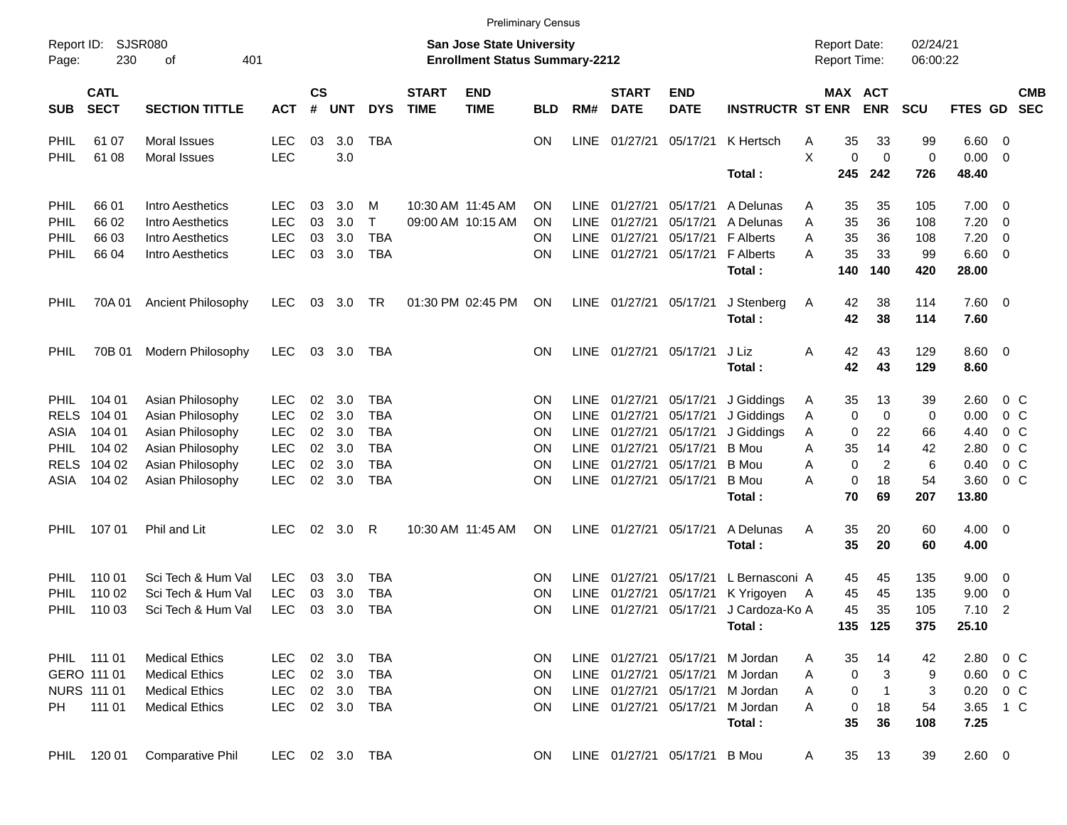|                     |                            |                           |            |                    |            |                |                             |                                                                           | <b>Preliminary Census</b> |             |                             |                           |                            |                                     |             |                       |                      |               |                          |                          |
|---------------------|----------------------------|---------------------------|------------|--------------------|------------|----------------|-----------------------------|---------------------------------------------------------------------------|---------------------------|-------------|-----------------------------|---------------------------|----------------------------|-------------------------------------|-------------|-----------------------|----------------------|---------------|--------------------------|--------------------------|
| Report ID:<br>Page: | SJSR080<br>230             | 401<br>οf                 |            |                    |            |                |                             | <b>San Jose State University</b><br><b>Enrollment Status Summary-2212</b> |                           |             |                             |                           |                            | <b>Report Date:</b><br>Report Time: |             |                       | 02/24/21<br>06:00:22 |               |                          |                          |
| <b>SUB</b>          | <b>CATL</b><br><b>SECT</b> | <b>SECTION TITTLE</b>     | <b>ACT</b> | $\mathsf{cs}$<br># | <b>UNT</b> | <b>DYS</b>     | <b>START</b><br><b>TIME</b> | <b>END</b><br><b>TIME</b>                                                 | <b>BLD</b>                | RM#         | <b>START</b><br><b>DATE</b> | <b>END</b><br><b>DATE</b> | <b>INSTRUCTR ST ENR</b>    |                                     |             | MAX ACT<br><b>ENR</b> | <b>SCU</b>           | FTES GD       |                          | <b>CMB</b><br><b>SEC</b> |
| PHIL                | 61 07                      | Moral Issues              | <b>LEC</b> | 03                 | 3.0        | <b>TBA</b>     |                             |                                                                           | ON                        | <b>LINE</b> | 01/27/21                    | 05/17/21                  | K Hertsch                  | A                                   | 35          | 33                    | 99                   | 6.60          | $\overline{\mathbf{0}}$  |                          |
| PHIL                | 61 08                      | <b>Moral Issues</b>       | <b>LEC</b> |                    | 3.0        |                |                             |                                                                           |                           |             |                             |                           |                            | X                                   | 0           | $\mathbf 0$           | $\mathbf 0$          | 0.00          | $\overline{0}$           |                          |
|                     |                            |                           |            |                    |            |                |                             |                                                                           |                           |             |                             |                           | Total:                     |                                     | 245         | 242                   | 726                  | 48.40         |                          |                          |
| PHIL                | 66 01                      | Intro Aesthetics          | LEC.       | 03                 | 3.0        | M              |                             | 10:30 AM 11:45 AM                                                         | ON                        | <b>LINE</b> | 01/27/21                    | 05/17/21                  | A Delunas                  | A                                   | 35          | 35                    | 105                  | 7.00          | $\overline{\mathbf{0}}$  |                          |
| PHIL                | 66 02                      | Intro Aesthetics          | <b>LEC</b> | 03                 | 3.0        | $\mathsf{T}$   |                             | 09:00 AM 10:15 AM                                                         | ON                        | <b>LINE</b> | 01/27/21                    | 05/17/21                  | A Delunas                  | A                                   | 35          | 36                    | 108                  | 7.20          | $\mathbf 0$              |                          |
| PHIL                | 66 03                      | Intro Aesthetics          | <b>LEC</b> | 03                 | 3.0        | <b>TBA</b>     |                             |                                                                           | ΟN                        | <b>LINE</b> | 01/27/21                    | 05/17/21                  | <b>F</b> Alberts           | Α                                   | 35          | 36                    | 108                  | 7.20          | 0                        |                          |
| PHIL                | 66 04                      | Intro Aesthetics          | <b>LEC</b> | 03                 | 3.0        | <b>TBA</b>     |                             |                                                                           | ΟN                        | <b>LINE</b> |                             | 01/27/21 05/17/21         | <b>F</b> Alberts<br>Total: | А                                   | 35<br>140   | 33<br>140             | 99<br>420            | 6.60<br>28.00 | $\overline{0}$           |                          |
| PHIL                | 70A 01                     | <b>Ancient Philosophy</b> | <b>LEC</b> | 03                 | 3.0        | TR             |                             | 01:30 PM 02:45 PM                                                         | <b>ON</b>                 | LINE        |                             | 01/27/21 05/17/21         | J Stenberg<br>Total:       | A                                   | 42<br>42    | 38<br>38              | 114<br>114           | 7.60<br>7.60  | $\overline{\phantom{0}}$ |                          |
| PHIL                | 70B 01                     | Modern Philosophy         | <b>LEC</b> | 03                 | 3.0        | TBA            |                             |                                                                           | <b>ON</b>                 | <b>LINE</b> | 01/27/21 05/17/21           |                           | J Liz<br>Total:            | A                                   | 42<br>42    | 43<br>43              | 129<br>129           | 8.60<br>8.60  | $\overline{\phantom{0}}$ |                          |
| <b>PHIL</b>         | 104 01                     | Asian Philosophy          | <b>LEC</b> | 02                 | 3.0        | <b>TBA</b>     |                             |                                                                           | ΟN                        | <b>LINE</b> | 01/27/21                    | 05/17/21                  | J Giddings                 | A                                   | 35          | 13                    | 39                   | 2.60          | $0\,$ C                  |                          |
| <b>RELS</b>         | 104 01                     | Asian Philosophy          | <b>LEC</b> | 02                 | 3.0        | <b>TBA</b>     |                             |                                                                           | ON                        | <b>LINE</b> | 01/27/21                    | 05/17/21                  | J Giddings                 | Α                                   | 0           | 0                     | 0                    | 0.00          | 0 <sup>o</sup>           |                          |
| ASIA                | 104 01                     | Asian Philosophy          | <b>LEC</b> | 02                 | 3.0        | <b>TBA</b>     |                             |                                                                           | ON                        | <b>LINE</b> | 01/27/21                    | 05/17/21                  | J Giddings                 | Α                                   | 0           | 22                    | 66                   | 4.40          |                          | 0 <sup>o</sup>           |
| <b>PHIL</b>         | 104 02                     | Asian Philosophy          | <b>LEC</b> | 02                 | 3.0        | <b>TBA</b>     |                             |                                                                           | ON                        | <b>LINE</b> | 01/27/21                    | 05/17/21                  | <b>B</b> Mou               | Α                                   | 35          | 14                    | 42                   | 2.80          | 0 <sup>o</sup>           |                          |
| <b>RELS</b>         | 104 02                     | Asian Philosophy          | <b>LEC</b> | 02                 | 3.0        | <b>TBA</b>     |                             |                                                                           | ON                        | <b>LINE</b> | 01/27/21                    | 05/17/21                  | <b>B</b> Mou               | Α                                   | $\mathbf 0$ | $\overline{2}$        | 6                    | 0.40          |                          | 0 <sup>o</sup>           |
| ASIA                | 104 02                     | Asian Philosophy          | <b>LEC</b> | 02                 | 3.0        | <b>TBA</b>     |                             |                                                                           | ON                        | <b>LINE</b> | 01/27/21                    | 05/17/21                  | <b>B</b> Mou               | Α                                   | 0           | 18                    | 54                   | 3.60          | 0 <sup>o</sup>           |                          |
|                     |                            |                           |            |                    |            |                |                             |                                                                           |                           |             |                             |                           | Total:                     |                                     | 70          | 69                    | 207                  | 13.80         |                          |                          |
| <b>PHIL</b>         | 107 01                     | Phil and Lit              | <b>LEC</b> | 02                 | 3.0        | R              |                             | 10:30 AM 11:45 AM                                                         | ON                        | <b>LINE</b> | 01/27/21                    | 05/17/21                  | A Delunas<br>Total:        | A                                   | 35<br>35    | 20<br>20              | 60<br>60             | 4.00<br>4.00  | $\overline{\phantom{0}}$ |                          |
| PHIL                | 110 01                     | Sci Tech & Hum Val        | <b>LEC</b> | 03                 | 3.0        | <b>TBA</b>     |                             |                                                                           | ΟN                        | <b>LINE</b> | 01/27/21                    | 05/17/21                  | L Bernasconi A             |                                     | 45          | 45                    | 135                  | 9.00          | $\overline{\mathbf{0}}$  |                          |
| PHIL                | 110 02                     | Sci Tech & Hum Val        | <b>LEC</b> | 03                 | 3.0        | <b>TBA</b>     |                             |                                                                           | ON                        | <b>LINE</b> | 01/27/21                    | 05/17/21                  | K Yrigoyen                 | - A                                 | 45          | 45                    | 135                  | 9.00          | 0                        |                          |
| <b>PHIL</b>         | 110 03                     | Sci Tech & Hum Val        | <b>LEC</b> | 03                 | 3.0        | <b>TBA</b>     |                             |                                                                           | ΟN                        | <b>LINE</b> | 01/27/21                    | 05/17/21                  | J Cardoza-Ko A             |                                     | 45          | 35                    | 105                  | 7.10          | $\overline{2}$           |                          |
|                     |                            |                           |            |                    |            |                |                             |                                                                           |                           |             |                             |                           | Total:                     |                                     |             | 135 125               | 375                  | 25.10         |                          |                          |
|                     | PHIL 111 01                | <b>Medical Ethics</b>     | <b>LEC</b> | 02                 | 3.0        | <b>TBA</b>     |                             |                                                                           | <b>ON</b>                 |             | LINE 01/27/21 05/17/21      |                           | M Jordan                   | Α                                   | 35          | 14                    | 42                   | 2.80          | $0\,$ C                  |                          |
|                     | GERO 111 01                | <b>Medical Ethics</b>     | <b>LEC</b> |                    | 02 3.0     | <b>TBA</b>     |                             |                                                                           | <b>ON</b>                 |             | LINE 01/27/21               | 05/17/21                  | M Jordan                   | Α                                   | 0           | 3                     | 9                    | 0.60          | $0\,C$                   |                          |
|                     | <b>NURS 111 01</b>         | <b>Medical Ethics</b>     | <b>LEC</b> |                    | 02 3.0     | <b>TBA</b>     |                             |                                                                           | ON                        |             | LINE 01/27/21               | 05/17/21                  | M Jordan                   | Α                                   | 0           | $\mathbf{1}$          | 3                    | 0.20          | $0\,C$                   |                          |
| PH.                 | 111 01                     | <b>Medical Ethics</b>     | <b>LEC</b> |                    | 02 3.0     | <b>TBA</b>     |                             |                                                                           | ON                        |             | LINE 01/27/21               | 05/17/21                  | M Jordan                   | Α                                   | 0           | 18                    | 54                   | 3.65          | 1 C                      |                          |
|                     |                            |                           |            |                    |            |                |                             |                                                                           |                           |             |                             |                           | Total:                     |                                     | 35          | 36                    | 108                  | 7.25          |                          |                          |
| <b>PHIL</b>         | 120 01                     | Comparative Phil          |            |                    |            | LEC 02 3.0 TBA |                             |                                                                           | ON                        |             |                             | LINE 01/27/21 05/17/21    | <b>B</b> Mou               | A                                   | 35          | 13                    | 39                   | $2.60 \t 0$   |                          |                          |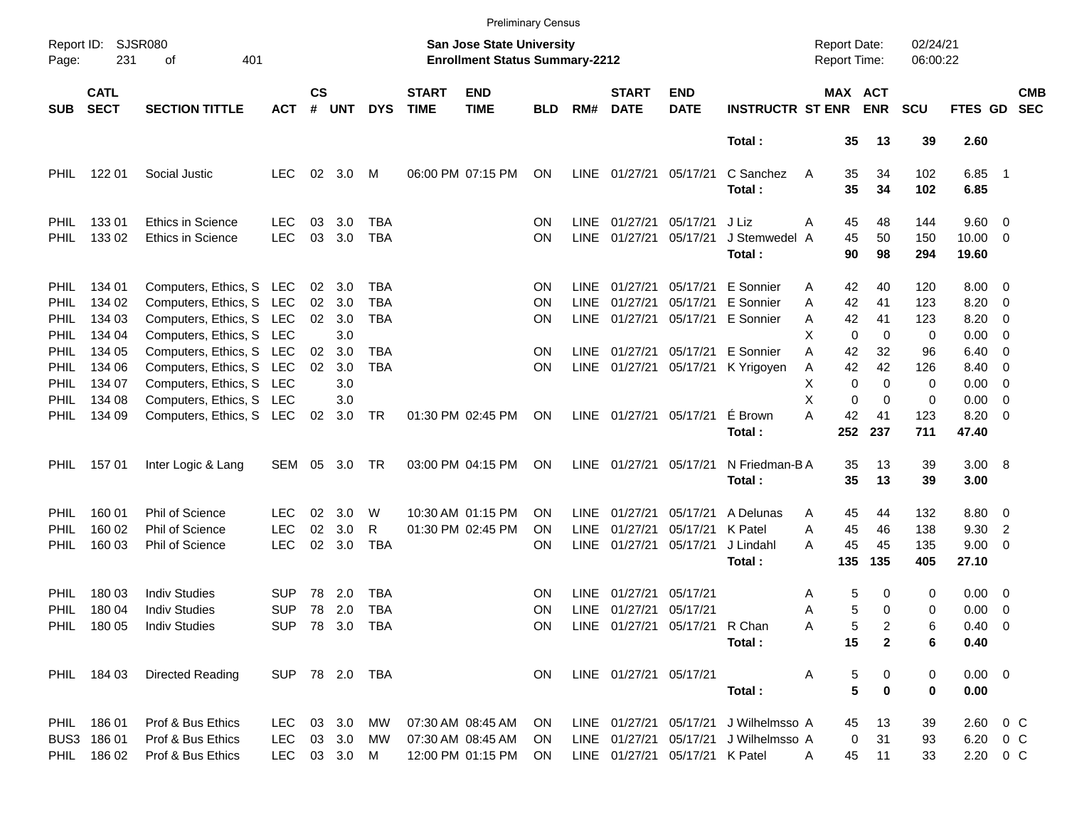|                                                    |                                           |                                                                                                              |                                            |                    |                          |                          |                             |                                                                           | <b>Preliminary Census</b> |                                           |                                  |                                                       |                                                                                |                                      |                                                             |                          |                                                  |                                                                                  |                          |
|----------------------------------------------------|-------------------------------------------|--------------------------------------------------------------------------------------------------------------|--------------------------------------------|--------------------|--------------------------|--------------------------|-----------------------------|---------------------------------------------------------------------------|---------------------------|-------------------------------------------|----------------------------------|-------------------------------------------------------|--------------------------------------------------------------------------------|--------------------------------------|-------------------------------------------------------------|--------------------------|--------------------------------------------------|----------------------------------------------------------------------------------|--------------------------|
| SJSR080<br>Report ID:<br>231<br>401<br>Page:<br>οf |                                           |                                                                                                              |                                            |                    |                          |                          |                             | <b>San Jose State University</b><br><b>Enrollment Status Summary-2212</b> |                           |                                           |                                  |                                                       |                                                                                | <b>Report Date:</b><br>Report Time:  |                                                             | 02/24/21<br>06:00:22     |                                                  |                                                                                  |                          |
| <b>SUB</b>                                         | <b>CATL</b><br><b>SECT</b>                | <b>SECTION TITTLE</b>                                                                                        | <b>ACT</b>                                 | $\mathsf{cs}$<br># | <b>UNT</b>               | <b>DYS</b>               | <b>START</b><br><b>TIME</b> | <b>END</b><br><b>TIME</b>                                                 | <b>BLD</b>                | RM#                                       | <b>START</b><br><b>DATE</b>      | <b>END</b><br><b>DATE</b>                             | <b>INSTRUCTR ST ENR</b>                                                        |                                      | MAX ACT<br><b>ENR</b>                                       | <b>SCU</b>               | FTES GD                                          |                                                                                  | <b>CMB</b><br><b>SEC</b> |
|                                                    |                                           |                                                                                                              |                                            |                    |                          |                          |                             |                                                                           |                           |                                           |                                  |                                                       | Total:                                                                         |                                      | 35<br>13                                                    | 39                       | 2.60                                             |                                                                                  |                          |
| <b>PHIL</b>                                        | 122 01                                    | Social Justic                                                                                                | <b>LEC</b>                                 | 02                 | 3.0                      | М                        |                             | 06:00 PM 07:15 PM                                                         | ON                        | LINE                                      | 01/27/21                         | 05/17/21                                              | C Sanchez<br>Total:                                                            | 35<br>A<br>35                        | 34<br>34                                                    | 102<br>102               | $6.85$ 1<br>6.85                                 |                                                                                  |                          |
| <b>PHIL</b><br><b>PHIL</b>                         | 13301<br>133 02                           | <b>Ethics in Science</b><br><b>Ethics in Science</b>                                                         | LEC<br><b>LEC</b>                          | 03<br>03           | 3.0<br>3.0               | TBA<br>TBA               |                             |                                                                           | ΟN<br><b>ON</b>           | <b>LINE</b><br>LINE                       | 01/27/21<br>01/27/21             | 05/17/21<br>05/17/21                                  | J Liz<br>J Stemwedel A<br>Total:                                               | 45<br>Α<br>45<br>90                  | 48<br>50<br>98                                              | 144<br>150<br>294        | $9.60 \quad 0$<br>$10.00 \t 0$<br>19.60          |                                                                                  |                          |
| <b>PHIL</b><br><b>PHIL</b><br>PHIL                 | 134 01<br>134 02<br>134 03                | Computers, Ethics, S LEC<br>Computers, Ethics, S LEC<br>Computers, Ethics, S LEC                             |                                            | 02<br>02<br>02     | 3.0<br>3.0<br>3.0        | TBA<br><b>TBA</b><br>TBA |                             |                                                                           | ΟN<br>ΟN<br>ON            | <b>LINE</b><br><b>LINE</b><br><b>LINE</b> | 01/27/21<br>01/27/21<br>01/27/21 | 05/17/21                                              | E Sonnier<br>05/17/21 E Sonnier<br>05/17/21 E Sonnier                          | 42<br>Α<br>42<br>A<br>42<br>Α        | 40<br>41<br>41                                              | 120<br>123<br>123        | $8.00 \t 0$<br>8.20<br>8.20                      | $\overline{\phantom{0}}$<br>$\overline{\phantom{0}}$                             |                          |
| PHIL<br>PHIL<br>PHIL<br>PHIL                       | 134 04<br>134 05<br>134 06<br>134 07      | Computers, Ethics, S LEC<br>Computers, Ethics, S LEC<br>Computers, Ethics, S LEC<br>Computers, Ethics, S LEC |                                            | 02<br>02           | 3.0<br>3.0<br>3.0<br>3.0 | <b>TBA</b><br><b>TBA</b> |                             |                                                                           | ΟN<br>ON                  | LINE<br>LINE                              | 01/27/21<br>01/27/21             |                                                       | 05/17/21 E Sonnier<br>05/17/21 K Yrigoyen                                      | х<br>A<br>42<br>42<br>Α<br>х         | $\mathbf 0$<br>$\Omega$<br>32<br>42<br>$\Omega$<br>$\Omega$ | 0<br>96<br>126<br>0      | $0.00 \t 0$<br>6.40<br>8.40<br>0.00              | $\overline{\phantom{0}}$<br>$\overline{\phantom{0}}$<br>$\overline{\phantom{0}}$ |                          |
| PHIL<br><b>PHIL</b>                                | 134 08<br>134 09                          | Computers, Ethics, S LEC<br>Computers, Ethics, S LEC                                                         |                                            | 02                 | 3.0<br>3.0               | <b>TR</b>                |                             | 01:30 PM 02:45 PM                                                         | ON                        | <b>LINE</b>                               | 01/27/21                         | 05/17/21                                              | É Brown<br>Total:                                                              | X<br>Α<br>42<br>252                  | $\mathbf 0$<br>$\Omega$<br>41<br>237                        | 0<br>123<br>711          | 0.00<br>8.20<br>47.40                            | $\overline{\phantom{0}}$<br>$\overline{\phantom{0}}$                             |                          |
| PHIL.                                              | 15701                                     | Inter Logic & Lang                                                                                           | SEM                                        | 05                 | 3.0                      | TR                       |                             | 03:00 PM 04:15 PM                                                         | ON                        | LINE                                      | 01/27/21                         | 05/17/21                                              | N Friedman-B A<br>Total:                                                       | 35<br>35                             | 13<br>13                                                    | 39<br>39                 | 3.00 8<br>3.00                                   |                                                                                  |                          |
| <b>PHIL</b><br><b>PHIL</b><br>PHIL                 | 160 01<br>160 02<br>160 03                | Phil of Science<br>Phil of Science<br>Phil of Science                                                        | LEC<br><b>LEC</b><br><b>LEC</b>            | 02<br>02<br>02     | 3.0<br>3.0<br>3.0        | W<br>R<br><b>TBA</b>     |                             | 10:30 AM 01:15 PM<br>01:30 PM 02:45 PM                                    | ΟN<br>ΟN<br>ΟN            | <b>LINE</b><br><b>LINE</b><br><b>LINE</b> | 01/27/21<br>01/27/21<br>01/27/21 | 05/17/21<br>05/17/21<br>05/17/21                      | A Delunas<br>K Patel<br>J Lindahl<br>Total:                                    | 45<br>A<br>45<br>A<br>45<br>А<br>135 | 44<br>46<br>45<br>135                                       | 132<br>138<br>135<br>405 | 8.80 0<br>9.30<br>$9.00 \t 0$<br>27.10           | $\overline{2}$                                                                   |                          |
| <b>PHIL</b><br>PHIL                                | 180 03<br>180 04<br>PHIL 180 05           | <b>Indiv Studies</b><br><b>Indiv Studies</b><br><b>Indiv Studies</b>                                         | <b>SUP</b><br><b>SUP</b><br>SUP 78 3.0 TBA | 78<br>78           | 2.0<br>2.0               | <b>TBA</b><br>TBA        |                             |                                                                           | ΟN<br>ΟN<br>ON            | LINE<br>LINE                              | 01/27/21<br>01/27/21             | 05/17/21<br>05/17/21<br>LINE 01/27/21 05/17/21 R Chan | Total:                                                                         | Α<br>Α<br>Α                          | 5<br>0<br>5<br>$\Omega$<br>5<br>2<br>15<br>$\mathbf{2}$     | 0<br>0<br>6<br>6         | $0.00 \quad 0$<br>0.00<br>$0.40 \quad 0$<br>0.40 | $\overline{\phantom{0}}$                                                         |                          |
|                                                    | PHIL 184 03                               | Directed Reading                                                                                             |                                            |                    |                          | SUP 78 2.0 TBA           |                             |                                                                           | ON.                       |                                           | LINE 01/27/21 05/17/21           |                                                       | Total:                                                                         | Α                                    | 5<br>0<br>5<br>$\mathbf 0$                                  | 0<br>0                   | $0.00 \t 0$<br>0.00                              |                                                                                  |                          |
|                                                    | PHIL 186 01<br>BUS3 186 01<br>PHIL 186 02 | Prof & Bus Ethics<br>Prof & Bus Ethics<br>Prof & Bus Ethics                                                  | LEC.<br>LEC<br>LEC 03 3.0 M                |                    | 03 3.0 MW<br>03 3.0 MW   |                          |                             | 07:30 AM 08:45 AM<br>07:30 AM 08:45 AM<br>12:00 PM 01:15 PM               | ON.<br>ON.<br>ON.         |                                           |                                  | LINE 01/27/21 05/17/21 K Patel                        | LINE 01/27/21 05/17/21 J Wilhelmsso A<br>LINE 01/27/21 05/17/21 J Wilhelmsso A | A                                    | 13<br>45<br>0<br>31<br>45<br>11                             | 39<br>93<br>33           | 2.60 0 C<br>6.20 0 C<br>2.20 0 C                 |                                                                                  |                          |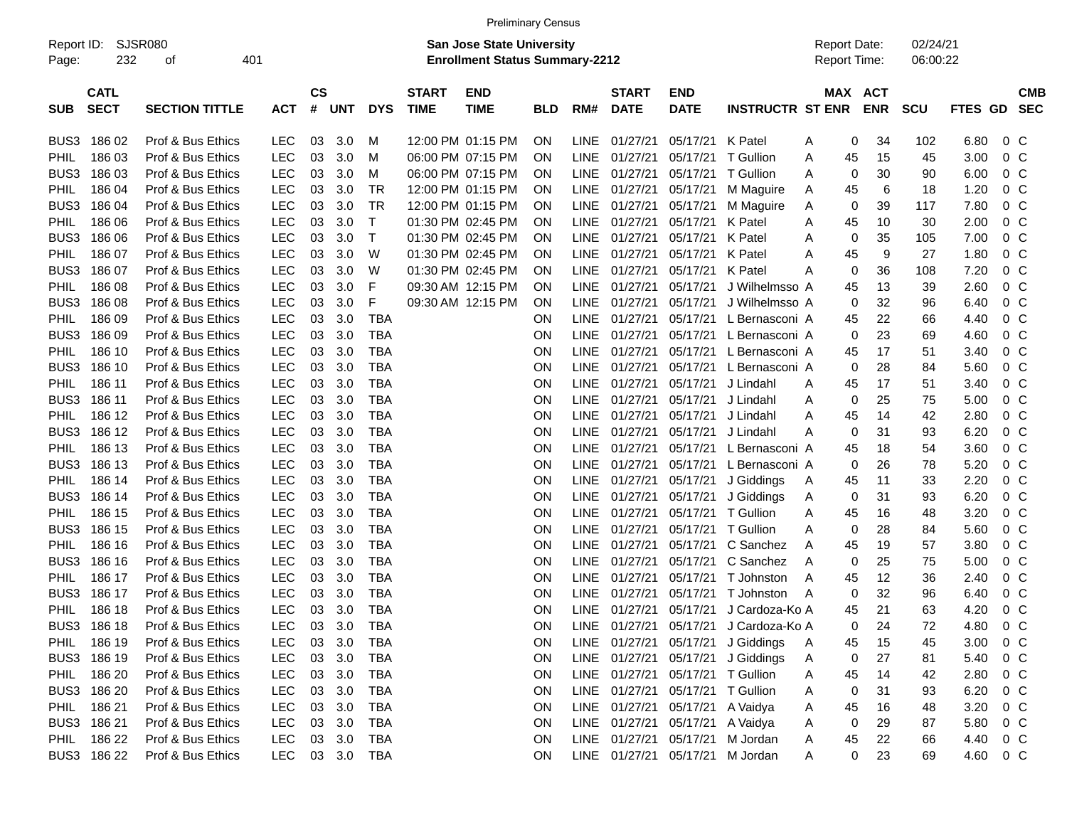|                     |                            |                       |            |                    |            |            |                             |                                                                           | <b>Preliminary Census</b> |             |                             |                                  |                                       |                                     |            |                      |                |                |                          |
|---------------------|----------------------------|-----------------------|------------|--------------------|------------|------------|-----------------------------|---------------------------------------------------------------------------|---------------------------|-------------|-----------------------------|----------------------------------|---------------------------------------|-------------------------------------|------------|----------------------|----------------|----------------|--------------------------|
| Report ID:<br>Page: | 232                        | SJSR080<br>оf         | 401        |                    |            |            |                             | <b>San Jose State University</b><br><b>Enrollment Status Summary-2212</b> |                           |             |                             |                                  |                                       | <b>Report Date:</b><br>Report Time: |            | 02/24/21<br>06:00:22 |                |                |                          |
| <b>SUB</b>          | <b>CATL</b><br><b>SECT</b> | <b>SECTION TITTLE</b> | <b>ACT</b> | $\mathsf{cs}$<br># | <b>UNT</b> | <b>DYS</b> | <b>START</b><br><b>TIME</b> | <b>END</b><br><b>TIME</b>                                                 | <b>BLD</b>                | RM#         | <b>START</b><br><b>DATE</b> | <b>END</b><br><b>DATE</b>        | <b>INSTRUCTR ST ENR</b>               | MAX ACT                             | <b>ENR</b> | <b>SCU</b>           | <b>FTES GD</b> |                | <b>CMB</b><br><b>SEC</b> |
| BUS3                | 18602                      | Prof & Bus Ethics     | <b>LEC</b> | 03                 | 3.0        | м          |                             | 12:00 PM 01:15 PM                                                         | ΟN                        | <b>LINE</b> | 01/27/21                    | 05/17/21 K Patel                 |                                       | 0<br>Α                              | 34         | 102                  | 6.80           | $0\,$ C        |                          |
| PHIL                | 186 03                     | Prof & Bus Ethics     | <b>LEC</b> | 03                 | 3.0        | м          |                             | 06:00 PM 07:15 PM                                                         | ΟN                        | <b>LINE</b> | 01/27/21                    |                                  | 05/17/21 T Gullion                    | Α<br>45                             | 15         | 45                   | 3.00           | 0 <sup>o</sup> |                          |
| BUS3                | 186 03                     | Prof & Bus Ethics     | <b>LEC</b> | 03                 | 3.0        | M          |                             | 06:00 PM 07:15 PM                                                         | OΝ                        | <b>LINE</b> | 01/27/21                    | 05/17/21                         | T Gullion                             | 0<br>Α                              | 30         | 90                   | 6.00           | 0 <sup>o</sup> |                          |
| PHIL                | 186 04                     | Prof & Bus Ethics     | <b>LEC</b> | 03                 | 3.0        | <b>TR</b>  |                             | 12:00 PM 01:15 PM                                                         | OΝ                        | <b>LINE</b> | 01/27/21                    | 05/17/21                         | M Maguire                             | 45<br>Α                             | 6          | 18                   | 1.20           | 0 <sup>o</sup> |                          |
| BUS3                | 186 04                     | Prof & Bus Ethics     | <b>LEC</b> | 03                 | 3.0        | <b>TR</b>  |                             | 12:00 PM 01:15 PM                                                         | OΝ                        | <b>LINE</b> | 01/27/21                    | 05/17/21                         | M Maguire                             | 0<br>Α                              | 39         | 117                  | 7.80           | 0 <sup>o</sup> |                          |
| PHIL                | 186 06                     | Prof & Bus Ethics     | <b>LEC</b> | 03                 | 3.0        | Т          |                             | 01:30 PM 02:45 PM                                                         | OΝ                        | <b>LINE</b> | 01/27/21                    | 05/17/21 K Patel                 |                                       | 45<br>Α                             | 10         | 30                   | 2.00           | 0 <sup>o</sup> |                          |
| BUS3                | 186 06                     | Prof & Bus Ethics     | <b>LEC</b> | 03                 | 3.0        | $\top$     |                             | 01:30 PM 02:45 PM                                                         | OΝ                        | <b>LINE</b> | 01/27/21                    | 05/17/21 K Patel                 |                                       | 0<br>Α                              | 35         | 105                  | 7.00           | 0 <sup>o</sup> |                          |
| PHIL                | 186 07                     | Prof & Bus Ethics     | <b>LEC</b> | 03                 | 3.0        | W          |                             | 01:30 PM 02:45 PM                                                         | OΝ                        | <b>LINE</b> | 01/27/21                    | 05/17/21 K Patel                 |                                       | 45<br>Α                             | 9          | 27                   | 1.80           | 0 <sup>o</sup> |                          |
| BUS3                | 186 07                     | Prof & Bus Ethics     | <b>LEC</b> | 03                 | 3.0        | W          |                             | 01:30 PM 02:45 PM                                                         | OΝ                        | <b>LINE</b> | 01/27/21                    | 05/17/21 K Patel                 |                                       | 0<br>Α                              | 36         | 108                  | 7.20           | 0 <sup>o</sup> |                          |
| PHIL                | 186 08                     | Prof & Bus Ethics     | <b>LEC</b> | 03                 | 3.0        | F          |                             | 09:30 AM 12:15 PM                                                         | OΝ                        | <b>LINE</b> | 01/27/21                    | 05/17/21                         | J Wilhelmsso A                        | 45                                  | 13         | 39                   | 2.60           | 0 <sup>o</sup> |                          |
| BUS3                | 186 08                     | Prof & Bus Ethics     | <b>LEC</b> | 03                 | 3.0        | F          |                             | 09:30 AM 12:15 PM                                                         | ΟN                        | <b>LINE</b> | 01/27/21                    | 05/17/21                         | J Wilhelmsso A                        | 0                                   | 32         | 96                   | 6.40           | 0 <sup>o</sup> |                          |
| PHIL                | 186 09                     | Prof & Bus Ethics     | <b>LEC</b> | 03                 | 3.0        | <b>TBA</b> |                             |                                                                           | ΟN                        | <b>LINE</b> | 01/27/21                    | 05/17/21                         | L Bernasconi A                        | 45                                  | 22         | 66                   | 4.40           | 0 <sup>o</sup> |                          |
| BUS3                | 186 09                     | Prof & Bus Ethics     | <b>LEC</b> | 03                 | 3.0        | <b>TBA</b> |                             |                                                                           | ΟN                        | <b>LINE</b> | 01/27/21                    | 05/17/21                         | L Bernasconi A                        | $\mathbf 0$                         | 23         | 69                   | 4.60           | 0 <sup>o</sup> |                          |
| PHIL                | 186 10                     | Prof & Bus Ethics     | <b>LEC</b> | 03                 | 3.0        | <b>TBA</b> |                             |                                                                           | ΟN                        | <b>LINE</b> | 01/27/21                    | 05/17/21                         | L Bernasconi A                        | 45                                  | 17         | 51                   | 3.40           | 0 <sup>o</sup> |                          |
| BUS3                | 186 10                     | Prof & Bus Ethics     | <b>LEC</b> | 03                 | 3.0        | <b>TBA</b> |                             |                                                                           | ΟN                        | <b>LINE</b> | 01/27/21                    | 05/17/21                         | L Bernasconi A                        | 0                                   | 28         | 84                   | 5.60           | 0 <sup>o</sup> |                          |
| PHIL                | 186 11                     | Prof & Bus Ethics     | <b>LEC</b> | 03                 | 3.0        | <b>TBA</b> |                             |                                                                           | ΟN                        | <b>LINE</b> | 01/27/21                    | 05/17/21                         | J Lindahl                             | 45<br>Α                             | 17         | 51                   | 3.40           | 0 <sup>o</sup> |                          |
| BUS3                | 186 11                     | Prof & Bus Ethics     | <b>LEC</b> | 03                 | 3.0        | <b>TBA</b> |                             |                                                                           | ΟN                        | <b>LINE</b> | 01/27/21                    | 05/17/21                         | J Lindahl                             | 0<br>Α                              | 25         | 75                   | 5.00           | 0 <sup>o</sup> |                          |
| PHIL                | 186 12                     | Prof & Bus Ethics     | <b>LEC</b> | 03                 | 3.0        | <b>TBA</b> |                             |                                                                           | ΟN                        | <b>LINE</b> | 01/27/21                    | 05/17/21                         | J Lindahl                             | 45<br>Α                             | 14         | 42                   | 2.80           | 0 <sup>o</sup> |                          |
| BUS3                | 186 12                     | Prof & Bus Ethics     | <b>LEC</b> | 03                 | 3.0        | <b>TBA</b> |                             |                                                                           | ΟN                        | <b>LINE</b> | 01/27/21                    | 05/17/21                         | J Lindahl                             | 0<br>Α                              | 31         | 93                   | 6.20           | 0 <sup>o</sup> |                          |
| PHIL                | 186 13                     | Prof & Bus Ethics     | <b>LEC</b> | 03                 | 3.0        | <b>TBA</b> |                             |                                                                           | ΟN                        | <b>LINE</b> | 01/27/21                    | 05/17/21                         | L Bernasconi A                        | 45                                  | 18         | 54                   | 3.60           | 0 <sup>o</sup> |                          |
| BUS3                | 186 13                     | Prof & Bus Ethics     | <b>LEC</b> | 03                 | 3.0        | <b>TBA</b> |                             |                                                                           | ΟN                        | <b>LINE</b> | 01/27/21                    | 05/17/21                         | L Bernasconi A                        | 0                                   | 26         | 78                   | 5.20           | 0 <sup>o</sup> |                          |
| PHIL                | 186 14                     | Prof & Bus Ethics     | <b>LEC</b> | 03                 | 3.0        | <b>TBA</b> |                             |                                                                           | ON                        | <b>LINE</b> | 01/27/21                    | 05/17/21                         | J Giddings                            | 45<br>Α                             | 11         | 33                   | 2.20           | 0 <sup>o</sup> |                          |
| BUS3                | 186 14                     | Prof & Bus Ethics     | <b>LEC</b> | 03                 | 3.0        | <b>TBA</b> |                             |                                                                           | ON                        | <b>LINE</b> | 01/27/21                    | 05/17/21                         | J Giddings                            | 0<br>Α                              | 31         | 93                   | 6.20           | 0 <sup>o</sup> |                          |
| PHIL                | 186 15                     | Prof & Bus Ethics     | <b>LEC</b> | 03                 | 3.0        | <b>TBA</b> |                             |                                                                           | ΟN                        | <b>LINE</b> | 01/27/21                    |                                  | 05/17/21 T Gullion                    | 45<br>Α                             | 16         | 48                   | 3.20           | 0 <sup>o</sup> |                          |
| BUS3                | 186 15                     | Prof & Bus Ethics     | <b>LEC</b> | 03                 | 3.0        | <b>TBA</b> |                             |                                                                           | ΟN                        | <b>LINE</b> | 01/27/21                    |                                  | 05/17/21 T Gullion                    | 0<br>Α                              | 28         | 84                   | 5.60           | 0 <sup>o</sup> |                          |
| PHIL                | 186 16                     | Prof & Bus Ethics     | <b>LEC</b> | 03                 | 3.0        | <b>TBA</b> |                             |                                                                           | ΟN                        | <b>LINE</b> | 01/27/21                    | 05/17/21                         | C Sanchez                             | 45<br>A                             | 19         | 57                   | 3.80           | 0 <sup>o</sup> |                          |
| BUS3                | 186 16                     | Prof & Bus Ethics     | LEC        | 03                 | 3.0        | <b>TBA</b> |                             |                                                                           | ΟN                        | <b>LINE</b> | 01/27/21                    | 05/17/21                         | C Sanchez                             | 0<br>Α                              | 25         | 75                   | 5.00           | 0 <sup>o</sup> |                          |
| PHIL                | 186 17                     | Prof & Bus Ethics     | LEC        | 03                 | 3.0        | <b>TBA</b> |                             |                                                                           | ΟN                        | <b>LINE</b> | 01/27/21                    |                                  | 05/17/21 T Johnston                   | 45<br>Α                             | 12         | 36                   | 2.40           | 0 <sup>o</sup> |                          |
| BUS3                | 186 17                     | Prof & Bus Ethics     | <b>LEC</b> | 03                 | 3.0        | <b>TBA</b> |                             |                                                                           | ΟN                        | <b>LINE</b> | 01/27/21                    |                                  | 05/17/21 T Johnston                   | 0<br>Α                              | 32         | 96                   | 6.40           | 0 <sup>o</sup> |                          |
| PHIL                | 186 18                     | Prof & Bus Ethics     | <b>LEC</b> | 03                 | 3.0        | TBA        |                             |                                                                           | ΟN                        | <b>LINE</b> | 01/27/21                    | 05/17/21                         | J Cardoza-Ko A                        | 45                                  | 21         | 63                   | 4.20           | 0 <sup>o</sup> |                          |
|                     | BUS3 186 18                | Prof & Bus Ethics     | LEC        |                    | 03 3.0     | TBA        |                             |                                                                           | ΟN                        |             |                             |                                  | LINE 01/27/21 05/17/21 J Cardoza-Ko A | 0                                   | 24         | 72                   | 4.80           | 0 <sup>o</sup> |                          |
|                     | PHIL 186 19                | Prof & Bus Ethics     | <b>LEC</b> |                    | 03 3.0     | TBA        |                             |                                                                           | 0N                        |             |                             |                                  | LINE 01/27/21 05/17/21 J Giddings     | 45<br>Α                             | 15         | 45                   | 3.00           | 0 <sup>o</sup> |                          |
|                     | BUS3 186 19                | Prof & Bus Ethics     | <b>LEC</b> |                    | 03 3.0     | TBA        |                             |                                                                           | 0N                        |             |                             |                                  | LINE 01/27/21 05/17/21 J Giddings     | 0<br>Α                              | 27         | 81                   | 5.40           | $0\,$ C        |                          |
| PHIL                | 186 20                     | Prof & Bus Ethics     | <b>LEC</b> |                    | 03 3.0     | TBA        |                             |                                                                           | <b>ON</b>                 |             |                             | LINE 01/27/21 05/17/21 T Gullion |                                       | 45<br>Α                             | 14         | 42                   | 2.80           | $0\,$ C        |                          |
|                     | BUS3 186 20                | Prof & Bus Ethics     | <b>LEC</b> |                    | 03 3.0     | TBA        |                             |                                                                           | <b>ON</b>                 |             |                             | LINE 01/27/21 05/17/21 T Gullion |                                       | 0<br>Α                              | 31         | 93                   | 6.20           | $0\,$ C        |                          |
| PHIL                | 186 21                     | Prof & Bus Ethics     | <b>LEC</b> |                    | 03 3.0     | TBA        |                             |                                                                           | <b>ON</b>                 |             |                             | LINE 01/27/21 05/17/21 A Vaidya  |                                       | 45<br>Α                             | 16         | 48                   | 3.20           | $0\,$ C        |                          |
|                     | BUS3 186 21                | Prof & Bus Ethics     | <b>LEC</b> |                    | 03 3.0     | TBA        |                             |                                                                           | 0N                        |             |                             | LINE 01/27/21 05/17/21 A Vaidya  |                                       | 0<br>Α                              | 29         | 87                   | 5.80           | $0\,$ C        |                          |
| PHIL                | 186 22                     | Prof & Bus Ethics     | LEC        |                    | 03 3.0     | TBA        |                             |                                                                           | ON                        |             |                             | LINE 01/27/21 05/17/21 M Jordan  |                                       | 45<br>A                             | 22         | 66                   | 4.40 0 C       |                |                          |
|                     | BUS3 186 22                | Prof & Bus Ethics     | <b>LEC</b> |                    |            | 03 3.0 TBA |                             |                                                                           | ON                        |             |                             | LINE 01/27/21 05/17/21 M Jordan  |                                       | 0<br>Α                              | 23         | 69                   | 4.60 0 C       |                |                          |
|                     |                            |                       |            |                    |            |            |                             |                                                                           |                           |             |                             |                                  |                                       |                                     |            |                      |                |                |                          |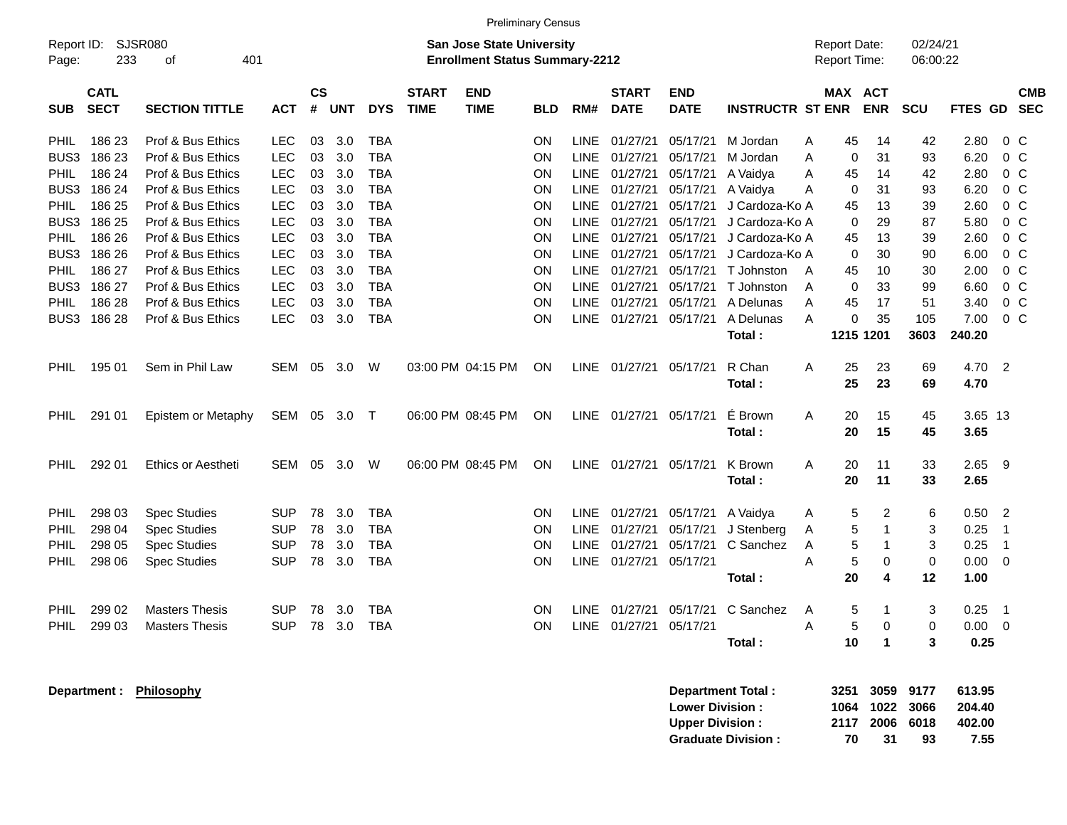|                     | <b>Preliminary Census</b>  |                       |            |                                                                           |            |            |                             |                           |            |             |                             |                           |                         |                                                             |                              |             |         |                          |
|---------------------|----------------------------|-----------------------|------------|---------------------------------------------------------------------------|------------|------------|-----------------------------|---------------------------|------------|-------------|-----------------------------|---------------------------|-------------------------|-------------------------------------------------------------|------------------------------|-------------|---------|--------------------------|
| Report ID:<br>Page: | <b>SJSR080</b><br>233      | 401<br>οf             |            | <b>San Jose State University</b><br><b>Enrollment Status Summary-2212</b> |            |            |                             |                           |            |             |                             |                           |                         | 02/24/21<br><b>Report Date:</b><br>Report Time:<br>06:00:22 |                              |             |         |                          |
| <b>SUB</b>          | <b>CATL</b><br><b>SECT</b> | <b>SECTION TITTLE</b> | <b>ACT</b> | $\mathsf{cs}$<br>#                                                        | <b>UNT</b> | <b>DYS</b> | <b>START</b><br><b>TIME</b> | <b>END</b><br><b>TIME</b> | <b>BLD</b> | RM#         | <b>START</b><br><b>DATE</b> | <b>END</b><br><b>DATE</b> | <b>INSTRUCTR ST ENR</b> |                                                             | MAX ACT<br><b>ENR</b>        | SCU         | FTES GD | <b>CMB</b><br><b>SEC</b> |
| <b>PHIL</b>         | 186 23                     | Prof & Bus Ethics     | LEC        | 03                                                                        | 3.0        | <b>TBA</b> |                             |                           | ΟN         | <b>LINE</b> | 01/27/21                    | 05/17/21                  | M Jordan                | Α                                                           | 45<br>14                     | 42          | 2.80    | 0 <sup>o</sup>           |
| BUS3                | 186 23                     | Prof & Bus Ethics     | <b>LEC</b> | 03                                                                        | 3.0        | TBA        |                             |                           | <b>ON</b>  | <b>LINE</b> | 01/27/21                    | 05/17/21                  | M Jordan                | A                                                           | 0<br>31                      | 93          | 6.20    | $0\,C$                   |
| PHIL.               | 186 24                     | Prof & Bus Ethics     | <b>LEC</b> | 03                                                                        | 3.0        | <b>TBA</b> |                             |                           | ΟN         | LINE        | 01/27/21                    | 05/17/21                  | A Vaidya                | A<br>45                                                     | 14                           | 42          | 2.80    | 0 <sup>o</sup>           |
| BUS3                | 186 24                     | Prof & Bus Ethics     | <b>LEC</b> | 03                                                                        | 3.0        | TBA        |                             |                           | ON.        | LINE        | 01/27/21                    | 05/17/21                  | A Vaidya                | Α                                                           | 31<br>0                      | 93          | 6.20    | 0 <sup>o</sup>           |
| PHIL                | 186 25                     | Prof & Bus Ethics     | <b>LEC</b> | 03                                                                        | 3.0        | <b>TBA</b> |                             |                           | <b>ON</b>  | <b>LINE</b> | 01/27/21                    | 05/17/21                  | J Cardoza-Ko A          | 45                                                          | 13                           | 39          | 2.60    | 0 <sup>o</sup>           |
| BUS3                | 186 25                     | Prof & Bus Ethics     | <b>LEC</b> | 03                                                                        | 3.0        | <b>TBA</b> |                             |                           | <b>ON</b>  | <b>LINE</b> | 01/27/21                    | 05/17/21                  | J Cardoza-Ko A          |                                                             | 29<br>0                      | 87          | 5.80    | 0 <sup>o</sup>           |
| PHIL                | 186 26                     | Prof & Bus Ethics     | <b>LEC</b> | 03                                                                        | 3.0        | <b>TBA</b> |                             |                           | ON         | LINE        | 01/27/21                    | 05/17/21                  | J Cardoza-Ko A          | 45                                                          | 13                           | 39          | 2.60    | 0 <sup>o</sup>           |
| BUS3                | 186 26                     | Prof & Bus Ethics     | <b>LEC</b> | 03                                                                        | 3.0        | <b>TBA</b> |                             |                           | ΟN         | <b>LINE</b> | 01/27/21                    | 05/17/21                  | J Cardoza-Ko A          |                                                             | 30<br>0                      | 90          | 6.00    | 0 <sup>o</sup>           |
| PHIL                | 186 27                     | Prof & Bus Ethics     | <b>LEC</b> | 03                                                                        | 3.0        | TBA        |                             |                           | ON         | <b>LINE</b> | 01/27/21                    | 05/17/21                  | T Johnston              | 45<br>A                                                     | 10                           | 30          | 2.00    | $0\,$ C                  |
| BUS3                | 186 27                     | Prof & Bus Ethics     | <b>LEC</b> | 03                                                                        | 3.0        | <b>TBA</b> |                             |                           | ON         | <b>LINE</b> | 01/27/21                    | 05/17/21                  | T Johnston              | A                                                           | 33<br>0                      | 99          | 6.60    | 0 <sup>o</sup>           |
| <b>PHIL</b>         | 186 28                     | Prof & Bus Ethics     | <b>LEC</b> | 03                                                                        | 3.0        | <b>TBA</b> |                             |                           | ΟN         | <b>LINE</b> | 01/27/21                    | 05/17/21                  | A Delunas               | 45<br>A                                                     | 17                           | 51          | 3.40    | $0\,C$                   |
| BUS3                | 186 28                     | Prof & Bus Ethics     | <b>LEC</b> | 03                                                                        | 3.0        | <b>TBA</b> |                             |                           | <b>ON</b>  |             | LINE 01/27/21               | 05/17/21                  | A Delunas               | A                                                           | 35<br>0                      | 105         | 7.00    | 0 <sup>o</sup>           |
|                     |                            |                       |            |                                                                           |            |            |                             |                           |            |             |                             |                           | Total:                  |                                                             | 1215 1201                    | 3603        | 240.20  |                          |
| <b>PHIL</b>         | 195 01                     | Sem in Phil Law       | SEM        | 05                                                                        | 3.0        | W          |                             | 03:00 PM 04:15 PM         | <b>ON</b>  | <b>LINE</b> | 01/27/21                    | 05/17/21                  | R Chan                  | A                                                           | 23<br>25                     | 69          | 4.70    | $\overline{2}$           |
|                     |                            |                       |            |                                                                           |            |            |                             |                           |            |             |                             |                           | Total:                  | 25                                                          | 23                           | 69          | 4.70    |                          |
| PHIL                | 291 01                     | Epistem or Metaphy    | SEM 05     |                                                                           | 3.0        | $\top$     |                             | 06:00 PM 08:45 PM         | <b>ON</b>  |             | LINE 01/27/21               | 05/17/21                  | É Brown                 | A                                                           | 15<br>20                     | 45          | 3.65 13 |                          |
|                     |                            |                       |            |                                                                           |            |            |                             |                           |            |             |                             |                           | Total:                  | 20                                                          | 15                           | 45          | 3.65    |                          |
| PHIL.               | 292 01                     | Ethics or Aestheti    | SEM        | 05                                                                        | 3.0        | W          |                             | 06:00 PM 08:45 PM         | <b>ON</b>  |             | LINE 01/27/21               | 05/17/21                  | K Brown                 | A<br>20                                                     | 11                           | 33          | 2.65    | -9                       |
|                     |                            |                       |            |                                                                           |            |            |                             |                           |            |             |                             |                           | Total:                  | 20                                                          | 11                           | 33          | 2.65    |                          |
| <b>PHIL</b>         | 298 03                     | <b>Spec Studies</b>   | <b>SUP</b> | 78                                                                        | 3.0        | <b>TBA</b> |                             |                           | ΟN         | <b>LINE</b> | 01/27/21                    | 05/17/21                  | A Vaidya                | A                                                           | $\overline{\mathbf{c}}$<br>5 | 6           | 0.50    | $\overline{c}$           |
| <b>PHIL</b>         | 298 04                     | <b>Spec Studies</b>   | <b>SUP</b> | 78                                                                        | 3.0        | <b>TBA</b> |                             |                           | ΟN         | <b>LINE</b> | 01/27/21                    | 05/17/21                  | J Stenberg              | Α                                                           | 5<br>$\mathbf{1}$            | 3           | 0.25    | $\overline{1}$           |
| PHIL                | 298 05                     | <b>Spec Studies</b>   | <b>SUP</b> | 78                                                                        | 3.0        | <b>TBA</b> |                             |                           | ΟN         | <b>LINE</b> | 01/27/21                    | 05/17/21                  | C Sanchez               | A                                                           | 5<br>$\mathbf 1$             | 3           | 0.25    | $\overline{1}$           |
| PHIL                | 298 06                     | <b>Spec Studies</b>   | <b>SUP</b> | 78                                                                        | 3.0        | <b>TBA</b> |                             |                           | ΟN         |             | LINE 01/27/21               | 05/17/21                  |                         | Α                                                           | 5<br>0                       | 0           | 0.00    | -0                       |
|                     |                            |                       |            |                                                                           |            |            |                             |                           |            |             |                             |                           | Total:                  | 20                                                          | 4                            | 12          | 1.00    |                          |
| <b>PHIL</b>         | 299 02                     | <b>Masters Thesis</b> | SUP        | 78                                                                        | 3.0        | TBA        |                             |                           | ΟN         | <b>LINE</b> | 01/27/21                    | 05/17/21                  | C Sanchez               | A                                                           | 5<br>-1                      | 3           | 0.25    | $\overline{1}$           |
| PHIL                | 299 03                     | <b>Masters Thesis</b> | <b>SUP</b> | 78                                                                        | 3.0        | <b>TBA</b> |                             |                           | ON         |             | LINE 01/27/21               | 05/17/21                  |                         | A                                                           | 5<br>$\mathbf 0$             | $\mathbf 0$ | 0.00    | $\overline{0}$           |
|                     |                            |                       |            |                                                                           |            |            |                             |                           |            |             |                             |                           | Total:                  | 10                                                          | $\mathbf{1}$                 | 3           | 0.25    |                          |

**Department : Philosophy** 

| Department Total:         |     |                |    | 3251 3059 9177 613.95 |
|---------------------------|-----|----------------|----|-----------------------|
| <b>Lower Division:</b>    |     | 1064 1022 3066 |    | 204.40                |
| <b>Upper Division:</b>    |     | 2117 2006 6018 |    | 402.00                |
| <b>Graduate Division:</b> | 70. | -31            | 93 | 7.55                  |